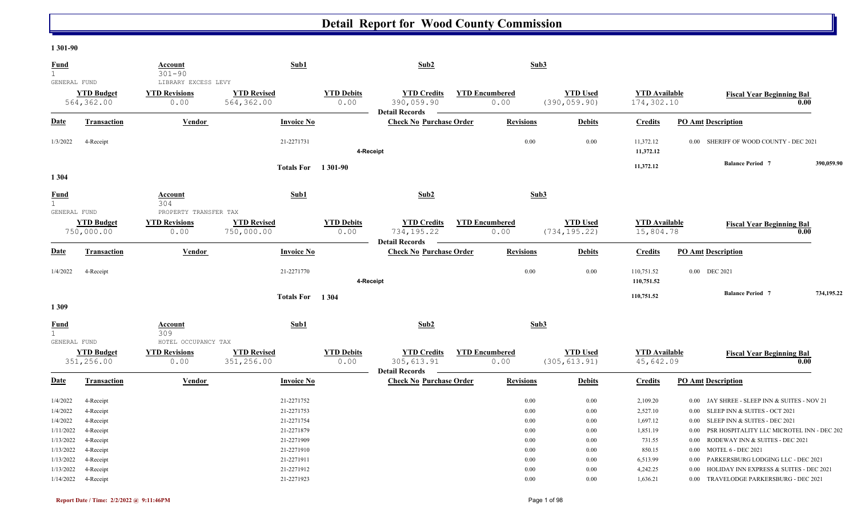#### **1 301-90**

| <b>Fund</b><br>$\mathbf{1}$                      |                                                  | <b>Account</b><br>$301 - 90$                        | Sub1                                                 |                           | Sub2                                                       |                               | Sub3                         |                                  |                                          |                                  |                                                                                                                                                  |            |
|--------------------------------------------------|--------------------------------------------------|-----------------------------------------------------|------------------------------------------------------|---------------------------|------------------------------------------------------------|-------------------------------|------------------------------|----------------------------------|------------------------------------------|----------------------------------|--------------------------------------------------------------------------------------------------------------------------------------------------|------------|
| GENERAL FUND                                     | <b>YTD Budget</b><br>564,362.00                  | LIBRARY EXCESS LEVY<br><b>YTD Revisions</b><br>0.00 | <b>YTD Revised</b><br>564,362.00                     | <b>YTD Debits</b><br>0.00 | <b>YTD Credits</b><br>390,059.90<br><b>Detail Records</b>  | <b>YTD Encumbered</b><br>0.00 |                              | <b>YTD Used</b><br>(390, 059.90) | <b>YTD</b> Available<br>174,302.10       |                                  | <b>Fiscal Year Beginning Bal</b><br>0.00                                                                                                         |            |
| <b>Date</b>                                      | <b>Transaction</b>                               | <b>Vendor</b>                                       | <b>Invoice No</b>                                    |                           | <b>Check No Purchase Order</b>                             | <b>Revisions</b>              |                              | <b>Debits</b>                    | <b>Credits</b>                           |                                  | <b>PO Amt Description</b>                                                                                                                        |            |
| 1/3/2022                                         | 4-Receipt                                        |                                                     | 21-2271731                                           |                           | 4-Receipt                                                  |                               | 0.00                         | 0.00                             | 11,372.12<br>11,372.12                   | 0.00                             | SHERIFF OF WOOD COUNTY - DEC 2021                                                                                                                |            |
| 1 3 0 4                                          |                                                  |                                                     | <b>Totals For</b> 1301-90                            |                           |                                                            |                               |                              |                                  | 11,372.12                                |                                  | <b>Balance Period 7</b>                                                                                                                          | 390,059.90 |
| <b>Fund</b><br>$\mathbf{1}$<br>GENERAL FUND      |                                                  | Account<br>304<br>PROPERTY TRANSFER TAX             | Sub1                                                 |                           | Sub2                                                       |                               | Sub3                         |                                  |                                          |                                  |                                                                                                                                                  |            |
|                                                  | <b>YTD Budget</b><br>750,000.00                  | <b>YTD Revisions</b><br>0.00                        | <b>YTD Revised</b><br>750,000.00                     | <b>YTD Debits</b><br>0.00 | <b>YTD Credits</b><br>734,195.22<br><b>Detail Records</b>  | <b>YTD Encumbered</b><br>0.00 |                              | <b>YTD Used</b><br>(734, 195.22) | <b>YTD</b> Available<br>15,804.78        |                                  | <b>Fiscal Year Beginning Bal</b><br>0.00                                                                                                         |            |
| <b>Date</b>                                      | <b>Transaction</b>                               | Vendor                                              | <b>Invoice No</b>                                    |                           | <b>Check No Purchase Order</b>                             |                               | <b>Revisions</b>             | <b>Debits</b>                    | <b>Credits</b>                           |                                  | <b>PO Amt Description</b>                                                                                                                        |            |
| 1/4/2022                                         | 4-Receipt                                        |                                                     | 21-2271770                                           |                           | 4-Receipt                                                  |                               | 0.00                         | 0.00                             | 110,751.52<br>110,751.52                 |                                  | 0.00 DEC 2021                                                                                                                                    |            |
| 1309                                             |                                                  |                                                     | Totals For 1304                                      |                           |                                                            |                               |                              |                                  | 110,751.52                               |                                  | <b>Balance Period 7</b>                                                                                                                          | 734,195.22 |
| <b>Fund</b><br>$\mathbf{1}$                      |                                                  | <b>Account</b><br>309                               | Sub1                                                 |                           | Sub2                                                       |                               | Sub3                         |                                  |                                          |                                  |                                                                                                                                                  |            |
| GENERAL FUND                                     | <b>YTD Budget</b><br>351,256.00                  | HOTEL OCCUPANCY TAX<br><b>YTD Revisions</b><br>0.00 | <b>YTD Revised</b><br>351,256.00                     | <b>YTD Debits</b><br>0.00 | <b>YTD Credits</b><br>305, 613.91<br><b>Detail Records</b> | <b>YTD Encumbered</b><br>0.00 |                              | <b>YTD Used</b><br>(305, 613.91) | <b>YTD</b> Available<br>45,642.09        |                                  | <b>Fiscal Year Beginning Bal</b><br>0.00                                                                                                         |            |
| <b>Date</b>                                      | <b>Transaction</b>                               | Vendor                                              | <b>Invoice No</b>                                    |                           | <b>Check No Purchase Order</b>                             |                               | <b>Revisions</b>             | <b>Debits</b>                    | <b>Credits</b>                           |                                  | <b>PO Amt Description</b>                                                                                                                        |            |
| 1/4/2022<br>1/4/2022<br>1/4/2022                 | 4-Receipt<br>4-Receipt<br>4-Receipt              |                                                     | 21-2271752<br>21-2271753<br>21-2271754               |                           |                                                            |                               | 0.00<br>0.00<br>0.00         | 0.00<br>0.00<br>0.00             | 2,109.20<br>2,527.10<br>1,697.12         | 0.00<br>0.00<br>0.00             | JAY SHREE - SLEEP INN & SUITES - NOV 21<br>SLEEP INN & SUITES - OCT 2021<br>SLEEP INN & SUITES - DEC 2021                                        |            |
| 1/11/2022<br>1/13/2022<br>1/13/2022<br>1/13/2022 | 4-Receipt<br>4-Receipt<br>4-Receipt<br>4-Receipt |                                                     | 21-2271879<br>21-2271909<br>21-2271910<br>21-2271911 |                           |                                                            |                               | 0.00<br>0.00<br>0.00<br>0.00 | 0.00<br>0.00<br>0.00<br>0.00     | 1,851.19<br>731.55<br>850.15<br>6,513.99 | 0.00<br>0.00<br>$0.00\,$<br>0.00 | PSR HOSPITALITY LLC MICROTEL INN - DEC 202<br>RODEWAY INN & SUITES - DEC 2021<br><b>MOTEL 6 - DEC 2021</b><br>PARKERSBURG LODGING LLC - DEC 2021 |            |
| 1/13/2022<br>1/14/2022                           | 4-Receipt<br>4-Receipt                           |                                                     | 21-2271912<br>21-2271923                             |                           |                                                            |                               | 0.00<br>0.00                 | 0.00<br>0.00                     | 4,242.25<br>1,636.21                     | 0.00<br>0.00                     | HOLIDAY INN EXPRESS & SUITES - DEC 2021<br>TRAVELODGE PARKERSBURG - DEC 2021                                                                     |            |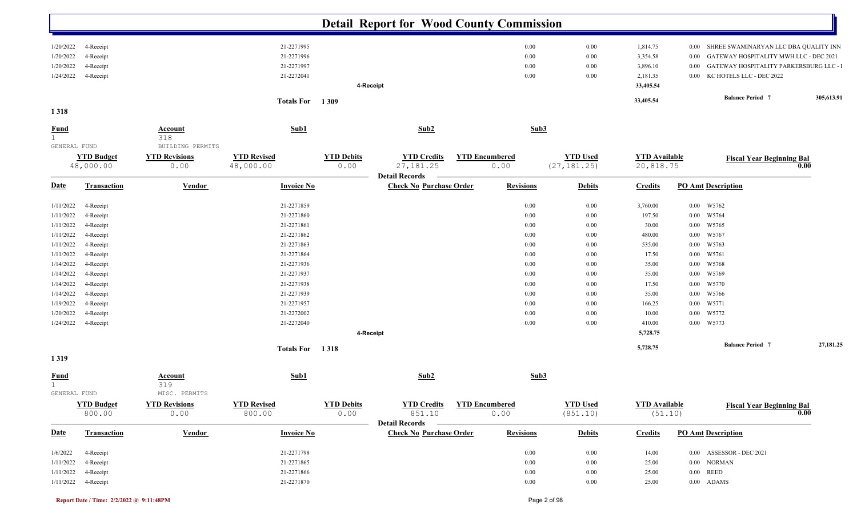|                                             |                                |                                 |                                 |                           | <b>Detail Report for Wood County Commission</b>         |                               |              |                 |                                   |                                                     |            |
|---------------------------------------------|--------------------------------|---------------------------------|---------------------------------|---------------------------|---------------------------------------------------------|-------------------------------|--------------|-----------------|-----------------------------------|-----------------------------------------------------|------------|
| 1/20/2022                                   | 4-Receipt                      |                                 | 21-2271995                      |                           |                                                         | $0.00\,$                      |              | 0.00            | 1,814.75                          | SHREE SWAMINARYAN LLC DBA QUALITY INN<br>$0.00\,$   |            |
| 1/20/2022                                   | 4-Receipt                      |                                 | 21-2271996                      |                           |                                                         | $0.00\,$                      |              | 0.00            | 3,354.58                          | GATEWAY HOSPITALITY MWH LLC - DEC 2021<br>0.00      |            |
| 1/20/2022                                   | 4-Receipt                      |                                 | 21-2271997                      |                           |                                                         | 0.00                          |              | 0.00            | 3,896.10                          | GATEWAY HOSPITALITY PARKERSBURG LLC - 1<br>$0.00\,$ |            |
| 1/24/2022                                   | 4-Receipt                      |                                 | 21-2272041                      |                           |                                                         | 0.00                          |              | 0.00            | 2,181.35                          | KC HOTELS LLC - DEC 2022<br>$0.00\,$                |            |
|                                             |                                |                                 |                                 |                           | 4-Receipt                                               |                               |              |                 | 33,405.54                         |                                                     |            |
|                                             |                                |                                 | Totals For 1309                 |                           |                                                         |                               |              |                 | 33,405.54                         | <b>Balance Period 7</b>                             | 305,613.91 |
| 1 3 1 8                                     |                                |                                 |                                 |                           |                                                         |                               |              |                 |                                   |                                                     |            |
| <b>Fund</b><br>1                            |                                | <b>Account</b><br>318           | Sub1                            |                           | Sub2                                                    |                               | Sub3         |                 |                                   |                                                     |            |
| GENERAL FUND                                |                                | BUILDING PERMITS                |                                 |                           |                                                         |                               |              |                 |                                   |                                                     |            |
|                                             | <b>YTD Budget</b><br>48,000.00 | <b>YTD Revisions</b><br>0.00    | <b>YTD Revised</b><br>48,000.00 | <b>YTD Debits</b><br>0.00 | <b>YTD Credits</b><br>27, 181. 25                       | <b>YTD Encumbered</b><br>0.00 | (27, 181.25) | <b>YTD Used</b> | <b>YTD</b> Available<br>20,818.75 | <b>Fiscal Year Beginning Bal</b>                    | 0.00       |
| <u>Date</u>                                 | <b>Transaction</b>             | <b>Vendor</b>                   | <b>Invoice No</b>               |                           | <b>Detail Records</b><br><b>Check No Purchase Order</b> | <b>Revisions</b>              |              | <b>Debits</b>   | <b>Credits</b>                    | <b>PO Amt Description</b>                           |            |
| 1/11/2022                                   | 4-Receipt                      |                                 | 21-2271859                      |                           |                                                         | $0.00\,$                      |              | 0.00            | 3,760.00                          | 0.00 W5762                                          |            |
| 1/11/2022                                   | 4-Receipt                      |                                 | 21-2271860                      |                           |                                                         | $0.00\,$                      |              | 0.00            | 197.50                            | 0.00 W5764                                          |            |
| 1/11/2022                                   | 4-Receipt                      |                                 | 21-2271861                      |                           |                                                         | 0.00                          |              | 0.00            | 30.00                             | W5765<br>$0.00\,$                                   |            |
| 1/11/2022                                   | 4-Receipt                      |                                 | 21-2271862                      |                           |                                                         | 0.00                          |              | 0.00            | 480.00                            | W5767<br>$0.00\,$                                   |            |
| 1/11/2022                                   | 4-Receipt                      |                                 | 21-2271863                      |                           |                                                         | 0.00                          |              | 0.00            | 535.00                            | 0.00<br>W5763                                       |            |
| 1/11/2022                                   | 4-Receipt                      |                                 | 21-2271864                      |                           |                                                         | 0.00                          |              | 0.00            | 17.50                             | 0.00 W5761                                          |            |
| 1/14/2022                                   | 4-Receipt                      |                                 | 21-2271936                      |                           |                                                         | 0.00                          |              | 0.00            | 35.00                             | 0.00 W5768                                          |            |
| 1/14/2022                                   | 4-Receipt                      |                                 | 21-2271937                      |                           |                                                         | 0.00                          |              | 0.00            | 35.00                             | 0.00 W5769                                          |            |
| 1/14/2022                                   | 4-Receipt                      |                                 | 21-2271938                      |                           |                                                         | 0.00                          |              | 0.00            | 17.50                             | $0.00$ W5770                                        |            |
| 1/14/2022                                   | 4-Receipt                      |                                 | 21-2271939                      |                           |                                                         | 0.00                          |              | 0.00            | 35.00                             | 0.00 W5766                                          |            |
| 1/19/2022                                   | 4-Receipt                      |                                 | 21-2271957                      |                           |                                                         | 0.00                          |              | 0.00            | 166.25                            | 0.00 W5771                                          |            |
| 1/20/2022                                   | 4-Receipt                      |                                 | 21-2272002                      |                           |                                                         | 0.00                          |              | 0.00            | 10.00                             | 0.00 W5772                                          |            |
|                                             |                                |                                 | 21-2272040                      |                           |                                                         | $0.00\,$                      |              | 0.00            |                                   | 0.00 W5773                                          |            |
| 1/24/2022                                   | 4-Receipt                      |                                 |                                 |                           | 4-Receipt                                               |                               |              |                 | 410.00<br>5,728.75                |                                                     |            |
|                                             |                                |                                 | Totals For 1318                 |                           |                                                         |                               |              |                 | 5,728.75                          | <b>Balance Period 7</b>                             | 27,181.25  |
| 1319                                        |                                |                                 |                                 |                           |                                                         |                               |              |                 |                                   |                                                     |            |
| <b>Fund</b><br>$\mathbf{1}$<br>GENERAL FUND |                                | Account<br>319<br>MISC. PERMITS | Sub1                            |                           | Sub2                                                    |                               | Sub3         |                 |                                   |                                                     |            |
|                                             | <b>YTD Budget</b>              | <b>YTD Revisions</b>            | <b>YTD Revised</b>              | <b>YTD Debits</b>         | <b>YTD Credits</b>                                      | <b>YTD Encumbered</b>         |              | <b>YTD Used</b> | <b>YTD</b> Available              | <b>Fiscal Year Beginning Bal</b>                    |            |
|                                             | 800.00                         | 0.00                            | 800.00                          | 0.00                      | 851.10<br>Detail Records -                              | 0.00                          |              | (851.10)        | (51.10)                           |                                                     | 0.00       |
| <u>Date</u>                                 | <b>Transaction</b>             | <b>Vendor</b>                   | <b>Invoice No</b>               |                           | <b>Check No Purchase Order</b>                          | <b>Revisions</b>              |              | <b>Debits</b>   | <b>Credits</b>                    | <b>PO Amt Description</b>                           |            |
| 1/6/2022                                    | 4-Receipt                      |                                 | 21-2271798                      |                           |                                                         | 0.00                          |              | 0.00            | 14.00                             | 0.00 ASSESSOR - DEC 2021                            |            |
| 1/11/2022                                   | 4-Receipt                      |                                 | 21-2271865                      |                           |                                                         | 0.00                          |              | 0.00            | 25.00                             | $0.00\quad$ NORMAN                                  |            |
| 1/11/2022                                   | 4-Receipt                      |                                 | 21-2271866                      |                           |                                                         | 0.00                          |              | 0.00            | 25.00                             | $0.00\quad \, \mathrm{REED}$                        |            |
|                                             | 1/11/2022 4-Receipt            |                                 | 21-2271870                      |                           |                                                         | 0.00                          |              | 0.00            | 25.00                             | $0.00\quad$ ADAMS                                   |            |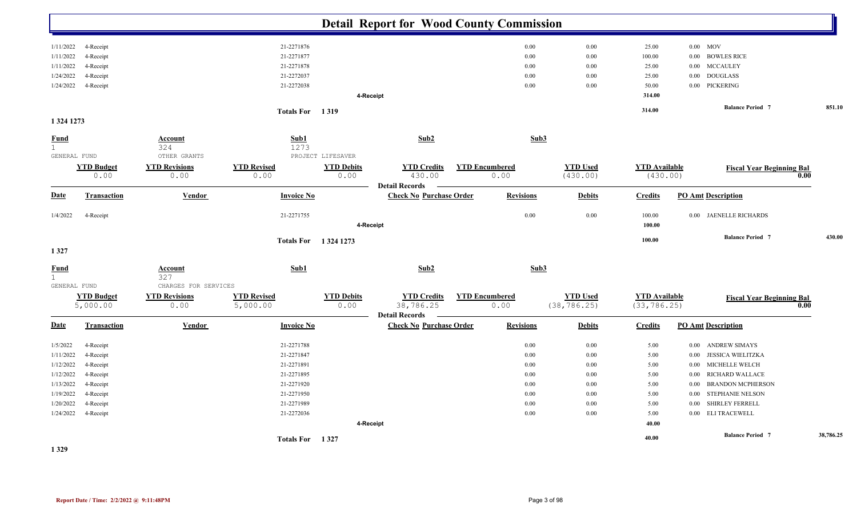|                             |                               |                              |                                |                           | <b>Detail Report for Wood County Commission</b>          |                               |                  |                                 |                                      |                                          |           |
|-----------------------------|-------------------------------|------------------------------|--------------------------------|---------------------------|----------------------------------------------------------|-------------------------------|------------------|---------------------------------|--------------------------------------|------------------------------------------|-----------|
| 1/11/2022                   | 4-Receipt                     |                              | 21-2271876                     |                           |                                                          |                               | $0.00\,$         | 0.00                            | 25.00                                | $0.00$ MOV                               |           |
| 1/11/2022                   | 4-Receipt                     |                              | 21-2271877                     |                           |                                                          |                               | $0.00\,$         | 0.00                            | 100.00                               | <b>BOWLES RICE</b><br>0.00               |           |
| 1/11/2022                   | 4-Receipt                     |                              | 21-2271878                     |                           |                                                          |                               | 0.00             | 0.00                            | 25.00                                | <b>MCCAULEY</b><br>$0.00\,$              |           |
| 1/24/2022                   | 4-Receipt                     |                              | 21-2272037                     |                           |                                                          |                               | 0.00             | 0.00                            | 25.00                                | <b>DOUGLASS</b><br>$0.00\,$              |           |
| 1/24/2022                   | 4-Receipt                     |                              | 21-2272038                     |                           |                                                          |                               | 0.00             | 0.00                            | 50.00                                | PICKERING<br>$0.00\,$                    |           |
|                             |                               |                              |                                |                           | 4-Receipt                                                |                               |                  |                                 | 314.00                               |                                          |           |
|                             |                               |                              | Totals For 1319                |                           |                                                          |                               |                  |                                 | 314.00                               | <b>Balance Period 7</b>                  | 851.10    |
| 1 3 24 1 2 7 3              |                               |                              |                                |                           |                                                          |                               |                  |                                 |                                      |                                          |           |
| <u>Fund</u><br>$\mathbf{1}$ |                               | <b>Account</b><br>324        | Sub1<br>1273                   |                           | Sub2                                                     |                               | Sub3             |                                 |                                      |                                          |           |
| GENERAL FUND                |                               | OTHER GRANTS                 |                                | PROJECT LIFESAVER         |                                                          |                               |                  |                                 |                                      |                                          |           |
|                             | <b>YTD Budget</b><br>0.00     | <b>YTD Revisions</b><br>0.00 | <b>YTD Revised</b><br>0.00     | <b>YTD Debits</b><br>0.00 | <b>YTD Credits</b><br>430.00                             | <b>YTD Encumbered</b><br>0.00 |                  | <b>YTD Used</b><br>(430.00)     | <b>YTD Available</b><br>(430.00)     | <b>Fiscal Year Beginning Bal</b><br>0.00 |           |
|                             |                               |                              |                                |                           | <b>Detail Records</b>                                    |                               |                  |                                 |                                      |                                          |           |
| <b>Date</b>                 | Transaction                   | Vendor                       | <b>Invoice No</b>              |                           | <b>Check No Purchase Order</b>                           |                               | <b>Revisions</b> | <b>Debits</b>                   | <b>Credits</b>                       | <b>PO Amt Description</b>                |           |
| 1/4/2022                    | 4-Receipt                     |                              | 21-2271755                     |                           | 4-Receipt                                                |                               | 0.00             | 0.00                            | 100.00<br>100.00                     | 0.00 JAENELLE RICHARDS                   |           |
|                             |                               |                              |                                |                           |                                                          |                               |                  |                                 | 100.00                               | <b>Balance Period 7</b>                  | 430.00    |
| 1327                        |                               |                              |                                | Totals For 1324 1273      |                                                          |                               |                  |                                 |                                      |                                          |           |
| Fund<br>1                   |                               | Account<br>327               | Sub1                           |                           | Sub2                                                     |                               | Sub3             |                                 |                                      |                                          |           |
| GENERAL FUND                |                               | CHARGES FOR SERVICES         |                                |                           |                                                          |                               |                  |                                 |                                      |                                          |           |
|                             | <b>YTD Budget</b><br>5,000.00 | <b>YTD Revisions</b><br>0.00 | <b>YTD Revised</b><br>5,000.00 | <b>YTD Debits</b><br>0.00 | <b>YTD Credits</b><br>38,786.25<br><b>Detail Records</b> | <b>YTD Encumbered</b><br>0.00 |                  | <b>YTD Used</b><br>(38, 786.25) | <b>YTD Available</b><br>(33, 786.25) | <b>Fiscal Year Beginning Bal</b><br>0.00 |           |
| <u>Date</u>                 | <b>Transaction</b>            | <b>Vendor</b>                | <b>Invoice No</b>              |                           | <b>Check No Purchase Order</b>                           |                               | <b>Revisions</b> | <b>Debits</b>                   | <b>Credits</b>                       | <b>PO Amt Description</b>                |           |
| 1/5/2022                    | 4-Receipt                     |                              | 21-2271788                     |                           |                                                          |                               | $0.00\,$         | 0.00                            | 5.00                                 | <b>ANDREW SIMAYS</b><br>$0.00\,$         |           |
| 1/11/2022                   | 4-Receipt                     |                              | 21-2271847                     |                           |                                                          |                               | 0.00             | 0.00                            | 5.00                                 | <b>JESSICA WIELITZKA</b><br>0.00         |           |
| 1/12/2022                   | 4-Receipt                     |                              | 21-2271891                     |                           |                                                          |                               | 0.00             | 0.00                            | 5.00                                 | <b>MICHELLE WELCH</b><br>$0.00\,$        |           |
| 1/12/2022                   | 4-Receipt                     |                              | 21-2271895                     |                           |                                                          |                               | 0.00             | 0.00                            | 5.00                                 | RICHARD WALLACE<br>0.00                  |           |
| 1/13/2022                   | 4-Receipt                     |                              | 21-2271920                     |                           |                                                          |                               | 0.00             | 0.00                            | 5.00                                 | <b>BRANDON MCPHERSON</b><br>0.00         |           |
| 1/19/2022                   | 4-Receipt                     |                              | 21-2271950                     |                           |                                                          |                               | $0.00\,$         | $0.00\,$                        | 5.00                                 | <b>STEPHANIE NELSON</b><br>0.00          |           |
| 1/20/2022                   | 4-Receipt                     |                              | 21-2271989                     |                           |                                                          |                               | 0.00             | 0.00                            | 5.00                                 | <b>SHIRLEY FERRELL</b><br>0.00           |           |
| 1/24/2022                   | 4-Receipt                     |                              | 21-2272036                     |                           |                                                          |                               | 0.00             | 0.00                            | 5.00                                 | 0.00 ELI TRACEWELL                       |           |
|                             |                               |                              |                                |                           | 4-Receipt                                                |                               |                  |                                 | 40.00                                |                                          |           |
|                             |                               |                              | Totals For 1327                |                           |                                                          |                               |                  |                                 | 40.00                                | <b>Balance Period 7</b>                  | 38,786.25 |

**1 329**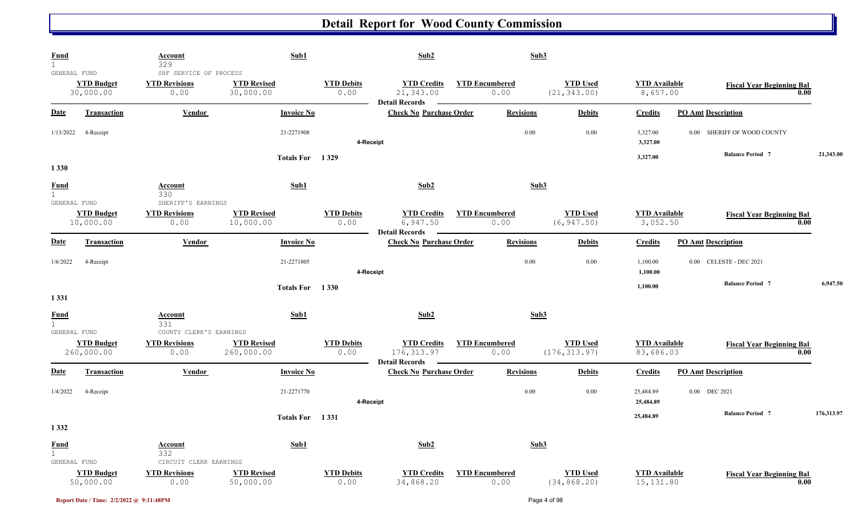| <b>Fund</b><br>$\mathbf 1$                  |                                 | Account<br>329                                         | Sub1                             |                           | Sub2                                                       |                               | Sub3                             |                                    |                                  |            |
|---------------------------------------------|---------------------------------|--------------------------------------------------------|----------------------------------|---------------------------|------------------------------------------------------------|-------------------------------|----------------------------------|------------------------------------|----------------------------------|------------|
| GENERAL FUND                                | <b>YTD Budget</b><br>30,000.00  | SHF SERVICE OF PROCESS<br><b>YTD Revisions</b><br>0.00 | <b>YTD Revised</b><br>30,000.00  | <b>YTD Debits</b><br>0.00 | <b>YTD Credits</b><br>21,343.00<br><b>Detail Records</b>   | <b>YTD Encumbered</b><br>0.00 | <b>YTD Used</b><br>(21, 343.00)  | <b>YTD</b> Available<br>8,657.00   | <b>Fiscal Year Beginning Bal</b> | 0.00       |
| <b>Date</b>                                 | <b>Transaction</b>              | Vendor                                                 | <b>Invoice No</b>                |                           | <b>Check No Purchase Order</b>                             | <b>Revisions</b>              | <b>Debits</b>                    | <b>Credits</b>                     | <b>PO Amt Description</b>        |            |
| 1/13/2022                                   | 4-Receipt                       |                                                        | 21-2271908                       | 4-Receipt                 |                                                            |                               | 0.00<br>0.00                     | 3,327.00<br>3,327.00               | 0.00 SHERIFF OF WOOD COUNTY      |            |
| 1 3 3 0                                     |                                 |                                                        | <b>Totals For</b>                | 1 3 2 9                   |                                                            |                               |                                  | 3,327.00                           | <b>Balance Period 7</b>          | 21,343.00  |
| <b>Fund</b><br>$\mathbf{1}$<br>GENERAL FUND |                                 | Account<br>330<br>SHERIFF'S EARNINGS                   | Sub1                             |                           | Sub2                                                       |                               | Sub3                             |                                    |                                  |            |
|                                             | <b>YTD Budget</b><br>10,000.00  | <b>YTD Revisions</b><br>0.00                           | <b>YTD Revised</b><br>10,000.00  | <b>YTD Debits</b><br>0.00 | <b>YTD Credits</b><br>6,947.50                             | <b>YTD Encumbered</b><br>0.00 | <b>YTD Used</b><br>(6, 947.50)   | <b>YTD</b> Available<br>3,052.50   | <b>Fiscal Year Beginning Bal</b> | 0.00       |
| <b>Date</b>                                 | <b>Transaction</b>              | <b>Vendor</b>                                          | <b>Invoice No</b>                |                           | <b>Detail Records</b><br><b>Check No Purchase Order</b>    | <b>Revisions</b>              | <b>Debits</b>                    | <b>Credits</b>                     | <b>PO Amt Description</b>        |            |
| 1/6/2022                                    | 4-Receipt                       |                                                        | 21-2271805                       | 4-Receipt                 |                                                            |                               | 0.00<br>0.00                     | 1,100.00<br>1,100.00               | 0.00 CELESTE - DEC 2021          |            |
| 1331                                        |                                 |                                                        | Totals For 1330                  |                           |                                                            |                               |                                  | 1,100.00                           | <b>Balance Period 7</b>          | 6,947.50   |
| <b>Fund</b><br>$\mathbf{1}$<br>GENERAL FUND |                                 | <b>Account</b><br>331<br>COUNTY CLERK'S EARNINGS       | Sub1                             |                           | Sub2                                                       |                               | Sub3                             |                                    |                                  |            |
|                                             | <b>YTD Budget</b><br>260,000.00 | <b>YTD Revisions</b><br>0.00                           | <b>YTD Revised</b><br>260,000.00 | <b>YTD Debits</b><br>0.00 | <b>YTD Credits</b><br>176, 313.97<br><b>Detail Records</b> | <b>YTD Encumbered</b><br>0.00 | <b>YTD Used</b><br>(176, 313.97) | <b>YTD</b> Available<br>83,686.03  | <b>Fiscal Year Beginning Bal</b> | 0.00       |
| <b>Date</b>                                 | Transaction                     | Vendor                                                 | <b>Invoice No</b>                |                           | <b>Check No Purchase Order</b>                             | <b>Revisions</b>              | <b>Debits</b>                    | <b>Credits</b>                     | <b>PO Amt Description</b>        |            |
| 1/4/2022                                    | 4-Receipt                       |                                                        | 21-2271770                       | 4-Receipt                 |                                                            |                               | 0.00<br>0.00                     | 25,484.89<br>25,484.89             | 0.00 DEC 2021                    |            |
| 1 3 3 2                                     |                                 |                                                        | Totals For 1331                  |                           |                                                            |                               |                                  | 25,484.89                          | <b>Balance Period 7</b>          | 176,313.97 |
| <b>Fund</b><br>$\mathbf{1}$                 |                                 | <b>Account</b><br>332                                  | Sub1                             |                           | Sub2                                                       |                               | Sub3                             |                                    |                                  |            |
| GENERAL FUND                                | <b>YTD Budget</b><br>50,000.00  | CIRCUIT CLERK EARNINGS<br><b>YTD Revisions</b><br>0.00 | <b>YTD Revised</b><br>50,000.00  | <b>YTD Debits</b><br>0.00 | <b>YTD Credits</b><br>34,868.20                            | <b>YTD Encumbered</b><br>0.00 | <b>YTD Used</b><br>(34, 868.20)  | <b>YTD</b> Available<br>15, 131.80 | <b>Fiscal Year Beginning Bal</b> | 0.00       |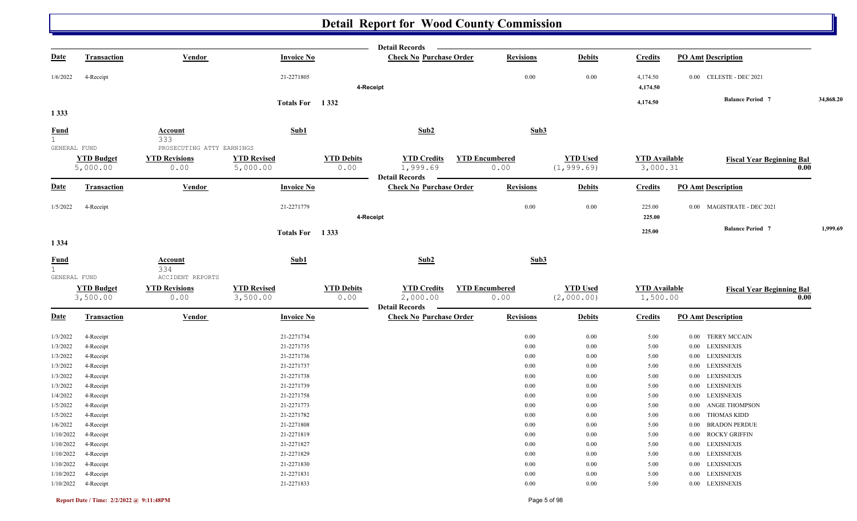|                                       |                               |                                                    |                                |                           | <b>Detail Records</b>                                   |                               |                  |                               |                                  |                                  |           |
|---------------------------------------|-------------------------------|----------------------------------------------------|--------------------------------|---------------------------|---------------------------------------------------------|-------------------------------|------------------|-------------------------------|----------------------------------|----------------------------------|-----------|
| <b>Date</b>                           | <b>Transaction</b>            | <b>Vendor</b>                                      | <b>Invoice No</b>              |                           | <b>Check No Purchase Order</b>                          |                               | <b>Revisions</b> | <b>Debits</b>                 | <b>Credits</b>                   | <b>PO Amt Description</b>        |           |
| 1/6/2022                              | 4-Receipt                     |                                                    | 21-2271805                     | 4-Receipt                 |                                                         |                               | 0.00             | 0.00                          | 4,174.50<br>4,174.50             | 0.00 CELESTE - DEC 2021          |           |
|                                       |                               |                                                    | Totals For 1332                |                           |                                                         |                               |                  |                               | 4,174.50                         | <b>Balance Period 7</b>          | 34,868.20 |
| 1333                                  |                               |                                                    |                                |                           |                                                         |                               |                  |                               |                                  |                                  |           |
| <b>Fund</b><br>1<br>GENERAL FUND      |                               | <b>Account</b><br>333<br>PROSECUTING ATTY EARNINGS | Sub1                           |                           | Sub2                                                    |                               | Sub3             |                               |                                  |                                  |           |
|                                       |                               |                                                    | <b>YTD Revised</b>             |                           |                                                         |                               |                  | <b>YTD Used</b>               |                                  |                                  |           |
|                                       | <b>YTD Budget</b><br>5,000.00 | <b>YTD Revisions</b><br>0.00                       | 5,000.00                       | <b>YTD Debits</b><br>0.00 | <b>YTD Credits</b><br>1,999.69<br><b>Detail Records</b> | <b>YTD Encumbered</b><br>0.00 |                  | (1, 999.69)                   | <b>YTD</b> Available<br>3,000.31 | <b>Fiscal Year Beginning Bal</b> | 0.00      |
| <b>Date</b>                           | <b>Transaction</b>            | Vendor                                             | <b>Invoice No</b>              |                           | <b>Check No Purchase Order</b>                          |                               | <b>Revisions</b> | <b>Debits</b>                 | <b>Credits</b>                   | <b>PO Amt Description</b>        |           |
| 1/5/2022                              | 4-Receipt                     |                                                    | 21-2271779                     | 4-Receipt                 |                                                         |                               | 0.00             | $0.00\,$                      | 225.00<br>225.00                 | 0.00 MAGISTRATE - DEC 2021       |           |
|                                       |                               |                                                    | Totals For 1333                |                           |                                                         |                               |                  |                               | 225.00                           | <b>Balance Period 7</b>          | 1,999.69  |
| 1 3 3 4                               |                               |                                                    |                                |                           |                                                         |                               |                  |                               |                                  |                                  |           |
| $rac{\text{Fund}}{1}$<br>GENERAL FUND |                               | Account<br>334<br>ACCIDENT REPORTS                 | Sub1                           |                           | Sub2                                                    |                               | Sub3             |                               |                                  |                                  |           |
|                                       | <b>YTD Budget</b><br>3,500.00 | <b>YTD Revisions</b><br>0.00                       | <b>YTD Revised</b><br>3,500.00 | <b>YTD Debits</b><br>0.00 | <b>YTD Credits</b><br>2,000.00<br><b>Detail Records</b> | <b>YTD Encumbered</b><br>0.00 |                  | <b>YTD Used</b><br>(2,000.00) | <b>YTD</b> Available<br>1,500.00 | <b>Fiscal Year Beginning Bal</b> | 0.00      |
| <b>Date</b>                           | Transaction                   | <b>Vendor</b>                                      | <b>Invoice No</b>              |                           | <b>Check No Purchase Order</b>                          |                               | <b>Revisions</b> | <b>Debits</b>                 | <b>Credits</b>                   | <b>PO Amt Description</b>        |           |
| 1/3/2022                              | 4-Receipt                     |                                                    | 21-2271734                     |                           |                                                         |                               | 0.00             | 0.00                          | 5.00                             | <b>TERRY MCCAIN</b><br>0.00      |           |
| 1/3/2022                              | 4-Receipt                     |                                                    | 21-2271735                     |                           |                                                         |                               | 0.00             | 0.00                          | 5.00                             | LEXISNEXIS<br>$0.00\,$           |           |
| 1/3/2022                              | 4-Receipt                     |                                                    | 21-2271736                     |                           |                                                         |                               | 0.00             | $0.00\,$                      | 5.00                             | 0.00 LEXISNEXIS                  |           |
| 1/3/2022                              | 4-Receipt                     |                                                    | 21-2271737                     |                           |                                                         |                               | 0.00             | 0.00                          | 5.00                             | <b>LEXISNEXIS</b><br>0.00        |           |
| 1/3/2022                              | 4-Receipt                     |                                                    | 21-2271738                     |                           |                                                         |                               | 0.00             | 0.00                          | 5.00                             | <b>LEXISNEXIS</b><br>$0.00\,$    |           |
| 1/3/2022                              | 4-Receipt                     |                                                    | 21-2271739                     |                           |                                                         |                               | 0.00             | $0.00\,$                      | 5.00                             | LEXISNEXIS<br>$0.00\,$           |           |
| 1/4/2022                              | 4-Receipt                     |                                                    | 21-2271758                     |                           |                                                         |                               | 0.00             | 0.00                          | 5.00                             | LEXISNEXIS<br>0.00               |           |
| 1/5/2022                              | 4-Receipt                     |                                                    | 21-2271773                     |                           |                                                         |                               | 0.00             | $0.00\,$                      | 5.00                             | <b>ANGIE THOMPSON</b><br>0.00    |           |
| 1/5/2022                              | 4-Receipt                     |                                                    | 21-2271782                     |                           |                                                         |                               | 0.00             | 0.00                          | 5.00                             | 0.00 THOMAS KIDD                 |           |
|                                       | 1/6/2022 4-Receipt            |                                                    | 21-2271808                     |                           |                                                         |                               | $0.00\,$         | $0.00\,$                      | 5.00                             | 0.00 BRADON PERDUE               |           |
|                                       | 1/10/2022 4-Receipt           |                                                    | 21-2271819                     |                           |                                                         |                               | 0.00             | $0.00\,$                      | 5.00                             | 0.00 ROCKY GRIFFIN               |           |
|                                       | 1/10/2022 4-Receipt           |                                                    | 21-2271827                     |                           |                                                         |                               | $0.00\,$         | $0.00\,$                      | 5.00                             | 0.00 LEXISNEXIS                  |           |
|                                       | 1/10/2022 4-Receipt           |                                                    | 21-2271829                     |                           |                                                         |                               | 0.00             | $0.00\,$                      | 5.00                             | 0.00 LEXISNEXIS                  |           |
|                                       | 1/10/2022 4-Receipt           |                                                    | 21-2271830                     |                           |                                                         |                               | 0.00             | $0.00\,$                      | 5.00                             | 0.00 LEXISNEXIS                  |           |
|                                       | 1/10/2022 4-Receipt           |                                                    | 21-2271831                     |                           |                                                         |                               | 0.00             | $0.00\,$                      | 5.00                             | 0.00 LEXISNEXIS                  |           |
|                                       | 1/10/2022 4-Receipt           |                                                    | 21-2271833                     |                           |                                                         |                               | 0.00             | $0.00\,$                      | 5.00                             | $0.00$ $\,$ LEXISNEXIS           |           |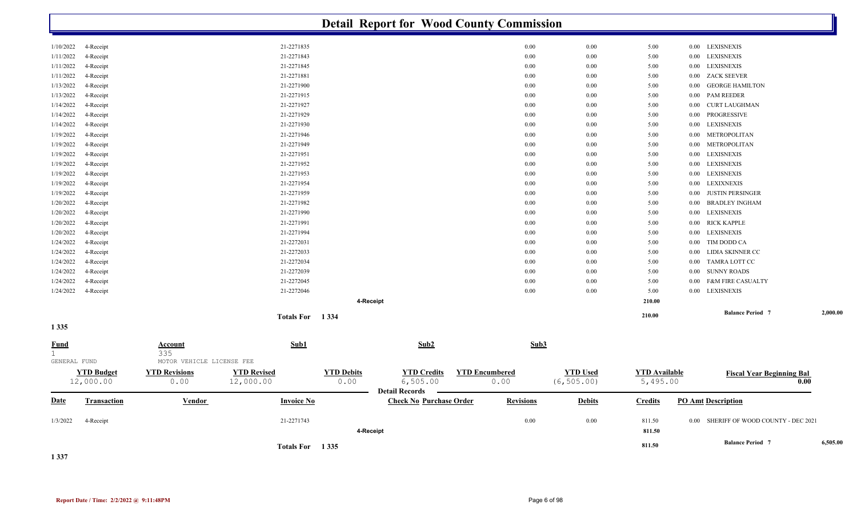|                             |                                |                              |                                 |                           |                                                         | <b>Detail Report for Wood County Commission</b> |                                |                                  |                               |                                        |          |
|-----------------------------|--------------------------------|------------------------------|---------------------------------|---------------------------|---------------------------------------------------------|-------------------------------------------------|--------------------------------|----------------------------------|-------------------------------|----------------------------------------|----------|
| 1/10/2022                   | 4-Receipt                      |                              | 21-2271835                      |                           |                                                         | 0.00                                            | 0.00                           | 5.00                             | 0.00 LEXISNEXIS               |                                        |          |
| 1/11/2022                   | 4-Receipt                      |                              | 21-2271843                      |                           |                                                         | 0.00                                            | 0.00                           | 5.00                             | <b>LEXISNEXIS</b><br>$0.00\,$ |                                        |          |
| 1/11/2022                   | 4-Receipt                      |                              | 21-2271845                      |                           |                                                         | 0.00                                            | 0.00                           | 5.00                             | <b>LEXISNEXIS</b><br>$0.00\,$ |                                        |          |
| 1/11/2022                   | 4-Receipt                      |                              | 21-2271881                      |                           |                                                         | 0.00                                            | 0.00                           | 5.00                             | <b>ZACK SEEVER</b><br>0.00    |                                        |          |
| 1/13/2022                   | 4-Receipt                      |                              | 21-2271900                      |                           |                                                         | 0.00                                            | 0.00                           | 5.00                             | 0.00                          | <b>GEORGE HAMILTON</b>                 |          |
| 1/13/2022                   | 4-Receipt                      |                              | 21-2271915                      |                           |                                                         | 0.00                                            | 0.00                           | 5.00                             | <b>PAM REEDER</b><br>0.00     |                                        |          |
| 1/14/2022                   | 4-Receipt                      |                              | 21-2271927                      |                           |                                                         | 0.00                                            | 0.00                           | 5.00                             | 0.00                          | <b>CURT LAUGHMAN</b>                   |          |
| 1/14/2022                   | 4-Receipt                      |                              | 21-2271929                      |                           |                                                         | 0.00                                            | 0.00                           | 5.00                             | PROGRESSIVE<br>0.00           |                                        |          |
| 1/14/2022                   | 4-Receipt                      |                              | 21-2271930                      |                           |                                                         | 0.00                                            | 0.00                           | 5.00                             | <b>LEXISNEXIS</b><br>0.00     |                                        |          |
| 1/19/2022                   | 4-Receipt                      |                              | 21-2271946                      |                           |                                                         | 0.00                                            | 0.00                           | 5.00                             | 0.00                          | METROPOLITAN                           |          |
| 1/19/2022                   | 4-Receipt                      |                              | 21-2271949                      |                           |                                                         | 0.00                                            | 0.00                           | 5.00                             | 0.00                          | METROPOLITAN                           |          |
| 1/19/2022                   | 4-Receipt                      |                              | 21-2271951                      |                           |                                                         | 0.00                                            | 0.00                           | 5.00                             | <b>LEXISNEXIS</b><br>0.00     |                                        |          |
| 1/19/2022                   | 4-Receipt                      |                              | 21-2271952                      |                           |                                                         | 0.00                                            | 0.00                           | 5.00                             | <b>LEXISNEXIS</b><br>0.00     |                                        |          |
| 1/19/2022                   | 4-Receipt                      |                              | 21-2271953                      |                           |                                                         | 0.00                                            | 0.00                           | 5.00                             | <b>LEXISNEXIS</b><br>0.00     |                                        |          |
| 1/19/2022                   | 4-Receipt                      |                              | 21-2271954                      |                           |                                                         | 0.00                                            | 0.00                           | 5.00                             | <b>LEXIXNEXIS</b><br>0.00     |                                        |          |
| 1/19/2022                   | 4-Receipt                      |                              | 21-2271959                      |                           |                                                         | 0.00                                            | 0.00                           | 5.00                             | 0.00                          | <b>JUSTIN PERSINGER</b>                |          |
| 1/20/2022                   | 4-Receipt                      |                              | 21-2271982                      |                           |                                                         | 0.00                                            | 0.00                           | 5.00                             | 0.00                          | <b>BRADLEY INGHAM</b>                  |          |
| 1/20/2022                   | 4-Receipt                      |                              | 21-2271990                      |                           |                                                         | 0.00                                            | 0.00                           | 5.00                             | <b>LEXISNEXIS</b><br>0.00     |                                        |          |
| 1/20/2022                   | 4-Receipt                      |                              | 21-2271991                      |                           |                                                         | 0.00                                            | 0.00                           | 5.00                             | <b>RICK KAPPLE</b><br>0.00    |                                        |          |
| 1/20/2022                   | 4-Receipt                      |                              | 21-2271994                      |                           |                                                         | 0.00                                            | 0.00                           | 5.00                             | <b>LEXISNEXIS</b><br>0.00     |                                        |          |
| 1/24/2022                   | 4-Receipt                      |                              | 21-2272031                      |                           |                                                         | 0.00                                            | 0.00                           | 5.00                             | TIM DODD CA<br>0.00           |                                        |          |
| 1/24/2022                   | 4-Receipt                      |                              | 21-2272033                      |                           |                                                         | 0.00                                            | 0.00                           | 5.00                             | 0.00                          | LIDIA SKINNER CC                       |          |
| 1/24/2022                   | 4-Receipt                      |                              | 21-2272034                      |                           |                                                         | $0.00\,$                                        | 0.00                           | 5.00                             | $0.00\,$                      | TAMRA LOTT CC                          |          |
| 1/24/2022                   | 4-Receipt                      |                              | 21-2272039                      |                           |                                                         | 0.00                                            | 0.00                           | 5.00                             | <b>SUNNY ROADS</b><br>0.00    |                                        |          |
| 1/24/2022                   | 4-Receipt                      |                              | 21-2272045                      |                           |                                                         | 0.00                                            | 0.00                           | 5.00                             | 0.00                          | <b>F&amp;M FIRE CASUALTY</b>           |          |
| 1/24/2022                   | 4-Receipt                      |                              | 21-2272046                      |                           |                                                         | 0.00                                            | 0.00                           | 5.00                             | 0.00 LEXISNEXIS               |                                        |          |
|                             |                                |                              |                                 | 4-Receipt                 |                                                         |                                                 |                                | 210.00                           |                               |                                        |          |
|                             |                                |                              | Totals For 1334                 |                           |                                                         |                                                 |                                | 210.00                           |                               | <b>Balance Period 7</b>                | 2,000.00 |
| 1 3 3 5                     |                                |                              |                                 |                           |                                                         |                                                 |                                |                                  |                               |                                        |          |
| <u>Fund</u><br>$\mathbf{1}$ |                                | <b>Account</b><br>335        | Sub1                            |                           | Sub2                                                    | Sub3                                            |                                |                                  |                               |                                        |          |
| GENERAL FUND                |                                | MOTOR VEHICLE LICENSE FEE    |                                 |                           |                                                         |                                                 |                                |                                  |                               |                                        |          |
|                             | <b>YTD Budget</b><br>12,000.00 | <b>YTD Revisions</b><br>0.00 | <b>YTD Revised</b><br>12,000.00 | <b>YTD Debits</b><br>0.00 | <b>YTD Credits</b><br>6,505.00<br><b>Detail Records</b> | <b>YTD Encumbered</b><br>0.00                   | <b>YTD Used</b><br>(6, 505.00) | <b>YTD Available</b><br>5,495.00 |                               | <b>Fiscal Year Beginning Bal</b>       | 0.00     |
| <u>Date</u>                 | <b>Transaction</b>             | <b>Vendor</b>                | <b>Invoice No</b>               |                           | <b>Check No Purchase Order</b>                          | <b>Revisions</b>                                | <b>Debits</b>                  | <b>Credits</b>                   | <b>PO Amt Description</b>     |                                        |          |
| 1/3/2022                    | 4-Receipt                      |                              | 21-2271743                      | 4-Receipt                 |                                                         | 0.00                                            | 0.00                           | 811.50<br>811.50                 |                               | 0.00 SHERIFF OF WOOD COUNTY - DEC 2021 |          |
|                             |                                |                              | Totals For 1335                 |                           |                                                         |                                                 |                                | 811.50                           |                               | <b>Balance Period 7</b>                | 6,505.00 |
| $\sim$ $\sim$ $\sim$        |                                |                              |                                 |                           |                                                         |                                                 |                                |                                  |                               |                                        |          |

**1 337**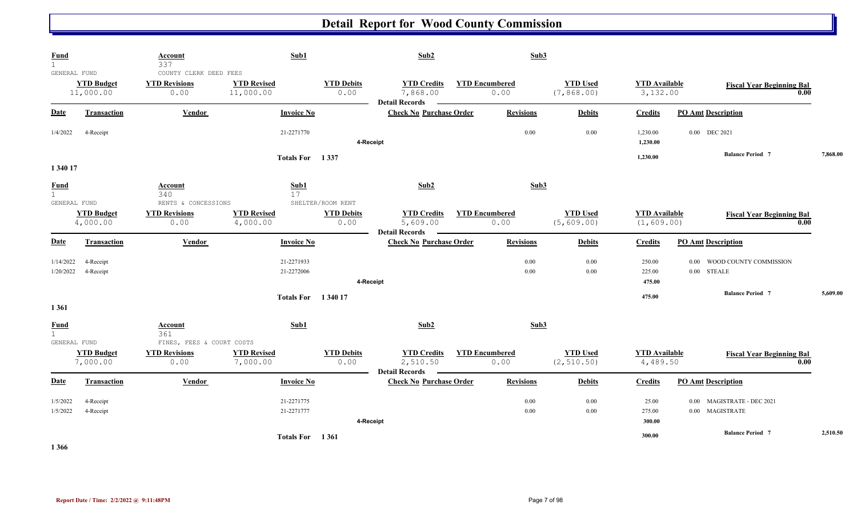| <b>Fund</b><br>$\mathbf{1}$                                   | Account<br>337                                             | Sub1                                 |                                                | Sub2                                                              |                       | Sub3             |                                |                                     |                                                 |          |
|---------------------------------------------------------------|------------------------------------------------------------|--------------------------------------|------------------------------------------------|-------------------------------------------------------------------|-----------------------|------------------|--------------------------------|-------------------------------------|-------------------------------------------------|----------|
| GENERAL FUND<br><b>YTD Budget</b><br>11,000.00                | COUNTY CLERK DEED FEES<br><b>YTD Revisions</b><br>0.00     | <b>YTD Revised</b><br>11,000.00      | <b>YTD Debits</b><br>0.00                      | <b>YTD Credits</b><br>7,868.00<br><b>Detail Records</b>           | <b>YTD Encumbered</b> | 0.00             | <b>YTD Used</b><br>(7, 868.00) | <b>YTD Available</b><br>3,132.00    | <b>Fiscal Year Beginning Bal</b>                | 0.00     |
| Date<br><b>Transaction</b>                                    | Vendor                                                     | <b>Invoice No</b>                    |                                                | <b>Check No Purchase Order</b>                                    |                       | <b>Revisions</b> | <b>Debits</b>                  | <b>Credits</b>                      | <b>PO Amt Description</b>                       |          |
| 1/4/2022<br>4-Receipt                                         |                                                            | 21-2271770                           |                                                | 4-Receipt                                                         |                       | 0.00             | 0.00                           | 1,230.00<br>1,230.00                | 0.00 DEC 2021                                   |          |
|                                                               |                                                            | Totals For 1337                      |                                                |                                                                   |                       |                  |                                | 1,230.00                            | <b>Balance Period 7</b>                         | 7,868.00 |
| 1 340 17<br>Fund                                              | Account                                                    | Sub1                                 |                                                | Sub2                                                              |                       | Sub3             |                                |                                     |                                                 |          |
| $\mathbf{1}$<br>GENERAL FUND<br><b>YTD Budget</b><br>4,000.00 | 340<br>RENTS & CONCESSIONS<br><b>YTD Revisions</b><br>0.00 | 17<br><b>YTD Revised</b><br>4,000.00 | SHELTER/ROOM RENT<br><b>YTD Debits</b><br>0.00 | <b>YTD Credits</b><br>5,609.00                                    | <b>YTD Encumbered</b> | 0.00             | <b>YTD Used</b><br>(5,609.00)  | <b>YTD</b> Available<br>(1, 609.00) | <b>Fiscal Year Beginning Bal</b>                | 0.00     |
| Date<br><b>Transaction</b>                                    | Vendor                                                     | <b>Invoice No</b>                    |                                                | <b>Detail Records</b><br>$\sim$<br><b>Check No Purchase Order</b> |                       | <b>Revisions</b> | <b>Debits</b>                  | <b>Credits</b>                      | <b>PO Amt Description</b>                       |          |
| 1/14/2022<br>4-Receipt<br>1/20/2022<br>4-Receipt              |                                                            | 21-2271933<br>21-2272006             |                                                | 4-Receipt                                                         |                       | 0.00<br>0.00     | 0.00<br>0.00                   | 250.00<br>225.00<br>475.00          | WOOD COUNTY COMMISSION<br>0.00<br>$0.00$ STEALE |          |
| 1 3 6 1                                                       |                                                            | <b>Totals For</b> 1340 17            |                                                |                                                                   |                       |                  |                                | 475.00                              | <b>Balance Period 7</b>                         | 5,609.00 |
| <b>Fund</b><br>$\mathbf{1}$                                   | Account<br>361                                             | Sub1                                 |                                                | Sub2                                                              |                       | Sub3             |                                |                                     |                                                 |          |
| GENERAL FUND<br><b>YTD Budget</b><br>7,000.00                 | FINES, FEES & COURT COSTS<br><b>YTD Revisions</b><br>0.00  | <b>YTD Revised</b><br>7,000.00       | <b>YTD Debits</b><br>0.00                      | <b>YTD Credits</b><br>2,510.50<br><b>Detail Records</b>           | <b>YTD Encumbered</b> | 0.00             | <b>YTD Used</b><br>(2, 510.50) | <b>YTD</b> Available<br>4,489.50    | <b>Fiscal Year Beginning Bal</b>                | 0.00     |
| <b>Date</b><br><b>Transaction</b>                             | Vendor                                                     | <b>Invoice No</b>                    |                                                | <b>Check No Purchase Order</b>                                    |                       | <b>Revisions</b> | <b>Debits</b>                  | Credits                             | <b>PO Amt Description</b>                       |          |
| 1/5/2022<br>4-Receipt<br>1/5/2022<br>4-Receipt                |                                                            | 21-2271775<br>21-2271777             |                                                | 4-Receipt                                                         |                       | 0.00<br>0.00     | 0.00<br>0.00                   | 25.00<br>275.00<br>300.00           | 0.00 MAGISTRATE - DEC 2021<br>0.00 MAGISTRATE   |          |
| .                                                             |                                                            | Totals For 1361                      |                                                |                                                                   |                       |                  |                                | 300.00                              | <b>Balance Period 7</b>                         | 2,510.50 |

**1 366**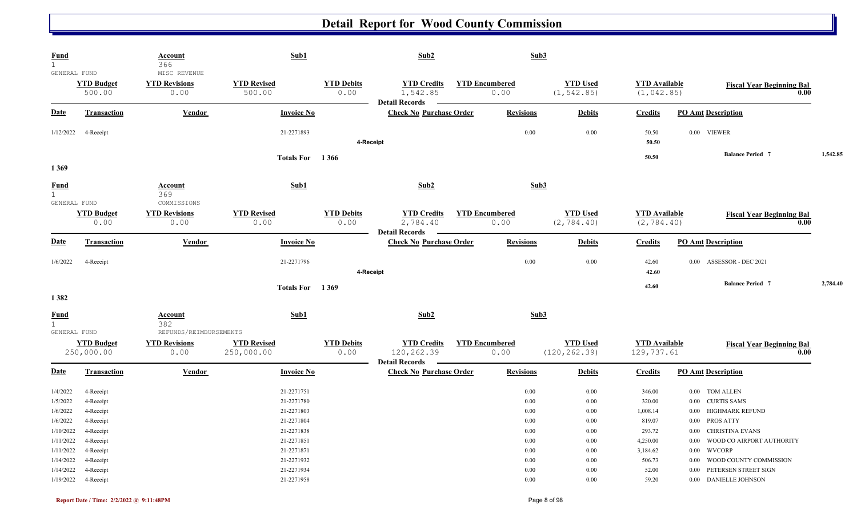| <b>Fund</b><br>$\mathbf{1}$<br>GENERAL FUND                            |                                                                                                                              | <b>Account</b><br>366<br>MISC REVENUE    | Sub1                                                                                                         |                           | Sub2                                                      |                               | Sub3                                                                 |                                                                              |                                                                                    |                                                                                                                                                                                                                            |      |          |
|------------------------------------------------------------------------|------------------------------------------------------------------------------------------------------------------------------|------------------------------------------|--------------------------------------------------------------------------------------------------------------|---------------------------|-----------------------------------------------------------|-------------------------------|----------------------------------------------------------------------|------------------------------------------------------------------------------|------------------------------------------------------------------------------------|----------------------------------------------------------------------------------------------------------------------------------------------------------------------------------------------------------------------------|------|----------|
|                                                                        | <b>YTD Budget</b><br>500.00                                                                                                  | <b>YTD Revisions</b><br>0.00             | <b>YTD Revised</b><br>500.00                                                                                 | <b>YTD Debits</b><br>0.00 | <b>YTD Credits</b><br>1,542.85<br><b>Detail Records</b>   | <b>YTD Encumbered</b><br>0.00 |                                                                      | <b>YTD Used</b><br>(1, 542.85)                                               | <b>YTD</b> Available<br>(1, 042.85)                                                | <b>Fiscal Year Beginning Bal</b>                                                                                                                                                                                           | 0.00 |          |
| <b>Date</b>                                                            | Transaction                                                                                                                  | <b>Vendor</b>                            | <b>Invoice No</b>                                                                                            |                           | <b>Check No Purchase Order</b>                            |                               | <b>Revisions</b>                                                     | <b>Debits</b>                                                                | <b>Credits</b>                                                                     | <b>PO Amt Description</b>                                                                                                                                                                                                  |      |          |
| 1/12/2022                                                              | 4-Receipt                                                                                                                    |                                          | 21-2271893                                                                                                   | 4-Receipt                 |                                                           |                               | 0.00                                                                 | 0.00                                                                         | 50.50<br>50.50                                                                     | 0.00 VIEWER                                                                                                                                                                                                                |      |          |
| 1369                                                                   |                                                                                                                              |                                          | <b>Totals For</b>                                                                                            | 1 3 6 6                   |                                                           |                               |                                                                      |                                                                              | 50.50                                                                              | <b>Balance Period 7</b>                                                                                                                                                                                                    |      | 1,542.85 |
| <b>Fund</b><br>1<br>GENERAL FUND                                       |                                                                                                                              | Account<br>369<br>COMMISSIONS            | Sub1                                                                                                         |                           | Sub2                                                      |                               | Sub3                                                                 |                                                                              |                                                                                    |                                                                                                                                                                                                                            |      |          |
|                                                                        | <b>YTD Budget</b><br>0.00                                                                                                    | <b>YTD Revisions</b><br>0.00             | <b>YTD Revised</b><br>0.00                                                                                   | <b>YTD Debits</b><br>0.00 | <b>YTD Credits</b><br>2,784.40<br><b>Detail Records</b>   | <b>YTD Encumbered</b><br>0.00 |                                                                      | <b>YTD Used</b><br>(2, 784.40)                                               | <b>YTD Available</b><br>(2, 784.40)                                                | <b>Fiscal Year Beginning Bal</b>                                                                                                                                                                                           | 0.00 |          |
| <b>Date</b>                                                            | <b>Transaction</b>                                                                                                           | <b>Vendor</b>                            | <b>Invoice No</b>                                                                                            |                           | <b>Check No Purchase Order</b>                            |                               | <b>Revisions</b>                                                     | <b>Debits</b>                                                                | <b>Credits</b>                                                                     | <b>PO Amt Description</b>                                                                                                                                                                                                  |      |          |
| 1/6/2022                                                               | 4-Receipt                                                                                                                    |                                          | 21-2271796                                                                                                   | 4-Receipt                 |                                                           |                               | 0.00                                                                 | 0.00                                                                         | 42.60<br>42.60                                                                     | 0.00 ASSESSOR - DEC 2021                                                                                                                                                                                                   |      |          |
| 1382                                                                   |                                                                                                                              |                                          | Totals For 1369                                                                                              |                           |                                                           |                               |                                                                      |                                                                              | 42.60                                                                              | <b>Balance Period 7</b>                                                                                                                                                                                                    |      | 2,784.40 |
| <b>Fund</b><br>$\mathbf{1}$<br>GENERAL FUND                            |                                                                                                                              | Account<br>382<br>REFUNDS/REIMBURSEMENTS | Sub1                                                                                                         |                           | Sub2                                                      |                               | Sub3                                                                 |                                                                              |                                                                                    |                                                                                                                                                                                                                            |      |          |
|                                                                        | <b>YTD Budget</b><br>250,000.00                                                                                              | <b>YTD</b> Revisions<br>0.00             | <b>YTD Revised</b><br>250,000.00                                                                             | <b>YTD Debits</b><br>0.00 | <b>YTD Credits</b><br>120,262.39<br><b>Detail Records</b> | <b>YTD Encumbered</b><br>0.00 |                                                                      | <b>YTD Used</b><br>(120, 262.39)                                             | <b>YTD</b> Available<br>129,737.61                                                 | <b>Fiscal Year Beginning Bal</b>                                                                                                                                                                                           | 0.00 |          |
| <b>Date</b>                                                            | <b>Transaction</b>                                                                                                           | Vendor                                   | <b>Invoice No</b>                                                                                            |                           | <b>Check No Purchase Order</b>                            |                               | <b>Revisions</b>                                                     | <b>Debits</b>                                                                | <b>Credits</b>                                                                     | <b>PO Amt Description</b>                                                                                                                                                                                                  |      |          |
| 1/4/2022<br>1/5/2022<br>1/6/2022<br>1/6/2022<br>1/11/2022<br>1/14/2022 | 4-Receipt<br>4-Receipt<br>4-Receipt<br>4-Receipt<br>$1/10/2022$ 4-Receipt<br>4-Receipt<br>$1/11/2022$ 4-Receipt<br>4-Receipt |                                          | 21-2271751<br>21-2271780<br>21-2271803<br>21-2271804<br>21-2271838<br>21-2271851<br>21-2271871<br>21-2271932 |                           |                                                           |                               | 0.00<br>0.00<br>0.00<br>0.00<br>0.00<br>$0.00\,$<br>$0.00\,$<br>0.00 | 0.00<br>0.00<br>$0.00\,$<br>0.00<br>0.00<br>$0.00\,$<br>$0.00\,$<br>$0.00\,$ | 346.00<br>320.00<br>1,008.14<br>819.07<br>293.72<br>4,250.00<br>3,184.62<br>506.73 | TOM ALLEN<br>0.00<br><b>CURTIS SAMS</b><br>$0.00\,$<br>HIGHMARK REFUND<br>$0.00\,$<br>0.00 PROS ATTY<br>0.00 CHRISTINA EVANS<br>WOOD CO AIRPORT AUTHORITY<br>$0.00\,$<br>0.00 WVCORP<br>WOOD COUNTY COMMISSION<br>$0.00\,$ |      |          |
| 1/14/2022                                                              | 4-Receipt<br>1/19/2022 4-Receipt                                                                                             |                                          | 21-2271934<br>21-2271958                                                                                     |                           |                                                           |                               | $0.00\,$<br>$0.00\,$                                                 | $0.00\,$<br>$0.00\,$                                                         | 52.00<br>59.20                                                                     | 0.00 PETERSEN STREET SIGN<br>0.00 DANIELLE JOHNSON                                                                                                                                                                         |      |          |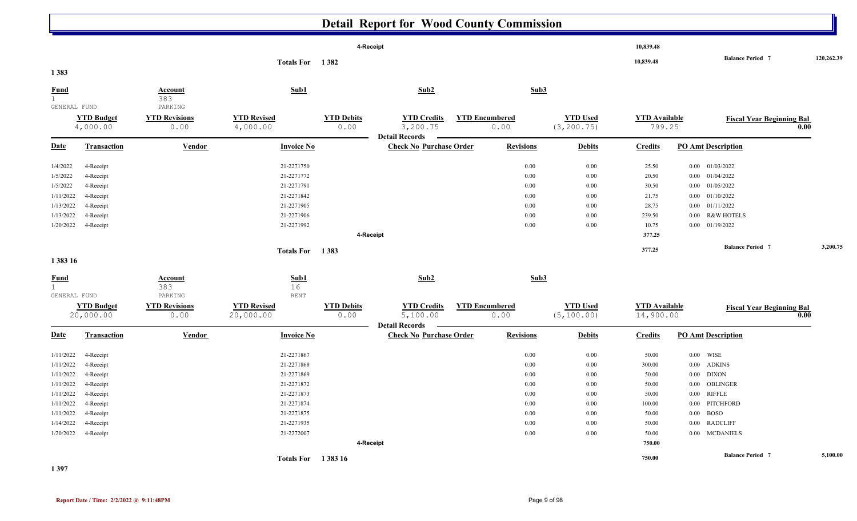|                             |                               |                                  |                                |                           | 4-Receipt                                               |                       |                  |                                | 10,839.48                      |      |                           |                                          |            |
|-----------------------------|-------------------------------|----------------------------------|--------------------------------|---------------------------|---------------------------------------------------------|-----------------------|------------------|--------------------------------|--------------------------------|------|---------------------------|------------------------------------------|------------|
| 1 3 8 3                     |                               |                                  | Totals For 1382                |                           |                                                         |                       |                  |                                | 10,839.48                      |      | <b>Balance Period 7</b>   |                                          | 120,262.39 |
| <b>Fund</b><br>GENERAL FUND |                               | <b>Account</b><br>383<br>PARKING | Sub1                           |                           | Sub2                                                    |                       | Sub3             |                                |                                |      |                           |                                          |            |
|                             | <b>YTD Budget</b><br>4,000.00 | <b>YTD Revisions</b><br>0.00     | <b>YTD Revised</b><br>4,000.00 | <b>YTD Debits</b><br>0.00 | <b>YTD Credits</b><br>3,200.75<br><b>Detail Records</b> | <b>YTD Encumbered</b> | 0.00             | <b>YTD Used</b><br>(3, 200.75) | <b>YTD</b> Available<br>799.25 |      |                           | <b>Fiscal Year Beginning Bal</b><br>0.00 |            |
| <b>Date</b>                 | <b>Transaction</b>            | <b>Vendor</b>                    | <b>Invoice No</b>              |                           | <b>Check No Purchase Order</b>                          |                       | <b>Revisions</b> | <b>Debits</b>                  | <b>Credits</b>                 |      | <b>PO Amt Description</b> |                                          |            |
| 1/4/2022                    | 4-Receipt                     |                                  | 21-2271750                     |                           |                                                         |                       | 0.00             | 0.00                           | 25.50                          |      | $0.00$ $01/03/2022$       |                                          |            |
| 1/5/2022                    | 4-Receipt                     |                                  | 21-2271772                     |                           |                                                         |                       | 0.00             | 0.00                           | 20.50                          |      | 0.00 01/04/2022           |                                          |            |
| 1/5/2022                    | 4-Receipt                     |                                  | 21-2271791                     |                           |                                                         |                       | 0.00             | 0.00                           | 30.50                          |      | 0.00 01/05/2022           |                                          |            |
| 1/11/2022                   | 4-Receipt                     |                                  | 21-2271842                     |                           |                                                         |                       | 0.00             | 0.00                           | 21.75                          | 0.00 | 01/10/2022                |                                          |            |
| 1/13/2022                   | 4-Receipt                     |                                  | 21-2271905                     |                           |                                                         |                       | 0.00             | 0.00                           | 28.75                          |      | $0.00$ $01/11/2022$       |                                          |            |
| 1/13/2022                   | 4-Receipt                     |                                  | 21-2271906                     |                           |                                                         |                       | 0.00             | 0.00                           | 239.50                         |      | 0.00 R&W HOTELS           |                                          |            |
| 1/20/2022                   | 4-Receipt                     |                                  | 21-2271992                     |                           |                                                         |                       | 0.00             | 0.00                           | 10.75                          |      | $0.00$ $01/19/2022$       |                                          |            |
|                             |                               |                                  |                                |                           | 4-Receipt                                               |                       |                  |                                | 377.25                         |      |                           |                                          |            |
|                             |                               |                                  | Totals For 1383                |                           |                                                         |                       |                  |                                | 377.25                         |      | <b>Balance Period</b> 7   |                                          | 3,200.75   |
| 1 3 8 3 1 6                 |                               |                                  |                                |                           |                                                         |                       |                  |                                |                                |      |                           |                                          |            |

| <b>Fund</b>  |                                | Account<br>383               | Sub1<br>16                      |                           | Sub2                                                    | Sub3                          |                                |                                   |                           |                                          |
|--------------|--------------------------------|------------------------------|---------------------------------|---------------------------|---------------------------------------------------------|-------------------------------|--------------------------------|-----------------------------------|---------------------------|------------------------------------------|
| GENERAL FUND |                                | PARKING                      | <b>RENT</b>                     |                           |                                                         |                               |                                |                                   |                           |                                          |
|              | <b>YTD Budget</b><br>20,000.00 | <b>YTD Revisions</b><br>0.00 | <b>YTD Revised</b><br>20,000.00 | <b>YTD Debits</b><br>0.00 | <b>YTD Credits</b><br>5,100.00<br><b>Detail Records</b> | <b>YTD Encumbered</b><br>0.00 | <b>YTD Used</b><br>(5, 100.00) | <b>YTD Available</b><br>14,900.00 |                           | <b>Fiscal Year Beginning Bal</b><br>0.00 |
| <u>Date</u>  | <b>Transaction</b>             | <b>Vendor</b>                | <b>Invoice No</b>               |                           | <b>Check No Purchase Order</b>                          | <b>Revisions</b>              | <b>Debits</b>                  | <b>Credits</b>                    | <b>PO Amt Description</b> |                                          |
| 1/11/2022    | 4-Receipt                      |                              | 21-2271867                      |                           |                                                         | 0.00                          | $0.00\,$                       | 50.00                             | $0.00$ WISE               |                                          |
| 1/11/2022    | 4-Receipt                      |                              | 21-2271868                      |                           |                                                         | 0.00                          | $0.00\,$                       | 300.00                            | 0.00 ADKINS               |                                          |
| 1/11/2022    | 4-Receipt                      |                              | 21-2271869                      |                           |                                                         | 0.00                          | $0.00\,$                       | 50.00                             | $0.00$ DIXON              |                                          |
| 1/11/2022    | 4-Receipt                      |                              | 21-2271872                      |                           |                                                         | 0.00                          | $0.00\,$                       | 50.00                             | 0.00 OBLINGER             |                                          |
| 1/11/2022    | 4-Receipt                      |                              | 21-2271873                      |                           |                                                         | 0.00                          | $0.00\,$                       | 50.00                             | 0.00 RIFFLE               |                                          |
| 1/11/2022    | 4-Receipt                      |                              | 21-2271874                      |                           |                                                         | 0.00                          | 0.00                           | 100.00                            | 0.00 PITCHFORD            |                                          |
| 1/11/2022    | 4-Receipt                      |                              | 21-2271875                      |                           |                                                         | 0.00                          | $0.00\,$                       | 50.00                             | $0.00$ BOSO               |                                          |
| 1/14/2022    | 4-Receipt                      |                              | 21-2271935                      |                           |                                                         | 0.00                          | $0.00\,$                       | 50.00                             | 0.00 RADCLIFF             |                                          |
| 1/20/2022    | 4-Receipt                      |                              | 21-2272007                      |                           |                                                         | 0.00                          | 0.00                           | 50.00                             | 0.00 MCDANIELS            |                                          |
|              |                                |                              |                                 | 4-Receipt                 |                                                         |                               |                                | 750.00                            |                           |                                          |
|              |                                |                              | <b>Totals For</b>               | 1 3 8 3 1 6               |                                                         |                               |                                | 750.00                            | <b>Balance Period 7</b>   | 5,100.00                                 |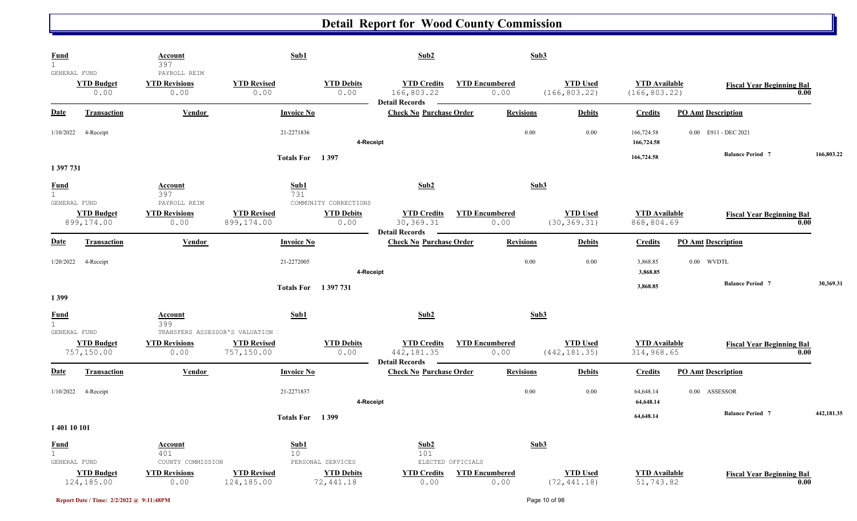| <b>Fund</b><br>$\mathbf{1}$                 |                                 | Account<br>397                               | Sub1                                   |                                | Sub2                                                                 |                               | Sub3                             |                                       |                           |                                          |
|---------------------------------------------|---------------------------------|----------------------------------------------|----------------------------------------|--------------------------------|----------------------------------------------------------------------|-------------------------------|----------------------------------|---------------------------------------|---------------------------|------------------------------------------|
| GENERAL FUND                                | <b>YTD Budget</b><br>0.00       | PAYROLL REIM<br><b>YTD Revisions</b><br>0.00 | <b>YTD Revised</b><br>0.00             | <b>YTD Debits</b><br>0.00      | <b>YTD Credits</b><br>166,803.22                                     | <b>YTD Encumbered</b><br>0.00 | <b>YTD Used</b><br>(166, 803.22) | <b>YTD</b> Available<br>(166, 803.22) |                           | <b>Fiscal Year Beginning Bal</b><br>0.00 |
| Date                                        | <b>Transaction</b>              | <b>Vendor</b>                                | <b>Invoice No</b>                      |                                | <b>Detail Records</b><br><b>Check No Purchase Order</b>              | <b>Revisions</b>              | <b>Debits</b>                    | <b>Credits</b>                        | <b>PO Amt Description</b> |                                          |
| 1/10/2022                                   | 4-Receipt                       |                                              | 21-2271836                             | 4-Receipt                      |                                                                      |                               | 0.00<br>0.00                     | 166,724.58<br>166,724.58              | 0.00 E911 - DEC 2021      |                                          |
| 1 397 731                                   |                                 |                                              | Totals For 1397                        |                                |                                                                      |                               |                                  | 166,724.58                            | <b>Balance Period 7</b>   | 166,803.22                               |
| <b>Fund</b><br>$\mathbf{1}$<br>GENERAL FUND |                                 | Account<br>397<br>PAYROLL REIM               | Sub1<br>731                            | COMMUNITY CORRECTIONS          | Sub2                                                                 |                               | Sub3                             |                                       |                           |                                          |
|                                             | <b>YTD Budget</b><br>899,174.00 | <b>YTD Revisions</b><br>0.00                 | <b>YTD Revised</b><br>899,174.00       | <b>YTD Debits</b><br>0.00      | <b>YTD Credits</b><br>30, 369. 31<br><b>Detail Records</b><br>$\sim$ | <b>YTD Encumbered</b><br>0.00 | <b>YTD Used</b><br>(30, 369.31)  | <b>YTD</b> Available<br>868,804.69    |                           | <b>Fiscal Year Beginning Bal</b><br>0.00 |
| <b>Date</b>                                 | <b>Transaction</b>              | Vendor                                       | <b>Invoice No</b>                      |                                | <b>Check No Purchase Order</b>                                       | <b>Revisions</b>              | <b>Debits</b>                    | <b>Credits</b>                        | <b>PO Amt Description</b> |                                          |
| 1/20/2022                                   | 4-Receipt                       |                                              | 21-2272005                             | 4-Receipt                      |                                                                      |                               | 0.00<br>0.00                     | 3,868.85<br>3,868.85                  | $0.00$ WVDTL              |                                          |
| 1399                                        |                                 |                                              | <b>Totals For</b> 1397731              |                                |                                                                      |                               |                                  | 3,868.85                              | <b>Balance Period 7</b>   | 30,369.31                                |
| <b>Fund</b><br>$\mathbf{1}$<br>GENERAL FUND |                                 | <b>Account</b><br>399                        | Sub1<br>TRANSFERS ASSESSOR'S VALUATION |                                | Sub2                                                                 |                               | Sub3                             |                                       |                           |                                          |
|                                             | <b>YTD Budget</b><br>757,150.00 | <b>YTD Revisions</b><br>0.00                 | <b>YTD Revised</b><br>757,150.00       | <b>YTD Debits</b><br>0.00      | <b>YTD Credits</b><br>442, 181.35<br><b>Detail Records</b>           | <b>YTD Encumbered</b><br>0.00 | <b>YTD Used</b><br>(442, 181.35) | <b>YTD</b> Available<br>314,968.65    |                           | <b>Fiscal Year Beginning Bal</b><br>0.00 |
| <b>Date</b>                                 | Transaction                     | Vendor                                       | <b>Invoice No</b>                      |                                | <b>Check No Purchase Order</b>                                       | <b>Revisions</b>              | <b>Debits</b>                    | <b>Credits</b>                        | <b>PO Amt Description</b> |                                          |
| 1/10/2022                                   | 4-Receipt                       |                                              | 21-2271837                             | 4-Receipt                      |                                                                      |                               | 0.00<br>0.00                     | 64,648.14<br>64,648.14                | 0.00 ASSESSOR             |                                          |
| 1 401 10 101                                |                                 |                                              | Totals For 1399                        |                                |                                                                      |                               |                                  | 64,648.14                             | <b>Balance Period 7</b>   | 442,181.35                               |
| $rac{\text{Fund}}{1}$<br>GENERAL FUND       |                                 | <b>Account</b><br>401<br>COUNTY COMMISSION   | Sub1<br>10                             | PERSONAL SERVICES              | Sub2<br>101                                                          | ELECTED OFFICIALS             | Sub3                             |                                       |                           |                                          |
|                                             | <b>YTD Budget</b><br>124,185.00 | <b>YTD Revisions</b><br>0.00                 | <b>YTD Revised</b><br>124,185.00       | <b>YTD Debits</b><br>72,441.18 | <b>YTD Credits</b><br>0.00                                           | <b>YTD Encumbered</b><br>0.00 | <b>YTD Used</b><br>(72, 441.18)  | <b>YTD</b> Available<br>51,743.82     |                           | <b>Fiscal Year Beginning Bal</b><br>0.00 |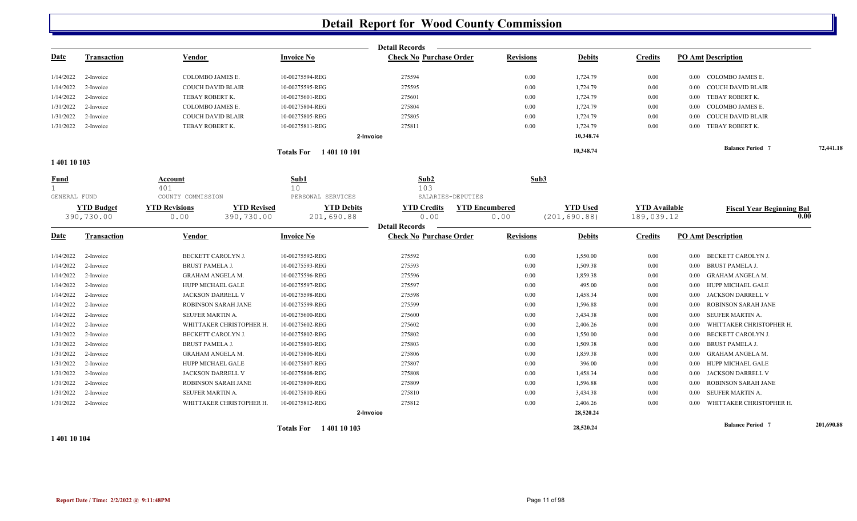|              |                    |                                           |                                                              | <b>Detail Records</b>                   |                       |                 |                      |                                      |            |
|--------------|--------------------|-------------------------------------------|--------------------------------------------------------------|-----------------------------------------|-----------------------|-----------------|----------------------|--------------------------------------|------------|
| <u>Date</u>  | <b>Transaction</b> | Vendor                                    | <b>Invoice No</b>                                            | <b>Check No Purchase Order</b>          | <b>Revisions</b>      | <b>Debits</b>   | <b>Credits</b>       | <b>PO Amt Description</b>            |            |
| 1/14/2022    | 2-Invoice          | COLOMBO JAMES E.                          | 10-00275594-REG                                              | 275594                                  | 0.00                  | 1,724.79        | 0.00                 | 0.00 COLOMBO JAMES E.                |            |
| 1/14/2022    | 2-Invoice          | COUCH DAVID BLAIR                         | 10-00275595-REG                                              | 275595                                  | 0.00                  | 1,724.79        | 0.00                 | <b>COUCH DAVID BLAIR</b><br>$0.00\,$ |            |
| 1/14/2022    | 2-Invoice          | TEBAY ROBERT K.                           | 10-00275601-REG                                              | 275601                                  | 0.00                  | 1,724.79        | 0.00                 | TEBAY ROBERT K.<br>$0.00\,$          |            |
| 1/31/2022    | 2-Invoice          | COLOMBO JAMES E.                          | 10-00275804-REG                                              | 275804                                  | 0.00                  | 1,724.79        | 0.00                 | COLOMBO JAMES E.<br>0.00             |            |
| 1/31/2022    | 2-Invoice          | <b>COUCH DAVID BLAIR</b>                  | 10-00275805-REG                                              | 275805                                  | 0.00                  | 1,724.79        | 0.00                 | <b>COUCH DAVID BLAIR</b><br>0.00     |            |
| 1/31/2022    | 2-Invoice          | TEBAY ROBERT K.                           | 10-00275811-REG                                              | 275811                                  | 0.00                  | 1,724.79        | 0.00                 | TEBAY ROBERT K.<br>$0.00\,$          |            |
|              |                    |                                           |                                                              | 2-Invoice                               |                       | 10,348.74       |                      |                                      |            |
|              |                    |                                           | <b>Totals For</b> 1401 10 101                                |                                         |                       | 10,348.74       |                      | <b>Balance Period 7</b>              | 72,441.18  |
| 1 401 10 103 |                    |                                           |                                                              |                                         |                       |                 |                      |                                      |            |
| Fund         |                    | Account<br>401                            | Sub1<br>10                                                   | Sub2<br>103                             | Sub3                  |                 |                      |                                      |            |
| GENERAL FUND | <b>YTD Budget</b>  | COUNTY COMMISSION<br><b>YTD Revisions</b> | PERSONAL SERVICES<br><b>YTD Revised</b><br><b>YTD Debits</b> | SALARIES-DEPUTIES<br><b>YTD Credits</b> | <b>YTD Encumbered</b> | <b>YTD Used</b> | <b>YTD Available</b> |                                      |            |
|              | 390,730.00         | 0.00<br>390,730.00                        | 201,690.88                                                   | 0.00                                    | 0.00                  | (201, 690.88)   | 189,039.12           | <b>Fiscal Year Beginning Bal</b>     | 0.00       |
|              |                    |                                           |                                                              | <b>Detail Records</b>                   |                       |                 |                      |                                      |            |
| <u>Date</u>  | <b>Transaction</b> | Vendor                                    | <b>Invoice No</b>                                            | <b>Check No Purchase Order</b>          | <b>Revisions</b>      | <b>Debits</b>   | <b>Credits</b>       | <b>PO Amt Description</b>            |            |
| 1/14/2022    | 2-Invoice          | BECKETT CAROLYN J.                        | 10-00275592-REG                                              | 275592                                  | 0.00                  | 1,550.00        | 0.00                 | BECKETT CAROLYN J.<br>0.00           |            |
| 1/14/2022    | 2-Invoice          | <b>BRUST PAMELA J.</b>                    | 10-00275593-REG                                              | 275593                                  | 0.00                  | 1,509.38        | 0.00                 | <b>BRUST PAMELA J.</b><br>$0.00\,$   |            |
| 1/14/2022    | 2-Invoice          | GRAHAM ANGELA M.                          | 10-00275596-REG                                              | 275596                                  | 0.00                  | 1,859.38        | 0.00                 | 0.00 GRAHAM ANGELA M.                |            |
| 1/14/2022    | 2-Invoice          | HUPP MICHAEL GALE                         | 10-00275597-REG                                              | 275597                                  | 0.00                  | 495.00          | $0.00\,$             | HUPP MICHAEL GALE<br>0.00            |            |
| 1/14/2022    | 2-Invoice          | JACKSON DARRELL V                         | 10-00275598-REG                                              | 275598                                  | 0.00                  | 1,458.34        | $0.00\,$             | JACKSON DARRELL V<br>0.00            |            |
| 1/14/2022    | 2-Invoice          | ROBINSON SARAH JANE                       | 10-00275599-REG                                              | 275599                                  | 0.00                  | 1,596.88        | 0.00                 | ROBINSON SARAH JANE<br>0.00          |            |
| 1/14/2022    | 2-Invoice          | SEUFER MARTIN A.                          | 10-00275600-REG                                              | 275600                                  | 0.00                  | 3,434.38        | 0.00                 | SEUFER MARTIN A.<br>0.00             |            |
| 1/14/2022    | 2-Invoice          | WHITTAKER CHRISTOPHER H.                  | 10-00275602-REG                                              | 275602                                  | 0.00                  | 2,406.26        | 0.00                 | WHITTAKER CHRISTOPHER H.<br>0.00     |            |
| 1/31/2022    | 2-Invoice          | BECKETT CAROLYN J.                        | 10-00275802-REG                                              | 275802                                  | 0.00                  | 1,550.00        | 0.00                 | <b>BECKETT CAROLYN J.</b><br>0.00    |            |
| 1/31/2022    | 2-Invoice          | <b>BRUST PAMELA J.</b>                    | 10-00275803-REG                                              | 275803                                  | 0.00                  | 1,509.38        | $0.00\,$             | <b>BRUST PAMELA J.</b><br>0.00       |            |
| 1/31/2022    | 2-Invoice          | GRAHAM ANGELA M.                          | 10-00275806-REG                                              | 275806                                  | 0.00                  | 1,859.38        | $0.00\,$             | GRAHAM ANGELA M.<br>$0.00\,$         |            |
| 1/31/2022    | 2-Invoice          | HUPP MICHAEL GALE                         | 10-00275807-REG                                              | 275807                                  | 0.00                  | 396.00          | $0.00\,$             | HUPP MICHAEL GALE<br>0.00            |            |
| 1/31/2022    | 2-Invoice          | JACKSON DARRELL V                         | 10-00275808-REG                                              | 275808                                  | 0.00                  | 1,458.34        | $0.00\,$             | JACKSON DARRELL V<br>0.00            |            |
| 1/31/2022    | 2-Invoice          | ROBINSON SARAH JANE                       | 10-00275809-REG                                              | 275809                                  | 0.00                  | 1,596.88        | 0.00                 | ROBINSON SARAH JANE<br>0.00          |            |
| 1/31/2022    | 2-Invoice          | SEUFER MARTIN A.                          | 10-00275810-REG                                              | 275810                                  | 0.00                  | 3,434.38        | 0.00                 | SEUFER MARTIN A.<br>0.00             |            |
| 1/31/2022    | 2-Invoice          | WHITTAKER CHRISTOPHER H.                  | 10-00275812-REG                                              | 275812                                  | 0.00                  | 2,406.26        | 0.00                 | WHITTAKER CHRISTOPHER H.<br>0.00     |            |
|              |                    |                                           |                                                              | 2-Invoice                               |                       | 28,520.24       |                      |                                      |            |
|              |                    |                                           | Totals For 1401 10 103                                       |                                         |                       | 28,520.24       |                      | <b>Balance Period 7</b>              | 201,690.88 |

**1 401 10 104**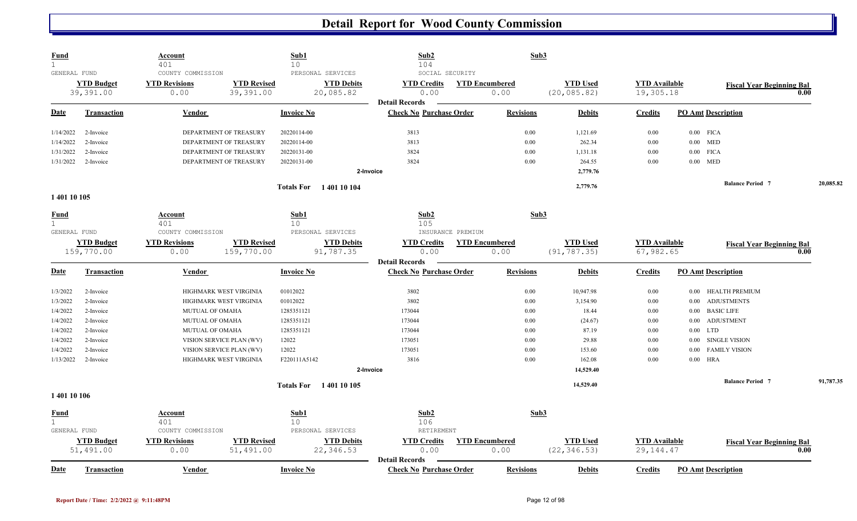| <u>Fund</u><br>$\mathbf{1}$<br>GENERAL FUND                                                   |                                                                                                      | <b>Account</b><br>401<br>COUNTY COMMISSION                                                                                                                                                         | Sub1<br>10<br>PERSONAL SERVICES                                                                      | Sub2<br>104<br>SOCIAL SECURITY                                                      | Sub3                                                         |                                                                                              |                                                                      |                                                                                                                                                                                                                       |           |
|-----------------------------------------------------------------------------------------------|------------------------------------------------------------------------------------------------------|----------------------------------------------------------------------------------------------------------------------------------------------------------------------------------------------------|------------------------------------------------------------------------------------------------------|-------------------------------------------------------------------------------------|--------------------------------------------------------------|----------------------------------------------------------------------------------------------|----------------------------------------------------------------------|-----------------------------------------------------------------------------------------------------------------------------------------------------------------------------------------------------------------------|-----------|
|                                                                                               | <b>YTD Budget</b><br>39,391.00                                                                       | <b>YTD Revisions</b><br>0.00                                                                                                                                                                       | <b>YTD Revised</b><br><b>YTD Debits</b><br>39,391.00<br>20,085.82                                    | <b>YTD Credits</b><br>0.00                                                          | <b>YTD Encumbered</b><br>0.00                                | <b>YTD Used</b><br>(20, 085.82)                                                              | <b>YTD</b> Available<br>19,305.18                                    | <b>Fiscal Year Beginning Bal</b>                                                                                                                                                                                      | 0.00      |
| Date                                                                                          | Transaction                                                                                          | Vendor                                                                                                                                                                                             | <b>Invoice No</b>                                                                                    | <b>Detail Records</b><br><b>Check No Purchase Order</b>                             | <b>Revisions</b>                                             | <b>Debits</b>                                                                                | <b>Credits</b>                                                       | <b>PO Amt Description</b>                                                                                                                                                                                             |           |
| 1/14/2022<br>1/14/2022<br>1/31/2022                                                           | 2-Invoice<br>2-Invoice<br>2-Invoice                                                                  | DEPARTMENT OF TREASURY<br>DEPARTMENT OF TREASURY<br>DEPARTMENT OF TREASURY                                                                                                                         | 20220114-00<br>20220114-00<br>20220131-00                                                            | 3813<br>3813<br>3824                                                                | 0.00<br>0.00<br>0.00                                         | 1,121.69<br>262.34<br>1,131.18                                                               | 0.00<br>0.00<br>0.00                                                 | $0.00$ FICA<br>$0.00$ MED<br><b>FICA</b><br>$0.00\,$                                                                                                                                                                  |           |
| 1/31/2022                                                                                     | 2-Invoice                                                                                            | DEPARTMENT OF TREASURY                                                                                                                                                                             | 20220131-00                                                                                          | 3824<br>2-Invoice                                                                   | 0.00                                                         | 264.55<br>2,779.76                                                                           | 0.00                                                                 | $0.00\,$<br>MED                                                                                                                                                                                                       |           |
| 1 401 10 105                                                                                  |                                                                                                      |                                                                                                                                                                                                    | Totals For 1401 10 104                                                                               |                                                                                     |                                                              | 2,779.76                                                                                     |                                                                      | <b>Balance Period 7</b>                                                                                                                                                                                               | 20,085.82 |
| <b>Fund</b><br>$\mathbf{1}$<br>GENERAL FUND                                                   | <b>YTD Budget</b><br>159,770.00                                                                      | Account<br>401<br>COUNTY COMMISSION<br><b>YTD Revisions</b><br>159,770.00<br>0.00                                                                                                                  | Sub1<br>10 <sup>°</sup><br>PERSONAL SERVICES<br><b>YTD Revised</b><br><b>YTD Debits</b><br>91,787.35 | Sub2<br>105<br>INSURANCE PREMIUM<br><b>YTD Credits</b><br>0.00                      | Sub3<br><b>YTD Encumbered</b><br>0.00                        | <b>YTD Used</b><br>(91, 787.35)                                                              | <b>YTD Available</b><br>67,982.65                                    | <b>Fiscal Year Beginning Bal</b>                                                                                                                                                                                      | 0.00      |
| <b>Date</b>                                                                                   | <b>Transaction</b>                                                                                   | Vendor                                                                                                                                                                                             | <b>Invoice No</b>                                                                                    | <b>Detail Records</b><br><b>Check No Purchase Order</b>                             | <b>Revisions</b>                                             | <b>Debits</b>                                                                                | <b>Credits</b>                                                       | <b>PO Amt Description</b>                                                                                                                                                                                             |           |
| 1/3/2022<br>1/3/2022<br>1/4/2022<br>1/4/2022<br>1/4/2022<br>1/4/2022<br>1/4/2022<br>1/13/2022 | 2-Invoice<br>2-Invoice<br>2-Invoice<br>2-Invoice<br>2-Invoice<br>2-Invoice<br>2-Invoice<br>2-Invoice | HIGHMARK WEST VIRGINIA<br>HIGHMARK WEST VIRGINIA<br><b>MUTUAL OF OMAHA</b><br>MUTUAL OF OMAHA<br>MUTUAL OF OMAHA<br>VISION SERVICE PLAN (WV)<br>VISION SERVICE PLAN (WV)<br>HIGHMARK WEST VIRGINIA | 01012022<br>01012022<br>1285351121<br>1285351121<br>1285351121<br>12022<br>12022<br>F220111A5142     | 3802<br>3802<br>173044<br>173044<br>173044<br>173051<br>173051<br>3816<br>2-Invoice | 0.00<br>0.00<br>0.00<br>0.00<br>0.00<br>0.00<br>0.00<br>0.00 | 10,947.98<br>3,154.90<br>18.44<br>(24.67)<br>87.19<br>29.88<br>153.60<br>162.08<br>14,529.40 | 0.00<br>0.00<br>0.00<br>0.00<br>$0.00\,$<br>0.00<br>$0.00\,$<br>0.00 | 0.00 HEALTH PREMIUM<br><b>ADJUSTMENTS</b><br>0.00<br><b>BASIC LIFE</b><br>0.00<br><b>ADJUSTMENT</b><br>$0.00\,$<br>LTD<br>$0.00\,$<br><b>SINGLE VISION</b><br>0.00<br><b>FAMILY VISION</b><br>0.00<br>$0.00\,$<br>HRA |           |
|                                                                                               |                                                                                                      |                                                                                                                                                                                                    | <b>Totals For</b> 1401 10 105                                                                        |                                                                                     |                                                              | 14,529.40                                                                                    |                                                                      | <b>Balance Period 7</b>                                                                                                                                                                                               | 91,787.35 |
| 140110106                                                                                     |                                                                                                      |                                                                                                                                                                                                    |                                                                                                      |                                                                                     |                                                              |                                                                                              |                                                                      |                                                                                                                                                                                                                       |           |
| <u>Fund</u><br>$\mathbf{1}$<br>GENERAL FUND                                                   | <b>YTD Budget</b><br>51,491.00                                                                       | Account<br>401<br>COUNTY COMMISSION<br><b>YTD Revisions</b><br>0.00                                                                                                                                | Sub1<br>10<br>PERSONAL SERVICES<br><b>YTD Revised</b><br><b>YTD Debits</b><br>22,346.53<br>51,491.00 | Sub2<br>106<br>RETIREMENT<br><b>YTD Credits</b><br>0.00<br><b>Detail Records</b>    | Sub3<br><b>YTD Encumbered</b><br>0.00                        | <b>YTD Used</b><br>(22, 346.53)                                                              | <b>YTD Available</b><br>29, 144. 47                                  | <b>Fiscal Year Beginning Bal</b>                                                                                                                                                                                      | 0.00      |
| <b>Date</b>                                                                                   | Transaction                                                                                          | Vendor                                                                                                                                                                                             | <b>Invoice No</b>                                                                                    | <b>Check No Purchase Order</b>                                                      | <b>Revisions</b>                                             | <b>Debits</b>                                                                                | <b>Credits</b>                                                       | <b>PO Amt Description</b>                                                                                                                                                                                             |           |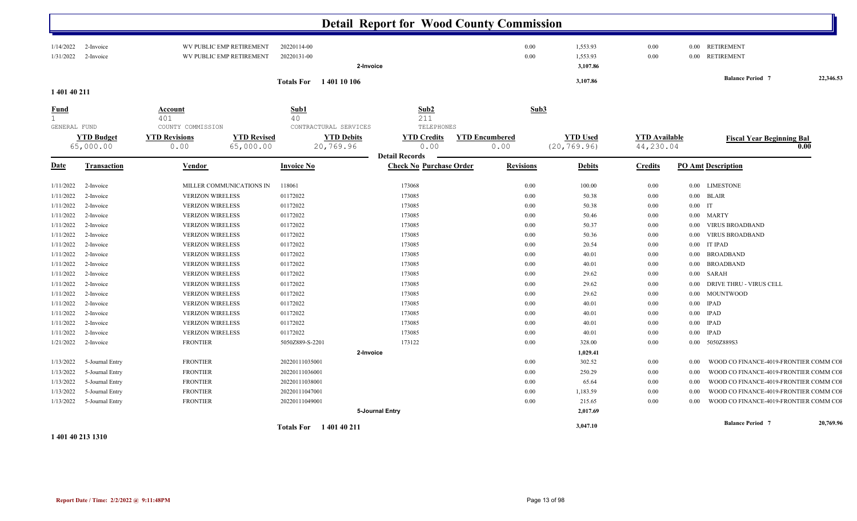|                                             |                                |                                                                 |                                     | <b>Detail Report for Wood County Commission</b>     |                               |                                                  |                                   |                                                  |           |
|---------------------------------------------|--------------------------------|-----------------------------------------------------------------|-------------------------------------|-----------------------------------------------------|-------------------------------|--------------------------------------------------|-----------------------------------|--------------------------------------------------|-----------|
| 1/14/2022<br>1/31/2022                      | 2-Invoice<br>2-Invoice         | WV PUBLIC EMP RETIREMENT<br>WV PUBLIC EMP RETIREMENT            | 20220114-00<br>20220131-00          | 2-Invoice                                           |                               | 0.00<br>1,553.93<br>0.00<br>1,553.93<br>3,107.86 | 0.00<br>0.00                      | 0.00 RETIREMENT<br><b>RETIREMENT</b><br>$0.00\,$ |           |
| 1 401 40 211                                |                                |                                                                 | <b>Totals For</b><br>140110106      |                                                     |                               | 3,107.86                                         |                                   | <b>Balance Period 7</b>                          | 22,346.53 |
| <u>Fund</u><br>$\mathbf{1}$<br>GENERAL FUND |                                | Account<br>401<br>COUNTY COMMISSION                             | Sub1<br>40<br>CONTRACTURAL SERVICES | Sub2<br>211<br>TELEPHONES                           |                               | Sub3                                             |                                   |                                                  |           |
|                                             | <b>YTD Budget</b><br>65,000.00 | <b>YTD Revisions</b><br><b>YTD Revised</b><br>65,000.00<br>0.00 | <b>YTD Debits</b><br>20,769.96      | <b>YTD Credits</b><br>0.00<br><b>Detail Records</b> | <b>YTD Encumbered</b><br>0.00 | <b>YTD Used</b><br>(20, 769.96)                  | <b>YTD</b> Available<br>44,230.04 | <b>Fiscal Year Beginning Bal</b>                 | 0.00      |
| <u>Date</u>                                 | <b>Transaction</b>             | Vendor                                                          | <b>Invoice No</b>                   | <b>Check No Purchase Order</b>                      | <b>Revisions</b>              | <b>Debits</b>                                    | <b>Credits</b>                    | <b>PO Amt Description</b>                        |           |
| 1/11/2022                                   | 2-Invoice                      | MILLER COMMUNICATIONS IN                                        | 118061                              | 173068                                              |                               | $0.00\,$<br>100.00                               | 0.00                              | $0.00\,$<br>LIMESTONE                            |           |
| 1/11/2022                                   | 2-Invoice                      | <b>VERIZON WIRELESS</b>                                         | 01172022                            | 173085                                              |                               | 0.00                                             | 50.38<br>0.00                     | 0.00<br><b>BLAIR</b>                             |           |
| 1/11/2022                                   | 2-Invoice                      | <b>VERIZON WIRELESS</b>                                         | 01172022                            | 173085                                              |                               | 0.00                                             | 50.38<br>0.00                     | $0.00\,$<br>$\mathbf{I}$                         |           |
| 1/11/2022                                   | 2-Invoice                      | <b>VERIZON WIRELESS</b>                                         | 01172022                            | 173085                                              |                               | 0.00                                             | 50.46<br>0.00                     | $0.00\,$<br>MARTY                                |           |
| 1/11/2022                                   | 2-Invoice                      | <b>VERIZON WIRELESS</b>                                         | 01172022                            | 173085                                              |                               | 0.00                                             | 50.37<br>0.00                     | <b>VIRUS BROADBAND</b><br>$0.00\,$               |           |
| 1/11/2022                                   | 2-Invoice                      | <b>VERIZON WIRELESS</b>                                         | 01172022                            | 173085                                              |                               | 0.00                                             | 50.36<br>0.00                     | <b>VIRUS BROADBAND</b><br>0.00                   |           |
| 1/11/2022                                   | 2-Invoice                      | <b>VERIZON WIRELESS</b>                                         | 01172022                            | 173085                                              |                               | 0.00                                             | 20.54<br>0.00                     | IT IPAD<br>0.00                                  |           |
| 1/11/2022                                   | 2-Invoice                      | <b>VERIZON WIRELESS</b>                                         | 01172022                            | 173085                                              |                               | 0.00                                             | 40.01<br>0.00                     | 0.00<br><b>BROADBAND</b>                         |           |
| 1/11/2022                                   | 2-Invoice                      | <b>VERIZON WIRELESS</b>                                         | 01172022                            | 173085                                              |                               | 0.00                                             | 40.01<br>0.00                     | <b>BROADBAND</b><br>$0.00\,$                     |           |
| 1/11/2022                                   | 2-Invoice                      | <b>VERIZON WIRELESS</b>                                         | 01172022                            | 173085                                              |                               | 0.00                                             | 29.62<br>0.00                     | 0.00<br>SARAH                                    |           |
| 1/11/2022                                   | 2-Invoice                      | <b>VERIZON WIRELESS</b>                                         | 01172022                            | 173085                                              |                               | 0.00                                             | 29.62<br>0.00                     | <b>DRIVE THRU - VIRUS CELL</b><br>0.00           |           |
| 1/11/2022                                   | 2-Invoice                      | <b>VERIZON WIRELESS</b>                                         | 01172022                            | 173085                                              |                               | 0.00                                             | 29.62<br>0.00                     | <b>MOUNTWOOD</b><br>$0.00\,$                     |           |
| 1/11/2022                                   | 2-Invoice                      | <b>VERIZON WIRELESS</b>                                         | 01172022                            | 173085                                              |                               | 0.00                                             | 40.01<br>0.00                     | <b>IPAD</b><br>$0.00\,$                          |           |
| 1/11/2022                                   | 2-Invoice                      | <b>VERIZON WIRELESS</b>                                         | 01172022                            | 173085                                              |                               | 0.00                                             | 40.01<br>0.00                     | <b>IPAD</b><br>$0.00\,$                          |           |
| 1/11/2022                                   | 2-Invoice                      | <b>VERIZON WIRELESS</b>                                         | 01172022                            | 173085                                              |                               | 0.00                                             | 40.01<br>0.00                     | <b>IPAD</b><br>0.00                              |           |
| 1/11/2022                                   | 2-Invoice                      | <b>VERIZON WIRELESS</b>                                         | 01172022                            | 173085                                              |                               | 0.00                                             | 40.01<br>0.00                     | <b>IPAD</b><br>0.00                              |           |
| 1/21/2022                                   | 2-Invoice                      | <b>FRONTIER</b>                                                 | 5050Z889-S-2201                     | 173122                                              |                               | 0.00<br>328.00                                   | 0.00                              | 5050Z889S3<br>$0.00\,$                           |           |
|                                             |                                |                                                                 |                                     | 2-Invoice                                           |                               | 1,029.41                                         |                                   |                                                  |           |
| 1/13/2022                                   | 5-Journal Entry                | <b>FRONTIER</b>                                                 | 20220111035001                      |                                                     |                               | 0.00<br>302.52                                   | 0.00                              | 0.00<br>WOOD CO FINANCE-4019-FRONTIER COMM COI   |           |
| 1/13/2022                                   | 5-Journal Entry                | <b>FRONTIER</b>                                                 | 20220111036001                      |                                                     |                               | 250.29<br>0.00                                   | 0.00                              | WOOD CO FINANCE-4019-FRONTIER COMM COI<br>0.00   |           |
| 1/13/2022                                   | 5-Journal Entry                | <b>FRONTIER</b>                                                 | 20220111038001                      |                                                     |                               | 0.00                                             | 65.64<br>0.00                     | WOOD CO FINANCE-4019-FRONTIER COMM COI<br>0.00   |           |
| 1/13/2022                                   | 5-Journal Entry                | <b>FRONTIER</b>                                                 | 20220111047001                      |                                                     |                               | 1,183.59<br>0.00                                 | 0.00                              | WOOD CO FINANCE-4019-FRONTIER COMM COI<br>0.00   |           |
| 1/13/2022                                   | 5-Journal Entry                | <b>FRONTIER</b>                                                 | 20220111049001                      |                                                     |                               | 0.00<br>215.65                                   | 0.00                              | WOOD CO FINANCE-4019-FRONTIER COMM COI<br>0.00   |           |
|                                             |                                |                                                                 |                                     | 5-Journal Entry                                     |                               | 2,017.69                                         |                                   |                                                  |           |
|                                             |                                |                                                                 | <b>Totals For</b> 140140211         |                                                     |                               | 3,047.10                                         |                                   | <b>Balance Period 7</b>                          | 20,769.96 |

#### **1 401 40 213 1310**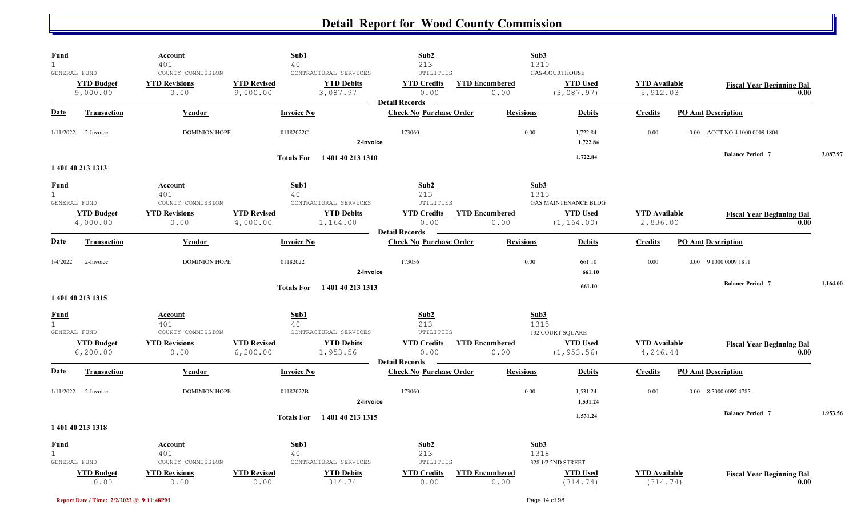| Fund<br>$\mathbf{1}$        |                                                | Account<br>401                                    | Sub1<br>40                                                                                | Sub2<br>213                                                      |                               | Sub3<br>1310                                                  |                                  |                                          |          |
|-----------------------------|------------------------------------------------|---------------------------------------------------|-------------------------------------------------------------------------------------------|------------------------------------------------------------------|-------------------------------|---------------------------------------------------------------|----------------------------------|------------------------------------------|----------|
|                             | GENERAL FUND<br><b>YTD Budget</b><br>9,000.00  | COUNTY COMMISSION<br><b>YTD Revisions</b><br>0.00 | CONTRACTURAL SERVICES<br><b>YTD Revised</b><br><b>YTD Debits</b><br>9,000.00<br>3,087.97  | UTILITIES<br><b>YTD Credits</b><br>0.00<br><b>Detail Records</b> | <b>YTD Encumbered</b><br>0.00 | <b>GAS-COURTHOUSE</b><br><b>YTD Used</b><br>(3,087.97)        | <b>YTD</b> Available<br>5,912.03 | <b>Fiscal Year Beginning Bal</b><br>0.00 |          |
| <b>Date</b>                 | <b>Transaction</b>                             | Vendor                                            | <b>Invoice No</b>                                                                         | <b>Check No Purchase Order</b>                                   | <b>Revisions</b>              | <b>Debits</b>                                                 | <b>Credits</b>                   | <b>PO Amt Description</b>                |          |
| 1/11/2022                   | 2-Invoice                                      | <b>DOMINION HOPE</b>                              | 01182022C                                                                                 | 173060<br>2-Invoice                                              | 0.00                          | 1,722.84<br>1,722.84                                          | 0.00                             | 0.00 ACCT NO 4 1000 0009 1804            |          |
|                             | 1 401 40 213 1313                              |                                                   | <b>Totals For</b>                                                                         | 1401402131310                                                    |                               | 1,722.84                                                      |                                  | <b>Balance Period 7</b>                  | 3,087.97 |
| <u>Fund</u><br>$\mathbf{1}$ |                                                | <b>Account</b><br>401                             | Sub1<br>40                                                                                | Sub2<br>213                                                      |                               | Sub3<br>1313                                                  |                                  |                                          |          |
|                             | GENERAL FUND<br><b>YTD Budget</b><br>4,000.00  | COUNTY COMMISSION<br><b>YTD Revisions</b><br>0.00 | CONTRACTURAL SERVICES<br><b>YTD Revised</b><br><b>YTD Debits</b><br>4,000.00<br>1,164.00  | UTILITIES<br><b>YTD Credits</b><br>0.00                          | <b>YTD Encumbered</b><br>0.00 | <b>GAS MAINTENANCE BLDG</b><br><b>YTD Used</b><br>(1, 164.00) | <b>YTD</b> Available<br>2,836.00 | <b>Fiscal Year Beginning Bal</b><br>0.00 |          |
| <b>Date</b>                 | <b>Transaction</b>                             | Vendor                                            | <b>Invoice No</b>                                                                         | <b>Detail Records</b><br><b>Check No Purchase Order</b>          | <b>Revisions</b>              | <b>Debits</b>                                                 | <b>Credits</b>                   | <b>PO Amt Description</b>                |          |
| 1/4/2022                    | 2-Invoice                                      | <b>DOMINION HOPE</b>                              | 01182022                                                                                  | 173036<br>2-Invoice                                              | 0.00                          | 661.10<br>661.10                                              | 0.00                             | 0.00 9 1000 0009 1811                    |          |
|                             | 1 401 40 213 1315                              |                                                   | Totals For 140140 213 1313                                                                |                                                                  |                               | 661.10                                                        |                                  | <b>Balance Period 7</b>                  | 1.164.00 |
| <u>Fund</u><br>$\mathbf 1$  |                                                | Account<br>401                                    | Sub1<br>40                                                                                | Sub2<br>213                                                      |                               | Sub3<br>1315                                                  |                                  |                                          |          |
|                             | GENERAL FUND<br><b>YTD Budget</b><br>6, 200.00 | COUNTY COMMISSION<br><b>YTD Revisions</b><br>0.00 | CONTRACTURAL SERVICES<br><b>YTD Revised</b><br><b>YTD Debits</b><br>6, 200.00<br>1,953.56 | UTILITIES<br><b>YTD Credits</b><br>0.00                          | <b>YTD Encumbered</b><br>0.00 | <b>132 COURT SQUARE</b><br><b>YTD Used</b><br>(1, 953.56)     | <b>YTD</b> Available<br>4,246.44 | <b>Fiscal Year Beginning Bal</b><br>0.00 |          |
| <b>Date</b>                 | <b>Transaction</b>                             | Vendor                                            | <b>Invoice No</b>                                                                         | <b>Detail Records</b><br><b>Check No Purchase Order</b>          | <b>Revisions</b>              | <b>Debits</b>                                                 | <b>Credits</b>                   | <b>PO Amt Description</b>                |          |
| 1/11/2022                   | 2-Invoice                                      | <b>DOMINION HOPE</b>                              | 01182022B                                                                                 | 173060<br>2-Invoice                                              | 0.00                          | 1,531.24<br>1,531.24                                          | 0.00                             | 0.00 8 5000 0097 4785                    |          |
|                             | 1 401 40 213 1318                              |                                                   | Totals For 1401 40 213 1315                                                               |                                                                  |                               | 1,531.24                                                      |                                  | <b>Balance Period 7</b>                  | 1,953.56 |
| <b>Fund</b><br>$\mathbf{1}$ | GENERAL FUND                                   | Account<br>401<br>COUNTY COMMISSION               | Sub1<br>40<br>CONTRACTURAL SERVICES                                                       | Sub2<br>213<br>UTILITIES                                         |                               | Sub3<br>1318<br>328 1/2 2ND STREET                            |                                  |                                          |          |
|                             | <b>YTD Budget</b><br>0.00                      | <b>YTD Revisions</b><br>0.00                      | <b>YTD Debits</b><br><b>YTD Revised</b><br>314.74<br>0.00                                 | <b>YTD Credits</b><br>0.00                                       | <b>YTD Encumbered</b><br>0.00 | <b>YTD Used</b><br>(314.74)                                   | <b>YTD Available</b><br>(314.74) | <b>Fiscal Year Beginning Bal</b><br>0.00 |          |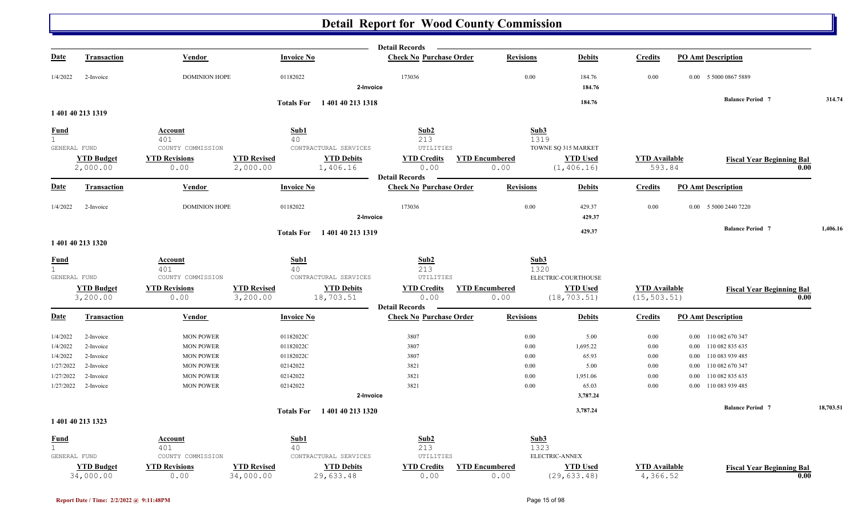|              |                                |                              |                                 |                                | <b>Detail Records</b>          |                               |                                 |                                  |                           |                                          |           |
|--------------|--------------------------------|------------------------------|---------------------------------|--------------------------------|--------------------------------|-------------------------------|---------------------------------|----------------------------------|---------------------------|------------------------------------------|-----------|
| <b>Date</b>  | <b>Transaction</b>             | Vendor                       | <b>Invoice No</b>               |                                | <b>Check No Purchase Order</b> | <b>Revisions</b>              | <b>Debits</b>                   | <b>Credits</b>                   | <b>PO Amt Description</b> |                                          |           |
| 1/4/2022     | 2-Invoice                      | <b>DOMINION HOPE</b>         | 01182022                        | 2-Invoice                      | 173036                         | 0.00                          | 184.76<br>184.76                | 0.00                             | 0.00 5 5000 0867 5889     |                                          |           |
|              |                                |                              |                                 |                                |                                |                               | 184.76                          |                                  | <b>Balance Period 7</b>   |                                          | 314.74    |
|              | 1 401 40 213 1319              |                              |                                 | Totals For 140140 213 1318     |                                |                               |                                 |                                  |                           |                                          |           |
| <b>Fund</b>  |                                | <b>Account</b>               | Sub1                            |                                | Sub2                           |                               | Sub3                            |                                  |                           |                                          |           |
| 1            |                                | 401                          | 40                              |                                | 213                            |                               | 1319                            |                                  |                           |                                          |           |
| GENERAL FUND |                                | COUNTY COMMISSION            |                                 | CONTRACTURAL SERVICES          | UTILITIES                      |                               | TOWNE SQ 315 MARKET             |                                  |                           |                                          |           |
|              | <b>YTD Budget</b>              | <b>YTD Revisions</b>         | <b>YTD Revised</b>              | <b>YTD Debits</b>              | <b>YTD Credits</b>             | <b>YTD Encumbered</b>         | <b>YTD Used</b>                 | <b>YTD Available</b>             |                           | <b>Fiscal Year Beginning Bal</b>         |           |
|              | 2,000.00                       | 0.00                         | 2,000.00                        | 1,406.16                       | 0.00                           | 0.00                          | (1, 406.16)                     | 593.84                           |                           | 0.00                                     |           |
|              |                                |                              |                                 |                                | <b>Detail Records</b>          |                               |                                 |                                  |                           |                                          |           |
| <b>Date</b>  | <b>Transaction</b>             | Vendor                       | <b>Invoice No</b>               |                                | <b>Check No Purchase Order</b> | <b>Revisions</b>              | <b>Debits</b>                   | <b>Credits</b>                   | <b>PO Amt Description</b> |                                          |           |
| 1/4/2022     | 2-Invoice                      | <b>DOMINION HOPE</b>         | 01182022                        |                                | 173036                         | $0.00\,$                      | 429.37                          | 0.00                             | 0.00 5 5000 2440 7220     |                                          |           |
|              |                                |                              |                                 | 2-Invoice                      |                                |                               | 429.37                          |                                  |                           |                                          |           |
|              |                                |                              |                                 | Totals For 1401 40 213 1319    |                                |                               | 429.37                          |                                  | <b>Balance Period 7</b>   |                                          | 1,406.16  |
|              | 1 401 40 213 1320              |                              |                                 |                                |                                |                               |                                 |                                  |                           |                                          |           |
| <b>Fund</b>  |                                | Account                      | Sub1                            |                                | Sub2                           |                               | Sub3                            |                                  |                           |                                          |           |
| 1            |                                | 401                          | 40                              |                                | 213                            |                               | 1320                            |                                  |                           |                                          |           |
| GENERAL FUND |                                | COUNTY COMMISSION            |                                 | CONTRACTURAL SERVICES          | UTILITIES                      |                               | ELECTRIC-COURTHOUSE             |                                  |                           |                                          |           |
|              | <b>YTD Budget</b>              | <b>YTD Revisions</b>         | <b>YTD Revised</b>              | <b>YTD Debits</b>              | <b>YTD Credits</b>             | <b>YTD Encumbered</b>         | <b>YTD Used</b>                 | <b>YTD</b> Available             |                           | <b>Fiscal Year Beginning Bal</b>         |           |
|              | 3,200.00                       | 0.00                         | 3,200.00                        | 18,703.51                      | 0.00<br><b>Detail Records</b>  | 0.00                          | (18, 703.51)                    | (15, 503.51)                     |                           | 0.00                                     |           |
| <b>Date</b>  | <b>Transaction</b>             | Vendor                       | <b>Invoice No</b>               |                                | <b>Check No Purchase Order</b> | <b>Revisions</b>              | <b>Debits</b>                   | <b>Credits</b>                   | <b>PO Amt Description</b> |                                          |           |
| 1/4/2022     | 2-Invoice                      | <b>MON POWER</b>             | 01182022C                       |                                | 3807                           | $0.00\,$                      | 5.00                            | $0.00\,$                         | 0.00 110 082 670 347      |                                          |           |
| 1/4/2022     | 2-Invoice                      | <b>MON POWER</b>             | 01182022C                       |                                | 3807                           | 0.00                          | 1,695.22                        | 0.00                             | 0.00 110 082 835 635      |                                          |           |
| 1/4/2022     | 2-Invoice                      | <b>MON POWER</b>             | 01182022C                       |                                | 3807                           | 0.00                          | 65.93                           | 0.00                             | 0.00 110 083 939 485      |                                          |           |
| 1/27/2022    | 2-Invoice                      | <b>MON POWER</b>             | 02142022                        |                                | 3821                           | 0.00                          | 5.00                            | 0.00                             | 0.00 110 082 670 347      |                                          |           |
| 1/27/2022    | 2-Invoice                      | <b>MON POWER</b>             | 02142022                        |                                | 3821                           | 0.00                          | 1,951.06                        | 0.00                             | 110 082 835 635<br>0.00   |                                          |           |
| 1/27/2022    | 2-Invoice                      | <b>MON POWER</b>             | 02142022                        |                                | 3821                           | 0.00                          | 65.03                           | 0.00                             | 0.00 110 083 939 485      |                                          |           |
|              |                                |                              |                                 | 2-Invoice                      |                                |                               | 3,787.24                        |                                  |                           |                                          |           |
|              |                                |                              |                                 | Totals For 1401 40 213 1320    |                                |                               | 3,787.24                        |                                  | <b>Balance Period 7</b>   |                                          | 18,703.51 |
|              | 1 401 40 213 1323              |                              |                                 |                                |                                |                               |                                 |                                  |                           |                                          |           |
| <b>Fund</b>  |                                | Account                      | Sub1                            |                                | Sub2                           |                               | Sub3                            |                                  |                           |                                          |           |
| 1            |                                | 401                          | 40                              |                                | 213                            |                               | 1323                            |                                  |                           |                                          |           |
| GENERAL FUND |                                | COUNTY COMMISSION            |                                 | CONTRACTURAL SERVICES          | UTILITIES                      |                               | ELECTRIC-ANNEX                  |                                  |                           |                                          |           |
|              | <b>YTD Budget</b><br>34,000.00 | <b>YTD Revisions</b><br>0.00 | <b>YTD Revised</b><br>34,000.00 | <b>YTD Debits</b><br>29,633.48 | <b>YTD Credits</b><br>0.00     | <b>YTD Encumbered</b><br>0.00 | <b>YTD Used</b><br>(29, 633.48) | <b>YTD Available</b><br>4,366.52 |                           | <b>Fiscal Year Beginning Bal</b><br>0.00 |           |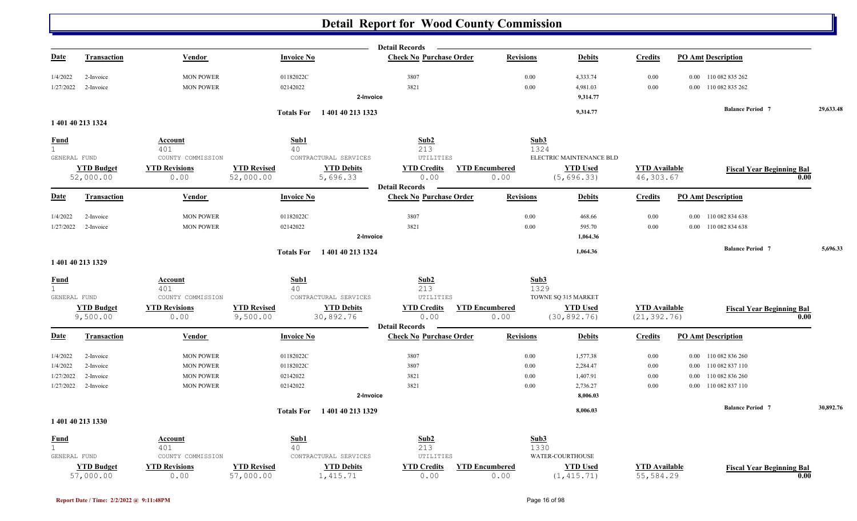|                   |                                |                              |                                                                  | <b>Detail Records</b>           |                               |                                  |                                      |                           |                                          |           |
|-------------------|--------------------------------|------------------------------|------------------------------------------------------------------|---------------------------------|-------------------------------|----------------------------------|--------------------------------------|---------------------------|------------------------------------------|-----------|
| <b>Date</b>       | <b>Transaction</b>             | Vendor                       | <b>Invoice No</b>                                                | <b>Check No Purchase Order</b>  | <b>Revisions</b>              | <b>Debits</b>                    | <b>Credits</b>                       | <b>PO Amt Description</b> |                                          |           |
| 1/4/2022          | 2-Invoice                      | <b>MON POWER</b>             | 01182022C                                                        | 3807                            | 0.00                          | 4,333.74                         | 0.00                                 | 0.00 110 082 835 262      |                                          |           |
| 1/27/2022         | 2-Invoice                      | <b>MON POWER</b>             | 02142022                                                         | 3821                            | 0.00                          | 4,981.03                         | 0.00                                 | 0.00 110 082 835 262      |                                          |           |
|                   |                                |                              |                                                                  | 2-Invoice                       |                               | 9,314.77                         |                                      |                           |                                          |           |
|                   |                                |                              | Totals For 140140 213 1323                                       |                                 |                               | 9,314.77                         |                                      |                           | <b>Balance Period 7</b>                  | 29,633.48 |
|                   | 1 401 40 213 1324              |                              |                                                                  |                                 |                               |                                  |                                      |                           |                                          |           |
| <u>Fund</u>       |                                | <b>Account</b>               | Sub1                                                             | Sub2                            | Sub3                          |                                  |                                      |                           |                                          |           |
| 1<br>GENERAL FUND |                                | 401<br>COUNTY COMMISSION     | 40<br>CONTRACTURAL SERVICES                                      | 213<br>UTILITIES                | 1324                          | ELECTRIC MAINTENANCE BLD         |                                      |                           |                                          |           |
|                   | <b>YTD Budget</b>              | <b>YTD Revisions</b>         | <b>YTD Revised</b><br><b>YTD Debits</b>                          | <b>YTD Credits</b>              | <b>YTD Encumbered</b>         | <b>YTD Used</b>                  | <b>YTD</b> Available                 |                           |                                          |           |
|                   | 52,000.00                      | 0.00                         | 52,000.00<br>5,696.33                                            | 0.00                            | 0.00                          | (5,696.33)                       | 46,303.67                            |                           | <b>Fiscal Year Beginning Bal</b><br>0.00 |           |
|                   |                                |                              |                                                                  | <b>Detail Records</b>           |                               |                                  |                                      |                           |                                          |           |
| Date              | <b>Transaction</b>             | <b>Vendor</b>                | <b>Invoice No</b>                                                | <b>Check No Purchase Order</b>  | <b>Revisions</b>              | <b>Debits</b>                    | <b>Credits</b>                       | <b>PO Amt Description</b> |                                          |           |
| 1/4/2022          | 2-Invoice                      | <b>MON POWER</b>             | 01182022C                                                        | 3807                            | 0.00                          | 468.66                           | 0.00                                 | 0.00 110 082 834 638      |                                          |           |
| 1/27/2022         | 2-Invoice                      | <b>MON POWER</b>             | 02142022                                                         | 3821                            | 0.00                          | 595.70                           | 0.00                                 | 0.00 110 082 834 638      |                                          |           |
|                   |                                |                              |                                                                  | 2-Invoice                       |                               | 1,064.36                         |                                      |                           |                                          |           |
|                   |                                |                              | Totals For 1401 40 213 1324                                      |                                 |                               | 1,064.36                         |                                      |                           | <b>Balance Period 7</b>                  | 5,696.33  |
|                   | 1 401 40 213 1329              |                              |                                                                  |                                 |                               |                                  |                                      |                           |                                          |           |
| <u>Fund</u>       |                                | <u>Account</u>               | Sub1                                                             | Sub2                            | Sub3                          |                                  |                                      |                           |                                          |           |
| $\mathbf 1$       |                                | 401                          | 40                                                               | 213                             | 1329                          |                                  |                                      |                           |                                          |           |
| GENERAL FUND      |                                | COUNTY COMMISSION            | CONTRACTURAL SERVICES                                            | UTILITIES<br><b>YTD Credits</b> |                               | TOWNE SQ 315 MARKET              |                                      |                           |                                          |           |
|                   | <b>YTD Budget</b><br>9,500.00  | <b>YTD Revisions</b><br>0.00 | <b>YTD Revised</b><br><b>YTD Debits</b><br>9,500.00<br>30,892.76 | 0.00                            | <b>YTD Encumbered</b><br>0.00 | <b>YTD Used</b><br>(30, 892, 76) | <b>YTD</b> Available<br>(21, 392.76) |                           | <b>Fiscal Year Beginning Bal</b><br>0.00 |           |
|                   |                                |                              |                                                                  | <b>Detail Records</b>           |                               |                                  |                                      |                           |                                          |           |
| Date              | <b>Transaction</b>             | Vendor                       | <b>Invoice No</b>                                                | <b>Check No Purchase Order</b>  | <b>Revisions</b>              | <b>Debits</b>                    | <b>Credits</b>                       | <b>PO Amt Description</b> |                                          |           |
| 1/4/2022          | 2-Invoice                      | <b>MON POWER</b>             | 01182022C                                                        | 3807                            | 0.00                          | 1,577.38                         | $0.00\,$                             | 0.00 110 082 836 260      |                                          |           |
| 1/4/2022          | 2-Invoice                      | <b>MON POWER</b>             | 01182022C                                                        | 3807                            | 0.00                          | 2,284.47                         | 0.00                                 | 0.00                      | 110 082 837 110                          |           |
| 1/27/2022         | 2-Invoice                      | <b>MON POWER</b>             | 02142022                                                         | 3821                            | 0.00                          | 1,407.91                         | 0.00                                 | 0.00                      | 110 082 836 260                          |           |
| 1/27/2022         | 2-Invoice                      | <b>MON POWER</b>             | 02142022                                                         | 3821                            | 0.00                          | 2,736.27                         | 0.00                                 | 0.00 110 082 837 110      |                                          |           |
|                   |                                |                              |                                                                  | 2-Invoice                       |                               | 8,006.03                         |                                      |                           |                                          |           |
|                   |                                |                              | Totals For 1401 40 213 1329                                      |                                 |                               | 8.006.03                         |                                      |                           | <b>Balance Period 7</b>                  | 30,892.76 |
|                   | 1 401 40 213 1330              |                              |                                                                  |                                 |                               |                                  |                                      |                           |                                          |           |
| <b>Fund</b>       |                                | Account                      | Sub1                                                             | Sub2                            | Sub3                          |                                  |                                      |                           |                                          |           |
| $\mathbf{1}$      |                                | 401                          | 40                                                               | 213                             | 1330                          |                                  |                                      |                           |                                          |           |
| GENERAL FUND      |                                | COUNTY COMMISSION            | CONTRACTURAL SERVICES                                            | UTILITIES                       |                               | <b>WATER-COURTHOUSE</b>          |                                      |                           |                                          |           |
|                   | <b>YTD Budget</b><br>57,000.00 | <b>YTD Revisions</b><br>0.00 | <b>YTD Revised</b><br><b>YTD Debits</b><br>57,000.00<br>1,415.71 | <b>YTD Credits</b><br>0.00      | <b>YTD Encumbered</b><br>0.00 | <b>YTD Used</b><br>(1, 415.71)   | <b>YTD</b> Available<br>55,584.29    |                           | <b>Fiscal Year Beginning Bal</b><br>0.00 |           |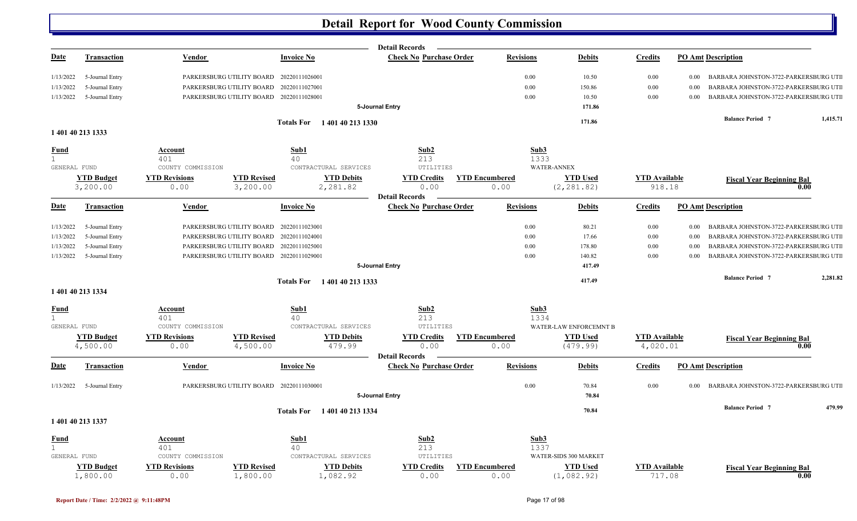|                              |                               |                              |                                          |                               | <b>Detail Records</b>          |                               |                                |                                  |          |                                       |          |
|------------------------------|-------------------------------|------------------------------|------------------------------------------|-------------------------------|--------------------------------|-------------------------------|--------------------------------|----------------------------------|----------|---------------------------------------|----------|
| <u>Date</u>                  | <b>Transaction</b>            | Vendor                       |                                          | <b>Invoice No</b>             | <b>Check No Purchase Order</b> | <b>Revisions</b>              | <b>Debits</b>                  | <b>Credits</b>                   |          | <b>PO Amt Description</b>             |          |
| 1/13/2022                    | 5-Journal Entry               |                              | PARKERSBURG UTILITY BOARD 20220111026001 |                               |                                | 0.00                          | 10.50                          | $0.00\,$                         | $0.00\,$ | BARBARA JOHNSTON-3722-PARKERSBURG UTI |          |
| 1/13/2022                    | 5-Journal Entry               | PARKERSBURG UTILITY BOARD    |                                          | 20220111027001                |                                | 0.00                          | 150.86                         | $0.00\,$                         | 0.00     | BARBARA JOHNSTON-3722-PARKERSBURG UTI |          |
| 1/13/2022                    | 5-Journal Entry               |                              | PARKERSBURG UTILITY BOARD 20220111028001 |                               |                                | 0.00                          | 10.50                          | 0.00                             | 0.00     | BARBARA JOHNSTON-3722-PARKERSBURG UTI |          |
|                              |                               |                              |                                          |                               | 5-Journal Entry                |                               | 171.86                         |                                  |          |                                       |          |
|                              |                               |                              |                                          | Totals For 140140 213 1330    |                                |                               | 171.86                         |                                  |          | <b>Balance Period 7</b>               | 1,415.71 |
|                              | 1 401 40 213 1333             |                              |                                          |                               |                                |                               |                                |                                  |          |                                       |          |
| Fund                         |                               | Account                      |                                          | Sub1                          | Sub2                           | Sub3                          |                                |                                  |          |                                       |          |
| 1.                           |                               | 401                          |                                          | 40                            | 213                            | 1333                          |                                |                                  |          |                                       |          |
| GENERAL FUND                 |                               | COUNTY COMMISSION            |                                          | CONTRACTURAL SERVICES         | UTILITIES                      |                               | <b>WATER-ANNEX</b>             |                                  |          |                                       |          |
|                              | <b>YTD Budget</b><br>3,200.00 | <b>YTD Revisions</b><br>0.00 | <b>YTD Revised</b><br>3,200.00           | <b>YTD Debits</b><br>2,281.82 | <b>YTD Credits</b><br>0.00     | <b>YTD Encumbered</b><br>0.00 | <b>YTD Used</b><br>(2, 281.82) | <b>YTD Available</b><br>918.18   |          | <b>Fiscal Year Beginning Bal</b>      | 0.00     |
|                              |                               |                              |                                          |                               | <b>Detail Records</b>          |                               |                                |                                  |          |                                       |          |
| <u>Date</u>                  | <b>Transaction</b>            | <b>Vendor</b>                |                                          | <b>Invoice No</b>             | <b>Check No Purchase Order</b> | <b>Revisions</b>              | <b>Debits</b>                  | <b>Credits</b>                   |          | <b>PO Amt Description</b>             |          |
| 1/13/2022                    | 5-Journal Entry               |                              | PARKERSBURG UTILITY BOARD 20220111023001 |                               |                                | 0.00                          | 80.21                          | 0.00                             | 0.00     | BARBARA JOHNSTON-3722-PARKERSBURG UTI |          |
| 1/13/2022                    | 5-Journal Entry               | PARKERSBURG UTILITY BOARD    |                                          | 20220111024001                |                                | 0.00                          | 17.66                          | 0.00                             | 0.00     | BARBARA JOHNSTON-3722-PARKERSBURG UTI |          |
| 1/13/2022                    | 5-Journal Entry               |                              | PARKERSBURG UTILITY BOARD 20220111025001 |                               |                                | 0.00                          | 178.80                         | 0.00                             | 0.00     | BARBARA JOHNSTON-3722-PARKERSBURG UTI |          |
| 1/13/2022                    | 5-Journal Entry               |                              | PARKERSBURG UTILITY BOARD 20220111029001 |                               |                                | 0.00                          | 140.82                         | 0.00                             | 0.00     | BARBARA JOHNSTON-3722-PARKERSBURG UTI |          |
|                              |                               |                              |                                          |                               | 5-Journal Entry                |                               | 417.49                         |                                  |          |                                       |          |
|                              |                               |                              | <b>Totals For</b>                        | 1 401 40 213 1333             |                                |                               | 417.49                         |                                  |          | <b>Balance Period 7</b>               | 2,281.82 |
|                              | 1 401 40 213 1334             |                              |                                          |                               |                                |                               |                                |                                  |          |                                       |          |
| <u>Fund</u>                  |                               | Account                      |                                          | Sub1                          | Sub2                           | Sub3                          |                                |                                  |          |                                       |          |
| $\mathbf{1}$<br>GENERAL FUND |                               | 401<br>COUNTY COMMISSION     |                                          | 40<br>CONTRACTURAL SERVICES   | 213<br>UTILITIES               | 1334                          | WATER-LAW ENFORCEMNT B         |                                  |          |                                       |          |
|                              |                               |                              |                                          |                               |                                |                               |                                |                                  |          |                                       |          |
|                              | <b>YTD Budget</b><br>4,500.00 | <b>YTD Revisions</b><br>0.00 | <b>YTD Revised</b><br>4,500.00           | <b>YTD Debits</b><br>479.99   | <b>YTD Credits</b><br>0.00     | <b>YTD Encumbered</b><br>0.00 | <b>YTD Used</b><br>(479.99)    | <b>YTD</b> Available<br>4,020.01 |          | <b>Fiscal Year Beginning Bal</b>      | 0.00     |
|                              |                               |                              |                                          |                               | <b>Detail Records</b>          |                               |                                |                                  |          |                                       |          |
| <b>Date</b>                  | <b>Transaction</b>            | Vendor                       |                                          | <b>Invoice No</b>             | <b>Check No Purchase Order</b> | <b>Revisions</b>              | <b>Debits</b>                  | <b>Credits</b>                   |          | <b>PO Amt Description</b>             |          |
| 1/13/2022                    | 5-Journal Entry               |                              | PARKERSBURG UTILITY BOARD 20220111030001 |                               |                                | 0.00                          | 70.84                          | 0.00                             | 0.00     | BARBARA JOHNSTON-3722-PARKERSBURG UTI |          |
|                              |                               |                              |                                          |                               | 5-Journal Entry                |                               | 70.84                          |                                  |          |                                       |          |
|                              |                               |                              |                                          | Totals For 1401 40 213 1334   |                                |                               | 70.84                          |                                  |          | <b>Balance Period 7</b>               | 479.99   |
|                              | 1 401 40 213 1337             |                              |                                          |                               |                                |                               |                                |                                  |          |                                       |          |
| <u>Fund</u>                  |                               | <u>Account</u>               |                                          | Sub1                          | Sub2                           | Sub <sub>3</sub>              |                                |                                  |          |                                       |          |
| $\mathbf{1}$                 |                               | 401                          |                                          | 40                            | 213                            | 1337                          |                                |                                  |          |                                       |          |
| GENERAL FUND                 |                               | COUNTY COMMISSION            |                                          | CONTRACTURAL SERVICES         | UTILITIES                      |                               | WATER-SIDS 300 MARKET          |                                  |          |                                       |          |
|                              | <b>YTD Budget</b>             | <b>YTD Revisions</b>         | <b>YTD Revised</b>                       | <b>YTD Debits</b>             | <b>YTD Credits</b>             | <b>YTD Encumbered</b>         | <b>YTD Used</b>                | <b>YTD</b> Available             |          | <b>Fiscal Year Beginning Bal</b>      |          |
|                              | 1,800.00                      | 0.00                         | 1,800.00                                 | 1,082.92                      | 0.00                           | 0.00                          | (1, 082.92)                    | 717.08                           |          |                                       | 0.00     |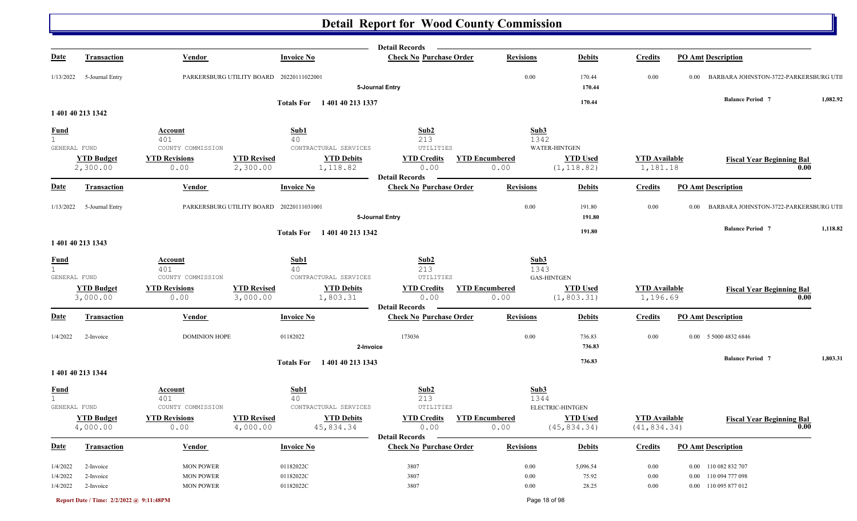|                              |                               |                                           |                                                                 | <b>Detail Records</b>           |                               |                                     |                                  |                                                       |          |
|------------------------------|-------------------------------|-------------------------------------------|-----------------------------------------------------------------|---------------------------------|-------------------------------|-------------------------------------|----------------------------------|-------------------------------------------------------|----------|
| <b>Date</b>                  | <b>Transaction</b>            | <b>Vendor</b>                             | <b>Invoice No</b>                                               | <b>Check No Purchase Order</b>  | <b>Revisions</b>              | <b>Debits</b>                       | <b>Credits</b>                   | <b>PO Amt Description</b>                             |          |
| 1/13/2022                    | 5-Journal Entry               |                                           | PARKERSBURG UTILITY BOARD 20220111022001                        | 5-Journal Entry                 | 0.00                          | 170.44<br>170.44                    | 0.00                             | BARBARA JOHNSTON-3722-PARKERSBURG UTI<br>$0.00\,$     |          |
|                              |                               |                                           |                                                                 |                                 |                               | 170.44                              |                                  | <b>Balance Period 7</b>                               | 1,082.92 |
|                              | 1 401 40 213 1342             |                                           | <b>Totals For</b><br>1 401 40 213 1337                          |                                 |                               |                                     |                                  |                                                       |          |
| <b>Fund</b>                  |                               | Account                                   | Sub1                                                            | Sub2                            | Sub3                          |                                     |                                  |                                                       |          |
| $\mathbf{1}$<br>GENERAL FUND |                               | 401<br>COUNTY COMMISSION                  | 40<br>CONTRACTURAL SERVICES                                     | 213<br>UTILITIES                | 1342                          | <b>WATER-HINTGEN</b>                |                                  |                                                       |          |
|                              | <b>YTD Budget</b>             | <b>YTD Revisions</b>                      | <b>YTD Revised</b><br><b>YTD Debits</b>                         | <b>YTD Credits</b>              | <b>YTD Encumbered</b>         | <b>YTD Used</b>                     | <b>YTD Available</b>             |                                                       |          |
|                              | 2,300.00                      | 0.00                                      | 2,300.00<br>1,118.82                                            | 0.00                            | 0.00                          | (1, 118.82)                         | 1,181.18                         | <b>Fiscal Year Beginning Bal</b><br>0.00              |          |
|                              |                               |                                           |                                                                 | <b>Detail Records</b>           |                               |                                     |                                  |                                                       |          |
| <b>Date</b>                  | <b>Transaction</b>            | <b>Vendor</b>                             | <b>Invoice No</b>                                               | <b>Check No Purchase Order</b>  | <b>Revisions</b>              | <b>Debits</b>                       | <b>Credits</b>                   | <b>PO Amt Description</b>                             |          |
| 1/13/2022                    | 5-Journal Entry               |                                           | PARKERSBURG UTILITY BOARD 20220111031001                        |                                 | 0.00                          | 191.80                              | 0.00                             | BARBARA JOHNSTON-3722-PARKERSBURG UTI<br>$0.00\,$     |          |
|                              |                               |                                           |                                                                 | 5-Journal Entry                 |                               | 191.80                              |                                  |                                                       |          |
|                              |                               |                                           | Totals For 140140 213 1342                                      |                                 |                               | 191.80                              |                                  | <b>Balance Period 7</b>                               | 1,118.82 |
|                              | 1 401 40 213 1343             |                                           |                                                                 |                                 |                               |                                     |                                  |                                                       |          |
| <b>Fund</b>                  |                               | Account                                   | Sub1                                                            | Sub2                            | Sub3                          |                                     |                                  |                                                       |          |
| 1                            |                               | 401                                       | 40                                                              | 213                             | 1343                          |                                     |                                  |                                                       |          |
| GENERAL FUND                 |                               | COUNTY COMMISSION                         | CONTRACTURAL SERVICES                                           | UTILITIES                       |                               | <b>GAS-HINTGEN</b>                  |                                  |                                                       |          |
|                              | <b>YTD Budget</b><br>3,000.00 | <b>YTD Revisions</b><br>0.00              | <b>YTD Revised</b><br><b>YTD Debits</b><br>3,000.00<br>1,803.31 | <b>YTD Credits</b><br>0.00      | <b>YTD Encumbered</b><br>0.00 | <b>YTD Used</b><br>(1, 803.31)      | <b>YTD</b> Available<br>1,196.69 | <b>Fiscal Year Beginning Bal</b><br>0.00              |          |
|                              |                               |                                           |                                                                 | <b>Detail Records</b>           |                               |                                     |                                  |                                                       |          |
| <b>Date</b>                  | <b>Transaction</b>            | <b>Vendor</b>                             | <b>Invoice No</b>                                               | <b>Check No Purchase Order</b>  | <b>Revisions</b>              | <b>Debits</b>                       | <b>Credits</b>                   | <b>PO Amt Description</b>                             |          |
| 1/4/2022                     | 2-Invoice                     | <b>DOMINION HOPE</b>                      | 01182022                                                        | 173036                          | 0.00                          | 736.83                              | 0.00                             | 0.00 5 5000 4832 6846                                 |          |
|                              |                               |                                           |                                                                 | 2-Invoice                       |                               | 736.83                              |                                  |                                                       |          |
|                              |                               |                                           | 1 401 40 213 1343<br><b>Totals For</b>                          |                                 |                               | 736.83                              |                                  | <b>Balance Period 7</b>                               | 1,803.31 |
|                              | 1 401 40 213 1344             |                                           |                                                                 |                                 |                               |                                     |                                  |                                                       |          |
| <b>Fund</b>                  |                               | <b>Account</b>                            | Sub1                                                            | Sub <sub>2</sub>                | Sub3                          |                                     |                                  |                                                       |          |
| $\mathbf 1$                  |                               | 401                                       | 40<br>CONTRACTURAL SERVICES                                     | 213                             | 1344                          |                                     |                                  |                                                       |          |
| GENERAL FUND                 | <b>YTD Budget</b>             | COUNTY COMMISSION<br><b>YTD Revisions</b> | <b>YTD Revised</b><br><b>YTD Debits</b>                         | UTILITIES<br><b>YTD Credits</b> | <b>YTD Encumbered</b>         | ELECTRIC-HINTGEN<br><b>YTD Used</b> | <b>YTD Available</b>             |                                                       |          |
|                              | 4,000.00                      | 0.00                                      | 4,000.00<br>45,834.34                                           | 0.00                            | 0.00                          | (45, 834.34)                        | (41, 834.34)                     | <b>Fiscal Year Beginning Bal</b><br>$\overline{0.00}$ |          |
|                              |                               |                                           |                                                                 | <b>Detail Records</b>           |                               |                                     |                                  |                                                       |          |
| <u>Date</u>                  | <b>Transaction</b>            | <b>Vendor</b>                             | <b>Invoice No</b>                                               | <b>Check No Purchase Order</b>  | <b>Revisions</b>              | <b>Debits</b>                       | <b>Credits</b>                   | <b>PO Amt Description</b>                             |          |
| 1/4/2022                     | 2-Invoice                     | <b>MON POWER</b>                          | 01182022C                                                       | 3807                            | $0.00\,$                      | 5,096.54                            | 0.00                             | 0.00 110 082 832 707                                  |          |
| 1/4/2022                     | 2-Invoice                     | <b>MON POWER</b>                          | 01182022C                                                       | 3807                            | 0.00                          | 75.92                               | $0.00\,$                         | 0.00 110 094 777 098                                  |          |
| 1/4/2022                     | 2-Invoice                     | <b>MON POWER</b>                          | 01182022C                                                       | 3807                            | $0.00\,$                      | 28.25                               | 0.00                             | 0.00 110 095 877 012                                  |          |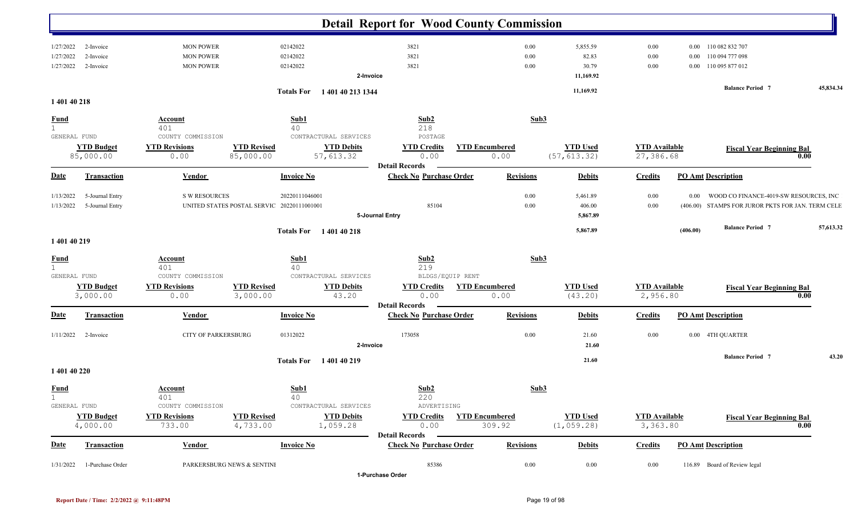|                                   |                      |                                            | <b>Detail Report for Wood County Commission</b>         |                               |                            |                                  |          |                                                   |           |
|-----------------------------------|----------------------|--------------------------------------------|---------------------------------------------------------|-------------------------------|----------------------------|----------------------------------|----------|---------------------------------------------------|-----------|
| 1/27/2022<br>2-Invoice            | <b>MON POWER</b>     | 02142022                                   | 3821                                                    | $0.00\,$                      | 5,855.59                   | 0.00                             |          | 0.00 110 082 832 707                              |           |
| 1/27/2022                         | <b>MON POWER</b>     | 02142022                                   | 3821                                                    | $0.00\,$                      | 82.83                      | 0.00                             |          | 0.00 110 094 777 098                              |           |
| 2-Invoice                         |                      |                                            |                                                         |                               |                            |                                  |          |                                                   |           |
| 1/27/2022<br>2-Invoice            | <b>MON POWER</b>     | 02142022                                   | 3821                                                    | $0.00\,$                      | 30.79                      | $0.00\,$                         |          | 0.00 110 095 877 012                              |           |
|                                   |                      |                                            | 2-Invoice                                               |                               | 11,169.92                  |                                  |          |                                                   |           |
|                                   |                      | Totals For 1401 40 213 1344                |                                                         |                               | 11,169.92                  |                                  |          | <b>Balance Period 7</b>                           | 45,834.34 |
| 1 401 40 218                      |                      |                                            |                                                         |                               |                            |                                  |          |                                                   |           |
| <b>Fund</b>                       | <b>Account</b>       | Sub1                                       | Sub2                                                    | Sub3                          |                            |                                  |          |                                                   |           |
| $\mathbf{1}$                      | 401                  | 40                                         | 218                                                     |                               |                            |                                  |          |                                                   |           |
| GENERAL FUND                      | COUNTY COMMISSION    | CONTRACTURAL SERVICES                      | POSTAGE                                                 |                               |                            |                                  |          |                                                   |           |
| <b>YTD Budget</b>                 | <b>YTD Revisions</b> | <b>YTD Revised</b><br><b>YTD Debits</b>    | <b>YTD Credits</b>                                      | <b>YTD Encumbered</b>         | <b>YTD Used</b>            | <b>YTD</b> Available             |          | <b>Fiscal Year Beginning Bal</b>                  |           |
| 85,000.00                         | 0.00                 | 85,000.00<br>57,613.32                     | 0.00                                                    | 0.00                          | (57, 613.32)               | 27,386.68                        |          |                                                   | 0.00      |
| <u>Date</u><br><b>Transaction</b> | <b>Vendor</b>        | <b>Invoice No</b>                          | <b>Detail Records</b><br><b>Check No Purchase Order</b> | <b>Revisions</b>              | <b>Debits</b>              | <b>Credits</b>                   |          | <b>PO Amt Description</b>                         |           |
| 5-Journal Entry<br>1/13/2022      | <b>S W RESOURCES</b> | 20220111046001                             |                                                         | $0.00\,$                      | 5,461.89                   | 0.00                             | 0.00     | WOOD CO FINANCE-4019-SW RESOURCES, INC            |           |
|                                   |                      |                                            | 85104                                                   |                               |                            |                                  |          |                                                   |           |
| 1/13/2022<br>5-Journal Entry      |                      | UNITED STATES POSTAL SERVIC 20220111001001 |                                                         | $0.00\,$                      | 406.00                     | 0.00                             |          | (406.00) STAMPS FOR JUROR PKTS FOR JAN. TERM CELE |           |
|                                   |                      |                                            | 5-Journal Entry                                         |                               | 5,867.89                   |                                  |          |                                                   |           |
|                                   |                      | <b>Totals For</b> 140140218                |                                                         |                               | 5,867.89                   |                                  | (406.00) | <b>Balance Period 7</b>                           | 57,613.32 |
| 1 401 40 219                      |                      |                                            |                                                         |                               |                            |                                  |          |                                                   |           |
| <u>Fund</u>                       | <b>Account</b>       | Sub1                                       | Sub2                                                    | Sub3                          |                            |                                  |          |                                                   |           |
| 1<br>GENERAL FUND                 | 401                  | 40                                         | 219                                                     |                               |                            |                                  |          |                                                   |           |
|                                   | COUNTY COMMISSION    | CONTRACTURAL SERVICES                      | BLDGS/EQUIP RENT                                        |                               |                            |                                  |          |                                                   |           |
| <b>YTD Budget</b>                 | <b>YTD Revisions</b> | <b>YTD Revised</b><br><b>YTD Debits</b>    | <b>YTD Credits</b><br>0.00                              | <b>YTD Encumbered</b><br>0.00 | <b>YTD Used</b><br>(43.20) | <b>YTD</b> Available<br>2,956.80 |          | <b>Fiscal Year Beginning Bal</b>                  | 0.00      |
| 3,000.00                          | 0.00                 | 3,000.00<br>43.20                          | <b>Detail Records</b>                                   |                               |                            |                                  |          |                                                   |           |
| <b>Date</b><br><b>Transaction</b> | <b>Vendor</b>        | <b>Invoice No</b>                          | <b>Check No Purchase Order</b>                          | <b>Revisions</b>              | <b>Debits</b>              | <b>Credits</b>                   |          | <b>PO Amt Description</b>                         |           |
|                                   |                      |                                            | 173058                                                  | 0.00                          |                            |                                  |          |                                                   |           |
| 1/11/2022<br>2-Invoice            | CITY OF PARKERSBURG  | 01312022                                   |                                                         |                               | 21.60<br>21.60             | 0.00                             |          | 0.00 4TH QUARTER                                  |           |
|                                   |                      |                                            | 2-Invoice                                               |                               |                            |                                  |          |                                                   |           |
|                                   |                      | <b>Totals For</b> 140140219                |                                                         |                               | 21.60                      |                                  |          | <b>Balance Period 7</b>                           | 43.20     |
| 1 401 40 220                      |                      |                                            |                                                         |                               |                            |                                  |          |                                                   |           |
| <b>Fund</b>                       | <b>Account</b>       | Sub1                                       | Sub <sub>2</sub>                                        | Sub3                          |                            |                                  |          |                                                   |           |
|                                   | 401                  | 40                                         | 220                                                     |                               |                            |                                  |          |                                                   |           |
| GENERAL FUND                      | COUNTY COMMISSION    | CONTRACTURAL SERVICES                      | ADVERTISING                                             |                               |                            |                                  |          |                                                   |           |
| <b>YTD Budget</b>                 | <b>YTD Revisions</b> | <b>YTD Revised</b><br><b>YTD Debits</b>    | <b>YTD Credits</b>                                      | <b>YTD Encumbered</b>         | <b>YTD Used</b>            | <b>YTD</b> Available             |          | <b>Fiscal Year Beginning Bal</b>                  |           |
| 4,000.00                          | 733.00               | 4,733.00<br>1,059.28                       | 0.00                                                    | 309.92                        | (1, 059.28)                | 3,363.80                         |          |                                                   | 0.00      |
|                                   |                      |                                            | <b>Detail Records</b>                                   |                               |                            |                                  |          |                                                   |           |
| <b>Date</b><br><b>Transaction</b> | <b>Vendor</b>        | <b>Invoice No</b>                          | <b>Check No Purchase Order</b>                          | <b>Revisions</b>              | <b>Debits</b>              | <b>Credits</b>                   |          | <b>PO Amt Description</b>                         |           |
|                                   |                      |                                            |                                                         |                               |                            |                                  |          | 116.89 Board of Review legal                      |           |
| 1/31/2022<br>1-Purchase Order     |                      | PARKERSBURG NEWS & SENTINI                 | 85386<br>1-Purchase Order                               | $0.00\,$                      | $0.00\,$                   | 0.00                             |          |                                                   |           |
|                                   |                      |                                            |                                                         |                               |                            |                                  |          |                                                   |           |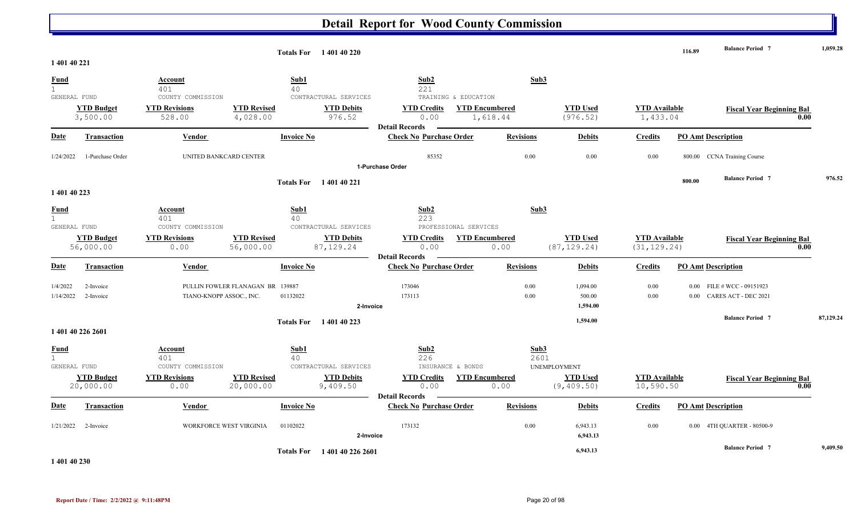|                              |                                |                              |                                  | <b>Totals For</b> 140140220     |                                |                               |                                 |                                      | 116.89   | <b>Balance Period 7</b>          | 1,059.28  |
|------------------------------|--------------------------------|------------------------------|----------------------------------|---------------------------------|--------------------------------|-------------------------------|---------------------------------|--------------------------------------|----------|----------------------------------|-----------|
| 1 401 40 221                 |                                |                              |                                  |                                 |                                |                               |                                 |                                      |          |                                  |           |
| <b>Fund</b>                  |                                | Account                      | Sub1                             |                                 | Sub2                           | Sub3                          |                                 |                                      |          |                                  |           |
| $\mathbf{1}$<br>GENERAL FUND |                                | 401<br>COUNTY COMMISSION     | 40                               | CONTRACTURAL SERVICES           | 221<br>TRAINING & EDUCATION    |                               |                                 |                                      |          |                                  |           |
|                              | <b>YTD Budget</b>              | <b>YTD Revisions</b>         | <b>YTD Revised</b>               | <b>YTD Debits</b>               | <b>YTD Credits</b>             | <b>YTD Encumbered</b>         | <b>YTD Used</b>                 | <b>YTD Available</b>                 |          |                                  |           |
|                              | 3,500.00                       | 528.00                       | 4,028.00                         | 976.52                          | 0.00                           | 1,618.44                      | (976.52)                        | 1,433.04                             |          | <b>Fiscal Year Beginning Bal</b> | 0.00      |
|                              |                                |                              |                                  |                                 | <b>Detail Records</b>          |                               |                                 |                                      |          |                                  |           |
| <b>Date</b>                  | <b>Transaction</b>             | <b>Vendor</b>                | <b>Invoice No</b>                |                                 | <b>Check No Purchase Order</b> | <b>Revisions</b>              | <b>Debits</b>                   | <b>Credits</b>                       |          | <b>PO Amt Description</b>        |           |
| 1/24/2022                    | 1-Purchase Order               | UNITED BANKCARD CENTER       |                                  |                                 | 85352                          | 0.00                          | 0.00                            | 0.00                                 | 800.00   | <b>CCNA Training Course</b>      |           |
|                              |                                |                              |                                  |                                 | 1-Purchase Order               |                               |                                 |                                      |          |                                  |           |
|                              |                                |                              | <b>Totals For</b>                | 140140221                       |                                |                               |                                 |                                      | 800.00   | <b>Balance Period 7</b>          | 976.52    |
| 1 401 40 223                 |                                |                              |                                  |                                 |                                |                               |                                 |                                      |          |                                  |           |
| <b>Fund</b>                  |                                | Account                      | Sub1                             |                                 | Sub2                           | Sub3                          |                                 |                                      |          |                                  |           |
| $\mathbf{1}$                 |                                | 401                          | 40                               |                                 | 223                            |                               |                                 |                                      |          |                                  |           |
| GENERAL FUND                 |                                | COUNTY COMMISSION            |                                  | CONTRACTURAL SERVICES           | PROFESSIONAL SERVICES          |                               |                                 |                                      |          |                                  |           |
|                              | <b>YTD Budget</b><br>56,000.00 | <b>YTD Revisions</b><br>0.00 | <b>YTD Revised</b><br>56,000.00  | <b>YTD Debits</b><br>87, 129.24 | <b>YTD Credits</b><br>0.00     | <b>YTD Encumbered</b><br>0.00 | <b>YTD Used</b><br>(87, 129.24) | <b>YTD Available</b><br>(31, 129.24) |          | <b>Fiscal Year Beginning Bal</b> | 0.00      |
|                              |                                |                              |                                  |                                 | <b>Detail Records</b>          |                               |                                 |                                      |          |                                  |           |
| <b>Date</b>                  | <b>Transaction</b>             | <b>Vendor</b>                | <b>Invoice No</b>                |                                 | <b>Check No Purchase Order</b> | <b>Revisions</b>              | <b>Debits</b>                   | <b>Credits</b>                       |          | <b>PO Amt Description</b>        |           |
| 1/4/2022                     | 2-Invoice                      |                              | PULLIN FOWLER FLANAGAN BR 139887 |                                 | 173046                         | 0.00                          | 1,094.00                        | 0.00                                 |          | $0.00$ FILE # WCC - 09151923     |           |
| 1/14/2022                    | 2-Invoice                      | TIANO-KNOPP ASSOC., INC.     | 01132022                         |                                 | 173113                         | 0.00                          | 500.00                          | 0.00                                 | $0.00\,$ | CARES ACT - DEC 2021             |           |
|                              |                                |                              |                                  | 2-Invoice                       |                                |                               | 1,594.00                        |                                      |          |                                  |           |
|                              |                                |                              | <b>Totals For</b>                | 1 401 40 223                    |                                |                               | 1,594.00                        |                                      |          | <b>Balance Period 7</b>          | 87,129.24 |
|                              | 1 401 40 226 2601              |                              |                                  |                                 |                                |                               |                                 |                                      |          |                                  |           |
| <b>Fund</b>                  |                                | Account                      | Sub1                             |                                 | Sub2                           | Sub3                          |                                 |                                      |          |                                  |           |
| $\mathbf{1}$                 |                                | 401                          | 40                               |                                 | 226                            | 2601                          |                                 |                                      |          |                                  |           |
| GENERAL FUND                 |                                | COUNTY COMMISSION            |                                  | CONTRACTURAL SERVICES           | INSURANCE & BONDS              |                               | <b>UNEMPLOYMENT</b>             |                                      |          |                                  |           |
|                              | <b>YTD Budget</b><br>20,000.00 | <b>YTD Revisions</b>         | <b>YTD Revised</b>               | <b>YTD Debits</b>               | <b>YTD Credits</b><br>0.00     | <b>YTD Encumbered</b>         | <b>YTD Used</b>                 | <b>YTD Available</b>                 |          | <b>Fiscal Year Beginning Bal</b> | 0.00      |
|                              |                                | 0.00                         | 20,000.00                        | 9,409.50                        | <b>Detail Records</b>          | 0.00                          | (9, 409.50)                     | 10,590.50                            |          |                                  |           |
| Date                         | <b>Transaction</b>             | Vendor                       | <b>Invoice No</b>                |                                 | <b>Check No Purchase Order</b> | <b>Revisions</b>              | <b>Debits</b>                   | <b>Credits</b>                       |          | <b>PO Amt Description</b>        |           |
| 1/21/2022                    | 2-Invoice                      | WORKFORCE WEST VIRGINIA      | 01102022                         |                                 | 173132                         | 0.00                          | 6,943.13                        | 0.00                                 |          | 0.00 4TH QUARTER - 80500-9       |           |
|                              |                                |                              |                                  | 2-Invoice                       |                                |                               | 6,943.13                        |                                      |          |                                  |           |
|                              |                                |                              | <b>Totals For</b>                | 1401402262601                   |                                |                               | 6,943.13                        |                                      |          | <b>Balance Period 7</b>          | 9,409.50  |

**1 401 40 230**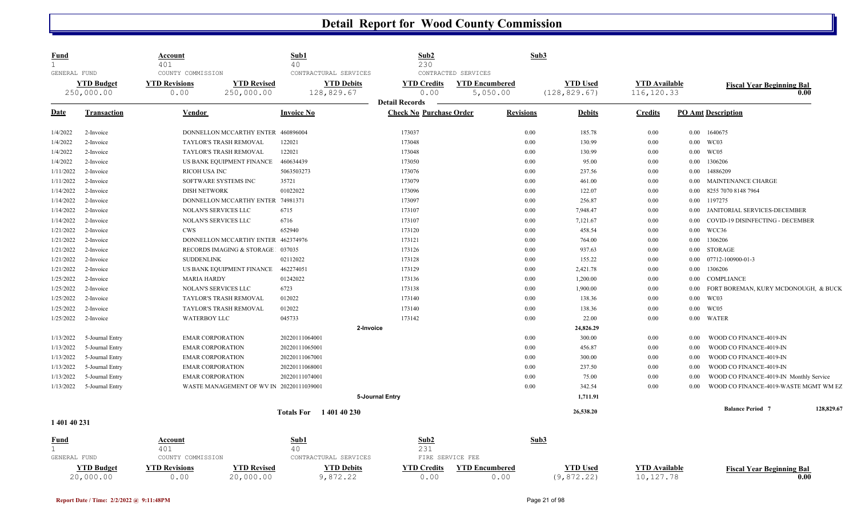| <b>YTD Revised</b><br><b>YTD Debits</b><br><b>YTD Encumbered</b><br><b>YTD Used</b><br><b>YTD Available</b><br><b>YTD Budget</b><br><b>YTD Revisions</b><br><b>YTD Credits</b><br>250,000.00<br>250,000.00<br>128,829.67<br>0.00<br>5,050.00<br>(128, 829.67)<br>116, 120.33<br>0.00<br><b>Detail Records</b><br><b>Check No Purchase Order</b><br><b>PO Amt Description</b><br>Date<br><b>Invoice No</b><br>Revisions<br><b>Debits</b><br><b>Credits</b><br>Transaction<br>Vendor<br>173037<br>0.00<br>185.78<br>1/4/2022<br>DONNELLON MCCARTHY ENTER<br>460896004<br>0.00<br>0.00 1640675<br>2-Invoice<br>0.00<br>WC03<br>1/4/2022<br><b>TAYLOR'S TRASH REMOVAL</b><br>122021<br>173048<br>130.99<br>0.00<br>0.00<br>2-Invoice<br>TAYLOR'S TRASH REMOVAL<br>122021<br>173048<br>0.00<br>130.99<br>0.00<br>WC05<br>1/4/2022<br>2-Invoice<br>0.00<br>460634439<br>173050<br>0.00<br>95.00<br>1306206<br>1/4/2022<br>US BANK EQUIPMENT FINANCE<br>0.00<br>$0.00\,$<br>2-Invoice<br>5063503273<br>173076<br>0.00<br>14886209<br>1/11/2022<br><b>RICOH USA INC</b><br>237.56<br>0.00<br>2-Invoice<br>0.00<br>461.00<br>1/11/2022<br>SOFTWARE SYSTEMS INC<br>35721<br>173079<br>0.00<br>0.00<br>0.00 MAINTENANCE CHARGE<br>2-Invoice<br>01022022<br>0.00<br>122.07<br>1/14/2022<br>2-Invoice<br><b>DISH NETWORK</b><br>173096<br>0.00<br>0.00<br>8255 7070 8148 7964<br>0.00<br>256.87<br>1197275<br>1/14/2022<br>2-Invoice<br>DONNELLON MCCARTHY ENTER 74981371<br>173097<br>0.00<br>$0.00\,$<br>0.00<br>1/14/2022<br><b>NOLAN'S SERVICES LLC</b><br>6715<br>173107<br>7,948.47<br>0.00<br>2-Invoice<br>0.00<br>NOLAN'S SERVICES LLC<br>6716<br>173107<br>0.00<br>7,121.67<br>0.00<br>1/14/2022<br>2-Invoice<br>0.00<br><b>CWS</b><br>652940<br>0.00<br>458.54<br>WCC36<br>1/21/2022<br>2-Invoice<br>173120<br>0.00<br>0.00<br>DONNELLON MCCARTHY ENTER 462374976<br>173121<br>0.00<br>1306206<br>1/21/2022<br>764.00<br>0.00<br>$0.00\,$<br>2-Invoice<br>173126<br><b>STORAGE</b><br>1/21/2022<br>RECORDS IMAGING & STORAGE<br>037035<br>0.00<br>937.63<br>0.00<br>2-Invoice<br>$0.00\,$<br><b>SUDDENLINK</b><br>02112022<br>173128<br>0.00<br>155.22<br>07712-100900-01-3<br>1/21/2022<br>2-Invoice<br>0.00<br>0.00<br>462274051<br>0.00<br>2,421.78<br>1306206<br>1/21/2022<br>US BANK EQUIPMENT FINANCE<br>173129<br>0.00<br>$0.00\,$<br>2-Invoice<br>01242022<br>1,200.00<br>1/25/2022<br>173136<br>0.00<br>COMPLIANCE<br>2-Invoice<br><b>MARIA HARDY</b><br>0.00<br>$0.00\,$<br>1/25/2022<br>NOLAN'S SERVICES LLC<br>6723<br>173138<br>0.00<br>1,900.00<br>0.00<br>0.00<br>2-Invoice<br>012022<br>173140<br>0.00<br>138.36<br>0.00<br>0.00<br>WC03<br>1/25/2022<br>2-Invoice<br>TAYLOR'S TRASH REMOVAL<br>WC05<br>012022<br>138.36<br>TAYLOR'S TRASH REMOVAL<br>173140<br>0.00<br>0.00<br>$0.00\,$<br>1/25/2022<br>2-Invoice<br>045733<br>173142<br>0.00<br>22.00<br>WATER<br>1/25/2022<br><b>WATERBOY LLC</b><br>0.00<br>0.00<br>2-Invoice<br>2-Invoice<br>24,826.29<br>300.00<br>5-Journal Entry<br><b>EMAR CORPORATION</b><br>20220111064001<br>0.00<br>0.00<br>1/13/2022<br>0.00<br>0.00<br>456.87<br>1/13/2022<br>5-Journal Entry<br><b>EMAR CORPORATION</b><br>20220111065001<br>0.00<br>0.00<br>1/13/2022<br>5-Journal Entry<br><b>EMAR CORPORATION</b><br>20220111067001<br>0.00<br>300.00<br>0.00<br>0.00<br>0.00<br>237.50<br>1/13/2022<br>5-Journal Entry<br><b>EMAR CORPORATION</b><br>20220111068001<br>0.00<br>0.00<br>5-Journal Entry<br>0.00<br>75.00<br>1/13/2022 | <b>Fiscal Year Beginning Bal</b><br>0.00 |
|---------------------------------------------------------------------------------------------------------------------------------------------------------------------------------------------------------------------------------------------------------------------------------------------------------------------------------------------------------------------------------------------------------------------------------------------------------------------------------------------------------------------------------------------------------------------------------------------------------------------------------------------------------------------------------------------------------------------------------------------------------------------------------------------------------------------------------------------------------------------------------------------------------------------------------------------------------------------------------------------------------------------------------------------------------------------------------------------------------------------------------------------------------------------------------------------------------------------------------------------------------------------------------------------------------------------------------------------------------------------------------------------------------------------------------------------------------------------------------------------------------------------------------------------------------------------------------------------------------------------------------------------------------------------------------------------------------------------------------------------------------------------------------------------------------------------------------------------------------------------------------------------------------------------------------------------------------------------------------------------------------------------------------------------------------------------------------------------------------------------------------------------------------------------------------------------------------------------------------------------------------------------------------------------------------------------------------------------------------------------------------------------------------------------------------------------------------------------------------------------------------------------------------------------------------------------------------------------------------------------------------------------------------------------------------------------------------------------------------------------------------------------------------------------------------------------------------------------------------------------------------------------------------------------------------------------------------------------------------------------------------------------------------------------------------------------------------------------------------------------------------------------------------------------------------------------------------------------------------------------------------------------------------------------------------------------------------------------------------------------------------------------------------------------------------------------------------------------------------------|------------------------------------------|
|                                                                                                                                                                                                                                                                                                                                                                                                                                                                                                                                                                                                                                                                                                                                                                                                                                                                                                                                                                                                                                                                                                                                                                                                                                                                                                                                                                                                                                                                                                                                                                                                                                                                                                                                                                                                                                                                                                                                                                                                                                                                                                                                                                                                                                                                                                                                                                                                                                                                                                                                                                                                                                                                                                                                                                                                                                                                                                                                                                                                                                                                                                                                                                                                                                                                                                                                                                                                                                                                                       |                                          |
|                                                                                                                                                                                                                                                                                                                                                                                                                                                                                                                                                                                                                                                                                                                                                                                                                                                                                                                                                                                                                                                                                                                                                                                                                                                                                                                                                                                                                                                                                                                                                                                                                                                                                                                                                                                                                                                                                                                                                                                                                                                                                                                                                                                                                                                                                                                                                                                                                                                                                                                                                                                                                                                                                                                                                                                                                                                                                                                                                                                                                                                                                                                                                                                                                                                                                                                                                                                                                                                                                       |                                          |
|                                                                                                                                                                                                                                                                                                                                                                                                                                                                                                                                                                                                                                                                                                                                                                                                                                                                                                                                                                                                                                                                                                                                                                                                                                                                                                                                                                                                                                                                                                                                                                                                                                                                                                                                                                                                                                                                                                                                                                                                                                                                                                                                                                                                                                                                                                                                                                                                                                                                                                                                                                                                                                                                                                                                                                                                                                                                                                                                                                                                                                                                                                                                                                                                                                                                                                                                                                                                                                                                                       |                                          |
|                                                                                                                                                                                                                                                                                                                                                                                                                                                                                                                                                                                                                                                                                                                                                                                                                                                                                                                                                                                                                                                                                                                                                                                                                                                                                                                                                                                                                                                                                                                                                                                                                                                                                                                                                                                                                                                                                                                                                                                                                                                                                                                                                                                                                                                                                                                                                                                                                                                                                                                                                                                                                                                                                                                                                                                                                                                                                                                                                                                                                                                                                                                                                                                                                                                                                                                                                                                                                                                                                       |                                          |
|                                                                                                                                                                                                                                                                                                                                                                                                                                                                                                                                                                                                                                                                                                                                                                                                                                                                                                                                                                                                                                                                                                                                                                                                                                                                                                                                                                                                                                                                                                                                                                                                                                                                                                                                                                                                                                                                                                                                                                                                                                                                                                                                                                                                                                                                                                                                                                                                                                                                                                                                                                                                                                                                                                                                                                                                                                                                                                                                                                                                                                                                                                                                                                                                                                                                                                                                                                                                                                                                                       |                                          |
|                                                                                                                                                                                                                                                                                                                                                                                                                                                                                                                                                                                                                                                                                                                                                                                                                                                                                                                                                                                                                                                                                                                                                                                                                                                                                                                                                                                                                                                                                                                                                                                                                                                                                                                                                                                                                                                                                                                                                                                                                                                                                                                                                                                                                                                                                                                                                                                                                                                                                                                                                                                                                                                                                                                                                                                                                                                                                                                                                                                                                                                                                                                                                                                                                                                                                                                                                                                                                                                                                       |                                          |
|                                                                                                                                                                                                                                                                                                                                                                                                                                                                                                                                                                                                                                                                                                                                                                                                                                                                                                                                                                                                                                                                                                                                                                                                                                                                                                                                                                                                                                                                                                                                                                                                                                                                                                                                                                                                                                                                                                                                                                                                                                                                                                                                                                                                                                                                                                                                                                                                                                                                                                                                                                                                                                                                                                                                                                                                                                                                                                                                                                                                                                                                                                                                                                                                                                                                                                                                                                                                                                                                                       |                                          |
|                                                                                                                                                                                                                                                                                                                                                                                                                                                                                                                                                                                                                                                                                                                                                                                                                                                                                                                                                                                                                                                                                                                                                                                                                                                                                                                                                                                                                                                                                                                                                                                                                                                                                                                                                                                                                                                                                                                                                                                                                                                                                                                                                                                                                                                                                                                                                                                                                                                                                                                                                                                                                                                                                                                                                                                                                                                                                                                                                                                                                                                                                                                                                                                                                                                                                                                                                                                                                                                                                       |                                          |
|                                                                                                                                                                                                                                                                                                                                                                                                                                                                                                                                                                                                                                                                                                                                                                                                                                                                                                                                                                                                                                                                                                                                                                                                                                                                                                                                                                                                                                                                                                                                                                                                                                                                                                                                                                                                                                                                                                                                                                                                                                                                                                                                                                                                                                                                                                                                                                                                                                                                                                                                                                                                                                                                                                                                                                                                                                                                                                                                                                                                                                                                                                                                                                                                                                                                                                                                                                                                                                                                                       |                                          |
|                                                                                                                                                                                                                                                                                                                                                                                                                                                                                                                                                                                                                                                                                                                                                                                                                                                                                                                                                                                                                                                                                                                                                                                                                                                                                                                                                                                                                                                                                                                                                                                                                                                                                                                                                                                                                                                                                                                                                                                                                                                                                                                                                                                                                                                                                                                                                                                                                                                                                                                                                                                                                                                                                                                                                                                                                                                                                                                                                                                                                                                                                                                                                                                                                                                                                                                                                                                                                                                                                       |                                          |
|                                                                                                                                                                                                                                                                                                                                                                                                                                                                                                                                                                                                                                                                                                                                                                                                                                                                                                                                                                                                                                                                                                                                                                                                                                                                                                                                                                                                                                                                                                                                                                                                                                                                                                                                                                                                                                                                                                                                                                                                                                                                                                                                                                                                                                                                                                                                                                                                                                                                                                                                                                                                                                                                                                                                                                                                                                                                                                                                                                                                                                                                                                                                                                                                                                                                                                                                                                                                                                                                                       | JANITORIAL SERVICES-DECEMBER             |
|                                                                                                                                                                                                                                                                                                                                                                                                                                                                                                                                                                                                                                                                                                                                                                                                                                                                                                                                                                                                                                                                                                                                                                                                                                                                                                                                                                                                                                                                                                                                                                                                                                                                                                                                                                                                                                                                                                                                                                                                                                                                                                                                                                                                                                                                                                                                                                                                                                                                                                                                                                                                                                                                                                                                                                                                                                                                                                                                                                                                                                                                                                                                                                                                                                                                                                                                                                                                                                                                                       | COVID-19 DISINFECTING - DECEMBER         |
|                                                                                                                                                                                                                                                                                                                                                                                                                                                                                                                                                                                                                                                                                                                                                                                                                                                                                                                                                                                                                                                                                                                                                                                                                                                                                                                                                                                                                                                                                                                                                                                                                                                                                                                                                                                                                                                                                                                                                                                                                                                                                                                                                                                                                                                                                                                                                                                                                                                                                                                                                                                                                                                                                                                                                                                                                                                                                                                                                                                                                                                                                                                                                                                                                                                                                                                                                                                                                                                                                       |                                          |
|                                                                                                                                                                                                                                                                                                                                                                                                                                                                                                                                                                                                                                                                                                                                                                                                                                                                                                                                                                                                                                                                                                                                                                                                                                                                                                                                                                                                                                                                                                                                                                                                                                                                                                                                                                                                                                                                                                                                                                                                                                                                                                                                                                                                                                                                                                                                                                                                                                                                                                                                                                                                                                                                                                                                                                                                                                                                                                                                                                                                                                                                                                                                                                                                                                                                                                                                                                                                                                                                                       |                                          |
|                                                                                                                                                                                                                                                                                                                                                                                                                                                                                                                                                                                                                                                                                                                                                                                                                                                                                                                                                                                                                                                                                                                                                                                                                                                                                                                                                                                                                                                                                                                                                                                                                                                                                                                                                                                                                                                                                                                                                                                                                                                                                                                                                                                                                                                                                                                                                                                                                                                                                                                                                                                                                                                                                                                                                                                                                                                                                                                                                                                                                                                                                                                                                                                                                                                                                                                                                                                                                                                                                       |                                          |
|                                                                                                                                                                                                                                                                                                                                                                                                                                                                                                                                                                                                                                                                                                                                                                                                                                                                                                                                                                                                                                                                                                                                                                                                                                                                                                                                                                                                                                                                                                                                                                                                                                                                                                                                                                                                                                                                                                                                                                                                                                                                                                                                                                                                                                                                                                                                                                                                                                                                                                                                                                                                                                                                                                                                                                                                                                                                                                                                                                                                                                                                                                                                                                                                                                                                                                                                                                                                                                                                                       |                                          |
|                                                                                                                                                                                                                                                                                                                                                                                                                                                                                                                                                                                                                                                                                                                                                                                                                                                                                                                                                                                                                                                                                                                                                                                                                                                                                                                                                                                                                                                                                                                                                                                                                                                                                                                                                                                                                                                                                                                                                                                                                                                                                                                                                                                                                                                                                                                                                                                                                                                                                                                                                                                                                                                                                                                                                                                                                                                                                                                                                                                                                                                                                                                                                                                                                                                                                                                                                                                                                                                                                       |                                          |
|                                                                                                                                                                                                                                                                                                                                                                                                                                                                                                                                                                                                                                                                                                                                                                                                                                                                                                                                                                                                                                                                                                                                                                                                                                                                                                                                                                                                                                                                                                                                                                                                                                                                                                                                                                                                                                                                                                                                                                                                                                                                                                                                                                                                                                                                                                                                                                                                                                                                                                                                                                                                                                                                                                                                                                                                                                                                                                                                                                                                                                                                                                                                                                                                                                                                                                                                                                                                                                                                                       |                                          |
|                                                                                                                                                                                                                                                                                                                                                                                                                                                                                                                                                                                                                                                                                                                                                                                                                                                                                                                                                                                                                                                                                                                                                                                                                                                                                                                                                                                                                                                                                                                                                                                                                                                                                                                                                                                                                                                                                                                                                                                                                                                                                                                                                                                                                                                                                                                                                                                                                                                                                                                                                                                                                                                                                                                                                                                                                                                                                                                                                                                                                                                                                                                                                                                                                                                                                                                                                                                                                                                                                       | FORT BOREMAN, KURY MCDONOUGH, & BUCK     |
|                                                                                                                                                                                                                                                                                                                                                                                                                                                                                                                                                                                                                                                                                                                                                                                                                                                                                                                                                                                                                                                                                                                                                                                                                                                                                                                                                                                                                                                                                                                                                                                                                                                                                                                                                                                                                                                                                                                                                                                                                                                                                                                                                                                                                                                                                                                                                                                                                                                                                                                                                                                                                                                                                                                                                                                                                                                                                                                                                                                                                                                                                                                                                                                                                                                                                                                                                                                                                                                                                       |                                          |
|                                                                                                                                                                                                                                                                                                                                                                                                                                                                                                                                                                                                                                                                                                                                                                                                                                                                                                                                                                                                                                                                                                                                                                                                                                                                                                                                                                                                                                                                                                                                                                                                                                                                                                                                                                                                                                                                                                                                                                                                                                                                                                                                                                                                                                                                                                                                                                                                                                                                                                                                                                                                                                                                                                                                                                                                                                                                                                                                                                                                                                                                                                                                                                                                                                                                                                                                                                                                                                                                                       |                                          |
|                                                                                                                                                                                                                                                                                                                                                                                                                                                                                                                                                                                                                                                                                                                                                                                                                                                                                                                                                                                                                                                                                                                                                                                                                                                                                                                                                                                                                                                                                                                                                                                                                                                                                                                                                                                                                                                                                                                                                                                                                                                                                                                                                                                                                                                                                                                                                                                                                                                                                                                                                                                                                                                                                                                                                                                                                                                                                                                                                                                                                                                                                                                                                                                                                                                                                                                                                                                                                                                                                       |                                          |
|                                                                                                                                                                                                                                                                                                                                                                                                                                                                                                                                                                                                                                                                                                                                                                                                                                                                                                                                                                                                                                                                                                                                                                                                                                                                                                                                                                                                                                                                                                                                                                                                                                                                                                                                                                                                                                                                                                                                                                                                                                                                                                                                                                                                                                                                                                                                                                                                                                                                                                                                                                                                                                                                                                                                                                                                                                                                                                                                                                                                                                                                                                                                                                                                                                                                                                                                                                                                                                                                                       |                                          |
|                                                                                                                                                                                                                                                                                                                                                                                                                                                                                                                                                                                                                                                                                                                                                                                                                                                                                                                                                                                                                                                                                                                                                                                                                                                                                                                                                                                                                                                                                                                                                                                                                                                                                                                                                                                                                                                                                                                                                                                                                                                                                                                                                                                                                                                                                                                                                                                                                                                                                                                                                                                                                                                                                                                                                                                                                                                                                                                                                                                                                                                                                                                                                                                                                                                                                                                                                                                                                                                                                       | WOOD CO FINANCE-4019-IN                  |
|                                                                                                                                                                                                                                                                                                                                                                                                                                                                                                                                                                                                                                                                                                                                                                                                                                                                                                                                                                                                                                                                                                                                                                                                                                                                                                                                                                                                                                                                                                                                                                                                                                                                                                                                                                                                                                                                                                                                                                                                                                                                                                                                                                                                                                                                                                                                                                                                                                                                                                                                                                                                                                                                                                                                                                                                                                                                                                                                                                                                                                                                                                                                                                                                                                                                                                                                                                                                                                                                                       | WOOD CO FINANCE-4019-IN                  |
|                                                                                                                                                                                                                                                                                                                                                                                                                                                                                                                                                                                                                                                                                                                                                                                                                                                                                                                                                                                                                                                                                                                                                                                                                                                                                                                                                                                                                                                                                                                                                                                                                                                                                                                                                                                                                                                                                                                                                                                                                                                                                                                                                                                                                                                                                                                                                                                                                                                                                                                                                                                                                                                                                                                                                                                                                                                                                                                                                                                                                                                                                                                                                                                                                                                                                                                                                                                                                                                                                       | WOOD CO FINANCE-4019-IN                  |
|                                                                                                                                                                                                                                                                                                                                                                                                                                                                                                                                                                                                                                                                                                                                                                                                                                                                                                                                                                                                                                                                                                                                                                                                                                                                                                                                                                                                                                                                                                                                                                                                                                                                                                                                                                                                                                                                                                                                                                                                                                                                                                                                                                                                                                                                                                                                                                                                                                                                                                                                                                                                                                                                                                                                                                                                                                                                                                                                                                                                                                                                                                                                                                                                                                                                                                                                                                                                                                                                                       | WOOD CO FINANCE-4019-IN                  |
| <b>EMAR CORPORATION</b><br>20220111074001<br>0.00<br>0.00                                                                                                                                                                                                                                                                                                                                                                                                                                                                                                                                                                                                                                                                                                                                                                                                                                                                                                                                                                                                                                                                                                                                                                                                                                                                                                                                                                                                                                                                                                                                                                                                                                                                                                                                                                                                                                                                                                                                                                                                                                                                                                                                                                                                                                                                                                                                                                                                                                                                                                                                                                                                                                                                                                                                                                                                                                                                                                                                                                                                                                                                                                                                                                                                                                                                                                                                                                                                                             | WOOD CO FINANCE-4019-IN Monthly Service  |
| 342.54<br>1/13/2022<br>5-Journal Entry<br>WASTE MANAGEMENT OF WV IN 20220111039001<br>0.00<br>0.00<br>0.00                                                                                                                                                                                                                                                                                                                                                                                                                                                                                                                                                                                                                                                                                                                                                                                                                                                                                                                                                                                                                                                                                                                                                                                                                                                                                                                                                                                                                                                                                                                                                                                                                                                                                                                                                                                                                                                                                                                                                                                                                                                                                                                                                                                                                                                                                                                                                                                                                                                                                                                                                                                                                                                                                                                                                                                                                                                                                                                                                                                                                                                                                                                                                                                                                                                                                                                                                                            | WOOD CO FINANCE-4019-WASTE MGMT WM EZ    |
| 5-Journal Entry<br>1,711.91                                                                                                                                                                                                                                                                                                                                                                                                                                                                                                                                                                                                                                                                                                                                                                                                                                                                                                                                                                                                                                                                                                                                                                                                                                                                                                                                                                                                                                                                                                                                                                                                                                                                                                                                                                                                                                                                                                                                                                                                                                                                                                                                                                                                                                                                                                                                                                                                                                                                                                                                                                                                                                                                                                                                                                                                                                                                                                                                                                                                                                                                                                                                                                                                                                                                                                                                                                                                                                                           |                                          |
| 26,538.20<br><b>Totals For</b> 140140230                                                                                                                                                                                                                                                                                                                                                                                                                                                                                                                                                                                                                                                                                                                                                                                                                                                                                                                                                                                                                                                                                                                                                                                                                                                                                                                                                                                                                                                                                                                                                                                                                                                                                                                                                                                                                                                                                                                                                                                                                                                                                                                                                                                                                                                                                                                                                                                                                                                                                                                                                                                                                                                                                                                                                                                                                                                                                                                                                                                                                                                                                                                                                                                                                                                                                                                                                                                                                                              | 128,829.67<br><b>Balance Period 7</b>    |
| 1 401 40 231                                                                                                                                                                                                                                                                                                                                                                                                                                                                                                                                                                                                                                                                                                                                                                                                                                                                                                                                                                                                                                                                                                                                                                                                                                                                                                                                                                                                                                                                                                                                                                                                                                                                                                                                                                                                                                                                                                                                                                                                                                                                                                                                                                                                                                                                                                                                                                                                                                                                                                                                                                                                                                                                                                                                                                                                                                                                                                                                                                                                                                                                                                                                                                                                                                                                                                                                                                                                                                                                          |                                          |
| Sub1<br>Sub <sub>2</sub><br>Sub3<br><u>Fund</u><br>Account                                                                                                                                                                                                                                                                                                                                                                                                                                                                                                                                                                                                                                                                                                                                                                                                                                                                                                                                                                                                                                                                                                                                                                                                                                                                                                                                                                                                                                                                                                                                                                                                                                                                                                                                                                                                                                                                                                                                                                                                                                                                                                                                                                                                                                                                                                                                                                                                                                                                                                                                                                                                                                                                                                                                                                                                                                                                                                                                                                                                                                                                                                                                                                                                                                                                                                                                                                                                                            |                                          |
| 231<br>$\mathbf{1}$<br>401<br>40                                                                                                                                                                                                                                                                                                                                                                                                                                                                                                                                                                                                                                                                                                                                                                                                                                                                                                                                                                                                                                                                                                                                                                                                                                                                                                                                                                                                                                                                                                                                                                                                                                                                                                                                                                                                                                                                                                                                                                                                                                                                                                                                                                                                                                                                                                                                                                                                                                                                                                                                                                                                                                                                                                                                                                                                                                                                                                                                                                                                                                                                                                                                                                                                                                                                                                                                                                                                                                                      |                                          |
| FIRE SERVICE FEE<br>GENERAL FUND<br>COUNTY COMMISSION<br>CONTRACTURAL SERVICES                                                                                                                                                                                                                                                                                                                                                                                                                                                                                                                                                                                                                                                                                                                                                                                                                                                                                                                                                                                                                                                                                                                                                                                                                                                                                                                                                                                                                                                                                                                                                                                                                                                                                                                                                                                                                                                                                                                                                                                                                                                                                                                                                                                                                                                                                                                                                                                                                                                                                                                                                                                                                                                                                                                                                                                                                                                                                                                                                                                                                                                                                                                                                                                                                                                                                                                                                                                                        |                                          |
| <b>YTD Budget</b><br><b>YTD Revisions</b><br><b>YTD Revised</b><br><b>YTD Debits</b><br><b>YTD Credits</b><br><b>YTD Encumbered</b><br><b>YTD Used</b><br><b>YTD Available</b><br><b>Fiscal Year Beginning Bal</b><br>20,000.00<br>9,872.22<br>0.00<br>(9, 872.22)<br>10,127.78<br>20,000.00<br>0.00<br>0.00                                                                                                                                                                                                                                                                                                                                                                                                                                                                                                                                                                                                                                                                                                                                                                                                                                                                                                                                                                                                                                                                                                                                                                                                                                                                                                                                                                                                                                                                                                                                                                                                                                                                                                                                                                                                                                                                                                                                                                                                                                                                                                                                                                                                                                                                                                                                                                                                                                                                                                                                                                                                                                                                                                                                                                                                                                                                                                                                                                                                                                                                                                                                                                          |                                          |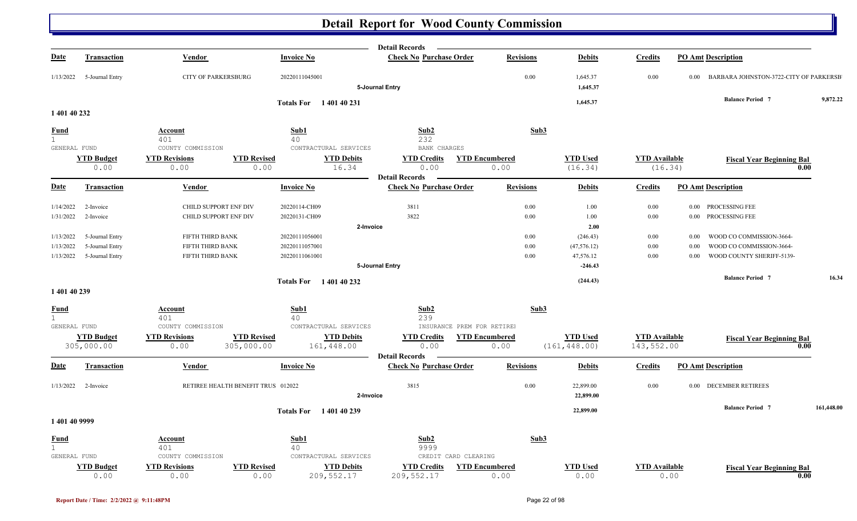|                             |                           |                                    |                                                          | <b>Detail Records</b>          |                               |                            |                                 |                                                    |            |
|-----------------------------|---------------------------|------------------------------------|----------------------------------------------------------|--------------------------------|-------------------------------|----------------------------|---------------------------------|----------------------------------------------------|------------|
| <b>Date</b>                 | <b>Transaction</b>        | Vendor                             | <b>Invoice No</b>                                        | <b>Check No Purchase Order</b> | <b>Revisions</b>              | <b>Debits</b>              | <b>Credits</b>                  | <b>PO Amt Description</b>                          |            |
| 1/13/2022                   | 5-Journal Entry           | <b>CITY OF PARKERSBURG</b>         | 20220111045001                                           | 5-Journal Entry                | 0.00                          | 1,645.37<br>1,645.37       | 0.00                            | BARBARA JOHNSTON-3722-CITY OF PARKERSB<br>$0.00\,$ |            |
|                             |                           |                                    | Totals For 140140231                                     |                                |                               | 1,645.37                   |                                 | <b>Balance Period 7</b>                            | 9,872.22   |
| 1 401 40 232                |                           |                                    |                                                          |                                |                               |                            |                                 |                                                    |            |
| <u>Fund</u>                 |                           | Account                            | Sub1                                                     | Sub2                           | Sub3                          |                            |                                 |                                                    |            |
| $\mathbf 1$                 |                           | 401                                | 40                                                       | 232                            |                               |                            |                                 |                                                    |            |
| GENERAL FUND                |                           | COUNTY COMMISSION                  | CONTRACTURAL SERVICES                                    | BANK CHARGES                   |                               |                            |                                 |                                                    |            |
|                             | <b>YTD Budget</b><br>0.00 | <b>YTD Revisions</b><br>0.00       | <b>YTD Revised</b><br><b>YTD Debits</b><br>0.00<br>16.34 | <b>YTD Credits</b><br>0.00     | <b>YTD Encumbered</b><br>0.00 | <b>YTD</b> Used<br>(16.34) | <b>YTD</b> Available<br>(16.34) | <b>Fiscal Year Beginning Bal</b>                   | 0.00       |
|                             |                           |                                    |                                                          | <b>Detail Records</b>          |                               |                            |                                 |                                                    |            |
| <b>Date</b>                 | <b>Transaction</b>        | <b>Vendor</b>                      | <b>Invoice No</b>                                        | <b>Check No Purchase Order</b> | <b>Revisions</b>              | <b>Debits</b>              | <b>Credits</b>                  | <b>PO Amt Description</b>                          |            |
| 1/14/2022                   | 2-Invoice                 | CHILD SUPPORT ENF DIV              | 20220114-CH09                                            | 3811                           | 0.00                          | 1.00                       | 0.00                            | 0.00 PROCESSING FEE                                |            |
| 1/31/2022                   | 2-Invoice                 | CHILD SUPPORT ENF DIV              | 20220131-CH09                                            | 3822                           | 0.00                          | 1.00                       | 0.00                            | 0.00 PROCESSING FEE                                |            |
|                             |                           |                                    |                                                          | 2-Invoice                      |                               | 2.00                       |                                 |                                                    |            |
| 1/13/2022                   | 5-Journal Entry           | FIFTH THIRD BANK                   | 20220111056001                                           |                                | $0.00\,$                      | (246.43)                   | 0.00                            | WOOD CO COMMISSION-3664-<br>0.00                   |            |
| 1/13/2022                   | 5-Journal Entry           | FIFTH THIRD BANK                   | 20220111057001                                           |                                | 0.00                          | (47, 576.12)               | 0.00                            | WOOD CO COMMISSION-3664-<br>0.00                   |            |
| 1/13/2022                   | 5-Journal Entry           | FIFTH THIRD BANK                   | 20220111061001                                           |                                | 0.00                          | 47,576.12                  | 0.00                            | WOOD COUNTY SHERIFF-5139-<br>0.00                  |            |
|                             |                           |                                    |                                                          | 5-Journal Entry                |                               | $-246.43$                  |                                 |                                                    |            |
|                             |                           |                                    | <b>Totals For</b> 140140232                              |                                |                               | (244.43)                   |                                 | <b>Balance Period 7</b>                            | 16.34      |
| 1 401 40 239                |                           |                                    |                                                          |                                |                               |                            |                                 |                                                    |            |
| <u>Fund</u><br>$\mathbf{1}$ |                           | <b>Account</b><br>401              | Sub1<br>40                                               | Sub2<br>239                    | Sub3                          |                            |                                 |                                                    |            |
| GENERAL FUND                |                           | COUNTY COMMISSION                  | CONTRACTURAL SERVICES                                    | INSURANCE PREM FOR RETIRE!     |                               |                            |                                 |                                                    |            |
|                             | <b>YTD Budget</b>         | <b>YTD Revisions</b>               | <b>YTD Revised</b><br><b>YTD Debits</b>                  | <b>YTD Credits</b>             | <b>YTD Encumbered</b>         | <b>YTD Used</b>            | <b>YTD Available</b>            | <b>Fiscal Year Beginning Bal</b>                   |            |
|                             | 305,000.00                | 305,000.00<br>0.00                 | 161,448.00                                               | 0.00                           | 0.00                          | (161, 448.00)              | 143,552.00                      |                                                    | 0.00       |
|                             |                           |                                    |                                                          | <b>Detail Records</b>          |                               |                            |                                 |                                                    |            |
| <b>Date</b>                 | <b>Transaction</b>        | Vendor                             | <b>Invoice No</b>                                        | <b>Check No Purchase Order</b> | <b>Revisions</b>              | <b>Debits</b>              | <b>Credits</b>                  | <b>PO Amt Description</b>                          |            |
| 1/13/2022                   | 2-Invoice                 | RETIREE HEALTH BENEFIT TRUS 012022 |                                                          | 3815                           | 0.00                          | 22,899.00                  | 0.00                            | 0.00 DECEMBER RETIREES                             |            |
|                             |                           |                                    |                                                          | 2-Invoice                      |                               | 22,899.00                  |                                 |                                                    |            |
|                             |                           |                                    | <b>Totals For</b> 140140239                              |                                |                               | 22,899.00                  |                                 | <b>Balance Period 7</b>                            | 161,448.00 |
| 1401409999                  |                           |                                    |                                                          |                                |                               |                            |                                 |                                                    |            |
| <u>Fund</u>                 |                           | <b>Account</b>                     | Sub1                                                     | Sub2                           | Sub3                          |                            |                                 |                                                    |            |
| $\mathbf{1}$                |                           | 401                                | 40                                                       | 9999                           |                               |                            |                                 |                                                    |            |
| GENERAL FUND                |                           | COUNTY COMMISSION                  | CONTRACTURAL SERVICES                                    | CREDIT CARD CLEARING           |                               |                            |                                 |                                                    |            |
|                             | <b>YTD Budget</b>         | <b>YTD Revisions</b>               | <b>YTD Revised</b><br><b>YTD Debits</b>                  | <b>YTD Credits</b>             | <b>YTD Encumbered</b>         | <b>YTD Used</b>            | <b>YTD</b> Available            | <b>Fiscal Year Beginning Bal</b>                   |            |
|                             | 0.00                      | 0.00                               | 209, 552.17<br>0.00                                      | 209, 552.17                    | 0.00                          | 0.00                       |                                 | 0.00                                               | 0.00       |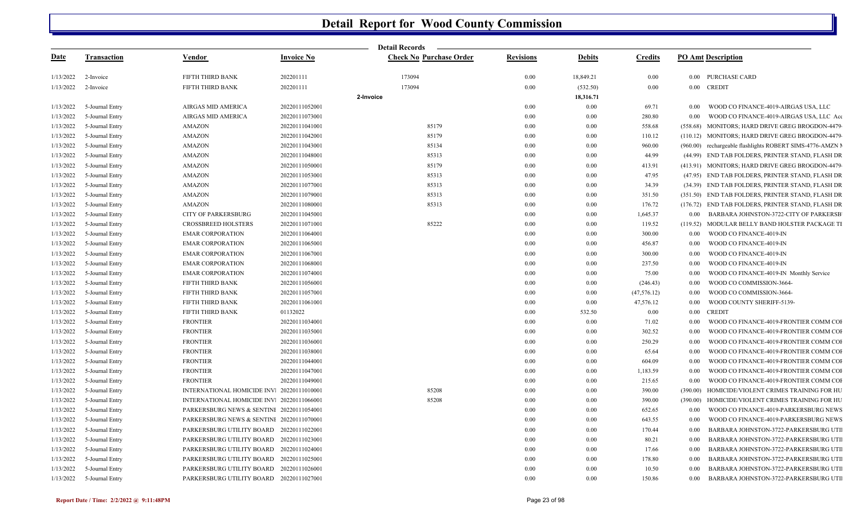|             |                    |                                            |                   | <b>Detail Records</b>          |                  |               |                |                                                           |  |
|-------------|--------------------|--------------------------------------------|-------------------|--------------------------------|------------------|---------------|----------------|-----------------------------------------------------------|--|
| <u>Date</u> | <b>Transaction</b> | <u>Vendor</u>                              | <b>Invoice No</b> | <b>Check No Purchase Order</b> | <b>Revisions</b> | <b>Debits</b> | <b>Credits</b> | <b>PO Amt Description</b>                                 |  |
| 1/13/2022   | 2-Invoice          | FIFTH THIRD BANK                           | 202201111         | 173094                         | 0.00             | 18,849.21     | $0.00\,$       | 0.00 PURCHASE CARD                                        |  |
| 1/13/2022   | 2-Invoice          | FIFTH THIRD BANK                           | 202201111         | 173094                         | 0.00             | (532.50)      | $0.00\,$       | 0.00 CREDIT                                               |  |
|             |                    |                                            |                   | 2-Invoice                      |                  | 18,316.71     |                |                                                           |  |
| 1/13/2022   | 5-Journal Entry    | AIRGAS MID AMERICA                         | 20220111052001    |                                | 0.00             | 0.00          | 69.71          | WOOD CO FINANCE-4019-AIRGAS USA, LLC<br>0.00              |  |
| 1/13/2022   | 5-Journal Entry    | AIRGAS MID AMERICA                         | 20220111073001    |                                | 0.00             | 0.00          | 280.80         | 0.00<br>WOOD CO FINANCE-4019-AIRGAS USA, LLC Ace          |  |
| 1/13/2022   | 5-Journal Entry    | AMAZON                                     | 20220111041001    | 85179                          | 0.00             | 0.00          | 558.68         | (558.68) MONITORS; HARD DRIVE GREG BROGDON-4479           |  |
| 1/13/2022   | 5-Journal Entry    | <b>AMAZON</b>                              | 20220111042001    | 85179                          | 0.00             | 0.00          | 110.12         | (110.12) MONITORS; HARD DRIVE GREG BROGDON-4479           |  |
| 1/13/2022   | 5-Journal Entry    | <b>AMAZON</b>                              | 20220111043001    | 85134                          | 0.00             | 0.00          | 960.00         | (960.00) rechargeable flashlights ROBERT SIMS-4776-AMZN N |  |
| 1/13/2022   | 5-Journal Entry    | AMAZON                                     | 20220111048001    | 85313                          | 0.00             | 0.00          | 44.99          | (44.99) END TAB FOLDERS, PRINTER STAND, FLASH DR          |  |
| 1/13/2022   | 5-Journal Entry    | AMAZON                                     | 20220111050001    | 85179                          | 0.00             | 0.00          | 413.91         | (413.91) MONITORS; HARD DRIVE GREG BROGDON-4479           |  |
| 1/13/2022   | 5-Journal Entry    | AMAZON                                     | 20220111053001    | 85313                          | 0.00             | 0.00          | 47.95          | (47.95) END TAB FOLDERS, PRINTER STAND, FLASH DR          |  |
| 1/13/2022   | 5-Journal Entry    | AMAZON                                     | 20220111077001    | 85313                          | 0.00             | 0.00          | 34.39          | (34.39) END TAB FOLDERS, PRINTER STAND, FLASH DR          |  |
| 1/13/2022   | 5-Journal Entry    | AMAZON                                     | 20220111079001    | 85313                          | 0.00             | 0.00          | 351.50         | (351.50) END TAB FOLDERS, PRINTER STAND, FLASH DR         |  |
| 1/13/2022   | 5-Journal Entry    | <b>AMAZON</b>                              | 20220111080001    | 85313                          | 0.00             | 0.00          | 176.72         | (176.72) END TAB FOLDERS, PRINTER STAND, FLASH DR         |  |
| 1/13/2022   | 5-Journal Entry    | <b>CITY OF PARKERSBURG</b>                 | 20220111045001    |                                | 0.00             | 0.00          | 1,645.37       | BARBARA JOHNSTON-3722-CITY OF PARKERSB<br>0.00            |  |
| 1/13/2022   | 5-Journal Entry    | <b>CROSSBREED HOLSTERS</b>                 | 20220111071001    | 85222                          | 0.00             | 0.00          | 119.52         | (119.52) MODULAR BELLY BAND HOLSTER PACKAGE TI            |  |
| 1/13/2022   | 5-Journal Entry    | <b>EMAR CORPORATION</b>                    | 20220111064001    |                                | 0.00             | 0.00          | 300.00         | 0.00<br>WOOD CO FINANCE-4019-IN                           |  |
| 1/13/2022   | 5-Journal Entry    | <b>EMAR CORPORATION</b>                    | 20220111065001    |                                | 0.00             | 0.00          | 456.87         | 0.00<br>WOOD CO FINANCE-4019-IN                           |  |
| 1/13/2022   | 5-Journal Entry    | <b>EMAR CORPORATION</b>                    | 20220111067001    |                                | 0.00             | 0.00          | 300.00         | 0.00<br>WOOD CO FINANCE-4019-IN                           |  |
| 1/13/2022   | 5-Journal Entry    | <b>EMAR CORPORATION</b>                    | 20220111068001    |                                | 0.00             | 0.00          | 237.50         | 0.00<br>WOOD CO FINANCE-4019-IN                           |  |
| 1/13/2022   | 5-Journal Entry    | <b>EMAR CORPORATION</b>                    | 20220111074001    |                                | 0.00             | 0.00          | 75.00          | WOOD CO FINANCE-4019-IN Monthly Service<br>0.00           |  |
| 1/13/2022   | 5-Journal Entry    | FIFTH THIRD BANK                           | 20220111056001    |                                | 0.00             | 0.00          | (246.43)       | 0.00<br>WOOD CO COMMISSION-3664-                          |  |
| 1/13/2022   | 5-Journal Entry    | FIFTH THIRD BANK                           | 20220111057001    |                                | 0.00             | 0.00          | (47, 576.12)   | 0.00<br>WOOD CO COMMISSION-3664-                          |  |
| 1/13/2022   | 5-Journal Entry    | FIFTH THIRD BANK                           | 20220111061001    |                                | 0.00             | 0.00          | 47,576.12      | WOOD COUNTY SHERIFF-5139-<br>0.00                         |  |
| 1/13/2022   | 5-Journal Entry    | FIFTH THIRD BANK                           | 01132022          |                                | 0.00             | 532.50        | 0.00           | <b>CREDIT</b><br>0.00                                     |  |
| 1/13/2022   | 5-Journal Entry    | <b>FRONTIER</b>                            | 20220111034001    |                                | 0.00             | 0.00          | 71.02          | WOOD CO FINANCE-4019-FRONTIER COMM COI<br>0.00            |  |
| 1/13/2022   | 5-Journal Entry    | <b>FRONTIER</b>                            | 20220111035001    |                                | 0.00             | 0.00          | 302.52         | WOOD CO FINANCE-4019-FRONTIER COMM COI<br>0.00            |  |
| 1/13/2022   | 5-Journal Entry    | <b>FRONTIER</b>                            | 20220111036001    |                                | 0.00             | 0.00          | 250.29         | 0.00<br>WOOD CO FINANCE-4019-FRONTIER COMM COI            |  |
| 1/13/2022   | 5-Journal Entry    | <b>FRONTIER</b>                            | 20220111038001    |                                | 0.00             | 0.00          | 65.64          | 0.00<br>WOOD CO FINANCE-4019-FRONTIER COMM COI            |  |
| 1/13/2022   | 5-Journal Entry    | <b>FRONTIER</b>                            | 20220111044001    |                                | 0.00             | 0.00          | 604.09         | WOOD CO FINANCE-4019-FRONTIER COMM COI<br>0.00            |  |
| 1/13/2022   | 5-Journal Entry    | <b>FRONTIER</b>                            | 20220111047001    |                                | 0.00             | 0.00          | 1,183.59       | 0.00<br>WOOD CO FINANCE-4019-FRONTIER COMM COI            |  |
| 1/13/2022   | 5-Journal Entry    | <b>FRONTIER</b>                            | 20220111049001    |                                | 0.00             | 0.00          | 215.65         | 0.00<br>WOOD CO FINANCE-4019-FRONTIER COMM COI            |  |
| 1/13/2022   | 5-Journal Entry    | INTERNATIONAL HOMICIDE INV. 20220111010001 |                   | 85208                          | 0.00             | 0.00          | 390.00         | HOMICIDE/VIOLENT CRIMES TRAINING FOR HU<br>(390.00)       |  |
| 1/13/2022   | 5-Journal Entry    | INTERNATIONAL HOMICIDE INV. 20220111066001 |                   | 85208                          | 0.00             | 0.00          | 390.00         | (390.00) HOMICIDE/VIOLENT CRIMES TRAINING FOR HU          |  |
| 1/13/2022   | 5-Journal Entry    | PARKERSBURG NEWS & SENTINI 20220111054001  |                   |                                | 0.00             | 0.00          | 652.65         | 0.00<br>WOOD CO FINANCE-4019-PARKERSBURG NEWS             |  |
| 1/13/2022   | 5-Journal Entry    | PARKERSBURG NEWS & SENTINI 20220111070001  |                   |                                | 0.00             | 0.00          | 643.55         | WOOD CO FINANCE-4019-PARKERSBURG NEWS<br>0.00             |  |
| 1/13/2022   | 5-Journal Entry    | PARKERSBURG UTILITY BOARD 20220111022001   |                   |                                | 0.00             | 0.00          | 170.44         | 0.00<br>BARBARA JOHNSTON-3722-PARKERSBURG UTI             |  |
| 1/13/2022   | 5-Journal Entry    | PARKERSBURG UTILITY BOARD 20220111023001   |                   |                                | 0.00             | 0.00          | 80.21          | BARBARA JOHNSTON-3722-PARKERSBURG UTI<br>0.00             |  |
| 1/13/2022   | 5-Journal Entry    | PARKERSBURG UTILITY BOARD 20220111024001   |                   |                                | 0.00             | 0.00          | 17.66          | BARBARA JOHNSTON-3722-PARKERSBURG UTI<br>0.00             |  |
| 1/13/2022   | 5-Journal Entry    | PARKERSBURG UTILITY BOARD 20220111025001   |                   |                                | 0.00             | 0.00          | 178.80         | BARBARA JOHNSTON-3722-PARKERSBURG UTI<br>0.00             |  |
| 1/13/2022   | 5-Journal Entry    | PARKERSBURG UTILITY BOARD 20220111026001   |                   |                                | 0.00             | 0.00          | 10.50          | BARBARA JOHNSTON-3722-PARKERSBURG UTI<br>0.00             |  |
| 1/13/2022   | 5-Journal Entry    | PARKERSBURG UTILITY BOARD 20220111027001   |                   |                                | 0.00             | 0.00          | 150.86         | BARBARA JOHNSTON-3722-PARKERSBURG UTI<br>0.00             |  |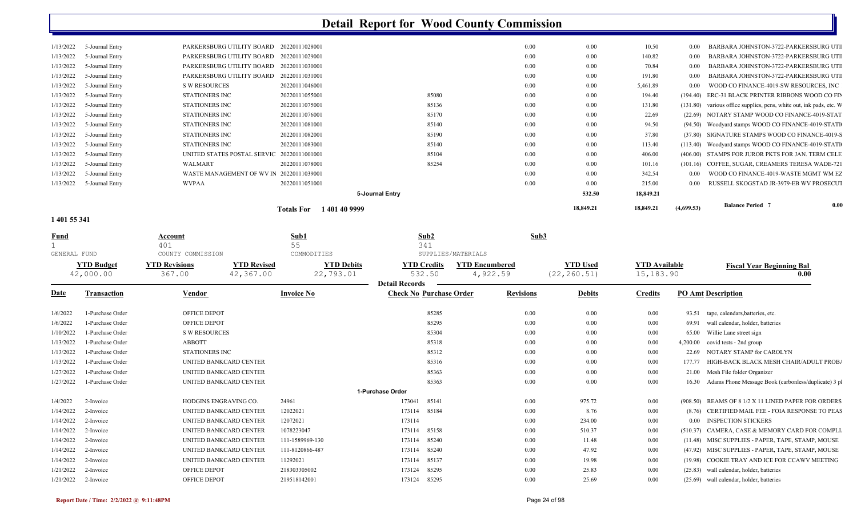|                 |                                            | Totals For 140140 9999 |                 |      | 18,849.21 | 18,849.21 | (4,699.53) | <b>Balance Period 7</b>                                             | 0.00 |
|-----------------|--------------------------------------------|------------------------|-----------------|------|-----------|-----------|------------|---------------------------------------------------------------------|------|
|                 |                                            |                        | 5-Journal Entry |      | 532.50    | 18,849.21 |            |                                                                     |      |
| 5-Journal Entry | <b>WVPAA</b>                               | 20220111051001         |                 | 0.00 | 0.00      | 215.00    | 0.00       | RUSSELL SKOGSTAD JR-3979-EB WV PROSECUT                             |      |
| 5-Journal Entry | WASTE MANAGEMENT OF WV IN 20220111039001   |                        |                 | 0.00 | 0.00      | 342.54    | 0.00       | WOOD CO FINANCE-4019-WASTE MGMT WM EZ                               |      |
| 5-Journal Entry | WALMART                                    | 20220111078001         | 85254           | 0.00 | 0.00      | 101.16    |            | (101.16) COFFEE, SUGAR, CREAMERS TERESA WADE-721                    |      |
| 5-Journal Entry | UNITED STATES POSTAL SERVIC 20220111001001 |                        | 85104           | 0.00 | 0.00      | 406.00    |            | (406.00) STAMPS FOR JUROR PKTS FOR JAN. TERM CELE                   |      |
| 5-Journal Entry | STATIONERS INC                             | 20220111083001         | 85140           | 0.00 | 0.00      | 113.40    |            | (113.40) Woodyard stamps WOOD CO FINANCE-4019-STATI                 |      |
| 5-Journal Entry | STATIONERS INC                             | 20220111082001         | 85190           | 0.00 | 0.00      | 37.80     |            | (37.80) SIGNATURE STAMPS WOOD CO FINANCE-4019-S                     |      |
| 5-Journal Entry | STATIONERS INC                             | 20220111081001         | 85140           | 0.00 | 0.00      | 94.50     |            | (94.50) Woodyard stamps WOOD CO FINANCE-4019-STATI                  |      |
| 5-Journal Entry | STATIONERS INC                             | 20220111076001         | 85170           | 0.00 | 0.00      | 22.69     |            | (22.69) NOTARY STAMP WOOD CO FINANCE-4019-STAT                      |      |
| 5-Journal Entry | STATIONERS INC                             | 20220111075001         | 85136           | 0.00 | 0.00      | 131.80    |            | (131.80) various office supplies, pens, white out, ink pads, etc. W |      |
| 5-Journal Entry | STATIONERS INC                             | 20220111055001         | 85080           | 0.00 | 0.00      | 194.40    |            | (194.40) ERC-31 BLACK PRINTER RIBBONS WOOD CO FIN                   |      |
| 5-Journal Entry | S W RESOURCES                              | 20220111046001         |                 | 0.00 | $0.00\,$  | 5,461.89  | $0.00\,$   | WOOD CO FINANCE-4019-SW RESOURCES, INC                              |      |
| 5-Journal Entry | PARKERSBURG UTILITY BOARD 20220111031001   |                        |                 | 0.00 | 0.00      | 191.80    | 0.00       | BARBARA JOHNSTON-3722-PARKERSBURG UTI                               |      |
| 5-Journal Entry | PARKERSBURG UTILITY BOARD 20220111030001   |                        |                 | 0.00 | 0.00      | 70.84     | 0.00       | BARBARA JOHNSTON-3722-PARKERSBURG UTI                               |      |
| 5-Journal Entry | PARKERSBURG UTILITY BOARD 20220111029001   |                        |                 | 0.00 | 0.00      | 140.82    | 0.00       | BARBARA JOHNSTON-3722-PARKERSBURG UTI                               |      |
| 5-Journal Entry | PARKERSBURG UTILITY BOARD 20220111028001   |                        |                 | 0.00 | 0.00      | 10.50     | $0.00\,$   | BARBARA JOHNSTON-3722-PARKERSBURG UTI                               |      |
|                 |                                            |                        |                 |      |           |           |            |                                                                     |      |

#### **1 401 55 341**

| <b>Fund</b><br>GENERAL FUND |                                | Account<br>401<br>COUNTY COMMISSION |                                 | Sub1<br>55<br>COMMODITIES      | 341                                         | Sub2   | SUPPLIES/MATERIALS                | Sub3             |                                 |                                   |          |                                                      |
|-----------------------------|--------------------------------|-------------------------------------|---------------------------------|--------------------------------|---------------------------------------------|--------|-----------------------------------|------------------|---------------------------------|-----------------------------------|----------|------------------------------------------------------|
|                             | <b>YTD Budget</b><br>42,000.00 | <b>YTD Revisions</b><br>367.00      | <b>YTD Revised</b><br>42,367.00 | <b>YTD Debits</b><br>22,793.01 | <b>YTD Credits</b><br><b>Detail Records</b> | 532.50 | <b>YTD Encumbered</b><br>4,922.59 |                  | <b>YTD Used</b><br>(22, 260.51) | <b>YTD Available</b><br>15,183.90 |          | <b>Fiscal Year Beginning Bal</b><br>0.00             |
| <b>Date</b>                 | <b>Transaction</b>             | Vendor                              |                                 | <b>Invoice No</b>              | <b>Check No Purchase Order</b>              |        |                                   | <b>Revisions</b> | <b>Debits</b>                   | <b>Credits</b>                    |          | <b>PO Amt Description</b>                            |
| 1/6/2022                    | 1-Purchase Order               | <b>OFFICE DEPOT</b>                 |                                 |                                |                                             | 85285  |                                   | $0.00\,$         | 0.00                            | 0.00                              | 93.51    | tape, calendars, batteries, etc.                     |
| 1/6/2022                    | 1-Purchase Order               | <b>OFFICE DEPOT</b>                 |                                 |                                |                                             | 85295  |                                   | $0.00\,$         | 0.00                            | 0.00                              | 69.91    | wall calendar, holder, batteries                     |
| 1/10/2022                   | 1-Purchase Order               | <b>S W RESOURCES</b>                |                                 |                                |                                             | 85304  |                                   | 0.00             | 0.00                            | 0.00                              | 65.00    | Willie Lane street sign                              |
| 1/13/2022                   | 1-Purchase Order               | <b>ABBOTT</b>                       |                                 |                                |                                             | 85318  |                                   | 0.00             | 0.00                            | 0.00                              | 4,200.00 | covid tests - 2nd group                              |
| 1/13/2022                   | 1-Purchase Order               | <b>STATIONERS INC</b>               |                                 |                                |                                             | 85312  |                                   | 0.00             | 0.00                            | 0.00                              | 22.69    | NOTARY STAMP for CAROLYN                             |
| 1/13/2022                   | 1-Purchase Order               | UNITED BANKCARD CENTER              |                                 |                                |                                             | 85316  |                                   | 0.00             | 0.00                            | 0.00                              | 177.77   | HIGH-BACK BLACK MESH CHAIR/ADULT PROBA               |
| 1/27/2022                   | 1-Purchase Order               | UNITED BANKCARD CENTER              |                                 |                                |                                             | 85363  |                                   | 0.00             | 0.00                            | 0.00                              | 21.00    | Mesh File folder Organizer                           |
| 1/27/2022                   | 1-Purchase Order               | UNITED BANKCARD CENTER              |                                 |                                |                                             | 85363  |                                   | 0.00             | 0.00                            | 0.00                              | 16.30    | Adams Phone Message Book (carbonless/duplicate) 3 pl |
|                             |                                |                                     |                                 |                                | 1-Purchase Order                            |        |                                   |                  |                                 |                                   |          |                                                      |
| 1/4/2022                    | 2-Invoice                      | HODGINS ENGRAVING CO.               |                                 | 24961                          | 173041                                      | 85141  |                                   | $0.00\,$         | 975.72                          | 0.00                              |          | (908.50) REAMS OF 8 1/2 X 11 LINED PAPER FOR ORDERS  |
| 1/14/2022                   | 2-Invoice                      | <b>UNITED BANKCARD CENTER</b>       |                                 | 12022021                       | 173114                                      | 85184  |                                   | 0.00             | 8.76                            | 0.00                              |          | (8.76) CERTIFIED MAIL FEE - FOIA RESPONSE TO PEAS    |
| 1/14/2022                   | 2-Invoice                      | UNITED BANKCARD CENTER              |                                 | 12072021                       | 173114                                      |        |                                   | 0.00             | 234.00                          | 0.00                              | 0.00     | <b>INSPECTION STICKERS</b>                           |
| 1/14/2022                   | 2-Invoice                      | UNITED BANKCARD CENTER              |                                 | 1078223047                     | 173114                                      | 85158  |                                   | 0.00             | 510.37                          | 0.00                              | (510.37) | CAMERA, CASE & MEMORY CARD FOR COMPLI.               |
| 1/14/2022                   | 2-Invoice                      | UNITED BANKCARD CENTER              |                                 | 111-1589969-130                | 173114                                      | 85240  |                                   | 0.00             | 11.48                           | 0.00                              | (11.48)  | MISC SUPPLIES - PAPER, TAPE, STAMP, MOUSE            |
| 1/14/2022                   | 2-Invoice                      | UNITED BANKCARD CENTER              |                                 | 111-8120866-487                | 173114                                      | 85240  |                                   | 0.00             | 47.92                           | 0.00                              |          | (47.92) MISC SUPPLIES - PAPER, TAPE, STAMP, MOUSE    |
| 1/14/2022                   | 2-Invoice                      | UNITED BANKCARD CENTER              |                                 | 11292021                       | 173114                                      | 85137  |                                   | 0.00             | 19.98                           | 0.00                              | (19.98)  | COOKIE TRAY AND ICE FOR CCAWV MEETING                |
| 1/21/2022                   | 2-Invoice                      | <b>OFFICE DEPOT</b>                 |                                 | 218303305002                   | 173124                                      | 85295  |                                   | 0.00             | 25.83                           | 0.00                              | (25.83)  | wall calendar, holder, batteries                     |
| 1/21/2022                   | 2-Invoice                      | OFFICE DEPOT                        |                                 | 219518142001                   | 173124                                      | 85295  |                                   | 0.00             | 25.69                           | 0.00                              |          | (25.69) wall calendar, holder, batteries             |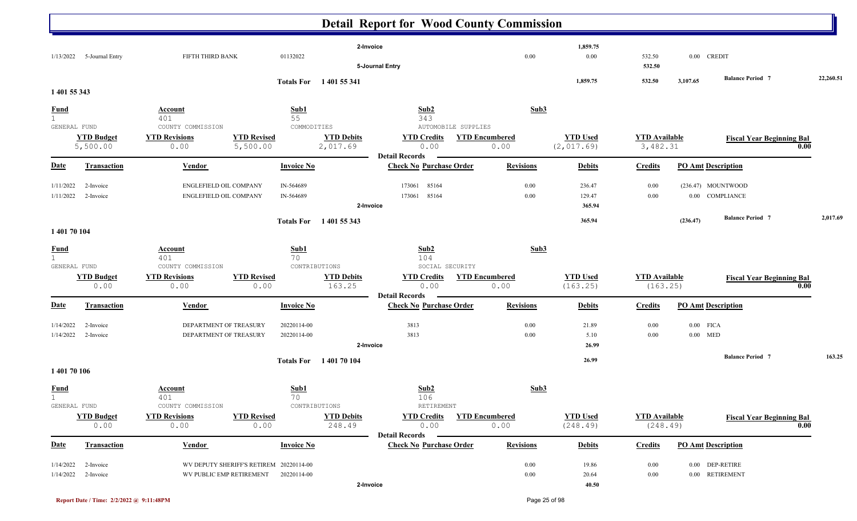|                       |                               |                                                                |                   |                               | 2-Invoice                                               |                               | 1,859.75                       |                                  |                           |                                  |           |
|-----------------------|-------------------------------|----------------------------------------------------------------|-------------------|-------------------------------|---------------------------------------------------------|-------------------------------|--------------------------------|----------------------------------|---------------------------|----------------------------------|-----------|
|                       | 1/13/2022 5-Journal Entry     | FIFTH THIRD BANK                                               | 01132022          |                               | 5-Journal Entry                                         | 0.00                          | $0.00\,$                       | 532.50<br>532.50                 | 0.00 CREDIT               |                                  |           |
|                       |                               |                                                                |                   | Totals For 1401 55 341        |                                                         |                               | 1,859.75                       | 532.50                           | 3,107.65                  | <b>Balance Period 7</b>          | 22,260.51 |
| 1 401 55 343          |                               |                                                                |                   |                               |                                                         |                               |                                |                                  |                           |                                  |           |
| $rac{\text{Fund}}{1}$ |                               | <b>Account</b>                                                 | Sub1              |                               | Sub2                                                    | Sub3                          |                                |                                  |                           |                                  |           |
| GENERAL FUND          |                               | 401<br>COUNTY COMMISSION                                       | 55<br>COMMODITIES |                               | 343<br>AUTOMOBILE SUPPLIES                              |                               |                                |                                  |                           |                                  |           |
|                       | <b>YTD Budget</b><br>5,500.00 | <b>YTD Revisions</b><br><b>YTD Revised</b><br>5,500.00<br>0.00 |                   | <b>YTD Debits</b><br>2,017.69 | <b>YTD Credits</b><br>0.00                              | <b>YTD Encumbered</b><br>0.00 | <b>YTD Used</b><br>(2, 017.69) | <b>YTD Available</b><br>3,482.31 |                           | <b>Fiscal Year Beginning Bal</b> | 0.00      |
| <b>Date</b>           | Transaction                   | Vendor                                                         | <b>Invoice No</b> |                               | <b>Detail Records</b><br><b>Check No Purchase Order</b> | <b>Revisions</b>              | <b>Debits</b>                  | <b>Credits</b>                   | <b>PO Amt Description</b> |                                  |           |
| 1/11/2022             | 2-Invoice                     | ENGLEFIELD OIL COMPANY                                         | IN-564689         |                               | 173061 85164                                            | 0.00                          | 236.47                         | 0.00                             | (236.47) MOUNTWOOD        |                                  |           |
| 1/11/2022             | 2-Invoice                     | ENGLEFIELD OIL COMPANY                                         | IN-564689         |                               | 173061 85164<br>2-Invoice                               | 0.00                          | 129.47<br>365.94               | 0.00                             | 0.00 COMPLIANCE           |                                  |           |
|                       |                               |                                                                |                   |                               |                                                         |                               | 365.94                         |                                  | (236.47)                  | <b>Balance Period 7</b>          | 2,017.69  |
| 1 401 70 104          |                               |                                                                |                   | Totals For 1401 55 343        |                                                         |                               |                                |                                  |                           |                                  |           |
| <b>Fund</b>           |                               | Account                                                        | Sub1              |                               | Sub2                                                    | Sub3                          |                                |                                  |                           |                                  |           |
| 1<br>GENERAL FUND     |                               | 401<br>COUNTY COMMISSION                                       | 70                | CONTRIBUTIONS                 | 104<br>SOCIAL SECURITY                                  |                               |                                |                                  |                           |                                  |           |
|                       | <b>YTD Budget</b>             | <b>YTD Revisions</b><br><b>YTD Revised</b>                     |                   | <b>YTD Debits</b>             | <b>YTD Credits</b>                                      | <b>YTD Encumbered</b>         | <b>YTD Used</b>                | <b>YTD Available</b>             |                           | <b>Fiscal Year Beginning Bal</b> |           |
|                       | 0.00                          | 0.00                                                           | 0.00              | 163.25                        | 0.00<br><b>Detail Records</b>                           | 0.00                          | (163.25)                       | (163.25)                         |                           |                                  | 0.00      |
| <b>Date</b>           | <b>Transaction</b>            | <b>Vendor</b>                                                  | <b>Invoice No</b> |                               | <b>Check No Purchase Order</b>                          | <b>Revisions</b>              | <b>Debits</b>                  | <b>Credits</b>                   | <b>PO Amt Description</b> |                                  |           |
| 1/14/2022             | 2-Invoice                     | DEPARTMENT OF TREASURY                                         | 20220114-00       |                               | 3813                                                    | 0.00                          | 21.89                          | 0.00                             | $0.00$ FICA               |                                  |           |
|                       | $1/14/2022$ 2-Invoice         | DEPARTMENT OF TREASURY                                         | 20220114-00       |                               | 3813                                                    | 0.00                          | 5.10<br>26.99                  | 0.00                             | $0.00$ MED                |                                  |           |
|                       |                               |                                                                |                   |                               | 2-Invoice                                               |                               | 26.99                          |                                  |                           | <b>Balance Period 7</b>          | 163.25    |
| 140170106             |                               |                                                                |                   | <b>Totals For</b> 140170104   |                                                         |                               |                                |                                  |                           |                                  |           |
| <b>Fund</b>           |                               | <b>Account</b>                                                 | Sub1              |                               | Sub2                                                    | Sub3                          |                                |                                  |                           |                                  |           |
| GENERAL FUND          |                               | 401<br>COUNTY COMMISSION                                       | 70                | CONTRIBUTIONS                 | 106<br>RETIREMENT                                       |                               |                                |                                  |                           |                                  |           |
|                       | <b>YTD Budget</b>             | <b>YTD Revisions</b><br><b>YTD Revised</b>                     |                   | <b>YTD Debits</b>             | <b>YTD Credits</b>                                      | <b>YTD Encumbered</b>         | <b>YTD Used</b>                | <b>YTD Available</b>             |                           | <b>Fiscal Year Beginning Bal</b> |           |
|                       | 0.00                          | 0.00                                                           | 0.00              | 248.49                        | 0.00<br><b>Detail Records</b>                           | 0.00                          | (248.49)                       | (248.49)                         |                           |                                  | 0.00      |
| <b>Date</b>           | <b>Transaction</b>            | <b>Vendor</b>                                                  | <b>Invoice No</b> |                               | <b>Check No Purchase Order</b>                          | <b>Revisions</b>              | <b>Debits</b>                  | <b>Credits</b>                   | <b>PO Amt Description</b> |                                  |           |
|                       | $1/14/2022$ 2-Invoice         | WV DEPUTY SHERIFF'S RETIREM 20220114-00                        |                   |                               |                                                         | $0.00\,$                      | 19.86                          | 0.00                             | 0.00 DEP-RETIRE           |                                  |           |
|                       | $1/14/2022$ 2-Invoice         | WV PUBLIC EMP RETIREMENT 20220114-00                           |                   |                               |                                                         | $0.00\,$                      | 20.64                          | $0.00\,$                         | 0.00 RETIREMENT           |                                  |           |
|                       |                               |                                                                |                   |                               | 2-Invoice                                               |                               | 40.50                          |                                  |                           |                                  |           |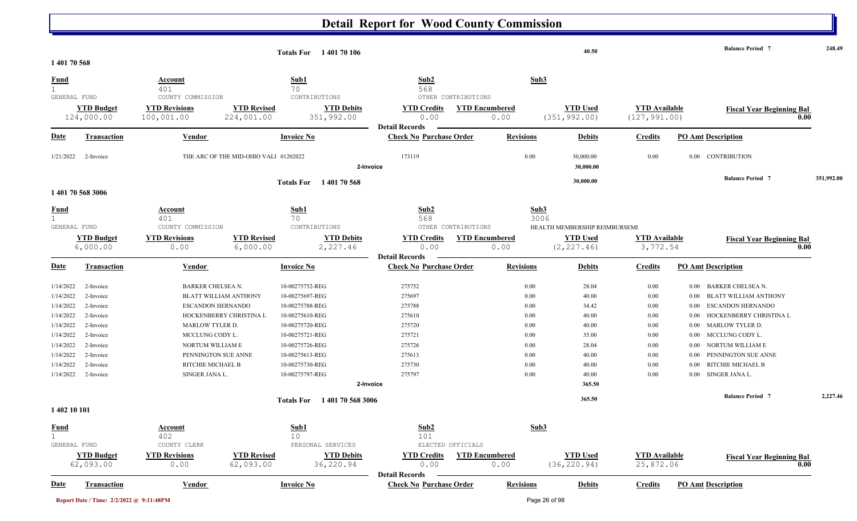| 1 401 70 568                |                                 |                                                         |                                       | <b>Totals For</b> 140170106                      |                                                         |                                                      |                  | 40.50                            |                                       |      | <b>Balance Period 7</b>                  | 248.49     |
|-----------------------------|---------------------------------|---------------------------------------------------------|---------------------------------------|--------------------------------------------------|---------------------------------------------------------|------------------------------------------------------|------------------|----------------------------------|---------------------------------------|------|------------------------------------------|------------|
| <u>Fund</u><br>$\mathbf{1}$ |                                 | Account<br>401                                          |                                       | Sub1<br>70                                       | Sub2<br>568                                             |                                                      | Sub3             |                                  |                                       |      |                                          |            |
| GENERAL FUND                | <b>YTD Budget</b><br>124,000.00 | COUNTY COMMISSION<br><b>YTD Revisions</b><br>100,001.00 | <b>YTD Revised</b><br>224,001.00      | CONTRIBUTIONS<br><b>YTD Debits</b><br>351,992.00 | <b>YTD Credits</b><br>0.00<br><b>Detail Records</b>     | OTHER CONTRIBUTIONS<br><b>YTD Encumbered</b><br>0.00 |                  | <b>YTD Used</b><br>(351, 992.00) | <b>YTD Available</b><br>(127, 991.00) |      | <b>Fiscal Year Beginning Bal</b><br>0.00 |            |
| <u>Date</u>                 | <b>Transaction</b>              | Vendor                                                  |                                       | <b>Invoice No</b>                                | <b>Check No Purchase Order</b>                          |                                                      | <b>Revisions</b> | <b>Debits</b>                    | <b>Credits</b>                        |      | <b>PO Amt Description</b>                |            |
| 1/21/2022                   | 2-Invoice                       |                                                         | THE ARC OF THE MID-OHIO VALI 01202022 | 2-Invoice                                        | 173119                                                  |                                                      | 0.00             | 30,000.00<br>30,000.00           | 0.00                                  |      | 0.00 CONTRIBUTION                        |            |
|                             | 1 401 70 568 3006               |                                                         |                                       | Totals For 1401 70 568                           |                                                         |                                                      |                  | 30,000.00                        |                                       |      | <b>Balance Period 7</b>                  | 351,992.00 |
| <b>Fund</b><br>GENERAL FUND |                                 | Account<br>401<br>COUNTY COMMISSION                     |                                       | Sub1<br>70<br>CONTRIBUTIONS                      | Sub2<br>568                                             | OTHER CONTRIBUTIONS                                  | Sub3<br>3006     | HEALTH MEMBERSHIP REIMBURSEMI    |                                       |      |                                          |            |
|                             | <b>YTD Budget</b><br>6,000.00   | <b>YTD Revisions</b><br>0.00                            | <b>YTD Revised</b><br>6,000.00        | <b>YTD Debits</b><br>2,227.46                    | <b>YTD Credits</b><br>0.00                              | <b>YTD Encumbered</b><br>0.00                        |                  | <b>YTD Used</b><br>(2, 227.46)   | <b>YTD Available</b><br>3,772.54      |      | <b>Fiscal Year Beginning Bal</b><br>0.00 |            |
| <u>Date</u>                 | <b>Transaction</b>              | Vendor                                                  |                                       | <b>Invoice No</b>                                | <b>Detail Records</b><br><b>Check No Purchase Order</b> |                                                      | <b>Revisions</b> | <b>Debits</b>                    | <b>Credits</b>                        |      | <b>PO Amt Description</b>                |            |
| 1/14/2022                   | 2-Invoice                       | <b>BARKER CHELSEA N.</b>                                |                                       | 10-00275752-REG                                  | 275752                                                  |                                                      | 0.00             | 28.04                            | 0.00                                  | 0.00 | <b>BARKER CHELSEA N.</b>                 |            |
| 1/14/2022                   | 2-Invoice                       | <b>BLATT WILLIAM ANTHONY</b>                            |                                       | 10-00275697-REG                                  | 275697                                                  |                                                      | 0.00             | 40.00                            | 0.00                                  | 0.00 | <b>BLATT WILLIAM ANTHONY</b>             |            |
| 1/14/2022                   | 2-Invoice                       | <b>ESCANDON HERNANDO</b>                                |                                       | 10-00275788-REG                                  | 275788                                                  |                                                      | 0.00             | 34.42                            | 0.00                                  | 0.00 | <b>ESCANDON HERNANDO</b>                 |            |
| 1/14/2022                   | 2-Invoice                       | HOCKENBERRY CHRISTINA L                                 |                                       | 10-00275610-REG                                  | 275610                                                  |                                                      | 0.00             | 40.00                            | 0.00                                  | 0.00 | HOCKENBERRY CHRISTINA L                  |            |
| 1/14/2022                   | 2-Invoice                       | MARLOW TYLER D.                                         |                                       | 10-00275720-REG                                  | 275720                                                  |                                                      | 0.00             | 40.00                            | 0.00                                  | 0.00 | <b>MARLOW TYLER D.</b>                   |            |
| 1/14/2022                   | 2-Invoice                       | MCCLUNG CODY L.                                         |                                       | 10-00275721-REG                                  | 275721                                                  |                                                      | 0.00             | 35.00                            | 0.00                                  | 0.00 | MCCLUNG CODY L.                          |            |
| 1/14/2022                   | 2-Invoice                       | NORTUM WILLIAM E                                        |                                       | 10-00275726-REG                                  | 275726                                                  |                                                      | 0.00             | 28.04                            | 0.00                                  | 0.00 | NORTUM WILLIAM E                         |            |
| 1/14/2022                   | 2-Invoice                       | PENNINGTON SUE ANNE                                     |                                       | 10-00275613-REG                                  | 275613                                                  |                                                      | 0.00             | 40.00                            | 0.00                                  | 0.00 | PENNINGTON SUE ANNE                      |            |
| 1/14/2022                   | 2-Invoice                       | RITCHIE MICHAEL B                                       |                                       | 10-00275730-REG                                  | 275730                                                  |                                                      | 0.00             | 40.00                            | 0.00                                  | 0.00 | RITCHIE MICHAEL B                        |            |
| 1/14/2022                   | 2-Invoice                       | SINGER JANA L.                                          |                                       | 10-00275797-REG                                  | 275797                                                  |                                                      | 0.00             | 40.00                            | 0.00                                  |      | 0.00 SINGER JANA L.                      |            |
|                             |                                 |                                                         |                                       | 2-Invoice                                        |                                                         |                                                      |                  | 365.50                           |                                       |      |                                          |            |
| 1 402 10 101                |                                 |                                                         |                                       | 1401705683006<br><b>Totals For</b>               |                                                         |                                                      |                  | 365.50                           |                                       |      | <b>Balance Period 7</b>                  | 2,227.46   |
|                             |                                 |                                                         |                                       |                                                  |                                                         |                                                      |                  |                                  |                                       |      |                                          |            |
| <b>Fund</b>                 |                                 | <b>Account</b>                                          |                                       | Sub1                                             | Sub <sub>2</sub>                                        |                                                      | Sub <sub>3</sub> |                                  |                                       |      |                                          |            |
| $\mathbf{1}$                |                                 | 402                                                     |                                       | 10                                               | 101                                                     |                                                      |                  |                                  |                                       |      |                                          |            |
| GENERAL FUND                |                                 | COUNTY CLERK                                            |                                       | PERSONAL SERVICES                                |                                                         | ELECTED OFFICIALS                                    |                  |                                  |                                       |      |                                          |            |
|                             | <b>YTD Budget</b><br>62,093.00  | <b>YTD Revisions</b><br>0.00                            | <b>YTD Revised</b><br>62,093.00       | <b>YTD Debits</b><br>36,220.94                   | <b>YTD Credits</b><br>0.00                              | <b>YTD Encumbered</b><br>0.00                        |                  | <b>YTD Used</b><br>(36, 220.94)  | <b>YTD</b> Available<br>25,872.06     |      | <b>Fiscal Year Beginning Bal</b><br>0.00 |            |
| Date                        | <b>Transaction</b>              | <b>Vendor</b>                                           |                                       | <b>Invoice No</b>                                | <b>Detail Records</b><br><b>Check No Purchase Order</b> |                                                      | <b>Revisions</b> | <b>Debits</b>                    | <b>Credits</b>                        |      | <b>PO Amt Description</b>                |            |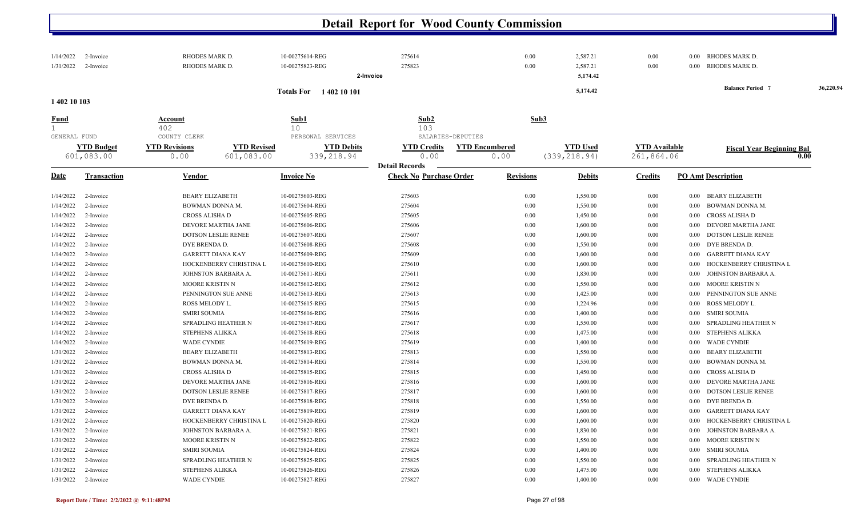| 1/14/2022<br>1/31/2022    | 2-Invoice<br>2-Invoice          | RHODES MARK D.<br>RHODES MARK D.                                                 | 10-00275614-REG<br>10-00275823-REG                   | 275614<br>275823<br>2-Invoice                           | 0.00<br>0.00                  | 2,587.21<br>2,587.21<br>5,174.42 | 0.00<br>0.00                       | 0.00 RHODES MARK D.<br>RHODES MARK D.<br>$0.00\,$ |           |
|---------------------------|---------------------------------|----------------------------------------------------------------------------------|------------------------------------------------------|---------------------------------------------------------|-------------------------------|----------------------------------|------------------------------------|---------------------------------------------------|-----------|
|                           |                                 |                                                                                  | <b>Totals For</b> 1402 10 101                        |                                                         |                               | 5,174.42                         |                                    | <b>Balance Period 7</b>                           | 36,220.94 |
| 1 402 10 103              |                                 |                                                                                  |                                                      |                                                         |                               |                                  |                                    |                                                   |           |
| Fund<br>1<br>GENERAL FUND |                                 | Account<br>402                                                                   | Sub1<br>10                                           | Sub2<br>103<br>SALARIES-DEPUTIES                        | Sub3                          |                                  |                                    |                                                   |           |
|                           | <b>YTD Budget</b><br>601,083.00 | COUNTY CLERK<br><b>YTD Revisions</b><br><b>YTD Revised</b><br>601,083.00<br>0.00 | PERSONAL SERVICES<br><b>YTD Debits</b><br>339,218.94 | <b>YTD Credits</b><br>0.00                              | <b>YTD Encumbered</b><br>0.00 | <b>YTD Used</b><br>(339, 218.94) | <b>YTD</b> Available<br>261,864.06 | <b>Fiscal Year Beginning Bal</b>                  | 0.00      |
| Date                      | <b>Transaction</b>              | <b>Vendor</b>                                                                    | <b>Invoice No</b>                                    | <b>Detail Records</b><br><b>Check No Purchase Order</b> | <b>Revisions</b>              | <b>Debits</b>                    | <b>Credits</b>                     | <b>PO Amt Description</b>                         |           |
| 1/14/2022                 | 2-Invoice                       | <b>BEARY ELIZABETH</b>                                                           | 10-00275603-REG                                      | 275603                                                  | 0.00                          | 1,550.00                         | 0.00                               | <b>BEARY ELIZABETH</b><br>$0.00\,$                |           |
| 1/14/2022                 | 2-Invoice                       | BOWMAN DONNA M.                                                                  | 10-00275604-REG                                      | 275604                                                  | 0.00                          | 1,550.00                         | 0.00                               | BOWMAN DONNA M.<br>0.00                           |           |
| 1/14/2022                 | 2-Invoice                       | CROSS ALISHA D                                                                   | 10-00275605-REG                                      | 275605                                                  | 0.00                          | 1,450.00                         | 0.00                               | CROSS ALISHA D<br>$0.00\,$                        |           |
| 1/14/2022                 | 2-Invoice                       | DEVORE MARTHA JANE                                                               | 10-00275606-REG                                      | 275606                                                  | 0.00                          | 1,600.00                         | 0.00                               | DEVORE MARTHA JANE<br>0.00                        |           |
| 1/14/2022                 | 2-Invoice                       | <b>DOTSON LESLIE RENEE</b>                                                       | 10-00275607-REG                                      | 275607                                                  | 0.00                          | 1,600.00                         | 0.00                               | <b>DOTSON LESLIE RENEE</b><br>0.00                |           |
| 1/14/2022                 | 2-Invoice                       | DYE BRENDA D.                                                                    | 10-00275608-REG                                      | 275608                                                  | 0.00                          | 1,550.00                         | 0.00                               | DYE BRENDA D.<br>0.00                             |           |
| 1/14/2022                 | 2-Invoice                       | <b>GARRETT DIANA KAY</b>                                                         | 10-00275609-REG                                      | 275609                                                  | 0.00                          | 1,600.00                         | 0.00                               | <b>GARRETT DIANA KAY</b><br>0.00                  |           |
| 1/14/2022                 | 2-Invoice                       | HOCKENBERRY CHRISTINA L                                                          | 10-00275610-REG                                      | 275610                                                  | 0.00                          | 1,600.00                         | 0.00                               | HOCKENBERRY CHRISTINA L<br>0.00                   |           |
| 1/14/2022                 | 2-Invoice                       | JOHNSTON BARBARA A.                                                              | 10-00275611-REG                                      | 275611                                                  | 0.00                          | 1,830.00                         | 0.00                               | JOHNSTON BARBARA A.<br>0.00                       |           |
| 1/14/2022                 | 2-Invoice                       | <b>MOORE KRISTIN N</b>                                                           | 10-00275612-REG                                      | 275612                                                  | 0.00                          | 1,550.00                         | 0.00                               | MOORE KRISTIN N<br>0.00                           |           |
| 1/14/2022                 | 2-Invoice                       | PENNINGTON SUE ANNE                                                              | 10-00275613-REG                                      | 275613                                                  | 0.00                          | 1,425.00                         | 0.00                               | PENNINGTON SUE ANNE<br>0.00                       |           |
| 1/14/2022                 | 2-Invoice                       | ROSS MELODY L.                                                                   | 10-00275615-REG                                      | 275615                                                  | 0.00                          | 1,224.96                         | 0.00                               | ROSS MELODY L.<br>0.00                            |           |
| 1/14/2022                 | 2-Invoice                       | <b>SMIRI SOUMIA</b>                                                              | 10-00275616-REG                                      | 275616                                                  | 0.00                          | 1,400.00                         | 0.00                               | <b>SMIRI SOUMIA</b><br>0.00                       |           |
| 1/14/2022                 | 2-Invoice                       | SPRADLING HEATHER N                                                              | 10-00275617-REG                                      | 275617                                                  | 0.00                          | 1,550.00                         | 0.00                               | SPRADLING HEATHER N<br>0.00                       |           |
| 1/14/2022                 | 2-Invoice                       | <b>STEPHENS ALIKKA</b>                                                           | 10-00275618-REG                                      | 275618                                                  | 0.00                          | 1,475.00                         | 0.00                               | <b>STEPHENS ALIKKA</b><br>0.00                    |           |
| 1/14/2022                 | 2-Invoice                       | <b>WADE CYNDIE</b>                                                               | 10-00275619-REG                                      | 275619                                                  | 0.00                          | 1,400.00                         | 0.00                               | <b>WADE CYNDIE</b><br>0.00                        |           |
| 1/31/2022                 | 2-Invoice                       | <b>BEARY ELIZABETH</b>                                                           | 10-00275813-REG                                      | 275813                                                  | 0.00                          | 1,550.00                         | 0.00                               | <b>BEARY ELIZABETH</b><br>0.00                    |           |
| 1/31/2022                 | 2-Invoice                       | BOWMAN DONNA M.                                                                  | 10-00275814-REG                                      | 275814                                                  | 0.00                          | 1,550.00                         | 0.00                               | BOWMAN DONNA M.<br>0.00                           |           |
| 1/31/2022                 | 2-Invoice                       | CROSS ALISHA D                                                                   | 10-00275815-REG                                      | 275815                                                  | 0.00                          | 1,450.00                         | 0.00                               | <b>CROSS ALISHA D</b><br>0.00                     |           |
| 1/31/2022                 | 2-Invoice                       | DEVORE MARTHA JANE                                                               | 10-00275816-REG                                      | 275816                                                  | 0.00                          | 1,600.00                         | 0.00                               | DEVORE MARTHA JANE<br>0.00                        |           |
| 1/31/2022                 | 2-Invoice                       | <b>DOTSON LESLIE RENEE</b>                                                       | 10-00275817-REG                                      | 275817                                                  | 0.00                          | 1,600.00                         | 0.00                               | <b>DOTSON LESLIE RENEE</b><br>0.00                |           |
| 1/31/2022                 | 2-Invoice                       | DYE BRENDA D.                                                                    | 10-00275818-REG                                      | 275818                                                  | 0.00                          | 1,550.00                         | 0.00                               | DYE BRENDA D.<br>0.00                             |           |
| 1/31/2022                 | 2-Invoice                       | <b>GARRETT DIANA KAY</b>                                                         | 10-00275819-REG                                      | 275819                                                  | 0.00                          | 1,600.00                         | 0.00                               | <b>GARRETT DIANA KAY</b><br>0.00                  |           |
| 1/31/2022                 | 2-Invoice                       | HOCKENBERRY CHRISTINA L                                                          | 10-00275820-REG                                      | 275820                                                  | 0.00                          | 1,600.00                         | 0.00                               | HOCKENBERRY CHRISTINA L<br>0.00                   |           |
| 1/31/2022                 | 2-Invoice                       | JOHNSTON BARBARA A.                                                              | 10-00275821-REG                                      | 275821                                                  | 0.00                          | 1,830.00                         | 0.00                               | JOHNSTON BARBARA A.<br>0.00                       |           |
| 1/31/2022                 | 2-Invoice                       | MOORE KRISTIN N                                                                  | 10-00275822-REG                                      | 275822                                                  | 0.00                          | 1,550.00                         | 0.00                               | MOORE KRISTIN N<br>$0.00\,$                       |           |
| 1/31/2022                 | 2-Invoice                       | <b>SMIRI SOUMIA</b>                                                              | 10-00275824-REG                                      | 275824                                                  | 0.00                          | 1,400.00                         | 0.00                               | <b>SMIRI SOUMIA</b><br>$0.00\,$                   |           |
| 1/31/2022                 | 2-Invoice                       | SPRADLING HEATHER N                                                              | 10-00275825-REG                                      | 275825                                                  | 0.00                          | 1,550.00                         | 0.00                               | <b>SPRADLING HEATHER N</b><br>0.00                |           |
| 1/31/2022                 | 2-Invoice                       | <b>STEPHENS ALIKKA</b>                                                           | 10-00275826-REG                                      | 275826                                                  | 0.00                          | 1,475.00                         | 0.00                               | <b>STEPHENS ALIKKA</b><br>0.00                    |           |
| 1/31/2022                 | 2-Invoice                       | <b>WADE CYNDIE</b>                                                               | 10-00275827-REG                                      | 275827                                                  | 0.00                          | 1,400.00                         | 0.00                               | <b>WADE CYNDIE</b><br>$0.00\,$                    |           |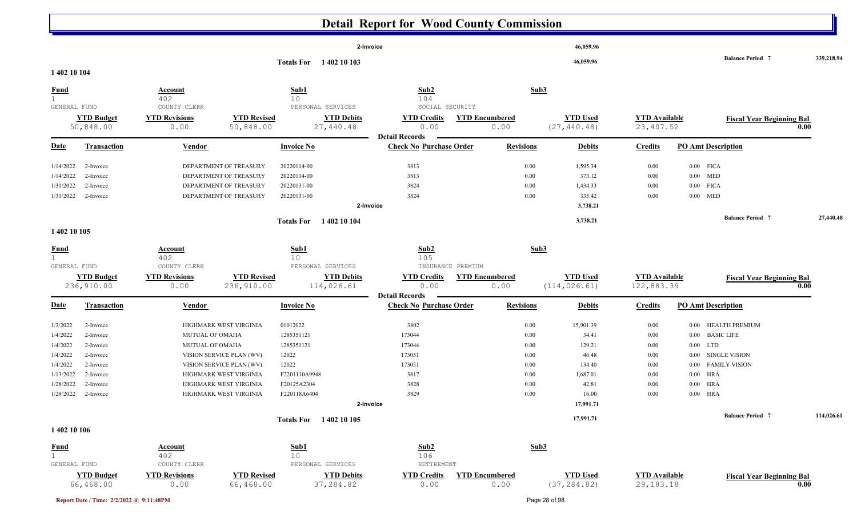|                                             |                                |                                       |                                 |                                              | Detail Report for wood County Commission                |                               |                                 |                                   |                                  |            |
|---------------------------------------------|--------------------------------|---------------------------------------|---------------------------------|----------------------------------------------|---------------------------------------------------------|-------------------------------|---------------------------------|-----------------------------------|----------------------------------|------------|
|                                             |                                |                                       |                                 |                                              | 2-Invoice                                               |                               | 46,059.96                       |                                   |                                  |            |
| 1 402 10 104                                |                                |                                       |                                 | Totals For 1402 10 103                       |                                                         |                               | 46,059.96                       |                                   | <b>Balance Period 7</b>          | 339,218.94 |
| <b>Fund</b><br>1<br>GENERAL FUND            |                                | Account<br>402<br>COUNTY CLERK        |                                 | Sub1<br>10<br>PERSONAL SERVICES              | Sub2<br>104<br>SOCIAL SECURITY                          | Sub3                          |                                 |                                   |                                  |            |
|                                             | <b>YTD Budget</b><br>50,848.00 | <b>YTD Revisions</b><br>0.00          | <b>YTD Revised</b><br>50,848.00 | <b>YTD Debits</b><br>27,440.48               | <b>YTD Credits</b><br>0.00                              | <b>YTD Encumbered</b><br>0.00 | <b>YTD Used</b><br>(27, 440.48) | <b>YTD</b> Available<br>23,407.52 | <b>Fiscal Year Beginning Bal</b> | 0.00       |
| <b>Date</b>                                 | <b>Transaction</b>             | Vendor                                |                                 | <b>Invoice No</b>                            | <b>Detail Records</b><br><b>Check No Purchase Order</b> | <b>Revisions</b>              | <b>Debits</b>                   | <b>Credits</b>                    | <b>PO Amt Description</b>        |            |
|                                             |                                |                                       |                                 |                                              |                                                         |                               |                                 |                                   |                                  |            |
| 1/14/2022                                   | 2-Invoice                      |                                       | DEPARTMENT OF TREASURY          | 20220114-00                                  | 3813                                                    | 0.00                          | 1,595.34                        | 0.00                              | $0.00$ FICA                      |            |
| 1/14/2022                                   | 2-Invoice                      |                                       | DEPARTMENT OF TREASURY          | 20220114-00                                  | 3813                                                    | 0.00                          | 373.12                          | 0.00                              | $0.00$ MED                       |            |
| 1/31/2022                                   | 2-Invoice                      |                                       | DEPARTMENT OF TREASURY          | 20220131-00                                  | 3824                                                    | 0.00                          | 1,434.33                        | 0.00                              | $0.00$ FICA                      |            |
| 1/31/2022                                   | 2-Invoice                      |                                       | DEPARTMENT OF TREASURY          | 20220131-00                                  | 3824                                                    | 0.00                          | 335.42                          | 0.00                              | $0.00$ MED                       |            |
|                                             |                                |                                       |                                 |                                              | 2-Invoice                                               |                               | 3,738.21                        |                                   |                                  |            |
|                                             |                                |                                       |                                 | Totals For 1402 10 104                       |                                                         |                               | 3,738.21                        |                                   | <b>Balance Period 7</b>          | 27,440.48  |
| 1 402 10 105                                |                                |                                       |                                 |                                              |                                                         |                               |                                 |                                   |                                  |            |
| <b>Fund</b><br>$\mathbf{1}$<br>GENERAL FUND |                                | <b>Account</b><br>402<br>COUNTY CLERK |                                 | Sub1<br>10 <sup>°</sup><br>PERSONAL SERVICES | Sub2<br>105<br>INSURANCE PREMIUM                        | Sub <sub>3</sub>              |                                 |                                   |                                  |            |
|                                             | <b>YTD Budget</b>              | <b>YTD Revisions</b>                  | <b>YTD Revised</b>              | <b>YTD Debits</b>                            | <b>YTD Credits</b>                                      | <b>YTD Encumbered</b>         | <b>YTD Used</b>                 | <b>YTD</b> Available              |                                  |            |
|                                             | 236,910.00                     | 0.00                                  | 236,910.00                      | 114,026.61                                   | 0.00<br><b>Detail Records</b>                           | 0.00                          | (114, 026.61)                   | 122,883.39                        | <b>Fiscal Year Beginning Bal</b> | 0.00       |
| <u>Date</u>                                 | <b>Transaction</b>             | Vendor                                |                                 | <b>Invoice No</b>                            | <b>Check No Purchase Order</b>                          | <b>Revisions</b>              | <b>Debits</b>                   | <b>Credits</b>                    | <b>PO Amt Description</b>        |            |
| 1/3/2022                                    | 2-Invoice                      |                                       | HIGHMARK WEST VIRGINIA          | 01012022                                     | 3802                                                    | 0.00                          | 15,901.39                       | 0.00                              | 0.00 HEALTH PREMIUM              |            |
| 1/4/2022                                    | 2-Invoice                      | MUTUAL OF OMAHA                       |                                 | 1285351121                                   | 173044                                                  | 0.00                          | 34.41                           | 0.00                              | 0.00 BASIC LIFE                  |            |
| 1/4/2022                                    | 2-Invoice                      | MUTUAL OF OMAHA                       |                                 | 1285351121                                   | 173044                                                  | 0.00                          | 129.21                          | 0.00                              | $0.00$ LTD                       |            |
| 1/4/2022                                    | 2-Invoice                      |                                       | VISION SERVICE PLAN (WV)        | 12022                                        | 173051                                                  | 0.00                          | 46.48                           | 0.00                              | 0.00 SINGLE VISION               |            |
| 1/4/2022                                    | 2-Invoice                      |                                       | VISION SERVICE PLAN (WV)        | 12022                                        | 173051                                                  | 0.00                          | 134.40                          | 0.00                              | 0.00 FAMILY VISION               |            |
| 1/13/2022                                   | 2-Invoice                      |                                       | HIGHMARK WEST VIRGINIA          | F2201110A9948                                | 3817                                                    | 0.00                          | 1,687.01                        | 0.00                              | $0.00$ HRA                       |            |
| 1/28/2022                                   | 2-Invoice                      |                                       | HIGHMARK WEST VIRGINIA          | F20125A2304                                  | 3828                                                    | 0.00                          | 42.81                           | 0.00                              | $0.00$ HRA                       |            |
| 1/28/2022                                   | 2-Invoice                      |                                       | HIGHMARK WEST VIRGINIA          | F220118A6404                                 | 3829                                                    | 0.00                          | 16.00                           | 0.00                              | $0.00$ HRA                       |            |
|                                             |                                |                                       |                                 |                                              | 2-Invoice                                               |                               | 17,991.71                       |                                   |                                  |            |
|                                             |                                |                                       |                                 | Totals For 1402 10 105                       |                                                         |                               | 17,991.71                       |                                   | <b>Balance Period 7</b>          | 114,026.61 |
| 1 402 10 106                                |                                |                                       |                                 |                                              |                                                         |                               |                                 |                                   |                                  |            |
| <b>Fund</b>                                 |                                | <b>Account</b>                        |                                 | Sub1                                         | Sub2                                                    | Sub <sub>3</sub>              |                                 |                                   |                                  |            |
| 1<br>GENERAL FUND                           |                                | 402<br>COUNTY CLERK                   |                                 | 10<br>PERSONAL SERVICES                      | 106<br>RETIREMENT                                       |                               |                                 |                                   |                                  |            |
|                                             | <b>YTD Budget</b>              | <b>YTD Revisions</b>                  | <b>YTD Revised</b>              | <b>YTD Debits</b>                            | <b>YTD Credits</b>                                      | <b>YTD Encumbered</b>         | <b>YTD Used</b>                 | <b>YTD</b> Available              |                                  |            |
|                                             | 66,468.00                      | 0.00                                  | 66,468.00                       | 37,284.82                                    | 0.00                                                    | 0.00                          | (37, 284.82)                    | 29, 183. 18                       | <b>Fiscal Year Beginning Bal</b> | 0.00       |

Ш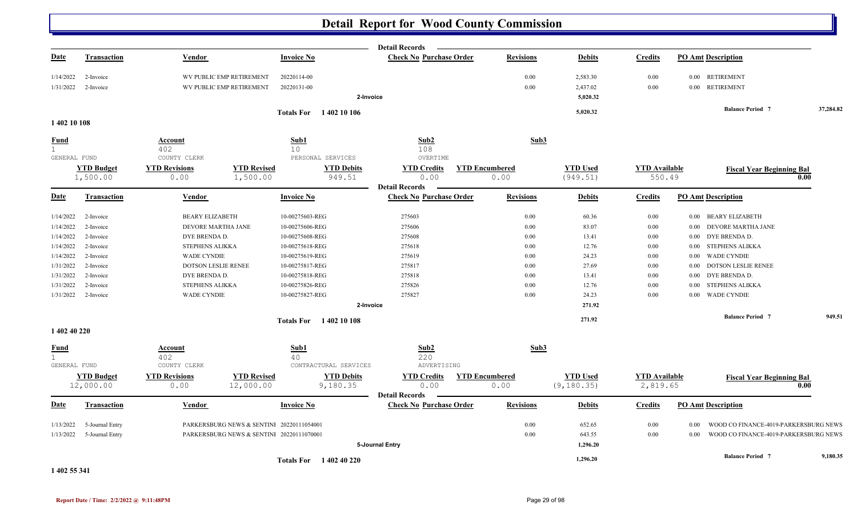|                             |                                |                              |                                           |                               | <b>Detail Records</b>          |                               |                                |                                  |                                               |           |
|-----------------------------|--------------------------------|------------------------------|-------------------------------------------|-------------------------------|--------------------------------|-------------------------------|--------------------------------|----------------------------------|-----------------------------------------------|-----------|
| <u>Date</u>                 | <b>Transaction</b>             | <b>Vendor</b>                |                                           | <b>Invoice No</b>             | <b>Check No Purchase Order</b> | <b>Revisions</b>              | <b>Debits</b>                  | <b>Credits</b>                   | <b>PO Amt Description</b>                     |           |
| 1/14/2022                   | 2-Invoice                      |                              | WV PUBLIC EMP RETIREMENT                  | 20220114-00                   |                                | 0.00                          | 2,583.30                       | 0.00                             | 0.00 RETIREMENT                               |           |
| 1/31/2022                   | 2-Invoice                      |                              | WV PUBLIC EMP RETIREMENT                  | 20220131-00                   |                                | 0.00                          | 2,437.02                       | 0.00                             | 0.00 RETIREMENT                               |           |
|                             |                                |                              |                                           |                               | 2-Invoice                      |                               | 5,020.32                       |                                  |                                               |           |
|                             |                                |                              |                                           | <b>Totals For</b> 1402 10 106 |                                |                               | 5,020.32                       |                                  | <b>Balance Period 7</b>                       | 37,284.82 |
| 1402 10 108                 |                                |                              |                                           |                               |                                |                               |                                |                                  |                                               |           |
| <u>Fund</u>                 |                                | Account                      |                                           | Sub1                          | Sub2                           | Sub3                          |                                |                                  |                                               |           |
| 1<br>GENERAL FUND           |                                | 402<br>COUNTY CLERK          |                                           | 10<br>PERSONAL SERVICES       | 108<br>OVERTIME                |                               |                                |                                  |                                               |           |
|                             | <b>YTD Budget</b>              | <b>YTD Revisions</b>         | <b>YTD Revised</b>                        | <b>YTD Debits</b>             | <b>YTD Credits</b>             | <b>YTD Encumbered</b>         | <b>YTD Used</b>                | <b>YTD Available</b>             |                                               |           |
|                             | 1,500.00                       | 0.00                         | 1,500.00                                  | 949.51                        | 0.00                           | 0.00                          | (949.51)                       | 550.49                           | <b>Fiscal Year Beginning Bal</b>              | 0.00      |
|                             |                                |                              |                                           |                               | <b>Detail Records</b>          |                               |                                |                                  |                                               |           |
| <u>Date</u>                 | <b>Transaction</b>             | Vendor                       |                                           | <b>Invoice No</b>             | <b>Check No Purchase Order</b> | <b>Revisions</b>              | <b>Debits</b>                  | <b>Credits</b>                   | <b>PO Amt Description</b>                     |           |
| 1/14/2022                   | 2-Invoice                      | <b>BEARY ELIZABETH</b>       |                                           | 10-00275603-REG               | 275603                         | 0.00                          | 60.36                          | 0.00                             | 0.00 BEARY ELIZABETH                          |           |
| 1/14/2022                   | 2-Invoice                      | DEVORE MARTHA JANE           |                                           | 10-00275606-REG               | 275606                         | 0.00                          | 83.07                          | 0.00                             | DEVORE MARTHA JANE<br>$0.00\,$                |           |
| 1/14/2022                   | 2-Invoice                      | DYE BRENDA D.                |                                           | 10-00275608-REG               | 275608                         | 0.00                          | 13.41                          | $0.00\,$                         | DYE BRENDA D.<br>0.00                         |           |
| 1/14/2022                   | 2-Invoice                      | STEPHENS ALIKKA              |                                           | 10-00275618-REG               | 275618                         | 0.00                          | 12.76                          | 0.00                             | <b>STEPHENS ALIKKA</b><br>0.00                |           |
| 1/14/2022                   | 2-Invoice                      | <b>WADE CYNDIE</b>           |                                           | 10-00275619-REG               | 275619                         | 0.00                          | 24.23                          | 0.00                             | <b>WADE CYNDIE</b><br>0.00                    |           |
| 1/31/2022                   | 2-Invoice                      | DOTSON LESLIE RENEE          |                                           | 10-00275817-REG               | 275817                         | 0.00                          | 27.69                          | 0.00                             | <b>DOTSON LESLIE RENEE</b><br>0.00            |           |
| 1/31/2022                   | 2-Invoice                      | DYE BRENDA D.                |                                           | 10-00275818-REG               | 275818                         | 0.00                          | 13.41                          | 0.00                             | DYE BRENDA D.<br>0.00                         |           |
| 1/31/2022                   | 2-Invoice                      | STEPHENS ALIKKA              |                                           | 10-00275826-REG               | 275826                         | 0.00                          | 12.76                          | 0.00                             | STEPHENS ALIKKA<br>0.00                       |           |
| 1/31/2022                   | 2-Invoice                      | <b>WADE CYNDIE</b>           |                                           | 10-00275827-REG               | 275827                         | 0.00                          | 24.23                          | 0.00                             | 0.00 WADE CYNDIE                              |           |
|                             |                                |                              |                                           |                               | 2-Invoice                      |                               | 271.92                         |                                  |                                               |           |
|                             |                                |                              |                                           | <b>Totals For</b> 1402 10 108 |                                |                               | 271.92                         |                                  | <b>Balance Period 7</b>                       | 949.51    |
| 1 402 40 220                |                                |                              |                                           |                               |                                |                               |                                |                                  |                                               |           |
| <b>Fund</b><br>$\mathbf{1}$ |                                | Account<br>402               |                                           | Sub1<br>40                    | Sub2<br>220                    | Sub3                          |                                |                                  |                                               |           |
| GENERAL FUND                |                                | COUNTY CLERK                 |                                           | CONTRACTURAL SERVICES         | ADVERTISING                    |                               |                                |                                  |                                               |           |
|                             | <b>YTD Budget</b><br>12,000.00 | <b>YTD Revisions</b><br>0.00 | <b>YTD Revised</b><br>12,000.00           | <b>YTD Debits</b><br>9,180.35 | <b>YTD Credits</b><br>0.00     | <b>YTD Encumbered</b><br>0.00 | <b>YTD Used</b><br>(9, 180.35) | <b>YTD</b> Available<br>2,819.65 | <b>Fiscal Year Beginning Bal</b>              | 0.00      |
|                             |                                |                              |                                           |                               | <b>Detail Records</b>          |                               |                                |                                  |                                               |           |
| <u>Date</u>                 | <b>Transaction</b>             | Vendor                       |                                           | <b>Invoice No</b>             | <b>Check No Purchase Order</b> | <b>Revisions</b>              | <b>Debits</b>                  | <b>Credits</b>                   | <b>PO Amt Description</b>                     |           |
| 1/13/2022                   | 5-Journal Entry                |                              | PARKERSBURG NEWS & SENTINI 20220111054001 |                               |                                | 0.00                          | 652.65                         | 0.00                             | WOOD CO FINANCE-4019-PARKERSBURG NEWS<br>0.00 |           |
| 1/13/2022                   | 5-Journal Entry                |                              | PARKERSBURG NEWS & SENTINI 20220111070001 |                               |                                | 0.00                          | 643.55                         | 0.00                             | WOOD CO FINANCE-4019-PARKERSBURG NEWS<br>0.00 |           |
|                             |                                |                              |                                           |                               | 5-Journal Entry                |                               | 1,296.20                       |                                  |                                               |           |
|                             |                                |                              |                                           | <b>Totals For</b> 1402 40 220 |                                |                               | 1,296.20                       |                                  | <b>Balance Period 7</b>                       | 9,180.35  |
|                             |                                |                              |                                           |                               |                                |                               |                                |                                  |                                               |           |

**1 402 55 341**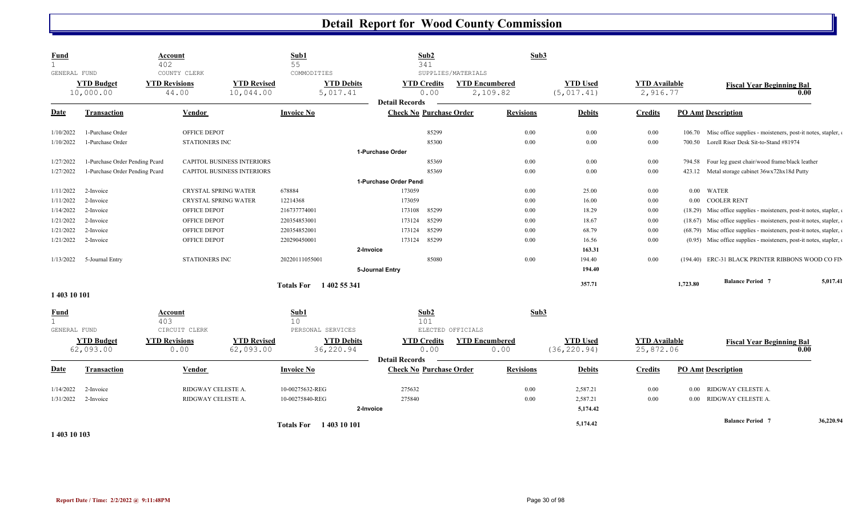| <b>Fund</b>  |                                | <b>Account</b><br>402                         |                                   | Sub1<br>55                                   | Sub2<br>341                                         |                                                         | Sub3                            |                                   |          |                                                                    |           |
|--------------|--------------------------------|-----------------------------------------------|-----------------------------------|----------------------------------------------|-----------------------------------------------------|---------------------------------------------------------|---------------------------------|-----------------------------------|----------|--------------------------------------------------------------------|-----------|
| GENERAL FUND | <b>YTD Budget</b><br>10,000.00 | COUNTY CLERK<br><b>YTD Revisions</b><br>44.00 | <b>YTD Revised</b><br>10,044.00   | COMMODITIES<br><b>YTD Debits</b><br>5,017.41 | <b>YTD Credits</b><br>0.00                          | SUPPLIES/MATERIALS<br><b>YTD Encumbered</b><br>2,109.82 | <b>YTD Used</b><br>(5, 017.41)  | <b>YTD</b> Available<br>2,916.77  |          | <b>Fiscal Year Beginning Bal</b><br>0.00                           |           |
|              |                                |                                               |                                   |                                              | <b>Detail Records</b>                               |                                                         |                                 |                                   |          |                                                                    |           |
| <u>Date</u>  | <b>Transaction</b>             | Vendor                                        |                                   | <b>Invoice No</b>                            | <b>Check No Purchase Order</b>                      | <b>Revisions</b>                                        | <b>Debits</b>                   | <b>Credits</b>                    |          | <b>PO Amt Description</b>                                          |           |
| 1/10/2022    | 1-Purchase Order               |                                               | OFFICE DEPOT                      |                                              | 85299                                               |                                                         | 0.00<br>0.00                    | $0.00\,$                          |          | 106.70 Misc office supplies - moisteners, post-it notes, stapler,  |           |
| 1/10/2022    | 1-Purchase Order               |                                               | <b>STATIONERS INC</b>             |                                              | 85300                                               |                                                         | 0.00<br>0.00                    | 0.00                              |          | 700.50 Lorell Riser Desk Sit-to-Stand #81974                       |           |
|              |                                |                                               |                                   |                                              | 1-Purchase Order                                    |                                                         |                                 |                                   |          |                                                                    |           |
| 1/27/2022    | 1-Purchase Order Pending Pcard |                                               | <b>CAPITOL BUSINESS INTERIORS</b> |                                              | 85369                                               |                                                         | 0.00<br>0.00                    | 0.00                              |          | 794.58 Four leg guest chair/wood frame/black leather               |           |
| 1/27/2022    | 1-Purchase Order Pending Pcard |                                               | <b>CAPITOL BUSINESS INTERIORS</b> |                                              | 85369                                               |                                                         | 0.00<br>0.00                    | 0.00                              |          | 423.12 Metal storage cabinet 36wx72hx18d Putty                     |           |
|              |                                |                                               |                                   |                                              | 1-Purchase Order Pend                               |                                                         |                                 |                                   |          |                                                                    |           |
| 1/11/2022    | 2-Invoice                      |                                               | CRYSTAL SPRING WATER              | 678884                                       | 173059                                              |                                                         | $0.00\,$<br>25.00               | $0.00\,$                          |          | 0.00 WATER                                                         |           |
| 1/11/2022    | 2-Invoice                      |                                               | CRYSTAL SPRING WATER              | 12214368                                     | 173059                                              |                                                         | $0.00\,$<br>16.00               | $0.00\,$                          |          | 0.00 COOLER RENT                                                   |           |
| 1/14/2022    | 2-Invoice                      |                                               | OFFICE DEPOT                      | 216737774001                                 | 85299<br>173108                                     |                                                         | $0.00\,$<br>18.29               | $0.00\,$                          |          | (18.29) Misc office supplies - moisteners, post-it notes, stapler, |           |
| 1/21/2022    | 2-Invoice                      |                                               | OFFICE DEPOT                      | 220354853001                                 | 85299<br>173124                                     |                                                         | 0.00<br>18.67                   | 0.00                              |          | (18.67) Misc office supplies - moisteners, post-it notes, stapler, |           |
| 1/21/2022    | 2-Invoice                      |                                               | OFFICE DEPOT                      | 220354852001                                 | 85299<br>173124                                     |                                                         | 0.00<br>68.79                   | $0.00\,$                          |          | (68.79) Misc office supplies - moisteners, post-it notes, stapler, |           |
| 1/21/2022    | 2-Invoice                      |                                               | OFFICE DEPOT                      | 220290450001                                 | 85299<br>173124                                     |                                                         | 0.00<br>16.56                   | 0.00                              |          | (0.95) Misc office supplies - moisteners, post-it notes, stapler,  |           |
|              |                                |                                               |                                   |                                              | 2-Invoice                                           |                                                         | 163.31                          |                                   |          |                                                                    |           |
| 1/13/2022    | 5-Journal Entry                |                                               | <b>STATIONERS INC</b>             | 20220111055001                               | 85080                                               |                                                         | 0.00<br>194.40                  | 0.00                              |          | (194.40) ERC-31 BLACK PRINTER RIBBONS WOOD CO FIN                  |           |
|              |                                |                                               |                                   |                                              | 5-Journal Entry                                     |                                                         | 194.40                          |                                   |          |                                                                    |           |
|              |                                |                                               |                                   | Totals For 1402 55 341                       |                                                     |                                                         | 357.71                          |                                   | 1,723.80 | <b>Balance Period 7</b>                                            | 5,017.41  |
| 1 403 10 101 |                                |                                               |                                   |                                              |                                                     |                                                         |                                 |                                   |          |                                                                    |           |
| <u>Fund</u>  |                                | <b>Account</b><br>403                         |                                   | Sub1<br>10                                   | Sub2<br>101                                         |                                                         | Sub3                            |                                   |          |                                                                    |           |
| GENERAL FUND |                                | CIRCUIT CLERK                                 |                                   | PERSONAL SERVICES                            |                                                     | ELECTED OFFICIALS                                       |                                 |                                   |          |                                                                    |           |
|              | <b>YTD Budget</b><br>62,093.00 | <b>YTD Revisions</b><br>0.00                  | <b>YTD Revised</b><br>62,093.00   | <b>YTD Debits</b><br>36,220.94               | <b>YTD Credits</b><br>0.00<br><b>Detail Records</b> | <b>YTD Encumbered</b><br>0.00                           | <b>YTD Used</b><br>(36, 220.94) | <b>YTD Available</b><br>25,872.06 |          | <b>Fiscal Year Beginning Bal</b><br>0.00                           |           |
| <b>Date</b>  | <b>Transaction</b>             | Vendor                                        |                                   | <b>Invoice No</b>                            | <b>Check No Purchase Order</b>                      | <b>Revisions</b>                                        | <b>Debits</b>                   | <b>Credits</b>                    |          | <b>PO Amt Description</b>                                          |           |
| 1/14/2022    | 2-Invoice                      |                                               | RIDGWAY CELESTE A.                | 10-00275632-REG                              | 275632                                              |                                                         | 0.00<br>2,587.21                | 0.00                              |          | 0.00 RIDGWAY CELESTE A.                                            |           |
| 1/31/2022    | 2-Invoice                      |                                               | RIDGWAY CELESTE A.                | 10-00275840-REG                              | 275840                                              |                                                         | 2,587.21<br>0.00                | $0.00\,$                          |          | 0.00 RIDGWAY CELESTE A.                                            |           |
|              |                                |                                               |                                   |                                              | 2-Invoice                                           |                                                         | 5,174.42                        |                                   |          |                                                                    |           |
|              |                                |                                               |                                   |                                              |                                                     |                                                         |                                 |                                   |          | <b>Balance Period 7</b>                                            | 36,220.94 |
| .            |                                |                                               |                                   | Totals For 1403 10 101                       |                                                     |                                                         | 5,174.42                        |                                   |          |                                                                    |           |
|              |                                |                                               |                                   |                                              |                                                     |                                                         |                                 |                                   |          |                                                                    |           |

**1 403 10 103**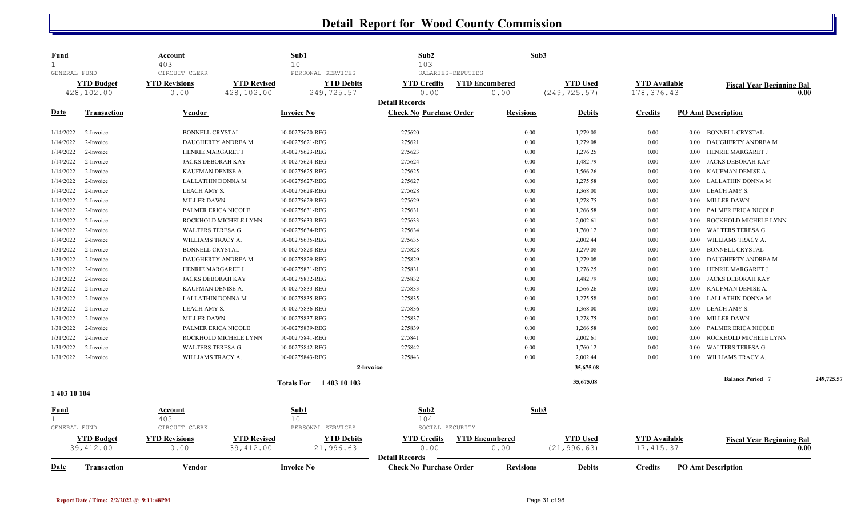| <u>Fund</u><br>$\mathbf{1}$          |                                | <b>Account</b><br>403           |                       | Sub1<br>10                      | Sub2<br>103                                         | Sub3                  |                 |                      |                                    |            |
|--------------------------------------|--------------------------------|---------------------------------|-----------------------|---------------------------------|-----------------------------------------------------|-----------------------|-----------------|----------------------|------------------------------------|------------|
| GENERAL FUND                         |                                | CIRCUIT CLERK                   |                       | PERSONAL SERVICES               | SALARIES-DEPUTIES                                   |                       |                 |                      |                                    |            |
|                                      | <b>YTD Budget</b>              | <b>YTD Revisions</b>            | <b>YTD Revised</b>    | <b>YTD Debits</b>               | <b>YTD Credits</b>                                  | <b>YTD Encumbered</b> | <b>YTD Used</b> | <b>YTD Available</b> | <b>Fiscal Year Beginning Bal</b>   |            |
|                                      | 428,102.00                     | 0.00                            | 428,102.00            | 249,725.57                      | 0.00                                                | 0.00                  | (249, 725.57)   | 178,376.43           |                                    | 0.00       |
|                                      |                                |                                 |                       |                                 | <b>Detail Records</b>                               |                       |                 |                      |                                    |            |
| Date                                 | <b>Transaction</b>             | Vendor                          |                       | <b>Invoice No</b>               | <b>Check No Purchase Order</b>                      | <b>Revisions</b>      | <b>Debits</b>   | <b>Credits</b>       | <b>PO Amt Description</b>          |            |
| 1/14/2022                            | 2-Invoice                      | <b>BONNELL CRYSTAL</b>          |                       | 10-00275620-REG                 | 275620                                              | 0.00                  | 1,279.08        | $0.00\,$             | <b>BONNELL CRYSTAL</b><br>$0.00\,$ |            |
| 1/14/2022                            | 2-Invoice                      |                                 | DAUGHERTY ANDREA M    | 10-00275621-REG                 | 275621                                              | 0.00                  | 1,279.08        | $0.00\,$             | DAUGHERTY ANDREA M<br>0.00         |            |
| 1/14/2022                            | 2-Invoice                      | HENRIE MARGARET J               |                       | 10-00275623-REG                 | 275623                                              | 0.00                  | 1,276.25        | $0.00\,$             | HENRIE MARGARET J<br>0.00          |            |
| 1/14/2022                            | 2-Invoice                      |                                 | JACKS DEBORAH KAY     | 10-00275624-REG                 | 275624                                              | 0.00                  | 1,482.79        | $0.00\,$             | JACKS DEBORAH KAY<br>0.00          |            |
| 1/14/2022                            | 2-Invoice                      | KAUFMAN DENISE A.               |                       | 10-00275625-REG                 | 275625                                              | 0.00                  | 1,566.26        | $0.00\,$             | KAUFMAN DENISE A.<br>0.00          |            |
| 1/14/2022                            | 2-Invoice                      |                                 | LALLATHIN DONNA M     | 10-00275627-REG                 | 275627                                              | 0.00                  | 1,275.58        | $0.00\,$             | LALLATHIN DONNA M<br>0.00          |            |
| 1/14/2022                            | 2-Invoice                      | LEACH AMY S.                    |                       | 10-00275628-REG                 | 275628                                              | 0.00                  | 1,368.00        | 0.00                 | <b>LEACH AMY S.</b><br>0.00        |            |
| 1/14/2022                            | 2-Invoice                      | <b>MILLER DAWN</b>              |                       | 10-00275629-REG                 | 275629                                              | 0.00                  | 1,278.75        | $0.00\,$             | <b>MILLER DAWN</b><br>0.00         |            |
| 1/14/2022                            | 2-Invoice                      |                                 | PALMER ERICA NICOLE   | 10-00275631-REG                 | 275631                                              | 0.00                  | 1,266.58        | $0.00\,$             | PALMER ERICA NICOLE<br>0.00        |            |
| 1/14/2022                            | 2-Invoice                      |                                 | ROCKHOLD MICHELE LYNN | 10-00275633-REG                 | 275633                                              | 0.00                  | 2,002.61        | $0.00\,$             | ROCKHOLD MICHELE LYNN<br>0.00      |            |
| 1/14/2022                            | 2-Invoice                      | WALTERS TERESA G.               |                       | 10-00275634-REG                 | 275634                                              | 0.00                  | 1,760.12        | $0.00\,$             | <b>WALTERS TERESA G.</b><br>0.00   |            |
| 1/14/2022                            | 2-Invoice                      | WILLIAMS TRACY A.               |                       | 10-00275635-REG                 | 275635                                              | 0.00                  | 2,002.44        | $0.00\,$             | WILLIAMS TRACY A.<br>0.00          |            |
| 1/31/2022                            | 2-Invoice                      | <b>BONNELL CRYSTAL</b>          |                       | 10-00275828-REG                 | 275828                                              | 0.00                  | 1,279.08        | $0.00\,$             | <b>BONNELL CRYSTAL</b><br>0.00     |            |
| 1/31/2022                            | 2-Invoice                      |                                 | DAUGHERTY ANDREA M    | 10-00275829-REG                 | 275829                                              | 0.00                  | 1,279.08        | 0.00                 | DAUGHERTY ANDREA M<br>0.00         |            |
| 1/31/2022                            | 2-Invoice                      | HENRIE MARGARET J               |                       | 10-00275831-REG                 | 275831                                              | 0.00                  | 1,276.25        | $0.00\,$             | HENRIE MARGARET J<br>0.00          |            |
| 1/31/2022                            | 2-Invoice                      |                                 | JACKS DEBORAH KAY     | 10-00275832-REG                 | 275832                                              | 0.00                  | 1,482.79        | $0.00\,$             | JACKS DEBORAH KAY<br>0.00          |            |
| 1/31/2022                            | 2-Invoice                      | KAUFMAN DENISE A.               |                       | 10-00275833-REG                 | 275833                                              | 0.00                  | 1,566.26        | $0.00\,$             | KAUFMAN DENISE A.<br>0.00          |            |
| 1/31/2022                            | 2-Invoice                      |                                 | LALLATHIN DONNA M     | 10-00275835-REG                 | 275835                                              | 0.00                  | 1,275.58        | 0.00                 | LALLATHIN DONNA M<br>0.00          |            |
| 1/31/2022                            | 2-Invoice                      | LEACH AMY S.                    |                       | 10-00275836-REG                 | 275836                                              | 0.00                  | 1,368.00        | $0.00\,$             | <b>LEACH AMY S.</b><br>0.00        |            |
| 1/31/2022                            | 2-Invoice                      | <b>MILLER DAWN</b>              |                       | 10-00275837-REG                 | 275837                                              | 0.00                  | 1,278.75        | $0.00\,$             | <b>MILLER DAWN</b><br>0.00         |            |
| 1/31/2022                            | 2-Invoice                      |                                 | PALMER ERICA NICOLE   | 10-00275839-REG                 | 275839                                              | 0.00                  | 1,266.58        | $0.00\,$             | PALMER ERICA NICOLE<br>0.00        |            |
| 1/31/2022                            | 2-Invoice                      |                                 | ROCKHOLD MICHELE LYNN | 10-00275841-REG                 | 275841                                              | 0.00                  | 2,002.61        | $0.00\,$             | ROCKHOLD MICHELE LYNN<br>0.00      |            |
| 1/31/2022                            | 2-Invoice                      | <b>WALTERS TERESA G.</b>        |                       | 10-00275842-REG                 | 275842                                              | 0.00                  | 1,760.12        | 0.00                 | <b>WALTERS TERESA G.</b><br>0.00   |            |
| 1/31/2022                            | 2-Invoice                      | WILLIAMS TRACY A.               |                       | 10-00275843-REG                 | 275843                                              | 0.00                  | 2,002.44        | 0.00                 | WILLIAMS TRACY A.<br>0.00          |            |
|                                      |                                |                                 |                       | 2-Invoice                       |                                                     |                       | 35,675.08       |                      |                                    |            |
|                                      |                                |                                 |                       | Totals For 1403 10 103          |                                                     |                       | 35,675.08       |                      | <b>Balance Period 7</b>            | 249,725.57 |
| 1 403 10 104                         |                                |                                 |                       |                                 |                                                     |                       |                 |                      |                                    |            |
| Fund<br>$\mathbf{1}$<br>GENERAL FUND |                                | Account<br>403<br>CIRCUIT CLERK |                       | Sub1<br>10<br>PERSONAL SERVICES | Sub2<br>104<br>SOCIAL SECURITY                      | Sub3                  |                 |                      |                                    |            |
|                                      |                                | <b>YTD Revisions</b>            | <b>YTD Revised</b>    |                                 |                                                     | <b>YTD Encumbered</b> | <b>YTD Used</b> | <b>YTD Available</b> |                                    |            |
|                                      | <b>YTD Budget</b><br>39,412.00 | 0.00                            | 39,412.00             | <b>YTD Debits</b><br>21,996.63  | <b>YTD Credits</b><br>0.00<br><b>Detail Records</b> | 0.00                  | (21, 996.63)    | 17, 415.37           | <b>Fiscal Year Beginning Bal</b>   | 0.00       |
| <b>Date</b>                          | <b>Transaction</b>             | Vendor                          |                       | <b>Invoice No</b>               | <b>Check No Purchase Order</b>                      | <b>Revisions</b>      | <b>Debits</b>   | <b>Credits</b>       | <b>PO Amt Description</b>          |            |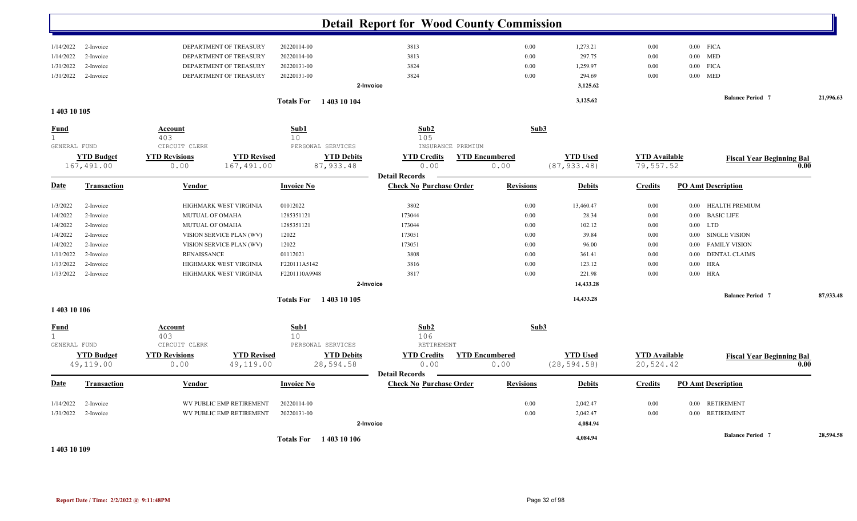|                             |                                 |                              |                                  | <b>Detail Report for Wood County Commission</b> |                                                     |                  |                                 |                                   |                                  |           |
|-----------------------------|---------------------------------|------------------------------|----------------------------------|-------------------------------------------------|-----------------------------------------------------|------------------|---------------------------------|-----------------------------------|----------------------------------|-----------|
| 1/14/2022                   | 2-Invoice                       | DEPARTMENT OF TREASURY       | 20220114-00                      | 3813                                            |                                                     | 0.00             | 1,273.21                        | $0.00\,$                          | $0.00$ FICA                      |           |
| 1/14/2022                   | 2-Invoice                       | DEPARTMENT OF TREASURY       | 20220114-00                      | 3813                                            |                                                     | 0.00             | 297.75                          | 0.00                              | <b>MED</b><br>0.00               |           |
| 1/31/2022                   | 2-Invoice                       | DEPARTMENT OF TREASURY       | 20220131-00                      | 3824                                            |                                                     | 0.00             | 1,259.97                        | 0.00                              | $0.00$ FICA                      |           |
| 1/31/2022                   | 2-Invoice                       | DEPARTMENT OF TREASURY       | 20220131-00                      | 3824                                            |                                                     | 0.00             | 294.69                          | 0.00                              | MED<br>$0.00\,$                  |           |
|                             |                                 |                              |                                  | 2-Invoice                                       |                                                     |                  | 3,125.62                        |                                   |                                  |           |
|                             |                                 |                              | <b>Totals For</b> 1403 10 104    |                                                 |                                                     |                  | 3,125.62                        |                                   | <b>Balance Period 7</b>          | 21,996.63 |
| 1 403 10 105                |                                 |                              |                                  |                                                 |                                                     |                  |                                 |                                   |                                  |           |
| <b>Fund</b><br>$\mathbf{1}$ |                                 | Account<br>403               | Sub1<br>10                       |                                                 | Sub2<br>105                                         | Sub3             |                                 |                                   |                                  |           |
| GENERAL FUND                |                                 | CIRCUIT CLERK                |                                  | PERSONAL SERVICES                               | INSURANCE PREMIUM                                   |                  |                                 |                                   |                                  |           |
|                             | <b>YTD Budget</b><br>167,491.00 | <b>YTD Revisions</b><br>0.00 | <b>YTD Revised</b><br>167,491.00 | <b>YTD Debits</b><br>87, 933.48                 | <b>YTD Encumbered</b><br><b>YTD Credits</b><br>0.00 | 0.00             | <b>YTD Used</b><br>(87, 933.48) | <b>YTD</b> Available<br>79,557.52 | <b>Fiscal Year Beginning Bal</b> | 0.00      |
| <u>Date</u>                 | <b>Transaction</b>              | Vendor                       | <b>Invoice No</b>                | <b>Detail Records</b>                           | <b>Check No Purchase Order</b>                      | <b>Revisions</b> | <b>Debits</b>                   | <b>Credits</b>                    | <b>PO Amt Description</b>        |           |
| 1/3/2022                    | 2-Invoice                       | HIGHMARK WEST VIRGINIA       | 01012022                         | 3802                                            |                                                     | 0.00             | 13,460.47                       | 0.00                              | 0.00 HEALTH PREMIUM              |           |
| 1/4/2022                    | 2-Invoice                       | MUTUAL OF OMAHA              | 1285351121                       | 173044                                          |                                                     | 0.00             | 28.34                           | 0.00                              | <b>BASIC LIFE</b><br>0.00        |           |
| 1/4/2022                    | 2-Invoice                       | MUTUAL OF OMAHA              | 1285351121                       | 173044                                          |                                                     | 0.00             | 102.12                          | $0.00\,$                          | 0.00<br>LTD                      |           |
| 1/4/2022                    | 2-Invoice                       | VISION SERVICE PLAN (WV)     | 12022                            | 173051                                          |                                                     | 0.00             | 39.84                           | $0.00\,$                          | SINGLE VISION<br>$0.00\,$        |           |
| 1/4/2022                    | 2-Invoice                       | VISION SERVICE PLAN (WV)     | 12022                            | 173051                                          |                                                     | 0.00             | 96.00                           | $0.00\,$                          | <b>FAMILY VISION</b><br>0.00     |           |
| 1/11/2022                   | 2-Invoice                       | <b>RENAISSANCE</b>           | 01112021                         | 3808                                            |                                                     | 0.00             | 361.41                          | 0.00                              | <b>DENTAL CLAIMS</b><br>0.00     |           |
| 1/13/2022                   | 2-Invoice                       | HIGHMARK WEST VIRGINIA       | F220111A5142                     | 3816                                            |                                                     | 0.00             | 123.12                          | 0.00                              | <b>HRA</b><br>0.00               |           |
| 1/13/2022                   | 2-Invoice                       | HIGHMARK WEST VIRGINIA       | F2201110A9948                    | 3817                                            |                                                     | 0.00             | 221.98                          | $0.00\,$                          | $0.00$ HRA                       |           |
|                             |                                 |                              |                                  | 2-Invoice                                       |                                                     |                  | 14,433.28                       |                                   |                                  |           |
|                             |                                 |                              | Totals For 1403 10 105           |                                                 |                                                     |                  | 14,433.28                       |                                   | <b>Balance Period 7</b>          | 87,933.48 |
| 1 403 10 106                |                                 |                              |                                  |                                                 |                                                     |                  |                                 |                                   |                                  |           |
| <u>Fund</u><br>$\mathbf{1}$ |                                 | Account<br>403               | Sub1<br>10                       |                                                 | Sub2<br>106                                         | Sub3             |                                 |                                   |                                  |           |
| GENERAL FUND                |                                 | CIRCUIT CLERK                |                                  | PERSONAL SERVICES                               | RETIREMENT                                          |                  |                                 |                                   |                                  |           |
|                             | <b>YTD Budget</b>               | <b>YTD Revisions</b>         | <b>YTD Revised</b>               | <b>YTD Debits</b>                               | <b>YTD Encumbered</b><br><b>YTD Credits</b>         |                  | <b>YTD Used</b>                 | <b>YTD Available</b>              | <b>Fiscal Year Beginning Bal</b> |           |
|                             | 49,119.00                       | 0.00                         | 49,119.00                        | 28,594.58<br><b>Detail Records</b>              | 0.00                                                | 0.00             | (28, 594.58)                    | 20,524.42                         |                                  | 0.00      |
| <u>Date</u>                 | <b>Transaction</b>              | Vendor                       | <b>Invoice No</b>                |                                                 | <b>Check No Purchase Order</b>                      | <b>Revisions</b> | <b>Debits</b>                   | <b>Credits</b>                    | <b>PO Amt Description</b>        |           |
| 1/14/2022                   | 2-Invoice                       | WV PUBLIC EMP RETIREMENT     | 20220114-00                      |                                                 |                                                     | 0.00             | 2,042.47                        | 0.00                              | 0.00 RETIREMENT                  |           |
| 1/31/2022                   | 2-Invoice                       | WV PUBLIC EMP RETIREMENT     | 20220131-00                      |                                                 |                                                     | 0.00             | 2,042.47                        | 0.00                              | 0.00 RETIREMENT                  |           |
|                             |                                 |                              |                                  | 2-Invoice                                       |                                                     |                  | 4,084.94                        |                                   |                                  |           |
| .                           |                                 |                              | <b>Totals For</b> 1403 10 106    |                                                 |                                                     |                  | 4,084.94                        |                                   | <b>Balance Period 7</b>          | 28,594.58 |

**1 403 10 109**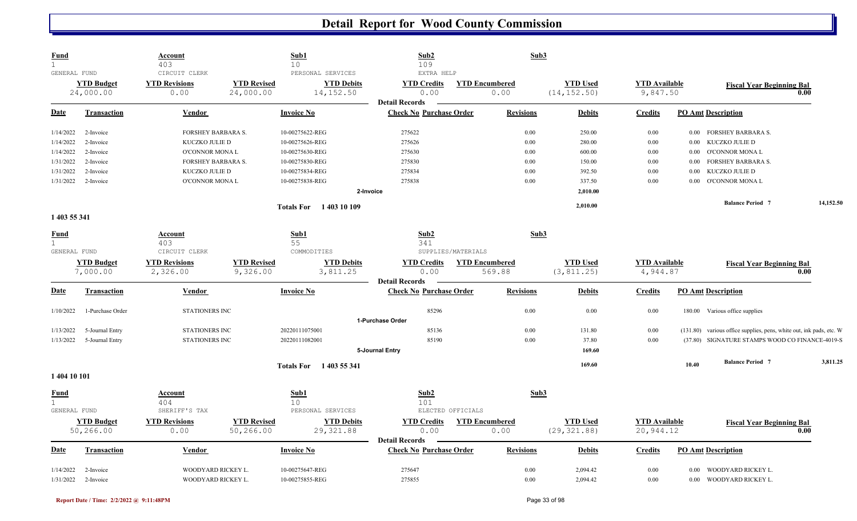| <b>Fund</b>            |                                | <b>Account</b><br>403                    |                                 | Sub1<br>10                         | Sub2<br>109                                             | Sub3                          |                                 |                                  |          |                                                            |           |
|------------------------|--------------------------------|------------------------------------------|---------------------------------|------------------------------------|---------------------------------------------------------|-------------------------------|---------------------------------|----------------------------------|----------|------------------------------------------------------------|-----------|
| GENERAL FUND           |                                | CIRCUIT CLERK                            |                                 | PERSONAL SERVICES                  | EXTRA HELP                                              |                               |                                 |                                  |          |                                                            |           |
|                        | <b>YTD Budget</b><br>24,000.00 | <b>YTD Revisions</b><br>0.00             | <b>YTD Revised</b><br>24,000.00 | <b>YTD Debits</b><br>14, 152.50    | <b>YTD Credits</b><br>0.00                              | <b>YTD Encumbered</b><br>0.00 | <b>YTD Used</b><br>(14, 152.50) | <b>YTD</b> Available<br>9,847.50 |          | <b>Fiscal Year Beginning Bal</b><br>0.00                   |           |
|                        |                                |                                          |                                 |                                    | <b>Detail Records</b>                                   |                               |                                 |                                  |          |                                                            |           |
| <b>Date</b>            | <b>Transaction</b>             | <b>Vendor</b>                            |                                 | <b>Invoice No</b>                  | <b>Check No Purchase Order</b>                          | <b>Revisions</b>              | <b>Debits</b>                   | <b>Credits</b>                   |          | <b>PO Amt Description</b>                                  |           |
| 1/14/2022              | 2-Invoice                      | FORSHEY BARBARA S.                       |                                 | 10-00275622-REG                    | 275622                                                  | 0.00                          | 250.00                          | 0.00                             |          | 0.00 FORSHEY BARBARA S.                                    |           |
| 1/14/2022              | 2-Invoice                      | KUCZKO JULIE D                           |                                 | 10-00275626-REG                    | 275626                                                  | 0.00                          | 280.00                          | 0.00                             | 0.00     | KUCZKO JULIE D                                             |           |
| 1/14/2022              | 2-Invoice                      | <b>O'CONNOR MONAL</b>                    |                                 | 10-00275630-REG                    | 275630                                                  | 0.00                          | 600.00                          | 0.00                             | $0.00\,$ | O'CONNOR MONA L                                            |           |
| 1/31/2022              | 2-Invoice                      | FORSHEY BARBARA S.                       |                                 | 10-00275830-REG                    | 275830                                                  | 0.00                          | 150.00                          | 0.00                             | $0.00\,$ | FORSHEY BARBARA S.                                         |           |
| 1/31/2022              | 2-Invoice                      | KUCZKO JULIE D                           |                                 | 10-00275834-REG                    | 275834                                                  | 0.00                          | 392.50                          | 0.00                             | 0.00     | KUCZKO JULIE D                                             |           |
| 1/31/2022              | 2-Invoice                      | <b>O'CONNOR MONAL</b>                    |                                 | 10-00275838-REG                    | 275838                                                  | 0.00                          | 337.50                          | 0.00                             | $0.00\,$ | O'CONNOR MONA L                                            |           |
|                        |                                |                                          |                                 |                                    | 2-Invoice                                               |                               | 2,010.00                        |                                  |          |                                                            |           |
|                        |                                |                                          |                                 | Totals For 1403 10 109             |                                                         |                               | 2,010.00                        |                                  |          | <b>Balance Period 7</b>                                    | 14,152.50 |
| 1 403 55 341           |                                |                                          |                                 |                                    |                                                         |                               |                                 |                                  |          |                                                            |           |
| Fund                   |                                | Account                                  |                                 | Sub1                               | Sub2                                                    | Sub3                          |                                 |                                  |          |                                                            |           |
| $\mathbf{1}$           |                                | 403                                      |                                 | 55                                 | 341                                                     |                               |                                 |                                  |          |                                                            |           |
| GENERAL FUND           |                                | CIRCUIT CLERK                            |                                 | COMMODITIES                        | SUPPLIES/MATERIALS                                      |                               |                                 |                                  |          |                                                            |           |
|                        | <b>YTD Budget</b>              | <b>YTD Revisions</b>                     | <b>YTD Revised</b>              | <b>YTD Debits</b>                  | <b>YTD Credits</b>                                      | <b>YTD Encumbered</b>         | <b>YTD Used</b>                 | <b>YTD</b> Available             |          | <b>Fiscal Year Beginning Bal</b>                           |           |
|                        | 7,000.00                       | 2,326.00                                 | 9,326.00                        | 3,811.25                           | 0.00                                                    | 569.88                        | (3, 811.25)                     | 4,944.87                         |          | 0.00                                                       |           |
|                        |                                |                                          |                                 |                                    | <b>Detail Records</b>                                   |                               |                                 |                                  |          |                                                            |           |
| <b>Date</b>            | <b>Transaction</b>             | <b>Vendor</b>                            |                                 | <b>Invoice No</b>                  | <b>Check No Purchase Order</b>                          | <b>Revisions</b>              | <b>Debits</b>                   | <b>Credits</b>                   |          | <b>PO Amt Description</b>                                  |           |
| 1/10/2022              | 1-Purchase Order               | <b>STATIONERS INC</b>                    |                                 |                                    | 85296                                                   |                               |                                 |                                  |          | 180.00 Various office supplies                             |           |
|                        |                                |                                          |                                 |                                    |                                                         | 0.00                          | 0.00                            | 0.00                             |          |                                                            |           |
|                        |                                |                                          |                                 |                                    | 1-Purchase Order                                        |                               |                                 |                                  |          |                                                            |           |
| 1/13/2022              | 5-Journal Entry                | <b>STATIONERS INC</b>                    |                                 | 20220111075001                     | 85136                                                   | 0.00                          | 131.80                          | 0.00                             | (131.80) | various office supplies, pens, white out, ink pads, etc. W |           |
| 1/13/2022              | 5-Journal Entry                | STATIONERS INC                           |                                 | 20220111082001                     | 85190                                                   | 0.00                          | 37.80                           | 0.00                             |          | (37.80) SIGNATURE STAMPS WOOD CO FINANCE-4019-S            |           |
|                        |                                |                                          |                                 |                                    | 5-Journal Entry                                         |                               | 169.60                          |                                  |          |                                                            |           |
|                        |                                |                                          |                                 | Totals For 1403 55 341             |                                                         |                               | 169.60                          |                                  | 10.40    | <b>Balance Period 7</b>                                    | 3,811.25  |
| 1 404 10 101           |                                |                                          |                                 |                                    |                                                         |                               |                                 |                                  |          |                                                            |           |
| <b>Fund</b>            |                                | <b>Account</b>                           |                                 | Sub1                               | Sub2                                                    | Sub3                          |                                 |                                  |          |                                                            |           |
|                        |                                | 404                                      |                                 | 10                                 | 101                                                     |                               |                                 |                                  |          |                                                            |           |
| GENERAL FUND           |                                | SHERIFF'S TAX                            |                                 | PERSONAL SERVICES                  | ELECTED OFFICIALS                                       |                               |                                 |                                  |          |                                                            |           |
|                        | <b>YTD Budget</b>              | <b>YTD Revisions</b>                     | <b>YTD Revised</b>              | <b>YTD Debits</b>                  | <b>YTD Credits</b>                                      | <b>YTD</b> Encumbered         | <b>YTD Used</b>                 | <b>YTD</b> Available             |          | <b>Fiscal Year Beginning Bal</b>                           |           |
|                        | 50,266.00                      | 0.00                                     | 50,266.00                       | 29, 321.88                         | 0.00                                                    | 0.00                          | (29, 321.88)                    | 20,944.12                        |          | 0.00                                                       |           |
| <b>Date</b>            | <b>Transaction</b>             | Vendor                                   |                                 | <b>Invoice No</b>                  | <b>Detail Records</b><br><b>Check No Purchase Order</b> | <b>Revisions</b>              | <b>Debits</b>                   | <b>Credits</b>                   |          | <b>PO Amt Description</b>                                  |           |
|                        |                                |                                          |                                 |                                    |                                                         |                               |                                 |                                  |          |                                                            |           |
| 1/14/2022<br>1/31/2022 | 2-Invoice<br>2-Invoice         | WOODYARD RICKEY L.<br>WOODYARD RICKEY L. |                                 | 10-00275647-REG<br>10-00275855-REG | 275647<br>275855                                        | 0.00<br>0.00                  | 2,094.42<br>2,094.42            | 0.00<br>0.00                     | 0.00     | WOODYARD RICKEY L.<br>0.00 WOODYARD RICKEY L.              |           |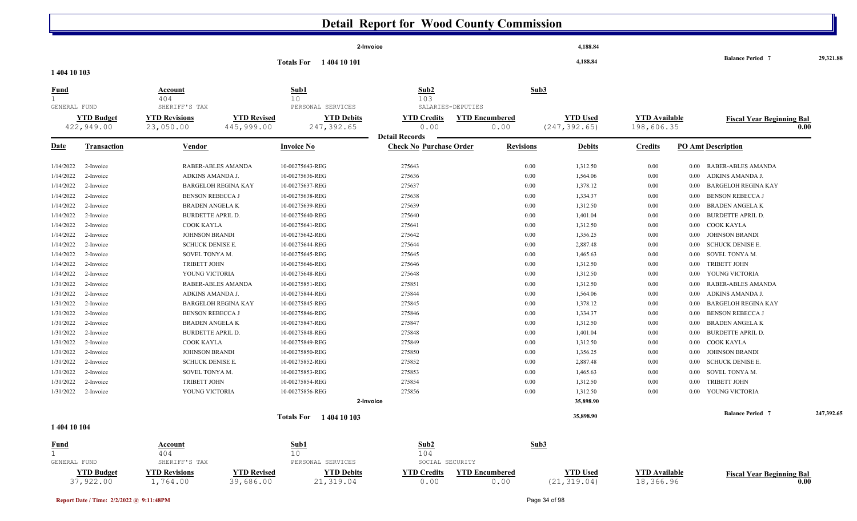|              |                                |                                  |                                 |                                | 2-Invoice                                               |                               | 4,188.84                        |                                   |                                    |            |
|--------------|--------------------------------|----------------------------------|---------------------------------|--------------------------------|---------------------------------------------------------|-------------------------------|---------------------------------|-----------------------------------|------------------------------------|------------|
|              |                                |                                  |                                 | <b>Totals For</b> 1404 10 101  |                                                         |                               | 4,188.84                        |                                   | <b>Balance Period 7</b>            | 29,321.88  |
| 1 404 10 103 |                                |                                  |                                 |                                |                                                         |                               |                                 |                                   |                                    |            |
| <u>Fund</u>  |                                | Account                          |                                 | Sub1                           | Sub2                                                    |                               | Sub3                            |                                   |                                    |            |
| $\mathbf 1$  |                                | 404                              |                                 | 10                             | 103                                                     |                               |                                 |                                   |                                    |            |
| GENERAL FUND |                                | SHERIFF'S TAX                    |                                 | PERSONAL SERVICES              | SALARIES-DEPUTIES                                       |                               |                                 |                                   |                                    |            |
|              | <b>YTD Budget</b>              | <b>YTD Revisions</b>             | <b>YTD Revised</b>              | <b>YTD Debits</b>              | <b>YTD Credits</b>                                      | <b>YTD Encumbered</b>         | <b>YTD Used</b>                 | <b>YTD</b> Available              | <b>Fiscal Year Beginning Bal</b>   |            |
|              | 422,949.00                     | 23,050.00                        | 445,999.00                      | 247,392.65                     | 0.00                                                    | 0.00                          | (247, 392.65)                   | 198,606.35                        |                                    | 0.00       |
| <u>Date</u>  | <b>Transaction</b>             | <b>Vendor</b>                    |                                 | <b>Invoice No</b>              | <b>Detail Records</b><br><b>Check No Purchase Order</b> | <b>Revisions</b>              | <b>Debits</b>                   | <b>Credits</b>                    | <b>PO Amt Description</b>          |            |
| 1/14/2022    | 2-Invoice                      |                                  | RABER-ABLES AMANDA              | 10-00275643-REG                | 275643                                                  | 0.00                          | 1,312.50                        | $0.00\,$                          | RABER-ABLES AMANDA<br>0.00         |            |
| 1/14/2022    | 2-Invoice                      | ADKINS AMANDA J                  |                                 | 10-00275636-REG                | 275636                                                  | 0.00                          | 1,564.06                        | $0.00\,$                          | ADKINS AMANDA J.<br>0.00           |            |
| 1/14/2022    | 2-Invoice                      |                                  | <b>BARGELOH REGINA KAY</b>      | 10-00275637-REG                | 275637                                                  | 0.00                          | 1,378.12                        | $0.00\,$                          | <b>BARGELOH REGINA KAY</b><br>0.00 |            |
| 1/14/2022    | 2-Invoice                      | <b>BENSON REBECCA J</b>          |                                 | 10-00275638-REG                | 275638                                                  | 0.00                          | 1,334.37                        | $0.00\,$                          | <b>BENSON REBECCA J</b><br>0.00    |            |
| 1/14/2022    | 2-Invoice                      | <b>BRADEN ANGELA K</b>           |                                 | 10-00275639-REG                | 275639                                                  | 0.00                          | 1,312.50                        | $0.00\,$                          | <b>BRADEN ANGELAK</b><br>0.00      |            |
| 1/14/2022    | 2-Invoice                      | BURDETTE APRIL D.                |                                 | 10-00275640-REG                | 275640                                                  | 0.00                          | 1,401.04                        | $0.00\,$                          | <b>BURDETTE APRIL D.</b><br>0.00   |            |
| 1/14/2022    | 2-Invoice                      | COOK KAYLA                       |                                 | 10-00275641-REG                | 275641                                                  | 0.00                          | 1,312.50                        | $0.00\,$                          | COOK KAYLA<br>0.00                 |            |
| 1/14/2022    | 2-Invoice                      | <b>JOHNSON BRANDI</b>            |                                 | 10-00275642-REG                | 275642                                                  | 0.00                          | 1,356.25                        | $0.00\,$                          | <b>JOHNSON BRANDI</b><br>0.00      |            |
| 1/14/2022    | 2-Invoice                      | SCHUCK DENISE E.                 |                                 | 10-00275644-REG                | 275644                                                  | 0.00                          | 2,887.48                        | $0.00\,$                          | <b>SCHUCK DENISE E.</b><br>0.00    |            |
| 1/14/2022    | 2-Invoice                      | SOVEL TONYA M.                   |                                 | 10-00275645-REG                | 275645                                                  | 0.00                          | 1,465.63                        | $0.00\,$                          | SOVEL TONYA M.<br>0.00             |            |
| 1/14/2022    | 2-Invoice                      | <b>TRIBETT JOHN</b>              |                                 | 10-00275646-REG                | 275646                                                  | 0.00                          | 1,312.50                        | $0.00\,$                          | <b>TRIBETT JOHN</b><br>0.00        |            |
| 1/14/2022    | 2-Invoice                      | YOUNG VICTORIA                   |                                 | 10-00275648-REG                | 275648                                                  | 0.00                          | 1,312.50                        | $0.00\,$                          | YOUNG VICTORIA<br>0.00             |            |
| 1/31/2022    | 2-Invoice                      |                                  | RABER-ABLES AMANDA              | 10-00275851-REG                | 275851                                                  | 0.00                          | 1,312.50                        | $0.00\,$                          | RABER-ABLES AMANDA<br>0.00         |            |
| 1/31/2022    | 2-Invoice                      | ADKINS AMANDA J.                 |                                 | 10-00275844-REG                | 275844                                                  | 0.00                          | 1,564.06                        | $0.00\,$                          | ADKINS AMANDA J.<br>0.00           |            |
| 1/31/2022    | 2-Invoice                      |                                  | <b>BARGELOH REGINA KAY</b>      | 10-00275845-REG                | 275845                                                  | 0.00                          | 1,378.12                        | $0.00\,$                          | <b>BARGELOH REGINA KAY</b><br>0.00 |            |
| 1/31/2022    | 2-Invoice                      | <b>BENSON REBECCA J</b>          |                                 | 10-00275846-REG                | 275846                                                  | 0.00                          | 1,334.37                        | $0.00\,$                          | <b>BENSON REBECCA J</b><br>0.00    |            |
| 1/31/2022    | 2-Invoice                      | <b>BRADEN ANGELAK</b>            |                                 | 10-00275847-REG                | 275847                                                  | 0.00                          | 1,312.50                        | $0.00\,$                          | <b>BRADEN ANGELAK</b><br>0.00      |            |
| 1/31/2022    | 2-Invoice                      | <b>BURDETTE APRIL D.</b>         |                                 | 10-00275848-REG                | 275848                                                  | 0.00                          | 1,401.04                        | $0.00\,$                          | <b>BURDETTE APRIL D.</b><br>0.00   |            |
| 1/31/2022    | 2-Invoice                      | COOK KAYLA                       |                                 | 10-00275849-REG                | 275849                                                  | 0.00                          | 1,312.50                        | $0.00\,$                          | COOK KAYLA<br>0.00                 |            |
| 1/31/2022    | 2-Invoice                      | <b>JOHNSON BRANDI</b>            |                                 | 10-00275850-REG                | 275850                                                  | 0.00                          | 1,356.25                        | $0.00\,$                          | <b>JOHNSON BRANDI</b><br>0.00      |            |
| 1/31/2022    | 2-Invoice                      | <b>SCHUCK DENISE E.</b>          |                                 | 10-00275852-REG                | 275852                                                  | 0.00                          | 2,887.48                        | $0.00\,$                          | <b>SCHUCK DENISE E.</b><br>0.00    |            |
| 1/31/2022    | 2-Invoice                      | SOVEL TONYA M.                   |                                 | 10-00275853-REG                | 275853                                                  | 0.00                          | 1,465.63                        | $0.00\,$                          | SOVEL TONYA M.<br>0.00             |            |
| 1/31/2022    | 2-Invoice                      | TRIBETT JOHN                     |                                 | 10-00275854-REG                | 275854                                                  | 0.00                          | 1,312.50                        | $0.00\,$                          | <b>TRIBETT JOHN</b><br>0.00        |            |
| 1/31/2022    | 2-Invoice                      | YOUNG VICTORIA                   |                                 | 10-00275856-REG                | 275856                                                  | 0.00                          | 1,312.50                        | 0.00                              | YOUNG VICTORIA<br>0.00             |            |
|              |                                |                                  |                                 |                                | 2-Invoice                                               |                               | 35,898.90                       |                                   |                                    |            |
|              |                                |                                  |                                 | Totals For 1404 10 103         |                                                         |                               | 35,898.90                       |                                   | <b>Balance Period 7</b>            | 247,392.65 |
| 1 404 10 104 |                                |                                  |                                 |                                |                                                         |                               |                                 |                                   |                                    |            |
| <b>Fund</b>  |                                | Account                          |                                 | Sub1                           | Sub2                                                    |                               | Sub3                            |                                   |                                    |            |
| 1            |                                | 404                              |                                 | 10                             | 104                                                     |                               |                                 |                                   |                                    |            |
| GENERAL FUND |                                | SHERIFF'S TAX                    |                                 | PERSONAL SERVICES              | SOCIAL SECURITY                                         |                               |                                 |                                   |                                    |            |
|              | <b>YTD Budget</b><br>37,922.00 | <b>YTD Revisions</b><br>1,764.00 | <b>YTD Revised</b><br>39,686.00 | <b>YTD Debits</b><br>21,319.04 | <b>YTD Credits</b><br>0.00                              | <b>YTD Encumbered</b><br>0.00 | <b>YTD Used</b><br>(21, 319.04) | <b>YTD</b> Available<br>18,366.96 | <b>Fiscal Year Beginning Bal</b>   | 0.00       |

Ш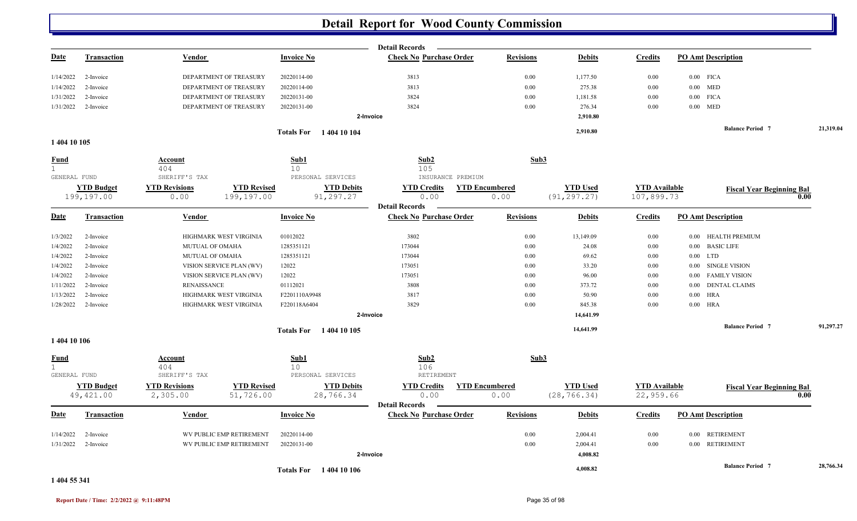|                             |                                |                                  |                                 |                                | <b>Detail Records</b>                                   |                               |                                 |                                   |                                  |           |
|-----------------------------|--------------------------------|----------------------------------|---------------------------------|--------------------------------|---------------------------------------------------------|-------------------------------|---------------------------------|-----------------------------------|----------------------------------|-----------|
| <u>Date</u>                 | <b>Transaction</b>             | Vendor                           | <b>Invoice No</b>               |                                | <b>Check No Purchase Order</b>                          | <b>Revisions</b>              | <b>Debits</b>                   | <b>Credits</b>                    | <b>PO Amt Description</b>        |           |
| 1/14/2022                   | 2-Invoice                      | DEPARTMENT OF TREASURY           | 20220114-00                     |                                | 3813                                                    | 0.00                          | 1,177.50                        | 0.00                              | $0.00$ FICA                      |           |
| 1/14/2022                   | 2-Invoice                      | DEPARTMENT OF TREASURY           | 20220114-00                     |                                | 3813                                                    | 0.00                          | 275.38                          | 0.00                              | $0.00$ MED                       |           |
| 1/31/2022                   | 2-Invoice                      | DEPARTMENT OF TREASURY           | 20220131-00                     |                                | 3824                                                    | 0.00                          | 1,181.58                        | 0.00                              | $0.00$ FICA                      |           |
| 1/31/2022                   | 2-Invoice                      | DEPARTMENT OF TREASURY           | 20220131-00                     |                                | 3824                                                    | 0.00                          | 276.34                          | 0.00                              | $0.00$ MED                       |           |
|                             |                                |                                  |                                 | 2-Invoice                      |                                                         |                               | 2,910.80                        |                                   |                                  |           |
|                             |                                |                                  |                                 | <b>Totals For</b> 1404 10 104  |                                                         |                               | 2,910.80                        |                                   | <b>Balance Period 7</b>          | 21,319.04 |
| 1 404 10 105                |                                |                                  |                                 |                                |                                                         |                               |                                 |                                   |                                  |           |
| <b>Fund</b><br>$\mathbf{1}$ |                                | Account<br>404                   | Sub1<br>10 <sup>°</sup>         |                                | Sub2<br>105                                             | Sub3                          |                                 |                                   |                                  |           |
| GENERAL FUND                |                                | SHERIFF'S TAX                    |                                 | PERSONAL SERVICES              | INSURANCE PREMIUM                                       |                               |                                 |                                   |                                  |           |
|                             | <b>YTD Budget</b>              | <b>YTD Revisions</b>             | <b>YTD Revised</b>              | <b>YTD Debits</b>              | <b>YTD Credits</b>                                      | <b>YTD Encumbered</b>         | <b>YTD Used</b>                 | <b>YTD Available</b>              | <b>Fiscal Year Beginning Bal</b> |           |
|                             | 199,197.00                     | 0.00                             | 199,197.00                      | 91,297.27                      | 0.00<br><b>Detail Records</b>                           | 0.00                          | (91, 297.27)                    | 107,899.73                        |                                  | 0.00      |
| <u>Date</u>                 | <b>Transaction</b>             | Vendor                           | <b>Invoice No</b>               |                                | <b>Check No Purchase Order</b>                          | <b>Revisions</b>              | <b>Debits</b>                   | <b>Credits</b>                    | <b>PO Amt Description</b>        |           |
| 1/3/2022                    | 2-Invoice                      | HIGHMARK WEST VIRGINIA           | 01012022                        |                                | 3802                                                    | 0.00                          | 13,149.09                       | $0.00\,$                          | 0.00 HEALTH PREMIUM              |           |
| 1/4/2022                    | 2-Invoice                      | MUTUAL OF OMAHA                  | 1285351121                      |                                | 173044                                                  | 0.00                          | 24.08                           | 0.00                              | 0.00 BASIC LIFE                  |           |
| 1/4/2022                    | 2-Invoice                      | MUTUAL OF OMAHA                  | 1285351121                      |                                | 173044                                                  | 0.00                          | 69.62                           | 0.00                              | $0.00$ LTD                       |           |
| 1/4/2022                    | 2-Invoice                      | VISION SERVICE PLAN (WV)         | 12022                           |                                | 173051                                                  | 0.00                          | 33.20                           | $0.00\,$                          | 0.00 SINGLE VISION               |           |
| 1/4/2022                    | 2-Invoice                      | VISION SERVICE PLAN (WV)         | 12022                           |                                | 173051                                                  | 0.00                          | 96.00                           | 0.00                              | <b>FAMILY VISION</b><br>$0.00\,$ |           |
| 1/11/2022                   | 2-Invoice                      | <b>RENAISSANCE</b>               | 01112021                        |                                | 3808                                                    | 0.00                          | 373.72                          | $0.00\,$                          | <b>DENTAL CLAIMS</b><br>0.00     |           |
| 1/13/2022                   | 2-Invoice                      | HIGHMARK WEST VIRGINIA           | F2201110A9948                   |                                | 3817                                                    | 0.00                          | 50.90                           | 0.00                              | $0.00\quad\, {\rm HRA}$          |           |
| 1/28/2022                   | 2-Invoice                      | HIGHMARK WEST VIRGINIA           | F220118A6404                    |                                | 3829                                                    | 0.00                          | 845.38                          | 0.00                              | $0.00$ HRA                       |           |
|                             |                                |                                  |                                 | 2-Invoice                      |                                                         |                               | 14,641.99                       |                                   |                                  |           |
|                             |                                |                                  |                                 | <b>Totals For</b> 1404 10 105  |                                                         |                               | 14,641.99                       |                                   | <b>Balance Period 7</b>          | 91,297.27 |
| 1 404 10 106                |                                |                                  |                                 |                                |                                                         |                               |                                 |                                   |                                  |           |
| <b>Fund</b><br>$\mathbf{1}$ |                                | Account<br>404                   | Sub1<br>10                      |                                | Sub2<br>106                                             | Sub3                          |                                 |                                   |                                  |           |
| GENERAL FUND                |                                | SHERIFF'S TAX                    |                                 | PERSONAL SERVICES              | RETIREMENT                                              |                               |                                 |                                   |                                  |           |
|                             | <b>YTD Budget</b><br>49,421.00 | <b>YTD Revisions</b><br>2,305.00 | <b>YTD Revised</b><br>51,726.00 | <b>YTD Debits</b><br>28,766.34 | <b>YTD Credits</b><br>0.00                              | <b>YTD Encumbered</b><br>0.00 | <b>YTD Used</b><br>(28, 766.34) | <b>YTD</b> Available<br>22,959.66 | <b>Fiscal Year Beginning Bal</b> | 0.00      |
| <u>Date</u>                 | Transaction                    | Vendor                           | <b>Invoice No</b>               |                                | <b>Detail Records</b><br><b>Check No Purchase Order</b> | <b>Revisions</b>              | <b>Debits</b>                   | <b>Credits</b>                    | <b>PO Amt Description</b>        |           |
|                             |                                |                                  |                                 |                                |                                                         |                               |                                 |                                   |                                  |           |
| 1/14/2022                   | 2-Invoice                      | WV PUBLIC EMP RETIREMENT         | 20220114-00                     |                                |                                                         | 0.00                          | 2,004.41                        | 0.00                              | 0.00 RETIREMENT                  |           |
| 1/31/2022                   | 2-Invoice                      | WV PUBLIC EMP RETIREMENT         | 20220131-00                     |                                |                                                         | 0.00                          | 2,004.41                        | 0.00                              | 0.00 RETIREMENT                  |           |
|                             |                                |                                  |                                 | 2-Invoice                      |                                                         |                               | 4,008.82                        |                                   |                                  |           |
|                             |                                |                                  |                                 | <b>Totals For</b> 1404 10 106  |                                                         |                               | 4,008.82                        |                                   | <b>Balance Period 7</b>          | 28,766.34 |

**1 404 55 341**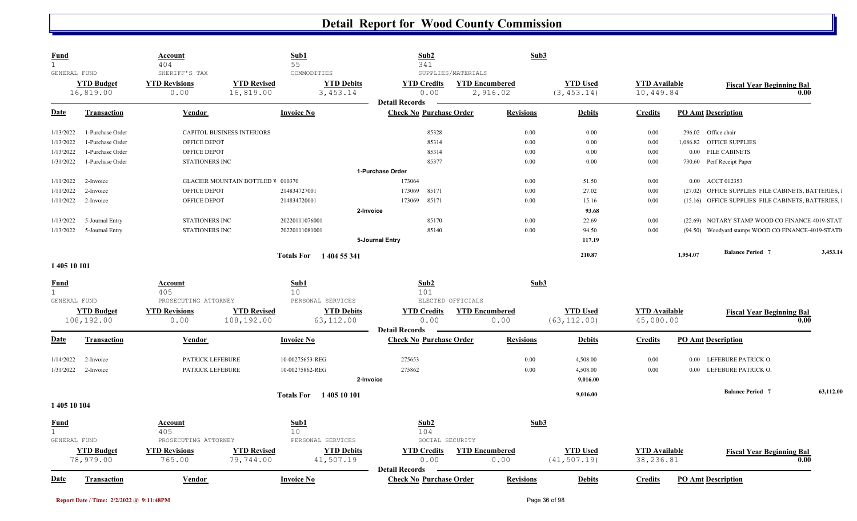| <b>Fund</b><br>$\mathbf{1}$<br>GENERAL FUND |                                | Account<br>404<br>SHERIFF'S TAX | Sub1<br>55                               | COMMODITIES                    | Sub2<br>341<br>SUPPLIES/MATERIALS                       |                                   | Sub3             |                                 |                                   |          |                                                    |           |
|---------------------------------------------|--------------------------------|---------------------------------|------------------------------------------|--------------------------------|---------------------------------------------------------|-----------------------------------|------------------|---------------------------------|-----------------------------------|----------|----------------------------------------------------|-----------|
|                                             | <b>YTD Budget</b><br>16,819.00 | <b>YTD Revisions</b><br>0.00    | <b>YTD Revised</b><br>16,819.00          | <b>YTD Debits</b><br>3, 453.14 | <b>YTD Credits</b><br>0.00                              | <b>YTD Encumbered</b><br>2,916.02 |                  | <b>YTD Used</b><br>(3, 453.14)  | <b>YTD Available</b><br>10,449.84 |          | <b>Fiscal Year Beginning Bal</b>                   | 0.00      |
| Date                                        | <b>Transaction</b>             | Vendor                          | <b>Invoice No</b>                        |                                | <b>Detail Records</b><br><b>Check No Purchase Order</b> |                                   | <b>Revisions</b> | <b>Debits</b>                   | <b>Credits</b>                    |          | <b>PO Amt Description</b>                          |           |
| 1/13/2022                                   | 1-Purchase Order               | CAPITOL BUSINESS INTERIORS      |                                          |                                | 85328                                                   |                                   | 0.00             | 0.00                            | 0.00                              | 296.02   | Office chair                                       |           |
| 1/13/2022                                   | 1-Purchase Order               | OFFICE DEPOT                    |                                          |                                | 85314                                                   |                                   | 0.00             | 0.00                            | 0.00                              | 1,086.82 | <b>OFFICE SUPPLIES</b>                             |           |
| 1/13/2022                                   | 1-Purchase Order               | OFFICE DEPOT                    |                                          |                                | 85314                                                   |                                   | 0.00             | 0.00                            | 0.00                              | $0.00\,$ | <b>FILE CABINETS</b>                               |           |
| 1/31/2022                                   | 1-Purchase Order               | <b>STATIONERS INC</b>           |                                          |                                | 85377                                                   |                                   | 0.00             | 0.00                            | 0.00                              |          | 730.60 Perf Receipt Paper                          |           |
|                                             |                                |                                 |                                          |                                | 1-Purchase Order                                        |                                   |                  |                                 |                                   |          |                                                    |           |
| 1/11/2022                                   | 2-Invoice                      |                                 | <b>GLACIER MOUNTAIN BOTTLED V 010370</b> |                                | 173064                                                  |                                   | 0.00             | 51.50                           | 0.00                              | $0.00\,$ | ACCT 012353                                        |           |
| 1/11/2022                                   | 2-Invoice                      | OFFICE DEPOT                    | 214834727001                             |                                | 173069<br>85171                                         |                                   | 0.00             | 27.02                           | 0.00                              | (27.02)  | OFFICE SUPPLIES FILE CABINETS, BATTERIES,          |           |
| 1/11/2022                                   | 2-Invoice                      | OFFICE DEPOT                    | 214834720001                             |                                | 173069<br>85171                                         |                                   | 0.00             | 15.16                           | 0.00                              |          | (15.16) OFFICE SUPPLIES FILE CABINETS, BATTERIES,  |           |
|                                             |                                |                                 |                                          | 2-Invoice                      |                                                         |                                   |                  | 93.68                           |                                   |          |                                                    |           |
| 1/13/2022                                   | 5-Journal Entry                | <b>STATIONERS INC</b>           | 20220111076001                           |                                | 85170                                                   |                                   | 0.00             | 22.69                           | 0.00                              |          | (22.69) NOTARY STAMP WOOD CO FINANCE-4019-STAT     |           |
| 1/13/2022                                   | 5-Journal Entry                | <b>STATIONERS INC</b>           | 20220111081001                           |                                | 85140                                                   |                                   | 0.00             | 94.50                           | 0.00                              |          | (94.50) Woodyard stamps WOOD CO FINANCE-4019-STATI |           |
|                                             |                                |                                 |                                          |                                | 5-Journal Entry                                         |                                   |                  | 117.19                          |                                   |          |                                                    |           |
|                                             |                                |                                 | <b>Totals For</b>                        | 1 404 55 341                   |                                                         |                                   |                  | 210.87                          |                                   | 1,954.07 | <b>Balance Period 7</b>                            | 3,453.14  |
| 1 405 10 101                                |                                |                                 |                                          |                                |                                                         |                                   |                  |                                 |                                   |          |                                                    |           |
|                                             |                                |                                 | Sub1                                     |                                | Sub2                                                    |                                   | Sub3             |                                 |                                   |          |                                                    |           |
| <u>Fund</u>                                 |                                | <b>Account</b><br>405           | 10                                       |                                | 101                                                     |                                   |                  |                                 |                                   |          |                                                    |           |
| GENERAL FUND                                |                                | PROSECUTING ATTORNEY            |                                          | PERSONAL SERVICES              | ELECTED OFFICIALS                                       |                                   |                  |                                 |                                   |          |                                                    |           |
|                                             | <b>YTD Budget</b>              | <b>YTD Revisions</b>            | <b>YTD Revised</b>                       | <b>YTD Debits</b>              | <b>YTD Credits</b>                                      | <b>YTD Encumbered</b>             |                  | <b>YTD Used</b>                 | <b>YTD Available</b>              |          | <b>Fiscal Year Beginning Bal</b>                   |           |
|                                             | 108,192.00                     | 0.00                            | 108,192.00                               | 63, 112.00                     | 0.00                                                    | 0.00                              |                  | (63, 112.00)                    | 45,080.00                         |          |                                                    | 0.00      |
|                                             |                                |                                 |                                          |                                | <b>Detail Records</b>                                   |                                   |                  |                                 |                                   |          |                                                    |           |
| <b>Date</b>                                 | <b>Transaction</b>             | <b>Vendor</b>                   | <b>Invoice No</b>                        |                                | <b>Check No Purchase Order</b>                          |                                   | <b>Revisions</b> | <b>Debits</b>                   | <b>Credits</b>                    |          | <b>PO Amt Description</b>                          |           |
| 1/14/2022                                   | 2-Invoice                      | PATRICK LEFEBURE                |                                          | 10-00275653-REG                | 275653                                                  |                                   | $0.00\,$         | 4,508.00                        | 0.00                              | $0.00\,$ | LEFEBURE PATRICK O.                                |           |
| 1/31/2022                                   | 2-Invoice                      | PATRICK LEFEBURE                |                                          | 10-00275862-REG                | 275862                                                  |                                   | 0.00             | 4,508.00                        | 0.00                              | $0.00\,$ | LEFEBURE PATRICK O.                                |           |
|                                             |                                |                                 |                                          | 2-Invoice                      |                                                         |                                   |                  | 9,016.00                        |                                   |          |                                                    |           |
|                                             |                                |                                 |                                          |                                |                                                         |                                   |                  | 9,016.00                        |                                   |          | <b>Balance Period</b> 7                            | 63,112.00 |
| 1 405 10 104                                |                                |                                 | <b>Totals For</b>                        | 1405 10 101                    |                                                         |                                   |                  |                                 |                                   |          |                                                    |           |
|                                             |                                |                                 |                                          |                                |                                                         |                                   |                  |                                 |                                   |          |                                                    |           |
|                                             |                                |                                 |                                          |                                |                                                         |                                   |                  |                                 |                                   |          |                                                    |           |
| <b>Fund</b>                                 |                                | Account                         | Sub1                                     |                                | Sub2                                                    |                                   | Sub3             |                                 |                                   |          |                                                    |           |
| $\mathbf{1}$                                |                                | 405                             | 10                                       |                                | 104                                                     |                                   |                  |                                 |                                   |          |                                                    |           |
| GENERAL FUND                                |                                | PROSECUTING ATTORNEY            |                                          | PERSONAL SERVICES              | SOCIAL SECURITY                                         |                                   |                  |                                 |                                   |          |                                                    |           |
|                                             | <b>YTD Budget</b><br>78,979.00 | <b>YTD</b> Revisions<br>765.00  | <b>YTD Revised</b><br>79,744.00          | <b>YTD Debits</b><br>41,507.19 | <b>YTD Credits</b><br>0.00<br><b>Detail Records</b>     | <b>YTD Encumbered</b><br>0.00     |                  | <b>YTD Used</b><br>(41, 507.19) | <b>YTD Available</b><br>38,236.81 |          | <b>Fiscal Year Beginning Bal</b>                   | 0.00      |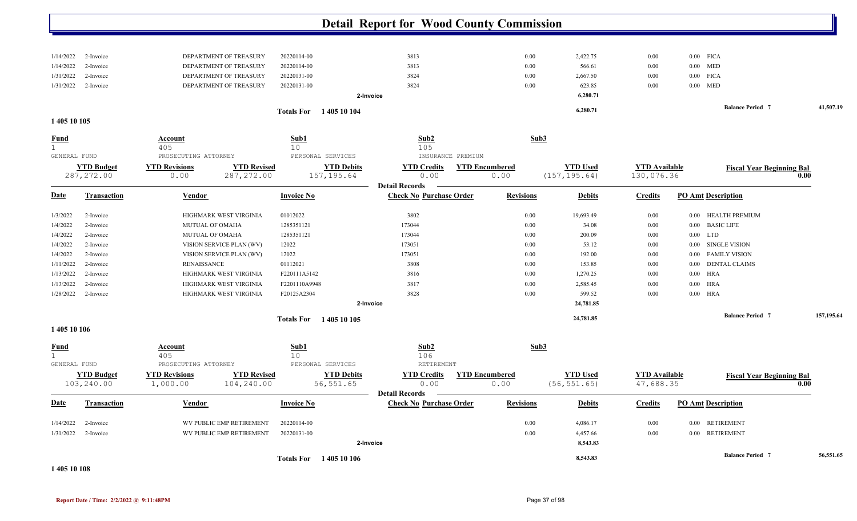|                             |                                  |                                               |                                   |                                  | <b>Detail Report for Wood County Commission</b>         |                               |                                  |                                    |                                  |            |
|-----------------------------|----------------------------------|-----------------------------------------------|-----------------------------------|----------------------------------|---------------------------------------------------------|-------------------------------|----------------------------------|------------------------------------|----------------------------------|------------|
|                             |                                  |                                               |                                   |                                  |                                                         |                               |                                  |                                    |                                  |            |
| 1/14/2022                   | 2-Invoice                        | DEPARTMENT OF TREASURY                        |                                   | 20220114-00                      | 3813                                                    | 0.00                          | 2,422.75                         | 0.00                               | $0.00$ FICA                      |            |
| 1/14/2022                   | 2-Invoice                        | DEPARTMENT OF TREASURY                        |                                   | 20220114-00                      | 3813                                                    | 0.00                          | 566.61                           | 0.00                               | $0.00$ MED                       |            |
| 1/31/2022                   | 2-Invoice                        | DEPARTMENT OF TREASURY                        |                                   | 20220131-00                      | 3824                                                    | 0.00                          | 2,667.50                         | 0.00                               | $0.00$ FICA                      |            |
| 1/31/2022                   | 2-Invoice                        | DEPARTMENT OF TREASURY                        |                                   | 20220131-00                      | 3824                                                    | 0.00                          | 623.85                           | 0.00                               | $0.00$ MED                       |            |
|                             |                                  |                                               |                                   |                                  | 2-Invoice                                               |                               | 6,280.71                         |                                    |                                  |            |
|                             |                                  |                                               |                                   | <b>Totals For</b> 1405 10 104    |                                                         |                               | 6,280.71                         |                                    | <b>Balance Period 7</b>          | 41,507.19  |
| 1 405 10 105                |                                  |                                               |                                   |                                  |                                                         |                               |                                  |                                    |                                  |            |
| <b>Fund</b><br>GENERAL FUND |                                  | <b>Account</b><br>405<br>PROSECUTING ATTORNEY |                                   | Sub1<br>10<br>PERSONAL SERVICES  | Sub2<br>105<br>INSURANCE PREMIUM                        | Sub3                          |                                  |                                    |                                  |            |
|                             | <b>YTD Budget</b><br>287, 272.00 | <b>YTD Revisions</b><br>0.00                  | <b>YTD Revised</b><br>287, 272.00 | <b>YTD Debits</b><br>157, 195.64 | <b>YTD Credits</b><br>0.00                              | <b>YTD Encumbered</b><br>0.00 | <b>YTD Used</b><br>(157, 195.64) | <b>YTD Available</b><br>130,076.36 | <b>Fiscal Year Beginning Bal</b> | 0.00       |
| <b>Date</b>                 | <b>Transaction</b>               | Vendor                                        |                                   | <b>Invoice No</b>                | <b>Detail Records</b><br><b>Check No Purchase Order</b> | <b>Revisions</b>              | <b>Debits</b>                    | Credits                            | <b>PO Amt Description</b>        |            |
| 1/3/2022                    | 2-Invoice                        | HIGHMARK WEST VIRGINIA                        |                                   | 01012022                         | 3802                                                    | 0.00                          | 19,693.49                        | 0.00                               | HEALTH PREMIUM<br>$0.00\,$       |            |
| 1/4/2022                    | 2-Invoice                        | MUTUAL OF OMAHA                               |                                   | 1285351121                       | 173044                                                  | $0.00\,$                      | 34.08                            | 0.00                               | <b>BASIC LIFE</b><br>0.00        |            |
| 1/4/2022                    | 2-Invoice                        | MUTUAL OF OMAHA                               |                                   | 1285351121                       | 173044                                                  | 0.00                          | 200.09                           | 0.00                               | <b>LTD</b><br>0.00               |            |
| 1/4/2022                    | 2-Invoice                        | VISION SERVICE PLAN (WV)                      |                                   | 12022                            | 173051                                                  | 0.00                          | 53.12                            | 0.00                               | <b>SINGLE VISION</b><br>$0.00\,$ |            |
| 1/4/2022                    | 2-Invoice                        | VISION SERVICE PLAN (WV)                      |                                   | 12022                            | 173051                                                  | 0.00                          | 192.00                           | 0.00                               | <b>FAMILY VISION</b><br>$0.00\,$ |            |
| 1/11/2022                   | 2-Invoice                        | <b>RENAISSANCE</b>                            |                                   | 01112021                         | 3808                                                    | 0.00                          | 153.85                           | 0.00                               | <b>DENTAL CLAIMS</b><br>0.00     |            |
| 1/13/2022                   | 2-Invoice                        | HIGHMARK WEST VIRGINIA                        |                                   | F220111A5142                     | 3816                                                    | 0.00                          | 1,270.25                         | 0.00                               | <b>HRA</b><br>0.00               |            |
| 1/13/2022                   | 2-Invoice                        | HIGHMARK WEST VIRGINIA                        |                                   | F2201110A9948                    | 3817                                                    | 0.00                          | 2,585.45                         | 0.00                               | $0.00$ HRA                       |            |
| 1/28/2022                   | 2-Invoice                        | HIGHMARK WEST VIRGINIA                        |                                   | F20125A2304                      | 3828                                                    | 0.00                          | 599.52                           | 0.00                               | $0.00$ HRA                       |            |
|                             |                                  |                                               |                                   |                                  | 2-Invoice                                               |                               | 24,781.85                        |                                    |                                  |            |
|                             |                                  |                                               |                                   | <b>Totals For</b> 1405 10 105    |                                                         |                               | 24,781.85                        |                                    | <b>Balance Period 7</b>          | 157,195.64 |
| 140510106                   |                                  |                                               |                                   |                                  |                                                         |                               |                                  |                                    |                                  |            |
| <u>Fund</u><br>GENERAL FUND |                                  | <b>Account</b><br>405<br>PROSECUTING ATTORNEY |                                   | Sub1<br>10<br>PERSONAL SERVICES  | Sub2<br>106<br>RETIREMENT                               | Sub3                          |                                  |                                    |                                  |            |
|                             | <b>YTD Budget</b>                | <b>YTD Revisions</b>                          | <b>YTD Revised</b>                | <b>YTD Debits</b>                | <b>YTD Credits</b>                                      | <b>YTD</b> Encumbered         | <b>YTD</b> Used                  | <b>YTD</b> Available               | <b>Fiscal Year Beginning Bal</b> |            |
|                             | 103,240.00                       | 1,000.00                                      | 104,240.00                        | 56, 551.65                       | 0.00                                                    | 0.00                          | (56, 551.65)                     | 47,688.35                          |                                  | 0.00       |
| <b>Date</b>                 | <b>Transaction</b>               | Vendor                                        |                                   | <b>Invoice No</b>                | <b>Detail Records</b><br><b>Check No Purchase Order</b> | <b>Revisions</b>              | <b>Debits</b>                    | <b>Credits</b>                     | <b>PO Amt Description</b>        |            |
|                             | $1/14/2022$ 2-Invoice            | WV PUBLIC EMP RETIREMENT                      |                                   | 20220114-00                      |                                                         | 0.00                          | 4.086.17                         | 0.00                               | 0.00 RETIREMENT                  |            |

**2-Invoice 8,543.83**

1/31/2022 2-Invoice WV PUBLIC EMP RETIREMENT 20220131-00 0.00 4,457.66 0.00 0.00 RETIREMENT

**1 405 10 108**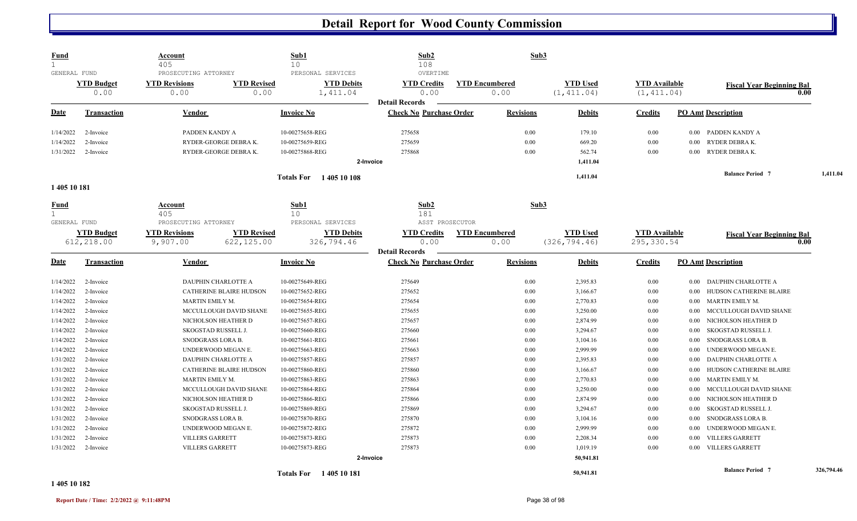| <b>Fund</b><br>$\mathbf{1}$<br>GENERAL FUND |                           | Account<br>405<br>PROSECUTING ATTORNEY |                                | Sub1<br>10<br>PERSONAL SERVICES | Sub2<br>108<br>OVERTIME                                 | Sub3                          |                                |                                     |          |                                  |            |
|---------------------------------------------|---------------------------|----------------------------------------|--------------------------------|---------------------------------|---------------------------------------------------------|-------------------------------|--------------------------------|-------------------------------------|----------|----------------------------------|------------|
|                                             | <b>YTD Budget</b><br>0.00 | <b>YTD Revisions</b><br>0.00           | <b>YTD Revised</b><br>0.00     | <b>YTD Debits</b><br>1,411.04   | <b>YTD Credits</b><br>0.00                              | <b>YTD Encumbered</b><br>0.00 | <b>YTD Used</b><br>(1, 411.04) | <b>YTD Available</b><br>(1, 411.04) |          | <b>Fiscal Year Beginning Bal</b> | 0.00       |
| Date                                        | Transaction               | Vendor                                 |                                | <b>Invoice No</b>               | <b>Detail Records</b><br><b>Check No Purchase Order</b> | <b>Revisions</b>              | <b>Debits</b>                  | <b>Credits</b>                      |          | <b>PO Amt Description</b>        |            |
| 1/14/2022                                   | 2-Invoice                 | PADDEN KANDY A                         |                                | 10-00275658-REG                 | 275658                                                  | 0.00                          | 179.10                         | 0.00                                | $0.00\,$ | PADDEN KANDY A                   |            |
| 1/14/2022                                   | 2-Invoice                 |                                        | RYDER-GEORGE DEBRAK.           | 10-00275659-REG                 | 275659                                                  | 0.00                          | 669.20                         | 0.00                                | $0.00\,$ | RYDER DEBRA K.                   |            |
| 1/31/2022                                   | 2-Invoice                 |                                        | RYDER-GEORGE DEBRAK.           | 10-00275868-REG                 | 275868                                                  | 0.00                          | 562.74                         | 0.00                                | $0.00\,$ | RYDER DEBRA K.                   |            |
|                                             |                           |                                        |                                |                                 | 2-Invoice                                               |                               | 1,411.04                       |                                     |          |                                  |            |
|                                             |                           |                                        |                                | Totals For 1405 10 108          |                                                         |                               | 1,411.04                       |                                     |          | <b>Balance Period</b> 7          | 1,411.04   |
| 1405 10 181                                 |                           |                                        |                                |                                 |                                                         |                               |                                |                                     |          |                                  |            |
| <b>Fund</b><br>$\mathbf{1}$<br>GENERAL FUND |                           | Account<br>405<br>PROSECUTING ATTORNEY |                                | Sub1<br>10<br>PERSONAL SERVICES | Sub2<br>181<br>ASST PROSECUTOR                          | Sub3                          |                                |                                     |          |                                  |            |
|                                             | <b>YTD Budget</b>         | <b>YTD Revisions</b>                   | <b>YTD Revised</b>             | <b>YTD Debits</b>               | <b>YTD Credits</b>                                      | <b>YTD Encumbered</b>         | <b>YTD Used</b>                | <b>YTD Available</b>                |          | <b>Fiscal Year Beginning Bal</b> |            |
|                                             | 612,218.00                | 9,907.00                               | 622,125.00                     | 326,794.46                      | 0.00                                                    | 0.00                          | (326, 794.46)                  | 295,330.54                          |          |                                  | 0.00       |
|                                             |                           |                                        |                                |                                 | <b>Detail Records</b>                                   |                               |                                |                                     |          |                                  |            |
| Date                                        | Transaction               | Vendor                                 |                                | <b>Invoice No</b>               | <b>Check No Purchase Order</b>                          | <b>Revisions</b>              | <b>Debits</b>                  | <b>Credits</b>                      |          | <b>PO Amt Description</b>        |            |
| 1/14/2022                                   | 2-Invoice                 |                                        | DAUPHIN CHARLOTTE A            | 10-00275649-REG                 | 275649                                                  | 0.00                          | 2,395.83                       | 0.00                                | $0.00\,$ | DAUPHIN CHARLOTTE A              |            |
| 1/14/2022                                   | 2-Invoice                 |                                        | CATHERINE BLAIRE HUDSON        | 10-00275652-REG                 | 275652                                                  | 0.00                          | 3,166.67                       | 0.00                                | $0.00\,$ | HUDSON CATHERINE BLAIRE          |            |
| 1/14/2022                                   | 2-Invoice                 | MARTIN EMILY M.                        |                                | 10-00275654-REG                 | 275654                                                  | 0.00                          | 2,770.83                       | 0.00                                | 0.00     | MARTIN EMILY M.                  |            |
| 1/14/2022                                   | 2-Invoice                 |                                        | MCCULLOUGH DAVID SHANE         | 10-00275655-REG                 | 275655                                                  | 0.00                          | 3,250.00                       | 0.00                                | 0.00     | MCCULLOUGH DAVID SHANE           |            |
| 1/14/2022                                   | 2-Invoice                 |                                        | NICHOLSON HEATHER D            | 10-00275657-REG                 | 275657                                                  | 0.00                          | 2,874.99                       | 0.00                                | 0.00     | NICHOLSON HEATHER D              |            |
| 1/14/2022                                   | 2-Invoice                 | SKOGSTAD RUSSELL J.                    |                                | 10-00275660-REG                 | 275660                                                  | 0.00                          | 3,294.67                       | 0.00                                | $0.00\,$ | SKOGSTAD RUSSELL J.              |            |
| 1/14/2022                                   | 2-Invoice                 | SNODGRASS LORA B.                      |                                | 10-00275661-REG                 | 275661                                                  | 0.00                          | 3,104.16                       | 0.00                                | 0.00     | SNODGRASS LORA B.                |            |
| 1/14/2022                                   | 2-Invoice                 |                                        | UNDERWOOD MEGAN E.             | 10-00275663-REG                 | 275663                                                  | 0.00                          | 2,999.99                       | 0.00                                | 0.00     | UNDERWOOD MEGAN E.               |            |
| 1/31/2022                                   | 2-Invoice                 |                                        | DAUPHIN CHARLOTTE A            | 10-00275857-REG                 | 275857                                                  | 0.00                          | 2,395.83                       | 0.00                                | 0.00     | DAUPHIN CHARLOTTE A              |            |
| 1/31/2022                                   | 2-Invoice                 |                                        | <b>CATHERINE BLAIRE HUDSON</b> | 10-00275860-REG                 | 275860                                                  | 0.00                          | 3,166.67                       | 0.00                                | 0.00     | HUDSON CATHERINE BLAIRE          |            |
| 1/31/2022                                   | 2-Invoice                 | MARTIN EMILY M.                        |                                | 10-00275863-REG                 | 275863                                                  | 0.00                          | 2,770.83                       | 0.00                                | $0.00\,$ | MARTIN EMILY M.                  |            |
| 1/31/2022                                   | 2-Invoice                 |                                        | MCCULLOUGH DAVID SHANE         | 10-00275864-REG                 | 275864                                                  | 0.00                          | 3,250.00                       | 0.00                                | 0.00     | MCCULLOUGH DAVID SHANE           |            |
| 1/31/2022                                   | 2-Invoice                 |                                        | NICHOLSON HEATHER D            | 10-00275866-REG                 | 275866                                                  | 0.00                          | 2,874.99                       | 0.00                                | $0.00\,$ | NICHOLSON HEATHER D              |            |
| 1/31/2022                                   | 2-Invoice                 | SKOGSTAD RUSSELL J.                    |                                | 10-00275869-REG                 | 275869                                                  | 0.00                          | 3,294.67                       | 0.00                                | 0.00     | SKOGSTAD RUSSELL J.              |            |
| 1/31/2022                                   | 2-Invoice                 | SNODGRASS LORA B.                      |                                | 10-00275870-REG                 | 275870                                                  | 0.00                          | 3,104.16                       | 0.00                                | 0.00     | SNODGRASS LORA B.                |            |
| 1/31/2022                                   | 2-Invoice                 |                                        | UNDERWOOD MEGAN E.             | 10-00275872-REG                 | 275872                                                  | 0.00                          | 2,999.99                       | 0.00                                | 0.00     | UNDERWOOD MEGAN E.               |            |
| 1/31/2022                                   | 2-Invoice                 | <b>VILLERS GARRETT</b>                 |                                | 10-00275873-REG                 | 275873                                                  | 0.00                          | 2,208.34                       | 0.00                                | 0.00     | <b>VILLERS GARRETT</b>           |            |
| 1/31/2022                                   | 2-Invoice                 | <b>VILLERS GARRETT</b>                 |                                | 10-00275873-REG                 | 275873                                                  | 0.00                          | 1,019.19                       | 0.00                                | 0.00     | <b>VILLERS GARRETT</b>           |            |
|                                             |                           |                                        |                                |                                 | 2-Invoice                                               |                               | 50,941.81                      |                                     |          |                                  |            |
|                                             |                           |                                        |                                | <b>Totals For</b> 1405 10 181   |                                                         |                               | 50,941.81                      |                                     |          | <b>Balance Period 7</b>          | 326,794.46 |

#### **1 405 10 182**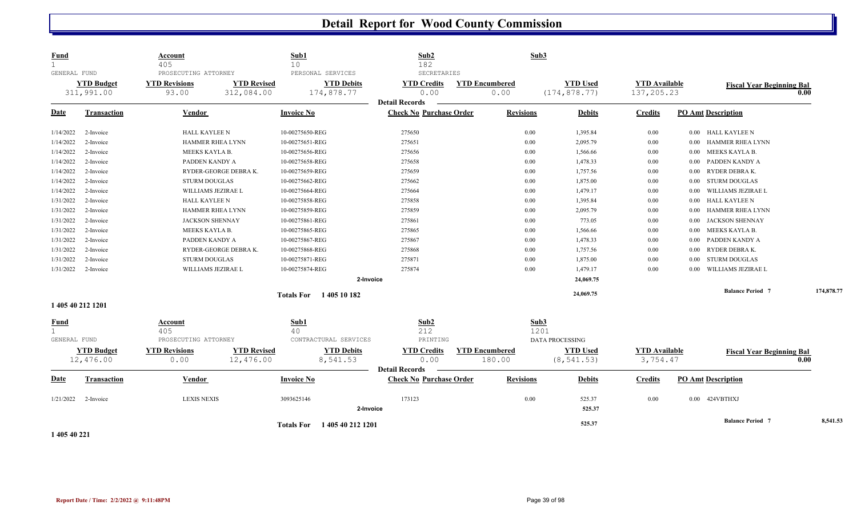| <b>Fund</b><br>$\mathbf{1}$<br>GENERAL FUND |                                 | Account<br>405<br>PROSECUTING ATTORNEY |                                  | Sub1<br>10        | PERSONAL SERVICES               | Sub2<br>182<br>SECRETARIES                              |                               | Sub3         |                                  |                                    |          |                                  |            |          |
|---------------------------------------------|---------------------------------|----------------------------------------|----------------------------------|-------------------|---------------------------------|---------------------------------------------------------|-------------------------------|--------------|----------------------------------|------------------------------------|----------|----------------------------------|------------|----------|
|                                             | <b>YTD Budget</b><br>311,991.00 | <b>YTD Revisions</b><br>93.00          | <b>YTD Revised</b><br>312,084.00 |                   | <b>YTD Debits</b><br>174,878.77 | <b>YTD Credits</b><br>0.00<br><b>Detail Records</b>     | <b>YTD Encumbered</b><br>0.00 |              | <b>YTD Used</b><br>(174, 878.77) | <b>YTD Available</b><br>137,205.23 |          | <b>Fiscal Year Beginning Bal</b> | 0.00       |          |
| Date                                        | <b>Transaction</b>              | Vendor                                 |                                  | <b>Invoice No</b> |                                 | <b>Check No Purchase Order</b>                          | <b>Revisions</b>              |              | <b>Debits</b>                    | <b>Credits</b>                     |          | <b>PO Amt Description</b>        |            |          |
| 1/14/2022                                   | 2-Invoice                       | HALL KAYLEE N                          |                                  | 10-00275650-REG   |                                 | 275650                                                  | 0.00                          |              | 1,395.84                         | 0.00                               |          | 0.00 HALL KAYLEE N               |            |          |
| 1/14/2022                                   | 2-Invoice                       | HAMMER RHEA LYNN                       |                                  | 10-00275651-REG   |                                 | 275651                                                  | 0.00                          |              | 2,095.79                         | 0.00                               | 0.00     | HAMMER RHEA LYNN                 |            |          |
| 1/14/2022                                   | 2-Invoice                       | MEEKS KAYLA B.                         |                                  | 10-00275656-REG   |                                 | 275656                                                  | 0.00                          |              | 1,566.66                         | $0.00\,$                           | $0.00\,$ | MEEKS KAYLA B.                   |            |          |
| 1/14/2022                                   | 2-Invoice                       | PADDEN KANDY A                         |                                  | 10-00275658-REG   |                                 | 275658                                                  | 0.00                          |              | 1,478.33                         | $0.00\,$                           | 0.00     | PADDEN KANDY A                   |            |          |
| 1/14/2022                                   | 2-Invoice                       |                                        | RYDER-GEORGE DEBRAK.             | 10-00275659-REG   |                                 | 275659                                                  | 0.00                          |              | 1,757.56                         | $0.00\,$                           | 0.00     | RYDER DEBRA K.                   |            |          |
| 1/14/2022                                   | 2-Invoice                       | <b>STURM DOUGLAS</b>                   |                                  | 10-00275662-REG   |                                 | 275662                                                  | 0.00                          |              | 1,875.00                         | $0.00\,$                           | 0.00     | <b>STURM DOUGLAS</b>             |            |          |
| 1/14/2022                                   | 2-Invoice                       | WILLIAMS JEZIRAE L                     |                                  | 10-00275664-REG   |                                 | 275664                                                  | 0.00                          |              | 1,479.17                         | $0.00\,$                           | 0.00     | WILLIAMS JEZIRAE L               |            |          |
| 1/31/2022                                   | 2-Invoice                       | <b>HALL KAYLEE N</b>                   |                                  | 10-00275858-REG   |                                 | 275858                                                  | 0.00                          |              | 1,395.84                         | $0.00\,$                           | 0.00     | HALL KAYLEE N                    |            |          |
| 1/31/2022                                   | 2-Invoice                       | <b>HAMMER RHEA LYNN</b>                |                                  | 10-00275859-REG   |                                 | 275859                                                  | 0.00                          |              | 2,095.79                         | $0.00\,$                           | 0.00     | HAMMER RHEA LYNN                 |            |          |
| 1/31/2022                                   | 2-Invoice                       | <b>JACKSON SHENNAY</b>                 |                                  | 10-00275861-REG   |                                 | 275861                                                  | 0.00                          |              | 773.05                           | $0.00\,$                           | 0.00     | <b>JACKSON SHENNAY</b>           |            |          |
| 1/31/2022                                   | 2-Invoice                       | MEEKS KAYLA B.                         |                                  | 10-00275865-REG   |                                 | 275865                                                  | 0.00                          |              | 1,566.66                         | $0.00\,$                           | $0.00\,$ | MEEKS KAYLA B.                   |            |          |
| 1/31/2022                                   | 2-Invoice                       | PADDEN KANDY A                         |                                  | 10-00275867-REG   |                                 | 275867                                                  | 0.00                          |              | 1,478.33                         | $0.00\,$                           | 0.00     | PADDEN KANDY A                   |            |          |
| 1/31/2022                                   | 2-Invoice                       |                                        | RYDER-GEORGE DEBRAK.             | 10-00275868-REG   |                                 | 275868                                                  | 0.00                          |              | 1,757.56                         | $0.00\,$                           | 0.00     | RYDER DEBRAK.                    |            |          |
| 1/31/2022                                   | 2-Invoice                       | <b>STURM DOUGLAS</b>                   |                                  | 10-00275871-REG   |                                 | 275871                                                  | 0.00                          |              | 1,875.00                         | $0.00\,$                           | 0.00     | <b>STURM DOUGLAS</b>             |            |          |
| 1/31/2022                                   | 2-Invoice                       | WILLIAMS JEZIRAE L                     |                                  | 10-00275874-REG   |                                 | 275874                                                  | 0.00                          |              | 1,479.17                         | $0.00\,$                           | $0.00\,$ | WILLIAMS JEZIRAE L               |            |          |
|                                             |                                 |                                        |                                  |                   | 2-Invoice                       |                                                         |                               |              | 24,069.75                        |                                    |          |                                  |            |          |
|                                             | 1 405 40 212 1201               |                                        |                                  |                   | Totals For 1405 10 182          |                                                         |                               |              | 24,069.75                        |                                    |          | <b>Balance Period 7</b>          | 174,878.77 |          |
| <b>Fund</b><br>$\mathbf{1}$<br>GENERAL FUND |                                 | Account<br>405<br>PROSECUTING ATTORNEY |                                  | Sub1<br>40        | CONTRACTURAL SERVICES           | Sub2<br>212<br>PRINTING                                 |                               | Sub3<br>1201 | DATA PROCESSING                  |                                    |          |                                  |            |          |
|                                             | <b>YTD Budget</b>               | <b>YTD Revisions</b>                   | <b>YTD Revised</b>               |                   | <b>YTD Debits</b>               | <b>YTD Credits</b>                                      | <b>YTD Encumbered</b>         |              | <b>YTD Used</b>                  | <b>YTD Available</b>               |          | <b>Fiscal Year Beginning Bal</b> |            |          |
|                                             | 12,476.00                       | 0.00                                   | 12,476.00                        |                   | 8,541.53                        | 0.00                                                    | 180.00                        |              | (8, 541.53)                      | 3,754.47                           |          |                                  | 0.00       |          |
| Date                                        | <b>Transaction</b>              | <b>Vendor</b>                          |                                  | <b>Invoice No</b> |                                 | <b>Detail Records</b><br><b>Check No Purchase Order</b> | <b>Revisions</b>              |              | <b>Debits</b>                    | <b>Credits</b>                     |          | <b>PO Amt Description</b>        |            |          |
| 1/21/2022                                   | 2-Invoice                       | <b>LEXIS NEXIS</b>                     |                                  | 3093625146        | 2-Invoice                       | 173123                                                  | 0.00                          |              | 525.37<br>525.37                 | $0.00\,$                           |          | 0.00 424VBTHXJ                   |            |          |
|                                             |                                 |                                        |                                  |                   | Totals For 1405 40 212 1201     |                                                         |                               |              | 525.37                           |                                    |          | <b>Balance Period 7</b>          |            | 8,541.53 |

**1 405 40 221**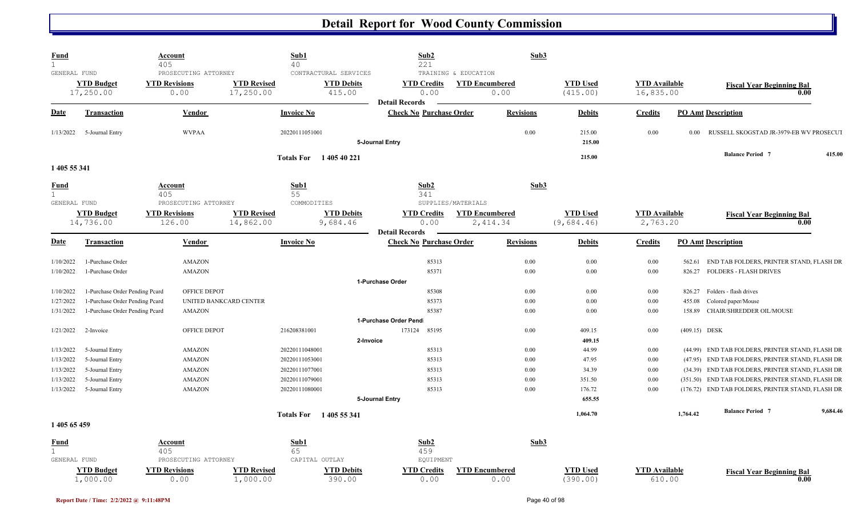| Fund                   |                                                                  | <b>Account</b><br>405                                  |                                 | Sub1<br>40        |                                                      | Sub2<br>221                                             |                                               | Sub3             |                               |                                   |                  |                                                   |          |
|------------------------|------------------------------------------------------------------|--------------------------------------------------------|---------------------------------|-------------------|------------------------------------------------------|---------------------------------------------------------|-----------------------------------------------|------------------|-------------------------------|-----------------------------------|------------------|---------------------------------------------------|----------|
| GENERAL FUND           | <b>YTD Budget</b><br>17,250.00                                   | PROSECUTING ATTORNEY<br><b>YTD Revisions</b><br>0.00   | <b>YTD Revised</b><br>17,250.00 |                   | CONTRACTURAL SERVICES<br><b>YTD Debits</b><br>415.00 | <b>YTD Credits</b><br>0.00<br><b>Detail Records</b>     | TRAINING & EDUCATION<br><b>YTD Encumbered</b> | 0.00             | <b>YTD Used</b><br>(415.00)   | <b>YTD</b> Available<br>16,835.00 |                  | <b>Fiscal Year Beginning Bal</b>                  | 0.00     |
| <u>Date</u>            | <b>Transaction</b>                                               | <b>Vendor</b>                                          |                                 | <b>Invoice No</b> |                                                      | <b>Check No Purchase Order</b>                          |                                               | <b>Revisions</b> | <b>Debits</b>                 | <b>Credits</b>                    |                  | <b>PO Amt Description</b>                         |          |
| 1/13/2022              | 5-Journal Entry                                                  | <b>WVPAA</b>                                           |                                 | 20220111051001    |                                                      | 5-Journal Entry                                         |                                               | 0.00             | 215.00<br>215.00              | 0.00                              | 0.00             | RUSSELL SKOGSTAD JR-3979-EB WV PROSECUT           |          |
| 1 405 55 341           |                                                                  |                                                        |                                 | <b>Totals For</b> | 1 405 40 221                                         |                                                         |                                               |                  | 215.00                        |                                   |                  | <b>Balance Period 7</b>                           | 415.00   |
| <b>Fund</b>            |                                                                  | <b>Account</b><br>405                                  |                                 | Sub1<br>55        |                                                      | Sub <sub>2</sub><br>341                                 |                                               | Sub3             |                               |                                   |                  |                                                   |          |
| GENERAL FUND           | <b>YTD Budget</b><br>14,736.00                                   | PROSECUTING ATTORNEY<br><b>YTD Revisions</b><br>126.00 | <b>YTD Revised</b><br>14,862.00 | COMMODITIES       | <b>YTD Debits</b><br>9,684.46                        | <b>YTD Credits</b><br>0.00                              | SUPPLIES/MATERIALS<br><b>YTD Encumbered</b>   | 2,414.34         | <b>YTD Used</b><br>(9,684.46) | <b>YTD Available</b><br>2,763.20  |                  | <b>Fiscal Year Beginning Bal</b>                  | 0.00     |
| <u>Date</u>            | <b>Transaction</b>                                               | <b>Vendor</b>                                          |                                 | <b>Invoice No</b> |                                                      | <b>Detail Records</b><br><b>Check No Purchase Order</b> |                                               | <b>Revisions</b> | <b>Debits</b>                 | <b>Credits</b>                    |                  | <b>PO Amt Description</b>                         |          |
| 1/10/2022              | 1-Purchase Order                                                 | AMAZON                                                 |                                 |                   |                                                      | 85313                                                   |                                               | 0.00             | 0.00                          | 0.00                              | 562.61           | END TAB FOLDERS, PRINTER STAND, FLASH DR          |          |
| 1/10/2022              | 1-Purchase Order                                                 | AMAZON                                                 |                                 |                   |                                                      | 85371                                                   |                                               | 0.00             | 0.00                          | 0.00                              |                  | 826.27 FOLDERS - FLASH DRIVES                     |          |
|                        |                                                                  |                                                        |                                 |                   |                                                      | 1-Purchase Order                                        |                                               |                  |                               |                                   |                  |                                                   |          |
| 1/10/2022              | 1-Purchase Order Pending Pcard<br>l-Purchase Order Pending Pcard | OFFICE DEPOT                                           | UNITED BANKCARD CENTER          |                   |                                                      | 85308<br>85373                                          |                                               | 0.00<br>0.00     | 0.00<br>0.00                  | 0.00<br>0.00                      | 826.27<br>455.08 | Folders - flash drives<br>Colored paper/Mouse     |          |
| 1/27/2022<br>1/31/2022 | 1-Purchase Order Pending Pcard                                   | AMAZON                                                 |                                 |                   |                                                      | 85387                                                   |                                               | 0.00             | 0.00                          | 0.00                              |                  | 158.89 CHAIR/SHREDDER OIL/MOUSE                   |          |
|                        |                                                                  |                                                        |                                 |                   |                                                      | 1-Purchase Order Pend                                   |                                               |                  |                               |                                   |                  |                                                   |          |
| 1/21/2022              | 2-Invoice                                                        | OFFICE DEPOT                                           |                                 | 216208381001      |                                                      | 173124 85195                                            |                                               | $0.00\,$         | 409.15                        | 0.00                              | (409.15) DESK    |                                                   |          |
|                        |                                                                  |                                                        |                                 |                   | 2-Invoice                                            |                                                         |                                               |                  | 409.15                        |                                   |                  |                                                   |          |
| 1/13/2022              | 5-Journal Entry                                                  | AMAZON                                                 |                                 | 20220111048001    |                                                      | 85313                                                   |                                               | 0.00             | 44.99                         | 0.00                              | (44.99)          | END TAB FOLDERS, PRINTER STAND, FLASH DR          |          |
| 1/13/2022              | 5-Journal Entry                                                  | AMAZON                                                 |                                 | 20220111053001    |                                                      | 85313                                                   |                                               | 0.00             | 47.95                         | 0.00                              |                  | (47.95) END TAB FOLDERS, PRINTER STAND, FLASH DR  |          |
| 1/13/2022              | 5-Journal Entry                                                  | AMAZON                                                 |                                 | 20220111077001    |                                                      | 85313                                                   |                                               | 0.00             | 34.39                         | 0.00                              |                  | (34.39) END TAB FOLDERS, PRINTER STAND, FLASH DR  |          |
| 1/13/2022              | 5-Journal Entry                                                  | AMAZON                                                 |                                 | 20220111079001    |                                                      | 85313                                                   |                                               | 0.00             | 351.50                        | 0.00                              |                  | (351.50) END TAB FOLDERS, PRINTER STAND, FLASH DR |          |
| 1/13/2022              | 5-Journal Entry                                                  | AMAZON                                                 |                                 | 20220111080001    |                                                      | 85313                                                   |                                               | 0.00             | 176.72                        | 0.00                              |                  | (176.72) END TAB FOLDERS, PRINTER STAND, FLASH DR |          |
|                        |                                                                  |                                                        |                                 |                   |                                                      | 5-Journal Entry                                         |                                               |                  | 655.55<br>1,064.70            |                                   | 1,764.42         | <b>Balance Period 7</b>                           | 9,684.46 |
| 1 405 65 459           |                                                                  |                                                        |                                 | <b>Totals For</b> | 1 405 55 341                                         |                                                         |                                               |                  |                               |                                   |                  |                                                   |          |
| <b>Fund</b>            |                                                                  | <b>Account</b>                                         |                                 | Sub1              |                                                      | Sub <sub>2</sub>                                        |                                               | Sub3             |                               |                                   |                  |                                                   |          |
|                        |                                                                  | 405                                                    |                                 | 65                |                                                      | 459                                                     |                                               |                  |                               |                                   |                  |                                                   |          |
| GENERAL FUND           |                                                                  | PROSECUTING ATTORNEY                                   |                                 | CAPITAL OUTLAY    |                                                      | EQUIPMENT                                               |                                               |                  |                               |                                   |                  |                                                   |          |
|                        | <b>YTD Budget</b><br>1,000.00                                    | <b>YTD Revisions</b><br>0.00                           | <b>YTD Revised</b><br>1,000.00  |                   | <b>YTD Debits</b><br>390.00                          | <b>YTD Credits</b><br>0.00                              | <b>YTD Encumbered</b>                         | 0.00             | <b>YTD</b> Used<br>(390.00)   | <b>YTD</b> Available<br>610.00    |                  | <b>Fiscal Year Beginning Bal</b>                  | 0.00     |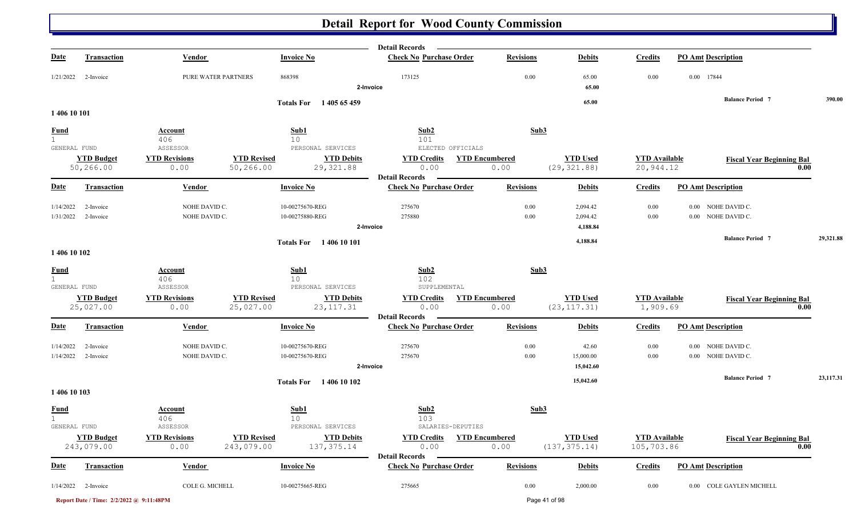|                                             |                                          |                                          |                                                                                           | <b>Detail Records</b>                                                    |                               |                                  |                                    |                                                 |           |
|---------------------------------------------|------------------------------------------|------------------------------------------|-------------------------------------------------------------------------------------------|--------------------------------------------------------------------------|-------------------------------|----------------------------------|------------------------------------|-------------------------------------------------|-----------|
| <u>Date</u>                                 | <b>Transaction</b>                       | <b>Vendor</b>                            | <b>Invoice No</b>                                                                         | <b>Check No Purchase Order</b>                                           | <b>Revisions</b>              | <b>Debits</b>                    | <b>Credits</b>                     | <b>PO Amt Description</b>                       |           |
| 1/21/2022                                   | 2-Invoice                                | PURE WATER PARTNERS                      | 868398                                                                                    | 173125<br>2-Invoice                                                      | 0.00                          | 65.00<br>65.00                   | 0.00                               | 0.00 17844                                      |           |
|                                             |                                          |                                          |                                                                                           |                                                                          |                               | 65.00                            |                                    | <b>Balance Period 7</b>                         | 390.00    |
| 1 406 10 101                                |                                          |                                          | Totals For 1405 65 459                                                                    |                                                                          |                               |                                  |                                    |                                                 |           |
| <b>Fund</b><br>$\mathbf{1}$                 |                                          | Account<br>406                           | Sub1<br>10                                                                                | Sub2<br>101                                                              | Sub3                          |                                  |                                    |                                                 |           |
| GENERAL FUND                                | <b>YTD Budget</b><br>50,266.00           | ASSESSOR<br><b>YTD Revisions</b><br>0.00 | PERSONAL SERVICES<br><b>YTD Revised</b><br><b>YTD Debits</b><br>29,321.88<br>50,266.00    | ELECTED OFFICIALS<br><b>YTD Credits</b><br>0.00                          | <b>YTD Encumbered</b><br>0.00 | <b>YTD Used</b><br>(29, 321.88)  | <b>YTD</b> Available<br>20,944.12  | <b>Fiscal Year Beginning Bal</b>                | 0.00      |
| <u>Date</u>                                 | <b>Transaction</b>                       | Vendor                                   | <b>Invoice No</b>                                                                         | <b>Detail Records</b><br><b>Check No Purchase Order</b>                  | <b>Revisions</b>              | <b>Debits</b>                    | <b>Credits</b>                     | <b>PO Amt Description</b>                       |           |
| 1/14/2022<br>1/31/2022                      | 2-Invoice<br>2-Invoice                   | NOHE DAVID C.<br>NOHE DAVID C.           | 10-00275670-REG<br>10-00275880-REG                                                        | 275670<br>275880<br>2-Invoice                                            | 0.00<br>0.00                  | 2,094.42<br>2,094.42<br>4,188.84 | 0.00<br>$0.00\,$                   | NOHE DAVID C.<br>$0.00\,$<br>0.00 NOHE DAVID C. |           |
|                                             |                                          |                                          | <b>Totals For</b> 1406 10 101                                                             |                                                                          |                               | 4,188.84                         |                                    | <b>Balance Period 7</b>                         | 29,321.88 |
| 1 406 10 102                                |                                          |                                          |                                                                                           |                                                                          |                               |                                  |                                    |                                                 |           |
| <b>Fund</b><br>$\mathbf{1}$<br>GENERAL FUND |                                          | <b>Account</b><br>406<br>ASSESSOR        | Sub1<br>10 <sup>°</sup><br>PERSONAL SERVICES                                              | Sub2<br>102<br>SUPPLEMENTAL                                              | Sub3                          |                                  |                                    |                                                 |           |
|                                             | <b>YTD Budget</b><br>25,027.00           | <b>YTD Revisions</b><br>0.00             | <b>YTD Revised</b><br><b>YTD Debits</b><br>25,027.00<br>23, 117.31                        | <b>YTD Credits</b><br>0.00<br><b>Detail Records</b>                      | <b>YTD Encumbered</b><br>0.00 | <b>YTD Used</b><br>(23, 117.31)  | <b>YTD</b> Available<br>1,909.69   | <b>Fiscal Year Beginning Bal</b>                | 0.00      |
| <b>Date</b>                                 | <b>Transaction</b>                       | Vendor                                   | <b>Invoice No</b>                                                                         | <b>Check No Purchase Order</b>                                           | <b>Revisions</b>              | <b>Debits</b>                    | <b>Credits</b>                     | <b>PO Amt Description</b>                       |           |
| 1/14/2022<br>1/14/2022                      | 2-Invoice<br>2-Invoice                   | NOHE DAVID C.<br>NOHE DAVID C.           | 10-00275670-REG<br>10-00275670-REG                                                        | 275670<br>275670<br>2-Invoice                                            | 0.00<br>0.00                  | 42.60<br>15,000.00<br>15,042.60  | $0.00\,$<br>$0.00\,$               | 0.00 NOHE DAVID C.<br>0.00 NOHE DAVID C.        |           |
| 1 406 10 103                                |                                          |                                          | Totals For 1406 10 102                                                                    |                                                                          |                               | 15,042.60                        |                                    | <b>Balance Period 7</b>                         | 23,117.31 |
| <b>Fund</b><br>1                            |                                          | <b>Account</b><br>406                    | Sub1<br>10                                                                                | Sub <sub>2</sub><br>103                                                  | Sub3                          |                                  |                                    |                                                 |           |
| GENERAL FUND                                | <b>YTD Budget</b><br>243,079.00          | ASSESSOR<br><b>YTD Revisions</b><br>0.00 | PERSONAL SERVICES<br><b>YTD Revised</b><br><b>YTD Debits</b><br>243,079.00<br>137, 375.14 | SALARIES-DEPUTIES<br><b>YTD</b> Credits<br>0.00<br><b>Detail Records</b> | <b>YTD Encumbered</b><br>0.00 | <b>YTD Used</b><br>(137, 375.14) | <b>YTD</b> Available<br>105,703.86 | <b>Fiscal Year Beginning Bal</b>                | 0.00      |
| <u>Date</u>                                 | <b>Transaction</b>                       | <b>Vendor</b>                            | <b>Invoice No</b>                                                                         | <b>Check No Purchase Order</b>                                           | <b>Revisions</b>              | <b>Debits</b>                    | <b>Credits</b>                     | <b>PO Amt Description</b>                       |           |
|                                             | $1/14/2022$ 2-Invoice                    | COLE G. MICHELL                          | 10-00275665-REG                                                                           | 275665                                                                   | 0.00                          | 2,000.00                         | $0.00\,$                           | 0.00 COLE GAYLEN MICHELL                        |           |
|                                             | Report Date / Time: 2/2/2022 @ 9:11:48PM |                                          |                                                                                           |                                                                          | Page 41 of 98                 |                                  |                                    |                                                 |           |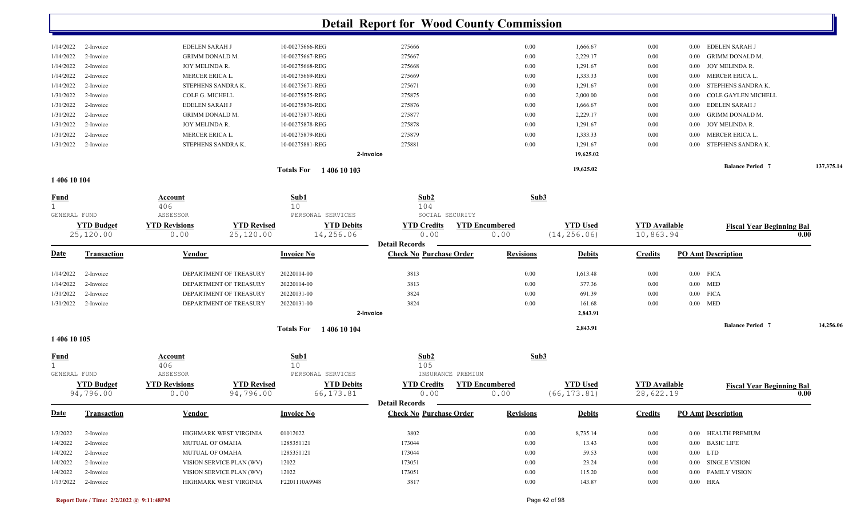|           |           |                        | 1 406 10 103<br><b>Totals For</b> |        |      | 19,625.02 |          | <b>Balance Period 7</b>  | 137,375.14 |
|-----------|-----------|------------------------|-----------------------------------|--------|------|-----------|----------|--------------------------|------------|
|           |           |                        | 2-Invoice                         |        |      | 19,625.02 |          |                          |            |
| 1/31/2022 | 2-Invoice | STEPHENS SANDRA K.     | 10-00275881-REG                   | 275881 | 0.00 | 1.291.67  | $0.00\,$ | 0.00 STEPHENS SANDRA K.  |            |
| 1/31/2022 | 2-Invoice | MERCER ERICA L.        | 10-00275879-REG                   | 275879 | 0.00 | 1,333.33  | $0.00\,$ | 0.00 MERCER ERICA L.     |            |
| 1/31/2022 | 2-Invoice | JOY MELINDA R.         | 10-00275878-REG                   | 275878 | 0.00 | 1,291.67  | $0.00\,$ | 0.00 JOY MELINDA R.      |            |
| 1/31/2022 | 2-Invoice | <b>GRIMM DONALD M.</b> | 10-00275877-REG                   | 275877 | 0.00 | 2,229.17  | $0.00\,$ | 0.00 GRIMM DONALD M.     |            |
| 1/31/2022 | 2-Invoice | <b>EDELEN SARAH J</b>  | 10-00275876-REG                   | 275876 | 0.00 | 1,666.67  | $0.00\,$ | 0.00 EDELEN SARAH J      |            |
| 1/31/2022 | 2-Invoice | COLE G. MICHELL        | 10-00275875-REG                   | 275875 | 0.00 | 2,000.00  | $0.00\,$ | 0.00 COLE GAYLEN MICHELL |            |
| 1/14/2022 | 2-Invoice | STEPHENS SANDRA K.     | 10-00275671-REG                   | 275671 | 0.00 | 1,291.67  | $0.00\,$ | 0.00 STEPHENS SANDRA K.  |            |
| 1/14/2022 | 2-Invoice | MERCER ERICA L.        | 10-00275669-REG                   | 275669 | 0.00 | 1,333.33  | $0.00\,$ | 0.00 MERCER ERICA L.     |            |
| 1/14/2022 | 2-Invoice | <b>JOY MELINDA R.</b>  | 10-00275668-REG                   | 275668 | 0.00 | 1,291.67  | $0.00\,$ | 0.00 JOY MELINDA R.      |            |
| 1/14/2022 | 2-Invoice | <b>GRIMM DONALD M.</b> | 10-00275667-REG                   | 275667 | 0.00 | 2,229.17  | $0.00\,$ | 0.00 GRIMM DONALD M.     |            |
| 1/14/2022 | 2-Invoice | <b>EDELEN SARAH J</b>  | 10-00275666-REG                   | 275666 | 0.00 | 1,666.67  | 0.00     | 0.00 EDELEN SARAH J      |            |
|           |           |                        |                                   |        |      |           |          |                          |            |

**1 406 10 104** 

| <b>Fund</b><br>GENERAL FUND |                                | Account<br>406<br>ASSESSOR   |                                 | Sub1<br>10<br>PERSONAL SERVICES |                                                         | Sub2<br>104<br>SOCIAL SECURITY |                       | Sub3             |                                 |                                   |                           |                                  |      |           |
|-----------------------------|--------------------------------|------------------------------|---------------------------------|---------------------------------|---------------------------------------------------------|--------------------------------|-----------------------|------------------|---------------------------------|-----------------------------------|---------------------------|----------------------------------|------|-----------|
|                             | <b>YTD Budget</b><br>25,120.00 | <b>YTD Revisions</b><br>0.00 | <b>YTD Revised</b><br>25,120.00 |                                 | <b>YTD Debits</b><br>14,256.06<br><b>Detail Records</b> | <b>YTD Credits</b><br>0.00     | <b>YTD Encumbered</b> | 0.00             | <b>YTD Used</b><br>(14, 256.06) | <b>YTD Available</b><br>10,863.94 |                           | <b>Fiscal Year Beginning Bal</b> | 0.00 |           |
| <b>Date</b>                 | <b>Transaction</b>             | Vendor                       |                                 | <b>Invoice No</b>               |                                                         | <b>Check No Purchase Order</b> |                       | <b>Revisions</b> | <b>Debits</b>                   | <b>Credits</b>                    | <b>PO Amt Description</b> |                                  |      |           |
| 1/14/2022                   | 2-Invoice                      |                              | DEPARTMENT OF TREASURY          | 20220114-00                     |                                                         | 3813                           |                       | 0.00             | 1,613.48                        | 0.00                              | $0.00$ FICA               |                                  |      |           |
| 1/14/2022                   | 2-Invoice                      |                              | DEPARTMENT OF TREASURY          | 20220114-00                     |                                                         | 3813                           |                       | 0.00             | 377.36                          | 0.00                              | $0.00$ MED                |                                  |      |           |
| 1/31/2022                   | 2-Invoice                      |                              | DEPARTMENT OF TREASURY          | 20220131-00                     |                                                         | 3824                           |                       | 0.00             | 691.39                          | 0.00                              | $0.00$ FICA               |                                  |      |           |
| 1/31/2022                   | 2-Invoice                      |                              | DEPARTMENT OF TREASURY          | 20220131-00                     |                                                         | 3824                           |                       | 0.00             | 161.68                          | 0.00                              | $0.00$ MED                |                                  |      |           |
|                             |                                |                              |                                 |                                 | 2-Invoice                                               |                                |                       |                  | 2,843.91                        |                                   |                           |                                  |      |           |
|                             |                                |                              |                                 | <b>Totals For</b>               | 1406 10 104                                             |                                |                       |                  | 2,843.91                        |                                   |                           | <b>Balance Period 7</b>          |      | 14,256.06 |
| 1 406 10 105                |                                |                              |                                 |                                 |                                                         |                                |                       |                  |                                 |                                   |                           |                                  |      |           |
| Fund                        |                                | Account<br>406               |                                 | Sub1<br>10                      |                                                         | Sub2<br>105                    |                       | Sub3             |                                 |                                   |                           |                                  |      |           |
| GENERAL FUND                |                                | ASSESSOR                     |                                 | PERSONAL SERVICES               |                                                         | INSURANCE PREMIUM              |                       |                  |                                 |                                   |                           |                                  |      |           |
|                             | <b>YTD Budget</b><br>94,796.00 | <b>YTD Revisions</b><br>0.00 | <b>YTD Revised</b><br>94,796.00 | 66, 173.81                      | <b>YTD Debits</b><br><b>Detail Records</b>              | <b>YTD Credits</b><br>0.00     | <b>YTD</b> Encumbered | 0.00             | <b>YTD Used</b><br>(66, 173.81) | <b>YTD Available</b><br>28,622.19 |                           | <b>Fiscal Year Beginning Bal</b> | 0.00 |           |
| Date                        | <b>Transaction</b>             | Vendor                       |                                 | <b>Invoice No</b>               |                                                         | <b>Check No Purchase Order</b> |                       | <b>Revisions</b> | <b>Debits</b>                   | <b>Credits</b>                    | <b>PO Amt Description</b> |                                  |      |           |
| 1/3/2022                    | 2-Invoice                      |                              | HIGHMARK WEST VIRGINIA          | 01012022                        |                                                         | 3802                           |                       | 0.00             | 8,735.14                        | 0.00                              |                           | 0.00 HEALTH PREMIUM              |      |           |
| 1/4/2022                    | 2-Invoice                      | MUTUAL OF OMAHA              |                                 | 1285351121                      |                                                         | 173044                         |                       | 0.00             | 13.43                           | 0.00                              | 0.00 BASIC LIFE           |                                  |      |           |
| 1/4/2022                    | 2-Invoice                      | <b>MUTUAL OF OMAHA</b>       |                                 | 1285351121                      |                                                         | 173044                         |                       | 0.00             | 59.53                           | 0.00                              | $0.00$ LTD                |                                  |      |           |
| 1/4/2022                    | 2-Invoice                      |                              | VISION SERVICE PLAN (WV)        | 12022                           |                                                         | 173051                         |                       | 0.00             | 23.24                           | 0.00                              | 0.00                      | <b>SINGLE VISION</b>             |      |           |
| 1/4/2022                    | 2-Invoice                      |                              | VISION SERVICE PLAN (WV)        | 12022                           |                                                         | 173051                         |                       | 0.00             | 115.20                          | 0.00                              |                           | 0.00 FAMILY VISION               |      |           |

1/13/2022 2-Invoice HIGHMARK WEST VIRGINIA F2201110A9948 3817 0.00 143.87 0.00 0.00 HRA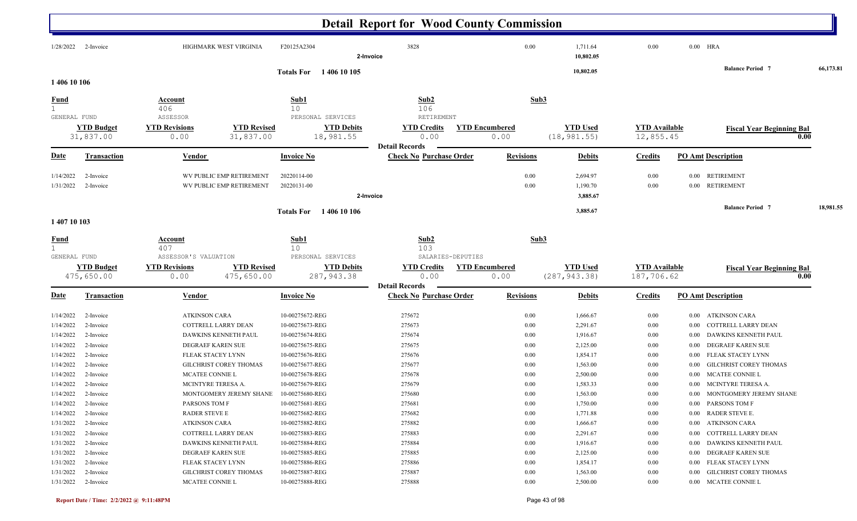|                                              |                       |                                                        |                                        | <b>Detail Report for Wood County Commission</b>         |                       |                       |                      |                                       |           |
|----------------------------------------------|-----------------------|--------------------------------------------------------|----------------------------------------|---------------------------------------------------------|-----------------------|-----------------------|----------------------|---------------------------------------|-----------|
| 1/28/2022                                    | 2-Invoice             | HIGHMARK WEST VIRGINIA                                 | F20125A2304                            | 3828<br>2-Invoice                                       | 0.00                  | 1,711.64<br>10,802.05 | 0.00                 | $0.00$ HRA<br><b>Balance Period</b> 7 | 66,173.81 |
| 1 406 10 106                                 |                       |                                                        | Totals For 1406 10 105                 |                                                         |                       | 10,802.05             |                      |                                       |           |
| <u>Fund</u>                                  |                       | <b>Account</b>                                         | Sub1                                   | Sub <sub>2</sub>                                        | Sub <sub>3</sub>      |                       |                      |                                       |           |
| 1                                            |                       | 406                                                    | 10                                     | 106                                                     |                       |                       |                      |                                       |           |
| GENERAL FUND                                 | <b>YTD Budget</b>     | ASSESSOR<br><b>YTD Revisions</b><br><b>YTD Revised</b> | PERSONAL SERVICES<br><b>YTD Debits</b> | RETIREMENT<br><b>YTD Credits</b>                        | <b>YTD Encumbered</b> | <b>YTD Used</b>       | <b>YTD</b> Available | <b>Fiscal Year Beginning Bal</b>      |           |
|                                              | 31,837.00             | 31,837.00<br>0.00                                      | 18,981.55                              | 0.00<br><b>Detail Records</b>                           | 0.00                  | (18, 981.55)          | 12,855.45            |                                       | 0.00      |
| <u>Date</u>                                  | <b>Transaction</b>    | <b>Vendor</b>                                          | <b>Invoice No</b>                      | <b>Check No Purchase Order</b>                          | <b>Revisions</b>      | <b>Debits</b>         | <b>Credits</b>       | <b>PO Amt Description</b>             |           |
| 1/14/2022                                    | 2-Invoice             | WV PUBLIC EMP RETIREMENT                               | 20220114-00                            |                                                         | $0.00\,$              | 2,694.97              | 0.00                 | <b>RETIREMENT</b><br>$0.00\,$         |           |
| 1/31/2022                                    | 2-Invoice             | WV PUBLIC EMP RETIREMENT                               | 20220131-00                            |                                                         | 0.00                  | 1,190.70              | 0.00                 | 0.00 RETIREMENT                       |           |
|                                              |                       |                                                        |                                        | 2-Invoice                                               |                       | 3,885.67              |                      |                                       |           |
|                                              |                       |                                                        | <b>Totals For</b><br>1406 10 106       |                                                         |                       | 3,885.67              |                      | <b>Balance Period 7</b>               | 18,981.55 |
| 1 407 10 103                                 |                       |                                                        |                                        |                                                         |                       |                       |                      |                                       |           |
| <b>Fund</b>                                  |                       | Account                                                | Sub1                                   | Sub2                                                    | Sub3                  |                       |                      |                                       |           |
| $1 \ \overline{\phantom{0}}$<br>GENERAL FUND |                       | 407<br>ASSESSOR'S VALUATION                            | 10<br>PERSONAL SERVICES                | 103<br>SALARIES-DEPUTIES                                |                       |                       |                      |                                       |           |
|                                              | <b>YTD Budget</b>     | <b>YTD Revised</b><br><b>YTD Revisions</b>             | <b>YTD Debits</b>                      | <b>YTD Credits</b>                                      | <b>YTD Encumbered</b> | <b>YTD Used</b>       | <b>YTD Available</b> | <b>Fiscal Year Beginning Bal</b>      |           |
|                                              | 475,650.00            | 475,650.00<br>0.00                                     | 287, 943.38                            | 0.00                                                    | 0.00                  | (287, 943.38)         | 187,706.62           |                                       | 0.00      |
| <u>Date</u>                                  | <b>Transaction</b>    | Vendor                                                 | <b>Invoice No</b>                      | <b>Detail Records</b><br><b>Check No Purchase Order</b> | <b>Revisions</b>      | <b>Debits</b>         | <b>Credits</b>       | <b>PO Amt Description</b>             |           |
|                                              |                       |                                                        |                                        |                                                         |                       |                       |                      |                                       |           |
| 1/14/2022                                    | 2-Invoice             | <b>ATKINSON CARA</b>                                   | 10-00275672-REG                        | 275672                                                  | 0.00                  | 1,666.67              | $0.00\,$             | ATKINSON CARA<br>$0.00\,$             |           |
| 1/14/2022                                    | 2-Invoice             | COTTRELL LARRY DEAN                                    | 10-00275673-REG                        | 275673                                                  | 0.00                  | 2,291.67              | $0.00\,$             | COTTRELL LARRY DEAN<br>0.00           |           |
| 1/14/2022                                    | 2-Invoice             | DAWKINS KENNETH PAUL                                   | 10-00275674-REG                        | 275674                                                  | 0.00                  | 1,916.67              | $0.00\,$             | DAWKINS KENNETH PAUL<br>0.00          |           |
| 1/14/2022                                    | 2-Invoice             | DEGRAEF KAREN SUE                                      | 10-00275675-REG                        | 275675                                                  | 0.00                  | 2,125.00              | $0.00\,$             | DEGRAEF KAREN SUE<br>0.00             |           |
| 1/14/2022                                    | 2-Invoice             | FLEAK STACEY LYNN                                      | 10-00275676-REG                        | 275676                                                  | 0.00                  | 1,854.17              | $0.00\,$             | FLEAK STACEY LYNN<br>0.00             |           |
| 1/14/2022                                    | 2-Invoice             | GILCHRIST COREY THOMAS                                 | 10-00275677-REG                        | 275677                                                  | 0.00                  | 1,563.00              | $0.00\,$             | <b>GILCHRIST COREY THOMAS</b><br>0.00 |           |
| 1/14/2022                                    | 2-Invoice             | MCATEE CONNIE L                                        | 10-00275678-REG                        | 275678                                                  | 0.00                  | 2,500.00              | 0.00                 | MCATEE CONNIE L<br>0.00               |           |
| 1/14/2022                                    | 2-Invoice             | MCINTYRE TERESA A.                                     | 10-00275679-REG                        | 275679                                                  | 0.00                  | 1,583.33              | 0.00                 | 0.00 MCINTYRE TERESA A.               |           |
| 1/14/2022                                    | 2-Invoice             | MONTGOMERY JEREMY SHANE 10-00275680-REG                |                                        | 275680                                                  | 0.00                  | 1,563.00              | 0.00                 | 0.00 MONTGOMERY JEREMY SHANE          |           |
|                                              | $1/14/2022$ 2-Invoice | PARSONS TOM F                                          | 10-00275681-REG                        | 275681                                                  | 0.00                  | 1,750.00              | $0.00\,$             | 0.00 PARSONS TOM F                    |           |
| 1/14/2022                                    | 2-Invoice             | <b>RADER STEVE E</b>                                   | 10-00275682-REG                        | 275682                                                  | 0.00                  | 1,771.88              | $0.00\,$             | 0.00 RADER STEVE E.                   |           |
| 1/31/2022                                    | 2-Invoice             | <b>ATKINSON CARA</b>                                   | 10-00275882-REG                        | 275882                                                  | 0.00                  | 1,666.67              | $0.00\,$             | 0.00 ATKINSON CARA                    |           |
| 1/31/2022                                    | 2-Invoice             | COTTRELL LARRY DEAN                                    | 10-00275883-REG                        | 275883                                                  | 0.00                  | 2,291.67              | $0.00\,$             | 0.00 COTTRELL LARRY DEAN              |           |
| 1/31/2022                                    | 2-Invoice             | DAWKINS KENNETH PAUL                                   | 10-00275884-REG                        | 275884                                                  | 0.00                  | 1,916.67              | $0.00\,$             | 0.00 DAWKINS KENNETH PAUL             |           |
| 1/31/2022                                    | 2-Invoice             | DEGRAEF KAREN SUE                                      | 10-00275885-REG                        | 275885                                                  | 0.00                  | 2,125.00              | $0.00\,$             | 0.00 DEGRAEF KAREN SUE                |           |
| 1/31/2022                                    | 2-Invoice             | FLEAK STACEY LYNN                                      | 10-00275886-REG                        | 275886                                                  | 0.00                  | 1,854.17              | $0.00\,$             | 0.00 FLEAK STACEY LYNN                |           |
| 1/31/2022                                    | 2-Invoice             | GILCHRIST COREY THOMAS                                 | 10-00275887-REG                        | 275887                                                  | 0.00                  | 1,563.00              | $0.00\,$             | 0.00 GILCHRIST COREY THOMAS           |           |
|                                              | $1/31/2022$ 2-Invoice | MCATEE CONNIE L                                        | 10-00275888-REG                        | 275888                                                  | 0.00                  | 2,500.00              | $0.00\,$             | 0.00 MCATEE CONNIE L                  |           |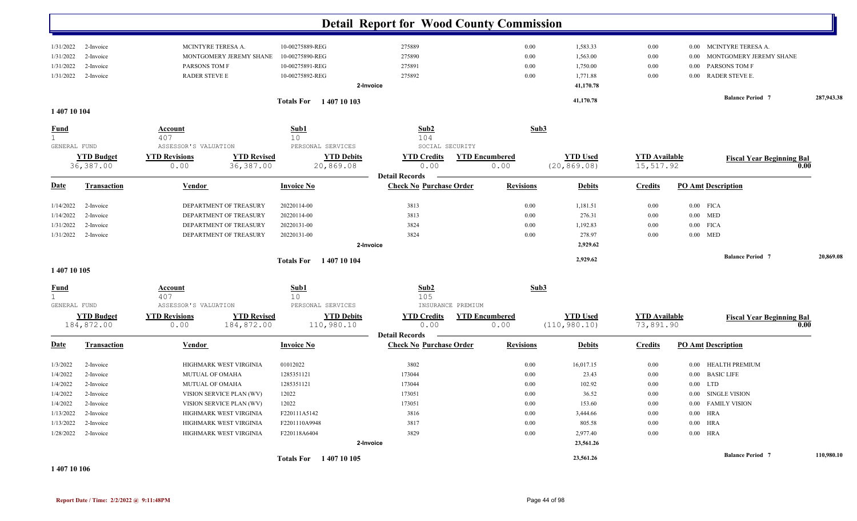|              |                    |                          |                                         | <b>Detail Report for Wood County Commission</b>         |                       |                 |                      |                                   |            |
|--------------|--------------------|--------------------------|-----------------------------------------|---------------------------------------------------------|-----------------------|-----------------|----------------------|-----------------------------------|------------|
| 1/31/2022    | 2-Invoice          | MCINTYRE TERESA A.       | 10-00275889-REG                         | 275889                                                  | 0.00                  | 1,583.33        | 0.00                 | MCINTYRE TERESA A.<br>0.00        |            |
| 1/31/2022    | 2-Invoice          | MONTGOMERY JEREMY SHANE  | 10-00275890-REG                         | 275890                                                  | 0.00                  | 1,563.00        | 0.00                 | MONTGOMERY JEREMY SHANE<br>0.00   |            |
| 1/31/2022    | 2-Invoice          | PARSONS TOM F            | 10-00275891-REG                         | 275891                                                  | 0.00                  | 1,750.00        | 0.00                 | <b>PARSONS TOM F</b><br>0.00      |            |
| 1/31/2022    | 2-Invoice          | <b>RADER STEVE E</b>     | 10-00275892-REG                         | 275892                                                  | 0.00                  | 1,771.88        | 0.00                 | <b>RADER STEVE E.</b><br>$0.00\,$ |            |
|              |                    |                          |                                         | 2-Invoice                                               |                       | 41,170.78       |                      |                                   |            |
|              |                    |                          |                                         |                                                         |                       | 41,170.78       |                      | <b>Balance Period 7</b>           | 287,943.38 |
| 1 407 10 104 |                    |                          | Totals For 1407 10 103                  |                                                         |                       |                 |                      |                                   |            |
| <u>Fund</u>  |                    | Account                  | Sub1                                    | Sub2                                                    | Sub3                  |                 |                      |                                   |            |
| 1            |                    | 407                      | 10                                      | 104                                                     |                       |                 |                      |                                   |            |
| GENERAL FUND |                    | ASSESSOR'S VALUATION     | PERSONAL SERVICES                       | SOCIAL SECURITY                                         |                       |                 |                      |                                   |            |
|              | <b>YTD Budget</b>  | <b>YTD Revisions</b>     | <b>YTD Revised</b><br><b>YTD Debits</b> | <b>YTD Credits</b>                                      | <b>YTD Encumbered</b> | <b>YTD Used</b> | <b>YTD Available</b> | <b>Fiscal Year Beginning Bal</b>  |            |
|              | 36,387.00          | 0.00                     | 36, 387.00<br>20,869.08                 | 0.00                                                    | 0.00                  | (20, 869.08)    | 15,517.92            |                                   | 0.00       |
|              |                    |                          |                                         | <b>Detail Records</b>                                   |                       |                 |                      |                                   |            |
| <u>Date</u>  | <b>Transaction</b> | Vendor                   | <b>Invoice No</b>                       | <b>Check No Purchase Order</b>                          | <b>Revisions</b>      | <b>Debits</b>   | <b>Credits</b>       | <b>PO Amt Description</b>         |            |
| 1/14/2022    | 2-Invoice          | DEPARTMENT OF TREASURY   | 20220114-00                             | 3813                                                    | 0.00                  | 1,181.51        | 0.00                 | $0.00$ FICA                       |            |
| 1/14/2022    | 2-Invoice          | DEPARTMENT OF TREASURY   | 20220114-00                             | 3813                                                    | 0.00                  | 276.31          | 0.00                 | $0.00$ MED                        |            |
| 1/31/2022    | 2-Invoice          | DEPARTMENT OF TREASURY   | 20220131-00                             | 3824                                                    | 0.00                  | 1,192.83        | 0.00                 | $0.00$ FICA                       |            |
| 1/31/2022    | 2-Invoice          | DEPARTMENT OF TREASURY   | 20220131-00                             | 3824                                                    | 0.00                  | 278.97          | 0.00                 | $0.00$ MED                        |            |
|              |                    |                          |                                         | 2-Invoice                                               |                       | 2,929.62        |                      |                                   |            |
|              |                    |                          | <b>Totals For</b> 1407 10 104           |                                                         |                       | 2,929.62        |                      | <b>Balance Period 7</b>           | 20,869.08  |
| 1 407 10 105 |                    |                          |                                         |                                                         |                       |                 |                      |                                   |            |
| <b>Fund</b>  |                    | <u>Account</u>           | Sub1                                    | Sub2                                                    | Sub3                  |                 |                      |                                   |            |
|              |                    | 407                      | 10                                      | 105                                                     |                       |                 |                      |                                   |            |
| GENERAL FUND |                    | ASSESSOR'S VALUATION     | PERSONAL SERVICES                       | INSURANCE PREMIUM                                       |                       |                 |                      |                                   |            |
|              | <b>YTD Budget</b>  | <b>YTD Revisions</b>     | <b>YTD Debits</b><br><b>YTD Revised</b> | <b>YTD Credits</b>                                      | <b>YTD Encumbered</b> | <b>YTD Used</b> | <b>YTD</b> Available | <b>Fiscal Year Beginning Bal</b>  |            |
|              | 184,872.00         | 0.00                     | 184,872.00<br>110,980.10                | 0.00                                                    | 0.00                  | (110, 980.10)   | 73,891.90            |                                   | 0.00       |
| <b>Date</b>  | <b>Transaction</b> | Vendor                   | <b>Invoice No</b>                       | <b>Detail Records</b><br><b>Check No Purchase Order</b> | <b>Revisions</b>      | <b>Debits</b>   | <b>Credits</b>       | <b>PO Amt Description</b>         |            |
|              |                    |                          |                                         |                                                         |                       |                 |                      |                                   |            |
| 1/3/2022     | 2-Invoice          | HIGHMARK WEST VIRGINIA   | 01012022                                | 3802                                                    | 0.00                  | 16,017.15       | $0.00\,$             | 0.00 HEALTH PREMIUM               |            |
| 1/4/2022     | 2-Invoice          | MUTUAL OF OMAHA          | 1285351121                              | 173044                                                  | 0.00                  | 23.43           | 0.00                 | 0.00 BASIC LIFE                   |            |
| 1/4/2022     | 2-Invoice          | MUTUAL OF OMAHA          | 1285351121                              | 173044                                                  | 0.00                  | 102.92          | 0.00                 | $0.00$ LTD                        |            |
| 1/4/2022     | 2-Invoice          | VISION SERVICE PLAN (WV) | 12022                                   | 173051                                                  | $0.00\,$              | 36.52           | 0.00                 | $0.00\phantom{0}$ SINGLE VISION   |            |
| 1/4/2022     | 2-Invoice          | VISION SERVICE PLAN (WV) | 12022                                   | 173051                                                  | 0.00                  | 153.60          | $0.00\,$             | 0.00 FAMILY VISION                |            |
| 1/13/2022    | 2-Invoice          | HIGHMARK WEST VIRGINIA   | F220111A5142                            | 3816                                                    | 0.00                  | 3,444.66        | 0.00                 | $0.00$ HRA                        |            |
| 1/13/2022    | 2-Invoice          | HIGHMARK WEST VIRGINIA   | F2201110A9948                           | 3817                                                    | 0.00                  | 805.58          | $0.00\,$             | $0.00$ HRA                        |            |
| 1/28/2022    | 2-Invoice          | HIGHMARK WEST VIRGINIA   | F220118A6404                            | 3829                                                    | 0.00                  | 2,977.40        | $0.00\,$             | $0.00$ HRA                        |            |
|              |                    |                          |                                         | 2-Invoice                                               |                       | 23,561.26       |                      |                                   |            |
|              |                    |                          | Totals For 1407 10 105                  |                                                         |                       | 23,561.26       |                      | <b>Balance Period 7</b>           | 110,980.10 |

**1 407 10 106**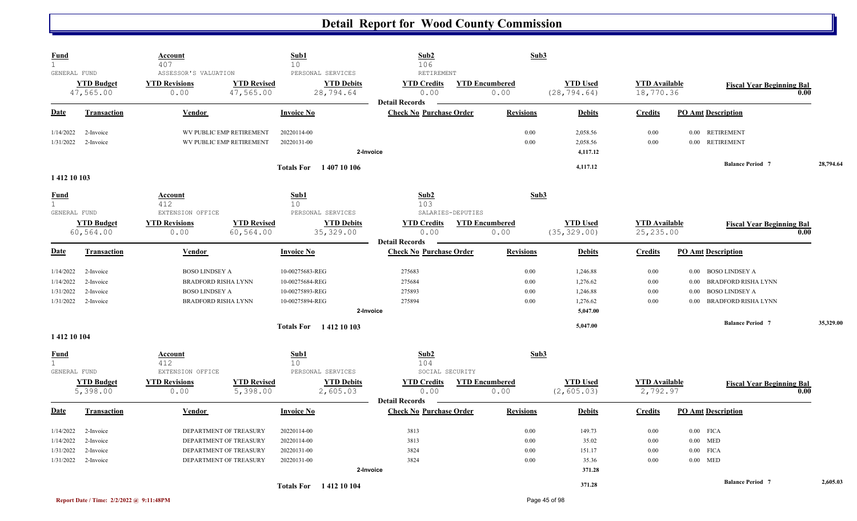| <b>Fund</b><br>$\mathbf{1}$                 |                                | <b>Account</b><br>407                                |                                 | Sub1<br>10                                          | Sub2<br>106                                             |                       | Sub3             |                                 |                                    |                                    |                                          |           |
|---------------------------------------------|--------------------------------|------------------------------------------------------|---------------------------------|-----------------------------------------------------|---------------------------------------------------------|-----------------------|------------------|---------------------------------|------------------------------------|------------------------------------|------------------------------------------|-----------|
| GENERAL FUND                                | <b>YTD Budget</b><br>47,565.00 | ASSESSOR'S VALUATION<br><b>YTD Revisions</b><br>0.00 | <b>YTD Revised</b><br>47,565.00 | PERSONAL SERVICES<br><b>YTD Debits</b><br>28,794.64 | RETIREMENT<br><b>YTD Credits</b><br>0.00                | <b>YTD Encumbered</b> | 0.00             | <b>YTD Used</b><br>(28, 794.64) | <b>YTD Available</b><br>18,770.36  |                                    | <b>Fiscal Year Beginning Bal</b><br>0.00 |           |
| Date                                        | <b>Transaction</b>             | Vendor                                               |                                 | <b>Invoice No</b>                                   | <b>Detail Records</b><br><b>Check No Purchase Order</b> |                       | <b>Revisions</b> | <b>Debits</b>                   | <b>Credits</b>                     | <b>PO Amt Description</b>          |                                          |           |
| 1/14/2022                                   | 2-Invoice                      |                                                      | WV PUBLIC EMP RETIREMENT        | 20220114-00                                         |                                                         |                       | 0.00             | 2,058.56                        | 0.00                               | <b>RETIREMENT</b><br>$0.00\,$      |                                          |           |
| 1/31/2022                                   | 2-Invoice                      |                                                      | WV PUBLIC EMP RETIREMENT        | 20220131-00                                         | 2-Invoice                                               |                       | 0.00             | 2,058.56<br>4,117.12            | 0.00                               | <b>RETIREMENT</b><br>$0.00\,$      |                                          |           |
| 1412 10 103                                 |                                |                                                      |                                 | <b>Totals For</b> 1407 10 106                       |                                                         |                       |                  | 4,117.12                        |                                    | <b>Balance Period 7</b>            |                                          | 28,794.64 |
| <b>Fund</b><br>$\mathbf{1}$<br>GENERAL FUND |                                | Account<br>412<br>EXTENSION OFFICE                   |                                 | Sub1<br>10 <sup>°</sup><br>PERSONAL SERVICES        | Sub2<br>103                                             | SALARIES-DEPUTIES     | Sub3             |                                 |                                    |                                    |                                          |           |
|                                             | <b>YTD Budget</b><br>60,564.00 | <b>YTD Revisions</b><br>0.00                         | <b>YTD Revised</b><br>60,564.00 | <b>YTD Debits</b><br>35, 329.00                     | <b>YTD Credits</b><br>0.00<br><b>Detail Records</b>     | <b>YTD Encumbered</b> | 0.00             | <b>YTD Used</b><br>(35, 329.00) | <b>YTD</b> Available<br>25, 235.00 |                                    | <b>Fiscal Year Beginning Bal</b><br>0.00 |           |
| Date                                        | <b>Transaction</b>             | Vendor                                               |                                 | <b>Invoice No</b>                                   | <b>Check No Purchase Order</b>                          |                       | <b>Revisions</b> | <b>Debits</b>                   | <b>Credits</b>                     | <b>PO Amt Description</b>          |                                          |           |
| 1/14/2022                                   | 2-Invoice                      | <b>BOSO LINDSEY A</b>                                |                                 | 10-00275683-REG                                     | 275683                                                  |                       | 0.00             | 1,246.88                        | 0.00                               | <b>BOSO LINDSEY A</b><br>$0.00\,$  |                                          |           |
| 1/14/2022                                   | 2-Invoice                      | <b>BRADFORD RISHA LYNN</b>                           |                                 | 10-00275684-REG                                     | 275684                                                  |                       | 0.00             | 1,276.62                        | 0.00                               | <b>BRADFORD RISHA LYNN</b><br>0.00 |                                          |           |
| 1/31/2022                                   | 2-Invoice                      | <b>BOSO LINDSEY A</b>                                |                                 | 10-00275893-REG                                     | 275893                                                  |                       | 0.00             | 1,246.88                        | $0.00\,$                           | <b>BOSO LINDSEY A</b><br>0.00      |                                          |           |
| 1/31/2022                                   | 2-Invoice                      | <b>BRADFORD RISHA LYNN</b>                           |                                 | 10-00275894-REG                                     | 275894                                                  |                       | 0.00             | 1,276.62                        | 0.00                               | <b>BRADFORD RISHA LYNN</b><br>0.00 |                                          |           |
|                                             |                                |                                                      |                                 |                                                     | 2-Invoice                                               |                       |                  | 5,047.00                        |                                    |                                    |                                          |           |
| 1412 10 104                                 |                                |                                                      |                                 | <b>Totals For</b> 1412 10 103                       |                                                         |                       |                  | 5,047.00                        |                                    | <b>Balance Period 7</b>            |                                          | 35,329.00 |
| <b>Fund</b>                                 |                                | <b>Account</b>                                       |                                 | Sub1                                                | Sub2                                                    |                       | Sub3             |                                 |                                    |                                    |                                          |           |
| $\mathbf{1}$                                |                                | 412                                                  |                                 | 10                                                  | 104                                                     |                       |                  |                                 |                                    |                                    |                                          |           |
| GENERAL FUND                                |                                | EXTENSION OFFICE                                     |                                 | PERSONAL SERVICES                                   |                                                         | SOCIAL SECURITY       |                  |                                 |                                    |                                    |                                          |           |
|                                             | <b>YTD Budget</b><br>5,398.00  | <b>YTD Revisions</b><br>0.00                         | <b>YTD Revised</b><br>5,398.00  | <b>YTD Debits</b><br>2,605.03                       | <b>YTD Credits</b><br>0.00<br><b>Detail Records</b>     | <b>YTD Encumbered</b> | 0.00             | <b>YTD Used</b><br>(2, 605.03)  | <b>YTD</b> Available<br>2,792.97   |                                    | <b>Fiscal Year Beginning Bal</b><br>0.00 |           |
| <b>Date</b>                                 | <b>Transaction</b>             | Vendor                                               |                                 | <b>Invoice No</b>                                   | <b>Check No Purchase Order</b>                          |                       | <b>Revisions</b> | <b>Debits</b>                   | <b>Credits</b>                     | <b>PO Amt Description</b>          |                                          |           |
| 1/14/2022                                   | 2-Invoice                      |                                                      | DEPARTMENT OF TREASURY          | 20220114-00                                         | 3813                                                    |                       | 0.00             | 149.73                          | 0.00                               | $0.00$ FICA                        |                                          |           |
| 1/14/2022                                   | 2-Invoice                      | DEPARTMENT OF TREASURY                               |                                 | 20220114-00                                         | 3813                                                    |                       | 0.00             | 35.02                           | 0.00                               | $0.00$ MED                         |                                          |           |
| 1/31/2022                                   | 2-Invoice                      | DEPARTMENT OF TREASURY                               |                                 | 20220131-00                                         | 3824                                                    |                       | 0.00             | 151.17                          | 0.00                               | <b>FICA</b><br>0.00                |                                          |           |
| 1/31/2022                                   | 2-Invoice                      |                                                      | DEPARTMENT OF TREASURY          | 20220131-00                                         | 3824                                                    |                       | 0.00             | 35.36                           | 0.00                               | $0.00$ MED                         |                                          |           |
|                                             |                                |                                                      |                                 |                                                     | 2-Invoice                                               |                       |                  | 371.28                          |                                    |                                    |                                          |           |
|                                             |                                |                                                      |                                 | <b>Totals For</b> 1412 10 104                       |                                                         |                       |                  | 371.28                          |                                    | <b>Balance Period 7</b>            |                                          | 2,605.03  |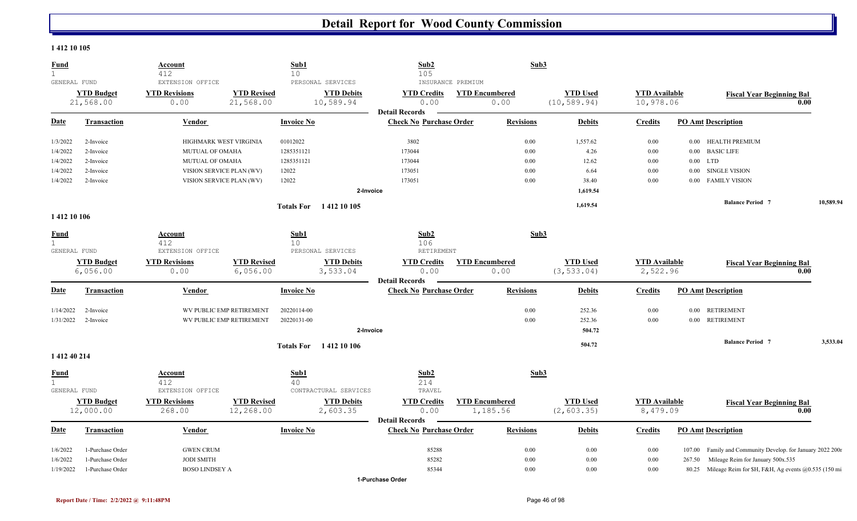#### **1 412 10 105**

| <b>Fund</b><br>$\mathbf{1}$  |                    | Account<br>412          |                          | Sub1<br>10        |                               | Sub2<br>105                    |                       | Sub3             |                 |                      |            |                                                           |           |
|------------------------------|--------------------|-------------------------|--------------------------|-------------------|-------------------------------|--------------------------------|-----------------------|------------------|-----------------|----------------------|------------|-----------------------------------------------------------|-----------|
| GENERAL FUND                 |                    | EXTENSION OFFICE        |                          |                   | PERSONAL SERVICES             | INSURANCE PREMIUM              |                       |                  |                 |                      |            |                                                           |           |
|                              | <b>YTD Budget</b>  | <b>YTD Revisions</b>    | <b>YTD Revised</b>       |                   | <b>YTD Debits</b>             | <b>YTD Credits</b>             | <b>YTD Encumbered</b> |                  | <b>YTD Used</b> | <b>YTD</b> Available |            | <b>Fiscal Year Beginning Bal</b>                          |           |
|                              | 21,568.00          | 0.00                    | 21,568.00                |                   | 10,589.94                     | 0.00                           |                       | 0.00             | (10, 589.94)    | 10,978.06            |            |                                                           | 0.00      |
|                              |                    |                         |                          |                   |                               | <b>Detail Records</b>          |                       |                  |                 |                      |            |                                                           |           |
| <u>Date</u>                  | <b>Transaction</b> | <b>Vendor</b>           |                          | <b>Invoice No</b> |                               | <b>Check No Purchase Order</b> |                       | <b>Revisions</b> | <b>Debits</b>   | <b>Credits</b>       |            | <b>PO Amt Description</b>                                 |           |
| 1/3/2022                     | 2-Invoice          | HIGHMARK WEST VIRGINIA  |                          | 01012022          |                               | 3802                           |                       | 0.00             | 1,557.62        | 0.00                 |            | 0.00 HEALTH PREMIUM                                       |           |
| 1/4/2022                     | 2-Invoice          | MUTUAL OF OMAHA         |                          | 1285351121        |                               | 173044                         |                       | 0.00             | 4.26            | 0.00                 |            | 0.00 BASIC LIFE                                           |           |
| 1/4/2022                     | 2-Invoice          | MUTUAL OF OMAHA         |                          | 1285351121        |                               | 173044                         |                       | 0.00             | 12.62           | 0.00                 | $0.00$ LTD |                                                           |           |
| 1/4/2022                     | 2-Invoice          |                         | VISION SERVICE PLAN (WV) | 12022             |                               | 173051                         |                       | $0.00\,$         | 6.64            | 0.00                 | 0.00       | <b>SINGLE VISION</b>                                      |           |
| 1/4/2022                     | 2-Invoice          |                         | VISION SERVICE PLAN (WV) | 12022             |                               | 173051                         |                       | 0.00             | 38.40           | 0.00                 | 0.00       | <b>FAMILY VISION</b>                                      |           |
|                              |                    |                         |                          |                   | 2-Invoice                     |                                |                       |                  | 1,619.54        |                      |            |                                                           |           |
|                              |                    |                         |                          |                   | Totals For 1412 10 105        |                                |                       |                  | 1,619.54        |                      |            | <b>Balance Period 7</b>                                   | 10,589.94 |
| 1412 10 106                  |                    |                         |                          |                   |                               |                                |                       |                  |                 |                      |            |                                                           |           |
| <b>Fund</b>                  |                    | Account                 |                          | Sub1              |                               | Sub2                           |                       | Sub3             |                 |                      |            |                                                           |           |
| $\mathbf{1}$                 |                    | 412                     |                          | 10                |                               | 106                            |                       |                  |                 |                      |            |                                                           |           |
| GENERAL FUND                 |                    | EXTENSION OFFICE        |                          |                   | PERSONAL SERVICES             | RETIREMENT                     |                       |                  |                 |                      |            |                                                           |           |
|                              | <b>YTD Budget</b>  | <b>YTD Revisions</b>    | <b>YTD Revised</b>       |                   | <b>YTD Debits</b>             | <b>YTD Credits</b>             | <b>YTD Encumbered</b> |                  | <b>YTD Used</b> | <b>YTD</b> Available |            | <b>Fiscal Year Beginning Bal</b>                          |           |
|                              | 6,056.00           | 0.00                    | 6,056.00                 |                   | 3,533.04                      | 0.00                           |                       | 0.00             | (3, 533.04)     | 2,522.96             |            |                                                           | 0.00      |
|                              |                    |                         |                          |                   |                               | <b>Detail Records</b>          |                       |                  |                 |                      |            |                                                           |           |
| Date                         | <b>Transaction</b> | Vendor                  |                          | <b>Invoice No</b> |                               | <b>Check No Purchase Order</b> |                       | <b>Revisions</b> | <b>Debits</b>   | <b>Credits</b>       |            | <b>PO Amt Description</b>                                 |           |
| 1/14/2022                    | 2-Invoice          |                         | WV PUBLIC EMP RETIREMENT | 20220114-00       |                               |                                |                       | 0.00             | 252.36          | 0.00                 | 0.00       | <b>RETIREMENT</b>                                         |           |
| 1/31/2022                    | 2-Invoice          |                         | WV PUBLIC EMP RETIREMENT | 20220131-00       |                               |                                |                       | 0.00             | 252.36          | 0.00                 | $0.00\,$   | <b>RETIREMENT</b>                                         |           |
|                              |                    |                         |                          |                   | 2-Invoice                     |                                |                       |                  | 504.72          |                      |            |                                                           |           |
|                              |                    |                         |                          |                   | <b>Totals For</b> 1412 10 106 |                                |                       |                  | 504.72          |                      |            | <b>Balance Period 7</b>                                   | 3,533.04  |
| 1 412 40 214                 |                    |                         |                          |                   |                               |                                |                       |                  |                 |                      |            |                                                           |           |
| <b>Fund</b>                  |                    | Account                 |                          | Sub1              |                               | Sub2                           |                       | Sub3             |                 |                      |            |                                                           |           |
| $\mathbf{1}$<br>GENERAL FUND |                    | 412<br>EXTENSION OFFICE |                          | 40                | CONTRACTURAL SERVICES         | 214<br>TRAVEL                  |                       |                  |                 |                      |            |                                                           |           |
|                              | <b>YTD Budget</b>  | <b>YTD Revisions</b>    | <b>YTD Revised</b>       |                   | <b>YTD Debits</b>             | <b>YTD Credits</b>             | <b>YTD Encumbered</b> |                  | <b>YTD Used</b> | <b>YTD Available</b> |            | <b>Fiscal Year Beginning Bal</b>                          |           |
|                              | 12,000.00          | 268.00                  | 12,268.00                |                   | 2,603.35                      | 0.00                           |                       | 1,185.56         | (2, 603.35)     | 8,479.09             |            |                                                           | 0.00      |
|                              |                    |                         |                          |                   |                               | <b>Detail Records</b>          |                       |                  |                 |                      |            |                                                           |           |
| Date                         | <b>Transaction</b> | <b>Vendor</b>           |                          | <b>Invoice No</b> |                               | <b>Check No Purchase Order</b> |                       | <b>Revisions</b> | <b>Debits</b>   | <b>Credits</b>       |            | <b>PO Amt Description</b>                                 |           |
| 1/6/2022                     | 1-Purchase Order   | <b>GWEN CRUM</b>        |                          |                   |                               | 85288                          |                       | 0.00             | 0.00            | 0.00                 | 107.00     | Family and Community Develop. for January 2022 2001       |           |
| 1/6/2022                     | 1-Purchase Order   | <b>JODI SMITH</b>       |                          |                   |                               | 85282                          |                       | 0.00             | 0.00            | 0.00                 | 267.50     | Mileage Reim for January 500x.535                         |           |
| 1/19/2022                    | 1-Purchase Order   | <b>BOSO LINDSEY A</b>   |                          |                   |                               | 85344                          |                       | 0.00             | 0.00            | 0.00                 |            | 80.25 Mileage Reim for \$H, F&H, Ag events @0.535 (150 mi |           |

**1-Purchase Order**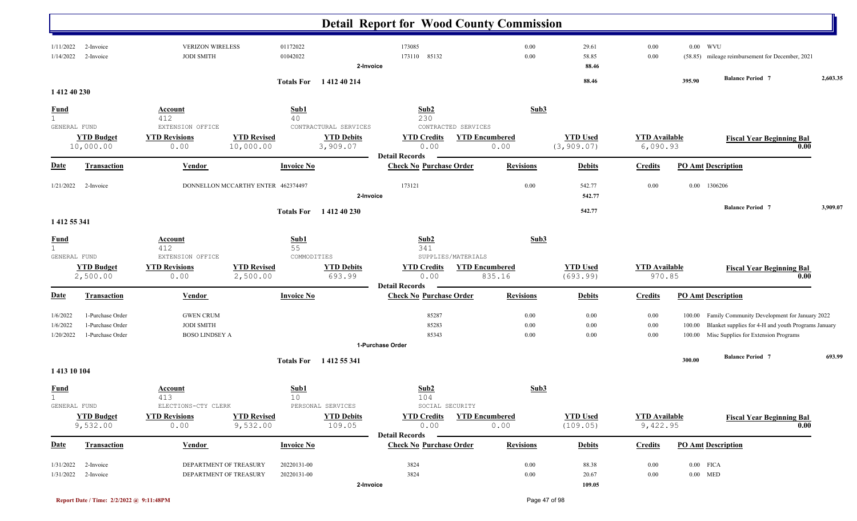|                                             |                                                          |                                                                |                                    |                            |                               | <b>Detail Report for Wood County Commission</b>                           |                                 |                                |                                  |                            |                                                                                                                                              |          |
|---------------------------------------------|----------------------------------------------------------|----------------------------------------------------------------|------------------------------------|----------------------------|-------------------------------|---------------------------------------------------------------------------|---------------------------------|--------------------------------|----------------------------------|----------------------------|----------------------------------------------------------------------------------------------------------------------------------------------|----------|
| 1/11/2022<br>1/14/2022                      | 2-Invoice<br>2-Invoice                                   | <b>VERIZON WIRELESS</b><br><b>JODI SMITH</b>                   |                                    | 01172022<br>01042022       | 2-Invoice                     | 173085<br>85132<br>173110                                                 | 0.00<br>0.00                    | 29.61<br>58.85<br>88.46        | 0.00<br>0.00                     | $0.00$ WVU<br>(58.85)      | mileage reimbursement for December, 2021                                                                                                     |          |
|                                             |                                                          |                                                                |                                    |                            | Totals For 141240214          |                                                                           |                                 | 88.46                          |                                  | 395.90                     | <b>Balance Period 7</b>                                                                                                                      | 2,603.35 |
| 1412 40 230                                 |                                                          |                                                                |                                    |                            |                               |                                                                           |                                 |                                |                                  |                            |                                                                                                                                              |          |
| <b>Fund</b><br>$\mathbf{1}$<br>GENERAL FUND |                                                          | <b>Account</b><br>412<br>EXTENSION OFFICE                      |                                    | Sub1<br>40                 | CONTRACTURAL SERVICES         | Sub2<br>230<br>CONTRACTED SERVICES                                        | Sub3                            |                                |                                  |                            |                                                                                                                                              |          |
|                                             | <b>YTD Budget</b><br>10,000.00                           | <b>YTD Revisions</b><br>0.00                                   | <b>YTD Revised</b><br>10,000.00    |                            | <b>YTD Debits</b><br>3,909.07 | <b>YTD Credits</b><br>0.00<br><b>Detail Records</b>                       | <b>YTD Encumbered</b><br>0.00   | <b>YTD</b> Used<br>(3, 909.07) | <b>YTD Available</b><br>6,090.93 |                            | <b>Fiscal Year Beginning Bal</b>                                                                                                             | 0.00     |
| <u>Date</u>                                 | <b>Transaction</b>                                       | <b>Vendor</b>                                                  |                                    | <b>Invoice No</b>          |                               | <b>Check No Purchase Order</b>                                            | <b>Revisions</b>                | <b>Debits</b>                  | <b>Credits</b>                   | <b>PO Amt Description</b>  |                                                                                                                                              |          |
| 1/21/2022                                   | 2-Invoice                                                |                                                                | DONNELLON MCCARTHY ENTER 462374497 |                            | 2-Invoice                     | 173121                                                                    | 0.00                            | 542.77<br>542.77               | 0.00                             | $0.00\,$                   | 1306206                                                                                                                                      |          |
| 1 412 55 341                                |                                                          |                                                                |                                    | <b>Totals For</b>          | 1 412 40 230                  |                                                                           |                                 | 542.77                         |                                  |                            | <b>Balance Period 7</b>                                                                                                                      | 3,909.07 |
| <b>Fund</b><br>$\mathbf{1}$                 |                                                          | Account<br>412                                                 |                                    | Sub1<br>55                 |                               | Sub2<br>341                                                               | Sub3                            |                                |                                  |                            |                                                                                                                                              |          |
| GENERAL FUND                                | <b>YTD Budget</b><br>2,500.00                            | EXTENSION OFFICE<br><b>YTD Revisions</b><br>0.00               | <b>YTD Revised</b><br>2,500.00     | COMMODITIES                | <b>YTD Debits</b><br>693.99   | SUPPLIES/MATERIALS<br><b>YTD Credits</b><br>0.00<br><b>Detail Records</b> | <b>YTD Encumbered</b><br>835.16 | <b>YTD Used</b><br>(693.99)    | <b>YTD</b> Available<br>970.85   |                            | <b>Fiscal Year Beginning Bal</b>                                                                                                             | 0.00     |
| <u>Date</u>                                 | <b>Transaction</b>                                       | Vendor                                                         |                                    | <b>Invoice No</b>          |                               | <b>Check No Purchase Order</b>                                            | <b>Revisions</b>                | <b>Debits</b>                  | <b>Credits</b>                   | <b>PO Amt Description</b>  |                                                                                                                                              |          |
| 1/6/2022<br>1/6/2022<br>1/20/2022           | 1-Purchase Order<br>1-Purchase Order<br>1-Purchase Order | <b>GWEN CRUM</b><br><b>JODI SMITH</b><br><b>BOSO LINDSEY A</b> |                                    |                            |                               | 85287<br>85283<br>85343<br>1-Purchase Order                               | 0.00<br>0.00<br>0.00            | 0.00<br>0.00<br>0.00           | 0.00<br>0.00<br>0.00             | 100.00<br>100.00<br>100.00 | Family Community Development for January 2022<br>Blanket supplies for 4-H and youth Programs January<br>Misc Supplies for Extension Programs |          |
|                                             |                                                          |                                                                |                                    |                            |                               |                                                                           |                                 |                                |                                  | 300.00                     | <b>Balance Period</b> 7                                                                                                                      | 693.99   |
| 1413 10 104                                 |                                                          |                                                                |                                    |                            | Totals For 1412 55 341        |                                                                           |                                 |                                |                                  |                            |                                                                                                                                              |          |
| <u>Fund</u><br>GENERAL FUND                 |                                                          | <b>Account</b><br>413<br>ELECTIONS-CTY CLERK                   |                                    | Sub1<br>10                 | PERSONAL SERVICES             | Sub2<br>104<br>SOCIAL SECURITY                                            | Sub <sub>3</sub>                |                                |                                  |                            |                                                                                                                                              |          |
|                                             | <b>YTD Budget</b><br>9,532.00                            | <b>YTD Revisions</b><br>0.00                                   | <b>YTD Revised</b><br>9,532.00     |                            | <b>YTD Debits</b><br>109.05   | <b>YTD Credits</b><br>0.00<br><b>Detail Records</b>                       | <b>YTD Encumbered</b><br>0.00   | <b>YTD Used</b><br>(109.05)    | <b>YTD</b> Available<br>9,422.95 |                            | <b>Fiscal Year Beginning Bal</b>                                                                                                             | 0.00     |
| <b>Date</b>                                 | Transaction                                              | Vendor                                                         |                                    | <b>Invoice No</b>          |                               | <b>Check No Purchase Order</b>                                            | <b>Revisions</b>                | <b>Debits</b>                  | <b>Credits</b>                   | <b>PO Amt Description</b>  |                                                                                                                                              |          |
| 1/31/2022<br>1/31/2022                      | 2-Invoice<br>2-Invoice                                   | DEPARTMENT OF TREASURY<br>DEPARTMENT OF TREASURY               |                                    | 20220131-00<br>20220131-00 | 2-Invoice                     | 3824<br>3824                                                              | 0.00<br>0.00                    | 88.38<br>20.67<br>109.05       | 0.00<br>0.00                     | $0.00$ FICA<br>$0.00$ MED  |                                                                                                                                              |          |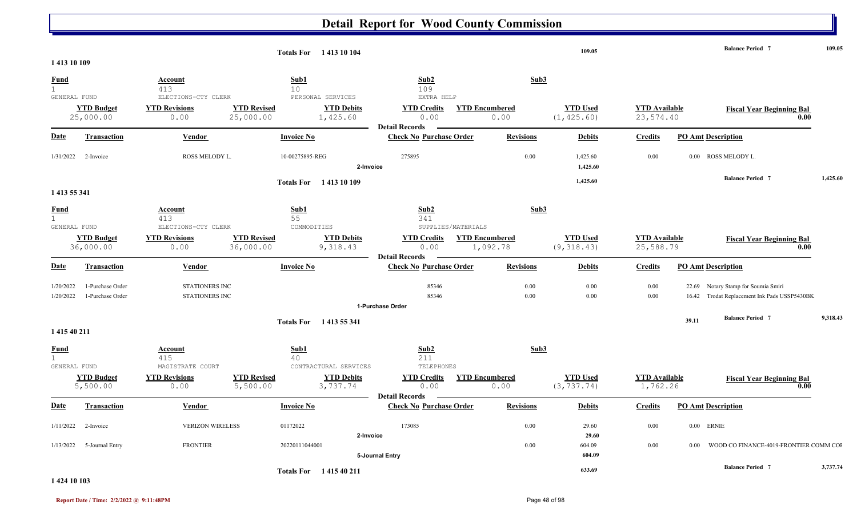|                                             |                                      |                                         |                                 | <b>Totals For</b> 1413 10 104 |                                                     |                                   |                  | 109.05                         |                                   |                           | <b>Balance Period 7</b>                                                             |      | 109.05   |
|---------------------------------------------|--------------------------------------|-----------------------------------------|---------------------------------|-------------------------------|-----------------------------------------------------|-----------------------------------|------------------|--------------------------------|-----------------------------------|---------------------------|-------------------------------------------------------------------------------------|------|----------|
| 1413 10 109                                 |                                      |                                         |                                 |                               |                                                     |                                   |                  |                                |                                   |                           |                                                                                     |      |          |
| <b>Fund</b><br>$\mathbf{1}$<br>GENERAL FUND |                                      | Account<br>413<br>ELECTIONS-CTY CLERK   | Sub1<br>10 <sup>°</sup>         | PERSONAL SERVICES             | Sub2<br>109<br>EXTRA HELP                           |                                   | Sub3             |                                |                                   |                           |                                                                                     |      |          |
|                                             | <b>YTD Budget</b><br>25,000.00       | <b>YTD Revisions</b><br>0.00            | <b>YTD Revised</b><br>25,000.00 | <b>YTD Debits</b><br>1,425.60 | <b>YTD Credits</b><br>0.00<br><b>Detail Records</b> | <b>YTD Encumbered</b><br>0.00     |                  | <b>YTD Used</b><br>(1, 425.60) | <b>YTD Available</b><br>23,574.40 |                           | <b>Fiscal Year Beginning Bal</b>                                                    | 0.00 |          |
| <b>Date</b>                                 | <b>Transaction</b>                   | Vendor                                  | <b>Invoice No</b>               |                               | <b>Check No Purchase Order</b>                      |                                   | <b>Revisions</b> | <b>Debits</b>                  | <b>Credits</b>                    | <b>PO Amt Description</b> |                                                                                     |      |          |
| 1/31/2022                                   | 2-Invoice                            | ROSS MELODY L.                          | 10-00275895-REG                 | 2-Invoice                     | 275895                                              |                                   | 0.00             | 1,425.60<br>1,425.60           | 0.00                              |                           | 0.00 ROSS MELODY L.                                                                 |      |          |
|                                             |                                      |                                         |                                 | Totals For 1413 10 109        |                                                     |                                   |                  | 1,425.60                       |                                   |                           | <b>Balance Period 7</b>                                                             |      | 1,425.60 |
| 1 413 55 341                                |                                      |                                         |                                 |                               |                                                     |                                   |                  |                                |                                   |                           |                                                                                     |      |          |
| Fund<br>1<br>GENERAL FUND                   |                                      | Account<br>413<br>ELECTIONS-CTY CLERK   | Sub1<br>55<br>COMMODITIES       |                               | Sub2<br>341                                         | SUPPLIES/MATERIALS                | Sub3             |                                |                                   |                           |                                                                                     |      |          |
|                                             | <b>YTD Budget</b><br>36,000.00       | <b>YTD Revisions</b><br>0.00            | <b>YTD Revised</b><br>36,000.00 | <b>YTD Debits</b><br>9,318.43 | <b>YTD Credits</b><br>0.00<br><b>Detail Records</b> | <b>YTD Encumbered</b><br>1,092.78 |                  | <b>YTD Used</b><br>(9, 318.43) | <b>YTD</b> Available<br>25,588.79 |                           | <b>Fiscal Year Beginning Bal</b>                                                    | 0.00 |          |
| Date                                        | <b>Transaction</b>                   | <b>Vendor</b>                           | <b>Invoice No</b>               |                               | <b>Check No Purchase Order</b>                      |                                   | <b>Revisions</b> | <b>Debits</b>                  | <b>Credits</b>                    | <b>PO Amt Description</b> |                                                                                     |      |          |
| 1/20/2022<br>1/20/2022                      | 1-Purchase Order<br>1-Purchase Order | STATIONERS INC<br><b>STATIONERS INC</b> |                                 |                               | 85346<br>85346                                      |                                   | 0.00<br>0.00     | 0.00<br>0.00                   | 0.00<br>0.00                      |                           | 22.69 Notary Stamp for Soumia Smiri<br>16.42 Trodat Replacement Ink Pads USSP5430BK |      |          |
|                                             |                                      |                                         |                                 |                               | 1-Purchase Order                                    |                                   |                  |                                |                                   |                           | <b>Balance Period 7</b>                                                             |      | 9,318.43 |
| 1 415 40 211                                |                                      |                                         |                                 | Totals For 1413 55 341        |                                                     |                                   |                  |                                |                                   | 39.11                     |                                                                                     |      |          |
| <b>Fund</b><br>1<br>GENERAL FUND            |                                      | Account<br>415<br>MAGISTRATE COURT      | Sub1<br>40                      | CONTRACTURAL SERVICES         | Sub2<br>211<br>TELEPHONES                           |                                   | Sub3             |                                |                                   |                           |                                                                                     |      |          |
|                                             | <b>YTD Budget</b><br>5,500.00        | <b>YTD Revisions</b><br>0.00            | <b>YTD Revised</b><br>5,500.00  | <b>YTD Debits</b><br>3,737.74 | <b>YTD Credits</b><br>0.00<br><b>Detail Records</b> | <b>YTD Encumbered</b><br>0.00     |                  | <b>YTD Used</b><br>(3, 737.74) | <b>YTD</b> Available<br>1,762.26  |                           | <b>Fiscal Year Beginning Bal</b>                                                    | 0.00 |          |
| Date                                        | <b>Transaction</b>                   | Vendor                                  | <b>Invoice No</b>               |                               | <b>Check No Purchase Order</b>                      |                                   | <b>Revisions</b> | <b>Debits</b>                  | <b>Credits</b>                    | <b>PO Amt Description</b> |                                                                                     |      |          |
| 1/11/2022                                   | 2-Invoice                            | <b>VERIZON WIRELESS</b>                 | 01172022                        | 2-Invoice                     | 173085                                              |                                   | 0.00             | 29.60<br>29.60                 | 0.00                              | $0.00$ ERNIE              |                                                                                     |      |          |
| 1/13/2022                                   | 5-Journal Entry                      | <b>FRONTIER</b>                         | 20220111044001                  |                               | 5-Journal Entry                                     |                                   | 0.00             | 604.09<br>604.09               | 0.00                              | 0.00                      | WOOD CO FINANCE-4019-FRONTIER COMM COI                                              |      |          |
|                                             |                                      |                                         |                                 | <b>Totals For</b> 141540211   |                                                     |                                   |                  | 633.69                         |                                   |                           | <b>Balance Period 7</b>                                                             |      | 3,737.74 |

#### **1 424 10 103**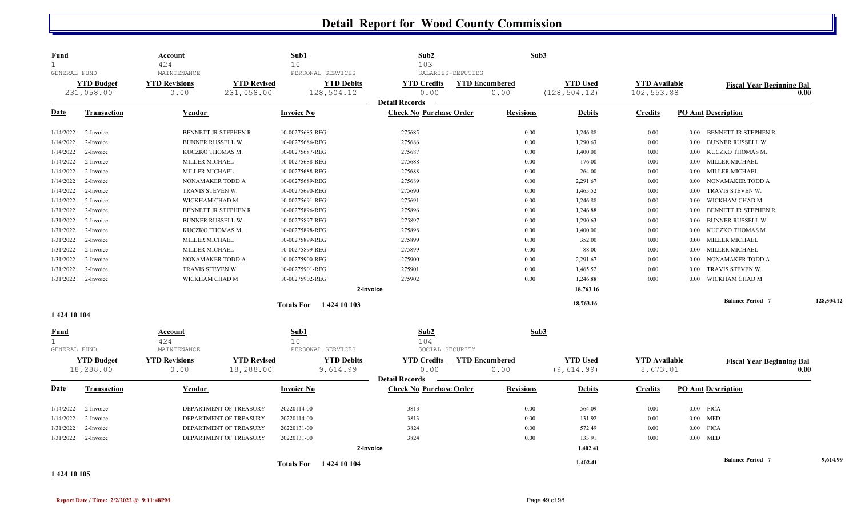| <b>Fund</b><br>$\mathbf{1}$                 |                                 | <u>Account</u><br>424                       |                                  | Sub1<br>10        |                                                      | Sub2<br>103                                             |                   | Sub3                          |                                  |                                    |          |                                  |      |            |
|---------------------------------------------|---------------------------------|---------------------------------------------|----------------------------------|-------------------|------------------------------------------------------|---------------------------------------------------------|-------------------|-------------------------------|----------------------------------|------------------------------------|----------|----------------------------------|------|------------|
| GENERAL FUND                                | <b>YTD Budget</b><br>231,058.00 | MAINTENANCE<br><b>YTD Revisions</b><br>0.00 | <b>YTD Revised</b><br>231,058.00 |                   | PERSONAL SERVICES<br><b>YTD Debits</b><br>128,504.12 | <b>YTD Credits</b><br>0.00                              | SALARIES-DEPUTIES | <b>YTD Encumbered</b><br>0.00 | <b>YTD Used</b><br>(128, 504.12) | <b>YTD</b> Available<br>102,553.88 |          | <b>Fiscal Year Beginning Bal</b> | 0.00 |            |
| <u>Date</u>                                 | <b>Transaction</b>              | Vendor                                      |                                  | <b>Invoice No</b> |                                                      | <b>Detail Records</b><br><b>Check No Purchase Order</b> |                   | <b>Revisions</b>              | <b>Debits</b>                    | <b>Credits</b>                     |          | <b>PO Amt Description</b>        |      |            |
|                                             |                                 |                                             |                                  |                   |                                                      |                                                         |                   |                               |                                  |                                    |          |                                  |      |            |
| 1/14/2022                                   | 2-Invoice                       |                                             | BENNETT JR STEPHEN R             | 10-00275685-REG   |                                                      | 275685                                                  |                   | 0.00                          | 1,246.88                         | 0.00                               | 0.00     | BENNETT JR STEPHEN R             |      |            |
| 1/14/2022                                   | 2-Invoice                       | BUNNER RUSSELL W.                           |                                  | 10-00275686-REG   |                                                      | 275686                                                  |                   | 0.00                          | 1,290.63                         | 0.00                               | 0.00     | BUNNER RUSSELL W.                |      |            |
| 1/14/2022                                   | 2-Invoice                       | KUCZKO THOMAS M.                            |                                  | 10-00275687-REG   |                                                      | 275687                                                  |                   | 0.00                          | 1,400.00                         | $0.00\,$                           | $0.00\,$ | KUCZKO THOMAS M.                 |      |            |
| 1/14/2022                                   | 2-Invoice                       | MILLER MICHAEL                              |                                  | 10-00275688-REG   |                                                      | 275688                                                  |                   | 0.00                          | 176.00                           | $0.00\,$                           | $0.00\,$ | MILLER MICHAEL                   |      |            |
| 1/14/2022                                   | 2-Invoice                       | <b>MILLER MICHAEL</b>                       |                                  | 10-00275688-REG   |                                                      | 275688                                                  |                   | 0.00                          | 264.00                           | 0.00                               | $0.00\,$ | MILLER MICHAEL                   |      |            |
| 1/14/2022                                   | 2-Invoice                       | NONAMAKER TODD A                            |                                  | 10-00275689-REG   |                                                      | 275689                                                  |                   | 0.00                          | 2,291.67                         | 0.00                               | 0.00     | NONAMAKER TODD A                 |      |            |
| 1/14/2022                                   | 2-Invoice                       | TRAVIS STEVEN W.                            |                                  | 10-00275690-REG   |                                                      | 275690                                                  |                   | 0.00                          | 1,465.52                         | $0.00\,$                           | 0.00     | TRAVIS STEVEN W.                 |      |            |
| 1/14/2022                                   | 2-Invoice                       | WICKHAM CHAD M                              |                                  | 10-00275691-REG   |                                                      | 275691                                                  |                   | 0.00                          | 1,246.88                         | $0.00\,$                           | 0.00     | WICKHAM CHAD M                   |      |            |
| 1/31/2022                                   | 2-Invoice                       |                                             | BENNETT JR STEPHEN R             | 10-00275896-REG   |                                                      | 275896                                                  |                   | 0.00                          | 1,246.88                         | 0.00                               | 0.00     | BENNETT JR STEPHEN R             |      |            |
| 1/31/2022                                   | 2-Invoice                       | BUNNER RUSSELL W.                           |                                  | 10-00275897-REG   |                                                      | 275897                                                  |                   | 0.00                          | 1,290.63                         | 0.00                               | 0.00     | BUNNER RUSSELL W.                |      |            |
| 1/31/2022                                   | 2-Invoice                       | KUCZKO THOMAS M.                            |                                  | 10-00275898-REG   |                                                      | 275898                                                  |                   | 0.00                          | 1,400.00                         | 0.00                               | 0.00     | KUCZKO THOMAS M.                 |      |            |
| 1/31/2022                                   | 2-Invoice                       | MILLER MICHAEL                              |                                  | 10-00275899-REG   |                                                      | 275899                                                  |                   | 0.00                          | 352.00                           | 0.00                               | 0.00     | MILLER MICHAEL                   |      |            |
| 1/31/2022                                   | 2-Invoice                       | MILLER MICHAEL                              |                                  | 10-00275899-REG   |                                                      | 275899                                                  |                   | 0.00                          | 88.00                            | 0.00                               | 0.00     | MILLER MICHAEL                   |      |            |
| 1/31/2022                                   | 2-Invoice                       | NONAMAKER TODD A                            |                                  | 10-00275900-REG   |                                                      | 275900                                                  |                   | 0.00                          | 2,291.67                         | 0.00                               | 0.00     | NONAMAKER TODD A                 |      |            |
| 1/31/2022                                   | 2-Invoice                       | TRAVIS STEVEN W.                            |                                  | 10-00275901-REG   |                                                      | 275901                                                  |                   | 0.00                          | 1,465.52                         | 0.00                               | 0.00     | TRAVIS STEVEN W.                 |      |            |
| 1/31/2022                                   | 2-Invoice                       | WICKHAM CHAD M                              |                                  | 10-00275902-REG   |                                                      | 275902                                                  |                   | 0.00                          | 1,246.88                         | 0.00                               | 0.00     | WICKHAM CHAD M                   |      |            |
|                                             |                                 |                                             |                                  |                   | 2-Invoice                                            |                                                         |                   |                               | 18,763.16                        |                                    |          |                                  |      |            |
|                                             |                                 |                                             |                                  |                   | Totals For 1424 10 103                               |                                                         |                   |                               | 18,763.16                        |                                    |          | <b>Balance Period 7</b>          |      | 128,504.12 |
| 1 424 10 104                                |                                 |                                             |                                  |                   |                                                      |                                                         |                   |                               |                                  |                                    |          |                                  |      |            |
| <u>Fund</u><br>$\mathbf{1}$<br>GENERAL FUND |                                 | Account<br>424<br>MAINTENANCE               |                                  | Sub1<br>10        | PERSONAL SERVICES                                    | Sub2<br>104<br>SOCIAL SECURITY                          |                   | Sub3                          |                                  |                                    |          |                                  |      |            |
|                                             | <b>YTD Budget</b><br>18,288.00  | <b>YTD Revisions</b><br>0.00                | <b>YTD Revised</b><br>18,288.00  |                   | <b>YTD Debits</b><br>9,614.99                        | <b>YTD Credits</b><br>0.00                              |                   | <b>YTD Encumbered</b><br>0.00 | <b>YTD Used</b><br>(9, 614.99)   | <b>YTD</b> Available<br>8,673.01   |          | <b>Fiscal Year Beginning Bal</b> | 0.00 |            |
| <u>Date</u>                                 | <b>Transaction</b>              | Vendor                                      |                                  | <b>Invoice No</b> |                                                      | <b>Detail Records</b><br><b>Check No Purchase Order</b> |                   | <b>Revisions</b>              | <b>Debits</b>                    | <b>Credits</b>                     |          | <b>PO Amt Description</b>        |      |            |
| 1/14/2022                                   | 2-Invoice                       |                                             | DEPARTMENT OF TREASURY           | 20220114-00       |                                                      | 3813                                                    |                   | 0.00                          | 564.09                           | 0.00                               |          | $0.00$ FICA                      |      |            |
| 1/14/2022                                   | 2-Invoice                       |                                             | DEPARTMENT OF TREASURY           | 20220114-00       |                                                      | 3813                                                    |                   | 0.00                          | 131.92                           | 0.00                               |          | $0.00$ MED                       |      |            |
| 1/31/2022                                   | 2-Invoice                       |                                             | DEPARTMENT OF TREASURY           | 20220131-00       |                                                      | 3824                                                    |                   | 0.00                          | 572.49                           | 0.00                               |          | $0.00$ FICA                      |      |            |
| 1/31/2022                                   | 2-Invoice                       |                                             | DEPARTMENT OF TREASURY           | 20220131-00       |                                                      | 3824                                                    |                   | 0.00                          | 133.91                           | 0.00                               |          | $0.00$ MED                       |      |            |
|                                             |                                 |                                             |                                  |                   | 2-Invoice                                            |                                                         |                   |                               | 1,402.41                         |                                    |          |                                  |      |            |
|                                             |                                 |                                             |                                  |                   | Totals For 1424 10 104                               |                                                         |                   |                               | 1,402.41                         |                                    |          | <b>Balance Period 7</b>          |      | 9,614.99   |
| 1.42410107                                  |                                 |                                             |                                  |                   |                                                      |                                                         |                   |                               |                                  |                                    |          |                                  |      |            |

**1 424 10 105**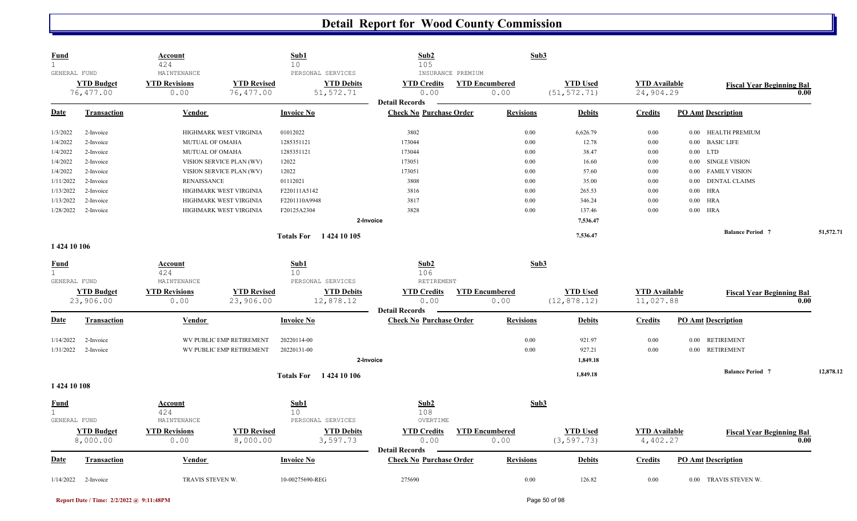| <b>Fund</b><br>$\mathbf 1$<br>GENERAL FUND |                                | <b>Account</b><br>424<br>${\tt MAINTENANCE}$ |                                 | Sub1<br>10<br>PERSONAL SERVICES | Sub2<br>105                                                                            | INSURANCE PREMIUM             | Sub3                            |                                   |                               |                                          |
|--------------------------------------------|--------------------------------|----------------------------------------------|---------------------------------|---------------------------------|----------------------------------------------------------------------------------------|-------------------------------|---------------------------------|-----------------------------------|-------------------------------|------------------------------------------|
|                                            | <b>YTD Budget</b><br>76,477.00 | <b>YTD Revisions</b><br>0.00                 | <b>YTD Revised</b><br>76,477.00 |                                 | <b>YTD Debits</b><br><b>YTD Credits</b><br>51, 572.71<br>0.00<br><b>Detail Records</b> | <b>YTD Encumbered</b><br>0.00 | <b>YTD Used</b><br>(51, 572.71) | <b>YTD</b> Available<br>24,904.29 |                               | <b>Fiscal Year Beginning Bal</b><br>0.00 |
| <u>Date</u>                                | <b>Transaction</b>             | Vendor                                       |                                 | <b>Invoice No</b>               | <b>Check No Purchase Order</b>                                                         | <b>Revisions</b>              | <b>Debits</b>                   | <b>Credits</b>                    | <b>PO Amt Description</b>     |                                          |
| 1/3/2022                                   | 2-Invoice                      |                                              | HIGHMARK WEST VIRGINIA          | 01012022                        | 3802                                                                                   |                               | 0.00<br>6,626.79                | 0.00                              | 0.00 HEALTH PREMIUM           |                                          |
| 1/4/2022                                   | 2-Invoice                      | MUTUAL OF OMAHA                              |                                 | 1285351121                      | 173044                                                                                 |                               | 0.00                            | 12.78<br>0.00                     | <b>BASIC LIFE</b><br>0.00     |                                          |
| 1/4/2022                                   | 2-Invoice                      | MUTUAL OF OMAHA                              |                                 | 1285351121                      | 173044                                                                                 |                               | 0.00                            | 38.47<br>0.00                     | 0.00<br>LTD                   |                                          |
| 1/4/2022                                   | 2-Invoice                      |                                              | VISION SERVICE PLAN (WV)        | 12022                           | 173051                                                                                 |                               | 0.00                            | 16.60<br>0.00                     | SINGLE VISION<br>0.00         |                                          |
| 1/4/2022                                   | 2-Invoice                      |                                              | VISION SERVICE PLAN (WV)        | 12022                           | 173051                                                                                 |                               | 0.00                            | 57.60<br>$0.00\,$                 | <b>FAMILY VISION</b><br>0.00  |                                          |
| 1/11/2022                                  | 2-Invoice                      | <b>RENAISSANCE</b>                           |                                 | 01112021                        | 3808                                                                                   |                               | 0.00                            | 35.00<br>$0.00\,$                 | <b>DENTAL CLAIMS</b><br>0.00  |                                          |
| 1/13/2022                                  | 2-Invoice                      |                                              | HIGHMARK WEST VIRGINIA          | F220111A5142                    | 3816                                                                                   |                               | 0.00<br>265.53                  | 0.00                              | <b>HRA</b><br>$0.00\,$        |                                          |
| 1/13/2022                                  | 2-Invoice                      |                                              | HIGHMARK WEST VIRGINIA          | F2201110A9948                   | 3817                                                                                   |                               | 0.00                            | 346.24<br>0.00                    | <b>HRA</b><br>0.00            |                                          |
| 1/28/2022                                  | 2-Invoice                      |                                              | HIGHMARK WEST VIRGINIA          | F20125A2304                     | 3828                                                                                   |                               | 0.00                            | 137.46<br>0.00                    | 0.00<br><b>HRA</b>            |                                          |
|                                            |                                |                                              |                                 |                                 | 2-Invoice                                                                              |                               | 7,536.47                        |                                   |                               |                                          |
|                                            |                                |                                              |                                 | Totals For 1424 10 105          |                                                                                        |                               | 7,536.47                        |                                   | <b>Balance Period 7</b>       | 51,572.71                                |
| 1424 10 106                                |                                |                                              |                                 |                                 |                                                                                        |                               |                                 |                                   |                               |                                          |
| <b>Fund</b>                                |                                | Account                                      |                                 | Sub1                            | Sub2                                                                                   |                               | Sub3                            |                                   |                               |                                          |
| $\mathbf 1$                                |                                | 424                                          |                                 | 10                              | 106                                                                                    |                               |                                 |                                   |                               |                                          |
| GENERAL FUND                               |                                | MAINTENANCE                                  |                                 | PERSONAL SERVICES               | RETIREMENT                                                                             |                               |                                 |                                   |                               |                                          |
|                                            | <b>YTD Budget</b><br>23,906.00 | <b>YTD Revisions</b><br>0.00                 | <b>YTD Revised</b><br>23,906.00 |                                 | <b>YTD Debits</b><br><b>YTD Credits</b><br>12,878.12<br>0.00                           | <b>YTD Encumbered</b><br>0.00 | <b>YTD Used</b><br>(12, 878.12) | <b>YTD</b> Available<br>11,027.88 |                               | <b>Fiscal Year Beginning Bal</b><br>0.00 |
|                                            |                                |                                              |                                 |                                 | <b>Detail Records</b>                                                                  |                               |                                 |                                   |                               |                                          |
| <b>Date</b>                                | <b>Transaction</b>             | Vendor                                       |                                 | <b>Invoice No</b>               | <b>Check No Purchase Order</b>                                                         | <b>Revisions</b>              | <b>Debits</b>                   | <b>Credits</b>                    | <b>PO Amt Description</b>     |                                          |
| 1/14/2022                                  | 2-Invoice                      |                                              | WV PUBLIC EMP RETIREMENT        | 20220114-00                     |                                                                                        |                               | 0.00<br>921.97                  | 0.00                              | <b>RETIREMENT</b><br>0.00     |                                          |
| 1/31/2022                                  | 2-Invoice                      |                                              | WV PUBLIC EMP RETIREMENT        | 20220131-00                     |                                                                                        |                               | 0.00<br>927.21                  | 0.00                              | <b>RETIREMENT</b><br>$0.00\,$ |                                          |
|                                            |                                |                                              |                                 |                                 | 2-Invoice                                                                              |                               | 1,849.18                        |                                   |                               |                                          |
|                                            |                                |                                              |                                 | <b>Totals For</b> 1424 10 106   |                                                                                        |                               | 1,849.18                        |                                   | <b>Balance Period 7</b>       | 12,878.12                                |
| 1424 10 108                                |                                |                                              |                                 |                                 |                                                                                        |                               |                                 |                                   |                               |                                          |
| <u>Fund</u><br>$\mathbf{1}$                |                                | <b>Account</b><br>424                        |                                 | Sub1<br>10                      | Sub2<br>108                                                                            |                               | Sub3                            |                                   |                               |                                          |
| GENERAL FUND                               |                                | MAINTENANCE                                  |                                 | PERSONAL SERVICES               | OVERTIME                                                                               |                               |                                 |                                   |                               |                                          |
|                                            | <b>YTD Budget</b>              | <b>YTD Revisions</b>                         | <b>YTD Revised</b>              |                                 | <b>YTD Debits</b><br><b>YTD Credits</b>                                                | <b>YTD Encumbered</b>         | <b>YTD Used</b>                 | <b>YTD Available</b>              |                               | <b>Fiscal Year Beginning Bal</b>         |
|                                            | 8,000.00                       | 0.00                                         | 8,000.00                        |                                 | 3,597.73<br>0.00<br><b>Detail Records</b>                                              | 0.00                          | (3, 597.73)                     | 4,402.27                          |                               | 0.00                                     |
| <b>Date</b>                                | <b>Transaction</b>             | Vendor                                       |                                 | <b>Invoice No</b>               | <b>Check No Purchase Order</b>                                                         | <b>Revisions</b>              | <b>Debits</b>                   | <b>Credits</b>                    | <b>PO Amt Description</b>     |                                          |
| 1/14/2022                                  | 2-Invoice                      | TRAVIS STEVEN W.                             |                                 | 10-00275690-REG                 | 275690                                                                                 |                               | 0.00                            | 126.82<br>0.00                    | 0.00 TRAVIS STEVEN W.         |                                          |

**Report Date / Time: 2/2/2022 @ 9:11:48PM** Page 50 of 98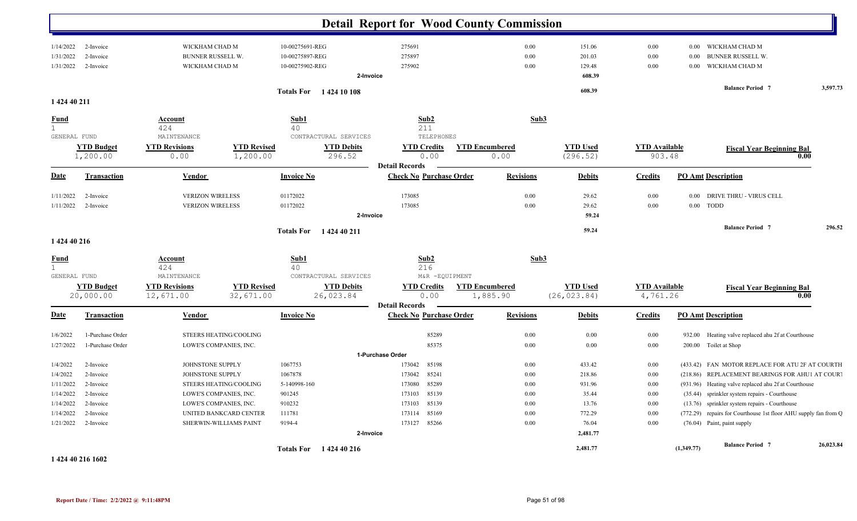| WICKHAM CHAD M<br>10-00275691-REG<br>275691<br>0.00<br>151.06<br>0.00<br>WICKHAM CHAD M<br>2-Invoice<br>$0.00\,$<br><b>BUNNER RUSSELL W.</b><br>275897<br>0.00<br>201.03<br>0.00<br>2-Invoice<br>10-00275897-REG<br>0.00<br><b>BUNNER RUSSELL W.</b><br>WICKHAM CHAD M<br>10-00275902-REG<br>275902<br>0.00<br>129.48<br>0.00<br>WICKHAM CHAD M<br>$0.00\,$<br>2-Invoice<br>608.39<br>2-Invoice<br><b>Balance Period 7</b><br>608.39<br><b>Totals For</b> 1424 10 108<br>1 424 40 211<br>Sub1<br>Sub2<br>Sub3<br>Account<br>424<br>40<br>211<br>GENERAL FUND<br>MAINTENANCE<br>CONTRACTURAL SERVICES<br><b>TELEPHONES</b><br><b>YTD Budget</b><br><b>YTD Revised</b><br><b>YTD Encumbered</b><br><b>YTD Used</b><br><b>YTD Revisions</b><br><b>YTD Debits</b><br><b>YTD Credits</b><br><b>YTD Available</b><br><b>Fiscal Year Beginning Bal</b><br>1,200.00<br>1,200.00<br>296.52<br>0.00<br>(296.52)<br>903.48<br>0.00<br>0.00<br>0.00<br><b>Detail Records</b><br><b>Check No Purchase Order</b><br><b>Revisions</b><br><b>Transaction</b><br>Vendor<br><b>Invoice No</b><br><b>Debits</b><br><b>Credits</b><br><b>PO Amt Description</b><br>173085<br><b>VERIZON WIRELESS</b><br>01172022<br>0.00<br>29.62<br>0.00<br>DRIVE THRU - VIRUS CELL<br>2-Invoice<br>$0.00\,$<br><b>VERIZON WIRELESS</b><br>01172022<br>173085<br>0.00<br>29.62<br>0.00<br>0.00<br><b>TODD</b><br>2-Invoice<br>2-Invoice<br>59.24<br><b>Balance Period 7</b><br>59.24<br>1 424 40 211<br><b>Totals For</b><br>1 424 40 216<br>Sub2<br>Sub3<br>Sub1<br><u>Account</u><br>424<br>40<br>216<br>GENERAL FUND<br>CONTRACTURAL SERVICES<br>M&R -EQUIPMENT<br>MAINTENANCE<br><b>YTD Encumbered</b><br><b>YTD Used</b><br><b>YTD Budget</b><br><b>YTD Revisions</b><br><b>YTD Revised</b><br><b>YTD Debits</b><br><b>YTD Credits</b><br><b>YTD Available</b><br><b>Fiscal Year Beginning Bal</b><br>26,023.84<br>(26, 023.84)<br>20,000.00<br>12,671.00<br>32,671.00<br>0.00<br>1,885.90<br>4,761.26<br>0.00<br><b>Detail Records</b><br><b>Check No Purchase Order</b><br><b>Revisions</b><br><b>Debits</b><br><b>PO Amt Description</b><br><b>Transaction</b><br>Vendor<br><b>Invoice No</b><br><b>Credits</b><br>0.00<br>0.00<br>1-Purchase Order<br>STEERS HEATING/COOLING<br>85289<br>0.00<br>932.00<br>Heating valve replaced ahu 2f at Courthouse<br>85375<br>LOWE'S COMPANIES, INC.<br>0.00<br>0.00<br>200.00 Toilet at Shop<br>1-Purchase Order<br>0.00<br>1-Purchase Order<br>1067753<br>85198<br>433.42<br>2-Invoice<br>JOHNSTONE SUPPLY<br>173042<br>0.00<br>0.00<br>(433.42) FAN MOTOR REPLACE FOR ATU 2F AT COURTH<br>1067878<br>85241<br>0.00<br>218.86<br>(218.86) REPLACEMENT BEARINGS FOR AHU1 AT COURT<br>JOHNSTONE SUPPLY<br>173042<br>0.00<br>2-Invoice<br>5-140998-160<br>173080<br>85289<br>0.00<br>931.96<br>0.00<br>(931.96) Heating valve replaced ahu 2f at Courthouse<br>2-Invoice<br>STEERS HEATING/COOLING<br>901245<br>85139<br>0.00<br>35.44<br>(35.44) sprinkler system repairs - Courthouse<br>2-Invoice<br>LOWE'S COMPANIES, INC.<br>173103<br>0.00<br>910232<br>85139<br>0.00<br>13.76<br>LOWE'S COMPANIES, INC.<br>173103<br>0.00<br>(13.76) sprinkler system repairs - Courthouse<br>2-Invoice<br>85169<br>0.00<br>772.29<br>(772.29) repairs for Courthouse 1st floor AHU supply fan from Q<br>UNITED BANKCARD CENTER<br>111781<br>173114<br>0.00<br>2-Invoice<br>SHERWIN-WILLIAMS PAINT<br>9194-4<br>85266<br>0.00<br>76.04<br>0.00<br>173127<br>(76.04) Paint, paint supply<br>2-Invoice<br>2,481.77<br>2-Invoice<br><b>Balance Period 7</b><br>2,481.77<br>(1,349.77)<br>Totals For 1424 40 216 |              |  |  | <b>Detail Report for Wood County Commission</b> |  |  |  |  |           |
|---------------------------------------------------------------------------------------------------------------------------------------------------------------------------------------------------------------------------------------------------------------------------------------------------------------------------------------------------------------------------------------------------------------------------------------------------------------------------------------------------------------------------------------------------------------------------------------------------------------------------------------------------------------------------------------------------------------------------------------------------------------------------------------------------------------------------------------------------------------------------------------------------------------------------------------------------------------------------------------------------------------------------------------------------------------------------------------------------------------------------------------------------------------------------------------------------------------------------------------------------------------------------------------------------------------------------------------------------------------------------------------------------------------------------------------------------------------------------------------------------------------------------------------------------------------------------------------------------------------------------------------------------------------------------------------------------------------------------------------------------------------------------------------------------------------------------------------------------------------------------------------------------------------------------------------------------------------------------------------------------------------------------------------------------------------------------------------------------------------------------------------------------------------------------------------------------------------------------------------------------------------------------------------------------------------------------------------------------------------------------------------------------------------------------------------------------------------------------------------------------------------------------------------------------------------------------------------------------------------------------------------------------------------------------------------------------------------------------------------------------------------------------------------------------------------------------------------------------------------------------------------------------------------------------------------------------------------------------------------------------------------------------------------------------------------------------------------------------------------------------------------------------------------------------------------------------------------------------------------------------------------------------------------------------------------------------------------------------------------------------------------------------------------------------------------------------------------------------------------------------------------------------------------------------------------------------------------------------------------|--------------|--|--|-------------------------------------------------|--|--|--|--|-----------|
|                                                                                                                                                                                                                                                                                                                                                                                                                                                                                                                                                                                                                                                                                                                                                                                                                                                                                                                                                                                                                                                                                                                                                                                                                                                                                                                                                                                                                                                                                                                                                                                                                                                                                                                                                                                                                                                                                                                                                                                                                                                                                                                                                                                                                                                                                                                                                                                                                                                                                                                                                                                                                                                                                                                                                                                                                                                                                                                                                                                                                                                                                                                                                                                                                                                                                                                                                                                                                                                                                                                                                                                                               | 1/14/2022    |  |  |                                                 |  |  |  |  |           |
|                                                                                                                                                                                                                                                                                                                                                                                                                                                                                                                                                                                                                                                                                                                                                                                                                                                                                                                                                                                                                                                                                                                                                                                                                                                                                                                                                                                                                                                                                                                                                                                                                                                                                                                                                                                                                                                                                                                                                                                                                                                                                                                                                                                                                                                                                                                                                                                                                                                                                                                                                                                                                                                                                                                                                                                                                                                                                                                                                                                                                                                                                                                                                                                                                                                                                                                                                                                                                                                                                                                                                                                                               | 1/31/2022    |  |  |                                                 |  |  |  |  |           |
|                                                                                                                                                                                                                                                                                                                                                                                                                                                                                                                                                                                                                                                                                                                                                                                                                                                                                                                                                                                                                                                                                                                                                                                                                                                                                                                                                                                                                                                                                                                                                                                                                                                                                                                                                                                                                                                                                                                                                                                                                                                                                                                                                                                                                                                                                                                                                                                                                                                                                                                                                                                                                                                                                                                                                                                                                                                                                                                                                                                                                                                                                                                                                                                                                                                                                                                                                                                                                                                                                                                                                                                                               | 1/31/2022    |  |  |                                                 |  |  |  |  |           |
|                                                                                                                                                                                                                                                                                                                                                                                                                                                                                                                                                                                                                                                                                                                                                                                                                                                                                                                                                                                                                                                                                                                                                                                                                                                                                                                                                                                                                                                                                                                                                                                                                                                                                                                                                                                                                                                                                                                                                                                                                                                                                                                                                                                                                                                                                                                                                                                                                                                                                                                                                                                                                                                                                                                                                                                                                                                                                                                                                                                                                                                                                                                                                                                                                                                                                                                                                                                                                                                                                                                                                                                                               |              |  |  |                                                 |  |  |  |  |           |
|                                                                                                                                                                                                                                                                                                                                                                                                                                                                                                                                                                                                                                                                                                                                                                                                                                                                                                                                                                                                                                                                                                                                                                                                                                                                                                                                                                                                                                                                                                                                                                                                                                                                                                                                                                                                                                                                                                                                                                                                                                                                                                                                                                                                                                                                                                                                                                                                                                                                                                                                                                                                                                                                                                                                                                                                                                                                                                                                                                                                                                                                                                                                                                                                                                                                                                                                                                                                                                                                                                                                                                                                               |              |  |  |                                                 |  |  |  |  | 3,597.73  |
|                                                                                                                                                                                                                                                                                                                                                                                                                                                                                                                                                                                                                                                                                                                                                                                                                                                                                                                                                                                                                                                                                                                                                                                                                                                                                                                                                                                                                                                                                                                                                                                                                                                                                                                                                                                                                                                                                                                                                                                                                                                                                                                                                                                                                                                                                                                                                                                                                                                                                                                                                                                                                                                                                                                                                                                                                                                                                                                                                                                                                                                                                                                                                                                                                                                                                                                                                                                                                                                                                                                                                                                                               |              |  |  |                                                 |  |  |  |  |           |
|                                                                                                                                                                                                                                                                                                                                                                                                                                                                                                                                                                                                                                                                                                                                                                                                                                                                                                                                                                                                                                                                                                                                                                                                                                                                                                                                                                                                                                                                                                                                                                                                                                                                                                                                                                                                                                                                                                                                                                                                                                                                                                                                                                                                                                                                                                                                                                                                                                                                                                                                                                                                                                                                                                                                                                                                                                                                                                                                                                                                                                                                                                                                                                                                                                                                                                                                                                                                                                                                                                                                                                                                               | <b>Fund</b>  |  |  |                                                 |  |  |  |  |           |
|                                                                                                                                                                                                                                                                                                                                                                                                                                                                                                                                                                                                                                                                                                                                                                                                                                                                                                                                                                                                                                                                                                                                                                                                                                                                                                                                                                                                                                                                                                                                                                                                                                                                                                                                                                                                                                                                                                                                                                                                                                                                                                                                                                                                                                                                                                                                                                                                                                                                                                                                                                                                                                                                                                                                                                                                                                                                                                                                                                                                                                                                                                                                                                                                                                                                                                                                                                                                                                                                                                                                                                                                               | $\mathbf{1}$ |  |  |                                                 |  |  |  |  |           |
|                                                                                                                                                                                                                                                                                                                                                                                                                                                                                                                                                                                                                                                                                                                                                                                                                                                                                                                                                                                                                                                                                                                                                                                                                                                                                                                                                                                                                                                                                                                                                                                                                                                                                                                                                                                                                                                                                                                                                                                                                                                                                                                                                                                                                                                                                                                                                                                                                                                                                                                                                                                                                                                                                                                                                                                                                                                                                                                                                                                                                                                                                                                                                                                                                                                                                                                                                                                                                                                                                                                                                                                                               |              |  |  |                                                 |  |  |  |  |           |
|                                                                                                                                                                                                                                                                                                                                                                                                                                                                                                                                                                                                                                                                                                                                                                                                                                                                                                                                                                                                                                                                                                                                                                                                                                                                                                                                                                                                                                                                                                                                                                                                                                                                                                                                                                                                                                                                                                                                                                                                                                                                                                                                                                                                                                                                                                                                                                                                                                                                                                                                                                                                                                                                                                                                                                                                                                                                                                                                                                                                                                                                                                                                                                                                                                                                                                                                                                                                                                                                                                                                                                                                               |              |  |  |                                                 |  |  |  |  |           |
|                                                                                                                                                                                                                                                                                                                                                                                                                                                                                                                                                                                                                                                                                                                                                                                                                                                                                                                                                                                                                                                                                                                                                                                                                                                                                                                                                                                                                                                                                                                                                                                                                                                                                                                                                                                                                                                                                                                                                                                                                                                                                                                                                                                                                                                                                                                                                                                                                                                                                                                                                                                                                                                                                                                                                                                                                                                                                                                                                                                                                                                                                                                                                                                                                                                                                                                                                                                                                                                                                                                                                                                                               | Date         |  |  |                                                 |  |  |  |  |           |
|                                                                                                                                                                                                                                                                                                                                                                                                                                                                                                                                                                                                                                                                                                                                                                                                                                                                                                                                                                                                                                                                                                                                                                                                                                                                                                                                                                                                                                                                                                                                                                                                                                                                                                                                                                                                                                                                                                                                                                                                                                                                                                                                                                                                                                                                                                                                                                                                                                                                                                                                                                                                                                                                                                                                                                                                                                                                                                                                                                                                                                                                                                                                                                                                                                                                                                                                                                                                                                                                                                                                                                                                               | 1/11/2022    |  |  |                                                 |  |  |  |  |           |
|                                                                                                                                                                                                                                                                                                                                                                                                                                                                                                                                                                                                                                                                                                                                                                                                                                                                                                                                                                                                                                                                                                                                                                                                                                                                                                                                                                                                                                                                                                                                                                                                                                                                                                                                                                                                                                                                                                                                                                                                                                                                                                                                                                                                                                                                                                                                                                                                                                                                                                                                                                                                                                                                                                                                                                                                                                                                                                                                                                                                                                                                                                                                                                                                                                                                                                                                                                                                                                                                                                                                                                                                               | 1/11/2022    |  |  |                                                 |  |  |  |  |           |
|                                                                                                                                                                                                                                                                                                                                                                                                                                                                                                                                                                                                                                                                                                                                                                                                                                                                                                                                                                                                                                                                                                                                                                                                                                                                                                                                                                                                                                                                                                                                                                                                                                                                                                                                                                                                                                                                                                                                                                                                                                                                                                                                                                                                                                                                                                                                                                                                                                                                                                                                                                                                                                                                                                                                                                                                                                                                                                                                                                                                                                                                                                                                                                                                                                                                                                                                                                                                                                                                                                                                                                                                               |              |  |  |                                                 |  |  |  |  |           |
|                                                                                                                                                                                                                                                                                                                                                                                                                                                                                                                                                                                                                                                                                                                                                                                                                                                                                                                                                                                                                                                                                                                                                                                                                                                                                                                                                                                                                                                                                                                                                                                                                                                                                                                                                                                                                                                                                                                                                                                                                                                                                                                                                                                                                                                                                                                                                                                                                                                                                                                                                                                                                                                                                                                                                                                                                                                                                                                                                                                                                                                                                                                                                                                                                                                                                                                                                                                                                                                                                                                                                                                                               |              |  |  |                                                 |  |  |  |  | 296.52    |
|                                                                                                                                                                                                                                                                                                                                                                                                                                                                                                                                                                                                                                                                                                                                                                                                                                                                                                                                                                                                                                                                                                                                                                                                                                                                                                                                                                                                                                                                                                                                                                                                                                                                                                                                                                                                                                                                                                                                                                                                                                                                                                                                                                                                                                                                                                                                                                                                                                                                                                                                                                                                                                                                                                                                                                                                                                                                                                                                                                                                                                                                                                                                                                                                                                                                                                                                                                                                                                                                                                                                                                                                               |              |  |  |                                                 |  |  |  |  |           |
|                                                                                                                                                                                                                                                                                                                                                                                                                                                                                                                                                                                                                                                                                                                                                                                                                                                                                                                                                                                                                                                                                                                                                                                                                                                                                                                                                                                                                                                                                                                                                                                                                                                                                                                                                                                                                                                                                                                                                                                                                                                                                                                                                                                                                                                                                                                                                                                                                                                                                                                                                                                                                                                                                                                                                                                                                                                                                                                                                                                                                                                                                                                                                                                                                                                                                                                                                                                                                                                                                                                                                                                                               | <b>Fund</b>  |  |  |                                                 |  |  |  |  |           |
|                                                                                                                                                                                                                                                                                                                                                                                                                                                                                                                                                                                                                                                                                                                                                                                                                                                                                                                                                                                                                                                                                                                                                                                                                                                                                                                                                                                                                                                                                                                                                                                                                                                                                                                                                                                                                                                                                                                                                                                                                                                                                                                                                                                                                                                                                                                                                                                                                                                                                                                                                                                                                                                                                                                                                                                                                                                                                                                                                                                                                                                                                                                                                                                                                                                                                                                                                                                                                                                                                                                                                                                                               | $\mathbf{1}$ |  |  |                                                 |  |  |  |  |           |
|                                                                                                                                                                                                                                                                                                                                                                                                                                                                                                                                                                                                                                                                                                                                                                                                                                                                                                                                                                                                                                                                                                                                                                                                                                                                                                                                                                                                                                                                                                                                                                                                                                                                                                                                                                                                                                                                                                                                                                                                                                                                                                                                                                                                                                                                                                                                                                                                                                                                                                                                                                                                                                                                                                                                                                                                                                                                                                                                                                                                                                                                                                                                                                                                                                                                                                                                                                                                                                                                                                                                                                                                               |              |  |  |                                                 |  |  |  |  |           |
|                                                                                                                                                                                                                                                                                                                                                                                                                                                                                                                                                                                                                                                                                                                                                                                                                                                                                                                                                                                                                                                                                                                                                                                                                                                                                                                                                                                                                                                                                                                                                                                                                                                                                                                                                                                                                                                                                                                                                                                                                                                                                                                                                                                                                                                                                                                                                                                                                                                                                                                                                                                                                                                                                                                                                                                                                                                                                                                                                                                                                                                                                                                                                                                                                                                                                                                                                                                                                                                                                                                                                                                                               |              |  |  |                                                 |  |  |  |  |           |
|                                                                                                                                                                                                                                                                                                                                                                                                                                                                                                                                                                                                                                                                                                                                                                                                                                                                                                                                                                                                                                                                                                                                                                                                                                                                                                                                                                                                                                                                                                                                                                                                                                                                                                                                                                                                                                                                                                                                                                                                                                                                                                                                                                                                                                                                                                                                                                                                                                                                                                                                                                                                                                                                                                                                                                                                                                                                                                                                                                                                                                                                                                                                                                                                                                                                                                                                                                                                                                                                                                                                                                                                               |              |  |  |                                                 |  |  |  |  |           |
|                                                                                                                                                                                                                                                                                                                                                                                                                                                                                                                                                                                                                                                                                                                                                                                                                                                                                                                                                                                                                                                                                                                                                                                                                                                                                                                                                                                                                                                                                                                                                                                                                                                                                                                                                                                                                                                                                                                                                                                                                                                                                                                                                                                                                                                                                                                                                                                                                                                                                                                                                                                                                                                                                                                                                                                                                                                                                                                                                                                                                                                                                                                                                                                                                                                                                                                                                                                                                                                                                                                                                                                                               | Date         |  |  |                                                 |  |  |  |  |           |
|                                                                                                                                                                                                                                                                                                                                                                                                                                                                                                                                                                                                                                                                                                                                                                                                                                                                                                                                                                                                                                                                                                                                                                                                                                                                                                                                                                                                                                                                                                                                                                                                                                                                                                                                                                                                                                                                                                                                                                                                                                                                                                                                                                                                                                                                                                                                                                                                                                                                                                                                                                                                                                                                                                                                                                                                                                                                                                                                                                                                                                                                                                                                                                                                                                                                                                                                                                                                                                                                                                                                                                                                               | 1/6/2022     |  |  |                                                 |  |  |  |  |           |
|                                                                                                                                                                                                                                                                                                                                                                                                                                                                                                                                                                                                                                                                                                                                                                                                                                                                                                                                                                                                                                                                                                                                                                                                                                                                                                                                                                                                                                                                                                                                                                                                                                                                                                                                                                                                                                                                                                                                                                                                                                                                                                                                                                                                                                                                                                                                                                                                                                                                                                                                                                                                                                                                                                                                                                                                                                                                                                                                                                                                                                                                                                                                                                                                                                                                                                                                                                                                                                                                                                                                                                                                               | 1/27/2022    |  |  |                                                 |  |  |  |  |           |
|                                                                                                                                                                                                                                                                                                                                                                                                                                                                                                                                                                                                                                                                                                                                                                                                                                                                                                                                                                                                                                                                                                                                                                                                                                                                                                                                                                                                                                                                                                                                                                                                                                                                                                                                                                                                                                                                                                                                                                                                                                                                                                                                                                                                                                                                                                                                                                                                                                                                                                                                                                                                                                                                                                                                                                                                                                                                                                                                                                                                                                                                                                                                                                                                                                                                                                                                                                                                                                                                                                                                                                                                               |              |  |  |                                                 |  |  |  |  |           |
|                                                                                                                                                                                                                                                                                                                                                                                                                                                                                                                                                                                                                                                                                                                                                                                                                                                                                                                                                                                                                                                                                                                                                                                                                                                                                                                                                                                                                                                                                                                                                                                                                                                                                                                                                                                                                                                                                                                                                                                                                                                                                                                                                                                                                                                                                                                                                                                                                                                                                                                                                                                                                                                                                                                                                                                                                                                                                                                                                                                                                                                                                                                                                                                                                                                                                                                                                                                                                                                                                                                                                                                                               | 1/4/2022     |  |  |                                                 |  |  |  |  |           |
|                                                                                                                                                                                                                                                                                                                                                                                                                                                                                                                                                                                                                                                                                                                                                                                                                                                                                                                                                                                                                                                                                                                                                                                                                                                                                                                                                                                                                                                                                                                                                                                                                                                                                                                                                                                                                                                                                                                                                                                                                                                                                                                                                                                                                                                                                                                                                                                                                                                                                                                                                                                                                                                                                                                                                                                                                                                                                                                                                                                                                                                                                                                                                                                                                                                                                                                                                                                                                                                                                                                                                                                                               | 1/4/2022     |  |  |                                                 |  |  |  |  |           |
|                                                                                                                                                                                                                                                                                                                                                                                                                                                                                                                                                                                                                                                                                                                                                                                                                                                                                                                                                                                                                                                                                                                                                                                                                                                                                                                                                                                                                                                                                                                                                                                                                                                                                                                                                                                                                                                                                                                                                                                                                                                                                                                                                                                                                                                                                                                                                                                                                                                                                                                                                                                                                                                                                                                                                                                                                                                                                                                                                                                                                                                                                                                                                                                                                                                                                                                                                                                                                                                                                                                                                                                                               | 1/11/2022    |  |  |                                                 |  |  |  |  |           |
|                                                                                                                                                                                                                                                                                                                                                                                                                                                                                                                                                                                                                                                                                                                                                                                                                                                                                                                                                                                                                                                                                                                                                                                                                                                                                                                                                                                                                                                                                                                                                                                                                                                                                                                                                                                                                                                                                                                                                                                                                                                                                                                                                                                                                                                                                                                                                                                                                                                                                                                                                                                                                                                                                                                                                                                                                                                                                                                                                                                                                                                                                                                                                                                                                                                                                                                                                                                                                                                                                                                                                                                                               | 1/14/2022    |  |  |                                                 |  |  |  |  |           |
|                                                                                                                                                                                                                                                                                                                                                                                                                                                                                                                                                                                                                                                                                                                                                                                                                                                                                                                                                                                                                                                                                                                                                                                                                                                                                                                                                                                                                                                                                                                                                                                                                                                                                                                                                                                                                                                                                                                                                                                                                                                                                                                                                                                                                                                                                                                                                                                                                                                                                                                                                                                                                                                                                                                                                                                                                                                                                                                                                                                                                                                                                                                                                                                                                                                                                                                                                                                                                                                                                                                                                                                                               | 1/14/2022    |  |  |                                                 |  |  |  |  |           |
|                                                                                                                                                                                                                                                                                                                                                                                                                                                                                                                                                                                                                                                                                                                                                                                                                                                                                                                                                                                                                                                                                                                                                                                                                                                                                                                                                                                                                                                                                                                                                                                                                                                                                                                                                                                                                                                                                                                                                                                                                                                                                                                                                                                                                                                                                                                                                                                                                                                                                                                                                                                                                                                                                                                                                                                                                                                                                                                                                                                                                                                                                                                                                                                                                                                                                                                                                                                                                                                                                                                                                                                                               | 1/14/2022    |  |  |                                                 |  |  |  |  |           |
|                                                                                                                                                                                                                                                                                                                                                                                                                                                                                                                                                                                                                                                                                                                                                                                                                                                                                                                                                                                                                                                                                                                                                                                                                                                                                                                                                                                                                                                                                                                                                                                                                                                                                                                                                                                                                                                                                                                                                                                                                                                                                                                                                                                                                                                                                                                                                                                                                                                                                                                                                                                                                                                                                                                                                                                                                                                                                                                                                                                                                                                                                                                                                                                                                                                                                                                                                                                                                                                                                                                                                                                                               | 1/21/2022    |  |  |                                                 |  |  |  |  |           |
|                                                                                                                                                                                                                                                                                                                                                                                                                                                                                                                                                                                                                                                                                                                                                                                                                                                                                                                                                                                                                                                                                                                                                                                                                                                                                                                                                                                                                                                                                                                                                                                                                                                                                                                                                                                                                                                                                                                                                                                                                                                                                                                                                                                                                                                                                                                                                                                                                                                                                                                                                                                                                                                                                                                                                                                                                                                                                                                                                                                                                                                                                                                                                                                                                                                                                                                                                                                                                                                                                                                                                                                                               |              |  |  |                                                 |  |  |  |  |           |
|                                                                                                                                                                                                                                                                                                                                                                                                                                                                                                                                                                                                                                                                                                                                                                                                                                                                                                                                                                                                                                                                                                                                                                                                                                                                                                                                                                                                                                                                                                                                                                                                                                                                                                                                                                                                                                                                                                                                                                                                                                                                                                                                                                                                                                                                                                                                                                                                                                                                                                                                                                                                                                                                                                                                                                                                                                                                                                                                                                                                                                                                                                                                                                                                                                                                                                                                                                                                                                                                                                                                                                                                               |              |  |  |                                                 |  |  |  |  | 26,023.84 |

**1 424 40 216 1602**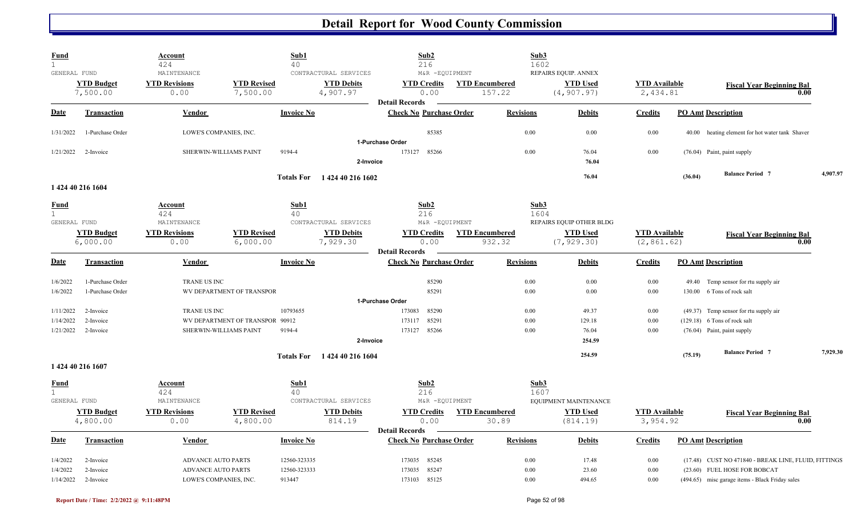|                    | <b>Account</b><br>424                                                                                                                                                                 |                                                                     | Sub1<br>40                                                                                                                         |                                                                                                                                    | Sub2<br>216                                                                                                                               |                                                                                                                                                                                                                                                                                | Sub3<br>1602                                                                                                           |                                                                                                              |                                                                                                                                                 |         |                                                                                                             |                                                                                                                                                                                                                                                                                                                                                                       |
|--------------------|---------------------------------------------------------------------------------------------------------------------------------------------------------------------------------------|---------------------------------------------------------------------|------------------------------------------------------------------------------------------------------------------------------------|------------------------------------------------------------------------------------------------------------------------------------|-------------------------------------------------------------------------------------------------------------------------------------------|--------------------------------------------------------------------------------------------------------------------------------------------------------------------------------------------------------------------------------------------------------------------------------|------------------------------------------------------------------------------------------------------------------------|--------------------------------------------------------------------------------------------------------------|-------------------------------------------------------------------------------------------------------------------------------------------------|---------|-------------------------------------------------------------------------------------------------------------|-----------------------------------------------------------------------------------------------------------------------------------------------------------------------------------------------------------------------------------------------------------------------------------------------------------------------------------------------------------------------|
| GENERAL FUND       | MAINTENANCE                                                                                                                                                                           |                                                                     |                                                                                                                                    |                                                                                                                                    |                                                                                                                                           |                                                                                                                                                                                                                                                                                |                                                                                                                        | REPAIRS EQUIP. ANNEX                                                                                         |                                                                                                                                                 |         |                                                                                                             |                                                                                                                                                                                                                                                                                                                                                                       |
|                    | 0.00                                                                                                                                                                                  | 7,500.00                                                            |                                                                                                                                    |                                                                                                                                    | 0.00                                                                                                                                      |                                                                                                                                                                                                                                                                                |                                                                                                                        | (4, 907.97)                                                                                                  |                                                                                                                                                 |         | 0.00                                                                                                        |                                                                                                                                                                                                                                                                                                                                                                       |
| <b>Transaction</b> | Vendor                                                                                                                                                                                |                                                                     | <b>Invoice No</b>                                                                                                                  |                                                                                                                                    |                                                                                                                                           |                                                                                                                                                                                                                                                                                | <b>Revisions</b>                                                                                                       | <b>Debits</b>                                                                                                | <b>Credits</b>                                                                                                                                  |         |                                                                                                             |                                                                                                                                                                                                                                                                                                                                                                       |
| 1-Purchase Order   |                                                                                                                                                                                       |                                                                     |                                                                                                                                    |                                                                                                                                    | 85385                                                                                                                                     |                                                                                                                                                                                                                                                                                | 0.00                                                                                                                   | 0.00                                                                                                         | 0.00                                                                                                                                            |         |                                                                                                             |                                                                                                                                                                                                                                                                                                                                                                       |
|                    |                                                                                                                                                                                       |                                                                     |                                                                                                                                    |                                                                                                                                    |                                                                                                                                           |                                                                                                                                                                                                                                                                                |                                                                                                                        |                                                                                                              |                                                                                                                                                 |         |                                                                                                             |                                                                                                                                                                                                                                                                                                                                                                       |
|                    |                                                                                                                                                                                       |                                                                     |                                                                                                                                    |                                                                                                                                    |                                                                                                                                           |                                                                                                                                                                                                                                                                                |                                                                                                                        | 76.04                                                                                                        |                                                                                                                                                 |         |                                                                                                             |                                                                                                                                                                                                                                                                                                                                                                       |
|                    |                                                                                                                                                                                       |                                                                     |                                                                                                                                    |                                                                                                                                    |                                                                                                                                           |                                                                                                                                                                                                                                                                                |                                                                                                                        | 76.04                                                                                                        |                                                                                                                                                 | (36.04) | <b>Balance Period 7</b>                                                                                     | 4,907.97                                                                                                                                                                                                                                                                                                                                                              |
|                    | Account                                                                                                                                                                               |                                                                     | Sub1                                                                                                                               |                                                                                                                                    | Sub2                                                                                                                                      |                                                                                                                                                                                                                                                                                |                                                                                                                        |                                                                                                              |                                                                                                                                                 |         |                                                                                                             |                                                                                                                                                                                                                                                                                                                                                                       |
|                    | 424                                                                                                                                                                                   |                                                                     | 40                                                                                                                                 |                                                                                                                                    | 216                                                                                                                                       |                                                                                                                                                                                                                                                                                |                                                                                                                        |                                                                                                              |                                                                                                                                                 |         |                                                                                                             |                                                                                                                                                                                                                                                                                                                                                                       |
|                    |                                                                                                                                                                                       |                                                                     |                                                                                                                                    |                                                                                                                                    |                                                                                                                                           |                                                                                                                                                                                                                                                                                |                                                                                                                        |                                                                                                              |                                                                                                                                                 |         |                                                                                                             |                                                                                                                                                                                                                                                                                                                                                                       |
|                    |                                                                                                                                                                                       |                                                                     |                                                                                                                                    |                                                                                                                                    |                                                                                                                                           |                                                                                                                                                                                                                                                                                |                                                                                                                        |                                                                                                              |                                                                                                                                                 |         | <b>Fiscal Year Beginning Bal</b>                                                                            |                                                                                                                                                                                                                                                                                                                                                                       |
|                    |                                                                                                                                                                                       |                                                                     |                                                                                                                                    |                                                                                                                                    |                                                                                                                                           |                                                                                                                                                                                                                                                                                |                                                                                                                        |                                                                                                              |                                                                                                                                                 |         |                                                                                                             |                                                                                                                                                                                                                                                                                                                                                                       |
| <b>Transaction</b> | <b>Vendor</b>                                                                                                                                                                         |                                                                     | <b>Invoice No</b>                                                                                                                  |                                                                                                                                    |                                                                                                                                           |                                                                                                                                                                                                                                                                                | <b>Revisions</b>                                                                                                       | <b>Debits</b>                                                                                                | <b>Credits</b>                                                                                                                                  |         |                                                                                                             |                                                                                                                                                                                                                                                                                                                                                                       |
| 1-Purchase Order   |                                                                                                                                                                                       |                                                                     |                                                                                                                                    |                                                                                                                                    | 85290                                                                                                                                     |                                                                                                                                                                                                                                                                                | 0.00                                                                                                                   | 0.00                                                                                                         | 0.00                                                                                                                                            |         |                                                                                                             |                                                                                                                                                                                                                                                                                                                                                                       |
| 1-Purchase Order   |                                                                                                                                                                                       |                                                                     |                                                                                                                                    |                                                                                                                                    | 85291                                                                                                                                     |                                                                                                                                                                                                                                                                                | 0.00                                                                                                                   | 0.00                                                                                                         | 0.00                                                                                                                                            |         |                                                                                                             |                                                                                                                                                                                                                                                                                                                                                                       |
|                    |                                                                                                                                                                                       |                                                                     |                                                                                                                                    |                                                                                                                                    |                                                                                                                                           |                                                                                                                                                                                                                                                                                |                                                                                                                        |                                                                                                              |                                                                                                                                                 |         |                                                                                                             |                                                                                                                                                                                                                                                                                                                                                                       |
| 2-Invoice          |                                                                                                                                                                                       |                                                                     | 10793655                                                                                                                           |                                                                                                                                    | 85290<br>173083                                                                                                                           |                                                                                                                                                                                                                                                                                | 0.00                                                                                                                   | 49.37                                                                                                        | 0.00                                                                                                                                            |         |                                                                                                             |                                                                                                                                                                                                                                                                                                                                                                       |
| 2-Invoice          |                                                                                                                                                                                       |                                                                     | 90912                                                                                                                              |                                                                                                                                    | 85291<br>173117                                                                                                                           |                                                                                                                                                                                                                                                                                | 0.00                                                                                                                   | 129.18                                                                                                       | 0.00                                                                                                                                            |         |                                                                                                             |                                                                                                                                                                                                                                                                                                                                                                       |
| 2-Invoice          |                                                                                                                                                                                       |                                                                     | 9194-4                                                                                                                             |                                                                                                                                    | 173127<br>85266                                                                                                                           |                                                                                                                                                                                                                                                                                | 0.00                                                                                                                   | 76.04                                                                                                        | 0.00                                                                                                                                            |         |                                                                                                             |                                                                                                                                                                                                                                                                                                                                                                       |
|                    |                                                                                                                                                                                       |                                                                     |                                                                                                                                    |                                                                                                                                    |                                                                                                                                           |                                                                                                                                                                                                                                                                                |                                                                                                                        | 254.59                                                                                                       |                                                                                                                                                 |         |                                                                                                             |                                                                                                                                                                                                                                                                                                                                                                       |
|                    |                                                                                                                                                                                       |                                                                     |                                                                                                                                    |                                                                                                                                    |                                                                                                                                           |                                                                                                                                                                                                                                                                                |                                                                                                                        | 254.59                                                                                                       |                                                                                                                                                 | (75.19) | <b>Balance Period 7</b>                                                                                     | 7,929.30                                                                                                                                                                                                                                                                                                                                                              |
|                    |                                                                                                                                                                                       |                                                                     |                                                                                                                                    |                                                                                                                                    |                                                                                                                                           |                                                                                                                                                                                                                                                                                |                                                                                                                        |                                                                                                              |                                                                                                                                                 |         |                                                                                                             |                                                                                                                                                                                                                                                                                                                                                                       |
|                    | <b>Account</b>                                                                                                                                                                        |                                                                     | Sub1                                                                                                                               |                                                                                                                                    | Sub2                                                                                                                                      |                                                                                                                                                                                                                                                                                |                                                                                                                        |                                                                                                              |                                                                                                                                                 |         |                                                                                                             |                                                                                                                                                                                                                                                                                                                                                                       |
|                    | 424                                                                                                                                                                                   |                                                                     | 40                                                                                                                                 |                                                                                                                                    | 216                                                                                                                                       |                                                                                                                                                                                                                                                                                |                                                                                                                        |                                                                                                              |                                                                                                                                                 |         |                                                                                                             |                                                                                                                                                                                                                                                                                                                                                                       |
|                    | MAINTENANCE                                                                                                                                                                           |                                                                     |                                                                                                                                    |                                                                                                                                    |                                                                                                                                           |                                                                                                                                                                                                                                                                                |                                                                                                                        |                                                                                                              |                                                                                                                                                 |         |                                                                                                             |                                                                                                                                                                                                                                                                                                                                                                       |
|                    | <b>YTD Revisions</b>                                                                                                                                                                  |                                                                     |                                                                                                                                    | <b>YTD Debits</b>                                                                                                                  | <b>YTD Credits</b>                                                                                                                        |                                                                                                                                                                                                                                                                                |                                                                                                                        | <b>YTD Used</b>                                                                                              |                                                                                                                                                 |         | <b>Fiscal Year Beginning Bal</b>                                                                            |                                                                                                                                                                                                                                                                                                                                                                       |
|                    | 0.00                                                                                                                                                                                  |                                                                     |                                                                                                                                    | 814.19                                                                                                                             | 0.00                                                                                                                                      |                                                                                                                                                                                                                                                                                |                                                                                                                        | (814.19)                                                                                                     |                                                                                                                                                 |         | 0.00                                                                                                        |                                                                                                                                                                                                                                                                                                                                                                       |
| <b>Transaction</b> | Vendor                                                                                                                                                                                |                                                                     | <b>Invoice No</b>                                                                                                                  |                                                                                                                                    | <b>Check No Purchase Order</b>                                                                                                            |                                                                                                                                                                                                                                                                                | <b>Revisions</b>                                                                                                       | <b>Debits</b>                                                                                                | <b>Credits</b>                                                                                                                                  |         | <b>PO Amt Description</b>                                                                                   |                                                                                                                                                                                                                                                                                                                                                                       |
|                    |                                                                                                                                                                                       |                                                                     |                                                                                                                                    |                                                                                                                                    |                                                                                                                                           |                                                                                                                                                                                                                                                                                |                                                                                                                        |                                                                                                              |                                                                                                                                                 |         |                                                                                                             |                                                                                                                                                                                                                                                                                                                                                                       |
| 2-Invoice          | <b>ADVANCE AUTO PARTS</b>                                                                                                                                                             |                                                                     | 12560-323335                                                                                                                       |                                                                                                                                    | 85245<br>173035                                                                                                                           |                                                                                                                                                                                                                                                                                | 0.00                                                                                                                   | 17.48                                                                                                        | 0.00                                                                                                                                            |         | (17.48) CUST NO 471840 - BREAK LINE, FLUID, FITTINGS                                                        |                                                                                                                                                                                                                                                                                                                                                                       |
| 2-Invoice          | <b>ADVANCE AUTO PARTS</b>                                                                                                                                                             |                                                                     | 12560-323333                                                                                                                       |                                                                                                                                    | 85247<br>173035                                                                                                                           |                                                                                                                                                                                                                                                                                | 0.00                                                                                                                   | 23.60                                                                                                        | 0.00                                                                                                                                            |         | (23.60) FUEL HOSE FOR BOBCAT                                                                                |                                                                                                                                                                                                                                                                                                                                                                       |
|                    | <b>YTD Budget</b><br>7,500.00<br>2-Invoice<br>1424 40 216 1604<br>GENERAL FUND<br><b>YTD Budget</b><br>6,000.00<br>1 424 40 216 1607<br>GENERAL FUND<br><b>YTD Budget</b><br>4,800.00 | <b>YTD Revisions</b><br>MAINTENANCE<br><b>YTD Revisions</b><br>0.00 | LOWE'S COMPANIES, INC.<br>SHERWIN-WILLIAMS PAINT<br>6,000.00<br>TRANE US INC<br>TRANE US INC<br>SHERWIN-WILLIAMS PAINT<br>4,800.00 | <b>YTD Revised</b><br>9194-4<br><b>YTD Revised</b><br>WV DEPARTMENT OF TRANSPOR<br>WV DEPARTMENT OF TRANSPOR<br><b>YTD Revised</b> | CONTRACTURAL SERVICES<br><b>YTD Debits</b><br>4,907.97<br>CONTRACTURAL SERVICES<br><b>YTD Debits</b><br>7,929.30<br>CONTRACTURAL SERVICES | <b>YTD Credits</b><br><b>Detail Records</b><br>1-Purchase Order<br>173127<br>85266<br>2-Invoice<br>Totals For 1424 40 216 1602<br><b>YTD Credits</b><br>0.00<br><b>Detail Records</b><br>1-Purchase Order<br>2-Invoice<br>Totals For 1424 40 216 1604<br><b>Detail Records</b> | M&R -EQUIPMENT<br><b>Check No Purchase Order</b><br>M&R -EQUIPMENT<br><b>Check No Purchase Order</b><br>M&R -EQUIPMENT | <b>YTD Encumbered</b><br>157.22<br>0.00<br><b>YTD Encumbered</b><br>932.32<br><b>YTD Encumbered</b><br>30.89 | <b>YTD Used</b><br>76.04<br>Sub3<br>1604<br>REPAIRS EQUIP OTHER BLDG<br><b>YTD Used</b><br>(7, 929.30)<br>Sub3<br>1607<br>EQUIPMENT MAINTENANCE | 0.00    | <b>YTD Available</b><br>2,434.81<br><b>YTD Available</b><br>(2, 861.62)<br><b>YTD Available</b><br>3,954.92 | <b>Fiscal Year Beginning Bal</b><br><b>PO Amt Description</b><br>40.00 heating element for hot water tank Shaver<br>(76.04) Paint, paint supply<br>0.00<br><b>PO Amt Description</b><br>49.40 Temp sensor for rtu supply air<br>130.00 6 Tons of rock salt<br>(49.37) Temp sensor for rtu supply air<br>$(129.18)$ 6 Tons of rock salt<br>(76.04) Paint, paint supply |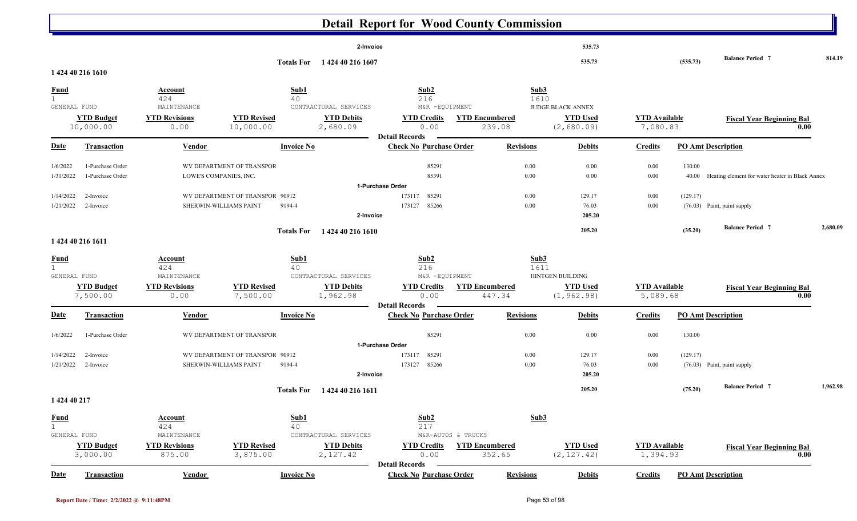|                        |                        |                                     |                                                           |                   |                                            | <b>Detail Report for Wood County Commission</b>         |                                             |                  |                          |                      |          |                                                 |          |
|------------------------|------------------------|-------------------------------------|-----------------------------------------------------------|-------------------|--------------------------------------------|---------------------------------------------------------|---------------------------------------------|------------------|--------------------------|----------------------|----------|-------------------------------------------------|----------|
|                        |                        |                                     |                                                           |                   | 2-Invoice                                  |                                                         |                                             |                  | 535.73                   |                      |          |                                                 |          |
|                        |                        |                                     |                                                           |                   | Totals For 1424 40 216 1607                |                                                         |                                             |                  | 535.73                   |                      | (535.73) | <b>Balance Period 7</b>                         | 814.19   |
|                        | 1 424 40 216 1610      |                                     |                                                           |                   |                                            |                                                         |                                             |                  |                          |                      |          |                                                 |          |
| <b>Fund</b>            |                        | <b>Account</b>                      |                                                           | Sub1              |                                            | Sub2                                                    |                                             | Sub3             |                          |                      |          |                                                 |          |
|                        | GENERAL FUND           | 424<br>MAINTENANCE                  |                                                           | 40                | CONTRACTURAL SERVICES                      | 216<br>M&R -EQUIPMENT                                   |                                             | 1610             | <b>JUDGE BLACK ANNEX</b> |                      |          |                                                 |          |
|                        | <b>YTD Budget</b>      | <b>YTD Revisions</b>                | <b>YTD Revised</b>                                        |                   | <b>YTD Debits</b>                          | <b>YTD Credits</b>                                      | <b>YTD Encumbered</b>                       |                  | <b>YTD Used</b>          | <b>YTD Available</b> |          | <b>Fiscal Year Beginning Bal</b>                |          |
|                        | 10,000.00              | 0.00                                | 10,000.00                                                 |                   | 2,680.09                                   | 0.00<br><b>Detail Records</b>                           | 239.08                                      |                  | (2,680.09)               | 7,080.83             |          | 0.00                                            |          |
| Date                   | <b>Transaction</b>     | Vendor                              |                                                           | <b>Invoice No</b> |                                            | <b>Check No Purchase Order</b>                          |                                             | <b>Revisions</b> | <b>Debits</b>            | <b>Credits</b>       |          | <b>PO Amt Description</b>                       |          |
| 1/6/2022               | 1-Purchase Order       |                                     | WV DEPARTMENT OF TRANSPOR                                 |                   |                                            | 85291                                                   |                                             | 0.00             | $0.00\,$                 | 0.00                 | 130.00   |                                                 |          |
| 1/31/2022              | 1-Purchase Order       |                                     | LOWE'S COMPANIES, INC.                                    |                   |                                            | 85391                                                   |                                             | 0.00             | $0.00\,$                 | 0.00                 | 40.00    | Heating element for water heater in Black Annex |          |
|                        |                        |                                     |                                                           |                   |                                            | 1-Purchase Order                                        |                                             |                  |                          |                      |          |                                                 |          |
| 1/14/2022<br>1/21/2022 | 2-Invoice<br>2-Invoice |                                     | WV DEPARTMENT OF TRANSPOR 90912<br>SHERWIN-WILLIAMS PAINT | 9194-4            |                                            | 85291<br>173117<br>173127<br>85266                      |                                             | $0.00\,$<br>0.00 | 129.17<br>76.03          | 0.00<br>0.00         | (129.17) | (76.03) Paint, paint supply                     |          |
|                        |                        |                                     |                                                           |                   | 2-Invoice                                  |                                                         |                                             |                  | 205.20                   |                      |          |                                                 |          |
|                        |                        |                                     |                                                           | <b>Totals For</b> | 1 424 40 216 1610                          |                                                         |                                             |                  | 205.20                   |                      | (35.20)  | <b>Balance Period 7</b>                         | 2.680.09 |
|                        | 1 424 40 216 1611      |                                     |                                                           |                   |                                            |                                                         |                                             |                  |                          |                      |          |                                                 |          |
| <b>Fund</b>            |                        | Account                             |                                                           | Sub1              |                                            | Sub2                                                    |                                             | Sub3             |                          |                      |          |                                                 |          |
| $\mathbf{1}$           | GENERAL FUND           | 424<br>MAINTENANCE                  |                                                           | 40                | CONTRACTURAL SERVICES                      | 216<br>M&R -EQUIPMENT                                   |                                             | 1611             | HINTGEN BUILDING         |                      |          |                                                 |          |
|                        | <b>YTD Budget</b>      | <b>YTD Revisions</b>                | <b>YTD Revised</b>                                        |                   | <b>YTD Debits</b>                          | <b>YTD Credits</b>                                      | <b>YTD Encumbered</b>                       |                  | <b>YTD Used</b>          | <b>YTD Available</b> |          | <b>Fiscal Year Beginning Bal</b>                |          |
|                        | 7,500.00               | 0.00                                | 7,500.00                                                  |                   | 1,962.98                                   | 0.00                                                    | 447.34                                      |                  | (1, 962.98)              | 5,089.68             |          | 0.00                                            |          |
| Date                   | <b>Transaction</b>     | Vendor                              |                                                           | <b>Invoice No</b> |                                            | <b>Detail Records</b><br><b>Check No Purchase Order</b> |                                             | <b>Revisions</b> | <b>Debits</b>            | <b>Credits</b>       |          | <b>PO Amt Description</b>                       |          |
|                        |                        |                                     |                                                           |                   |                                            |                                                         |                                             |                  |                          |                      |          |                                                 |          |
| 1/6/2022               | 1-Purchase Order       |                                     | WV DEPARTMENT OF TRANSPOR                                 |                   |                                            | 85291<br>1-Purchase Order                               |                                             | 0.00             | $0.00\,$                 | 0.00                 | 130.00   |                                                 |          |
| 1/14/2022              | 2-Invoice              |                                     | WV DEPARTMENT OF TRANSPOR 90912                           |                   |                                            | 85291<br>173117                                         |                                             | 0.00             | 129.17                   | 0.00                 | (129.17) |                                                 |          |
| 1/21/2022              | 2-Invoice              |                                     | SHERWIN-WILLIAMS PAINT                                    | 9194-4            |                                            | 173127 85266                                            |                                             | 0.00             | 76.03                    | 0.00                 |          | (76.03) Paint, paint supply                     |          |
|                        |                        |                                     |                                                           |                   | 2-Invoice                                  |                                                         |                                             |                  | 205.20                   |                      |          |                                                 |          |
|                        |                        |                                     |                                                           | <b>Totals For</b> | 1 424 40 216 1611                          |                                                         |                                             |                  | 205.20                   |                      | (75.20)  | <b>Balance Period 7</b>                         | 1,962.98 |
| 1 424 40 217           |                        |                                     |                                                           |                   |                                            |                                                         |                                             |                  |                          |                      |          |                                                 |          |
| <b>Fund</b>            |                        | <b>Account</b>                      |                                                           | Sub1              |                                            | Sub2                                                    |                                             | Sub <sub>3</sub> |                          |                      |          |                                                 |          |
| 1                      | GENERAL FUND           | 424                                 |                                                           | 40                |                                            | 217                                                     |                                             |                  |                          |                      |          |                                                 |          |
|                        | <b>YTD Budget</b>      | MAINTENANCE<br><b>YTD Revisions</b> | <b>YTD Revised</b>                                        |                   | CONTRACTURAL SERVICES<br><b>YTD Debits</b> | <b>YTD Credits</b>                                      | M&R-AUTOS & TRUCKS<br><b>YTD Encumbered</b> |                  | <b>YTD Used</b>          | <b>YTD</b> Available |          | <b>Fiscal Year Beginning Bal</b>                |          |
|                        | 3,000.00               | 875.00                              | 3,875.00                                                  |                   | 2,127.42                                   | 0.00                                                    | 352.65                                      |                  | (2, 127.42)              | 1,394.93             |          | 0.00                                            |          |
|                        |                        |                                     |                                                           |                   |                                            | <b>Detail Records</b>                                   |                                             |                  |                          |                      |          |                                                 |          |
| <b>Date</b>            | <b>Transaction</b>     | <b>Vendor</b>                       |                                                           | <b>Invoice No</b> |                                            | <b>Check No Purchase Order</b>                          |                                             | <b>Revisions</b> | <b>Debits</b>            | <b>Credits</b>       |          | <b>PO Amt Description</b>                       |          |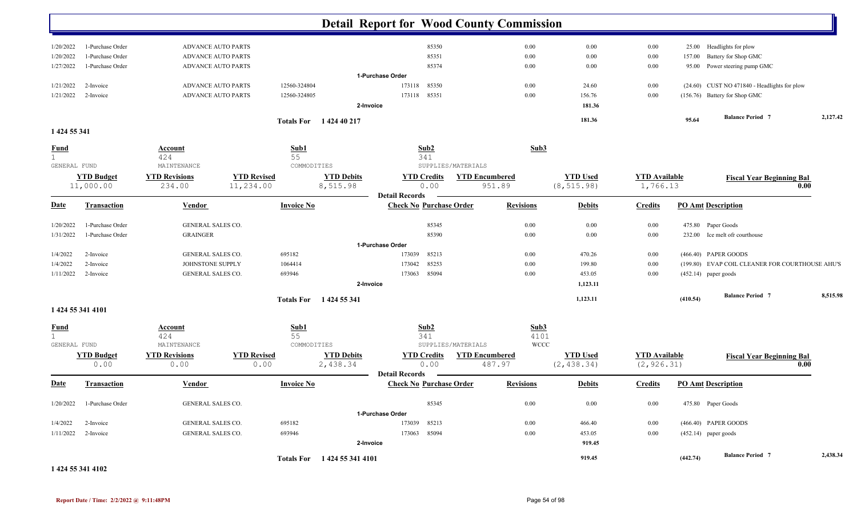|                                             |                                |                                               |                                 |                           |                               | <b>Detail Report for Wood County Commission</b>         |                                                       |                             |                                |                                     |          |                                                 |          |
|---------------------------------------------|--------------------------------|-----------------------------------------------|---------------------------------|---------------------------|-------------------------------|---------------------------------------------------------|-------------------------------------------------------|-----------------------------|--------------------------------|-------------------------------------|----------|-------------------------------------------------|----------|
| 1/20/2022                                   | 1-Purchase Order               | <b>ADVANCE AUTO PARTS</b>                     |                                 |                           |                               | 85350                                                   |                                                       | 0.00                        | 0.00                           | $0.00\,$                            | 25.00    | Headlights for plow                             |          |
| 1/20/2022                                   | 1-Purchase Order               | <b>ADVANCE AUTO PARTS</b>                     |                                 |                           |                               | 85351                                                   |                                                       | 0.00                        | 0.00                           | $0.00\,$                            | 157.00   | Battery for Shop GMC                            |          |
| 1/27/2022                                   | 1-Purchase Order               | <b>ADVANCE AUTO PARTS</b>                     |                                 |                           |                               | 85374                                                   |                                                       | 0.00                        | 0.00                           | $0.00\,$                            |          | 95.00 Power steering pump GMC                   |          |
|                                             |                                |                                               |                                 |                           |                               | 1-Purchase Order                                        |                                                       |                             |                                |                                     |          |                                                 |          |
| 1/21/2022                                   | 2-Invoice                      | <b>ADVANCE AUTO PARTS</b>                     |                                 | 12560-324804              |                               | 85350<br>173118                                         |                                                       | 0.00                        | 24.60                          | $0.00\,$                            |          | (24.60) CUST NO 471840 - Headlights for plow    |          |
| 1/21/2022                                   | 2-Invoice                      | <b>ADVANCE AUTO PARTS</b>                     |                                 | 12560-324805              |                               | 173118<br>85351                                         |                                                       | 0.00                        | 156.76                         | $0.00\,$                            |          | (156.76) Battery for Shop GMC                   |          |
|                                             |                                |                                               |                                 |                           | 2-Invoice                     |                                                         |                                                       |                             | 181.36                         |                                     |          |                                                 |          |
| 1 424 55 341                                |                                |                                               |                                 |                           | Totals For 1424 40 217        |                                                         |                                                       |                             | 181.36                         |                                     | 95.64    | <b>Balance Period 7</b>                         | 2,127.42 |
|                                             |                                |                                               |                                 |                           |                               |                                                         |                                                       |                             |                                |                                     |          |                                                 |          |
| $rac{\text{Fund}}{1}$                       |                                | <b>Account</b><br>424                         |                                 | Sub1<br>55                |                               | Sub2<br>341                                             |                                                       | Sub3                        |                                |                                     |          |                                                 |          |
| GENERAL FUND                                | <b>YTD Budget</b><br>11,000.00 | MAINTENANCE<br><b>YTD Revisions</b><br>234.00 | <b>YTD Revised</b><br>11,234.00 | COMMODITIES               | <b>YTD Debits</b><br>8,515.98 | <b>YTD Credits</b><br>0.00                              | SUPPLIES/MATERIALS<br><b>YTD Encumbered</b><br>951.89 |                             | <b>YTD Used</b><br>(8, 515.98) | <b>YTD</b> Available<br>1,766.13    |          | <b>Fiscal Year Beginning Bal</b>                | 0.00     |
| <b>Date</b>                                 | <b>Transaction</b>             | <b>Vendor</b>                                 |                                 | <b>Invoice No</b>         |                               | <b>Detail Records</b><br><b>Check No Purchase Order</b> |                                                       | <b>Revisions</b>            | <b>Debits</b>                  | <b>Credits</b>                      |          | <b>PO Amt Description</b>                       |          |
| 1/20/2022                                   | 1-Purchase Order               | <b>GENERAL SALES CO.</b>                      |                                 |                           |                               | 85345                                                   |                                                       | 0.00                        | 0.00                           | $0.00\,$                            |          | 475.80 Paper Goods                              |          |
| 1/31/2022                                   | 1-Purchase Order               | <b>GRAINGER</b>                               |                                 |                           |                               | 85390                                                   |                                                       | 0.00                        | 0.00                           | $0.00\,$                            |          | 232.00 Ice melt ofr courthouse                  |          |
|                                             |                                |                                               |                                 |                           |                               | 1-Purchase Order                                        |                                                       |                             |                                |                                     |          |                                                 |          |
| 1/4/2022                                    | 2-Invoice                      | <b>GENERAL SALES CO.</b>                      |                                 | 695182                    |                               | 85213<br>173039                                         |                                                       | 0.00                        | 470.26                         | $0.00\,$                            |          | (466.40) PAPER GOODS                            |          |
| 1/4/2022                                    | 2-Invoice                      | JOHNSTONE SUPPLY                              |                                 | 1064414                   |                               | 85253<br>173042                                         |                                                       | 0.00                        | 199.80                         | $0.00\,$                            |          | (199.80) EVAP COIL CLEANER FOR COURTHOUSE AHU'S |          |
| 1/11/2022                                   | 2-Invoice                      | GENERAL SALES CO.                             |                                 | 693946                    |                               | 85094<br>173063                                         |                                                       | 0.00                        | 453.05                         | $0.00\,$                            |          | $(452.14)$ paper goods                          |          |
|                                             |                                |                                               |                                 |                           | 2-Invoice                     |                                                         |                                                       |                             | 1,123.11                       |                                     |          |                                                 |          |
|                                             |                                |                                               |                                 |                           | Totals For 1424 55 341        |                                                         |                                                       |                             | 1,123.11                       |                                     | (410.54) | <b>Balance Period 7</b>                         | 8,515.98 |
| 1 424 55 341 4101                           |                                |                                               |                                 |                           |                               |                                                         |                                                       |                             |                                |                                     |          |                                                 |          |
| <b>Fund</b><br>$\mathbf{1}$<br>GENERAL FUND |                                | Account<br>424<br>MAINTENANCE                 |                                 | Sub1<br>55<br>COMMODITIES |                               | Sub2<br>341                                             | SUPPLIES/MATERIALS                                    | Sub3<br>4101<br><b>WCCC</b> |                                |                                     |          |                                                 |          |
|                                             | <b>YTD Budget</b><br>0.00      | <b>YTD Revisions</b><br>0.00                  | <b>YTD Revised</b><br>0.00      |                           | <b>YTD Debits</b><br>2,438.34 | <b>YTD Credits</b><br>0.00                              | <b>YTD Encumbered</b><br>487.97                       |                             | <b>YTD Used</b><br>(2, 438.34) | <b>YTD</b> Available<br>(2, 926.31) |          | <b>Fiscal Year Beginning Bal</b>                | 0.00     |
| <b>Date</b>                                 | <b>Transaction</b>             | Vendor                                        |                                 | <b>Invoice No</b>         |                               | <b>Detail Records</b><br><b>Check No Purchase Order</b> |                                                       | <b>Revisions</b>            | <b>Debits</b>                  | <b>Credits</b>                      |          | <b>PO Amt Description</b>                       |          |
| 1/20/2022                                   | 1-Purchase Order               | GENERAL SALES CO.                             |                                 |                           |                               | 85345                                                   |                                                       | 0.00                        | 0.00                           | $0.00\,$                            |          | 475.80 Paper Goods                              |          |
|                                             |                                |                                               |                                 |                           |                               | 1-Purchase Order                                        |                                                       |                             |                                |                                     |          |                                                 |          |
| 1/4/2022                                    | 2-Invoice                      | <b>GENERAL SALES CO.</b>                      |                                 | 695182                    |                               | 173039<br>85213                                         |                                                       | $0.00\,$                    | 466.40                         | 0.00                                |          | (466.40) PAPER GOODS                            |          |
| 1/11/2022                                   | 2-Invoice                      | GENERAL SALES CO.                             |                                 | 693946                    | 2-Invoice                     | 173063<br>85094                                         |                                                       | 0.00                        | 453.05<br>919.45               | $0.00\,$                            |          | $(452.14)$ paper goods                          |          |
|                                             |                                |                                               |                                 |                           | Totals For 1424 55 341 4101   |                                                         |                                                       |                             | 919.45                         |                                     | (442.74) | <b>Balance Period 7</b>                         | 2,438.34 |

**1 424 55 341 4102**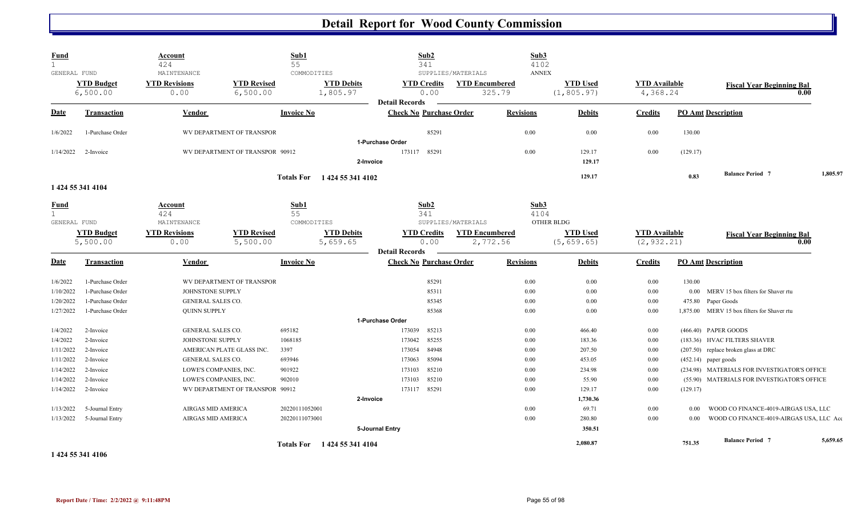| <b>Fund</b><br>1             |                               | Account<br>424                                   |                                 | Sub1<br>55        |                               | Sub2<br>341                                             |                       |                  | Sub3<br>4102                   |                  |                                  |          |                                                                        |          |
|------------------------------|-------------------------------|--------------------------------------------------|---------------------------------|-------------------|-------------------------------|---------------------------------------------------------|-----------------------|------------------|--------------------------------|------------------|----------------------------------|----------|------------------------------------------------------------------------|----------|
| GENERAL FUND                 |                               | MAINTENANCE                                      |                                 | COMMODITIES       |                               |                                                         | SUPPLIES/MATERIALS    |                  | <b>ANNEX</b>                   |                  |                                  |          |                                                                        |          |
|                              | <b>YTD Budget</b><br>6,500.00 | <b>YTD Revisions</b><br>0.00                     | <b>YTD Revised</b><br>6,500.00  |                   | <b>YTD Debits</b><br>1,805.97 | <b>YTD Credits</b><br>0.00                              | <b>YTD Encumbered</b> | 325.79           | <b>YTD Used</b><br>(1, 805.97) |                  | <b>YTD</b> Available<br>4,368.24 |          | <b>Fiscal Year Beginning Bal</b><br>0.00                               |          |
| <u>Date</u>                  | <b>Transaction</b>            | Vendor                                           |                                 | <b>Invoice No</b> |                               | <b>Detail Records</b><br><b>Check No Purchase Order</b> |                       | <b>Revisions</b> |                                | <b>Debits</b>    | <b>Credits</b>                   |          | <b>PO Amt Description</b>                                              |          |
| 1/6/2022                     | 1-Purchase Order              |                                                  | WV DEPARTMENT OF TRANSPOR       |                   |                               | 85291                                                   |                       | 0.00             |                                | 0.00             | $0.00\,$                         | 130.00   |                                                                        |          |
|                              |                               |                                                  |                                 |                   |                               | 1-Purchase Order                                        |                       |                  |                                |                  |                                  |          |                                                                        |          |
| 1/14/2022                    | 2-Invoice                     |                                                  | WV DEPARTMENT OF TRANSPOR 90912 |                   |                               | 173117 85291                                            |                       | 0.00             |                                | 129.17<br>129.17 | 0.00                             | (129.17) |                                                                        |          |
|                              |                               |                                                  |                                 |                   | 2-Invoice                     |                                                         |                       |                  |                                |                  |                                  |          |                                                                        |          |
|                              |                               |                                                  |                                 |                   | Totals For 1424 55 341 4102   |                                                         |                       |                  |                                | 129.17           |                                  | 0.83     | <b>Balance Period 7</b>                                                | 1,805.97 |
|                              | 1 424 55 341 4104             |                                                  |                                 |                   |                               |                                                         |                       |                  |                                |                  |                                  |          |                                                                        |          |
| <b>Fund</b>                  |                               | Account                                          |                                 | Sub1              |                               | Sub2                                                    |                       |                  | Sub3                           |                  |                                  |          |                                                                        |          |
| $\mathbf{1}$<br>GENERAL FUND |                               | 424<br>MAINTENANCE                               |                                 | 55<br>COMMODITIES |                               | 341                                                     | SUPPLIES/MATERIALS    |                  | 4104<br>OTHER BLDG             |                  |                                  |          |                                                                        |          |
|                              |                               | <b>YTD Revisions</b>                             | <b>YTD Revised</b>              |                   | <b>YTD Debits</b>             |                                                         |                       |                  | <b>YTD Used</b>                |                  | <b>YTD</b> Available             |          |                                                                        |          |
|                              | <b>YTD Budget</b><br>5,500.00 | 0.00                                             | 5,500.00                        |                   | 5,659.65                      | <b>YTD Credits</b><br>0.00                              | <b>YTD Encumbered</b> | 2,772.56         | (5, 659.65)                    |                  | (2, 932.21)                      |          | <b>Fiscal Year Beginning Bal</b><br>0.00                               |          |
|                              |                               |                                                  |                                 |                   |                               | <b>Detail Records</b>                                   |                       |                  |                                |                  |                                  |          |                                                                        |          |
| <b>Date</b>                  | Transaction                   | Vendor                                           |                                 | <b>Invoice No</b> |                               | <b>Check No Purchase Order</b>                          |                       | <b>Revisions</b> |                                | <b>Debits</b>    | <b>Credits</b>                   |          | <b>PO Amt Description</b>                                              |          |
| 1/6/2022                     | 1-Purchase Order              |                                                  | WV DEPARTMENT OF TRANSPOR       |                   |                               | 85291                                                   |                       | 0.00             |                                | 0.00             | 0.00                             | 130.00   |                                                                        |          |
| 1/10/2022                    | 1-Purchase Order              | JOHNSTONE SUPPLY                                 |                                 |                   |                               | 85311                                                   |                       | 0.00             |                                | $0.00\,$         | $0.00\,$                         | 0.00     | MERV 15 box filters for Shaver rtu                                     |          |
| 1/20/2022                    | 1-Purchase Order              | GENERAL SALES CO.                                |                                 |                   |                               | 85345                                                   |                       | 0.00             |                                | 0.00             | 0.00                             | 475.80   | Paper Goods                                                            |          |
| 1/27/2022                    | 1-Purchase Order              | <b>QUINN SUPPLY</b>                              |                                 |                   |                               | 85368                                                   |                       | 0.00             |                                | 0.00             | $0.00\,$                         |          | 1,875.00 MERV 15 box filters for Shaver rtu                            |          |
|                              |                               |                                                  |                                 |                   |                               | 1-Purchase Order                                        |                       |                  |                                |                  |                                  |          |                                                                        |          |
| 1/4/2022                     | 2-Invoice                     | GENERAL SALES CO.                                |                                 | 695182            |                               | 173039<br>85213                                         |                       | 0.00             |                                | 466.40           | 0.00                             |          | (466.40) PAPER GOODS                                                   |          |
| 1/4/2022                     | 2-Invoice                     | JOHNSTONE SUPPLY                                 |                                 | 1068185           |                               | 85255<br>173042                                         |                       | 0.00             |                                | 183.36           | 0.00                             |          | (183.36) HVAC FILTERS SHAVER                                           |          |
| 1/11/2022                    | 2-Invoice                     |                                                  | AMERICAN PLATE GLASS INC.       | 3397              |                               | 173054<br>84948<br>173063                               |                       | 0.00             |                                | 207.50           | 0.00                             |          | (207.50) replace broken glass at DRC                                   |          |
| 1/11/2022<br>1/14/2022       | 2-Invoice<br>2-Invoice        | <b>GENERAL SALES CO.</b>                         |                                 | 693946<br>901922  |                               | 85094<br>85210<br>173103                                |                       | 0.00<br>0.00     |                                | 453.05<br>234.98 | $0.00\,$<br>0.00                 |          | $(452.14)$ paper goods<br>(234.98) MATERIALS FOR INVESTIGATOR'S OFFICE |          |
| 1/14/2022                    | 2-Invoice                     | LOWE'S COMPANIES, INC.<br>LOWE'S COMPANIES, INC. |                                 | 902010            |                               | 85210<br>173103                                         |                       | 0.00             |                                | 55.90            | 0.00                             |          | (55.90) MATERIALS FOR INVESTIGATOR'S OFFICE                            |          |
| 1/14/2022                    | 2-Invoice                     |                                                  | WV DEPARTMENT OF TRANSPOR 90912 |                   |                               | 173117 85291                                            |                       | 0.00             |                                | 129.17           | $0.00\,$                         | (129.17) |                                                                        |          |
|                              |                               |                                                  |                                 |                   | 2-Invoice                     |                                                         |                       |                  |                                | 1,730.36         |                                  |          |                                                                        |          |
| 1/13/2022                    | 5-Journal Entry               | AIRGAS MID AMERICA                               |                                 | 20220111052001    |                               |                                                         |                       | 0.00             |                                | 69.71            | 0.00                             | 0.00     | WOOD CO FINANCE-4019-AIRGAS USA, LLC                                   |          |
| 1/13/2022                    | 5-Journal Entry               | AIRGAS MID AMERICA                               |                                 | 20220111073001    |                               |                                                         |                       | 0.00             |                                | 280.80           | 0.00                             | 0.00     | WOOD CO FINANCE-4019-AIRGAS USA, LLC Act                               |          |
|                              |                               |                                                  |                                 |                   |                               | 5-Journal Entry                                         |                       |                  |                                | 350.51           |                                  |          |                                                                        |          |
|                              |                               |                                                  |                                 |                   |                               |                                                         |                       |                  |                                | 2.080.87         |                                  | 751.35   | <b>Balance Period 7</b>                                                | 5,659.65 |
|                              |                               |                                                  |                                 |                   | Totals For 1424 55 341 4104   |                                                         |                       |                  |                                |                  |                                  |          |                                                                        |          |

**1 424 55 341 4106**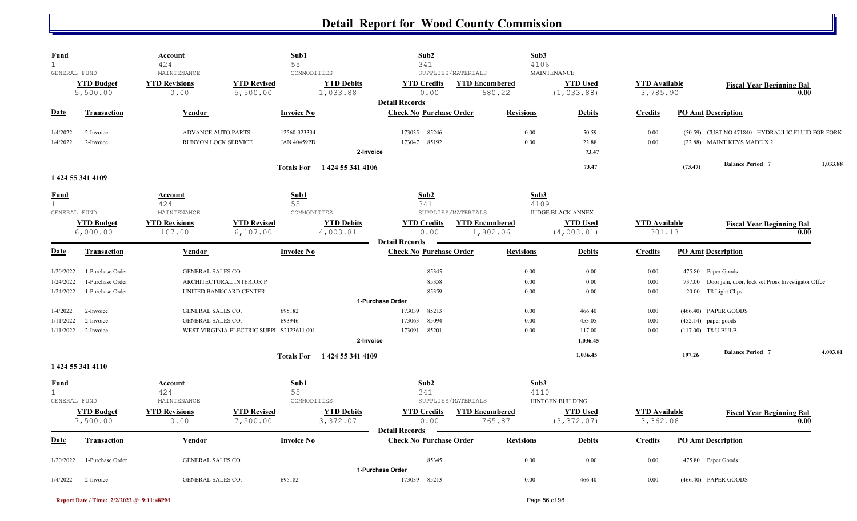| <b>Fund</b><br>$\mathbf 1$ |                               | Account<br>424                 |                                           | Sub1<br>55         |                               | Sub2<br>341                      |                                   | Sub3<br>4106     |                                |                                  |                        |                                                          |          |
|----------------------------|-------------------------------|--------------------------------|-------------------------------------------|--------------------|-------------------------------|----------------------------------|-----------------------------------|------------------|--------------------------------|----------------------------------|------------------------|----------------------------------------------------------|----------|
| GENERAL FUND               |                               | MAINTENANCE                    |                                           | COMMODITIES        |                               |                                  | SUPPLIES/MATERIALS                |                  | <b>MAINTENANCE</b>             |                                  |                        |                                                          |          |
|                            | <b>YTD Budget</b><br>5,500.00 | <b>YTD Revisions</b><br>0.00   | <b>YTD Revised</b><br>5,500.00            |                    | <b>YTD Debits</b><br>1,033.88 | <b>YTD Credits</b><br>0.00       | <b>YTD Encumbered</b><br>680.22   |                  | <b>YTD</b> Used<br>(1, 033.88) | <b>YTD</b> Available<br>3,785.90 |                        | <b>Fiscal Year Beginning Bal</b>                         | 0.00     |
|                            |                               |                                |                                           |                    |                               | <b>Detail Records</b>            |                                   |                  |                                |                                  |                        |                                                          |          |
| Date                       | <b>Transaction</b>            | Vendor                         |                                           | <b>Invoice No</b>  |                               | <b>Check No Purchase Order</b>   |                                   | <b>Revisions</b> | <b>Debits</b>                  | <b>Credits</b>                   |                        | <b>PO Amt Description</b>                                |          |
| 1/4/2022                   | 2-Invoice                     |                                | <b>ADVANCE AUTO PARTS</b>                 | 12560-323334       |                               | 85246<br>173035                  |                                   | 0.00             | 50.59                          | 0.00                             |                        | (50.59) CUST NO 471840 - HYDRAULIC FLUID FOR FORK        |          |
| 1/4/2022                   | 2-Invoice                     |                                | RUNYON LOCK SERVICE                       | <b>JAN 40459PD</b> |                               | 173047<br>85192                  |                                   | 0.00             | 22.88                          | 0.00                             |                        | (22.88) MAINT KEYS MADE X 2                              |          |
|                            |                               |                                |                                           |                    | 2-Invoice                     |                                  |                                   |                  | 73.47                          |                                  |                        |                                                          |          |
|                            |                               |                                |                                           |                    | Totals For 1424 55 341 4106   |                                  |                                   |                  | 73.47                          |                                  | (73.47)                | <b>Balance Period 7</b>                                  | 1,033.88 |
|                            | 1 424 55 341 4109             |                                |                                           |                    |                               |                                  |                                   |                  |                                |                                  |                        |                                                          |          |
| <u>Fund</u>                |                               | Account                        |                                           | Sub1               |                               | Sub2                             |                                   | Sub3             |                                |                                  |                        |                                                          |          |
| $\mathbf{1}$               |                               | 424                            |                                           | 55                 |                               | 341                              |                                   | 4109             |                                |                                  |                        |                                                          |          |
| GENERAL FUND               |                               | MAINTENANCE                    |                                           | COMMODITIES        |                               |                                  | SUPPLIES/MATERIALS                |                  | <b>JUDGE BLACK ANNEX</b>       |                                  |                        |                                                          |          |
|                            | <b>YTD Budget</b><br>6,000.00 | <b>YTD Revisions</b><br>107.00 | <b>YTD Revised</b><br>6, 107.00           |                    | <b>YTD Debits</b><br>4,003.81 | <b>YTD Credits</b><br>0.00       | <b>YTD Encumbered</b><br>1,802.06 |                  | <b>YTD Used</b><br>(4,003.81)  | <b>YTD</b> Available<br>301.13   |                        | <b>Fiscal Year Beginning Bal</b>                         | 0.00     |
|                            |                               |                                |                                           |                    |                               | <b>Detail Records</b>            |                                   |                  |                                |                                  |                        |                                                          |          |
| Date                       | <b>Transaction</b>            | <b>Vendor</b>                  |                                           | <b>Invoice No</b>  |                               | <b>Check No Purchase Order</b>   |                                   | <b>Revisions</b> | <b>Debits</b>                  | <b>Credits</b>                   |                        | <b>PO Amt Description</b>                                |          |
| 1/20/2022                  | 1-Purchase Order              | GENERAL SALES CO.              |                                           |                    |                               | 85345                            |                                   | 0.00             | 0.00                           | 0.00                             |                        | 475.80 Paper Goods                                       |          |
| 1/24/2022                  | 1-Purchase Order              |                                | ARCHITECTURAL INTERIOR P                  |                    |                               | 85358                            |                                   | 0.00             | 0.00                           | 0.00                             |                        | 737.00 Door jam, door, lock set Pross Investigator Offce |          |
| 1/24/2022                  | 1-Purchase Order              |                                | UNITED BANKCARD CENTER                    |                    |                               | 85359                            |                                   | $0.00\,$         | $0.00\,$                       | 0.00                             |                        | 20.00 T8 Light Clips                                     |          |
|                            |                               |                                |                                           |                    |                               | 1-Purchase Order                 |                                   |                  |                                |                                  |                        |                                                          |          |
| 1/4/2022                   | 2-Invoice                     | <b>GENERAL SALES CO.</b>       |                                           | 695182             |                               | 85213<br>173039                  |                                   | 0.00             | 466.40                         | 0.00                             |                        | (466.40) PAPER GOODS                                     |          |
| 1/11/2022                  | 2-Invoice                     | GENERAL SALES CO.              |                                           | 693946             |                               | 85094<br>173063                  |                                   | 0.00             | 453.05                         | 0.00                             | $(452.14)$ paper goods |                                                          |          |
| 1/11/2022                  | 2-Invoice                     |                                | WEST VIRGINIA ELECTRIC SUPPI S2123611.001 |                    |                               | 85201<br>173091                  |                                   | 0.00             | 117.00                         | 0.00                             | (117.00) T8 U BULB     |                                                          |          |
|                            |                               |                                |                                           |                    | 2-Invoice                     |                                  |                                   |                  | 1,036.45                       |                                  |                        |                                                          |          |
|                            |                               |                                |                                           |                    | Totals For 1424 55 341 4109   |                                  |                                   |                  | 1,036.45                       |                                  | 197.26                 | <b>Balance Period 7</b>                                  | 4,003.81 |
|                            | 1 424 55 341 4110             |                                |                                           |                    |                               |                                  |                                   |                  |                                |                                  |                        |                                                          |          |
| <b>Fund</b>                |                               | Account                        |                                           | Sub1               |                               | Sub2                             |                                   | Sub3             |                                |                                  |                        |                                                          |          |
| 1                          |                               | 424                            |                                           | 55                 |                               | 341                              |                                   | 4110             |                                |                                  |                        |                                                          |          |
| GENERAL FUND               |                               | MAINTENANCE                    |                                           | COMMODITIES        |                               |                                  | SUPPLIES/MATERIALS                |                  | HINTGEN BUILDING               |                                  |                        |                                                          |          |
|                            | <b>YTD Budget</b>             | <b>YTD Revisions</b>           | <b>YTD Revised</b>                        |                    | <b>YTD Debits</b>             | <b>YTD Credits</b>               | <b>YTD Encumbered</b>             |                  | <b>YTD Used</b>                | <b>YTD</b> Available             |                        | <b>Fiscal Year Beginning Bal</b>                         |          |
|                            | 7,500.00                      | 0.00                           | 7,500.00                                  |                    | 3,372.07                      | 0.00                             | 765.87                            |                  | (3, 372.07)                    | 3,362.06                         |                        |                                                          | 0.00     |
|                            |                               |                                |                                           |                    |                               | <b>Detail Records</b>            |                                   |                  |                                |                                  |                        |                                                          |          |
| <b>Date</b>                | <b>Transaction</b>            | Vendor                         |                                           | <b>Invoice No</b>  |                               | <b>Check No Purchase Order</b>   |                                   | <b>Revisions</b> | <b>Debits</b>                  | <b>Credits</b>                   |                        | <b>PO Amt Description</b>                                |          |
| 1/20/2022                  | 1-Purchase Order              | GENERAL SALES CO.              |                                           |                    |                               | 85345                            |                                   | 0.00             | 0.00                           | 0.00                             |                        | 475.80 Paper Goods                                       |          |
| 1/4/2022                   | 2-Invoice                     | <b>GENERAL SALES CO.</b>       |                                           | 695182             |                               | 1-Purchase Order<br>173039 85213 |                                   | 0.00             | 466.40                         | 0.00                             |                        |                                                          |          |
|                            |                               |                                |                                           |                    |                               |                                  |                                   |                  |                                |                                  |                        | (466.40) PAPER GOODS                                     |          |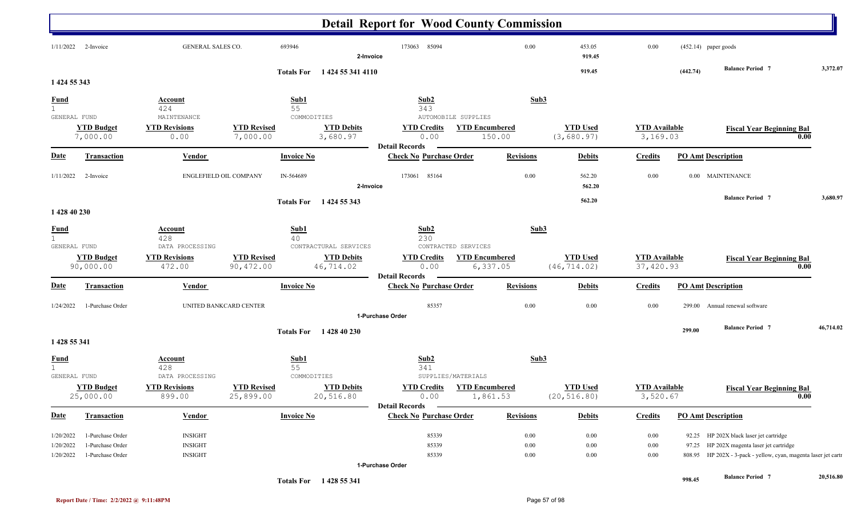|                        |                                      |                                     |                                 |                   |                                | <b>Detail Report for Wood County Commission</b>         |                                              |                  |                                 |                                  |          |                                                                                      |           |
|------------------------|--------------------------------------|-------------------------------------|---------------------------------|-------------------|--------------------------------|---------------------------------------------------------|----------------------------------------------|------------------|---------------------------------|----------------------------------|----------|--------------------------------------------------------------------------------------|-----------|
| 1/11/2022              | 2-Invoice                            | GENERAL SALES CO.                   |                                 | 693946            | 2-Invoice                      | 173063<br>85094                                         |                                              | 0.00             | 453.05<br>919.45                | 0.00                             |          | $(452.14)$ paper goods                                                               |           |
| 1 424 55 343           |                                      |                                     |                                 |                   | Totals For 1424 55 341 4110    |                                                         |                                              |                  | 919.45                          |                                  | (442.74) | <b>Balance Period 7</b>                                                              | 3,372.07  |
|                        |                                      | <b>Account</b>                      |                                 | Sub1              |                                | Sub2                                                    |                                              | Sub3             |                                 |                                  |          |                                                                                      |           |
| $rac{\text{Fund}}{1}$  |                                      | 424                                 |                                 | 55                |                                | 343                                                     |                                              |                  |                                 |                                  |          |                                                                                      |           |
| GENERAL FUND           | <b>YTD Budget</b>                    | MAINTENANCE<br><b>YTD Revisions</b> | <b>YTD Revised</b>              | COMMODITIES       | <b>YTD Debits</b>              | <b>YTD Credits</b>                                      | AUTOMOBILE SUPPLIES<br><b>YTD Encumbered</b> |                  | <b>YTD Used</b>                 | <b>YTD</b> Available             |          | <b>Fiscal Year Beginning Bal</b>                                                     |           |
|                        | 7,000.00                             | 0.00                                | 7,000.00                        |                   | 3,680.97                       | 0.00                                                    | 150.00                                       |                  | (3,680.97)                      | 3,169.03                         |          | 0.00                                                                                 |           |
| <b>Date</b>            | <b>Transaction</b>                   | <b>Vendor</b>                       |                                 | <b>Invoice No</b> |                                | <b>Detail Records</b><br><b>Check No Purchase Order</b> |                                              | <b>Revisions</b> | <b>Debits</b>                   | <b>Credits</b>                   |          | <b>PO Amt Description</b>                                                            |           |
|                        |                                      |                                     |                                 |                   |                                |                                                         |                                              |                  |                                 |                                  |          |                                                                                      |           |
| 1/11/2022              | 2-Invoice                            | ENGLEFIELD OIL COMPANY              |                                 | IN-564689         | 2-Invoice                      | 85164<br>173061                                         |                                              | 0.00             | 562.20<br>562.20                | 0.00                             |          | 0.00 MAINTENANCE                                                                     |           |
|                        |                                      |                                     |                                 |                   |                                |                                                         |                                              |                  | 562.20                          |                                  |          | <b>Balance Period 7</b>                                                              | 3,680.97  |
| 1 428 40 230           |                                      |                                     |                                 | <b>Totals For</b> | 1 424 55 343                   |                                                         |                                              |                  |                                 |                                  |          |                                                                                      |           |
| <u>Fund</u>            |                                      | <b>Account</b>                      |                                 | Sub1              |                                | Sub2                                                    |                                              | Sub3             |                                 |                                  |          |                                                                                      |           |
| 1<br>GENERAL FUND      |                                      | 428<br>DATA PROCESSING              |                                 | 40                | CONTRACTURAL SERVICES          | 230                                                     | CONTRACTED SERVICES                          |                  |                                 |                                  |          |                                                                                      |           |
|                        | <b>YTD Budget</b>                    | <b>YTD Revisions</b>                | <b>YTD Revised</b>              |                   | <b>YTD Debits</b>              | <b>YTD Credits</b>                                      | <b>YTD Encumbered</b>                        |                  | <b>YTD Used</b>                 | <b>YTD</b> Available             |          | <b>Fiscal Year Beginning Bal</b>                                                     |           |
|                        | 90,000.00                            | 472.00                              | 90,472.00                       |                   | 46,714.02                      | 0.00                                                    | 6,337.05                                     |                  | (46, 714.02)                    | 37,420.93                        |          | 0.00                                                                                 |           |
| <b>Date</b>            | <b>Transaction</b>                   | <b>Vendor</b>                       |                                 | <b>Invoice No</b> |                                | <b>Detail Records</b><br><b>Check No Purchase Order</b> |                                              | <b>Revisions</b> | <b>Debits</b>                   | <b>Credits</b>                   |          | <b>PO Amt Description</b>                                                            |           |
| 1/24/2022              | 1-Purchase Order                     |                                     | UNITED BANKCARD CENTER          |                   |                                | 85357                                                   |                                              | 0.00             | 0.00                            | 0.00                             | 299.00   | Annual renewal software                                                              |           |
|                        |                                      |                                     |                                 |                   |                                | 1-Purchase Order                                        |                                              |                  |                                 |                                  |          |                                                                                      |           |
|                        |                                      |                                     |                                 | <b>Totals For</b> | 1 428 40 230                   |                                                         |                                              |                  |                                 |                                  | 299.00   | <b>Balance Period 7</b>                                                              | 46,714.02 |
| 1 428 55 341           |                                      |                                     |                                 |                   |                                |                                                         |                                              |                  |                                 |                                  |          |                                                                                      |           |
| <b>Fund</b>            |                                      | <b>Account</b><br>428               |                                 | Sub1<br>55        |                                | Sub <sub>2</sub><br>341                                 |                                              | Sub <sub>3</sub> |                                 |                                  |          |                                                                                      |           |
| GENERAL FUND           |                                      | DATA PROCESSING                     |                                 | COMMODITIES       |                                | SUPPLIES/MATERIALS                                      |                                              |                  |                                 |                                  |          |                                                                                      |           |
|                        | <b>YTD Budget</b><br>25,000.00       | <b>YTD Revisions</b><br>899.00      | <b>YTD Revised</b><br>25,899.00 |                   | <b>YTD Debits</b><br>20,516.80 | <b>YTD Credits</b><br>0.00                              | <b>YTD Encumbered</b><br>1,861.53            |                  | <b>YTD Used</b><br>(20, 516.80) | <b>YTD</b> Available<br>3,520.67 |          | <b>Fiscal Year Beginning Bal</b><br>0.00                                             |           |
| <b>Date</b>            | <b>Transaction</b>                   | <b>Vendor</b>                       |                                 | <b>Invoice No</b> |                                | <b>Detail Records</b><br><b>Check No Purchase Order</b> |                                              | <b>Revisions</b> | <b>Debits</b>                   | <b>Credits</b>                   |          | <b>PO Amt Description</b>                                                            |           |
|                        |                                      |                                     |                                 |                   |                                |                                                         |                                              |                  |                                 |                                  |          |                                                                                      |           |
| 1/20/2022<br>1/20/2022 | 1-Purchase Order<br>1-Purchase Order | <b>INSIGHT</b><br><b>INSIGHT</b>    |                                 |                   |                                | 85339<br>85339                                          |                                              | 0.00<br>0.00     | $0.00\,$<br>$0.00\,$            | $0.00\,$<br>$0.00\,$             |          | 92.25 HP 202X black laser jet cartridge<br>97.25 HP 202X magenta laser jet cartridge |           |
| 1/20/2022              | 1-Purchase Order                     | <b>INSIGHT</b>                      |                                 |                   |                                | 85339                                                   |                                              | 0.00             | 0.00                            | $0.00\,$                         |          | 808.95 HP 202X - 3-pack - yellow, cyan, magenta laser jet carti                      |           |
|                        |                                      |                                     |                                 |                   |                                | 1-Purchase Order                                        |                                              |                  |                                 |                                  |          |                                                                                      |           |
|                        |                                      |                                     |                                 |                   | Totals For 1428 55 341         |                                                         |                                              |                  |                                 |                                  | 998.45   | <b>Balance Period 7</b>                                                              | 20,516.80 |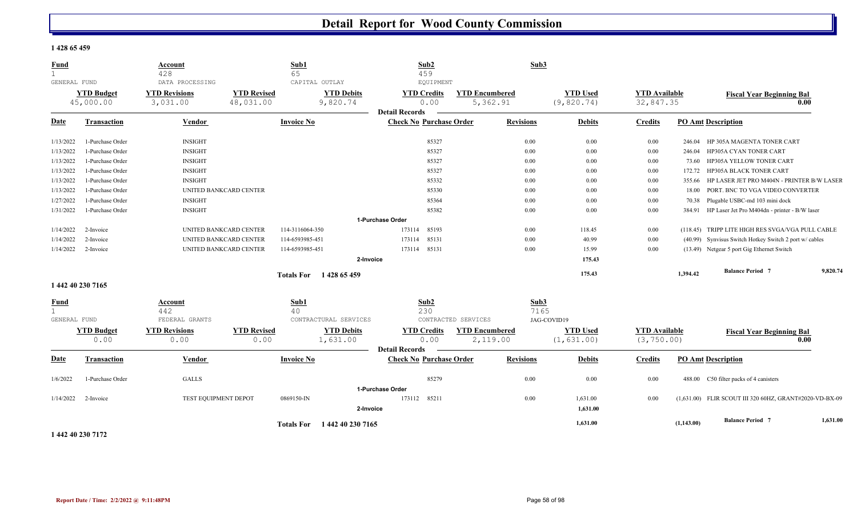#### **1 428 65 459**

| <b>Fund</b><br>$\mathbf{1}$                 |                                | <b>Account</b><br>428            |                                 | Sub1<br>65             |                               | Sub2<br>459                                             |                                   | Sub3             |                                |                                   |            |                                                         |          |
|---------------------------------------------|--------------------------------|----------------------------------|---------------------------------|------------------------|-------------------------------|---------------------------------------------------------|-----------------------------------|------------------|--------------------------------|-----------------------------------|------------|---------------------------------------------------------|----------|
| GENERAL FUND                                |                                | DATA PROCESSING                  |                                 | CAPITAL OUTLAY         |                               | <b>EQUIPMENT</b>                                        |                                   |                  |                                |                                   |            |                                                         |          |
|                                             | <b>YTD Budget</b><br>45,000.00 | <b>YTD Revisions</b><br>3,031.00 | <b>YTD Revised</b><br>48,031.00 |                        | <b>YTD Debits</b><br>9,820.74 | <b>YTD Credits</b><br>0.00<br><b>Detail Records</b>     | <b>YTD</b> Encumbered<br>5,362.91 |                  | <b>YTD Used</b><br>(9, 820.74) | <b>YTD Available</b><br>32,847.35 |            | <b>Fiscal Year Beginning Bal</b>                        | 0.00     |
| Date                                        | <b>Transaction</b>             | <b>Vendor</b>                    |                                 | <b>Invoice No</b>      |                               | <b>Check No Purchase Order</b>                          |                                   | <b>Revisions</b> | <b>Debits</b>                  | <b>Credits</b>                    |            | <b>PO Amt Description</b>                               |          |
| 1/13/2022                                   | 1-Purchase Order               | <b>INSIGHT</b>                   |                                 |                        |                               | 85327                                                   |                                   | 0.00             | 0.00                           | 0.00                              | 246.04     | HP 305A MAGENTA TONER CART                              |          |
| 1/13/2022                                   | 1-Purchase Order               | <b>INSIGHT</b>                   |                                 |                        |                               | 85327                                                   |                                   | 0.00             | 0.00                           | 0.00                              | 246.04     | HP305A CYAN TONER CART                                  |          |
| 1/13/2022                                   | 1-Purchase Order               | <b>INSIGHT</b>                   |                                 |                        |                               | 85327                                                   |                                   | 0.00             | 0.00                           | 0.00                              | 73.60      | HP305A YELLOW TONER CART                                |          |
| 1/13/2022                                   | 1-Purchase Order               | <b>INSIGHT</b>                   |                                 |                        |                               | 85327                                                   |                                   | 0.00             | 0.00                           | 0.00                              | 172.72     | HP305A BLACK TONER CART                                 |          |
| 1/13/2022                                   | 1-Purchase Order               | <b>INSIGHT</b>                   |                                 |                        |                               | 85332                                                   |                                   | 0.00             | 0.00                           | 0.00                              |            | 355.66 HP LASER JET PRO M404N - PRINTER B/W LASER       |          |
| 1/13/2022                                   | 1-Purchase Order               |                                  | UNITED BANKCARD CENTER          |                        |                               | 85330                                                   |                                   | 0.00             | 0.00                           | 0.00                              | 18.00      | PORT. BNC TO VGA VIDEO CONVERTER                        |          |
| 1/27/2022                                   | 1-Purchase Order               | <b>INSIGHT</b>                   |                                 |                        |                               | 85364                                                   |                                   | 0.00             | 0.00                           | 0.00                              |            | 70.38 Plugable USBC-md 103 mini dock                    |          |
| 1/31/2022                                   | 1-Purchase Order               | <b>INSIGHT</b>                   |                                 |                        |                               | 85382                                                   |                                   | 0.00             | 0.00                           | 0.00                              |            | 384.91 HP Laser Jet Pro M404dn - printer - B/W laser    |          |
|                                             |                                |                                  |                                 |                        |                               | 1-Purchase Order                                        |                                   |                  |                                |                                   |            |                                                         |          |
| 1/14/2022                                   | 2-Invoice                      |                                  | UNITED BANKCARD CENTER          | 114-3116064-350        |                               | 173114<br>85193                                         |                                   | 0.00             | 118.45                         | 0.00                              |            | (118.45) TRIPP LITE HIGH RES SVGA/VGA PULL CABLE        |          |
| 1/14/2022                                   | 2-Invoice                      |                                  | UNITED BANKCARD CENTER          | 114-6593985-451        |                               | 85131<br>173114                                         |                                   | 0.00             | 40.99                          | 0.00                              |            | (40.99) Synvisus Switch Hotkey Switch 2 port w/ cables  |          |
| 1/14/2022                                   | 2-Invoice                      |                                  | UNITED BANKCARD CENTER          | 114-6593985-451        |                               | 85131<br>173114                                         |                                   | 0.00             | 15.99                          | 0.00                              |            | (13.49) Netgear 5 port Gig Ethernet Switch              |          |
|                                             |                                |                                  |                                 |                        | 2-Invoice                     |                                                         |                                   |                  | 175.43                         |                                   |            |                                                         |          |
|                                             |                                |                                  |                                 | Totals For 1428 65 459 |                               |                                                         |                                   |                  | 175.43                         |                                   | 1,394.42   | <b>Balance Period 7</b>                                 | 9,820.74 |
|                                             | 1 442 40 230 7165              |                                  |                                 |                        |                               |                                                         |                                   |                  |                                |                                   |            |                                                         |          |
| <b>Fund</b><br>$\mathbf{1}$<br>GENERAL FUND |                                | Account<br>442<br>FEDERAL GRANTS |                                 | Sub1<br>40             | CONTRACTURAL SERVICES         | Sub <sub>2</sub><br>230                                 | CONTRACTED SERVICES               | Sub3<br>7165     | JAG-COVID19                    |                                   |            |                                                         |          |
|                                             | <b>YTD Budget</b>              | <b>YTD Revisions</b>             | <b>YTD Revised</b>              |                        | <b>YTD Debits</b>             | <b>YTD Credits</b>                                      | <b>YTD Encumbered</b>             |                  | <b>YTD Used</b>                | <b>YTD Available</b>              |            | <b>Fiscal Year Beginning Bal</b>                        |          |
|                                             | 0.00                           | 0.00                             | 0.00                            |                        | 1,631.00                      | 0.00                                                    | 2,119.00                          |                  | (1, 631.00)                    | (3, 750.00)                       |            |                                                         | 0.00     |
| <b>Date</b>                                 | <b>Transaction</b>             | Vendor                           |                                 | <b>Invoice No</b>      |                               | <b>Detail Records</b><br><b>Check No Purchase Order</b> |                                   | <b>Revisions</b> | <b>Debits</b>                  | <b>Credits</b>                    |            | <b>PO Amt Description</b>                               |          |
|                                             |                                |                                  |                                 |                        |                               |                                                         |                                   |                  |                                |                                   |            |                                                         |          |
| 1/6/2022                                    | 1-Purchase Order               | <b>GALLS</b>                     |                                 |                        |                               | 85279                                                   |                                   | 0.00             | 0.00                           | 0.00                              |            | 488.00 C50 filter packs of 4 canisters                  |          |
|                                             |                                |                                  |                                 |                        |                               | 1-Purchase Order                                        |                                   |                  |                                |                                   |            |                                                         |          |
| 1/14/2022                                   | 2-Invoice                      | TEST EQUIPMENT DEPOT             |                                 | 0869150-IN             | 2-Invoice                     | 85211<br>173112                                         |                                   | 0.00             | 1,631.00<br>1,631.00           | 0.00                              |            | (1,631.00) FLIR SCOUT III 320 60HZ, GRANT#2020-VD-BX-09 |          |
|                                             |                                |                                  |                                 | <b>Totals For</b>      | 1 442 40 230 7165             |                                                         |                                   |                  | 1,631.00                       |                                   | (1,143.00) | <b>Balance Period 7</b>                                 | 1,631.00 |

**1 442 40 230 7172**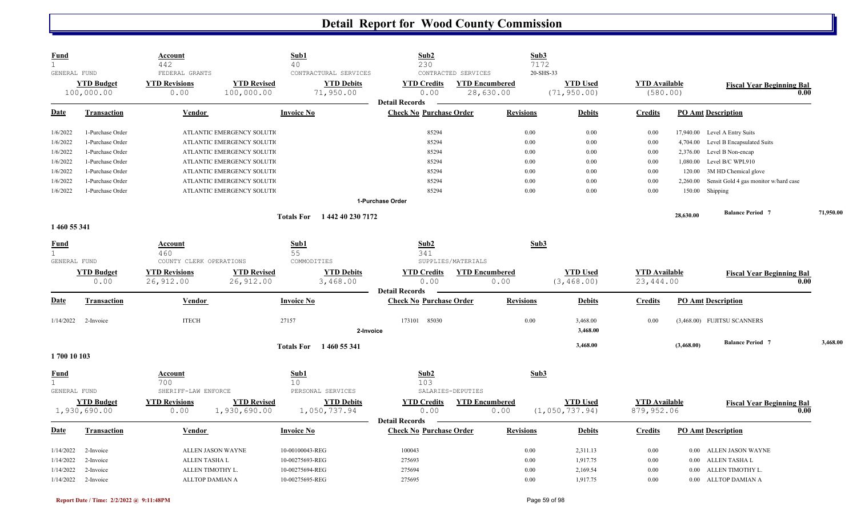| GENERAL FUND<br>FEDERAL GRANTS<br>CONTRACTURAL SERVICES<br>CONTRACTED SERVICES<br>20-SHS-33<br><b>YTD Budget</b><br><b>YTD Revised</b><br><b>YTD Debits</b><br><b>YTD Encumbered</b><br><b>YTD Used</b><br><b>YTD Available</b><br><b>YTD Revisions</b><br><b>YTD Credits</b><br><b>Fiscal Year Beginning Bal</b><br>(580.00)<br>100,000.00<br>0.00<br>100,000.00<br>71,950.00<br>0.00<br>28,630.00<br>(71, 950.00)<br>0.00<br><b>Detail Records</b><br><b>Check No Purchase Order</b><br><b>Revisions</b><br><b>PO Amt Description</b><br><b>Date</b><br><b>Vendor</b><br><b>Invoice No</b><br><b>Debits</b><br><b>Transaction</b><br><b>Credits</b><br>85294<br>0.00<br>0.00<br>1-Purchase Order<br>ATLANTIC EMERGENCY SOLUTIO<br>0.00<br>17,940.00<br>Level A Entry Suits<br>85294<br>0.00<br>Level B Encapsulated Suits<br>1-Purchase Order<br>ATLANTIC EMERGENCY SOLUTIO<br>0.00<br>0.00<br>4,704.00<br>85294<br>0.00<br>0.00<br>Level B Non-encap<br>1-Purchase Order<br>ATLANTIC EMERGENCY SOLUTIO<br>0.00<br>2,376.00<br>Level B/C WPL910<br>1-Purchase Order<br>85294<br>0.00<br>0.00<br>0.00<br>1,080.00<br>ATLANTIC EMERGENCY SOLUTIO<br>1-Purchase Order<br>85294<br>0.00<br>0.00<br>3M HD Chemical glove<br>ATLANTIC EMERGENCY SOLUTIO<br>0.00<br>120.00<br>1-Purchase Order<br>85294<br>0.00<br>0.00<br>0.00<br>Sensit Gold 4 gas monitor w/hard case<br>ATLANTIC EMERGENCY SOLUTIO<br>2,260.00<br>0.00<br>ATLANTIC EMERGENCY SOLUTIO<br>85294<br>0.00<br>0.00<br>150.00 Shipping<br>1-Purchase Order<br>1-Purchase Order<br><b>Balance Period 7</b><br>71,950.00<br>28,630.00<br>1 442 40 230 7172<br><b>Totals For</b><br>1 460 55 341<br>Sub2<br>Sub1<br>Sub3<br><b>Fund</b><br><b>Account</b><br>55<br>460<br>341<br>GENERAL FUND<br>COUNTY CLERK OPERATIONS<br>COMMODITIES<br>SUPPLIES/MATERIALS<br><b>YTD Budget</b><br><b>YTD Revised</b><br><b>YTD Debits</b><br><b>YTD Available</b><br><b>YTD Revisions</b><br><b>YTD Credits</b><br><b>YTD Encumbered</b><br><b>YTD Used</b><br><b>Fiscal Year Beginning Bal</b><br>26,912.00<br>26,912.00<br>3,468.00<br>0.00<br>0.00<br>(3, 468.00)<br>23, 444.00<br>0.00<br>0.00<br><b>Detail Records</b><br><b>Check No Purchase Order</b><br>Vendor<br><b>Invoice No</b><br><b>Revisions</b><br><b>PO Amt Description</b><br><b>Transaction</b><br><b>Debits</b><br><b>Credits</b><br><b>ITECH</b><br>0.00<br>27157<br>173101 85030<br>3,468.00<br>0.00<br>(3,468.00) FUJITSU SCANNERS<br>2-Invoice<br>3,468.00<br>2-Invoice<br>3.468.00<br><b>Balance Period 7</b><br>3,468.00<br>(3,468.00)<br><b>Totals For</b><br>1 460 55 341<br>1700 10 103<br>Sub2<br>Sub1<br>Sub3<br><b>Account</b><br>700<br>10<br>103<br>PERSONAL SERVICES<br>GENERAL FUND<br>SHERIFF-LAW ENFORCE<br>SALARIES-DEPUTIES<br><b>YTD Revisions</b><br><b>YTD Revised</b><br><b>YTD Debits</b><br><b>YTD Credits</b><br><b>YTD Encumbered</b><br><b>YTD Used</b><br><b>YTD Available</b><br><b>YTD Budget</b><br><b>Fiscal Year Beginning Bal</b><br>1,930,690.00<br>1,050,737.94<br>0.00<br>(1, 050, 737.94)<br>879,952.06<br>0.00<br>1,930,690.00<br>0.00<br>0.00<br><b>Detail Records</b><br>Vendor<br><b>Check No Purchase Order</b><br><b>Revisions</b><br><b>PO Amt Description</b><br><b>Transaction</b><br><b>Invoice No</b><br><b>Debits</b><br><b>Credits</b><br>ALLEN JASON WAYNE<br>10-00100043-REG<br>100043<br>0.00<br>2,311.13<br>ALLEN JASON WAYNE<br>2-Invoice<br>0.00<br>$0.00\,$<br>10-00275693-REG<br>275693<br>0.00<br>1,917.75<br><b>ALLEN TASHA L</b><br>0.00<br>ALLEN TASHA L<br>2-Invoice<br>$0.00\,$<br>10-00275694-REG<br>0.00<br>ALLEN TIMOTHY L.<br>275694<br>2,169.54<br>0.00<br>ALLEN TIMOTHY L.<br>2-Invoice<br>0.00 | $\mathbf{1}$ | <b>Account</b><br>442 | Sub1<br>40 | Sub2<br>230 | Sub3<br>7172 |  |  |
|-----------------------------------------------------------------------------------------------------------------------------------------------------------------------------------------------------------------------------------------------------------------------------------------------------------------------------------------------------------------------------------------------------------------------------------------------------------------------------------------------------------------------------------------------------------------------------------------------------------------------------------------------------------------------------------------------------------------------------------------------------------------------------------------------------------------------------------------------------------------------------------------------------------------------------------------------------------------------------------------------------------------------------------------------------------------------------------------------------------------------------------------------------------------------------------------------------------------------------------------------------------------------------------------------------------------------------------------------------------------------------------------------------------------------------------------------------------------------------------------------------------------------------------------------------------------------------------------------------------------------------------------------------------------------------------------------------------------------------------------------------------------------------------------------------------------------------------------------------------------------------------------------------------------------------------------------------------------------------------------------------------------------------------------------------------------------------------------------------------------------------------------------------------------------------------------------------------------------------------------------------------------------------------------------------------------------------------------------------------------------------------------------------------------------------------------------------------------------------------------------------------------------------------------------------------------------------------------------------------------------------------------------------------------------------------------------------------------------------------------------------------------------------------------------------------------------------------------------------------------------------------------------------------------------------------------------------------------------------------------------------------------------------------------------------------------------------------------------------------------------------------------------------------------------------------------------------------------------------------------------------------------------------------------------------------------------------------------------------------------------------------------------------------------------------------------------------------------------------------------------------------------------------------------------------------------------------------------------------------------------------------------------------------------------------------------|--------------|-----------------------|------------|-------------|--------------|--|--|
|                                                                                                                                                                                                                                                                                                                                                                                                                                                                                                                                                                                                                                                                                                                                                                                                                                                                                                                                                                                                                                                                                                                                                                                                                                                                                                                                                                                                                                                                                                                                                                                                                                                                                                                                                                                                                                                                                                                                                                                                                                                                                                                                                                                                                                                                                                                                                                                                                                                                                                                                                                                                                                                                                                                                                                                                                                                                                                                                                                                                                                                                                                                                                                                                                                                                                                                                                                                                                                                                                                                                                                                                                                                                                         |              |                       |            |             |              |  |  |
|                                                                                                                                                                                                                                                                                                                                                                                                                                                                                                                                                                                                                                                                                                                                                                                                                                                                                                                                                                                                                                                                                                                                                                                                                                                                                                                                                                                                                                                                                                                                                                                                                                                                                                                                                                                                                                                                                                                                                                                                                                                                                                                                                                                                                                                                                                                                                                                                                                                                                                                                                                                                                                                                                                                                                                                                                                                                                                                                                                                                                                                                                                                                                                                                                                                                                                                                                                                                                                                                                                                                                                                                                                                                                         |              |                       |            |             |              |  |  |
|                                                                                                                                                                                                                                                                                                                                                                                                                                                                                                                                                                                                                                                                                                                                                                                                                                                                                                                                                                                                                                                                                                                                                                                                                                                                                                                                                                                                                                                                                                                                                                                                                                                                                                                                                                                                                                                                                                                                                                                                                                                                                                                                                                                                                                                                                                                                                                                                                                                                                                                                                                                                                                                                                                                                                                                                                                                                                                                                                                                                                                                                                                                                                                                                                                                                                                                                                                                                                                                                                                                                                                                                                                                                                         |              |                       |            |             |              |  |  |
|                                                                                                                                                                                                                                                                                                                                                                                                                                                                                                                                                                                                                                                                                                                                                                                                                                                                                                                                                                                                                                                                                                                                                                                                                                                                                                                                                                                                                                                                                                                                                                                                                                                                                                                                                                                                                                                                                                                                                                                                                                                                                                                                                                                                                                                                                                                                                                                                                                                                                                                                                                                                                                                                                                                                                                                                                                                                                                                                                                                                                                                                                                                                                                                                                                                                                                                                                                                                                                                                                                                                                                                                                                                                                         |              |                       |            |             |              |  |  |
|                                                                                                                                                                                                                                                                                                                                                                                                                                                                                                                                                                                                                                                                                                                                                                                                                                                                                                                                                                                                                                                                                                                                                                                                                                                                                                                                                                                                                                                                                                                                                                                                                                                                                                                                                                                                                                                                                                                                                                                                                                                                                                                                                                                                                                                                                                                                                                                                                                                                                                                                                                                                                                                                                                                                                                                                                                                                                                                                                                                                                                                                                                                                                                                                                                                                                                                                                                                                                                                                                                                                                                                                                                                                                         |              |                       |            |             |              |  |  |
|                                                                                                                                                                                                                                                                                                                                                                                                                                                                                                                                                                                                                                                                                                                                                                                                                                                                                                                                                                                                                                                                                                                                                                                                                                                                                                                                                                                                                                                                                                                                                                                                                                                                                                                                                                                                                                                                                                                                                                                                                                                                                                                                                                                                                                                                                                                                                                                                                                                                                                                                                                                                                                                                                                                                                                                                                                                                                                                                                                                                                                                                                                                                                                                                                                                                                                                                                                                                                                                                                                                                                                                                                                                                                         | 1/6/2022     |                       |            |             |              |  |  |
|                                                                                                                                                                                                                                                                                                                                                                                                                                                                                                                                                                                                                                                                                                                                                                                                                                                                                                                                                                                                                                                                                                                                                                                                                                                                                                                                                                                                                                                                                                                                                                                                                                                                                                                                                                                                                                                                                                                                                                                                                                                                                                                                                                                                                                                                                                                                                                                                                                                                                                                                                                                                                                                                                                                                                                                                                                                                                                                                                                                                                                                                                                                                                                                                                                                                                                                                                                                                                                                                                                                                                                                                                                                                                         | 1/6/2022     |                       |            |             |              |  |  |
|                                                                                                                                                                                                                                                                                                                                                                                                                                                                                                                                                                                                                                                                                                                                                                                                                                                                                                                                                                                                                                                                                                                                                                                                                                                                                                                                                                                                                                                                                                                                                                                                                                                                                                                                                                                                                                                                                                                                                                                                                                                                                                                                                                                                                                                                                                                                                                                                                                                                                                                                                                                                                                                                                                                                                                                                                                                                                                                                                                                                                                                                                                                                                                                                                                                                                                                                                                                                                                                                                                                                                                                                                                                                                         | 1/6/2022     |                       |            |             |              |  |  |
|                                                                                                                                                                                                                                                                                                                                                                                                                                                                                                                                                                                                                                                                                                                                                                                                                                                                                                                                                                                                                                                                                                                                                                                                                                                                                                                                                                                                                                                                                                                                                                                                                                                                                                                                                                                                                                                                                                                                                                                                                                                                                                                                                                                                                                                                                                                                                                                                                                                                                                                                                                                                                                                                                                                                                                                                                                                                                                                                                                                                                                                                                                                                                                                                                                                                                                                                                                                                                                                                                                                                                                                                                                                                                         | 1/6/2022     |                       |            |             |              |  |  |
|                                                                                                                                                                                                                                                                                                                                                                                                                                                                                                                                                                                                                                                                                                                                                                                                                                                                                                                                                                                                                                                                                                                                                                                                                                                                                                                                                                                                                                                                                                                                                                                                                                                                                                                                                                                                                                                                                                                                                                                                                                                                                                                                                                                                                                                                                                                                                                                                                                                                                                                                                                                                                                                                                                                                                                                                                                                                                                                                                                                                                                                                                                                                                                                                                                                                                                                                                                                                                                                                                                                                                                                                                                                                                         | 1/6/2022     |                       |            |             |              |  |  |
|                                                                                                                                                                                                                                                                                                                                                                                                                                                                                                                                                                                                                                                                                                                                                                                                                                                                                                                                                                                                                                                                                                                                                                                                                                                                                                                                                                                                                                                                                                                                                                                                                                                                                                                                                                                                                                                                                                                                                                                                                                                                                                                                                                                                                                                                                                                                                                                                                                                                                                                                                                                                                                                                                                                                                                                                                                                                                                                                                                                                                                                                                                                                                                                                                                                                                                                                                                                                                                                                                                                                                                                                                                                                                         | 1/6/2022     |                       |            |             |              |  |  |
|                                                                                                                                                                                                                                                                                                                                                                                                                                                                                                                                                                                                                                                                                                                                                                                                                                                                                                                                                                                                                                                                                                                                                                                                                                                                                                                                                                                                                                                                                                                                                                                                                                                                                                                                                                                                                                                                                                                                                                                                                                                                                                                                                                                                                                                                                                                                                                                                                                                                                                                                                                                                                                                                                                                                                                                                                                                                                                                                                                                                                                                                                                                                                                                                                                                                                                                                                                                                                                                                                                                                                                                                                                                                                         | 1/6/2022     |                       |            |             |              |  |  |
|                                                                                                                                                                                                                                                                                                                                                                                                                                                                                                                                                                                                                                                                                                                                                                                                                                                                                                                                                                                                                                                                                                                                                                                                                                                                                                                                                                                                                                                                                                                                                                                                                                                                                                                                                                                                                                                                                                                                                                                                                                                                                                                                                                                                                                                                                                                                                                                                                                                                                                                                                                                                                                                                                                                                                                                                                                                                                                                                                                                                                                                                                                                                                                                                                                                                                                                                                                                                                                                                                                                                                                                                                                                                                         |              |                       |            |             |              |  |  |
|                                                                                                                                                                                                                                                                                                                                                                                                                                                                                                                                                                                                                                                                                                                                                                                                                                                                                                                                                                                                                                                                                                                                                                                                                                                                                                                                                                                                                                                                                                                                                                                                                                                                                                                                                                                                                                                                                                                                                                                                                                                                                                                                                                                                                                                                                                                                                                                                                                                                                                                                                                                                                                                                                                                                                                                                                                                                                                                                                                                                                                                                                                                                                                                                                                                                                                                                                                                                                                                                                                                                                                                                                                                                                         |              |                       |            |             |              |  |  |
|                                                                                                                                                                                                                                                                                                                                                                                                                                                                                                                                                                                                                                                                                                                                                                                                                                                                                                                                                                                                                                                                                                                                                                                                                                                                                                                                                                                                                                                                                                                                                                                                                                                                                                                                                                                                                                                                                                                                                                                                                                                                                                                                                                                                                                                                                                                                                                                                                                                                                                                                                                                                                                                                                                                                                                                                                                                                                                                                                                                                                                                                                                                                                                                                                                                                                                                                                                                                                                                                                                                                                                                                                                                                                         |              |                       |            |             |              |  |  |
|                                                                                                                                                                                                                                                                                                                                                                                                                                                                                                                                                                                                                                                                                                                                                                                                                                                                                                                                                                                                                                                                                                                                                                                                                                                                                                                                                                                                                                                                                                                                                                                                                                                                                                                                                                                                                                                                                                                                                                                                                                                                                                                                                                                                                                                                                                                                                                                                                                                                                                                                                                                                                                                                                                                                                                                                                                                                                                                                                                                                                                                                                                                                                                                                                                                                                                                                                                                                                                                                                                                                                                                                                                                                                         |              |                       |            |             |              |  |  |
|                                                                                                                                                                                                                                                                                                                                                                                                                                                                                                                                                                                                                                                                                                                                                                                                                                                                                                                                                                                                                                                                                                                                                                                                                                                                                                                                                                                                                                                                                                                                                                                                                                                                                                                                                                                                                                                                                                                                                                                                                                                                                                                                                                                                                                                                                                                                                                                                                                                                                                                                                                                                                                                                                                                                                                                                                                                                                                                                                                                                                                                                                                                                                                                                                                                                                                                                                                                                                                                                                                                                                                                                                                                                                         |              |                       |            |             |              |  |  |
|                                                                                                                                                                                                                                                                                                                                                                                                                                                                                                                                                                                                                                                                                                                                                                                                                                                                                                                                                                                                                                                                                                                                                                                                                                                                                                                                                                                                                                                                                                                                                                                                                                                                                                                                                                                                                                                                                                                                                                                                                                                                                                                                                                                                                                                                                                                                                                                                                                                                                                                                                                                                                                                                                                                                                                                                                                                                                                                                                                                                                                                                                                                                                                                                                                                                                                                                                                                                                                                                                                                                                                                                                                                                                         | $\mathbf{1}$ |                       |            |             |              |  |  |
|                                                                                                                                                                                                                                                                                                                                                                                                                                                                                                                                                                                                                                                                                                                                                                                                                                                                                                                                                                                                                                                                                                                                                                                                                                                                                                                                                                                                                                                                                                                                                                                                                                                                                                                                                                                                                                                                                                                                                                                                                                                                                                                                                                                                                                                                                                                                                                                                                                                                                                                                                                                                                                                                                                                                                                                                                                                                                                                                                                                                                                                                                                                                                                                                                                                                                                                                                                                                                                                                                                                                                                                                                                                                                         |              |                       |            |             |              |  |  |
|                                                                                                                                                                                                                                                                                                                                                                                                                                                                                                                                                                                                                                                                                                                                                                                                                                                                                                                                                                                                                                                                                                                                                                                                                                                                                                                                                                                                                                                                                                                                                                                                                                                                                                                                                                                                                                                                                                                                                                                                                                                                                                                                                                                                                                                                                                                                                                                                                                                                                                                                                                                                                                                                                                                                                                                                                                                                                                                                                                                                                                                                                                                                                                                                                                                                                                                                                                                                                                                                                                                                                                                                                                                                                         |              |                       |            |             |              |  |  |
|                                                                                                                                                                                                                                                                                                                                                                                                                                                                                                                                                                                                                                                                                                                                                                                                                                                                                                                                                                                                                                                                                                                                                                                                                                                                                                                                                                                                                                                                                                                                                                                                                                                                                                                                                                                                                                                                                                                                                                                                                                                                                                                                                                                                                                                                                                                                                                                                                                                                                                                                                                                                                                                                                                                                                                                                                                                                                                                                                                                                                                                                                                                                                                                                                                                                                                                                                                                                                                                                                                                                                                                                                                                                                         |              |                       |            |             |              |  |  |
|                                                                                                                                                                                                                                                                                                                                                                                                                                                                                                                                                                                                                                                                                                                                                                                                                                                                                                                                                                                                                                                                                                                                                                                                                                                                                                                                                                                                                                                                                                                                                                                                                                                                                                                                                                                                                                                                                                                                                                                                                                                                                                                                                                                                                                                                                                                                                                                                                                                                                                                                                                                                                                                                                                                                                                                                                                                                                                                                                                                                                                                                                                                                                                                                                                                                                                                                                                                                                                                                                                                                                                                                                                                                                         |              |                       |            |             |              |  |  |
|                                                                                                                                                                                                                                                                                                                                                                                                                                                                                                                                                                                                                                                                                                                                                                                                                                                                                                                                                                                                                                                                                                                                                                                                                                                                                                                                                                                                                                                                                                                                                                                                                                                                                                                                                                                                                                                                                                                                                                                                                                                                                                                                                                                                                                                                                                                                                                                                                                                                                                                                                                                                                                                                                                                                                                                                                                                                                                                                                                                                                                                                                                                                                                                                                                                                                                                                                                                                                                                                                                                                                                                                                                                                                         |              |                       |            |             |              |  |  |
|                                                                                                                                                                                                                                                                                                                                                                                                                                                                                                                                                                                                                                                                                                                                                                                                                                                                                                                                                                                                                                                                                                                                                                                                                                                                                                                                                                                                                                                                                                                                                                                                                                                                                                                                                                                                                                                                                                                                                                                                                                                                                                                                                                                                                                                                                                                                                                                                                                                                                                                                                                                                                                                                                                                                                                                                                                                                                                                                                                                                                                                                                                                                                                                                                                                                                                                                                                                                                                                                                                                                                                                                                                                                                         | Date         |                       |            |             |              |  |  |
|                                                                                                                                                                                                                                                                                                                                                                                                                                                                                                                                                                                                                                                                                                                                                                                                                                                                                                                                                                                                                                                                                                                                                                                                                                                                                                                                                                                                                                                                                                                                                                                                                                                                                                                                                                                                                                                                                                                                                                                                                                                                                                                                                                                                                                                                                                                                                                                                                                                                                                                                                                                                                                                                                                                                                                                                                                                                                                                                                                                                                                                                                                                                                                                                                                                                                                                                                                                                                                                                                                                                                                                                                                                                                         |              |                       |            |             |              |  |  |
|                                                                                                                                                                                                                                                                                                                                                                                                                                                                                                                                                                                                                                                                                                                                                                                                                                                                                                                                                                                                                                                                                                                                                                                                                                                                                                                                                                                                                                                                                                                                                                                                                                                                                                                                                                                                                                                                                                                                                                                                                                                                                                                                                                                                                                                                                                                                                                                                                                                                                                                                                                                                                                                                                                                                                                                                                                                                                                                                                                                                                                                                                                                                                                                                                                                                                                                                                                                                                                                                                                                                                                                                                                                                                         | 1/14/2022    |                       |            |             |              |  |  |
|                                                                                                                                                                                                                                                                                                                                                                                                                                                                                                                                                                                                                                                                                                                                                                                                                                                                                                                                                                                                                                                                                                                                                                                                                                                                                                                                                                                                                                                                                                                                                                                                                                                                                                                                                                                                                                                                                                                                                                                                                                                                                                                                                                                                                                                                                                                                                                                                                                                                                                                                                                                                                                                                                                                                                                                                                                                                                                                                                                                                                                                                                                                                                                                                                                                                                                                                                                                                                                                                                                                                                                                                                                                                                         |              |                       |            |             |              |  |  |
|                                                                                                                                                                                                                                                                                                                                                                                                                                                                                                                                                                                                                                                                                                                                                                                                                                                                                                                                                                                                                                                                                                                                                                                                                                                                                                                                                                                                                                                                                                                                                                                                                                                                                                                                                                                                                                                                                                                                                                                                                                                                                                                                                                                                                                                                                                                                                                                                                                                                                                                                                                                                                                                                                                                                                                                                                                                                                                                                                                                                                                                                                                                                                                                                                                                                                                                                                                                                                                                                                                                                                                                                                                                                                         |              |                       |            |             |              |  |  |
|                                                                                                                                                                                                                                                                                                                                                                                                                                                                                                                                                                                                                                                                                                                                                                                                                                                                                                                                                                                                                                                                                                                                                                                                                                                                                                                                                                                                                                                                                                                                                                                                                                                                                                                                                                                                                                                                                                                                                                                                                                                                                                                                                                                                                                                                                                                                                                                                                                                                                                                                                                                                                                                                                                                                                                                                                                                                                                                                                                                                                                                                                                                                                                                                                                                                                                                                                                                                                                                                                                                                                                                                                                                                                         |              |                       |            |             |              |  |  |
|                                                                                                                                                                                                                                                                                                                                                                                                                                                                                                                                                                                                                                                                                                                                                                                                                                                                                                                                                                                                                                                                                                                                                                                                                                                                                                                                                                                                                                                                                                                                                                                                                                                                                                                                                                                                                                                                                                                                                                                                                                                                                                                                                                                                                                                                                                                                                                                                                                                                                                                                                                                                                                                                                                                                                                                                                                                                                                                                                                                                                                                                                                                                                                                                                                                                                                                                                                                                                                                                                                                                                                                                                                                                                         |              |                       |            |             |              |  |  |
|                                                                                                                                                                                                                                                                                                                                                                                                                                                                                                                                                                                                                                                                                                                                                                                                                                                                                                                                                                                                                                                                                                                                                                                                                                                                                                                                                                                                                                                                                                                                                                                                                                                                                                                                                                                                                                                                                                                                                                                                                                                                                                                                                                                                                                                                                                                                                                                                                                                                                                                                                                                                                                                                                                                                                                                                                                                                                                                                                                                                                                                                                                                                                                                                                                                                                                                                                                                                                                                                                                                                                                                                                                                                                         | Fund         |                       |            |             |              |  |  |
|                                                                                                                                                                                                                                                                                                                                                                                                                                                                                                                                                                                                                                                                                                                                                                                                                                                                                                                                                                                                                                                                                                                                                                                                                                                                                                                                                                                                                                                                                                                                                                                                                                                                                                                                                                                                                                                                                                                                                                                                                                                                                                                                                                                                                                                                                                                                                                                                                                                                                                                                                                                                                                                                                                                                                                                                                                                                                                                                                                                                                                                                                                                                                                                                                                                                                                                                                                                                                                                                                                                                                                                                                                                                                         |              |                       |            |             |              |  |  |
|                                                                                                                                                                                                                                                                                                                                                                                                                                                                                                                                                                                                                                                                                                                                                                                                                                                                                                                                                                                                                                                                                                                                                                                                                                                                                                                                                                                                                                                                                                                                                                                                                                                                                                                                                                                                                                                                                                                                                                                                                                                                                                                                                                                                                                                                                                                                                                                                                                                                                                                                                                                                                                                                                                                                                                                                                                                                                                                                                                                                                                                                                                                                                                                                                                                                                                                                                                                                                                                                                                                                                                                                                                                                                         |              |                       |            |             |              |  |  |
|                                                                                                                                                                                                                                                                                                                                                                                                                                                                                                                                                                                                                                                                                                                                                                                                                                                                                                                                                                                                                                                                                                                                                                                                                                                                                                                                                                                                                                                                                                                                                                                                                                                                                                                                                                                                                                                                                                                                                                                                                                                                                                                                                                                                                                                                                                                                                                                                                                                                                                                                                                                                                                                                                                                                                                                                                                                                                                                                                                                                                                                                                                                                                                                                                                                                                                                                                                                                                                                                                                                                                                                                                                                                                         |              |                       |            |             |              |  |  |
|                                                                                                                                                                                                                                                                                                                                                                                                                                                                                                                                                                                                                                                                                                                                                                                                                                                                                                                                                                                                                                                                                                                                                                                                                                                                                                                                                                                                                                                                                                                                                                                                                                                                                                                                                                                                                                                                                                                                                                                                                                                                                                                                                                                                                                                                                                                                                                                                                                                                                                                                                                                                                                                                                                                                                                                                                                                                                                                                                                                                                                                                                                                                                                                                                                                                                                                                                                                                                                                                                                                                                                                                                                                                                         |              |                       |            |             |              |  |  |
|                                                                                                                                                                                                                                                                                                                                                                                                                                                                                                                                                                                                                                                                                                                                                                                                                                                                                                                                                                                                                                                                                                                                                                                                                                                                                                                                                                                                                                                                                                                                                                                                                                                                                                                                                                                                                                                                                                                                                                                                                                                                                                                                                                                                                                                                                                                                                                                                                                                                                                                                                                                                                                                                                                                                                                                                                                                                                                                                                                                                                                                                                                                                                                                                                                                                                                                                                                                                                                                                                                                                                                                                                                                                                         | <u>Date</u>  |                       |            |             |              |  |  |
|                                                                                                                                                                                                                                                                                                                                                                                                                                                                                                                                                                                                                                                                                                                                                                                                                                                                                                                                                                                                                                                                                                                                                                                                                                                                                                                                                                                                                                                                                                                                                                                                                                                                                                                                                                                                                                                                                                                                                                                                                                                                                                                                                                                                                                                                                                                                                                                                                                                                                                                                                                                                                                                                                                                                                                                                                                                                                                                                                                                                                                                                                                                                                                                                                                                                                                                                                                                                                                                                                                                                                                                                                                                                                         |              |                       |            |             |              |  |  |
|                                                                                                                                                                                                                                                                                                                                                                                                                                                                                                                                                                                                                                                                                                                                                                                                                                                                                                                                                                                                                                                                                                                                                                                                                                                                                                                                                                                                                                                                                                                                                                                                                                                                                                                                                                                                                                                                                                                                                                                                                                                                                                                                                                                                                                                                                                                                                                                                                                                                                                                                                                                                                                                                                                                                                                                                                                                                                                                                                                                                                                                                                                                                                                                                                                                                                                                                                                                                                                                                                                                                                                                                                                                                                         | 1/14/2022    |                       |            |             |              |  |  |
|                                                                                                                                                                                                                                                                                                                                                                                                                                                                                                                                                                                                                                                                                                                                                                                                                                                                                                                                                                                                                                                                                                                                                                                                                                                                                                                                                                                                                                                                                                                                                                                                                                                                                                                                                                                                                                                                                                                                                                                                                                                                                                                                                                                                                                                                                                                                                                                                                                                                                                                                                                                                                                                                                                                                                                                                                                                                                                                                                                                                                                                                                                                                                                                                                                                                                                                                                                                                                                                                                                                                                                                                                                                                                         | 1/14/2022    |                       |            |             |              |  |  |
| 1/14/2022<br>10-00275695-REG<br>275695<br>0.00<br>2-Invoice<br><b>ALLTOP DAMIAN A</b><br>1,917.75<br>0.00<br>ALLTOP DAMIAN A<br>0.00                                                                                                                                                                                                                                                                                                                                                                                                                                                                                                                                                                                                                                                                                                                                                                                                                                                                                                                                                                                                                                                                                                                                                                                                                                                                                                                                                                                                                                                                                                                                                                                                                                                                                                                                                                                                                                                                                                                                                                                                                                                                                                                                                                                                                                                                                                                                                                                                                                                                                                                                                                                                                                                                                                                                                                                                                                                                                                                                                                                                                                                                                                                                                                                                                                                                                                                                                                                                                                                                                                                                                    | 1/14/2022    |                       |            |             |              |  |  |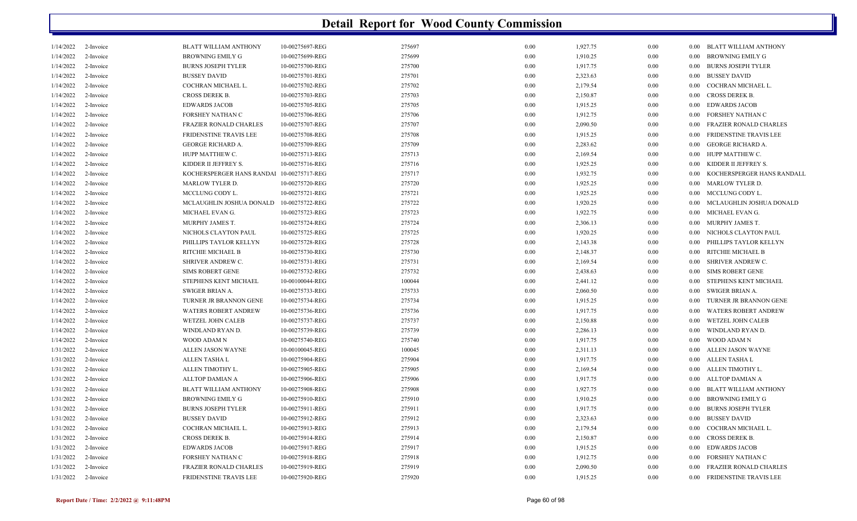| 1/14/2022 | 2-Invoice | BLATT WILLIAM ANTHONY         | 10-00275697-REG | 275697 | 0.00 | 1,927.75 | 0.00 | 0.00     | BLATT WILLIAM ANTHONY         |
|-----------|-----------|-------------------------------|-----------------|--------|------|----------|------|----------|-------------------------------|
| 1/14/2022 | 2-Invoice | <b>BROWNING EMILY G</b>       | 10-00275699-REG | 275699 | 0.00 | 1,910.25 | 0.00 | 0.00     | <b>BROWNING EMILY G</b>       |
| 1/14/2022 | 2-Invoice | <b>BURNS JOSEPH TYLER</b>     | 10-00275700-REG | 275700 | 0.00 | 1,917.75 | 0.00 | 0.00     | <b>BURNS JOSEPH TYLER</b>     |
| 1/14/2022 | 2-Invoice | <b>BUSSEY DAVID</b>           | 10-00275701-REG | 275701 | 0.00 | 2,323.63 | 0.00 | $0.00\,$ | <b>BUSSEY DAVID</b>           |
| 1/14/2022 | 2-Invoice | COCHRAN MICHAEL L.            | 10-00275702-REG | 275702 | 0.00 | 2,179.54 | 0.00 | 0.00     | COCHRAN MICHAEL L.            |
| 1/14/2022 | 2-Invoice | CROSS DEREK B.                | 10-00275703-REG | 275703 | 0.00 | 2,150.87 | 0.00 | $0.00\,$ | <b>CROSS DEREK B.</b>         |
| 1/14/2022 | 2-Invoice | <b>EDWARDS JACOB</b>          | 10-00275705-REG | 275705 | 0.00 | 1,915.25 | 0.00 | 0.00     | <b>EDWARDS JACOB</b>          |
| 1/14/2022 | 2-Invoice | FORSHEY NATHAN C              | 10-00275706-REG | 275706 | 0.00 | 1,912.75 | 0.00 | 0.00     | FORSHEY NATHAN C              |
| 1/14/2022 | 2-Invoice | <b>FRAZIER RONALD CHARLES</b> | 10-00275707-REG | 275707 | 0.00 | 2,090.50 | 0.00 | $0.00\,$ | FRAZIER RONALD CHARLES        |
| 1/14/2022 | 2-Invoice | FRIDENSTINE TRAVIS LEE        | 10-00275708-REG | 275708 | 0.00 | 1,915.25 | 0.00 | $0.00\,$ | FRIDENSTINE TRAVIS LEE        |
| 1/14/2022 | 2-Invoice | <b>GEORGE RICHARD A.</b>      | 10-00275709-REG | 275709 | 0.00 | 2,283.62 | 0.00 | 0.00     | <b>GEORGE RICHARD A.</b>      |
| 1/14/2022 | 2-Invoice | HUPP MATTHEW C.               | 10-00275713-REG | 275713 | 0.00 | 2,169.54 | 0.00 | 0.00     | HUPP MATTHEW C.               |
| 1/14/2022 | 2-Invoice | KIDDER II JEFFREY S           | 10-00275716-REG | 275716 | 0.00 | 1,925.25 | 0.00 | 0.00     | KIDDER II JEFFREY S.          |
| 1/14/2022 | 2-Invoice | KOCHERSPERGER HANS RANDAI     | 10-00275717-REG | 275717 | 0.00 | 1,932.75 | 0.00 | $0.00\,$ | KOCHERSPERGER HANS RANDALL    |
| 1/14/2022 | 2-Invoice | <b>MARLOW TYLER D.</b>        | 10-00275720-REG | 275720 | 0.00 | 1,925.25 | 0.00 | 0.00     | MARLOW TYLER D.               |
| 1/14/2022 | 2-Invoice | MCCLUNG CODY L.               | 10-00275721-REG | 275721 | 0.00 | 1,925.25 | 0.00 | $0.00\,$ | MCCLUNG CODY L.               |
| 1/14/2022 | 2-Invoice | MCLAUGHLIN JOSHUA DONALD      | 10-00275722-REG | 275722 | 0.00 | 1,920.25 | 0.00 | 0.00     | MCLAUGHLIN JOSHUA DONALD      |
| 1/14/2022 | 2-Invoice | MICHAEL EVAN G.               | 10-00275723-REG | 275723 | 0.00 | 1,922.75 | 0.00 | $0.00\,$ | MICHAEL EVAN G.               |
| 1/14/2022 | 2-Invoice | MURPHY JAMES T.               | 10-00275724-REG | 275724 | 0.00 | 2,306.13 | 0.00 | $0.00\,$ | MURPHY JAMES T.               |
| 1/14/2022 | 2-Invoice | NICHOLS CLAYTON PAUL          | 10-00275725-REG | 275725 | 0.00 | 1,920.25 | 0.00 | 0.00     | NICHOLS CLAYTON PAUL          |
| 1/14/2022 | 2-Invoice | PHILLIPS TAYLOR KELLYN        | 10-00275728-REG | 275728 | 0.00 | 2,143.38 | 0.00 | 0.00     | PHILLIPS TAYLOR KELLYN        |
| 1/14/2022 | 2-Invoice | RITCHIE MICHAEL B             | 10-00275730-REG | 275730 | 0.00 | 2,148.37 | 0.00 | 0.00     | RITCHIE MICHAEL B             |
| 1/14/2022 | 2-Invoice | SHRIVER ANDREW C.             | 10-00275731-REG | 275731 | 0.00 | 2,169.54 | 0.00 | $0.00\,$ | <b>SHRIVER ANDREW C.</b>      |
| 1/14/2022 | 2-Invoice | <b>SIMS ROBERT GENE</b>       | 10-00275732-REG | 275732 | 0.00 | 2,438.63 | 0.00 | $0.00\,$ | <b>SIMS ROBERT GENE</b>       |
| 1/14/2022 | 2-Invoice | STEPHENS KENT MICHAEL         | 10-00100044-REG | 100044 | 0.00 | 2,441.12 | 0.00 | 0.00     | STEPHENS KENT MICHAEL         |
| 1/14/2022 | 2-Invoice | <b>SWIGER BRIAN A.</b>        | 10-00275733-REG | 275733 | 0.00 | 2,060.50 | 0.00 | 0.00     | <b>SWIGER BRIAN A.</b>        |
| 1/14/2022 | 2-Invoice | TURNER JR BRANNON GENE        | 10-00275734-REG | 275734 | 0.00 | 1,915.25 | 0.00 | 0.00     | TURNER JR BRANNON GENE        |
| 1/14/2022 | 2-Invoice | <b>WATERS ROBERT ANDREW</b>   | 10-00275736-REG | 275736 | 0.00 | 1,917.75 | 0.00 | 0.00     | <b>WATERS ROBERT ANDREW</b>   |
| 1/14/2022 | 2-Invoice | <b>WETZEL JOHN CALEB</b>      | 10-00275737-REG | 275737 | 0.00 | 2,150.88 | 0.00 | $0.00\,$ | WETZEL JOHN CALEB             |
| 1/14/2022 | 2-Invoice | WINDLAND RYAN D.              | 10-00275739-REG | 275739 | 0.00 | 2,286.13 | 0.00 | 0.00     | WINDLAND RYAN D.              |
| 1/14/2022 | 2-Invoice | WOOD ADAM N                   | 10-00275740-REG | 275740 | 0.00 | 1,917.75 | 0.00 | 0.00     | <b>WOOD ADAM N</b>            |
| 1/31/2022 | 2-Invoice | ALLEN JASON WAYNE             | 10-00100045-REG | 100045 | 0.00 | 2,311.13 | 0.00 | 0.00     | ALLEN JASON WAYNE             |
| 1/31/2022 | 2-Invoice | ALLEN TASHA L                 | 10-00275904-REG | 275904 | 0.00 | 1,917.75 | 0.00 | 0.00     | ALLEN TASHA L                 |
| 1/31/2022 | 2-Invoice | ALLEN TIMOTHY L.              | 10-00275905-REG | 275905 | 0.00 | 2,169.54 | 0.00 | $0.00\,$ | ALLEN TIMOTHY L.              |
| 1/31/2022 | 2-Invoice | ALLTOP DAMIAN A               | 10-00275906-REG | 275906 | 0.00 | 1,917.75 | 0.00 | $0.00\,$ | ALLTOP DAMIAN A               |
| 1/31/2022 | 2-Invoice | <b>BLATT WILLIAM ANTHONY</b>  | 10-00275908-REG | 275908 | 0.00 | 1,927.75 | 0.00 | 0.00     | <b>BLATT WILLIAM ANTHONY</b>  |
| 1/31/2022 | 2-Invoice | <b>BROWNING EMILY G</b>       | 10-00275910-REG | 275910 | 0.00 | 1,910.25 | 0.00 | 0.00     | <b>BROWNING EMILY G</b>       |
| 1/31/2022 | 2-Invoice | <b>BURNS JOSEPH TYLER</b>     | 10-00275911-REG | 275911 | 0.00 | 1,917.75 | 0.00 | $0.00\,$ | <b>BURNS JOSEPH TYLER</b>     |
| 1/31/2022 | 2-Invoice | <b>BUSSEY DAVID</b>           | 10-00275912-REG | 275912 | 0.00 | 2,323.63 | 0.00 | 0.00     | <b>BUSSEY DAVID</b>           |
| 1/31/2022 | 2-Invoice | COCHRAN MICHAEL L.            | 10-00275913-REG | 275913 | 0.00 | 2,179.54 | 0.00 | 0.00     | COCHRAN MICHAEL L.            |
| 1/31/2022 | 2-Invoice | CROSS DEREK B.                | 10-00275914-REG | 275914 | 0.00 | 2,150.87 | 0.00 | 0.00     | <b>CROSS DEREK B.</b>         |
| 1/31/2022 | 2-Invoice | <b>EDWARDS JACOB</b>          | 10-00275917-REG | 275917 | 0.00 | 1,915.25 | 0.00 | $0.00\,$ | <b>EDWARDS JACOB</b>          |
| 1/31/2022 | 2-Invoice | FORSHEY NATHAN C              | 10-00275918-REG | 275918 | 0.00 | 1,912.75 | 0.00 | 0.00     | FORSHEY NATHAN C              |
| 1/31/2022 | 2-Invoice | <b>FRAZIER RONALD CHARLES</b> | 10-00275919-REG | 275919 | 0.00 | 2,090.50 | 0.00 | 0.00     | <b>FRAZIER RONALD CHARLES</b> |
| 1/31/2022 | 2-Invoice | <b>FRIDENSTINE TRAVIS LEE</b> | 10-00275920-REG | 275920 | 0.00 | 1,915.25 | 0.00 | 0.00     | FRIDENSTINE TRAVIS LEE        |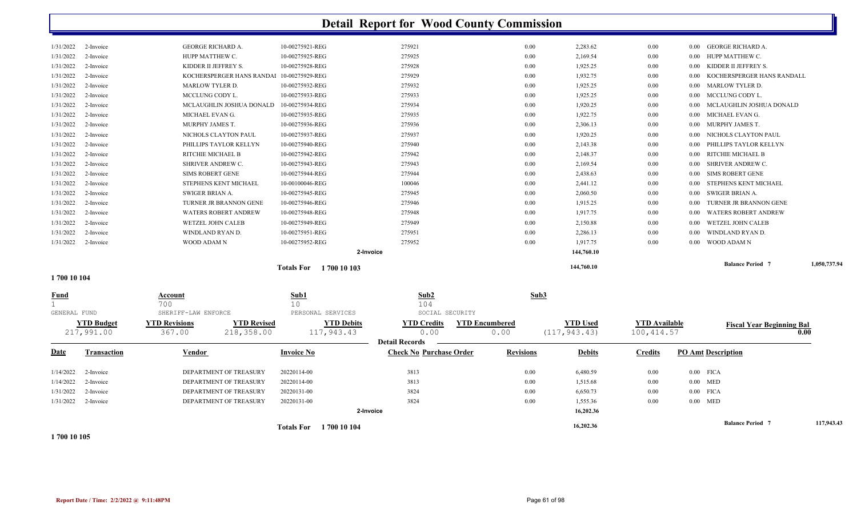|                              |                        |                                                         |                                    | Totals For 1700 10 104 |                                |                       | 16,202.36            |                      |              | <b>Balance Period 7</b>                                 | 117,943.43   |
|------------------------------|------------------------|---------------------------------------------------------|------------------------------------|------------------------|--------------------------------|-----------------------|----------------------|----------------------|--------------|---------------------------------------------------------|--------------|
|                              |                        |                                                         |                                    | 2-Invoice              |                                |                       | 16,202.36            |                      |              |                                                         |              |
| 1/31/2022                    | 2-Invoice              | DEPARTMENT OF TREASURY                                  | 20220131-00                        |                        | 3824                           | 0.00                  | 1,555.36             | $0.00\,$             | $0.00$ MED   |                                                         |              |
| 1/31/2022                    | 2-Invoice              | DEPARTMENT OF TREASURY                                  | 20220131-00                        |                        | 3824                           | 0.00                  | 6,650.73             | 0.00                 | $0.00$ FICA  |                                                         |              |
| 1/14/2022                    | 2-Invoice              | DEPARTMENT OF TREASURY                                  | 20220114-00                        |                        | 3813                           | 0.00                  | 1,515.68             | $0.00\,$             | $0.00$ MED   |                                                         |              |
| 1/14/2022                    | 2-Invoice              | DEPARTMENT OF TREASURY                                  | 20220114-00                        |                        | 3813                           | 0.00                  | 6,480.59             | $0.00\,$             | $0.00$ FICA  |                                                         |              |
| <u>Date</u>                  | Transaction            | Vendor                                                  | <b>Invoice No</b>                  |                        | <b>Check No Purchase Order</b> | <b>Revisions</b>      | <b>Debits</b>        | <b>Credits</b>       |              | <b>PO Amt Description</b>                               |              |
|                              | 217,991.00             | 367.00<br>218,358.00                                    |                                    | 117,943.43             | 0.00<br><b>Detail Records</b>  | 0.00                  | (117, 943.43)        | 100, 414.57          |              |                                                         | 0.00         |
|                              | <b>YTD Budget</b>      | <b>YTD Revised</b><br><b>YTD Revisions</b>              |                                    | <b>YTD Debits</b>      | <b>YTD Credits</b>             | <b>YTD Encumbered</b> | <b>YTD Used</b>      | <b>YTD Available</b> |              | <b>Fiscal Year Beginning Bal</b>                        |              |
| $\mathbf{1}$<br>GENERAL FUND |                        | SHERIFF-LAW ENFORCE                                     | 10                                 | PERSONAL SERVICES      | 104<br>SOCIAL SECURITY         |                       |                      |                      |              |                                                         |              |
| <u>Fund</u>                  |                        | Account<br>700                                          | Sub1                               |                        | Sub2                           | Sub3                  |                      |                      |              |                                                         |              |
| 1700 10 104                  |                        |                                                         |                                    |                        |                                |                       |                      |                      |              |                                                         |              |
|                              |                        |                                                         |                                    | Totals For 1700 10 103 |                                |                       | 144,760.10           |                      |              | <b>Balance Period 7</b>                                 | 1,050,737.94 |
|                              |                        |                                                         |                                    | 2-Invoice              |                                |                       | 144,760.10           |                      |              |                                                         |              |
| 1/31/2022                    | 2-Invoice              | WOOD ADAM N                                             | 10-00275952-REG                    |                        | 275952                         | 0.00                  | 1,917.75             | 0.00                 | $0.00\,$     | WOOD ADAM N                                             |              |
| 1/31/2022                    | 2-Invoice              | WINDLAND RYAN D.                                        | 10-00275951-REG                    |                        | 275951                         | 0.00                  | 2,286.13             | $0.00\,$             | 0.00         | WINDLAND RYAN D.                                        |              |
| 1/31/2022<br>1/31/2022       | 2-Invoice<br>2-Invoice | <b>WATERS ROBERT ANDREW</b><br><b>WETZEL JOHN CALEB</b> | 10-00275948-REG<br>10-00275949-REG |                        | 275948<br>275949               | 0.00<br>0.00          | 1,917.75<br>2,150.88 | $0.00\,$<br>$0.00\,$ | 0.00<br>0.00 | <b>WATERS ROBERT ANDREW</b><br><b>WETZEL JOHN CALEB</b> |              |
| 1/31/2022                    | 2-Invoice              | TURNER JR BRANNON GENE                                  | 10-00275946-REG                    |                        | 275946                         | 0.00                  | 1,915.25             | $0.00\,$             | $0.00\,$     | TURNER JR BRANNON GENE                                  |              |
| 1/31/2022                    | 2-Invoice              | SWIGER BRIAN A.                                         | 10-00275945-REG                    |                        | 275945                         | 0.00                  | 2,060.50             | $0.00\,$             | 0.00         | SWIGER BRIAN A.                                         |              |
| 1/31/2022                    | 2-Invoice              | STEPHENS KENT MICHAEL                                   | 10-00100046-REG                    |                        | 100046                         | 0.00                  | 2,441.12             | $0.00\,$             | 0.00         | STEPHENS KENT MICHAEL                                   |              |
| 1/31/2022                    | 2-Invoice              | <b>SIMS ROBERT GENE</b>                                 | 10-00275944-REG                    |                        | 275944                         | 0.00                  | 2,438.63             | $0.00\,$             | 0.00         | SIMS ROBERT GENE                                        |              |
| 1/31/2022                    | 2-Invoice              | SHRIVER ANDREW C.                                       | 10-00275943-REG                    |                        | 275943                         | 0.00                  | 2,169.54             | $0.00\,$             | 0.00         | SHRIVER ANDREW C.                                       |              |
| 1/31/2022                    | 2-Invoice              | RITCHIE MICHAEL B                                       | 10-00275942-REG                    |                        | 275942                         | 0.00                  | 2,148.37             | 0.00                 | 0.00         | RITCHIE MICHAEL B                                       |              |
| 1/31/2022                    | 2-Invoice              | PHILLIPS TAYLOR KELLYN                                  | 10-00275940-REG                    |                        | 275940                         | 0.00                  | 2,143.38             | $0.00\,$             | 0.00         | PHILLIPS TAYLOR KELLYN                                  |              |
| 1/31/2022                    | 2-Invoice              | NICHOLS CLAYTON PAUL                                    | 10-00275937-REG                    |                        | 275937                         | 0.00                  | 1,920.25             | $0.00\,$             | $0.00\,$     | NICHOLS CLAYTON PAUL                                    |              |
| 1/31/2022                    | 2-Invoice              | MURPHY JAMES T.                                         | 10-00275936-REG                    |                        | 275936                         | 0.00                  | 2,306.13             | $0.00\,$             | 0.00         | MURPHY JAMES T.                                         |              |
| 1/31/2022                    | 2-Invoice              | MICHAEL EVAN G.                                         | 10-00275935-REG                    |                        | 275935                         | 0.00                  | 1,922.75             | $0.00\,$             | $0.00\,$     | MICHAEL EVAN G.                                         |              |
| 1/31/2022                    | 2-Invoice              | MCLAUGHLIN JOSHUA DONALD                                | 10-00275934-REG                    |                        | 275934                         | 0.00                  | 1,920.25             | 0.00                 | 0.00         | MCLAUGHLIN JOSHUA DONALD                                |              |
| 1/31/2022                    | 2-Invoice              | MCCLUNG CODY L.                                         | 10-00275933-REG                    |                        | 275933                         | 0.00                  | 1,925.25             | 0.00                 | $0.00\,$     | MCCLUNG CODY L.                                         |              |
| 1/31/2022                    | 2-Invoice              | MARLOW TYLER D.                                         | 10-00275932-REG                    |                        | 275932                         | 0.00                  | 1,925.25             | $0.00\,$             | $0.00\,$     | <b>MARLOW TYLER D.</b>                                  |              |
| 1/31/2022                    | 2-Invoice              | KOCHERSPERGER HANS RANDAl 10-00275929-REG               |                                    |                        | 275929                         | 0.00                  | 1,932.75             | $0.00\,$             | 0.00         | KOCHERSPERGER HANS RANDALL                              |              |
| 1/31/2022                    | 2-Invoice              | KIDDER II JEFFREY S.                                    | 10-00275928-REG                    |                        | 275928                         | 0.00                  | 1,925.25             | $0.00\,$             | 0.00         | KIDDER II JEFFREY S.                                    |              |
| 1/31/2022                    | 2-Invoice              | HUPP MATTHEW C.                                         | 10-00275925-REG                    |                        | 275925                         | 0.00                  | 2,169.54             | $0.00\,$             | 0.00         | HUPP MATTHEW C.                                         |              |
| 1/31/2022                    | 2-Invoice              | <b>GEORGE RICHARD A.</b>                                | 10-00275921-REG                    |                        | 275921                         | 0.00                  | 2,283.62             | 0.00                 |              | 0.00 GEORGE RICHARD A.                                  |              |

**1 700 10 105**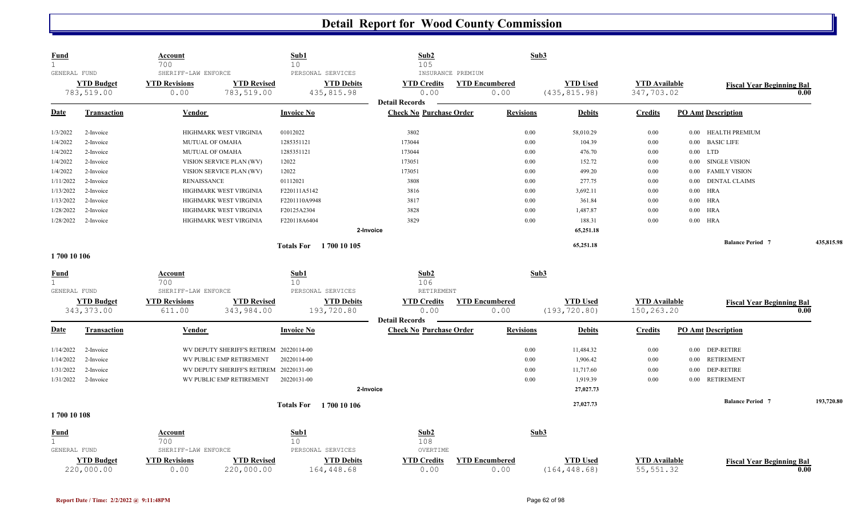| <b>Fund</b><br>$\mathbf{1}$<br>GENERAL FUND |                    | <u>Account</u><br>700<br>SHERIFF-LAW ENFORCE |                                         | Sub1<br>10 <sup>°</sup><br>PERSONAL SERVICES | Sub <sub>2</sub><br>105                                 | INSURANCE PREMIUM     | Sub3             |                 |                      |          |                                  |      |            |
|---------------------------------------------|--------------------|----------------------------------------------|-----------------------------------------|----------------------------------------------|---------------------------------------------------------|-----------------------|------------------|-----------------|----------------------|----------|----------------------------------|------|------------|
|                                             | <b>YTD Budget</b>  | <b>YTD Revisions</b>                         | <b>YTD Revised</b>                      | <b>YTD Debits</b>                            | <b>YTD Credits</b>                                      | <b>YTD Encumbered</b> |                  | <b>YTD Used</b> | <b>YTD Available</b> |          | <b>Fiscal Year Beginning Bal</b> |      |            |
|                                             | 783,519.00         | 0.00                                         | 783,519.00                              | 435, 815.98                                  | 0.00                                                    | 0.00                  |                  | (435, 815.98)   | 347,703.02           |          |                                  | 0.00 |            |
|                                             |                    |                                              |                                         |                                              | <b>Detail Records</b>                                   |                       |                  |                 |                      |          |                                  |      |            |
| <u>Date</u>                                 | <b>Transaction</b> | Vendor                                       |                                         | <b>Invoice No</b>                            | <b>Check No Purchase Order</b>                          |                       | <b>Revisions</b> | <b>Debits</b>   | <b>Credits</b>       |          | <b>PO Amt Description</b>        |      |            |
| 1/3/2022                                    | 2-Invoice          |                                              | HIGHMARK WEST VIRGINIA                  | 01012022                                     | 3802                                                    |                       | $0.00\,$         | 58,010.29       | 0.00                 | 0.00     | <b>HEALTH PREMIUM</b>            |      |            |
| 1/4/2022                                    | 2-Invoice          |                                              | MUTUAL OF OMAHA                         | 1285351121                                   | 173044                                                  |                       | $0.00\,$         | 104.39          | $0.00\,$             |          | 0.00 BASIC LIFE                  |      |            |
| 1/4/2022                                    | 2-Invoice          |                                              | MUTUAL OF OMAHA                         | 1285351121                                   | 173044                                                  |                       | 0.00             | 476.70          | $0.00\,$             |          | $0.00$ LTD                       |      |            |
| 1/4/2022                                    | 2-Invoice          |                                              | VISION SERVICE PLAN (WV)                | 12022                                        | 173051                                                  |                       | 0.00             | 152.72          | 0.00                 | 0.00     | <b>SINGLE VISION</b>             |      |            |
| 1/4/2022                                    | 2-Invoice          |                                              | VISION SERVICE PLAN (WV)                | 12022                                        | 173051                                                  |                       | 0.00             | 499.20          | 0.00                 | 0.00     | <b>FAMILY VISION</b>             |      |            |
| 1/11/2022                                   | 2-Invoice          | <b>RENAISSANCE</b>                           |                                         | 01112021                                     | 3808                                                    |                       | 0.00             | 277.75          | $0.00\,$             | 0.00     | <b>DENTAL CLAIMS</b>             |      |            |
| 1/13/2022                                   | 2-Invoice          |                                              | HIGHMARK WEST VIRGINIA                  | F220111A5142                                 | 3816                                                    |                       | 0.00             | 3,692.11        | $0.00\,$             | $0.00\,$ | <b>HRA</b>                       |      |            |
| 1/13/2022                                   | 2-Invoice          |                                              | HIGHMARK WEST VIRGINIA                  | F2201110A9948                                | 3817                                                    |                       | 0.00             | 361.84          | $0.00\,$             | 0.00     | <b>HRA</b>                       |      |            |
| 1/28/2022                                   | 2-Invoice          |                                              | HIGHMARK WEST VIRGINIA                  | F20125A2304                                  | 3828                                                    |                       | 0.00             | 1,487.87        | 0.00                 | 0.00     | <b>HRA</b>                       |      |            |
| 1/28/2022                                   | 2-Invoice          |                                              | HIGHMARK WEST VIRGINIA                  | F220118A6404                                 | 3829                                                    |                       | 0.00             | 188.31          | 0.00                 |          | $0.00$ HRA                       |      |            |
|                                             |                    |                                              |                                         |                                              | 2-Invoice                                               |                       |                  | 65,251.18       |                      |          |                                  |      |            |
|                                             |                    |                                              |                                         | <b>Totals For</b> 1700 10 105                |                                                         |                       |                  | 65,251.18       |                      |          | <b>Balance Period 7</b>          |      | 435,815.98 |
| 1700 10 106                                 |                    |                                              |                                         |                                              |                                                         |                       |                  |                 |                      |          |                                  |      |            |
| <b>Fund</b>                                 |                    | <b>Account</b>                               |                                         | Sub1                                         | Sub2                                                    |                       | Sub3             |                 |                      |          |                                  |      |            |
| $\mathbf{1}$                                |                    | 700                                          |                                         | 10                                           | 106                                                     |                       |                  |                 |                      |          |                                  |      |            |
| GENERAL FUND                                |                    | SHERIFF-LAW ENFORCE                          |                                         | PERSONAL SERVICES                            | RETIREMENT                                              |                       |                  |                 |                      |          |                                  |      |            |
|                                             | <b>YTD Budget</b>  | <b>YTD Revisions</b>                         | <b>YTD Revised</b>                      | <b>YTD Debits</b>                            | <b>YTD Credits</b>                                      | <b>YTD Encumbered</b> |                  | <b>YTD Used</b> | <b>YTD</b> Available |          | <b>Fiscal Year Beginning Bal</b> |      |            |
|                                             | 343, 373.00        | 611.00                                       | 343,984.00                              | 193,720.80                                   | 0.00                                                    | 0.00                  |                  | (193, 720.80)   | 150,263.20           |          |                                  | 0.00 |            |
| <b>Date</b>                                 | <b>Transaction</b> | Vendor                                       |                                         | <b>Invoice No</b>                            | <b>Detail Records</b><br><b>Check No Purchase Order</b> |                       | <b>Revisions</b> | <b>Debits</b>   | <b>Credits</b>       |          | <b>PO Amt Description</b>        |      |            |
|                                             |                    |                                              |                                         |                                              |                                                         |                       |                  |                 |                      |          |                                  |      |            |
| 1/14/2022                                   | 2-Invoice          |                                              | WV DEPUTY SHERIFF'S RETIREM 20220114-00 |                                              |                                                         |                       | 0.00             | 11,484.32       | 0.00                 | $0.00\,$ | <b>DEP-RETIRE</b>                |      |            |
| 1/14/2022                                   | 2-Invoice          |                                              | WV PUBLIC EMP RETIREMENT                | 20220114-00                                  |                                                         |                       | 0.00             | 1,906.42        | 0.00                 | 0.00     | <b>RETIREMENT</b>                |      |            |
| 1/31/2022                                   | 2-Invoice          |                                              | WV DEPUTY SHERIFF'S RETIREM 20220131-00 |                                              |                                                         |                       | 0.00             | 11,717.60       | 0.00                 | 0.00     | <b>DEP-RETIRE</b>                |      |            |
| 1/31/2022                                   | 2-Invoice          |                                              | WV PUBLIC EMP RETIREMENT                | 20220131-00                                  |                                                         |                       | 0.00             | 1,919.39        | $0.00\,$             | $0.00\,$ | RETIREMENT                       |      |            |
|                                             |                    |                                              |                                         |                                              | 2-Invoice                                               |                       |                  | 27,027.73       |                      |          |                                  |      |            |
|                                             |                    |                                              |                                         | <b>Totals For</b> 1700 10 106                |                                                         |                       |                  | 27,027.73       |                      |          | <b>Balance Period 7</b>          |      | 193,720.80 |
| 1700 10 108                                 |                    |                                              |                                         |                                              |                                                         |                       |                  |                 |                      |          |                                  |      |            |
| <u>Fund</u>                                 |                    | Account                                      |                                         | Sub1                                         | Sub2                                                    |                       | Sub3             |                 |                      |          |                                  |      |            |
| $\mathbf{1}$                                |                    | 700                                          |                                         | 10                                           | 108                                                     |                       |                  |                 |                      |          |                                  |      |            |
| GENERAL FUND                                |                    | SHERIFF-LAW ENFORCE                          |                                         | PERSONAL SERVICES                            | OVERTIME                                                |                       |                  |                 |                      |          |                                  |      |            |
|                                             | <b>YTD Budget</b>  | <b>YTD Revisions</b>                         | <b>YTD Revised</b>                      | <b>YTD Debits</b>                            | <b>YTD Credits</b>                                      | <b>YTD Encumbered</b> |                  | <b>YTD Used</b> | <b>YTD Available</b> |          | <b>Fiscal Year Beginning Bal</b> |      |            |
|                                             | 220,000.00         | 0.00                                         | 220,000.00                              | 164,448.68                                   | 0.00                                                    | 0.00                  |                  | (164, 448.68)   | 55, 551.32           |          |                                  | 0.00 |            |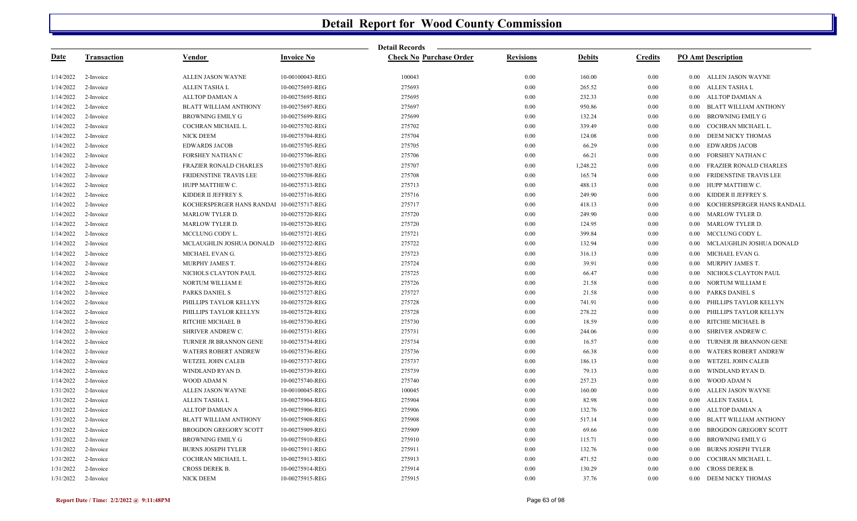|           |             |                               |                   | <b>Detail Records</b>          |                  |               |                |                                      |
|-----------|-------------|-------------------------------|-------------------|--------------------------------|------------------|---------------|----------------|--------------------------------------|
| Date      | Transaction | Vendor                        | <b>Invoice No</b> | <b>Check No Purchase Order</b> | <b>Revisions</b> | <b>Debits</b> | <b>Credits</b> | <b>PO Amt Description</b>            |
| 1/14/2022 | 2-Invoice   | ALLEN JASON WAYNE             | 10-00100043-REG   | 100043                         | 0.00             | 160.00        | 0.00           | 0.00 ALLEN JASON WAYNE               |
| 1/14/2022 | 2-Invoice   | ALLEN TASHA L                 | 10-00275693-REG   | 275693                         | 0.00             | 265.52        | 0.00           | ALLEN TASHA L<br>0.00                |
| 1/14/2022 | 2-Invoice   | ALLTOP DAMIAN A               | 10-00275695-REG   | 275695                         | 0.00             | 232.33        | 0.00           | ALLTOP DAMIAN A<br>0.00              |
| 1/14/2022 | 2-Invoice   | <b>BLATT WILLIAM ANTHONY</b>  | 10-00275697-REG   | 275697                         | 0.00             | 950.86        | 0.00           | BLATT WILLIAM ANTHONY<br>0.00        |
| 1/14/2022 | 2-Invoice   | <b>BROWNING EMILY G</b>       | 10-00275699-REG   | 275699                         | $0.00\,$         | 132.24        | 0.00           | <b>BROWNING EMILY G</b><br>0.00      |
| 1/14/2022 | 2-Invoice   | COCHRAN MICHAEL L.            | 10-00275702-REG   | 275702                         | 0.00             | 339.49        | 0.00           | COCHRAN MICHAEL L.<br>0.00           |
| 1/14/2022 | 2-Invoice   | NICK DEEM                     | 10-00275704-REG   | 275704                         | 0.00             | 124.08        | 0.00           | DEEM NICKY THOMAS<br>0.00            |
| 1/14/2022 | 2-Invoice   | <b>EDWARDS JACOB</b>          | 10-00275705-REG   | 275705                         | $0.00\,$         | 66.29         | 0.00           | <b>EDWARDS JACOB</b><br>$0.00\,$     |
| 1/14/2022 | 2-Invoice   | <b>FORSHEY NATHAN C</b>       | 10-00275706-REG   | 275706                         | 0.00             | 66.21         | 0.00           | <b>FORSHEY NATHAN C</b><br>0.00      |
| 1/14/2022 | 2-Invoice   | <b>FRAZIER RONALD CHARLES</b> | 10-00275707-REG   | 275707                         | 0.00             | 1,248.22      | 0.00           | FRAZIER RONALD CHARLES<br>0.00       |
| 1/14/2022 | 2-Invoice   | FRIDENSTINE TRAVIS LEE        | 10-00275708-REG   | 275708                         | $0.00\,$         | 165.74        | 0.00           | FRIDENSTINE TRAVIS LEE<br>0.00       |
| 1/14/2022 | 2-Invoice   | HUPP MATTHEW C.               | 10-00275713-REG   | 275713                         | 0.00             | 488.13        | 0.00           | HUPP MATTHEW C.<br>0.00              |
| 1/14/2022 | 2-Invoice   | KIDDER II JEFFREY S.          | 10-00275716-REG   | 275716                         | 0.00             | 249.90        | 0.00           | KIDDER II JEFFREY S.<br>0.00         |
| 1/14/2022 | 2-Invoice   | KOCHERSPERGER HANS RANDAl     | 10-00275717-REG   | 275717                         | 0.00             | 418.13        | 0.00           | KOCHERSPERGER HANS RANDALL<br>0.00   |
| 1/14/2022 | 2-Invoice   | <b>MARLOW TYLER D.</b>        | 10-00275720-REG   | 275720                         | 0.00             | 249.90        | 0.00           | <b>MARLOW TYLER D.</b><br>0.00       |
| 1/14/2022 | 2-Invoice   | <b>MARLOW TYLER D.</b>        | 10-00275720-REG   | 275720                         | 0.00             | 124.95        | 0.00           | <b>MARLOW TYLER D.</b><br>0.00       |
| 1/14/2022 | 2-Invoice   | MCCLUNG CODY L.               | 10-00275721-REG   | 275721                         | 0.00             | 399.84        | 0.00           | MCCLUNG CODY L.<br>0.00              |
| 1/14/2022 | 2-Invoice   | MCLAUGHLIN JOSHUA DONALD      | 10-00275722-REG   | 275722                         | 0.00             | 132.94        | 0.00           | MCLAUGHLIN JOSHUA DONALD<br>0.00     |
| 1/14/2022 | 2-Invoice   | MICHAEL EVAN G.               | 10-00275723-REG   | 275723                         | 0.00             | 316.13        | 0.00           | MICHAEL EVAN G.<br>0.00              |
| 1/14/2022 | 2-Invoice   | MURPHY JAMES T.               | 10-00275724-REG   | 275724                         | 0.00             | 39.91         | 0.00           | MURPHY JAMES T.<br>0.00              |
| 1/14/2022 | 2-Invoice   | NICHOLS CLAYTON PAUL          | 10-00275725-REG   | 275725                         | 0.00             | 66.47         | 0.00           | NICHOLS CLAYTON PAUL<br>0.00         |
| 1/14/2022 | 2-Invoice   | NORTUM WILLIAM E              | 10-00275726-REG   | 275726                         | 0.00             | 21.58         | 0.00           | NORTUM WILLIAM E<br>0.00             |
| 1/14/2022 | 2-Invoice   | PARKS DANIEL S                | 10-00275727-REG   | 275727                         | 0.00             | 21.58         | 0.00           | <b>PARKS DANIEL S</b><br>0.00        |
| 1/14/2022 | 2-Invoice   | PHILLIPS TAYLOR KELLYN        | 10-00275728-REG   | 275728                         | 0.00             | 741.91        | 0.00           | PHILLIPS TAYLOR KELLYN<br>0.00       |
| 1/14/2022 | 2-Invoice   | PHILLIPS TAYLOR KELLYN        | 10-00275728-REG   | 275728                         | 0.00             | 278.22        | 0.00           | PHILLIPS TAYLOR KELLYN<br>0.00       |
| 1/14/2022 | 2-Invoice   | RITCHIE MICHAEL B             | 10-00275730-REG   | 275730                         | 0.00             | 18.59         | 0.00           | RITCHIE MICHAEL B<br>$0.00\,$        |
| 1/14/2022 | 2-Invoice   | SHRIVER ANDREW C.             | 10-00275731-REG   | 275731                         | 0.00             | 244.06        | 0.00           | <b>SHRIVER ANDREW C.</b><br>0.00     |
| 1/14/2022 | 2-Invoice   | TURNER JR BRANNON GENE        | 10-00275734-REG   | 275734                         | 0.00             | 16.57         | 0.00           | TURNER JR BRANNON GENE<br>0.00       |
| 1/14/2022 | 2-Invoice   | <b>WATERS ROBERT ANDREW</b>   | 10-00275736-REG   | 275736                         | 0.00             | 66.38         | 0.00           | <b>WATERS ROBERT ANDREW</b><br>0.00  |
| 1/14/2022 | 2-Invoice   | WETZEL JOHN CALEB             | 10-00275737-REG   | 275737                         | 0.00             | 186.13        | 0.00           | WETZEL JOHN CALEB<br>0.00            |
| 1/14/2022 | 2-Invoice   | WINDLAND RYAN D.              | 10-00275739-REG   | 275739                         | 0.00             | 79.13         | 0.00           | WINDLAND RYAN D.<br>0.00             |
| 1/14/2022 | 2-Invoice   | WOOD ADAM N                   | 10-00275740-REG   | 275740                         | 0.00             | 257.23        | 0.00           | WOOD ADAM N<br>$0.00\,$              |
| 1/31/2022 | 2-Invoice   | ALLEN JASON WAYNE             | 10-00100045-REG   | 100045                         | 0.00             | 160.00        | 0.00           | ALLEN JASON WAYNE<br>0.00            |
| 1/31/2022 | 2-Invoice   | ALLEN TASHA L                 | 10-00275904-REG   | 275904                         | 0.00             | 82.98         | 0.00           | ALLEN TASHA L<br>$0.00\,$            |
| 1/31/2022 | 2-Invoice   | ALLTOP DAMIAN A               | 10-00275906-REG   | 275906                         | 0.00             | 132.76        | 0.00           | ALLTOP DAMIAN A<br>$0.00\,$          |
| 1/31/2022 | 2-Invoice   | <b>BLATT WILLIAM ANTHONY</b>  | 10-00275908-REG   | 275908                         | 0.00             | 517.14        | 0.00           | <b>BLATT WILLIAM ANTHONY</b><br>0.00 |
| 1/31/2022 | 2-Invoice   | <b>BROGDON GREGORY SCOTT</b>  | 10-00275909-REG   | 275909                         | 0.00             | 69.66         | 0.00           | <b>BROGDON GREGORY SCOTT</b><br>0.00 |
| 1/31/2022 | 2-Invoice   | <b>BROWNING EMILY G</b>       | 10-00275910-REG   | 275910                         | 0.00             | 115.71        | 0.00           | <b>BROWNING EMILY G</b><br>0.00      |
| 1/31/2022 | 2-Invoice   | <b>BURNS JOSEPH TYLER</b>     | 10-00275911-REG   | 275911                         | 0.00             | 132.76        | 0.00           | <b>BURNS JOSEPH TYLER</b><br>0.00    |
| 1/31/2022 | 2-Invoice   | COCHRAN MICHAEL L.            | 10-00275913-REG   | 275913                         | 0.00             | 471.52        | 0.00           | 0.00<br>COCHRAN MICHAEL L.           |
| 1/31/2022 | 2-Invoice   | CROSS DEREK B.                | 10-00275914-REG   | 275914                         | 0.00             | 130.29        | 0.00           | <b>CROSS DEREK B.</b><br>0.00        |
| 1/31/2022 | 2-Invoice   | <b>NICK DEEM</b>              | 10-00275915-REG   | 275915                         | 0.00             | 37.76         | 0.00           | DEEM NICKY THOMAS<br>0.00            |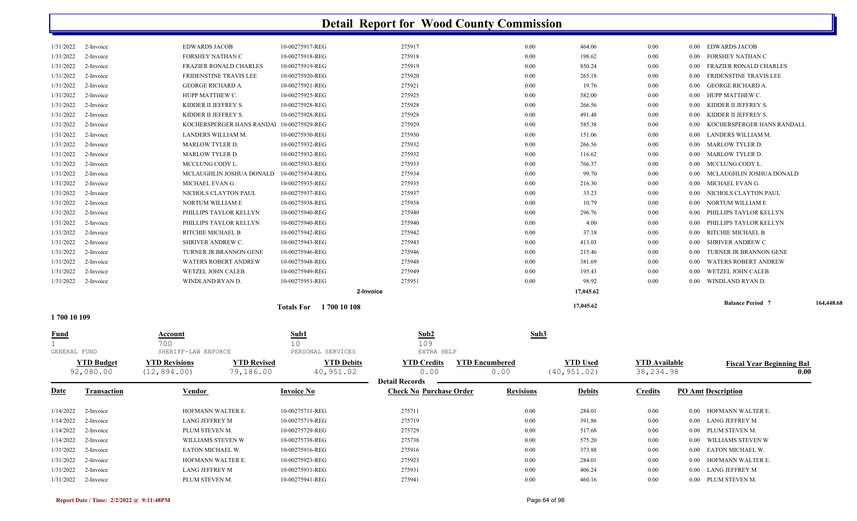| 1/31/2022              | 2-Invoice                      | LANG JEFFREY M                                                          | 10-00275931-REG                               | 275931                                                  | 0.00                          | 406.24                          | 0.00                              | 0.00 LANG JEFFREY M                                                     |            |
|------------------------|--------------------------------|-------------------------------------------------------------------------|-----------------------------------------------|---------------------------------------------------------|-------------------------------|---------------------------------|-----------------------------------|-------------------------------------------------------------------------|------------|
| 1/31/2022              | 2-Invoice                      | HOFMANN WALTER E.                                                       | 10-00275923-REG                               | 275923                                                  | 0.00                          | 284.01                          | 0.00                              | 0.00 HOFMANN WALTER E.                                                  |            |
| 1/31/2022              | 2-Invoice                      | EATON MICHAEL W.                                                        | 10-00275916-REG                               | 275916                                                  | 0.00                          | 373.88                          | $0.00\,$                          | 0.00 EATON MICHAEL W.                                                   |            |
| 1/14/2022              | 2-Invoice                      | WILLIAMS STEVEN W                                                       | 10-00275738-REG                               | 275738                                                  | 0.00                          | 575.20                          | $0.00\,$                          | 0.00 WILLIAMS STEVEN W                                                  |            |
| 1/14/2022              | 2-Invoice                      | PLUM STEVEN M.                                                          | 10-00275729-REG                               | 275729                                                  | 0.00                          | 517.68                          | $0.00\,$                          | 0.00 PLUM STEVEN M.                                                     |            |
| 1/14/2022              | 2-Invoice                      | LANG JEFFREY M                                                          | 10-00275719-REG                               | 275719                                                  | $0.00\,$                      | 391.86                          | 0.00                              | 0.00 LANG JEFFREY M                                                     |            |
| 1/14/2022              | 2-Invoice                      | HOFMANN WALTER E.                                                       | 10-00275711-REG                               | 275711                                                  | 0.00                          | 284.01                          | 0.00                              | 0.00 HOFMANN WALTER E.                                                  |            |
| <u>Date</u>            | <b>Transaction</b>             | <u>Vendor</u>                                                           | <b>Invoice No</b>                             | <b>Detail Records</b><br><b>Check No Purchase Order</b> | <b>Revisions</b>              | <b>Debits</b>                   | <b>Credits</b>                    | <b>PO Amt Description</b>                                               |            |
|                        | <b>YTD Budget</b><br>92,080.00 | <b>YTD Revised</b><br><b>YTD Revisions</b><br>79,186.00<br>(12, 894.00) | <b>YTD Debits</b><br>40,951.02                | <b>YTD Credits</b><br>0.00                              | <b>YTD Encumbered</b><br>0.00 | <b>YTD Used</b><br>(40, 951.02) | <b>YTD Available</b><br>38,234.98 | <b>Fiscal Year Beginning Bal</b>                                        | 0.00       |
| GENERAL FUND           |                                | SHERIFF-LAW ENFORCE                                                     | PERSONAL SERVICES                             | EXTRA HELP                                              |                               |                                 |                                   |                                                                         |            |
| Fund                   |                                | Account<br>700                                                          | Sub1<br>10 <sup>°</sup>                       | Sub2<br>109                                             | Sub3                          |                                 |                                   |                                                                         |            |
| 1700 10 109            |                                |                                                                         |                                               |                                                         |                               |                                 |                                   |                                                                         |            |
|                        |                                |                                                                         | 2-Invoice<br><b>Totals For</b><br>1700 10 108 |                                                         |                               | 17,045.62<br>17,045.62          |                                   | <b>Balance Period 7</b>                                                 | 164,448.68 |
| 1/31/2022              | 2-Invoice                      | WINDLAND RYAN D.                                                        | 10-00275951-REG                               | 275951                                                  | 0.00                          | 98.92                           | 0.00                              | WINDLAND RYAN D.<br>0.00                                                |            |
| 1/31/2022              | 2-Invoice                      | WETZEL JOHN CALEB                                                       | 10-00275949-REG                               | 275949                                                  | 0.00                          | 195.43                          | 0.00                              | <b>WETZEL JOHN CALEB</b><br>0.00                                        |            |
| 1/31/2022              | 2-Invoice                      | <b>WATERS ROBERT ANDREW</b>                                             | 10-00275948-REG                               | 275948                                                  | 0.00                          | 381.69                          | $0.00\,$                          | <b>WATERS ROBERT ANDREW</b><br>0.00                                     |            |
| 1/31/2022              | 2-Invoice                      | TURNER JR BRANNON GENE                                                  | 10-00275946-REG                               | 275946                                                  | 0.00                          | 215.46                          | $0.00\,$                          | TURNER JR BRANNON GENE<br>0.00                                          |            |
| 1/31/2022              | 2-Invoice                      | SHRIVER ANDREW C.                                                       | 10-00275943-REG                               | 275943                                                  | 0.00                          | 413.03                          | 0.00                              | <b>SHRIVER ANDREW C.</b><br>0.00                                        |            |
| 1/31/2022              | 2-Invoice                      | RITCHIE MICHAEL B                                                       | 10-00275942-REG                               | 275942                                                  | 0.00                          | 37.18                           | 0.00                              | RITCHIE MICHAEL B<br>0.00                                               |            |
| 1/31/2022              | 2-Invoice                      | PHILLIPS TAYLOR KELLYN                                                  | 10-00275940-REG                               | 275940                                                  | 0.00                          | 4.00                            | 0.00                              | PHILLIPS TAYLOR KELLYN<br>0.00                                          |            |
| 1/31/2022              | 2-Invoice                      | PHILLIPS TAYLOR KELLYN                                                  | 10-00275940-REG                               | 275940                                                  | 0.00                          | 296.76                          | 0.00                              | PHILLIPS TAYLOR KELLYN<br>0.00                                          |            |
| 1/31/2022              | 2-Invoice                      | NORTUM WILLIAM E                                                        | 10-00275938-REG                               | 275938                                                  | 0.00                          | 10.79                           | 0.00                              | NORTUM WILLIAM E<br>$0.00\,$                                            |            |
| 1/31/2022              | 2-Invoice                      | NICHOLS CLAYTON PAUL                                                    | 10-00275937-REG                               | 275937                                                  | 0.00                          | 33.23                           | 0.00                              | NICHOLS CLAYTON PAUL<br>0.00                                            |            |
| 1/31/2022              | 2-Invoice                      | MICHAEL EVAN G.                                                         | 10-00275935-REG                               | 275935                                                  | 0.00                          | 216.30                          | 0.00                              | MICHAEL EVAN G.<br>0.00                                                 |            |
| 1/31/2022              | 2-Invoice                      | MCLAUGHLIN JOSHUA DONALD                                                | 10-00275934-REG                               | 275934                                                  | 0.00                          | 99.70                           | 0.00                              | MCLAUGHLIN JOSHUA DONALD<br>0.00                                        |            |
| 1/31/2022              | 2-Invoice                      | MCCLUNG CODY L.                                                         | 10-00275933-REG                               | 275933                                                  | 0.00                          | 766.37                          | 0.00                              | MCCLUNG CODY L.<br>$0.00\,$                                             |            |
| 1/31/2022              | 2-Invoice                      | MARLOW TYLER D.                                                         | 10-00275932-REG                               | 275932                                                  | 0.00                          | 116.62                          | $0.00\,$                          | MARLOW TYLER D.<br>$0.00\,$                                             |            |
| 1/31/2022              | 2-Invoice                      | MARLOW TYLER D.                                                         | 10-00275932-REG                               | 275932                                                  | 0.00                          | 266.56                          | $0.00\,$                          | MARLOW TYLER D.<br>$0.00\,$                                             |            |
| 1/31/2022              | 2-Invoice                      | LANDERS WILLIAM M.                                                      | 10-00275930-REG                               | 275930                                                  | 0.00                          | 151.06                          | $0.00\,$                          | LANDERS WILLIAM M.<br>0.00                                              |            |
| 1/31/2022              | 2-Invoice                      | KOCHERSPERGER HANS RANDAI                                               | 10-00275929-REG                               | 275929                                                  | 0.00                          | 585.38                          | 0.00                              | KOCHERSPERGER HANS RANDALL<br>0.00                                      |            |
| 1/31/2022              | 2-Invoice                      | KIDDER II JEFFREY S.                                                    | 10-00275928-REG                               | 275928                                                  | 0.00                          | 491.48                          | 0.00                              | KIDDER II JEFFREY S.<br>0.00                                            |            |
| 1/31/2022              | 2-Invoice                      | KIDDER II JEFFREY S.                                                    | 10-00275928-REG                               | 275928                                                  | 0.00                          | 266.56                          | 0.00                              | KIDDER II JEFFREY S.<br>0.00                                            |            |
| 1/31/2022              | 2-Invoice                      | HUPP MATTHEW C.                                                         | 10-00275925-REG                               | 275925                                                  | 0.00                          | 582.00                          | 0.00                              | HUPP MATTHEW C.<br>0.00                                                 |            |
| 1/31/2022              | 2-Invoice                      | <b>GEORGE RICHARD A</b>                                                 | 10-00275921-REG                               | 275921                                                  | 0.00                          | 19.76                           | 0.00                              | GEORGE RICHARD A.<br>0.00                                               |            |
| 1/31/2022<br>1/31/2022 | 2-Invoice<br>2-Invoice         | <b>FRAZIER RONALD CHARLES</b><br>FRIDENSTINE TRAVIS LEE                 | 10-00275919-REG<br>10-00275920-REG            | 275920                                                  | 0.00<br>0.00                  | 850.24<br>265.18                | 0.00<br>0.00                      | <b>FRAZIER RONALD CHARLES</b><br>0.00<br>FRIDENSTINE TRAVIS LEE<br>0.00 |            |
| 1/31/2022              | 2-Invoice                      | FORSHEY NATHAN C                                                        | 10-00275918-REG                               | 275918<br>275919                                        | 0.00                          | 198.62                          | 0.00                              | FORSHEY NATHAN C<br>0.00                                                |            |
|                        |                                |                                                                         |                                               |                                                         |                               |                                 |                                   |                                                                         |            |
| 1/31/2022              | 2-Invoice                      | <b>EDWARDS JACOB</b>                                                    | 10-00275917-REG                               | 275917                                                  | 0.00                          | 464.06                          | 0.00                              | 0.00 EDWARDS JACOB                                                      |            |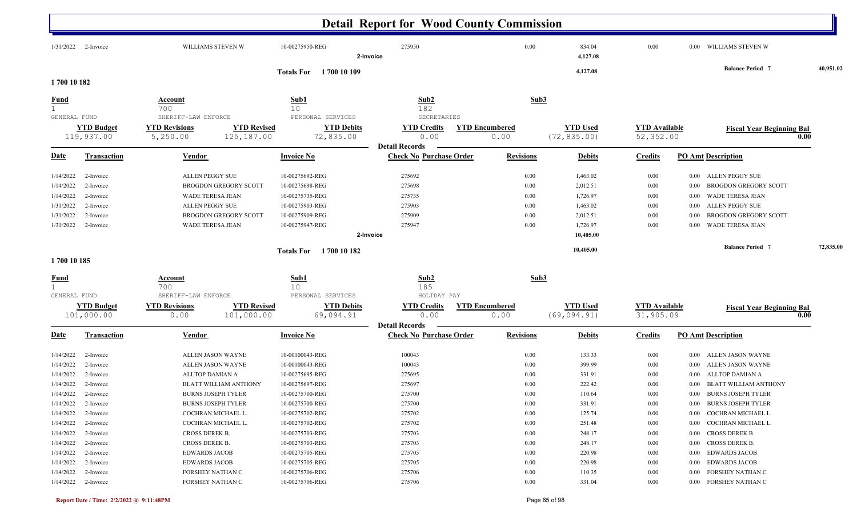|                                     |                                     |                                             |                                                    |                                                       | <b>Detail Report for Wood County Commission</b>     |                               |                                  |                                   |                           |                                                                     |           |
|-------------------------------------|-------------------------------------|---------------------------------------------|----------------------------------------------------|-------------------------------------------------------|-----------------------------------------------------|-------------------------------|----------------------------------|-----------------------------------|---------------------------|---------------------------------------------------------------------|-----------|
|                                     | 1/31/2022 2-Invoice                 |                                             | WILLIAMS STEVEN W                                  | 10-00275950-REG                                       | 275950<br>2-Invoice                                 | 0.00                          | 834.04<br>4,127.08               | 0.00                              |                           | 0.00 WILLIAMS STEVEN W                                              |           |
|                                     |                                     |                                             |                                                    | Totals For 1700 10 109                                |                                                     |                               | 4,127.08                         |                                   |                           | <b>Balance Period 7</b>                                             | 40,951.02 |
| 1700 10 182                         |                                     |                                             |                                                    |                                                       |                                                     |                               |                                  |                                   |                           |                                                                     |           |
| <b>Fund</b><br>$\mathbf{1}$         |                                     | <b>Account</b><br>700                       |                                                    | Sub1<br>10                                            | Sub <sub>2</sub><br>182                             | Sub3                          |                                  |                                   |                           |                                                                     |           |
| GENERAL FUND                        | <b>YTD Budget</b>                   | SHERIFF-LAW ENFORCE<br><b>YTD Revisions</b> | <b>YTD Revised</b>                                 | PERSONAL SERVICES<br><b>YTD Debits</b>                | SECRETARIES<br><b>YTD Credits</b>                   | <b>YTD Encumbered</b>         | <b>YTD Used</b>                  | <b>YTD</b> Available              |                           |                                                                     |           |
|                                     | 119,937.00                          | 5,250.00                                    | 125,187.00                                         | 72,835.00                                             | 0.00<br><b>Detail Records</b>                       | 0.00                          | (72, 835.00)                     | 52,352.00                         |                           | <b>Fiscal Year Beginning Bal</b>                                    | 0.00      |
| <u>Date</u>                         | <b>Transaction</b>                  | <b>Vendor</b>                               |                                                    | <b>Invoice No</b>                                     | <b>Check No Purchase Order</b>                      | <b>Revisions</b>              | <b>Debits</b>                    | <b>Credits</b>                    | <b>PO Amt Description</b> |                                                                     |           |
| 1/14/2022<br>1/14/2022              | 2-Invoice<br>2-Invoice              | ALLEN PEGGY SUE                             | <b>BROGDON GREGORY SCOTT</b>                       | 10-00275692-REG<br>10-00275698-REG                    | 275692<br>275698                                    | 0.00<br>0.00                  | 1,463.02<br>2,012.51             | $0.00\,$<br>0.00                  | 0.00<br>0.00              | ALLEN PEGGY SUE<br>BROGDON GREGORY SCOTT                            |           |
| 1/14/2022<br>1/31/2022<br>1/31/2022 | 2-Invoice<br>2-Invoice<br>2-Invoice | ALLEN PEGGY SUE                             | WADE TERESA JEAN<br><b>BROGDON GREGORY SCOTT</b>   | 10-00275735-REG<br>10-00275903-REG<br>10-00275909-REG | 275735<br>275903<br>275909                          | 0.00<br>0.00<br>0.00          | 1,726.97<br>1,463.02<br>2,012.51 | 0.00<br>0.00<br>$0.00\,$          | 0.00<br>0.00<br>0.00      | WADE TERESA JEAN<br>ALLEN PEGGY SUE<br><b>BROGDON GREGORY SCOTT</b> |           |
| 1/31/2022                           | 2-Invoice                           |                                             | WADE TERESA JEAN                                   | 10-00275947-REG                                       | 275947<br>2-Invoice                                 | 0.00                          | 1,726.97<br>10,405.00            | 0.00                              | 0.00                      | WADE TERESA JEAN                                                    |           |
|                                     |                                     |                                             |                                                    | 1700 10 182<br><b>Totals For</b>                      |                                                     |                               | 10,405.00                        |                                   |                           | <b>Balance Period 7</b>                                             | 72,835.00 |
| 1700 10 185                         |                                     |                                             |                                                    |                                                       |                                                     |                               |                                  |                                   |                           |                                                                     |           |
| <b>Fund</b><br>$\mathbf{1}$         |                                     | <b>Account</b><br>700                       |                                                    | Sub1<br>10                                            | Sub <sub>2</sub><br>185                             | Sub3                          |                                  |                                   |                           |                                                                     |           |
| GENERAL FUND                        |                                     | SHERIFF-LAW ENFORCE                         |                                                    | PERSONAL SERVICES                                     | HOLIDAY PAY                                         |                               |                                  |                                   |                           |                                                                     |           |
|                                     | <b>YTD Budget</b><br>101,000.00     | <b>YTD Revisions</b><br>0.00                | <b>YTD Revised</b><br>101,000.00                   | <b>YTD Debits</b><br>69,094.91                        | <b>YTD Credits</b><br>0.00<br><b>Detail Records</b> | <b>YTD Encumbered</b><br>0.00 | <b>YTD Used</b><br>(69, 094.91)  | <b>YTD</b> Available<br>31,905.09 |                           | <b>Fiscal Year Beginning Bal</b>                                    | 0.00      |
| <u>Date</u>                         | <b>Transaction</b>                  | <b>Vendor</b>                               |                                                    | <b>Invoice No</b>                                     | <b>Check No Purchase Order</b>                      | <b>Revisions</b>              | <b>Debits</b>                    | <b>Credits</b>                    | <b>PO Amt Description</b> |                                                                     |           |
| 1/14/2022                           | 2-Invoice                           |                                             | ALLEN JASON WAYNE                                  | 10-00100043-REG                                       | 100043                                              | 0.00                          | 133.33                           | $0.00\,$                          | 0.00                      | ALLEN JASON WAYNE                                                   |           |
| 1/14/2022                           | 2-Invoice                           |                                             | ALLEN JASON WAYNE                                  | 10-00100043-REG                                       | 100043                                              | 0.00                          | 399.99                           | $0.00\,$                          | 0.00                      | <b>ALLEN JASON WAYNE</b>                                            |           |
| 1/14/2022                           | 2-Invoice                           | ALLTOP DAMIAN A                             |                                                    | 10-00275695-REG                                       | 275695<br>275697                                    | 0.00<br>0.00                  | 331.91<br>222.42                 | 0.00<br>0.00                      | 0.00                      | ALLTOP DAMIAN A                                                     |           |
| 1/14/2022                           | 2-Invoice<br>1/14/2022 2-Invoice    |                                             | BLATT WILLIAM ANTHONY<br><b>BURNS JOSEPH TYLER</b> | 10-00275697-REG<br>10-00275700-REG                    | 275700                                              | 0.00                          | 110.64                           | 0.00                              | 0.00                      | BLATT WILLIAM ANTHONY<br>0.00 BURNS JOSEPH TYLER                    |           |
|                                     | $1/14/2022$ 2-Invoice               |                                             | <b>BURNS JOSEPH TYLER</b>                          | 10-00275700-REG                                       | 275700                                              | 0.00                          | 331.91                           | $0.00\,$                          |                           | 0.00 BURNS JOSEPH TYLER                                             |           |
| 1/14/2022                           | 2-Invoice                           |                                             | COCHRAN MICHAEL L.                                 | 10-00275702-REG                                       | 275702                                              | 0.00                          | 125.74                           | $0.00\,$                          |                           | 0.00 COCHRAN MICHAEL L.                                             |           |
|                                     | $1/14/2022$ 2-Invoice               |                                             | COCHRAN MICHAEL L.                                 | 10-00275702-REG                                       | 275702                                              | 0.00                          | 251.48                           | $0.00\,$                          |                           | 0.00 COCHRAN MICHAEL L.                                             |           |
|                                     | $1/14/2022$ 2-Invoice               | CROSS DEREK B.                              |                                                    | 10-00275703-REG                                       | 275703                                              | 0.00                          | 248.17                           | $0.00\,$                          |                           | 0.00 CROSS DEREK B.                                                 |           |
| 1/14/2022                           | 2-Invoice                           | CROSS DEREK B.                              |                                                    | 10-00275703-REG                                       | 275703                                              | 0.00                          | 248.17                           | $0.00\,$                          |                           | 0.00 CROSS DEREK B.                                                 |           |
| 1/14/2022                           | 2-Invoice                           | <b>EDWARDS JACOB</b>                        |                                                    | 10-00275705-REG                                       | 275705                                              | 0.00                          | 220.98                           | $0.00\,$                          |                           | 0.00 EDWARDS JACOB                                                  |           |
| 1/14/2022                           | 2-Invoice                           | <b>EDWARDS JACOB</b>                        |                                                    | 10-00275705-REG                                       | 275705                                              | 0.00                          | 220.98                           | $0.00\,$                          |                           | 0.00 EDWARDS JACOB                                                  |           |
| 1/14/2022                           | 2-Invoice                           |                                             | FORSHEY NATHAN C                                   | 10-00275706-REG                                       | 275706                                              | 0.00                          | 110.35                           | $0.00\,$                          |                           | 0.00 FORSHEY NATHAN C                                               |           |
|                                     | $1/14/2022$ 2-Invoice               |                                             | FORSHEY NATHAN C                                   | 10-00275706-REG                                       | 275706                                              | 0.00                          | 331.04                           | $0.00\,$                          |                           | 0.00 FORSHEY NATHAN C                                               |           |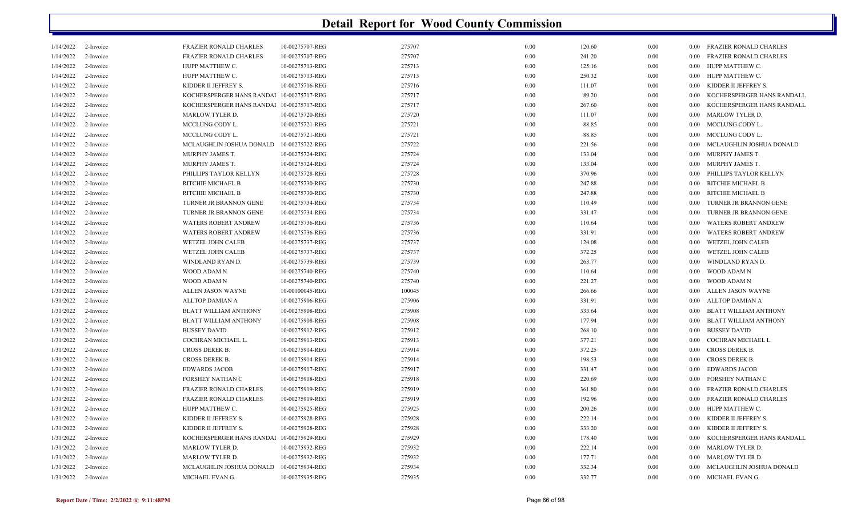| 1/14/2022 | 2-Invoice | <b>FRAZIER RONALD CHARLES</b>             | 10-00275707-REG | 275707 | 0.00     | 120.60 | 0.00 |          | 0.00 FRAZIER RONALD CHARLES   |
|-----------|-----------|-------------------------------------------|-----------------|--------|----------|--------|------|----------|-------------------------------|
| 1/14/2022 | 2-Invoice | <b>FRAZIER RONALD CHARLES</b>             | 10-00275707-REG | 275707 | 0.00     | 241.20 | 0.00 | 0.00     | <b>FRAZIER RONALD CHARLES</b> |
| 1/14/2022 | 2-Invoice | HUPP MATTHEW C.                           | 10-00275713-REG | 275713 | 0.00     | 125.16 | 0.00 | 0.00     | HUPP MATTHEW C.               |
| 1/14/2022 | 2-Invoice | HUPP MATTHEW C.                           | 10-00275713-REG | 275713 | 0.00     | 250.32 | 0.00 | 0.00     | HUPP MATTHEW C.               |
| 1/14/2022 | 2-Invoice | KIDDER II JEFFREY S.                      | 10-00275716-REG | 275716 | 0.00     | 111.07 | 0.00 | 0.00     | KIDDER II JEFFREY S.          |
| 1/14/2022 | 2-Invoice | KOCHERSPERGER HANS RANDAl 10-00275717-REG |                 | 275717 | 0.00     | 89.20  | 0.00 | 0.00     | KOCHERSPERGER HANS RANDALL    |
| 1/14/2022 | 2-Invoice | KOCHERSPERGER HANS RANDAl 10-00275717-REG |                 | 275717 | $0.00\,$ | 267.60 | 0.00 | 0.00     | KOCHERSPERGER HANS RANDALL    |
| 1/14/2022 | 2-Invoice | MARLOW TYLER D.                           | 10-00275720-REG | 275720 | 0.00     | 111.07 | 0.00 | 0.00     | <b>MARLOW TYLER D.</b>        |
| 1/14/2022 | 2-Invoice | MCCLUNG CODY L.                           | 10-00275721-REG | 275721 | 0.00     | 88.85  | 0.00 | 0.00     | MCCLUNG CODY L.               |
| 1/14/2022 | 2-Invoice | MCCLUNG CODY L.                           | 10-00275721-REG | 275721 | 0.00     | 88.85  | 0.00 | 0.00     | MCCLUNG CODY L.               |
| 1/14/2022 | 2-Invoice | MCLAUGHLIN JOSHUA DONALD                  | 10-00275722-REG | 275722 | 0.00     | 221.56 | 0.00 | 0.00     | MCLAUGHLIN JOSHUA DONALD      |
| 1/14/2022 | 2-Invoice | MURPHY JAMES T.                           | 10-00275724-REG | 275724 | 0.00     | 133.04 | 0.00 | $0.00\,$ | MURPHY JAMES T.               |
| 1/14/2022 | 2-Invoice | MURPHY JAMES T.                           | 10-00275724-REG | 275724 | 0.00     | 133.04 | 0.00 | $0.00\,$ | MURPHY JAMES T.               |
| 1/14/2022 | 2-Invoice | PHILLIPS TAYLOR KELLYN                    | 10-00275728-REG | 275728 | 0.00     | 370.96 | 0.00 |          | 0.00 PHILLIPS TAYLOR KELLYN   |
| 1/14/2022 | 2-Invoice | RITCHIE MICHAEL B                         | 10-00275730-REG | 275730 | 0.00     | 247.88 | 0.00 | 0.00     | RITCHIE MICHAEL B             |
| 1/14/2022 | 2-Invoice | RITCHIE MICHAEL B                         | 10-00275730-REG | 275730 | 0.00     | 247.88 | 0.00 | 0.00     | RITCHIE MICHAEL B             |
| 1/14/2022 | 2-Invoice | TURNER JR BRANNON GENE                    | 10-00275734-REG | 275734 | 0.00     | 110.49 | 0.00 | 0.00     | TURNER JR BRANNON GENE        |
| 1/14/2022 | 2-Invoice | TURNER JR BRANNON GENE                    | 10-00275734-REG | 275734 | 0.00     | 331.47 | 0.00 | 0.00     | TURNER JR BRANNON GENE        |
| 1/14/2022 | 2-Invoice | <b>WATERS ROBERT ANDREW</b>               | 10-00275736-REG | 275736 | 0.00     | 110.64 | 0.00 | 0.00     | <b>WATERS ROBERT ANDREW</b>   |
| 1/14/2022 | 2-Invoice | <b>WATERS ROBERT ANDREW</b>               | 10-00275736-REG | 275736 | 0.00     | 331.91 | 0.00 | 0.00     | <b>WATERS ROBERT ANDREW</b>   |
| 1/14/2022 | 2-Invoice | WETZEL JOHN CALEB                         | 10-00275737-REG | 275737 | 0.00     | 124.08 | 0.00 | 0.00     | WETZEL JOHN CALEB             |
| 1/14/2022 | 2-Invoice | WETZEL JOHN CALEB                         | 10-00275737-REG | 275737 | 0.00     | 372.25 | 0.00 | 0.00     | WETZEL JOHN CALEB             |
| 1/14/2022 | 2-Invoice | WINDLAND RYAN D.                          | 10-00275739-REG | 275739 | 0.00     | 263.77 | 0.00 | 0.00     | WINDLAND RYAN D.              |
| 1/14/2022 | 2-Invoice | WOOD ADAM N                               | 10-00275740-REG | 275740 | 0.00     | 110.64 | 0.00 | $0.00\,$ | WOOD ADAM N                   |
| 1/14/2022 | 2-Invoice | WOOD ADAM N                               | 10-00275740-REG | 275740 | 0.00     | 221.27 | 0.00 | 0.00     | WOOD ADAM N                   |
| 1/31/2022 | 2-Invoice | ALLEN JASON WAYNE                         | 10-00100045-REG | 100045 | 0.00     | 266.66 | 0.00 | 0.00     | ALLEN JASON WAYNE             |
| 1/31/2022 | 2-Invoice | ALLTOP DAMIAN A                           | 10-00275906-REG | 275906 | 0.00     | 331.91 | 0.00 | 0.00     | ALLTOP DAMIAN A               |
| 1/31/2022 | 2-Invoice | <b>BLATT WILLIAM ANTHONY</b>              | 10-00275908-REG | 275908 | 0.00     | 333.64 | 0.00 | 0.00     | <b>BLATT WILLIAM ANTHONY</b>  |
| 1/31/2022 | 2-Invoice | BLATT WILLIAM ANTHONY                     | 10-00275908-REG | 275908 | 0.00     | 177.94 | 0.00 | $0.00\,$ | BLATT WILLIAM ANTHONY         |
| 1/31/2022 | 2-Invoice | <b>BUSSEY DAVID</b>                       | 10-00275912-REG | 275912 | $0.00\,$ | 268.10 | 0.00 | $0.00\,$ | <b>BUSSEY DAVID</b>           |
| 1/31/2022 | 2-Invoice | COCHRAN MICHAEL L.                        | 10-00275913-REG | 275913 | 0.00     | 377.21 | 0.00 | 0.00     | COCHRAN MICHAEL L.            |
| 1/31/2022 | 2-Invoice | CROSS DEREK B.                            | 10-00275914-REG | 275914 | 0.00     | 372.25 | 0.00 | 0.00     | <b>CROSS DEREK B.</b>         |
| 1/31/2022 | 2-Invoice | CROSS DEREK B.                            | 10-00275914-REG | 275914 | 0.00     | 198.53 | 0.00 | 0.00     | <b>CROSS DEREK B.</b>         |
| 1/31/2022 | 2-Invoice | <b>EDWARDS JACOB</b>                      | 10-00275917-REG | 275917 | 0.00     | 331.47 | 0.00 | 0.00     | <b>EDWARDS JACOB</b>          |
| 1/31/2022 | 2-Invoice | FORSHEY NATHAN C                          | 10-00275918-REG | 275918 | $0.00\,$ | 220.69 | 0.00 | 0.00     | FORSHEY NATHAN C              |
| 1/31/2022 | 2-Invoice | <b>FRAZIER RONALD CHARLES</b>             | 10-00275919-REG | 275919 | 0.00     | 361.80 | 0.00 | 0.00     | <b>FRAZIER RONALD CHARLES</b> |
| 1/31/2022 | 2-Invoice | <b>FRAZIER RONALD CHARLES</b>             | 10-00275919-REG | 275919 | 0.00     | 192.96 | 0.00 | 0.00     | <b>FRAZIER RONALD CHARLES</b> |
| 1/31/2022 | 2-Invoice | HUPP MATTHEW C.                           | 10-00275925-REG | 275925 | 0.00     | 200.26 | 0.00 | 0.00     | HUPP MATTHEW C.               |
| 1/31/2022 | 2-Invoice | KIDDER II JEFFREY S.                      | 10-00275928-REG | 275928 | 0.00     | 222.14 | 0.00 | 0.00     | KIDDER II JEFFREY S.          |
| 1/31/2022 | 2-Invoice | KIDDER II JEFFREY S.                      | 10-00275928-REG | 275928 | 0.00     | 333.20 | 0.00 | 0.00     | KIDDER II JEFFREY S.          |
| 1/31/2022 | 2-Invoice | KOCHERSPERGER HANS RANDAl 10-00275929-REG |                 | 275929 | 0.00     | 178.40 | 0.00 | 0.00     | KOCHERSPERGER HANS RANDALL    |
| 1/31/2022 | 2-Invoice | <b>MARLOW TYLER D.</b>                    | 10-00275932-REG | 275932 | 0.00     | 222.14 | 0.00 | 0.00     | MARLOW TYLER D.               |
| 1/31/2022 | 2-Invoice | <b>MARLOW TYLER D</b>                     | 10-00275932-REG | 275932 | 0.00     | 177.71 | 0.00 | 0.00     | MARLOW TYLER D.               |
| 1/31/2022 | 2-Invoice | MCLAUGHLIN JOSHUA DONALD                  | 10-00275934-REG | 275934 | 0.00     | 332.34 | 0.00 | 0.00     | MCLAUGHLIN JOSHUA DONALD      |
| 1/31/2022 | 2-Invoice | MICHAEL EVAN G.                           | 10-00275935-REG | 275935 | 0.00     | 332.77 | 0.00 |          | 0.00 MICHAEL EVAN G.          |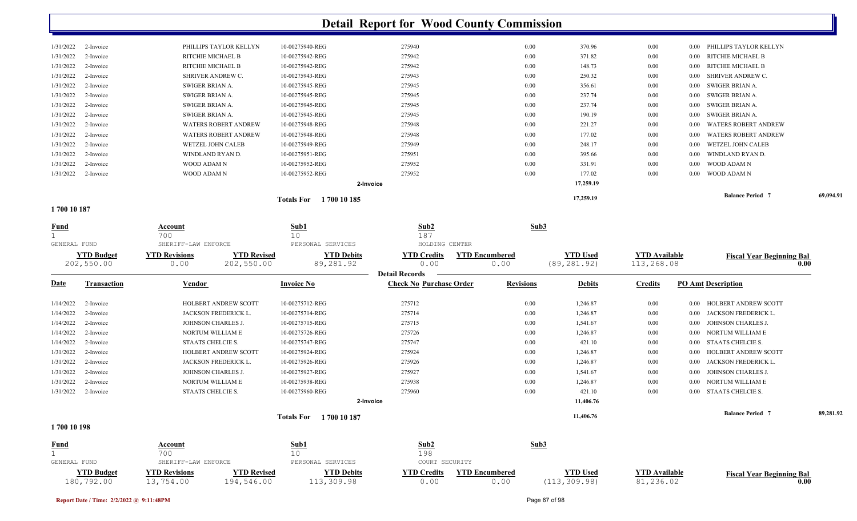|           |           |                             | 1700 10 185<br><b>Totals For</b> |        |      | 17,259.19 |          |          | <b>Balance Period</b> 7     | 69,094.91 |
|-----------|-----------|-----------------------------|----------------------------------|--------|------|-----------|----------|----------|-----------------------------|-----------|
|           |           |                             | 2-Invoice                        |        |      | 17,259.19 |          |          |                             |           |
| 1/31/2022 | 2-Invoice | WOOD ADAM N                 | 10-00275952-REG                  | 275952 | 0.00 | 177.02    | $0.00\,$ | 0.00     | WOOD ADAM N                 |           |
| 1/31/2022 | 2-Invoice | WOOD ADAM N                 | 10-00275952-REG                  | 275952 | 0.00 | 331.91    | 0.00     | 0.00     | WOOD ADAM N                 |           |
| 1/31/2022 | 2-Invoice | WINDLAND RYAN D.            | 10-00275951-REG                  | 275951 | 0.00 | 395.66    | $0.00\,$ | 0.00     | WINDLAND RYAN D.            |           |
| 1/31/2022 | 2-Invoice | WETZEL JOHN CALEB           | 10-00275949-REG                  | 275949 | 0.00 | 248.17    | $0.00\,$ | 0.00     | WETZEL JOHN CALEB           |           |
| 1/31/2022 | 2-Invoice | <b>WATERS ROBERT ANDREW</b> | 10-00275948-REG                  | 275948 | 0.00 | 177.02    | $0.00\,$ | 0.00     | <b>WATERS ROBERT ANDREW</b> |           |
| 1/31/2022 | 2-Invoice | <b>WATERS ROBERT ANDREW</b> | 10-00275948-REG                  | 275948 | 0.00 | 221.27    | $0.00\,$ | 0.00     | <b>WATERS ROBERT ANDREW</b> |           |
| 1/31/2022 | 2-Invoice | SWIGER BRIAN A.             | 10-00275945-REG                  | 275945 | 0.00 | 190.19    | $0.00\,$ | 0.00     | SWIGER BRIAN A.             |           |
| 1/31/2022 | 2-Invoice | SWIGER BRIAN A.             | 10-00275945-REG                  | 275945 | 0.00 | 237.74    | $0.00\,$ | 0.00     | SWIGER BRIAN A.             |           |
| 1/31/2022 | 2-Invoice | SWIGER BRIAN A.             | 10-00275945-REG                  | 275945 | 0.00 | 237.74    | $0.00\,$ | 0.00     | SWIGER BRIAN A.             |           |
| 1/31/2022 | 2-Invoice | SWIGER BRIAN A.             | 10-00275945-REG                  | 275945 | 0.00 | 356.61    | $0.00\,$ | 0.00     | SWIGER BRIAN A.             |           |
| 1/31/2022 | 2-Invoice | <b>SHRIVER ANDREW C.</b>    | 10-00275943-REG                  | 275943 | 0.00 | 250.32    | $0.00\,$ | 0.00     | SHRIVER ANDREW C.           |           |
| 1/31/2022 | 2-Invoice | RITCHIE MICHAEL B           | 10-00275942-REG                  | 275942 | 0.00 | 148.73    | $0.00\,$ | 0.00     | RITCHIE MICHAEL B           |           |
| 1/31/2022 | 2-Invoice | RITCHIE MICHAEL B           | 10-00275942-REG                  | 275942 | 0.00 | 371.82    | $0.00\,$ | $0.00\,$ | RITCHIE MICHAEL B           |           |
| 1/31/2022 | 2-Invoice | PHILLIPS TAYLOR KELLYN      | 10-00275940-REG                  | 275940 | 0.00 | 370.96    | 0.00     | 0.00     | PHILLIPS TAYLOR KELLYN      |           |
|           |           |                             |                                  |        |      |           |          |          |                             |           |

**1 700 10 187** 

| <b>Fund</b>  |                                 | Account<br>700                    |                                  | Sub1<br>10                       | Sub <sub>2</sub><br>187                             |                               | Sub3                             |                                    |                                     |           |
|--------------|---------------------------------|-----------------------------------|----------------------------------|----------------------------------|-----------------------------------------------------|-------------------------------|----------------------------------|------------------------------------|-------------------------------------|-----------|
| GENERAL FUND |                                 | SHERIFF-LAW ENFORCE               |                                  | PERSONAL SERVICES                | HOLDING CENTER                                      |                               |                                  |                                    |                                     |           |
|              | <b>YTD Budget</b><br>202,550.00 | <b>YTD Revisions</b><br>0.00      | <b>YTD Revised</b><br>202,550.00 | <b>YTD Debits</b><br>89,281.92   | <b>YTD Credits</b><br>0.00<br><b>Detail Records</b> | <b>YTD Encumbered</b><br>0.00 | <b>YTD Used</b><br>(89, 281.92)  | <b>YTD Available</b><br>113,268.08 | <b>Fiscal Year Beginning Bal</b>    | 0.00      |
| <u>Date</u>  | <b>Transaction</b>              | Vendor                            |                                  | <b>Invoice No</b>                | <b>Check No Purchase Order</b>                      | <b>Revisions</b>              | <b>Debits</b>                    | <b>Credits</b>                     | <b>PO Amt Description</b>           |           |
| 1/14/2022    | 2-Invoice                       |                                   | HOLBERT ANDREW SCOTT             | 10-00275712-REG                  | 275712                                              |                               | 0.00<br>1,246.87                 | 0.00                               | HOLBERT ANDREW SCOTT<br>0.00        |           |
| 1/14/2022    | 2-Invoice                       |                                   | <b>JACKSON FREDERICK L</b>       | 10-00275714-REG                  | 275714                                              |                               | 0.00<br>1,246.87                 | $0.00\,$                           | JACKSON FREDERICK L<br>0.00         |           |
| 1/14/2022    | 2-Invoice                       |                                   | JOHNSON CHARLES J.               | 10-00275715-REG                  | 275715                                              |                               | 0.00<br>1,541.67                 | $0.00\,$                           | JOHNSON CHARLES J.<br>0.00          |           |
| 1/14/2022    | 2-Invoice                       |                                   | NORTUM WILLIAM E                 | 10-00275726-REG                  | 275726                                              |                               | 0.00<br>1,246.87                 | $0.00\,$                           | NORTUM WILLIAM E<br>0.00            |           |
| 1/14/2022    | 2-Invoice                       | STAATS CHELCIE S.                 |                                  | 10-00275747-REG                  | 275747                                              |                               | 421.10<br>0.00                   | 0.00                               | <b>STAATS CHELCIE S.</b><br>0.00    |           |
| 1/31/2022    | 2-Invoice                       |                                   | HOLBERT ANDREW SCOTT             | 10-00275924-REG                  | 275924                                              |                               | 0.00<br>1,246.87                 | $0.00\,$                           | <b>HOLBERT ANDREW SCOTT</b><br>0.00 |           |
| 1/31/2022    | 2-Invoice                       |                                   | <b>JACKSON FREDERICK L</b>       | 10-00275926-REG                  | 275926                                              |                               | 0.00<br>1,246.87                 | $0.00\,$                           | JACKSON FREDERICK L<br>0.00         |           |
| 1/31/2022    | 2-Invoice                       |                                   | JOHNSON CHARLES J.               | 10-00275927-REG                  | 275927                                              |                               | 0.00<br>1,541.67                 | 0.00                               | <b>JOHNSON CHARLES J.</b><br>0.00   |           |
| 1/31/2022    | 2-Invoice                       |                                   | NORTUM WILLIAM E                 | 10-00275938-REG                  | 275938                                              |                               | 0.00<br>1,246.87                 | $0.00\,$                           | NORTUM WILLIAM E<br>0.00            |           |
| 1/31/2022    | 2-Invoice                       | STAATS CHELCIE S.                 |                                  | 10-00275960-REG                  | 275960                                              |                               | 0.00<br>421.10                   | 0.00                               | 0.00 STAATS CHELCIE S.              |           |
|              |                                 |                                   |                                  |                                  | 2-Invoice                                           |                               | 11,406.76                        |                                    |                                     |           |
|              |                                 |                                   |                                  | <b>Totals For</b><br>1700 10 187 |                                                     |                               | 11,406.76                        |                                    | <b>Balance Period 7</b>             | 89,281.92 |
| 1700 10 198  |                                 |                                   |                                  |                                  |                                                     |                               |                                  |                                    |                                     |           |
| <b>Fund</b>  |                                 | Account<br>700                    |                                  | Sub1<br>10                       | Sub <sub>2</sub><br>198                             |                               | Sub3                             |                                    |                                     |           |
| GENERAL FUND |                                 | SHERIFF-LAW ENFORCE               |                                  | PERSONAL SERVICES                | COURT SECURITY                                      |                               |                                  |                                    |                                     |           |
|              | <b>YTD Budget</b><br>180,792.00 | <b>YTD Revisions</b><br>13,754.00 | <b>YTD Revised</b><br>194,546.00 | <b>YTD Debits</b><br>113,309.98  | <b>YTD Credits</b><br>0.00                          | <b>YTD Encumbered</b><br>0.00 | <b>YTD Used</b><br>(113, 309.98) | <b>YTD</b> Available<br>81,236.02  | <b>Fiscal Year Beginning Bal</b>    | 0.00      |

180,792.00 13,754.00 194,546.00 113,309.98 0.00 0.00 (113,309.98) 81,236.02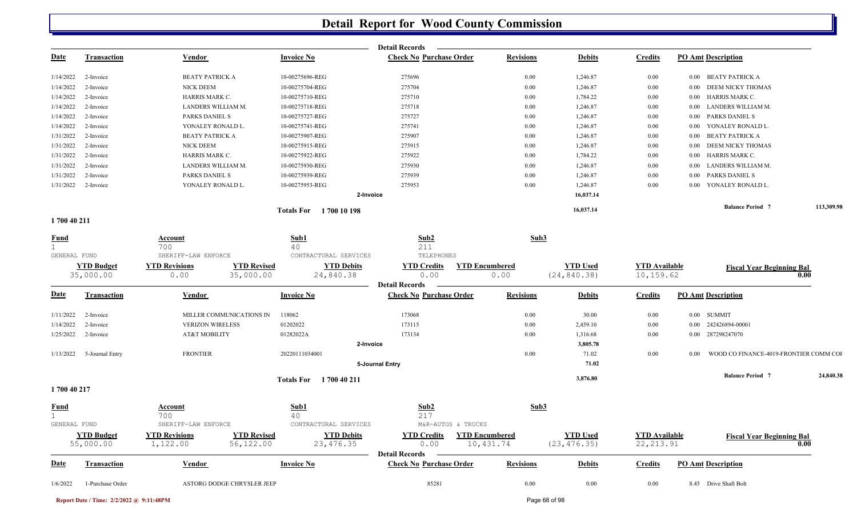|             |             |                        |                           | <b>Detail Records</b>          |                  |               |                |                                      |            |
|-------------|-------------|------------------------|---------------------------|--------------------------------|------------------|---------------|----------------|--------------------------------------|------------|
| <b>Date</b> | Transaction | Vendor                 | <b>Invoice No</b>         | <b>Check No Purchase Order</b> | <b>Revisions</b> | <b>Debits</b> | <b>Credits</b> | <b>PO Amt Description</b>            |            |
| 1/14/2022   | 2-Invoice   | <b>BEATY PATRICK A</b> | 10-00275696-REG           | 275696                         | 0.00             | 1,246.87      | $0.00\,$       | 0.00 BEATY PATRICK A                 |            |
| 1/14/2022   | 2-Invoice   | NICK DEEM              | 10-00275704-REG           | 275704                         | 0.00             | 1,246.87      | $0.00\,$       | 0.00 DEEM NICKY THOMAS               |            |
| 1/14/2022   | 2-Invoice   | HARRIS MARK C.         | 10-00275710-REG           | 275710                         | 0.00             | 1,784.22      | $0.00\,$       | HARRIS MARK C.<br>0.00               |            |
| 1/14/2022   | 2-Invoice   | LANDERS WILLIAM M.     | 10-00275718-REG           | 275718                         | 0.00             | 1,246.87      | $0.00\,$       | LANDERS WILLIAM M.<br>$0.00 \quad 1$ |            |
| 1/14/2022   | 2-Invoice   | <b>PARKS DANIEL S</b>  | 10-00275727-REG           | 275727                         | 0.00             | 1,246.87      | $0.00\,$       | 0.00 PARKS DANIEL S                  |            |
| 1/14/2022   | 2-Invoice   | YONALEY RONALD L.      | 10-00275741-REG           | 275741                         | 0.00             | 1,246.87      | $0.00\,$       | YONALEY RONALD L.<br>$0.00\,$        |            |
| 1/31/2022   | 2-Invoice   | <b>BEATY PATRICK A</b> | 10-00275907-REG           | 275907                         | 0.00             | 1,246.87      | $0.00\,$       | BEATY PATRICK A<br>$0.00\,$          |            |
| 1/31/2022   | 2-Invoice   | NICK DEEM              | 10-00275915-REG           | 275915                         | 0.00             | 1,246.87      | 0.00           | DEEM NICKY THOMAS<br>0.00            |            |
| 1/31/2022   | 2-Invoice   | HARRIS MARK C.         | 10-00275922-REG           | 275922                         | 0.00             | 1,784.22      | $0.00\,$       | HARRIS MARK C.<br>0.00               |            |
| 1/31/2022   | 2-Invoice   | LANDERS WILLIAM M.     | 10-00275930-REG           | 275930                         | 0.00             | 1,246.87      | $0.00\,$       | LANDERS WILLIAM M.<br>0.00           |            |
| 1/31/2022   | 2-Invoice   | PARKS DANIEL S         | 10-00275939-REG           | 275939                         | 0.00             | 1,246.87      | $0.00\,$       | 0.00 PARKS DANIEL S                  |            |
| 1/31/2022   | 2-Invoice   | YONALEY RONALD L.      | 10-00275953-REG           | 275953                         | 0.00             | 1,246.87      | $0.00\,$       | YONALEY RONALD L.<br>$0.00 -$        |            |
|             |             |                        |                           | 2-Invoice                      |                  | 16,037.14     |                |                                      |            |
|             |             |                        | Totals For<br>1700 10 198 |                                |                  | 16,037.14     |                | <b>Balance Period</b> 7              | 113,309.98 |

#### **1 700 40 211**

| <b>Fund</b>  |                                | Account                          |                                 | Sub1                             | Sub2                                                |                                    | Sub3                            |                                    |                                                |           |
|--------------|--------------------------------|----------------------------------|---------------------------------|----------------------------------|-----------------------------------------------------|------------------------------------|---------------------------------|------------------------------------|------------------------------------------------|-----------|
| GENERAL FUND |                                | 700<br>SHERIFF-LAW ENFORCE       |                                 | 40<br>CONTRACTURAL SERVICES      | 211<br>TELEPHONES                                   |                                    |                                 |                                    |                                                |           |
|              | <b>YTD Budget</b><br>35,000.00 | <b>YTD Revisions</b><br>0.00     | <b>YTD Revised</b><br>35,000.00 | <b>YTD Debits</b><br>24,840.38   | <b>YTD Credits</b><br>0.00<br><b>Detail Records</b> | <b>YTD Encumbered</b><br>0.00      | <b>YTD Used</b><br>(24, 840.38) | <b>YTD Available</b><br>10, 159.62 | <b>Fiscal Year Beginning Bal</b>               | 0.00      |
| <b>Date</b>  | <b>Transaction</b>             | <b>Vendor</b>                    |                                 | <b>Invoice No</b>                | <b>Check No Purchase Order</b>                      | <b>Revisions</b>                   | <b>Debits</b>                   | <b>Credits</b>                     | <b>PO Amt Description</b>                      |           |
| 1/11/2022    | 2-Invoice                      |                                  | MILLER COMMUNICATIONS IN        | 118062                           | 173068                                              | 0.00                               | 30.00                           | 0.00                               | $0.00$ SUMMIT                                  |           |
| 1/14/2022    | 2-Invoice                      | <b>VERIZON WIRELESS</b>          |                                 | 01202022                         | 173115                                              | 0.00                               | 2,459.10                        | 0.00                               | 242426894-00001<br>0.00                        |           |
| 1/25/2022    | 2-Invoice                      | <b>AT&amp;T MOBILITY</b>         |                                 | 01282022A                        | 173134                                              | 0.00                               | 1,316.68                        | 0.00                               | 287298247070<br>0.00                           |           |
|              |                                |                                  |                                 | 2-Invoice                        |                                                     |                                    | 3,805.78                        |                                    |                                                |           |
| 1/13/2022    | 5-Journal Entry                | <b>FRONTIER</b>                  |                                 | 20220111034001                   |                                                     | 0.00                               | 71.02                           | 0.00                               | WOOD CO FINANCE-4019-FRONTIER COMM COI<br>0.00 |           |
|              |                                |                                  |                                 |                                  | 5-Journal Entry                                     |                                    | 71.02                           |                                    |                                                |           |
| 1700 40 217  |                                |                                  |                                 | <b>Totals For</b><br>1700 40 211 |                                                     |                                    | 3,876.80                        |                                    | <b>Balance Period 7</b>                        | 24,840.38 |
| <b>Fund</b>  |                                | Account<br>700                   |                                 | Sub1<br>40                       | $\frac{\text{Sub2}}{217}$                           |                                    | Sub3                            |                                    |                                                |           |
| GENERAL FUND |                                | SHERIFF-LAW ENFORCE              |                                 | CONTRACTURAL SERVICES            |                                                     | M&R-AUTOS & TRUCKS                 |                                 |                                    |                                                |           |
|              | <b>YTD Budget</b><br>55,000.00 | <b>YTD Revisions</b><br>1,122.00 | <b>YTD Revised</b><br>56,122.00 | <b>YTD Debits</b><br>23, 476.35  | <b>YTD Credits</b><br>0.00<br><b>Detail Records</b> | <b>YTD Encumbered</b><br>10,431.74 | <b>YTD Used</b><br>(23, 476.35) | <b>YTD Available</b><br>22, 213.91 | <b>Fiscal Year Beginning Bal</b>               | 0.00      |
| <b>Date</b>  | Transaction                    | <b>Vendor</b>                    |                                 | <b>Invoice No</b>                | <b>Check No Purchase Order</b>                      | <b>Revisions</b>                   | <b>Debits</b>                   | <b>Credits</b>                     | <b>PO Amt Description</b>                      |           |
| 1/6/2022     | 1-Purchase Order               |                                  | ASTORG DODGE CHRYSLER JEEF      |                                  | 85281                                               | 0.00                               | 0.00                            | 0.00                               | 8.45 Drive Shaft Bolt                          |           |

**Report Date / Time: 2/2/2022 @ 9:11:48PM** Page 68 of 98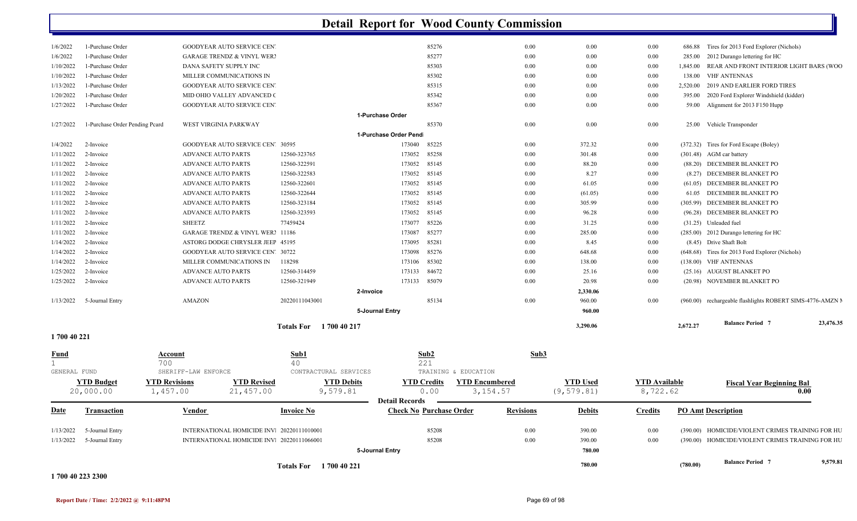|                        |                                      |                                                                     | <b>Totals For</b> 1700 40 221 |                                                         |                                    | 780.00                         |                                  | (780.00)           | <b>Balance Period 7</b>                                                                              | 9,579.81  |
|------------------------|--------------------------------------|---------------------------------------------------------------------|-------------------------------|---------------------------------------------------------|------------------------------------|--------------------------------|----------------------------------|--------------------|------------------------------------------------------------------------------------------------------|-----------|
|                        |                                      |                                                                     |                               | 5-Journal Entry                                         |                                    | 780.00                         |                                  |                    |                                                                                                      |           |
| 1/13/2022<br>1/13/2022 | 5-Journal Entry<br>5-Journal Entry   | INTERNATIONAL HOMICIDE INV. 20220111066001                          |                               | 85208                                                   | 0.00                               | 390.00                         | $0.00\,$<br>0.00                 |                    | (390.00) HOMICIDE/VIOLENT CRIMES TRAINING FOR HU<br>(390.00) HOMICIDE/VIOLENT CRIMES TRAINING FOR HU |           |
|                        |                                      | INTERNATIONAL HOMICIDE INV. 20220111010001                          |                               | 85208                                                   | 0.00                               | 390.00                         |                                  |                    |                                                                                                      |           |
| <u>Date</u>            | <b>Transaction</b>                   | <b>Vendor</b>                                                       | <b>Invoice No</b>             | <b>Detail Records</b><br><b>Check No Purchase Order</b> | <b>Revisions</b>                   | <b>Debits</b>                  | <b>Credits</b>                   |                    | <b>PO Amt Description</b>                                                                            |           |
|                        | <b>YTD Budget</b><br>20,000.00       | <b>YTD Revisions</b><br><b>YTD Revised</b><br>1,457.00<br>21,457.00 | <b>YTD Debits</b><br>9,579.81 | <b>YTD Credits</b><br>0.00                              | <b>YTD Encumbered</b><br>3, 154.57 | <b>YTD</b> Used<br>(9, 579.81) | <b>YTD</b> Available<br>8,722.62 |                    | <b>Fiscal Year Beginning Bal</b>                                                                     | 0.00      |
| GENERAL FUND           |                                      | SHERIFF-LAW ENFORCE                                                 | CONTRACTURAL SERVICES         | TRAINING & EDUCATION                                    |                                    |                                |                                  |                    |                                                                                                      |           |
| $\mathbf{1}$           |                                      | 700                                                                 | 40                            | 221                                                     |                                    |                                |                                  |                    |                                                                                                      |           |
| <u>Fund</u>            |                                      | Account                                                             | Sub1                          | Sub2                                                    | Sub3                               |                                |                                  |                    |                                                                                                      |           |
| 1700 40 221            |                                      |                                                                     |                               |                                                         |                                    |                                |                                  |                    |                                                                                                      |           |
|                        |                                      |                                                                     | Totals For 1 700 40 217       |                                                         |                                    | 3,290.06                       |                                  | 2,672.27           | <b>Balance Period 7</b>                                                                              | 23,476.35 |
|                        |                                      |                                                                     |                               | 5-Journal Entry                                         |                                    | 960.00                         |                                  |                    |                                                                                                      |           |
| 1/13/2022              | 5-Journal Entry                      | <b>AMAZON</b>                                                       | 20220111043001                | 85134                                                   | 0.00                               | 960.00                         | $0.00\,$                         |                    | (960.00) rechargeable flashlights ROBERT SIMS-4776-AMZN M                                            |           |
|                        |                                      |                                                                     |                               | 2-Invoice                                               |                                    | 2,330.06                       |                                  |                    |                                                                                                      |           |
| 1/25/2022              | 2-Invoice                            | <b>ADVANCE AUTO PARTS</b>                                           | 12560-321949                  | 173133<br>85079                                         | 0.00                               | 20.98                          | 0.00                             |                    | (20.98) NOVEMBER BLANKET PO                                                                          |           |
| 1/14/2022<br>1/25/2022 | 2-Invoice<br>2-Invoice               | MILLER COMMUNICATIONS IN<br><b>ADVANCE AUTO PARTS</b>               | 118298<br>12560-314459        | 173106<br>85302<br>173133<br>84672                      | 0.00<br>0.00                       | 138.00<br>25.16                | $0.00\,$<br>$0.00\,$             |                    | (138.00) VHF ANTENNAS<br>(25.16) AUGUST BLANKET PO                                                   |           |
| 1/14/2022              | 2-Invoice                            | GOODYEAR AUTO SERVICE CEN' 30722                                    |                               | 85276<br>173098                                         | 0.00                               | 648.68                         | $0.00\,$                         |                    | (648.68) Tires for 2013 Ford Explorer (Nichols)                                                      |           |
| 1/14/2022              | 2-Invoice                            | ASTORG DODGE CHRYSLER JEEF 45195                                    |                               | 173095<br>85281                                         | 0.00                               | 8.45                           | $0.00\,$                         |                    | (8.45) Drive Shaft Bolt                                                                              |           |
| 1/11/2022              | 2-Invoice                            | GARAGE TRENDZ & VINYL WER! 11186                                    |                               | 85277<br>173087                                         | 0.00                               | 285.00                         | $0.00\,$                         |                    | (285.00) 2012 Durango lettering for HC                                                               |           |
| 1/11/2022              | 2-Invoice                            | <b>SHEETZ</b>                                                       | 77459424                      | 85226<br>173077                                         | 0.00                               | 31.25                          | $0.00\,$                         |                    | (31.25) Unleaded fuel                                                                                |           |
| 1/11/2022              | 2-Invoice                            | <b>ADVANCE AUTO PARTS</b>                                           | 12560-323593                  | 173052<br>85145                                         | 0.00                               | 96.28                          | $0.00\,$                         |                    | (96.28) DECEMBER BLANKET PO                                                                          |           |
| 1/11/2022              | 2-Invoice                            | <b>ADVANCE AUTO PARTS</b>                                           | 12560-323184                  | 173052<br>85145                                         | 0.00                               | 305.99                         | $0.00\,$                         |                    | (305.99) DECEMBER BLANKET PO                                                                         |           |
| 1/11/2022              | 2-Invoice                            | <b>ADVANCE AUTO PARTS</b>                                           | 12560-322644                  | 85145<br>173052                                         | 0.00                               | (61.05)                        | $0.00\,$                         |                    | 61.05 DECEMBER BLANKET PO                                                                            |           |
| 1/11/2022              | 2-Invoice                            | ADVANCE AUTO PARTS                                                  | 12560-322601                  | 173052<br>85145                                         | 0.00                               | 61.05                          | 0.00                             |                    | (61.05) DECEMBER BLANKET PO                                                                          |           |
| 1/11/2022              | 2-Invoice                            | <b>ADVANCE AUTO PARTS</b>                                           | 12560-322583                  | 173052<br>85145                                         | 0.00                               | 8.27                           | $0.00\,$                         |                    | (8.27) DECEMBER BLANKET PO                                                                           |           |
| 1/11/2022              | 2-Invoice                            | <b>ADVANCE AUTO PARTS</b>                                           | 12560-322591                  | 173052<br>85145                                         | 0.00                               | 88.20                          | $0.00\,$                         |                    | (88.20) DECEMBER BLANKET PO                                                                          |           |
| 1/11/2022              | 2-Invoice                            | <b>ADVANCE AUTO PARTS</b>                                           | 12560-323765                  | 173052<br>85258                                         | 0.00                               | 301.48                         | $0.00\,$                         |                    | (301.48) AGM car battery                                                                             |           |
| 1/4/2022               | 2-Invoice                            | GOODYEAR AUTO SERVICE CEN' 30595                                    |                               | 173040<br>85225                                         | 0.00                               | 372.32                         | 0.00                             |                    | (372.32) Tires for Ford Escape (Boley)                                                               |           |
|                        |                                      |                                                                     |                               | 1-Purchase Order Pend                                   |                                    |                                |                                  |                    |                                                                                                      |           |
| 1/27/2022              | 1-Purchase Order Pending Pcard       | WEST VIRGINIA PARKWAY                                               |                               | 85370                                                   | 0.00                               | 0.00                           | $0.00\,$                         |                    | 25.00 Vehicle Transponder                                                                            |           |
|                        |                                      |                                                                     |                               | 1-Purchase Order                                        |                                    |                                |                                  |                    |                                                                                                      |           |
| 1/27/2022              | 1-Purchase Order                     | GOODYEAR AUTO SERVICE CEN'                                          |                               | 85367                                                   | 0.00                               | 0.00                           | $0.00\,$                         |                    | 59.00 Alignment for 2013 F150 Hupp                                                                   |           |
| 1/20/2022              | 1-Purchase Order                     | MID OHIO VALLEY ADVANCED O                                          |                               | 85342                                                   | 0.00                               | 0.00                           | 0.00                             | 395.00             | 2020 Ford Explorer Windshield (kidder)                                                               |           |
| 1/13/2022              | 1-Purchase Order                     | GOODYEAR AUTO SERVICE CEN'                                          |                               | 85315                                                   | 0.00                               | 0.00                           | $0.00\,$                         | 2,520.00           | 2019 AND EARLIER FORD TIRES                                                                          |           |
| 1/10/2022<br>1/10/2022 | 1-Purchase Order<br>1-Purchase Order | DANA SAFETY SUPPLY INC<br>MILLER COMMUNICATIONS IN                  |                               | 85303<br>85302                                          | 0.00<br>0.00                       | 0.00                           | $0.00\,$<br>$0.00\,$             | 1,845.00<br>138.00 | REAR AND FRONT INTERIOR LIGHT BARS (WOO<br><b>VHF ANTENNAS</b>                                       |           |
| 1/6/2022               | 1-Purchase Order                     | <b>GARAGE TRENDZ &amp; VINYL WER?</b>                               |                               | 85277                                                   | 0.00                               | 0.00<br>0.00                   | $0.00\,$                         | 285.00             | 2012 Durango lettering for HC                                                                        |           |
| 1/6/2022               | 1-Purchase Order                     | GOODYEAR AUTO SERVICE CEN                                           |                               | 85276                                                   | 0.00                               | 0.00                           | $0.00\,$                         | 686.88             | Tires for 2013 Ford Explorer (Nichols)                                                               |           |
|                        |                                      |                                                                     |                               |                                                         |                                    |                                |                                  |                    |                                                                                                      |           |

#### **1 700 40 223 2300**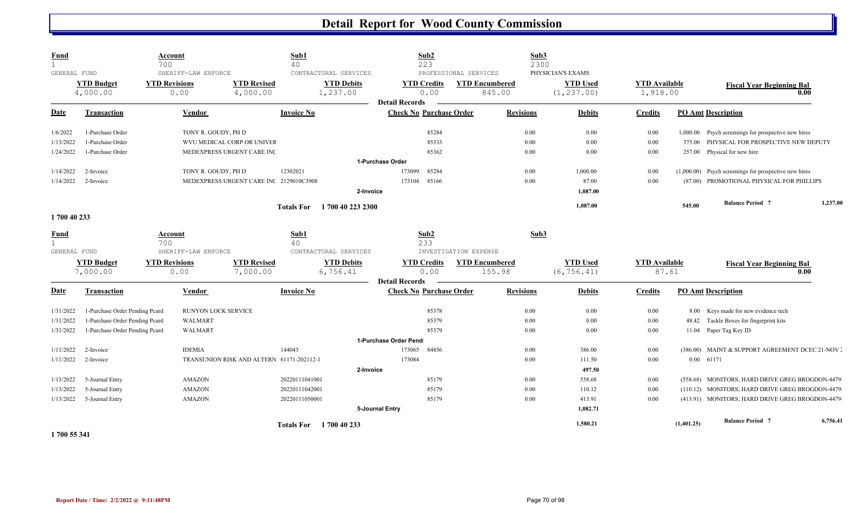| <b>Fund</b>  |                                | <b>Account</b>       |                     |                                           | Sub1                   |                               | Sub <sub>2</sub>               |                       | Sub3             |                                |                                  |            |                                                         |          |
|--------------|--------------------------------|----------------------|---------------------|-------------------------------------------|------------------------|-------------------------------|--------------------------------|-----------------------|------------------|--------------------------------|----------------------------------|------------|---------------------------------------------------------|----------|
|              |                                | 700                  |                     |                                           | 40                     |                               | 223                            |                       | 2300             |                                |                                  |            |                                                         |          |
| GENERAL FUND |                                |                      | SHERIFF-LAW ENFORCE |                                           |                        | CONTRACTURAL SERVICES         |                                | PROFESSIONAL SERVICES |                  | PHYSICIAN'S EXAMS              |                                  |            |                                                         |          |
|              | <b>YTD Budget</b><br>4,000.00  | <b>YTD Revisions</b> | 0.00                | <b>YTD Revised</b><br>4,000.00            |                        | <b>YTD Debits</b><br>1,237.00 | <b>YTD Credits</b><br>0.00     | <b>YTD Encumbered</b> | 845.00           | <b>YTD Used</b><br>(1, 237.00) | <b>YTD</b> Available<br>1,918.00 |            | <b>Fiscal Year Beginning Bal</b>                        | 0.00     |
|              |                                |                      |                     |                                           |                        |                               | <b>Detail Records</b>          |                       |                  |                                |                                  |            |                                                         |          |
| <b>Date</b>  | <b>Transaction</b>             |                      | <b>Vendor</b>       |                                           | <b>Invoice No</b>      |                               | <b>Check No Purchase Order</b> |                       | <b>Revisions</b> | <b>Debits</b>                  | <b>Credits</b>                   |            | <b>PO Amt Description</b>                               |          |
| 1/6/2022     | 1-Purchase Order               |                      | TONY R. GOUDY, PH D |                                           |                        |                               | 85284                          |                       | 0.00             | 0.00                           | 0.00                             |            | 1,000.00 Psych screenings for prospective new hires     |          |
| 1/13/2022    | 1-Purchase Order               |                      |                     | WVU MEDICAL CORP OR UNIVEF                |                        |                               | 85333                          |                       | 0.00             | 0.00                           | 0.00                             | 375.00     | PHYSICAL FOR PROSPECTIVE NEW DEPUTY                     |          |
| 1/24/2022    | 1-Purchase Order               |                      |                     | MEDEXPRESS URGENT CARE INC                |                        |                               | 85362                          |                       | 0.00             | 0.00                           | 0.00                             |            | 257.00 Physical for new hire                            |          |
|              |                                |                      |                     |                                           |                        |                               | 1-Purchase Order               |                       |                  |                                |                                  |            |                                                         |          |
| 1/14/2022    | 2-Invoice                      |                      | TONY R. GOUDY, PH D |                                           | 12302021               |                               | 173099<br>85284                |                       | 0.00             | 1,000.00                       | 0.00                             |            | $(1,000.00)$ Psych screenings for prospective new hires |          |
| 1/14/2022    | 2-Invoice                      |                      |                     | MEDEXPRESS URGENT CARE INC 2129010C3908   |                        |                               | 173104 85166                   |                       | 0.00             | 87.00                          | 0.00                             |            | (87.00) PROMOTIONAL PHYSICAL FOR PHILLIPS               |          |
|              |                                |                      |                     |                                           |                        | 2-Invoice                     |                                |                       |                  | 1,087.00                       |                                  |            |                                                         |          |
|              |                                |                      |                     |                                           | <b>Totals For</b>      | 1700 40 223 2300              |                                |                       |                  | 1,087.00                       |                                  | 545.00     | <b>Balance Period 7</b>                                 | 1,237.00 |
| 1700 40 233  |                                |                      |                     |                                           |                        |                               |                                |                       |                  |                                |                                  |            |                                                         |          |
| <b>Fund</b>  |                                | Account              |                     |                                           | Sub1                   |                               | Sub2                           |                       | Sub3             |                                |                                  |            |                                                         |          |
| $\mathbf{1}$ |                                | 700                  |                     |                                           | 40                     |                               | 233                            |                       |                  |                                |                                  |            |                                                         |          |
| GENERAL FUND |                                |                      | SHERIFF-LAW ENFORCE |                                           |                        | CONTRACTURAL SERVICES         |                                | INVESTIGATION EXPENSE |                  |                                |                                  |            |                                                         |          |
|              | <b>YTD Budget</b>              | <b>YTD Revisions</b> |                     | <b>YTD Revised</b>                        |                        | <b>YTD Debits</b>             | <b>YTD Credits</b>             | <b>YTD Encumbered</b> |                  | <b>YTD Used</b>                | <b>YTD Available</b>             |            | <b>Fiscal Year Beginning Bal</b>                        |          |
|              | 7,000.00                       |                      | 0.00                | 7,000.00                                  |                        | 6,756.41                      | 0.00<br><b>Detail Records</b>  |                       | 155.98           | (6, 756.41)                    |                                  | 87.61      |                                                         | 0.00     |
| <b>Date</b>  | <b>Transaction</b>             |                      | Vendor              |                                           | <b>Invoice No</b>      |                               | <b>Check No Purchase Order</b> |                       | <b>Revisions</b> | <b>Debits</b>                  | <b>Credits</b>                   |            | <b>PO Amt Description</b>                               |          |
|              |                                |                      |                     |                                           |                        |                               |                                |                       |                  |                                |                                  |            |                                                         |          |
| 1/31/2022    | 1-Purchase Order Pending Peard |                      | RUNYON LOCK SERVICE |                                           |                        |                               | 85378                          |                       | 0.00             | $0.00\,$                       | 0.00                             |            | 8.00 Keys made for new evidence tech                    |          |
| 1/31/2022    | 1-Purchase Order Pending Peard |                      | WALMART             |                                           |                        |                               | 85379                          |                       | 0.00             | $0.00\,$                       | 0.00                             |            | 48.42 Tackle Boxes for fingerprint kits                 |          |
| 1/31/2022    | 1-Purchase Order Pending Peard |                      | WALMART             |                                           |                        |                               | 85379                          |                       | 0.00             | $0.00\,$                       | $0.00\,$                         |            | 11.04 Paper Tag Key ID                                  |          |
|              |                                |                      |                     |                                           |                        |                               | 1-Purchase Order Pend          |                       |                  |                                |                                  |            |                                                         |          |
| 1/11/2022    | 2-Invoice                      |                      | <b>IDEMIA</b>       |                                           | 144043                 |                               | 173065<br>84856                |                       | 0.00             | 386.00                         | 0.00                             |            | (386.00) MAINT & SUPPORT AGREEMENT DCEC 21-NOV .        |          |
| 1/11/2022    | 2-Invoice                      |                      |                     | TRANSUNION RISK AND ALTERN 61171-202112-1 |                        |                               | 173084                         |                       | 0.00             | 111.50                         | 0.00                             |            | 0.00 61171                                              |          |
|              |                                |                      |                     |                                           |                        | 2-Invoice                     |                                |                       |                  | 497.50                         |                                  |            |                                                         |          |
| 1/13/2022    | 5-Journal Entry                |                      | <b>AMAZON</b>       |                                           | 20220111041001         |                               | 85179                          |                       | 0.00             | 558.68                         | 0.00                             | (558.68)   | MONITORS; HARD DRIVE GREG BROGDON-4479                  |          |
| 1/13/2022    | 5-Journal Entry                |                      | <b>AMAZON</b>       |                                           | 20220111042001         |                               | 85179                          |                       | 0.00             | 110.12                         | 0.00                             |            | (110.12) MONITORS; HARD DRIVE GREG BROGDON-4479         |          |
| 1/13/2022    | 5-Journal Entry                |                      | AMAZON              |                                           | 20220111050001         |                               | 85179                          |                       | 0.00             | 413.91                         | 0.00                             |            | (413.91) MONITORS; HARD DRIVE GREG BROGDON-4479         |          |
|              |                                |                      |                     |                                           |                        |                               | 5-Journal Entry                |                       |                  | 1,082.71                       |                                  |            |                                                         |          |
|              |                                |                      |                     |                                           | Totals For 1700 40 233 |                               |                                |                       |                  | 1,580.21                       |                                  | (1,401.25) | <b>Balance Period 7</b>                                 | 6,756.41 |
|              |                                |                      |                     |                                           |                        |                               |                                |                       |                  |                                |                                  |            |                                                         |          |

**1 700 55 341**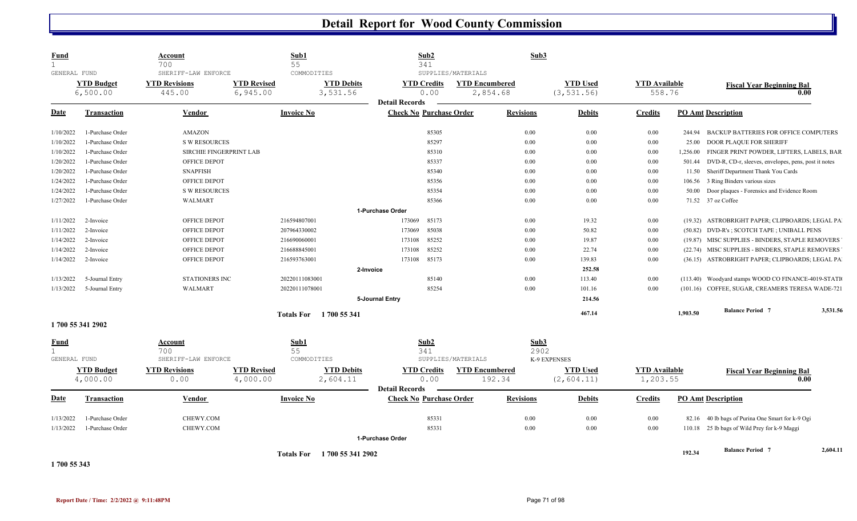| <b>Fund</b><br>GENERAL FUND |                               | <b>Account</b><br>700<br>SHERIFF-LAW ENFORCE |                                | Sub1<br>55<br>COMMODITIES             | Sub2<br>341                                             | SUPPLIES/MATERIALS                | Sub3             |                                |                                  |          |                                                             |          |
|-----------------------------|-------------------------------|----------------------------------------------|--------------------------------|---------------------------------------|---------------------------------------------------------|-----------------------------------|------------------|--------------------------------|----------------------------------|----------|-------------------------------------------------------------|----------|
|                             | <b>YTD Budget</b><br>6,500.00 | <b>YTD Revisions</b><br>445.00               | <b>YTD Revised</b><br>6,945.00 | <b>YTD Debits</b><br>3,531.56         | <b>YTD Credits</b><br>0.00                              | <b>YTD Encumbered</b><br>2,854.68 |                  | <b>YTD Used</b><br>(3, 531.56) | <b>YTD Available</b><br>558.76   |          | <b>Fiscal Year Beginning Bal</b><br>0.00                    |          |
| Date                        | <b>Transaction</b>            | Vendor                                       |                                | <b>Invoice No</b>                     | <b>Detail Records</b><br><b>Check No Purchase Order</b> |                                   | <b>Revisions</b> | <b>Debits</b>                  | <b>Credits</b>                   |          | <b>PO Amt Description</b>                                   |          |
| 1/10/2022                   | 1-Purchase Order              | <b>AMAZON</b>                                |                                |                                       | 85305                                                   |                                   | 0.00             | 0.00                           | 0.00                             | 244.94   | BACKUP BATTERIES FOR OFFICE COMPUTERS                       |          |
| 1/10/2022                   | 1-Purchase Order              | <b>S W RESOURCES</b>                         |                                |                                       | 85297                                                   |                                   | 0.00             | $0.00\,$                       | 0.00                             | 25.00    | DOOR PLAQUE FOR SHERIFF                                     |          |
| 1/10/2022                   | 1-Purchase Order              | SIRCHIE FINGERPRINT LAB                      |                                |                                       | 85310                                                   |                                   | 0.00             | $0.00\,$                       | 0.00                             | 1,256.00 | FINGER PRINT POWDER, LIFTERS, LABELS, BAR                   |          |
| 1/20/2022                   | 1-Purchase Order              | OFFICE DEPOT                                 |                                |                                       | 85337                                                   |                                   | $0.00\,$         | 0.00                           | 0.00                             |          | 501.44 DVD-R, CD-r, sleeves, envelopes, pens, post it notes |          |
| 1/20/2022                   | 1-Purchase Order              | <b>SNAPFISH</b>                              |                                |                                       | 85340                                                   |                                   | 0.00             | 0.00                           | $0.00\,$                         | 11.50    | Sheriff Department Thank You Cards                          |          |
| 1/24/2022                   | 1-Purchase Order              | OFFICE DEPOT                                 |                                |                                       | 85356                                                   |                                   | 0.00             | 0.00                           | 0.00                             | 106.56   | 3 Ring Binders various sizes                                |          |
| 1/24/2022                   | 1-Purchase Order              | <b>S W RESOURCES</b>                         |                                |                                       | 85354                                                   |                                   | 0.00             | 0.00                           | 0.00                             | 50.00    | Door plaques - Forensics and Evidence Room                  |          |
| 1/27/2022                   | 1-Purchase Order              | WALMART                                      |                                |                                       | 85366                                                   |                                   | $0.00\,$         | 0.00                           | 0.00                             |          | 71.52 37 oz Coffee                                          |          |
|                             |                               |                                              |                                |                                       | 1-Purchase Order                                        |                                   |                  |                                |                                  |          |                                                             |          |
| 1/11/2022                   | 2-Invoice                     | OFFICE DEPOT                                 |                                | 216594807001                          | 173069<br>85173                                         |                                   | 0.00             | 19.32                          | 0.00                             |          | (19.32) ASTROBRIGHT PAPER; CLIPBOARDS; LEGAL PA             |          |
| 1/11/2022                   | 2-Invoice                     | OFFICE DEPOT                                 |                                | 207964330002                          | 173069<br>85038                                         |                                   | 0.00             | 50.82                          | 0.00                             |          | (50.82) DVD-R's; SCOTCH TAPE; UNIBALL PENS                  |          |
| 1/14/2022                   | 2-Invoice                     | OFFICE DEPOT                                 |                                | 216690060001                          | 85252<br>173108                                         |                                   | 0.00             | 19.87                          | 0.00                             |          | (19.87) MISC SUPPLIES - BINDERS, STAPLE REMOVERS            |          |
| 1/14/2022                   | 2-Invoice                     | OFFICE DEPOT                                 |                                | 216688845001                          | 173108<br>85252                                         |                                   | 0.00             | 22.74                          | 0.00                             |          | (22.74) MISC SUPPLIES - BINDERS, STAPLE REMOVERS            |          |
| 1/14/2022                   | 2-Invoice                     | OFFICE DEPOT                                 |                                | 216593763001                          | 85173<br>173108                                         |                                   | 0.00             | 139.83                         | 0.00                             |          | (36.15) ASTROBRIGHT PAPER; CLIPBOARDS; LEGAL PA             |          |
|                             |                               |                                              |                                |                                       | 2-Invoice                                               |                                   |                  | 252.58                         |                                  |          |                                                             |          |
| 1/13/2022                   | 5-Journal Entry               | STATIONERS INC                               |                                | 20220111083001                        | 85140                                                   |                                   | 0.00             | 113.40                         | 0.00                             |          | (113.40) Woodyard stamps WOOD CO FINANCE-4019-STATI         |          |
| 1/13/2022                   | 5-Journal Entry               | WALMART                                      |                                | 20220111078001                        | 85254                                                   |                                   | 0.00             | 101.16                         | 0.00                             |          | (101.16) COFFEE, SUGAR, CREAMERS TERESA WADE-721            |          |
|                             |                               |                                              |                                |                                       | 5-Journal Entry                                         |                                   |                  | 214.56                         |                                  |          |                                                             |          |
|                             |                               |                                              |                                | 1700 55 341<br><b>Totals For</b>      |                                                         |                                   |                  | 467.14                         |                                  | 1.903.50 | <b>Balance Period</b> 7                                     | 3,531.56 |
| 1700 55 341 2902            |                               |                                              |                                |                                       |                                                         |                                   |                  |                                |                                  |          |                                                             |          |
| <b>Fund</b>                 |                               | Account<br>700                               |                                | Sub1<br>55                            | Sub2<br>341                                             |                                   | Sub3<br>2902     |                                |                                  |          |                                                             |          |
| GENERAL FUND                |                               | SHERIFF-LAW ENFORCE                          |                                | COMMODITIES                           |                                                         | SUPPLIES/MATERIALS                |                  | K-9 EXPENSES                   |                                  |          |                                                             |          |
|                             | <b>YTD Budget</b><br>4,000.00 | <b>YTD Revisions</b><br>0.00                 | <b>YTD Revised</b><br>4,000.00 | <b>YTD Debits</b><br>2,604.11         | <b>YTD Credits</b><br>0.00                              | <b>YTD Encumbered</b><br>192.34   |                  | <b>YTD Used</b><br>(2, 604.11) | <b>YTD Available</b><br>1,203.55 |          | <b>Fiscal Year Beginning Bal</b><br>0.00                    |          |
|                             |                               |                                              |                                |                                       | <b>Detail Records</b>                                   |                                   |                  |                                |                                  |          |                                                             |          |
| Date                        | <b>Transaction</b>            | Vendor                                       |                                | <b>Invoice No</b>                     | <b>Check No Purchase Order</b>                          |                                   | <b>Revisions</b> | <b>Debits</b>                  | <b>Credits</b>                   |          | <b>PO Amt Description</b>                                   |          |
| 1/13/2022                   | 1-Purchase Order              | CHEWY.COM                                    |                                |                                       | 85331                                                   |                                   | 0.00             | 0.00                           | 0.00                             | 82.16    | 40 lb bags of Purina One Smart for k-9 Ogi                  |          |
| 1/13/2022                   | 1-Purchase Order              | CHEWY.COM                                    |                                |                                       | 85331                                                   |                                   | 0.00             | 0.00                           | 0.00                             |          | 110.18 25 lb bags of Wild Prey for k-9 Maggi                |          |
|                             |                               |                                              |                                |                                       | 1-Purchase Order                                        |                                   |                  |                                |                                  |          |                                                             |          |
|                             |                               |                                              |                                | 1700 55 341 2902<br><b>Totals For</b> |                                                         |                                   |                  |                                |                                  | 192.34   | <b>Balance Period 7</b>                                     | 2,604.11 |
| 1700 55 343                 |                               |                                              |                                |                                       |                                                         |                                   |                  |                                |                                  |          |                                                             |          |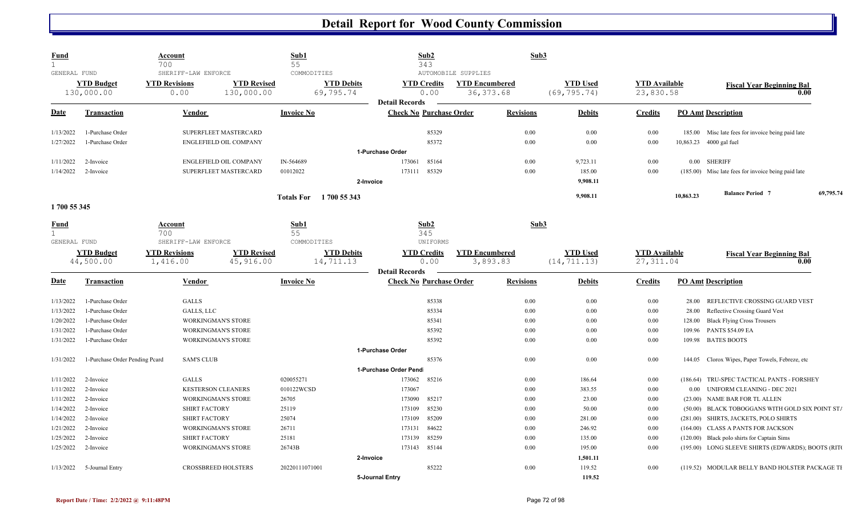| <b>Fund</b>  |                                | Account<br>700       |                            | Sub1<br>55                       | Sub2<br>343                                             | Sub3                  |          |                    |                      |           |                                                     |           |
|--------------|--------------------------------|----------------------|----------------------------|----------------------------------|---------------------------------------------------------|-----------------------|----------|--------------------|----------------------|-----------|-----------------------------------------------------|-----------|
| GENERAL FUND |                                | SHERIFF-LAW ENFORCE  |                            | COMMODITIES                      |                                                         | AUTOMOBILE SUPPLIES   |          |                    |                      |           |                                                     |           |
|              | <b>YTD Budget</b>              | <b>YTD Revisions</b> | <b>YTD Revised</b>         | <b>YTD Debits</b>                | <b>YTD Credits</b>                                      | <b>YTD Encumbered</b> |          | <b>YTD Used</b>    | <b>YTD Available</b> |           | <b>Fiscal Year Beginning Bal</b>                    |           |
|              | 130,000.00                     | 0.00                 | 130,000.00                 | 69,795.74                        | 0.00                                                    | 36, 373.68            |          | (69, 795.74)       | 23,830.58            |           | 0.00                                                |           |
| <b>Date</b>  | <b>Transaction</b>             | Vendor               |                            | <b>Invoice No</b>                | <b>Detail Records</b><br><b>Check No Purchase Order</b> | <b>Revisions</b>      |          | <b>Debits</b>      | <b>Credits</b>       |           | <b>PO Amt Description</b>                           |           |
| 1/13/2022    | 1-Purchase Order               |                      | SUPERFLEET MASTERCARD      |                                  | 85329                                                   |                       | $0.00\,$ | 0.00               | 0.00                 |           | 185.00 Misc late fees for invoice being paid late   |           |
| 1/27/2022    | 1-Purchase Order               |                      | ENGLEFIELD OIL COMPANY     |                                  | 85372                                                   |                       | $0.00\,$ | 0.00               | 0.00                 | 10,863.23 | 4000 gal fuel                                       |           |
|              |                                |                      |                            |                                  | 1-Purchase Order                                        |                       |          |                    |                      |           |                                                     |           |
| 1/11/2022    | 2-Invoice                      |                      | ENGLEFIELD OIL COMPANY     | IN-564689                        | 85164<br>173061                                         |                       | 0.00     | 9,723.11           | 0.00                 |           | 0.00 SHERIFF                                        |           |
| 1/14/2022    | 2-Invoice                      |                      | SUPERFLEET MASTERCARD      | 01012022                         | 173111<br>85329                                         |                       | $0.00\,$ | 185.00             | 0.00                 |           | (185.00) Misc late fees for invoice being paid late |           |
|              |                                |                      |                            |                                  | 2-Invoice                                               |                       |          | 9,908.11           |                      |           |                                                     |           |
|              |                                |                      |                            | 1700 55 343<br><b>Totals For</b> |                                                         |                       |          | 9,908.11           |                      | 10,863.23 | <b>Balance Period 7</b>                             | 69,795.74 |
| 1700 55 345  |                                |                      |                            |                                  |                                                         |                       |          |                    |                      |           |                                                     |           |
| <b>Fund</b>  |                                | Account              |                            | Sub1                             | Sub2                                                    |                       | Sub3     |                    |                      |           |                                                     |           |
|              |                                | 700                  |                            | 55                               | 345                                                     |                       |          |                    |                      |           |                                                     |           |
| GENERAL FUND |                                | SHERIFF-LAW ENFORCE  |                            | COMMODITIES                      | UNIFORMS                                                |                       |          |                    |                      |           |                                                     |           |
|              | <b>YTD Budget</b>              | <b>YTD Revisions</b> | <b>YTD Revised</b>         | <b>YTD Debits</b>                | <b>YTD Credits</b>                                      | <b>YTD Encumbered</b> |          | <b>YTD Used</b>    | <b>YTD Available</b> |           | <b>Fiscal Year Beginning Bal</b>                    |           |
|              | 44,500.00                      | 1,416.00             | 45,916.00                  | 14,711.13                        | 0.00                                                    | 3,893.83              |          | (14, 711.13)       | 27, 311.04           |           | 0.00                                                |           |
| Date         | <b>Transaction</b>             | Vendor               |                            | <b>Invoice No</b>                | <b>Detail Records</b><br><b>Check No Purchase Order</b> | <b>Revisions</b>      |          | <b>Debits</b>      | <b>Credits</b>       |           | <b>PO Amt Description</b>                           |           |
|              |                                |                      |                            |                                  |                                                         |                       |          |                    |                      |           |                                                     |           |
| 1/13/2022    | 1-Purchase Order               | <b>GALLS</b>         |                            |                                  | 85338                                                   |                       | $0.00\,$ | 0.00               | 0.00                 | 28.00     | REFLECTIVE CROSSING GUARD VEST                      |           |
| 1/13/2022    | 1-Purchase Order               | GALLS, LLC           |                            |                                  | 85334                                                   |                       | 0.00     | 0.00               | 0.00                 | 28.00     | Reflective Crossing Guard Vest                      |           |
| 1/20/2022    | 1-Purchase Order               |                      | <b>WORKINGMAN'S STORE</b>  |                                  | 85341                                                   |                       | 0.00     | 0.00               | 0.00                 | 128.00    | <b>Black Flying Cross Trousers</b>                  |           |
| 1/31/2022    | 1-Purchase Order               |                      | <b>WORKINGMAN'S STORE</b>  |                                  | 85392                                                   |                       | 0.00     | 0.00               | 0.00                 | 109.96    | <b>PANTS \$54.09 EA</b>                             |           |
| 1/31/2022    | 1-Purchase Order               |                      | <b>WORKINGMAN'S STORE</b>  |                                  | 85392                                                   |                       | 0.00     | 0.00               | 0.00                 |           | 109.98 BATES BOOTS                                  |           |
|              |                                |                      |                            |                                  | 1-Purchase Order                                        |                       |          |                    |                      |           |                                                     |           |
| 1/31/2022    | 1-Purchase Order Pending Pcard | <b>SAM'S CLUB</b>    |                            |                                  | 85376                                                   |                       | $0.00\,$ | 0.00               | 0.00                 | 144.05    | Clorox Wipes, Paper Towels, Febreze, etc            |           |
|              |                                |                      |                            |                                  | 1-Purchase Order Pend                                   |                       |          |                    |                      |           |                                                     |           |
| 1/11/2022    | 2-Invoice                      | <b>GALLS</b>         |                            | 020055271                        | 173062<br>85216                                         |                       | 0.00     | 186.64             | 0.00                 |           | (186.64) TRU-SPEC TACTICAL PANTS - FORSHEY          |           |
| 1/11/2022    | 2-Invoice                      |                      | <b>KESTERSON CLEANERS</b>  | 010122WCSD                       | 173067                                                  |                       | 0.00     | 383.55             | 0.00                 | 0.00      | <b>UNIFORM CLEANING - DEC 2021</b>                  |           |
| 1/11/2022    | 2-Invoice                      |                      | <b>WORKINGMAN'S STORE</b>  | 26705                            | 173090<br>85217                                         |                       | 0.00     | 23.00              | 0.00                 |           | (23.00) NAME BAR FOR TL ALLEN                       |           |
| 1/14/2022    | 2-Invoice                      |                      | <b>SHIRT FACTORY</b>       | 25119                            | 85230<br>173109                                         |                       | 0.00     | 50.00              | 0.00                 |           | (50.00) BLACK TOBOGGANS WITH GOLD SIX POINT ST/     |           |
| 1/14/2022    | 2-Invoice                      |                      | <b>SHIRT FACTORY</b>       | 25074                            | 85209<br>173109                                         |                       | 0.00     | 281.00             | 0.00                 |           | (281.00) SHIRTS, JACKETS, POLO SHIRTS               |           |
| 1/21/2022    | 2-Invoice                      |                      | <b>WORKINGMAN'S STORE</b>  | 26711                            | 84622<br>173131                                         |                       | 0.00     | 246.92             | 0.00                 |           | (164.00) CLASS A PANTS FOR JACKSON                  |           |
| 1/25/2022    | 2-Invoice                      |                      | <b>SHIRT FACTORY</b>       | 25181                            | 85259<br>173139                                         |                       | 0.00     | 135.00             | 0.00                 | (120.00)  | Black polo shirts for Captain Sims                  |           |
| 1/25/2022    | 2-Invoice                      |                      | <b>WORKINGMAN'S STORE</b>  | 26743B                           | 173143 85144                                            |                       | 0.00     | 195.00             | 0.00                 |           | (195.00) LONG SLEEVE SHIRTS (EDWARDS); BOOTS (RITO  |           |
|              |                                |                      |                            | 20220111071001                   | 2-Invoice<br>85222                                      |                       | 0.00     | 1,501.11<br>119.52 | 0.00                 |           | (119.52) MODULAR BELLY BAND HOLSTER PACKAGE TI      |           |
| 1/13/2022    | 5-Journal Entry                |                      | <b>CROSSBREED HOLSTERS</b> |                                  | 5-Journal Entry                                         |                       |          | 119.52             |                      |           |                                                     |           |
|              |                                |                      |                            |                                  |                                                         |                       |          |                    |                      |           |                                                     |           |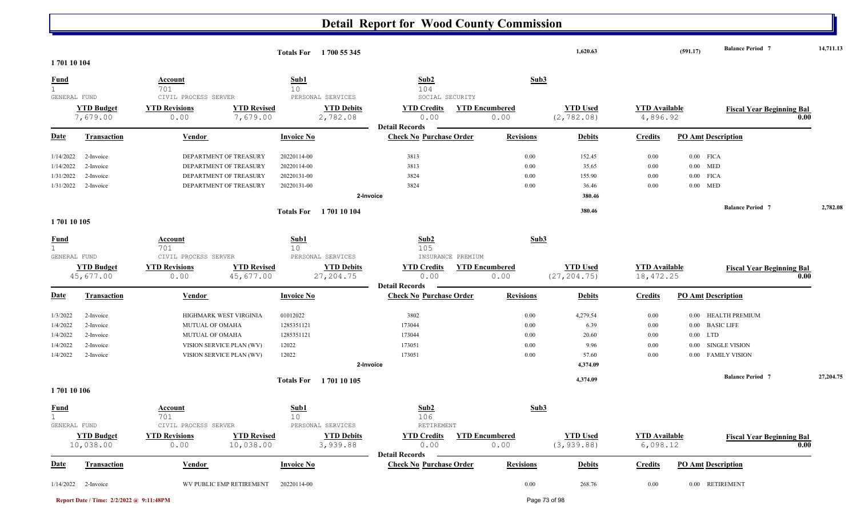|                              |                    |                                                                    |                   | Totals For 1700 55 345                 |                                                         |                       | 1,620.63        |                      | (591.17)                  | <b>Balance Period 7</b>          | 14,711.13 |
|------------------------------|--------------------|--------------------------------------------------------------------|-------------------|----------------------------------------|---------------------------------------------------------|-----------------------|-----------------|----------------------|---------------------------|----------------------------------|-----------|
| 170110104                    |                    |                                                                    |                   |                                        |                                                         |                       |                 |                      |                           |                                  |           |
| <b>Fund</b><br>$\mathbf{1}$  |                    | <b>Account</b><br>701                                              | Sub1<br>10        |                                        | Sub2<br>104                                             | Sub3                  |                 |                      |                           |                                  |           |
| GENERAL FUND                 | <b>YTD Budget</b>  | CIVIL PROCESS SERVER<br><b>YTD Revisions</b><br><b>YTD Revised</b> |                   | PERSONAL SERVICES<br><b>YTD Debits</b> | SOCIAL SECURITY<br><b>YTD Credits</b>                   | <b>YTD Encumbered</b> | <b>YTD Used</b> | <b>YTD</b> Available |                           |                                  |           |
|                              | 7,679.00           | 7,679.00<br>0.00                                                   |                   | 2,782.08                               | 0.00                                                    | 0.00                  | (2, 782.08)     | 4,896.92             |                           | <b>Fiscal Year Beginning Bal</b> | 0.00      |
| <b>Date</b>                  | Transaction        | Vendor                                                             | <b>Invoice No</b> |                                        | <b>Detail Records</b><br><b>Check No Purchase Order</b> | <b>Revisions</b>      | <b>Debits</b>   | <b>Credits</b>       | <b>PO Amt Description</b> |                                  |           |
| 1/14/2022                    | 2-Invoice          | DEPARTMENT OF TREASURY                                             | 20220114-00       |                                        | 3813                                                    | 0.00                  | 152.45          | $0.00\,$             | $0.00$ FICA               |                                  |           |
| 1/14/2022                    | 2-Invoice          | DEPARTMENT OF TREASURY                                             | 20220114-00       |                                        | 3813                                                    | 0.00                  | 35.65           | $0.00\,$             | $0.00$ MED                |                                  |           |
| 1/31/2022                    | 2-Invoice          | DEPARTMENT OF TREASURY                                             | 20220131-00       |                                        | 3824                                                    | 0.00                  | 155.90          | $0.00\,$             | $0.00$ FICA               |                                  |           |
| 1/31/2022                    | 2-Invoice          | DEPARTMENT OF TREASURY                                             | 20220131-00       |                                        | 3824                                                    | 0.00                  | 36.46           | 0.00                 | MED<br>$0.00\,$           |                                  |           |
|                              |                    |                                                                    |                   |                                        | 2-Invoice                                               |                       | 380.46          |                      |                           |                                  |           |
|                              |                    |                                                                    |                   | Totals For 1701 10 104                 |                                                         |                       | 380.46          |                      |                           | <b>Balance Period 7</b>          | 2,782.08  |
| 1701 10 105                  |                    |                                                                    |                   |                                        |                                                         |                       |                 |                      |                           |                                  |           |
| <b>Fund</b>                  |                    | Account                                                            | Sub1              |                                        | Sub2                                                    | Sub3                  |                 |                      |                           |                                  |           |
| $\mathbf{1}$<br>GENERAL FUND |                    | 701<br>CIVIL PROCESS SERVER                                        | 10                | PERSONAL SERVICES                      | 105<br>INSURANCE PREMIUM                                |                       |                 |                      |                           |                                  |           |
|                              | <b>YTD Budget</b>  | <b>YTD Revisions</b><br><b>YTD Revised</b>                         |                   | <b>YTD Debits</b>                      | <b>YTD Credits</b>                                      | <b>YTD Encumbered</b> | <b>YTD Used</b> | <b>YTD</b> Available |                           |                                  |           |
|                              | 45,677.00          | 45,677.00<br>0.00                                                  |                   | 27,204.75                              | 0.00                                                    | 0.00                  | (27, 204.75)    | 18, 472.25           |                           | <b>Fiscal Year Beginning Bal</b> | 0.00      |
|                              |                    |                                                                    |                   |                                        | <b>Detail Records</b>                                   |                       |                 |                      |                           |                                  |           |
| <b>Date</b>                  | Transaction        | Vendor                                                             | <b>Invoice No</b> |                                        | <b>Check No Purchase Order</b>                          | <b>Revisions</b>      | <b>Debits</b>   | <b>Credits</b>       | <b>PO Amt Description</b> |                                  |           |
| 1/3/2022                     | 2-Invoice          | HIGHMARK WEST VIRGINIA                                             | 01012022          |                                        | 3802                                                    | 0.00                  | 4,279.54        | $0.00\,$             | $0.00\,$                  | HEALTH PREMIUM                   |           |
| 1/4/2022                     | 2-Invoice          | MUTUAL OF OMAHA                                                    | 1285351121        |                                        | 173044                                                  | 0.00                  | 6.39            | $0.00\,$             | 0.00                      | <b>BASIC LIFE</b>                |           |
| 1/4/2022                     | 2-Invoice          | MUTUAL OF OMAHA                                                    | 1285351121        |                                        | 173044                                                  | 0.00                  | 20.60           | $0.00\,$             | $0.00$ LTD                |                                  |           |
| 1/4/2022                     | 2-Invoice          | VISION SERVICE PLAN (WV)                                           | 12022             |                                        | 173051                                                  | 0.00                  | 9.96            | $0.00\,$             | $0.00\,$                  | SINGLE VISION                    |           |
| 1/4/2022                     | 2-Invoice          | VISION SERVICE PLAN (WV)                                           | 12022             |                                        | 173051                                                  | 0.00                  | 57.60           | $0.00\,$             |                           | 0.00 FAMILY VISION               |           |
|                              |                    |                                                                    |                   |                                        | 2-Invoice                                               |                       | 4,374.09        |                      |                           |                                  |           |
|                              |                    |                                                                    | <b>Totals For</b> | 1701 10 105                            |                                                         |                       | 4,374.09        |                      |                           | <b>Balance Period 7</b>          | 27,204.75 |
| 170110106                    |                    |                                                                    |                   |                                        |                                                         |                       |                 |                      |                           |                                  |           |
| <u>Fund</u><br>$\mathbf 1$   |                    | Account<br>701                                                     | Sub1<br>10        |                                        | Sub2<br>106                                             | Sub3                  |                 |                      |                           |                                  |           |
| GENERAL FUND                 |                    | CIVIL PROCESS SERVER                                               |                   | PERSONAL SERVICES                      | RETIREMENT                                              |                       |                 |                      |                           |                                  |           |
|                              | <b>YTD Budget</b>  | <b>YTD Revisions</b><br><b>YTD Revised</b>                         |                   | <b>YTD Debits</b>                      | <b>YTD Credits</b>                                      | <b>YTD Encumbered</b> | <b>YTD Used</b> | <b>YTD</b> Available |                           | <b>Fiscal Year Beginning Bal</b> |           |
|                              | 10,038.00          | 10,038.00<br>0.00                                                  |                   | 3,939.88                               | 0.00                                                    | 0.00                  | (3, 939.88)     | 6,098.12             |                           |                                  | 0.00      |
| <b>Date</b>                  | <b>Transaction</b> | <b>Vendor</b>                                                      | <b>Invoice No</b> |                                        | <b>Detail Records</b><br><b>Check No Purchase Order</b> | <b>Revisions</b>      | <b>Debits</b>   | <b>Credits</b>       | <b>PO Amt Description</b> |                                  |           |
| 1/14/2022                    | 2-Invoice          | WV PUBLIC EMP RETIREMENT                                           | 20220114-00       |                                        |                                                         | 0.00                  | 268.76          | $0.00\,$             | 0.00 RETIREMENT           |                                  |           |

**Report Date / Time: 2/2/2022 @ 9:11:48PM** Page 73 of 98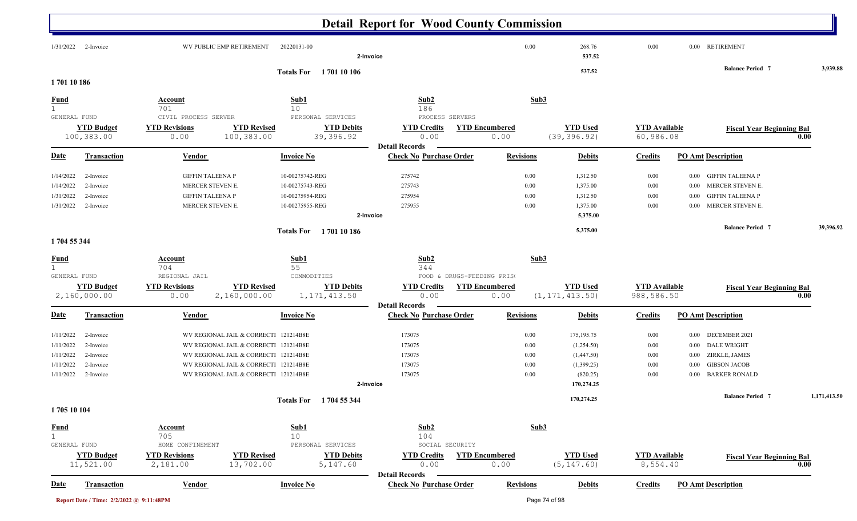|                                                                                                                                |                                                                                                                                                                                                           |                                                                          | <b>Detail Report for Wood County Commission</b>                                   |                                      |                                                                                  |                                          |                                                                                                                                            |              |
|--------------------------------------------------------------------------------------------------------------------------------|-----------------------------------------------------------------------------------------------------------------------------------------------------------------------------------------------------------|--------------------------------------------------------------------------|-----------------------------------------------------------------------------------|--------------------------------------|----------------------------------------------------------------------------------|------------------------------------------|--------------------------------------------------------------------------------------------------------------------------------------------|--------------|
| 1/31/2022<br>2-Invoice                                                                                                         | WV PUBLIC EMP RETIREMENT                                                                                                                                                                                  | 20220131-00                                                              | 2-Invoice                                                                         | 0.00                                 | 268.76<br>537.52                                                                 | $0.00\,$                                 | 0.00 RETIREMENT                                                                                                                            |              |
|                                                                                                                                |                                                                                                                                                                                                           | <b>Totals For</b> 1701 10 106                                            |                                                                                   |                                      | 537.52                                                                           |                                          | <b>Balance Period 7</b>                                                                                                                    | 3,939.88     |
| 170110186                                                                                                                      |                                                                                                                                                                                                           |                                                                          |                                                                                   |                                      |                                                                                  |                                          |                                                                                                                                            |              |
| <u>Fund</u><br>$\mathbf 1$<br>GENERAL FUND                                                                                     | <b>Account</b><br>701<br>CIVIL PROCESS SERVER                                                                                                                                                             | Sub1<br>10<br>PERSONAL SERVICES                                          | Sub2<br>186<br>PROCESS SERVERS                                                    | Sub3                                 |                                                                                  |                                          |                                                                                                                                            |              |
| <b>YTD Budget</b><br>100,383.00                                                                                                | <b>YTD Revisions</b><br><b>YTD Revised</b><br>100,383.00<br>0.00                                                                                                                                          | <b>YTD Debits</b><br>39,396.92                                           | <b>YTD Credits</b><br>0.00<br><b>Detail Records</b>                               | <b>YTD Encumbered</b><br>0.00        | <b>YTD Used</b><br>(39, 396.92)                                                  | <b>YTD Available</b><br>60,986.08        | <b>Fiscal Year Beginning Bal</b>                                                                                                           | 0.00         |
| <u>Date</u><br><b>Transaction</b>                                                                                              | <b>Vendor</b>                                                                                                                                                                                             | <b>Invoice No</b>                                                        | <b>Check No Purchase Order</b>                                                    | <b>Revisions</b>                     | <b>Debits</b>                                                                    | <b>Credits</b>                           | <b>PO Amt Description</b>                                                                                                                  |              |
| 1/14/2022<br>2-Invoice<br>1/14/2022<br>2-Invoice<br>1/31/2022<br>2-Invoice<br>1/31/2022<br>2-Invoice                           | <b>GIFFIN TALEENA P</b><br>MERCER STEVEN E.<br><b>GIFFIN TALEENA P</b><br>MERCER STEVEN E.                                                                                                                | 10-00275742-REG<br>10-00275743-REG<br>10-00275954-REG<br>10-00275955-REG | 275742<br>275743<br>275954<br>275955<br>2-Invoice                                 | 0.00<br>0.00<br>0.00<br>0.00         | 1,312.50<br>1,375.00<br>1,312.50<br>1,375.00<br>5,375.00                         | 0.00<br>0.00<br>0.00<br>0.00             | <b>GIFFIN TALEENA P</b><br>$0.00\,$<br>MERCER STEVEN E.<br>0.00<br><b>GIFFIN TALEENA P</b><br>0.00<br>MERCER STEVEN E.<br>$0.00\,$         |              |
| 1704 55 344                                                                                                                    |                                                                                                                                                                                                           | Totals For 1701 10 186                                                   |                                                                                   |                                      | 5,375.00                                                                         |                                          | <b>Balance Period 7</b>                                                                                                                    | 39,396.92    |
| <b>Fund</b><br>$\mathbf{1}$                                                                                                    | <b>Account</b><br>704                                                                                                                                                                                     | Sub1<br>55                                                               | Sub <sub>2</sub><br>344                                                           | Sub3                                 |                                                                                  |                                          |                                                                                                                                            |              |
| GENERAL FUND<br><b>YTD Budget</b><br>2,160,000.00                                                                              | REGIONAL JAIL<br><b>YTD Revisions</b><br><b>YTD Revised</b><br>0.00<br>2,160,000.00                                                                                                                       | COMMODITIES<br><b>YTD Debits</b><br>1, 171, 413.50                       | FOOD & DRUGS-FEEDING PRISO<br><b>YTD Credits</b><br>0.00<br><b>Detail Records</b> | <b>YTD Encumbered</b><br>0.00        | <b>YTD</b> Used<br>(1, 171, 413.50)                                              | <b>YTD Available</b><br>988,586.50       | <b>Fiscal Year Beginning Bal</b>                                                                                                           | 0.00         |
| <b>Date</b><br><b>Transaction</b>                                                                                              | Vendor                                                                                                                                                                                                    | <b>Invoice No</b>                                                        | <b>Check No Purchase Order</b>                                                    | <b>Revisions</b>                     | <b>Debits</b>                                                                    | <b>Credits</b>                           | <b>PO Amt Description</b>                                                                                                                  |              |
| 1/11/2022<br>2-Invoice<br>1/11/2022<br>2-Invoice<br>1/11/2022<br>2-Invoice<br>1/11/2022<br>2-Invoice<br>1/11/2022<br>2-Invoice | WV REGIONAL JAIL & CORRECTI 121214B8E<br>WV REGIONAL JAIL & CORRECTI 121214B8E<br>WV REGIONAL JAIL & CORRECTI 121214B8E<br>WV REGIONAL JAIL & CORRECTI 121214B8E<br>WV REGIONAL JAIL & CORRECTI 121214B8E |                                                                          | 173075<br>173075<br>173075<br>173075<br>173075<br>2-Invoice                       | 0.00<br>0.00<br>0.00<br>0.00<br>0.00 | 175, 195. 75<br>(1,254.50)<br>(1,447.50)<br>(1,399.25)<br>(820.25)<br>170,274.25 | 0.00<br>$0.00\,$<br>0.00<br>0.00<br>0.00 | 0.00 DECEMBER 2021<br><b>DALE WRIGHT</b><br>$0.00\,$<br>ZIRKLE, JAMES<br>$0.00\,$<br><b>GIBSON JACOB</b><br>$0.00\,$<br>0.00 BARKER RONALD |              |
|                                                                                                                                |                                                                                                                                                                                                           | Totals For 1704 55 344                                                   |                                                                                   |                                      | 170,274.25                                                                       |                                          | <b>Balance Period 7</b>                                                                                                                    | 1,171,413.50 |
| 1705 10 104                                                                                                                    |                                                                                                                                                                                                           |                                                                          |                                                                                   |                                      |                                                                                  |                                          |                                                                                                                                            |              |
| $rac{\text{Fund}}{1}$<br>GENERAL FUND                                                                                          | <b>Account</b><br>705<br>HOME CONFINEMENT                                                                                                                                                                 | Sub1<br>10<br>PERSONAL SERVICES                                          | Sub2<br>104<br>SOCIAL SECURITY                                                    | Sub3                                 |                                                                                  |                                          |                                                                                                                                            |              |
| <b>YTD Budget</b><br>11,521.00                                                                                                 | <b>YTD Revisions</b><br><b>YTD Revised</b><br>13,702.00<br>2,181.00                                                                                                                                       | <b>YTD Debits</b><br>5,147.60                                            | <b>YTD Credits</b><br>0.00<br><b>Detail Records</b>                               | <b>YTD Encumbered</b><br>0.00        | <b>YTD Used</b><br>(5, 147.60)                                                   | <b>YTD Available</b><br>8,554.40         | <b>Fiscal Year Beginning Bal</b>                                                                                                           | 0.00         |
| <u>Date</u><br><b>Transaction</b>                                                                                              | <b>Vendor</b>                                                                                                                                                                                             | <b>Invoice No</b>                                                        | <b>Check No Purchase Order</b>                                                    | <b>Revisions</b>                     | <b>Debits</b>                                                                    | <b>Credits</b>                           | <b>PO Amt Description</b>                                                                                                                  |              |
| Report Date / Time: 2/2/2022 @ 9:11:48PM                                                                                       |                                                                                                                                                                                                           |                                                                          |                                                                                   |                                      | Page 74 of 98                                                                    |                                          |                                                                                                                                            |              |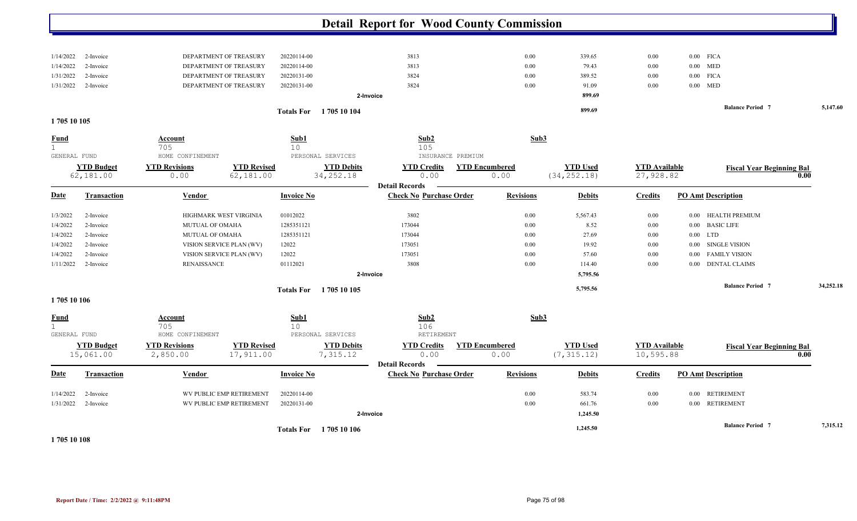|                  |                                |                                  |                                 |                   |                                 | <b>Detail Report for Wood County Commission</b>         |                               |                                 |                                   |             |                                  |           |
|------------------|--------------------------------|----------------------------------|---------------------------------|-------------------|---------------------------------|---------------------------------------------------------|-------------------------------|---------------------------------|-----------------------------------|-------------|----------------------------------|-----------|
| 1/14/2022        | 2-Invoice                      |                                  | DEPARTMENT OF TREASURY          | 20220114-00       |                                 | 3813                                                    | 0.00                          | 339.65                          | 0.00                              | $0.00$ FICA |                                  |           |
| 1/14/2022        | 2-Invoice                      |                                  | DEPARTMENT OF TREASURY          | 20220114-00       |                                 | 3813                                                    | 0.00                          | 79.43                           | 0.00                              | $0.00$ MED  |                                  |           |
| 1/31/2022        | 2-Invoice                      |                                  | DEPARTMENT OF TREASURY          | 20220131-00       |                                 | 3824                                                    | 0.00                          | 389.52                          | 0.00                              | $0.00$ FICA |                                  |           |
| 1/31/2022        | 2-Invoice                      |                                  | DEPARTMENT OF TREASURY          | 20220131-00       |                                 | 3824                                                    | 0.00                          | 91.09                           | 0.00                              | $0.00$ MED  |                                  |           |
|                  |                                |                                  |                                 |                   |                                 | 2-Invoice                                               |                               | 899.69                          |                                   |             |                                  |           |
| 1705 10 105      |                                |                                  |                                 | <b>Totals For</b> | 1705 10 104                     |                                                         |                               | 899.69                          |                                   |             | <b>Balance Period 7</b>          | 5,147.60  |
| <u>Fund</u>      |                                | <u>Account</u>                   |                                 | Sub1              |                                 | Sub2                                                    | Sub3                          |                                 |                                   |             |                                  |           |
| $\mathbf{1}$     |                                | 705                              |                                 | 10                |                                 | 105                                                     |                               |                                 |                                   |             |                                  |           |
| GENERAL FUND     |                                | HOME CONFINEMENT                 |                                 |                   | PERSONAL SERVICES               | INSURANCE PREMIUM                                       |                               |                                 |                                   |             |                                  |           |
|                  | <b>YTD Budget</b><br>62,181.00 | <b>YTD Revisions</b><br>0.00     | <b>YTD Revised</b><br>62,181.00 |                   | <b>YTD Debits</b><br>34, 252.18 | <b>YTD Credits</b><br>0.00                              | <b>YTD Encumbered</b><br>0.00 | <b>YTD Used</b><br>(34, 252.18) | <b>YTD</b> Available<br>27,928.82 |             | <b>Fiscal Year Beginning Bal</b> | 0.00      |
| <b>Date</b>      | <b>Transaction</b>             | Vendor                           |                                 | <b>Invoice No</b> |                                 | <b>Detail Records</b><br><b>Check No Purchase Order</b> | <b>Revisions</b>              | <b>Debits</b>                   | <b>Credits</b>                    |             | <b>PO Amt Description</b>        |           |
| 1/3/2022         | 2-Invoice                      |                                  | HIGHMARK WEST VIRGINIA          | 01012022          |                                 | 3802                                                    | 0.00                          | 5,567.43                        | 0.00                              | $0.00\,$    | HEALTH PREMIUM                   |           |
| 1/4/2022         | 2-Invoice                      | MUTUAL OF OMAHA                  |                                 | 1285351121        |                                 | 173044                                                  | 0.00                          | 8.52                            | 0.00                              |             | 0.00 BASIC LIFE                  |           |
| 1/4/2022         | 2-Invoice                      | MUTUAL OF OMAHA                  |                                 | 1285351121        |                                 | 173044                                                  | 0.00                          | 27.69                           | 0.00                              | $0.00$ LTD  |                                  |           |
| 1/4/2022         | 2-Invoice                      |                                  | VISION SERVICE PLAN (WV)        | 12022             |                                 | 173051                                                  | 0.00                          | 19.92                           | 0.00                              | 0.00        | <b>SINGLE VISION</b>             |           |
| 1/4/2022         | 2-Invoice                      |                                  | VISION SERVICE PLAN (WV)        | 12022             |                                 | 173051                                                  | 0.00                          | 57.60                           | 0.00                              | $0.00\,$    | <b>FAMILY VISION</b>             |           |
| 1/11/2022        | 2-Invoice                      | RENAISSANCE                      |                                 | 01112021          |                                 | 3808                                                    | 0.00                          | 114.40                          | 0.00                              | $0.00\,$    | <b>DENTAL CLAIMS</b>             |           |
|                  |                                |                                  |                                 |                   |                                 | 2-Invoice                                               |                               | 5,795.56                        |                                   |             |                                  |           |
|                  |                                |                                  |                                 | <b>Totals For</b> | 1 705 10 105                    |                                                         |                               | 5,795.56                        |                                   |             | <b>Balance Period 7</b>          | 34,252.18 |
| 1705 10 106      |                                |                                  |                                 |                   |                                 |                                                         |                               |                                 |                                   |             |                                  |           |
| <b>Fund</b><br>1 |                                | Account<br>705                   |                                 | Sub1<br>10        |                                 | Sub2<br>106                                             | Sub3                          |                                 |                                   |             |                                  |           |
| GENERAL FUND     |                                | HOME CONFINEMENT                 |                                 |                   | PERSONAL SERVICES               | RETIREMENT                                              |                               |                                 |                                   |             |                                  |           |
|                  | <b>YTD Budget</b><br>15,061.00 | <b>YTD Revisions</b><br>2,850.00 | <b>YTD Revised</b><br>17,911.00 |                   | <b>YTD Debits</b><br>7,315.12   | <b>YTD Credits</b><br>0.00                              | <b>YTD Encumbered</b><br>0.00 | <b>YTD Used</b><br>(7, 315.12)  | <b>YTD Available</b><br>10,595.88 |             | <b>Fiscal Year Beginning Bal</b> | 0.00      |
| Date             | <b>Transaction</b>             | Vendor                           |                                 | <b>Invoice No</b> |                                 | <b>Detail Records</b><br><b>Check No Purchase Order</b> | <b>Revisions</b>              | <b>Debits</b>                   | <b>Credits</b>                    |             | <b>PO Amt Description</b>        |           |
| 1/14/2022        | 2-Invoice                      |                                  | WV PUBLIC EMP RETIREMENT        | 20220114-00       |                                 |                                                         | 0.00                          | 583.74                          | 0.00                              | $0.00\,$    | RETIREMENT                       |           |
| 1/31/2022        | 2-Invoice                      |                                  | WV PUBLIC EMP RETIREMENT        | 20220131-00       |                                 |                                                         | 0.00                          | 661.76                          | 0.00                              | 0.00        | <b>RETIREMENT</b>                |           |
|                  |                                |                                  |                                 |                   |                                 | 2-Invoice                                               |                               | 1,245.50                        |                                   |             |                                  |           |
|                  |                                |                                  |                                 |                   | Totals For 1705 10 106          |                                                         |                               | 1,245.50                        |                                   |             | <b>Balance Period 7</b>          | 7,315.12  |

**1 705 10 108**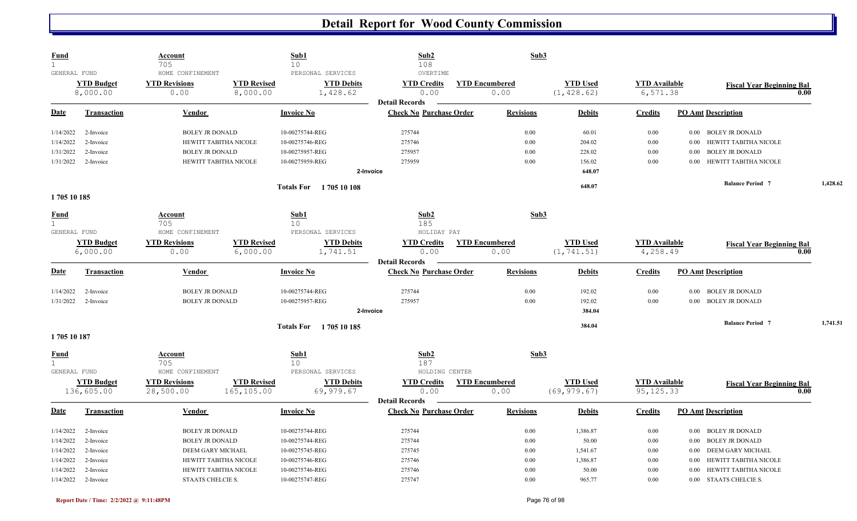| <b>Fund</b><br>$\mathbf{1}$ |                    | <b>Account</b><br>705    |                    | Sub1<br>10                    | Sub2<br>108                                             |                       | Sub3             |                 |                      |                                    |      |          |
|-----------------------------|--------------------|--------------------------|--------------------|-------------------------------|---------------------------------------------------------|-----------------------|------------------|-----------------|----------------------|------------------------------------|------|----------|
| GENERAL FUND                |                    | HOME CONFINEMENT         |                    | PERSONAL SERVICES             | OVERTIME                                                |                       |                  |                 |                      |                                    |      |          |
|                             | <b>YTD Budget</b>  | <b>YTD Revisions</b>     | <b>YTD Revised</b> | <b>YTD Debits</b>             | <b>YTD Credits</b>                                      | <b>YTD Encumbered</b> |                  | <b>YTD Used</b> | <b>YTD Available</b> | <b>Fiscal Year Beginning Bal</b>   |      |          |
|                             | 8,000.00           | 0.00                     | 8,000.00           | 1,428.62                      | 0.00                                                    |                       | 0.00             | (1, 428.62)     | 6,571.38             |                                    | 0.00 |          |
| Date                        | <b>Transaction</b> | Vendor                   |                    | <b>Invoice No</b>             | <b>Detail Records</b><br><b>Check No Purchase Order</b> |                       | <b>Revisions</b> | <b>Debits</b>   | <b>Credits</b>       | <b>PO Amt Description</b>          |      |          |
|                             |                    |                          |                    |                               |                                                         |                       |                  |                 |                      |                                    |      |          |
| 1/14/2022                   | 2-Invoice          | <b>BOLEY JR DONALD</b>   |                    | 10-00275744-REG               | 275744                                                  |                       | 0.00             | 60.01           | 0.00                 | 0.00 BOLEY JR DONALD               |      |          |
| 1/14/2022                   | 2-Invoice          | HEWITT TABITHA NICOLE    |                    | 10-00275746-REG               | 275746                                                  |                       | 0.00             | 204.02          | 0.00                 | HEWITT TABITHA NICOLE<br>0.00      |      |          |
| 1/31/2022                   | 2-Invoice          | <b>BOLEY JR DONALD</b>   |                    | 10-00275957-REG               | 275957                                                  |                       | 0.00             | 228.02          | 0.00                 | <b>BOLEY JR DONALD</b><br>0.00     |      |          |
| 1/31/2022                   | 2-Invoice          | HEWITT TABITHA NICOLE    |                    | 10-00275959-REG               | 275959                                                  |                       | 0.00             | 156.02          | 0.00                 | HEWITT TABITHA NICOLE<br>0.00      |      |          |
|                             |                    |                          |                    | 2-Invoice                     |                                                         |                       |                  | 648.07          |                      |                                    |      |          |
|                             |                    |                          |                    | <b>Totals For</b> 1705 10 108 |                                                         |                       |                  | 648.07          |                      | <b>Balance Period 7</b>            |      | 1,428.62 |
| 1705 10 185                 |                    |                          |                    |                               |                                                         |                       |                  |                 |                      |                                    |      |          |
| <u>Fund</u>                 |                    | Account                  |                    | Sub1                          | Sub2                                                    |                       | Sub3             |                 |                      |                                    |      |          |
| $\mathbf{1}$                |                    | 705                      |                    | 10 <sup>°</sup>               | 185                                                     |                       |                  |                 |                      |                                    |      |          |
| GENERAL FUND                |                    | HOME CONFINEMENT         |                    | PERSONAL SERVICES             | HOLIDAY PAY                                             |                       |                  |                 |                      |                                    |      |          |
|                             | <b>YTD Budget</b>  | <b>YTD Revisions</b>     | <b>YTD Revised</b> | <b>YTD Debits</b>             | <b>YTD Credits</b>                                      | <b>YTD Encumbered</b> |                  | <b>YTD Used</b> | <b>YTD</b> Available | <b>Fiscal Year Beginning Bal</b>   |      |          |
|                             | 6,000.00           | 0.00                     | 6,000.00           | 1,741.51                      | 0.00                                                    |                       | 0.00             | (1, 741.51)     | 4,258.49             |                                    | 0.00 |          |
|                             |                    |                          |                    |                               | <b>Detail Records</b>                                   |                       |                  |                 |                      |                                    |      |          |
| <b>Date</b>                 | <b>Transaction</b> | <b>Vendor</b>            |                    | <b>Invoice No</b>             | <b>Check No Purchase Order</b>                          |                       | <b>Revisions</b> | <b>Debits</b>   | <b>Credits</b>       | <b>PO Amt Description</b>          |      |          |
| 1/14/2022                   | 2-Invoice          | <b>BOLEY JR DONALD</b>   |                    | 10-00275744-REG               | 275744                                                  |                       | 0.00             | 192.02          | $0.00\,$             | 0.00 BOLEY JR DONALD               |      |          |
| 1/31/2022                   | 2-Invoice          | <b>BOLEY JR DONALD</b>   |                    | 10-00275957-REG               | 275957                                                  |                       | 0.00             | 192.02          | 0.00                 | 0.00 BOLEY JR DONALD               |      |          |
|                             |                    |                          |                    | 2-Invoice                     |                                                         |                       |                  | 384.04          |                      |                                    |      |          |
|                             |                    |                          |                    | <b>Totals For</b> 1705 10 185 |                                                         |                       |                  | 384.04          |                      | <b>Balance Period 7</b>            |      | 1,741.51 |
| 1705 10 187                 |                    |                          |                    |                               |                                                         |                       |                  |                 |                      |                                    |      |          |
| <b>Fund</b>                 |                    | Account                  |                    | Sub1                          | Sub2                                                    |                       | Sub3             |                 |                      |                                    |      |          |
| $\mathbf{1}$                |                    | 705                      |                    | 10 <sup>°</sup>               | 187                                                     |                       |                  |                 |                      |                                    |      |          |
| GENERAL FUND                |                    | HOME CONFINEMENT         |                    | PERSONAL SERVICES             | HOLDING CENTER                                          |                       |                  |                 |                      |                                    |      |          |
|                             | <b>YTD Budget</b>  | <b>YTD Revisions</b>     | <b>YTD Revised</b> | <b>YTD Debits</b>             | <b>YTD Credits</b>                                      | <b>YTD Encumbered</b> |                  | <b>YTD Used</b> | <b>YTD Available</b> | <b>Fiscal Year Beginning Bal</b>   |      |          |
|                             | 136,605.00         | 28,500.00                | 165,105.00         | 69,979.67                     | 0.00                                                    |                       | 0.00             | (69, 979.67)    | 95, 125.33           |                                    | 0.00 |          |
|                             |                    |                          |                    |                               | <b>Detail Records</b>                                   |                       |                  |                 |                      |                                    |      |          |
| Date                        | <b>Transaction</b> | Vendor                   |                    | <b>Invoice No</b>             | <b>Check No Purchase Order</b>                          |                       | <b>Revisions</b> | <b>Debits</b>   | <b>Credits</b>       | <b>PO Amt Description</b>          |      |          |
| 1/14/2022                   | 2-Invoice          | <b>BOLEY JR DONALD</b>   |                    | 10-00275744-REG               | 275744                                                  |                       | 0.00             | 1,386.87        | 0.00                 | <b>BOLEY JR DONALD</b><br>$0.00\,$ |      |          |
| 1/14/2022                   | 2-Invoice          | <b>BOLEY JR DONALD</b>   |                    | 10-00275744-REG               | 275744                                                  |                       | 0.00             | 50.00           | $0.00\,$             | <b>BOLEY JR DONALD</b><br>0.00     |      |          |
| 1/14/2022                   | 2-Invoice          | DEEM GARY MICHAEL        |                    | 10-00275745-REG               | 275745                                                  |                       | 0.00             | 1,541.67        | $0.00\,$             | DEEM GARY MICHAEL<br>0.00          |      |          |
| 1/14/2022                   | 2-Invoice          | HEWITT TABITHA NICOLE    |                    | 10-00275746-REG               | 275746                                                  |                       | 0.00             | 1,386.87        | $0.00\,$             | HEWITT TABITHA NICOLE<br>0.00      |      |          |
| 1/14/2022                   | 2-Invoice          | HEWITT TABITHA NICOLE    |                    | 10-00275746-REG               | 275746                                                  |                       | 0.00             | 50.00           | 0.00                 | HEWITT TABITHA NICOLE<br>0.00      |      |          |
| 1/14/2022                   | 2-Invoice          | <b>STAATS CHELCIE S.</b> |                    | 10-00275747-REG               | 275747                                                  |                       | 0.00             | 965.77          | 0.00                 | 0.00 STAATS CHELCIE S.             |      |          |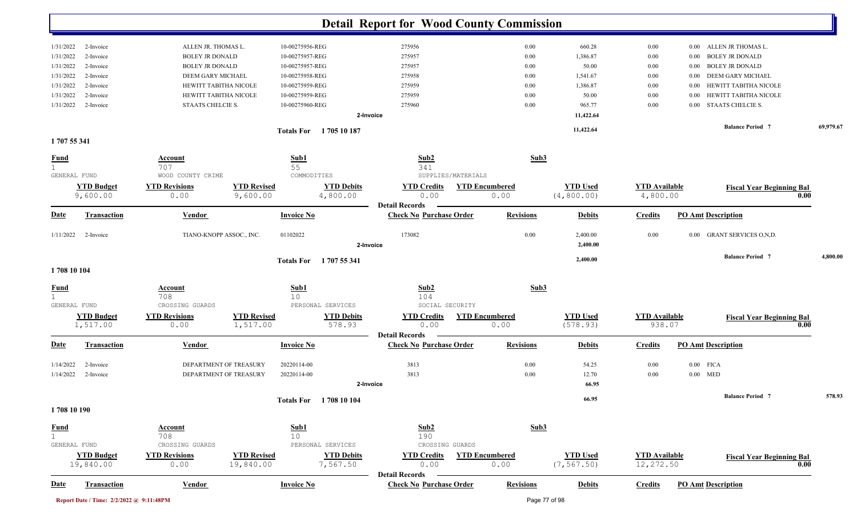|                        |                                          |                                                  |                                 |                            |                               | <b>Detail Report for Wood County Commission</b>         |                               |                  |                                |                                   |          |                                  |           |
|------------------------|------------------------------------------|--------------------------------------------------|---------------------------------|----------------------------|-------------------------------|---------------------------------------------------------|-------------------------------|------------------|--------------------------------|-----------------------------------|----------|----------------------------------|-----------|
| 1/31/2022              | 2-Invoice                                | ALLEN JR. THOMAS L.                              |                                 | 10-00275956-REG            |                               | 275956                                                  |                               | 0.00             | 660.28                         | 0.00                              | $0.00\,$ | ALLEN JR THOMAS L.               |           |
| 1/31/2022              | 2-Invoice                                | <b>BOLEY JR DONALD</b>                           |                                 | 10-00275957-REG            |                               | 275957                                                  |                               | 0.00             | 1,386.87                       | 0.00                              | $0.00\,$ | <b>BOLEY JR DONALD</b>           |           |
| 1/31/2022              | 2-Invoice                                | <b>BOLEY JR DONALD</b>                           |                                 | 10-00275957-REG            |                               | 275957                                                  |                               | 0.00             | 50.00                          | 0.00                              | 0.00     | <b>BOLEY JR DONALD</b>           |           |
| 1/31/2022              | 2-Invoice                                | DEEM GARY MICHAEL                                |                                 | 10-00275958-REG            |                               | 275958                                                  |                               | 0.00             | 1,541.67                       | 0.00                              | 0.00     | DEEM GARY MICHAEL                |           |
| 1/31/2022              | 2-Invoice                                | HEWITT TABITHA NICOLE                            |                                 | 10-00275959-REG            |                               | 275959                                                  |                               | 0.00             | 1,386.87                       | 0.00                              | 0.00     | HEWITT TABITHA NICOLE            |           |
| 1/31/2022              | 2-Invoice                                | HEWITT TABITHA NICOLE                            |                                 | 10-00275959-REG            |                               | 275959                                                  |                               | 0.00             | 50.00                          | 0.00                              | 0.00     | HEWITT TABITHA NICOLE            |           |
| 1/31/2022              | 2-Invoice                                | STAATS CHELCIE S.                                |                                 | 10-00275960-REG            |                               | 275960                                                  |                               | 0.00             | 965.77                         | 0.00                              | 0.00     | STAATS CHELCIE S.                |           |
|                        |                                          |                                                  |                                 |                            |                               | 2-Invoice                                               |                               |                  | 11,422.64                      |                                   |          | <b>Balance Period 7</b>          | 69,979.67 |
| 1707 55 341            |                                          |                                                  |                                 |                            | Totals For 1705 10 187        |                                                         |                               |                  | 11,422.64                      |                                   |          |                                  |           |
| <b>Fund</b>            |                                          | Account<br>707                                   |                                 | Sub1<br>55                 |                               | Sub2<br>341                                             |                               | Sub3             |                                |                                   |          |                                  |           |
| GENERAL FUND           |                                          | WOOD COUNTY CRIME                                |                                 | COMMODITIES                |                               | SUPPLIES/MATERIALS                                      |                               |                  |                                |                                   |          |                                  |           |
|                        | <b>YTD Budget</b>                        | <b>YTD Revisions</b>                             | <b>YTD Revised</b>              |                            | <b>YTD Debits</b>             | <b>YTD Credits</b>                                      | <b>YTD Encumbered</b>         |                  | <b>YTD Used</b>                | <b>YTD Available</b>              |          | <b>Fiscal Year Beginning Bal</b> |           |
|                        | 9,600.00                                 | 0.00                                             | 9,600.00                        |                            | 4,800.00                      | 0.00                                                    | 0.00                          |                  | (4, 800.00)                    | 4,800.00                          |          |                                  | 0.00      |
|                        |                                          |                                                  |                                 |                            |                               | <b>Detail Records</b>                                   |                               |                  |                                |                                   |          |                                  |           |
| <u>Date</u>            | <b>Transaction</b>                       | Vendor                                           |                                 | <b>Invoice No</b>          |                               | <b>Check No Purchase Order</b>                          |                               | <b>Revisions</b> | <b>Debits</b>                  | <b>Credits</b>                    |          | <b>PO Amt Description</b>        |           |
| 1/11/2022              | 2-Invoice                                | TIANO-KNOPP ASSOC., INC.                         |                                 | 01102022                   |                               | 173082<br>2-Invoice                                     |                               | 0.00             | 2,400.00<br>2,400.00           | 0.00                              |          | 0.00 GRANT SERVICES O, N, D.     |           |
|                        |                                          |                                                  |                                 | <b>Totals For</b>          | 1 707 55 341                  |                                                         |                               |                  | 2,400.00                       |                                   |          | <b>Balance Period 7</b>          | 4,800.00  |
| 1708 10 104            |                                          |                                                  |                                 |                            |                               |                                                         |                               |                  |                                |                                   |          |                                  |           |
| <b>Fund</b>            |                                          | <b>Account</b><br>708                            |                                 | Sub1<br>10                 |                               | Sub2<br>104                                             |                               | Sub3             |                                |                                   |          |                                  |           |
| GENERAL FUND           |                                          | CROSSING GUARDS                                  |                                 |                            | PERSONAL SERVICES             | SOCIAL SECURITY                                         |                               |                  |                                |                                   |          |                                  |           |
|                        | <b>YTD Budget</b>                        | <b>YTD Revisions</b>                             | <b>YTD Revised</b>              |                            | <b>YTD Debits</b>             | <b>YTD Credits</b>                                      | <b>YTD Encumbered</b>         |                  | <b>YTD Used</b>                | <b>YTD</b> Available              |          | <b>Fiscal Year Beginning Bal</b> |           |
|                        | 1,517.00                                 | 0.00                                             | 1,517.00                        |                            | 578.93                        | 0.00                                                    | 0.00                          |                  | (578.93)                       | 938.07                            |          |                                  | 0.00      |
| Date                   | <b>Transaction</b>                       | Vendor                                           |                                 | <b>Invoice No</b>          |                               | <b>Detail Records</b><br><b>Check No Purchase Order</b> |                               | <b>Revisions</b> | <b>Debits</b>                  | <b>Credits</b>                    |          | <b>PO Amt Description</b>        |           |
|                        |                                          |                                                  |                                 |                            |                               |                                                         |                               |                  |                                |                                   |          |                                  |           |
| 1/14/2022<br>1/14/2022 | 2-Invoice<br>2-Invoice                   | DEPARTMENT OF TREASURY<br>DEPARTMENT OF TREASURY |                                 | 20220114-00<br>20220114-00 |                               | 3813<br>3813                                            |                               | 0.00<br>0.00     | 54.25<br>12.70                 | 0.00<br>0.00                      |          | $0.00$ FICA<br>$0.00$ MED        |           |
|                        |                                          |                                                  |                                 |                            |                               | 2-Invoice                                               |                               |                  | 66.95                          |                                   |          |                                  |           |
|                        |                                          |                                                  |                                 |                            | Totals For 1708 10 104        |                                                         |                               |                  | 66.95                          |                                   |          | <b>Balance Period 7</b>          | 578.93    |
| 1708 10 190            |                                          |                                                  |                                 |                            |                               |                                                         |                               |                  |                                |                                   |          |                                  |           |
| $rac{\text{Fund}}{1}$  |                                          | <b>Account</b>                                   |                                 | Sub1                       |                               | Sub2                                                    |                               | Sub3             |                                |                                   |          |                                  |           |
| GENERAL FUND           |                                          | 708<br>CROSSING GUARDS                           |                                 | 10                         | PERSONAL SERVICES             | 190<br>CROSSING GUARDS                                  |                               |                  |                                |                                   |          |                                  |           |
|                        | <b>YTD Budget</b><br>19,840.00           | <b>YTD Revisions</b><br>0.00                     | <b>YTD Revised</b><br>19,840.00 |                            | <b>YTD Debits</b><br>7,567.50 | <b>YTD Credits</b><br>0.00                              | <b>YTD Encumbered</b><br>0.00 |                  | <b>YTD Used</b><br>(7, 567.50) | <b>YTD Available</b><br>12,272.50 |          | <b>Fiscal Year Beginning Bal</b> | 0.00      |
| <b>Date</b>            | <b>Transaction</b>                       | <b>Vendor</b>                                    |                                 | <b>Invoice No</b>          |                               | <b>Detail Records</b><br><b>Check No Purchase Order</b> |                               | <b>Revisions</b> | <b>Debits</b>                  | <b>Credits</b>                    |          | <b>PO Amt Description</b>        |           |
|                        |                                          |                                                  |                                 |                            |                               |                                                         |                               |                  |                                |                                   |          |                                  |           |
|                        | Report Date / Time: 2/2/2022 @ 9:11:48PM |                                                  |                                 |                            |                               |                                                         |                               | Page 77 of 98    |                                |                                   |          |                                  |           |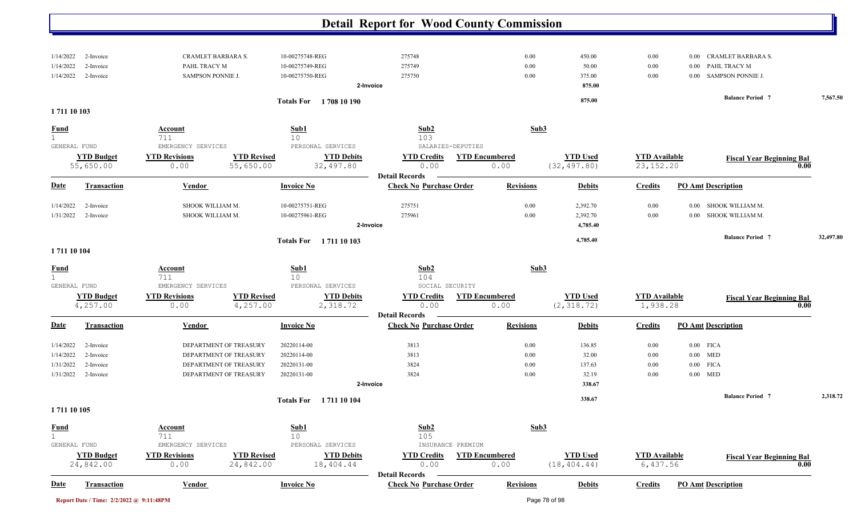|                                                                                                      |                                                                                                      |                                                          | <b>Detail Report for Wood County Commission</b>                        |                               |                                              |                                     |                                                                                                       |           |
|------------------------------------------------------------------------------------------------------|------------------------------------------------------------------------------------------------------|----------------------------------------------------------|------------------------------------------------------------------------|-------------------------------|----------------------------------------------|-------------------------------------|-------------------------------------------------------------------------------------------------------|-----------|
| 1/14/2022<br>2-Invoice<br>1/14/2022<br>2-Invoice<br>1/14/2022<br>2-Invoice                           | CRAMLET BARBARA S.<br>PAHL TRACY M<br>SAMPSON PONNIE J.                                              | 10-00275748-REG<br>10-00275749-REG<br>10-00275750-REG    | 275748<br>275749<br>275750<br>2-Invoice                                | 0.00<br>0.00<br>0.00          | 450.00<br>50.00<br>375.00<br>875.00          | 0.00<br>0.00<br>0.00                | <b>CRAMLET BARBARA S.</b><br>$0.00\,$<br>PAHL TRACY M<br>$0.00\,$<br><b>SAMPSON PONNIE J.</b><br>0.00 |           |
| 1711 10 103                                                                                          |                                                                                                      | Totals For 1708 10 190                                   |                                                                        |                               | 875.00                                       |                                     | <b>Balance Period 7</b>                                                                               | 7,567.50  |
| <b>Fund</b>                                                                                          | Account<br>711                                                                                       | Sub1<br>10                                               | Sub2<br>103                                                            | Sub3                          |                                              |                                     |                                                                                                       |           |
| GENERAL FUND<br><b>YTD Budget</b><br>55,650.00                                                       | EMERGENCY SERVICES<br><b>YTD Revisions</b><br><b>YTD Revised</b><br>55,650.00<br>0.00                | PERSONAL SERVICES<br><b>YTD Debits</b><br>32,497.80      | SALARIES-DEPUTIES<br><b>YTD Credits</b><br>0.00                        | <b>YTD Encumbered</b><br>0.00 | <b>YTD Used</b><br>(32, 497.80)              | <b>YTD Available</b><br>23, 152. 20 | <b>Fiscal Year Beginning Bal</b><br>0.00                                                              |           |
| <b>Date</b><br><b>Transaction</b>                                                                    | Vendor                                                                                               | <b>Invoice No</b>                                        | <b>Detail Records</b><br><b>Check No Purchase Order</b>                | <b>Revisions</b>              | <b>Debits</b>                                | <b>Credits</b>                      | <b>PO Amt Description</b>                                                                             |           |
| 1/14/2022<br>2-Invoice<br>2-Invoice<br>1/31/2022                                                     | SHOOK WILLIAM M.<br>SHOOK WILLIAM M.                                                                 | 10-00275751-REG<br>10-00275961-REG                       | 275751<br>275961<br>2-Invoice                                          | 0.00<br>0.00                  | 2,392.70<br>2,392.70<br>4,785.40             | 0.00<br>0.00                        | 0.00 SHOOK WILLIAM M.<br>0.00 SHOOK WILLIAM M.                                                        |           |
| 1711 10 104                                                                                          |                                                                                                      | Totals For 1711 10 103                                   |                                                                        |                               | 4,785.40                                     |                                     | <b>Balance Period 7</b>                                                                               | 32,497.80 |
| <b>Fund</b><br>1                                                                                     | Account<br>711                                                                                       | Sub1<br>10                                               | Sub2<br>104                                                            | Sub3                          |                                              |                                     |                                                                                                       |           |
| GENERAL FUND<br><b>YTD Budget</b><br>4,257.00                                                        | EMERGENCY SERVICES<br><b>YTD Revisions</b><br><b>YTD Revised</b><br>4,257.00<br>0.00                 | PERSONAL SERVICES<br><b>YTD Debits</b><br>2,318.72       | SOCIAL SECURITY<br><b>YTD Credits</b><br>0.00<br><b>Detail Records</b> | <b>YTD Encumbered</b><br>0.00 | <b>YTD Used</b><br>(2, 318.72)               | <b>YTD</b> Available<br>1,938.28    | <b>Fiscal Year Beginning Bal</b><br>0.00                                                              |           |
| <u>Date</u><br><b>Transaction</b>                                                                    | Vendor                                                                                               | <b>Invoice No</b>                                        | <b>Check No Purchase Order</b>                                         | <b>Revisions</b>              | <b>Debits</b>                                | <b>Credits</b>                      | <b>PO Amt Description</b>                                                                             |           |
| 1/14/2022<br>2-Invoice<br>1/14/2022<br>2-Invoice<br>1/31/2022<br>2-Invoice<br>1/31/2022<br>2-Invoice | DEPARTMENT OF TREASURY<br>DEPARTMENT OF TREASURY<br>DEPARTMENT OF TREASURY<br>DEPARTMENT OF TREASURY | 20220114-00<br>20220114-00<br>20220131-00<br>20220131-00 | 3813<br>3813<br>3824<br>3824<br>2-Invoice                              | 0.00<br>0.00<br>0.00<br>0.00  | 136.85<br>32.00<br>137.63<br>32.19<br>338.67 | 0.00<br>0.00<br>0.00<br>0.00        | $0.00$ FICA<br>$0.00$ MED<br>$0.00$ FICA<br>$0.00$ MED                                                |           |
| 1711 10 105                                                                                          |                                                                                                      | Totals For 1711 10 104                                   |                                                                        |                               | 338.67                                       |                                     | <b>Balance Period 7</b>                                                                               | 2,318.72  |
| <b>Fund</b><br>GENERAL FUND<br><b>YTD Budget</b>                                                     | <b>Account</b><br>711<br>EMERGENCY SERVICES<br><b>YTD Revisions</b><br><b>YTD Revised</b>            | Sub1<br>10<br>PERSONAL SERVICES<br><b>YTD Debits</b>     | Sub2<br>105<br>INSURANCE PREMIUM<br><b>YTD Credits</b>                 | Sub3<br><b>YTD Encumbered</b> | <b>YTD Used</b>                              | <b>YTD</b> Available                | <b>Fiscal Year Beginning Bal</b>                                                                      |           |
| 24,842.00<br><b>Transaction</b><br><b>Date</b>                                                       | 24,842.00<br>0.00<br><b>Vendor</b>                                                                   | 18,404.44<br><b>Invoice No</b>                           | 0.00<br><b>Detail Records</b><br><b>Check No Purchase Order</b>        | 0.00<br><b>Revisions</b>      | (18, 404.44)<br><b>Debits</b>                | 6,437.56<br><b>Credits</b>          | 0.00<br><b>PO Amt Description</b>                                                                     |           |

| Report Date / Time: 2/2/2022 @ 9:11:48PM | Page 78 of 98 |
|------------------------------------------|---------------|
|                                          |               |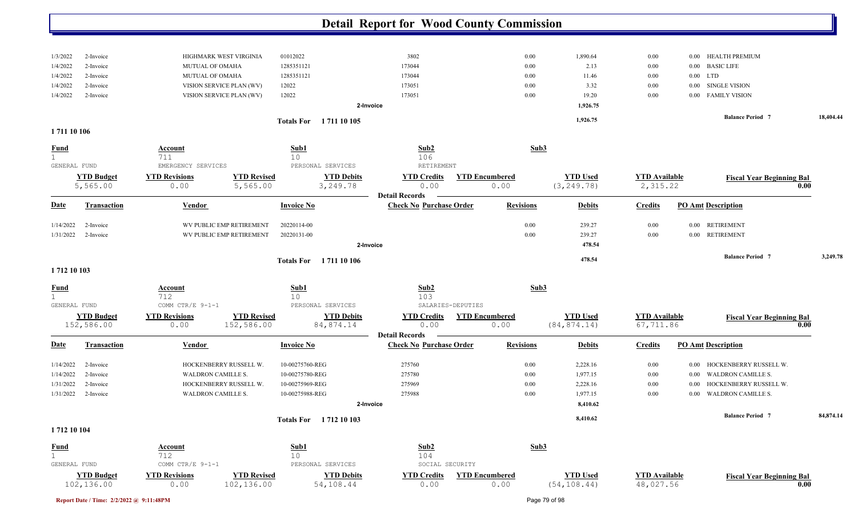| 1/3/2022     | 2-Invoice          | HIGHMARK WEST VIRGINIA                     | 01012022                          | 3802                           | 0.00                  | 1,890.64        | 0.00                 | HEALTH PREMIUM<br>0.00            |           |
|--------------|--------------------|--------------------------------------------|-----------------------------------|--------------------------------|-----------------------|-----------------|----------------------|-----------------------------------|-----------|
| 1/4/2022     | 2-Invoice          | MUTUAL OF OMAHA                            | 1285351121                        | 173044                         | 0.00                  | 2.13            | 0.00                 | 0.00 BASIC LIFE                   |           |
| 1/4/2022     | 2-Invoice          | MUTUAL OF OMAHA                            | 1285351121                        | 173044                         | 0.00                  | 11.46           | $0.00\,$             | $0.00$ LTD                        |           |
| 1/4/2022     | 2-Invoice          | VISION SERVICE PLAN (WV)                   | 12022                             | 173051                         | 0.00                  | 3.32            | 0.00                 | SINGLE VISION<br>$0.00\,$         |           |
| 1/4/2022     | 2-Invoice          | VISION SERVICE PLAN (WV)                   | 12022                             | 173051                         | 0.00                  | 19.20           | 0.00                 | 0.00 FAMILY VISION                |           |
|              |                    |                                            |                                   | 2-Invoice                      |                       | 1,926.75        |                      |                                   |           |
|              |                    |                                            |                                   |                                |                       | 1,926.75        |                      | <b>Balance Period 7</b>           | 18,404.44 |
| 1711 10 106  |                    |                                            | <b>Totals For</b><br>1 711 10 105 |                                |                       |                 |                      |                                   |           |
|              |                    |                                            |                                   |                                |                       |                 |                      |                                   |           |
| <u>Fund</u>  |                    | <b>Account</b>                             | Sub1                              | Sub2                           | Sub3                  |                 |                      |                                   |           |
| 1            |                    | 711                                        | 10                                | 106                            |                       |                 |                      |                                   |           |
| GENERAL FUND |                    | EMERGENCY SERVICES                         | PERSONAL SERVICES                 | RETIREMENT                     |                       |                 |                      |                                   |           |
|              | <b>YTD Budget</b>  | <b>YTD Revised</b><br><b>YTD Revisions</b> | <b>YTD Debits</b>                 | <b>YTD Credits</b>             | <b>YTD Encumbered</b> | <b>YTD Used</b> | <b>YTD Available</b> | <b>Fiscal Year Beginning Bal</b>  |           |
|              | 5,565.00           | 0.00<br>5,565.00                           | 3,249.78                          | 0.00                           | 0.00                  | (3, 249.78)     | 2,315.22             |                                   | 0.00      |
|              |                    |                                            |                                   | <b>Detail Records</b>          |                       |                 |                      |                                   |           |
| <b>Date</b>  | <b>Transaction</b> | Vendor                                     | <b>Invoice No</b>                 | <b>Check No Purchase Order</b> | <b>Revisions</b>      | <b>Debits</b>   | <b>Credits</b>       | <b>PO Amt Description</b>         |           |
| 1/14/2022    | 2-Invoice          | WV PUBLIC EMP RETIREMENT                   | 20220114-00                       |                                | 0.00                  | 239.27          | 0.00                 | 0.00 RETIREMENT                   |           |
| 1/31/2022    | 2-Invoice          | WV PUBLIC EMP RETIREMENT                   | 20220131-00                       |                                | 0.00                  | 239.27          | 0.00                 | 0.00 RETIREMENT                   |           |
|              |                    |                                            |                                   | 2-Invoice                      |                       | 478.54          |                      |                                   |           |
|              |                    |                                            |                                   |                                |                       |                 |                      | <b>Balance Period 7</b>           | 3,249.78  |
|              |                    |                                            | <b>Totals For</b><br>1 711 10 106 |                                |                       | 478.54          |                      |                                   |           |
| 1712 10 103  |                    |                                            |                                   |                                |                       |                 |                      |                                   |           |
| <u>Fund</u>  |                    | <b>Account</b>                             | Sub1                              | Sub2                           | Sub3                  |                 |                      |                                   |           |
|              |                    | 712                                        | 10 <sup>°</sup>                   | 103                            |                       |                 |                      |                                   |           |
| GENERAL FUND |                    | COMM CTR/E 9-1-1                           | PERSONAL SERVICES                 | SALARIES-DEPUTIES              |                       |                 |                      |                                   |           |
|              | <b>YTD Budget</b>  | <b>YTD Revisions</b><br><b>YTD Revised</b> | <b>YTD Debits</b>                 | <b>YTD Credits</b>             | <b>YTD</b> Encumbered | <b>YTD Used</b> | <b>YTD Available</b> | <b>Fiscal Year Beginning Bal</b>  |           |
|              | 152,586.00         | 152,586.00<br>0.00                         | 84,874.14                         | 0.00                           | 0.00                  | (84, 874.14)    | 67,711.86            |                                   | 0.00      |
|              |                    |                                            |                                   | <b>Detail Records</b>          |                       |                 |                      |                                   |           |
| <b>Date</b>  | <b>Transaction</b> | Vendor                                     | <b>Invoice No</b>                 | <b>Check No Purchase Order</b> | <b>Revisions</b>      | <b>Debits</b>   | <b>Credits</b>       | <b>PO Amt Description</b>         |           |
| 1/14/2022    | 2-Invoice          | HOCKENBERRY RUSSELL W.                     | 10-00275760-REG                   | 275760                         | 0.00                  | 2,228.16        | 0.00                 | HOCKENBERRY RUSSELL W.<br>0.00    |           |
| 1/14/2022    | 2-Invoice          | <b>WALDRON CAMILLE S.</b>                  | 10-00275780-REG                   | 275780                         | 0.00                  | 1,977.15        | 0.00                 | <b>WALDRON CAMILLE S.</b><br>0.00 |           |
| 1/31/2022    | 2-Invoice          | HOCKENBERRY RUSSELL W.                     | 10-00275969-REG                   | 275969                         | 0.00                  | 2,228.16        | 0.00                 | HOCKENBERRY RUSSELL W.<br>0.00    |           |
| 1/31/2022    | 2-Invoice          | <b>WALDRON CAMILLE S.</b>                  | 10-00275988-REG                   | 275988                         | 0.00                  | 1,977.15        | 0.00                 | WALDRON CAMILLE S.<br>0.00        |           |
|              |                    |                                            |                                   | 2-Invoice                      |                       | 8,410.62        |                      |                                   |           |
|              |                    |                                            |                                   |                                |                       |                 |                      | <b>Balance Period 7</b>           | 84,874.14 |
|              |                    |                                            | Totals For 1712 10 103            |                                |                       | 8,410.62        |                      |                                   |           |
| 1712 10 104  |                    |                                            |                                   |                                |                       |                 |                      |                                   |           |
| <b>Fund</b>  |                    | <b>Account</b>                             | Sub1                              | Sub2                           | Sub3                  |                 |                      |                                   |           |
| 1            |                    | 712                                        | 10                                | 104                            |                       |                 |                      |                                   |           |
| GENERAL FUND |                    | COMM CTR/E 9-1-1                           | PERSONAL SERVICES                 | SOCIAL SECURITY                |                       |                 |                      |                                   |           |
|              | <b>YTD Budget</b>  | <b>YTD Revisions</b><br><b>YTD Revised</b> | <b>YTD Debits</b>                 | <b>YTD Credits</b>             | <b>YTD Encumbered</b> | <b>YTD Used</b> | <b>YTD</b> Available | <b>Fiscal Year Beginning Bal</b>  |           |
|              | 102,136.00         | 0.00<br>102,136.00                         | 54,108.44                         | 0.00                           | 0.00                  | (54, 108.44)    | 48,027.56            |                                   | 0.00      |

**Report Date / Time: 2/2/2022 @ 9:11:48PM** Page 79 of 98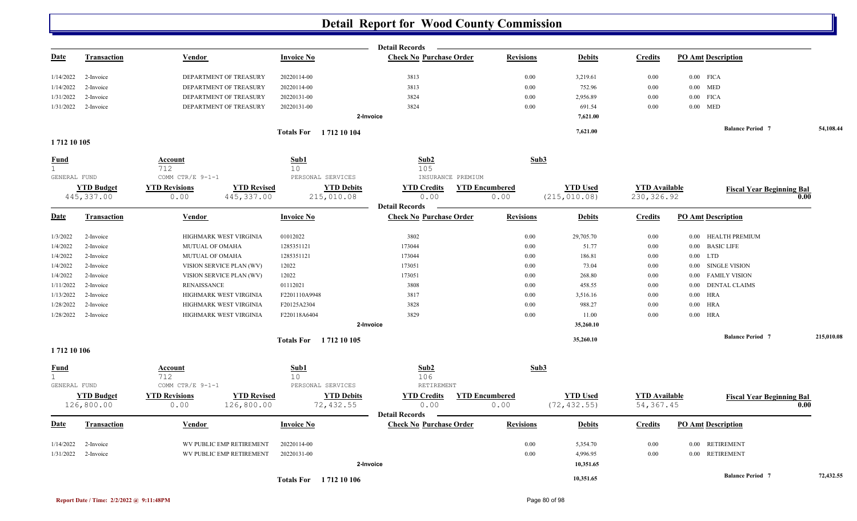|                              |                    |                                            |                               | <b>Detail Records</b>                                   |                       |                 |                      |                                  |            |
|------------------------------|--------------------|--------------------------------------------|-------------------------------|---------------------------------------------------------|-----------------------|-----------------|----------------------|----------------------------------|------------|
| <u>Date</u>                  | <b>Transaction</b> | <u>Vendor</u>                              | <b>Invoice No</b>             | <b>Check No Purchase Order</b>                          | <b>Revisions</b>      | <b>Debits</b>   | <b>Credits</b>       | <b>PO Amt Description</b>        |            |
| 1/14/2022                    | 2-Invoice          | DEPARTMENT OF TREASURY                     | 20220114-00                   | 3813                                                    | 0.00                  | 3,219.61        | 0.00                 | $0.00$ FICA                      |            |
| 1/14/2022                    | 2-Invoice          | DEPARTMENT OF TREASURY                     | 20220114-00                   | 3813                                                    | 0.00                  | 752.96          | 0.00                 | $0.00$ MED                       |            |
| 1/31/2022                    | 2-Invoice          | DEPARTMENT OF TREASURY                     | 20220131-00                   | 3824                                                    | 0.00                  | 2,956.89        | 0.00                 | $0.00$ FICA                      |            |
| 1/31/2022                    | 2-Invoice          | DEPARTMENT OF TREASURY                     | 20220131-00                   | 3824                                                    | 0.00                  | 691.54          | 0.00                 | $0.00$ MED                       |            |
|                              |                    |                                            |                               | 2-Invoice                                               |                       | 7,621.00        |                      |                                  |            |
|                              |                    |                                            | <b>Totals For</b> 1712 10 104 |                                                         |                       | 7,621.00        |                      | <b>Balance Period 7</b>          | 54,108.44  |
| 1712 10 105                  |                    |                                            |                               |                                                         |                       |                 |                      |                                  |            |
| <b>Fund</b>                  |                    | <b>Account</b>                             | Sub1                          | Sub2                                                    | Sub3                  |                 |                      |                                  |            |
| $\mathbf{1}$                 |                    | 712                                        | 10                            | 105                                                     |                       |                 |                      |                                  |            |
| GENERAL FUND                 |                    | COMM CTR/E 9-1-1                           | PERSONAL SERVICES             | INSURANCE PREMIUM                                       |                       |                 |                      |                                  |            |
|                              | <b>YTD Budget</b>  | <b>YTD Revisions</b><br><b>YTD Revised</b> | <b>YTD Debits</b>             | <b>YTD Credits</b>                                      | <b>YTD Encumbered</b> | <b>YTD Used</b> | <b>YTD Available</b> | <b>Fiscal Year Beginning Bal</b> |            |
|                              | 445, 337.00        | 445, 337.00<br>0.00                        | 215,010.08                    | 0.00<br><b>Detail Records</b>                           | 0.00                  | (215, 010.08)   | 230, 326.92          |                                  | 0.00       |
| <u>Date</u>                  | <b>Transaction</b> | Vendor                                     | <b>Invoice No</b>             | <b>Check No Purchase Order</b>                          | <b>Revisions</b>      | <b>Debits</b>   | <b>Credits</b>       | <b>PO Amt Description</b>        |            |
| 1/3/2022                     | 2-Invoice          | HIGHMARK WEST VIRGINIA                     | 01012022                      | 3802                                                    | 0.00                  | 29,705.70       | $0.00\,$             | 0.00 HEALTH PREMIUM              |            |
| 1/4/2022                     | 2-Invoice          | MUTUAL OF OMAHA                            | 1285351121                    | 173044                                                  | 0.00                  | 51.77           | 0.00                 | 0.00 BASIC LIFE                  |            |
| 1/4/2022                     | 2-Invoice          | MUTUAL OF OMAHA                            | 1285351121                    | 173044                                                  | 0.00                  | 186.81          | 0.00                 | $0.00$ LTD                       |            |
| 1/4/2022                     | 2-Invoice          | VISION SERVICE PLAN (WV)                   | 12022                         | 173051                                                  | 0.00                  | 73.04           | 0.00                 | 0.00 SINGLE VISION               |            |
| 1/4/2022                     | 2-Invoice          | VISION SERVICE PLAN (WV)                   | 12022                         | 173051                                                  | 0.00                  | 268.80          | 0.00                 | 0.00 FAMILY VISION               |            |
| 1/11/2022                    | 2-Invoice          | RENAISSANCE                                | 01112021                      | 3808                                                    | 0.00                  | 458.55          | 0.00                 | 0.00 DENTAL CLAIMS               |            |
| 1/13/2022                    | 2-Invoice          | HIGHMARK WEST VIRGINIA                     | F2201110A9948                 | 3817                                                    | 0.00                  | 3,516.16        | 0.00                 | $0.00$ HRA                       |            |
| 1/28/2022                    | 2-Invoice          | HIGHMARK WEST VIRGINIA                     | F20125A2304                   | 3828                                                    | 0.00                  | 988.27          | 0.00                 | $0.00$ HRA                       |            |
| 1/28/2022                    | 2-Invoice          | HIGHMARK WEST VIRGINIA                     | F220118A6404                  | 3829                                                    | 0.00                  | 11.00           | 0.00                 | $0.00$ HRA                       |            |
|                              |                    |                                            |                               | 2-Invoice                                               |                       | 35,260.10       |                      |                                  |            |
|                              |                    |                                            | Totals For 1712 10 105        |                                                         |                       | 35,260.10       |                      | <b>Balance Period 7</b>          | 215,010.08 |
| 1712 10 106                  |                    |                                            |                               |                                                         |                       |                 |                      |                                  |            |
| <b>Fund</b>                  |                    | Account                                    | Sub1                          | Sub2                                                    | Sub3                  |                 |                      |                                  |            |
| $\mathbf{1}$<br>GENERAL FUND |                    | 712<br>COMM CTR/E 9-1-1                    | 10<br>PERSONAL SERVICES       | 106<br><b>RETIREMENT</b>                                |                       |                 |                      |                                  |            |
|                              | <b>YTD Budget</b>  | <b>YTD Revisions</b><br><b>YTD Revised</b> | <b>YTD Debits</b>             | <b>YTD Credits</b>                                      | <b>YTD Encumbered</b> | <b>YTD</b> Used | <b>YTD</b> Available | <b>Fiscal Year Beginning Bal</b> |            |
|                              | 126,800.00         | 0.00<br>126,800.00                         | 72,432.55                     | 0.00                                                    | 0.00                  | (72, 432.55)    | 54, 367.45           |                                  | 0.00       |
| Date                         | <b>Transaction</b> | Vendor                                     | <b>Invoice No</b>             | <b>Detail Records</b><br><b>Check No Purchase Order</b> | <b>Revisions</b>      | <b>Debits</b>   | <b>Credits</b>       | <b>PO Amt Description</b>        |            |
|                              |                    |                                            |                               |                                                         |                       |                 |                      |                                  |            |
| 1/14/2022                    | 2-Invoice          | WV PUBLIC EMP RETIREMENT                   | 20220114-00                   |                                                         | 0.00                  | 5,354.70        | 0.00                 | 0.00 RETIREMENT                  |            |
| 1/31/2022                    | 2-Invoice          | WV PUBLIC EMP RETIREMENT                   | 20220131-00                   |                                                         | 0.00                  | 4,996.95        | 0.00                 | 0.00 RETIREMENT                  |            |
|                              |                    |                                            |                               | 2-Invoice                                               |                       | 10,351.65       |                      |                                  |            |
|                              |                    |                                            | <b>Totals For</b> 1712 10 106 |                                                         |                       | 10,351.65       |                      | <b>Balance Period 7</b>          | 72,432.55  |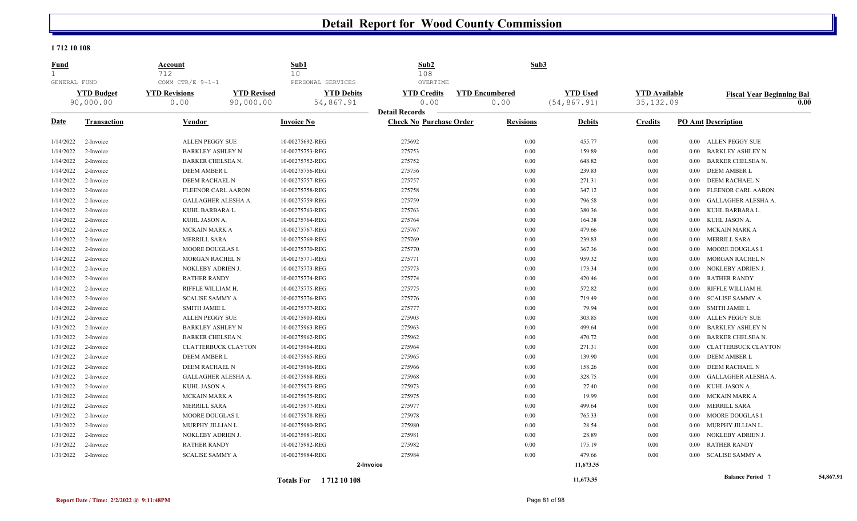#### **1 712 10 108**

| <b>Fund</b><br>$\mathbf{1}$ |                    | Account<br>712                           |                    | Sub1<br>10                             | Sub2<br>108                    | Sub3                  |                 |                      |                                    |           |
|-----------------------------|--------------------|------------------------------------------|--------------------|----------------------------------------|--------------------------------|-----------------------|-----------------|----------------------|------------------------------------|-----------|
| GENERAL FUND                | <b>YTD Budget</b>  | COMM CTR/E 9-1-1<br><b>YTD Revisions</b> | <b>YTD Revised</b> | PERSONAL SERVICES<br><b>YTD Debits</b> | OVERTIME<br><b>YTD Credits</b> | <b>YTD Encumbered</b> | <b>YTD Used</b> | <b>YTD Available</b> |                                    |           |
|                             | 90,000.00          | 0.00                                     | 90,000.00          | 54,867.91                              | 0.00                           | 0.00                  | (54, 867.91)    | 35, 132.09           | <b>Fiscal Year Beginning Bal</b>   | 0.00      |
|                             |                    |                                          |                    |                                        | <b>Detail Records</b>          |                       |                 |                      |                                    |           |
| Date                        | <b>Transaction</b> | Vendor                                   |                    | <b>Invoice No</b>                      | <b>Check No Purchase Order</b> | <b>Revisions</b>      | <b>Debits</b>   | <b>Credits</b>       | <b>PO Amt Description</b>          |           |
| 1/14/2022                   | 2-Invoice          | ALLEN PEGGY SUE                          |                    | 10-00275692-REG                        | 275692                         | 0.00                  | 455.77          | $0.00\,$             | 0.00 ALLEN PEGGY SUE               |           |
| 1/14/2022                   | 2-Invoice          | <b>BARKLEY ASHLEY N</b>                  |                    | 10-00275753-REG                        | 275753                         | 0.00                  | 159.89          | $0.00\,$             | <b>BARKLEY ASHLEY N</b><br>0.00    |           |
| 1/14/2022                   | 2-Invoice          | BARKER CHELSEA N.                        |                    | 10-00275752-REG                        | 275752                         | 0.00                  | 648.82          | $0.00\,$             | <b>BARKER CHELSEA N.</b><br>0.00   |           |
| 1/14/2022                   | 2-Invoice          | DEEM AMBER L                             |                    | 10-00275756-REG                        | 275756                         | 0.00                  | 239.83          | $0.00\,$             | DEEM AMBER L<br>$0.00\,$           |           |
| 1/14/2022                   | 2-Invoice          | DEEM RACHAEL N                           |                    | 10-00275757-REG                        | 275757                         | 0.00                  | 271.31          | $0.00\,$             | DEEM RACHAEL N<br>$0.00\,$         |           |
| 1/14/2022                   | 2-Invoice          | FLEENOR CARL AARON                       |                    | 10-00275758-REG                        | 275758                         | 0.00                  | 347.12          | $0.00\,$             | FLEENOR CARL AARON<br>0.00         |           |
| 1/14/2022                   | 2-Invoice          | GALLAGHER ALESHA A.                      |                    | 10-00275759-REG                        | 275759                         | 0.00                  | 796.58          | $0.00\,$             | GALLAGHER ALESHA A.<br>0.00        |           |
| 1/14/2022                   | 2-Invoice          | KUHL BARBARA L.                          |                    | 10-00275763-REG                        | 275763                         | 0.00                  | 380.36          | 0.00                 | KUHL BARBARA L<br>0.00             |           |
| 1/14/2022                   | 2-Invoice          | KUHL JASON A.                            |                    | 10-00275764-REG                        | 275764                         | 0.00                  | 164.38          | 0.00                 | KUHL JASON A.<br>$0.00\,$          |           |
| 1/14/2022                   | 2-Invoice          | MCKAIN MARK A                            |                    | 10-00275767-REG                        | 275767                         | 0.00                  | 479.66          | 0.00                 | MCKAIN MARK A<br>0.00              |           |
| 1/14/2022                   | 2-Invoice          | MERRILL SARA                             |                    | 10-00275769-REG                        | 275769                         | 0.00                  | 239.83          | 0.00                 | <b>MERRILL SARA</b><br>$0.00\,$    |           |
| 1/14/2022                   | 2-Invoice          | MOORE DOUGLAS I                          |                    | 10-00275770-REG                        | 275770                         | 0.00                  | 367.36          | $0.00\,$             | MOORE DOUGLAS I.<br>$0.00\,$       |           |
| 1/14/2022                   | 2-Invoice          | MORGAN RACHEL N                          |                    | 10-00275771-REG                        | 275771                         | 0.00                  | 959.32          | $0.00\,$             | <b>MORGAN RACHEL N</b><br>0.00     |           |
| 1/14/2022                   | 2-Invoice          | NOKLEBY ADRIEN J.                        |                    | 10-00275773-REG                        | 275773                         | 0.00                  | 173.34          | $0.00\,$             | NOKLEBY ADRIEN J.<br>0.00          |           |
| 1/14/2022                   | 2-Invoice          | <b>RATHER RANDY</b>                      |                    | 10-00275774-REG                        | 275774                         | 0.00                  | 420.46          | $0.00\,$             | <b>RATHER RANDY</b><br>0.00        |           |
| 1/14/2022                   | 2-Invoice          | RIFFLE WILLIAM H.                        |                    | 10-00275775-REG                        | 275775                         | 0.00                  | 572.82          | 0.00                 | RIFFLE WILLIAM H.<br>0.00          |           |
| 1/14/2022                   | 2-Invoice          | <b>SCALISE SAMMY A</b>                   |                    | 10-00275776-REG                        | 275776                         | 0.00                  | 719.49          | $0.00\,$             | <b>SCALISE SAMMY A</b><br>0.00     |           |
| 1/14/2022                   | 2-Invoice          | <b>SMITH JAMIE L</b>                     |                    | 10-00275777-REG                        | 275777                         | 0.00                  | 79.94           | $0.00\,$             | <b>SMITH JAMIE L</b><br>0.00       |           |
| 1/31/2022                   | 2-Invoice          | <b>ALLEN PEGGY SUE</b>                   |                    | 10-00275903-REG                        | 275903                         | 0.00                  | 303.85          | $0.00\,$             | ALLEN PEGGY SUE<br>$0.00\,$        |           |
| 1/31/2022                   | 2-Invoice          | <b>BARKLEY ASHLEY N</b>                  |                    | 10-00275963-REG                        | 275963                         | 0.00                  | 499.64          | $0.00\,$             | <b>BARKLEY ASHLEY N</b><br>0.00    |           |
| 1/31/2022                   | 2-Invoice          | BARKER CHELSEA N.                        |                    | 10-00275962-REG                        | 275962                         | 0.00                  | 470.72          | $0.00\,$             | <b>BARKER CHELSEA N.</b><br>0.00   |           |
| 1/31/2022                   | 2-Invoice          | <b>CLATTERBUCK CLAYTON</b>               |                    | 10-00275964-REG                        | 275964                         | 0.00                  | 271.31          | 0.00                 | <b>CLATTERBUCK CLAYTON</b><br>0.00 |           |
| 1/31/2022                   | 2-Invoice          | DEEM AMBER L                             |                    | 10-00275965-REG                        | 275965                         | 0.00                  | 139.90          | $0.00\,$             | <b>DEEM AMBER L</b><br>$0.00\,$    |           |
| 1/31/2022                   | 2-Invoice          | DEEM RACHAEL N                           |                    | 10-00275966-REG                        | 275966                         | 0.00                  | 158.26          | $0.00\,$             | DEEM RACHAEL N<br>0.00             |           |
| 1/31/2022                   | 2-Invoice          | GALLAGHER ALESHA A.                      |                    | 10-00275968-REG                        | 275968                         | 0.00                  | 328.75          | 0.00                 | <b>GALLAGHER ALESHA A.</b><br>0.00 |           |
| 1/31/2022                   | 2-Invoice          | KUHL JASON A.                            |                    | 10-00275973-REG                        | 275973                         | 0.00                  | 27.40           | $0.00\,$             | KUHL JASON A.<br>0.00              |           |
| 1/31/2022                   | 2-Invoice          | MCKAIN MARK A                            |                    | 10-00275975-REG                        | 275975                         | 0.00                  | 19.99           | 0.00                 | MCKAIN MARK A<br>$0.00\,$          |           |
| 1/31/2022                   | 2-Invoice          | MERRILL SARA                             |                    | 10-00275977-REG                        | 275977                         | 0.00                  | 499.64          | $0.00\,$             | MERRILL SARA<br>$0.00\,$           |           |
| 1/31/2022                   | 2-Invoice          | MOORE DOUGLAS I                          |                    | 10-00275978-REG                        | 275978                         | 0.00                  | 765.33          | $0.00\,$             | MOORE DOUGLAS I.<br>0.00           |           |
| 1/31/2022                   | 2-Invoice          | MURPHY JILLIAN L.                        |                    | 10-00275980-REG                        | 275980                         | 0.00                  | 28.54           | $0.00\,$             | MURPHY JILLIAN L.<br>$0.00\,$      |           |
| 1/31/2022                   | 2-Invoice          | NOKLEBY ADRIEN J.                        |                    | 10-00275981-REG                        | 275981                         | 0.00                  | 28.89           | $0.00\,$             | NOKLEBY ADRIEN J.<br>0.00          |           |
| 1/31/2022                   | 2-Invoice          | <b>RATHER RANDY</b>                      |                    | 10-00275982-REG                        | 275982                         | 0.00                  | 175.19          | 0.00                 | <b>RATHER RANDY</b><br>0.00        |           |
| 1/31/2022                   | 2-Invoice          | <b>SCALISE SAMMY A</b>                   |                    | 10-00275984-REG                        | 275984                         | 0.00                  | 479.66          | 0.00                 | SCALISE SAMMY A<br>$0.00\,$        |           |
|                             |                    |                                          |                    |                                        | 2-Invoice                      |                       | 11,673.35       |                      |                                    |           |
|                             |                    |                                          |                    | <b>Totals For</b> 1712 10 108          |                                |                       | 11,673.35       |                      | <b>Balance Period 7</b>            | 54,867.91 |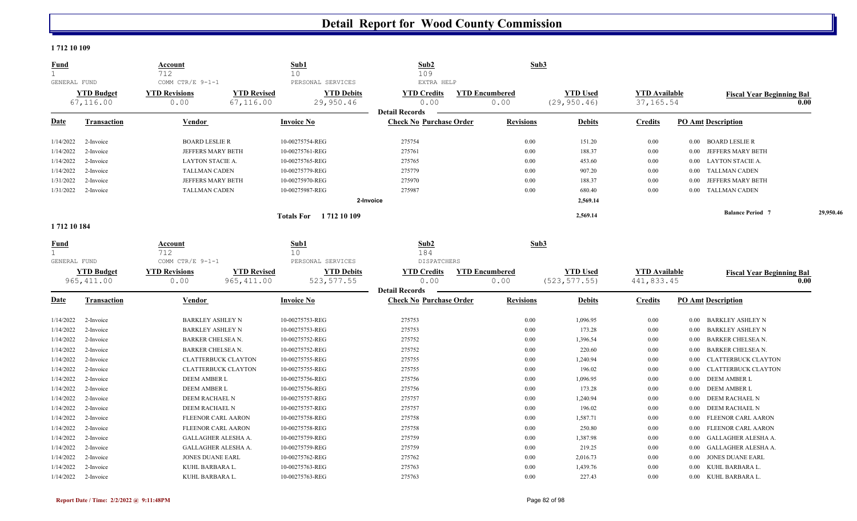#### **1 712 10 109**

| <b>Fund</b><br>$\mathbf{1}$ |                                | <b>Account</b><br>712        |                                 | Sub1<br>10 <sup>°</sup>        | Sub2<br>109                    | Sub3                          |                                 |                                    |                                    |           |
|-----------------------------|--------------------------------|------------------------------|---------------------------------|--------------------------------|--------------------------------|-------------------------------|---------------------------------|------------------------------------|------------------------------------|-----------|
| GENERAL FUND                |                                | COMM CTR/E 9-1-1             |                                 | PERSONAL SERVICES              | EXTRA HELP                     |                               |                                 |                                    |                                    |           |
|                             | <b>YTD Budget</b><br>67,116.00 | <b>YTD Revisions</b><br>0.00 | <b>YTD Revised</b><br>67,116.00 | <b>YTD Debits</b><br>29,950.46 | <b>YTD Credits</b><br>0.00     | <b>YTD Encumbered</b><br>0.00 | <b>YTD Used</b><br>(29, 950.46) | <b>YTD Available</b><br>37, 165.54 | <b>Fiscal Year Beginning Bal</b>   | 0.00      |
|                             |                                |                              |                                 |                                | <b>Detail Records</b>          |                               |                                 |                                    |                                    |           |
| <b>Date</b>                 | <b>Transaction</b>             | Vendor                       |                                 | <b>Invoice No</b>              | <b>Check No Purchase Order</b> | <b>Revisions</b>              | <b>Debits</b>                   | <b>Credits</b>                     | <b>PO Amt Description</b>          |           |
| 1/14/2022                   | 2-Invoice                      | <b>BOARD LESLIE R</b>        |                                 | 10-00275754-REG                | 275754                         | 0.00                          | 151.20                          | 0.00                               | <b>BOARD LESLIE R</b><br>$0.00\,$  |           |
| 1/14/2022                   | 2-Invoice                      | JEFFERS MARY BETH            |                                 | 10-00275761-REG                | 275761                         | 0.00                          | 188.37                          | $0.00\,$                           | JEFFERS MARY BETH<br>0.00          |           |
| 1/14/2022                   | 2-Invoice                      | LAYTON STACIE A.             |                                 | 10-00275765-REG                | 275765                         | 0.00                          | 453.60                          | $0.00\,$                           | <b>LAYTON STACIE A.</b><br>0.00    |           |
| 1/14/2022                   | 2-Invoice                      | <b>TALLMAN CADEN</b>         |                                 | 10-00275779-REG                | 275779                         | 0.00                          | 907.20                          | $0.00\,$                           | <b>TALLMAN CADEN</b><br>0.00       |           |
| 1/31/2022                   | 2-Invoice                      | JEFFERS MARY BETH            |                                 | 10-00275970-REG                | 275970                         | 0.00                          | 188.37                          | $0.00\,$                           | JEFFERS MARY BETH<br>0.00          |           |
| 1/31/2022                   | 2-Invoice                      | <b>TALLMAN CADEN</b>         |                                 | 10-00275987-REG                | 275987                         | 0.00                          | 680.40                          | $0.00\,$                           | <b>TALLMAN CADEN</b><br>$0.00\,$   |           |
|                             |                                |                              |                                 |                                | 2-Invoice                      |                               | 2,569.14                        |                                    |                                    |           |
|                             |                                |                              |                                 | <b>Totals For</b> 1712 10 109  |                                |                               | 2,569.14                        |                                    | <b>Balance Period 7</b>            | 29,950.46 |
| 1712 10 184                 |                                |                              |                                 |                                |                                |                               |                                 |                                    |                                    |           |
| <u>Fund</u><br>$\mathbf{1}$ |                                | Account<br>712               |                                 | Sub1<br>10                     | Sub2<br>184                    | Sub3                          |                                 |                                    |                                    |           |
| GENERAL FUND                |                                | COMM CTR/E 9-1-1             |                                 | PERSONAL SERVICES              | <b>DISPATCHERS</b>             |                               |                                 |                                    |                                    |           |
|                             | <b>YTD Budget</b>              | <b>YTD Revisions</b>         | <b>YTD Revised</b>              | <b>YTD Debits</b>              | <b>YTD Credits</b>             | <b>YTD Encumbered</b>         | <b>YTD Used</b>                 | <b>YTD Available</b>               | <b>Fiscal Year Beginning Bal</b>   |           |
|                             | 965, 411.00                    | 0.00                         | 965, 411.00                     | 523, 577.55                    | 0.00                           | 0.00                          | (523, 577.55)                   | 441,833.45                         |                                    | 0.00      |
|                             |                                |                              |                                 |                                | <b>Detail Records</b>          |                               |                                 |                                    |                                    |           |
| Date                        | <b>Transaction</b>             | Vendor                       |                                 | <b>Invoice No</b>              | <b>Check No Purchase Order</b> | <b>Revisions</b>              | <b>Debits</b>                   | <b>Credits</b>                     | <b>PO Amt Description</b>          |           |
| 1/14/2022                   | 2-Invoice                      | <b>BARKLEY ASHLEY N</b>      |                                 | 10-00275753-REG                | 275753                         | 0.00                          | 1,096.95                        | $0.00\,$                           | BARKLEY ASHLEY N<br>0.00           |           |
| 1/14/2022                   | 2-Invoice                      | <b>BARKLEY ASHLEY N</b>      |                                 | 10-00275753-REG                | 275753                         | 0.00                          | 173.28                          | 0.00                               | <b>BARKLEY ASHLEY N</b><br>0.00    |           |
| 1/14/2022                   | 2-Invoice                      | <b>BARKER CHELSEA N.</b>     |                                 | 10-00275752-REG                | 275752                         | 0.00                          | 1,396.54                        | $0.00\,$                           | <b>BARKER CHELSEA N.</b><br>0.00   |           |
| 1/14/2022                   | 2-Invoice                      | <b>BARKER CHELSEA N.</b>     |                                 | 10-00275752-REG                | 275752                         | 0.00                          | 220.60                          | 0.00                               | <b>BARKER CHELSEA N.</b><br>0.00   |           |
| 1/14/2022                   | 2-Invoice                      | <b>CLATTERBUCK CLAYTON</b>   |                                 | 10-00275755-REG                | 275755                         | 0.00                          | 1,240.94                        | $0.00\,$                           | <b>CLATTERBUCK CLAYTON</b><br>0.00 |           |
| 1/14/2022                   | 2-Invoice                      | <b>CLATTERBUCK CLAYTON</b>   |                                 | 10-00275755-REG                | 275755                         | 0.00                          | 196.02                          | $0.00\,$                           | <b>CLATTERBUCK CLAYTON</b><br>0.00 |           |
| 1/14/2022                   | 2-Invoice                      | <b>DEEM AMBER L</b>          |                                 | 10-00275756-REG                | 275756                         | 0.00                          | 1,096.95                        | $0.00\,$                           | <b>DEEM AMBER L</b><br>$0.00\,$    |           |
| 1/14/2022                   | 2-Invoice                      | <b>DEEM AMBER L</b>          |                                 | 10-00275756-REG                | 275756                         | 0.00                          | 173.28                          | $0.00\,$                           | <b>DEEM AMBER L</b><br>$0.00\,$    |           |
| 1/14/2022                   | 2-Invoice                      | DEEM RACHAEL N               |                                 | 10-00275757-REG                | 275757                         | 0.00                          | 1,240.94                        | $0.00\,$                           | DEEM RACHAEL N<br>0.00             |           |
| 1/14/2022                   | 2-Invoice                      | DEEM RACHAEL N               |                                 | 10-00275757-REG                | 275757                         | 0.00                          | 196.02                          | 0.00                               | DEEM RACHAEL N<br>0.00             |           |
| 1/14/2022                   | 2-Invoice                      | FLEENOR CARL AARON           |                                 | 10-00275758-REG                | 275758                         | 0.00                          | 1,587.71                        | $0.00\,$                           | FLEENOR CARL AARON<br>0.00         |           |
| 1/14/2022                   | 2-Invoice                      | FLEENOR CARL AARON           |                                 | 10-00275758-REG                | 275758                         | 0.00                          | 250.80                          | 0.00                               | FLEENOR CARL AARON<br>0.00         |           |
| 1/14/2022                   | 2-Invoice                      | <b>GALLAGHER ALESHA A.</b>   |                                 | 10-00275759-REG                | 275759                         | 0.00                          | 1,387.98                        | $0.00\,$                           | <b>GALLAGHER ALESHA A.</b><br>0.00 |           |
| 1/14/2022                   | 2-Invoice                      | <b>GALLAGHER ALESHA A.</b>   |                                 | 10-00275759-REG                | 275759                         | 0.00                          | 219.25                          | $0.00\,$                           | <b>GALLAGHER ALESHA A.</b><br>0.00 |           |
| 1/14/2022                   | 2-Invoice                      | <b>JONES DUANE EARL</b>      |                                 | 10-00275762-REG                | 275762                         | 0.00                          | 2,016.73                        | $0.00\,$                           | <b>JONES DUANE EARL</b><br>0.00    |           |
| 1/14/2022                   | 2-Invoice                      | KUHL BARBARA L.              |                                 | 10-00275763-REG                | 275763                         | 0.00                          | 1,439.76                        | 0.00                               | KUHL BARBARA L.<br>0.00            |           |
| 1/14/2022                   | 2-Invoice                      | KUHL BARBARA L.              |                                 | 10-00275763-REG                | 275763                         | 0.00                          | 227.43                          | 0.00                               | KUHL BARBARA L.<br>$0.00\,$        |           |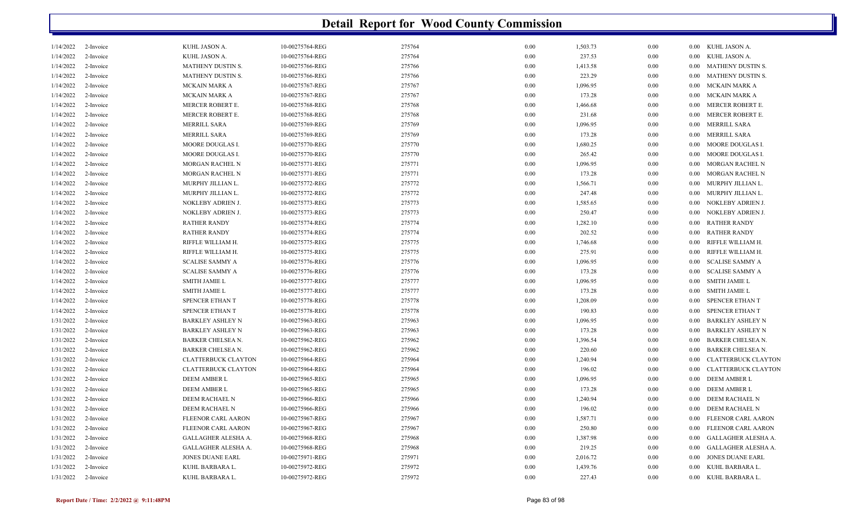|           | <b>Detail Report for Wood County Commission</b> |                            |                 |        |          |          |          |          |                            |  |
|-----------|-------------------------------------------------|----------------------------|-----------------|--------|----------|----------|----------|----------|----------------------------|--|
| 1/14/2022 | 2-Invoice                                       | KUHL JASON A.              | 10-00275764-REG | 275764 | 0.00     | 1,503.73 | 0.00     |          | 0.00 KUHL JASON A.         |  |
| 1/14/2022 | 2-Invoice                                       | KUHL JASON A.              | 10-00275764-REG | 275764 | 0.00     | 237.53   | 0.00     | $0.00\,$ | KUHL JASON A.              |  |
| 1/14/2022 | 2-Invoice                                       | MATHENY DUSTIN S.          | 10-00275766-REG | 275766 | 0.00     | 1,413.58 | 0.00     | $0.00\,$ | MATHENY DUSTIN S.          |  |
| 1/14/2022 | 2-Invoice                                       | MATHENY DUSTIN S.          | 10-00275766-REG | 275766 | 0.00     | 223.29   | 0.00     | $0.00\,$ | MATHENY DUSTIN S.          |  |
| 1/14/2022 | 2-Invoice                                       | MCKAIN MARK A              | 10-00275767-REG | 275767 | 0.00     | 1,096.95 | 0.00     | $0.00\,$ | MCKAIN MARK A              |  |
| 1/14/2022 | 2-Invoice                                       | <b>MCKAIN MARK A</b>       | 10-00275767-REG | 275767 | 0.00     | 173.28   | 0.00     | $0.00\,$ | MCKAIN MARK A              |  |
| 1/14/2022 | 2-Invoice                                       | MERCER ROBERT E.           | 10-00275768-REG | 275768 | 0.00     | 1,466.68 | 0.00     | $0.00\,$ | MERCER ROBERT E.           |  |
| 1/14/2022 | 2-Invoice                                       | MERCER ROBERT E.           | 10-00275768-REG | 275768 | 0.00     | 231.68   | 0.00     | $0.00\,$ | MERCER ROBERT E.           |  |
| 1/14/2022 | 2-Invoice                                       | <b>MERRILL SARA</b>        | 10-00275769-REG | 275769 | 0.00     | 1,096.95 | 0.00     | $0.00\,$ | MERRILL SARA               |  |
| 1/14/2022 | 2-Invoice                                       | <b>MERRILL SARA</b>        | 10-00275769-REG | 275769 | 0.00     | 173.28   | 0.00     | $0.00\,$ | MERRILL SARA               |  |
| 1/14/2022 | 2-Invoice                                       | MOORE DOUGLAS I.           | 10-00275770-REG | 275770 | 0.00     | 1,680.25 | 0.00     | $0.00\,$ | MOORE DOUGLAS I.           |  |
| 1/14/2022 | 2-Invoice                                       | MOORE DOUGLAS I.           | 10-00275770-REG | 275770 | 0.00     | 265.42   | 0.00     | $0.00\,$ | MOORE DOUGLAS I.           |  |
| 1/14/2022 | 2-Invoice                                       | MORGAN RACHEL N            | 10-00275771-REG | 275771 | 0.00     | 1,096.95 | 0.00     | $0.00\,$ | <b>MORGAN RACHEL N</b>     |  |
| 1/14/2022 | 2-Invoice                                       | MORGAN RACHEL N            | 10-00275771-REG | 275771 | 0.00     | 173.28   | 0.00     | $0.00\,$ | <b>MORGAN RACHEL N</b>     |  |
| 1/14/2022 | 2-Invoice                                       | MURPHY JILLIAN L.          | 10-00275772-REG | 275772 | 0.00     | 1,566.71 | 0.00     | $0.00\,$ | MURPHY JILLIAN L.          |  |
| 1/14/2022 | 2-Invoice                                       | MURPHY JILLIAN L.          | 10-00275772-REG | 275772 | 0.00     | 247.48   | 0.00     | $0.00\,$ | MURPHY JILLIAN L.          |  |
| 1/14/2022 | 2-Invoice                                       | NOKLEBY ADRIEN J.          | 10-00275773-REG | 275773 | 0.00     | 1,585.65 | 0.00     | $0.00\,$ | NOKLEBY ADRIEN J.          |  |
| 1/14/2022 | 2-Invoice                                       | NOKLEBY ADRIEN J.          | 10-00275773-REG | 275773 | 0.00     | 250.47   | 0.00     | $0.00\,$ | NOKLEBY ADRIEN J.          |  |
| 1/14/2022 | 2-Invoice                                       | <b>RATHER RANDY</b>        | 10-00275774-REG | 275774 | 0.00     | 1,282.10 | 0.00     | $0.00\,$ | <b>RATHER RANDY</b>        |  |
| 1/14/2022 | 2-Invoice                                       | <b>RATHER RANDY</b>        | 10-00275774-REG | 275774 | 0.00     | 202.52   | 0.00     | $0.00\,$ | <b>RATHER RANDY</b>        |  |
| 1/14/2022 | 2-Invoice                                       | RIFFLE WILLIAM H.          | 10-00275775-REG | 275775 | 0.00     | 1,746.68 | 0.00     | $0.00\,$ | RIFFLE WILLIAM H.          |  |
| 1/14/2022 | 2-Invoice                                       | RIFFLE WILLIAM H.          | 10-00275775-REG | 275775 | 0.00     | 275.91   | 0.00     | $0.00\,$ | RIFFLE WILLIAM H.          |  |
| 1/14/2022 | 2-Invoice                                       | <b>SCALISE SAMMY A</b>     | 10-00275776-REG | 275776 | 0.00     | 1,096.95 | 0.00     | $0.00\,$ | <b>SCALISE SAMMY A</b>     |  |
| 1/14/2022 | 2-Invoice                                       | <b>SCALISE SAMMY A</b>     | 10-00275776-REG | 275776 | 0.00     | 173.28   | 0.00     | $0.00\,$ | <b>SCALISE SAMMY A</b>     |  |
| 1/14/2022 | 2-Invoice                                       | <b>SMITH JAMIE L</b>       | 10-00275777-REG | 275777 | 0.00     | 1,096.95 | 0.00     | $0.00\,$ | <b>SMITH JAMIE L</b>       |  |
| 1/14/2022 | 2-Invoice                                       | <b>SMITH JAMIE L</b>       | 10-00275777-REG | 275777 | 0.00     | 173.28   | 0.00     | $0.00\,$ | <b>SMITH JAMIE L</b>       |  |
| 1/14/2022 | 2-Invoice                                       | SPENCER ETHAN T            | 10-00275778-REG | 275778 | 0.00     | 1,208.09 | 0.00     | $0.00\,$ | <b>SPENCER ETHAN T</b>     |  |
| 1/14/2022 | 2-Invoice                                       | SPENCER ETHAN T            | 10-00275778-REG | 275778 | 0.00     | 190.83   | 0.00     | $0.00\,$ | SPENCER ETHAN T            |  |
| 1/31/2022 | 2-Invoice                                       | <b>BARKLEY ASHLEY N</b>    | 10-00275963-REG | 275963 | 0.00     | 1,096.95 | 0.00     | $0.00\,$ | <b>BARKLEY ASHLEY N</b>    |  |
| 1/31/2022 | 2-Invoice                                       | <b>BARKLEY ASHLEY N</b>    | 10-00275963-REG | 275963 | 0.00     | 173.28   | 0.00     | $0.00\,$ | <b>BARKLEY ASHLEY N</b>    |  |
| 1/31/2022 | 2-Invoice                                       | BARKER CHELSEA N.          | 10-00275962-REG | 275962 | 0.00     | 1,396.54 | 0.00     | $0.00\,$ | <b>BARKER CHELSEA N.</b>   |  |
| 1/31/2022 | 2-Invoice                                       | <b>BARKER CHELSEA N.</b>   | 10-00275962-REG | 275962 | 0.00     | 220.60   | 0.00     | $0.00\,$ | <b>BARKER CHELSEA N.</b>   |  |
| 1/31/2022 | 2-Invoice                                       | <b>CLATTERBUCK CLAYTON</b> | 10-00275964-REG | 275964 | 0.00     | 1,240.94 | 0.00     | $0.00\,$ | <b>CLATTERBUCK CLAYTON</b> |  |
| 1/31/2022 | 2-Invoice                                       | <b>CLATTERBUCK CLAYTON</b> | 10-00275964-REG | 275964 | 0.00     | 196.02   | 0.00     | $0.00\,$ | <b>CLATTERBUCK CLAYTON</b> |  |
| 1/31/2022 | 2-Invoice                                       | DEEM AMBER L               | 10-00275965-REG | 275965 | 0.00     | 1,096.95 | 0.00     | $0.00\,$ | <b>DEEM AMBER L</b>        |  |
| 1/31/2022 | 2-Invoice                                       | <b>DEEM AMBER L</b>        | 10-00275965-REG | 275965 | 0.00     | 173.28   | 0.00     | $0.00\,$ | DEEM AMBER L               |  |
| 1/31/2022 | 2-Invoice                                       | DEEM RACHAEL N             | 10-00275966-REG | 275966 | 0.00     | 1,240.94 | 0.00     |          | 0.00 DEEM RACHAEL N        |  |
| 1/31/2022 | 2-Invoice                                       | DEEM RACHAEL N             | 10-00275966-REG | 275966 | 0.00     | 196.02   | 0.00     | $0.00\,$ | DEEM RACHAEL N             |  |
| 1/31/2022 | 2-Invoice                                       | FLEENOR CARL AARON         | 10-00275967-REG | 275967 | 0.00     | 1,587.71 | 0.00     | $0.00\,$ | FLEENOR CARL AARON         |  |
| 1/31/2022 | 2-Invoice                                       | FLEENOR CARL AARON         | 10-00275967-REG | 275967 | 0.00     | 250.80   | 0.00     |          | 0.00 FLEENOR CARL AARON    |  |
| 1/31/2022 | 2-Invoice                                       | GALLAGHER ALESHA A.        | 10-00275968-REG | 275968 | 0.00     | 1,387.98 | 0.00     |          | 0.00 GALLAGHER ALESHA A.   |  |
| 1/31/2022 | 2-Invoice                                       | GALLAGHER ALESHA A.        | 10-00275968-REG | 275968 | 0.00     | 219.25   | 0.00     |          | 0.00 GALLAGHER ALESHA A.   |  |
| 1/31/2022 | 2-Invoice                                       | <b>JONES DUANE EARL</b>    | 10-00275971-REG | 275971 | 0.00     | 2,016.72 | 0.00     | $0.00\,$ | JONES DUANE EARL           |  |
| 1/31/2022 | 2-Invoice                                       | KUHL BARBARA L.            | 10-00275972-REG | 275972 | 0.00     | 1,439.76 | 0.00     |          | 0.00 KUHL BARBARA L.       |  |
|           | $1/31/2022$ 2-Invoice                           | KUHL BARBARA L.            | 10-00275972-REG | 275972 | $0.00\,$ | 227.43   | $0.00\,$ |          | 0.00 KUHL BARBARA L.       |  |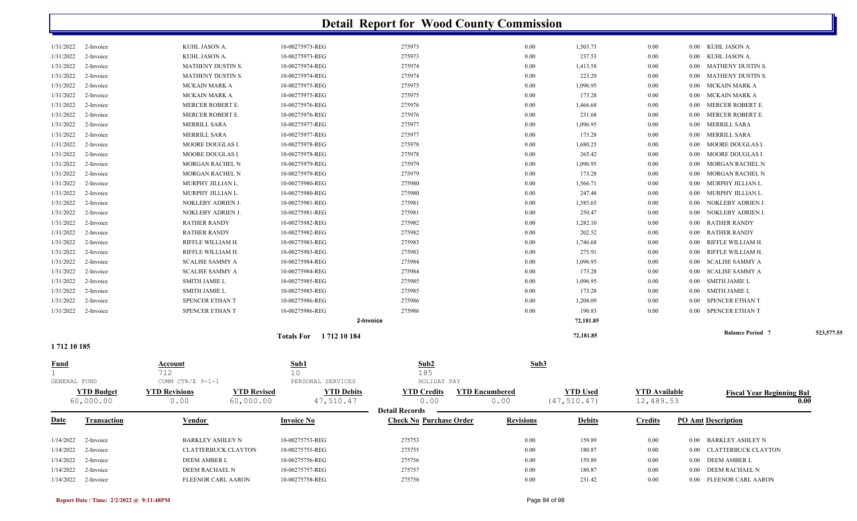|              |                       |                            |                    |                               | <b>Detail Report for Wood County Commission</b> |                       |                 |                      |          |                                  |            |
|--------------|-----------------------|----------------------------|--------------------|-------------------------------|-------------------------------------------------|-----------------------|-----------------|----------------------|----------|----------------------------------|------------|
| 1/31/2022    | 2-Invoice             | KUHL JASON A.              |                    | 10-00275973-REG               | 275973                                          | 0.00                  | 1,503.73        | $0.00\,$             |          | 0.00 KUHL JASON A.               |            |
| 1/31/2022    | 2-Invoice             | KUHL JASON A.              |                    | 10-00275973-REG               | 275973                                          | 0.00                  | 237.53          | $0.00\,$             | 0.00     | KUHL JASON A.                    |            |
| 1/31/2022    | 2-Invoice             | MATHENY DUSTIN S.          |                    | 10-00275974-REG               | 275974                                          | 0.00                  | 1,413.58        | $0.00\,$             | 0.00     | <b>MATHENY DUSTIN S.</b>         |            |
| 1/31/2022    | 2-Invoice             | MATHENY DUSTIN S.          |                    | 10-00275974-REG               | 275974                                          | 0.00                  | 223.29          | $0.00\,$             | 0.00     | <b>MATHENY DUSTIN S.</b>         |            |
| 1/31/2022    | 2-Invoice             | MCKAIN MARK A              |                    | 10-00275975-REG               | 275975                                          | 0.00                  | 1,096.95        | $0.00\,$             | 0.00     | MCKAIN MARK A                    |            |
| 1/31/2022    | 2-Invoice             | MCKAIN MARK A              |                    | 10-00275975-REG               | 275975                                          | 0.00                  | 173.28          | $0.00\,$             | 0.00     | MCKAIN MARK A                    |            |
| 1/31/2022    | 2-Invoice             | MERCER ROBERT E.           |                    | 10-00275976-REG               | 275976                                          | 0.00                  | 1,466.68        | $0.00\,$             | 0.00     | MERCER ROBERT E.                 |            |
| 1/31/2022    | 2-Invoice             | MERCER ROBERT E.           |                    | 10-00275976-REG               | 275976                                          | 0.00                  | 231.68          | $0.00\,$             | 0.00     | MERCER ROBERT E.                 |            |
| 1/31/2022    | 2-Invoice             | <b>MERRILL SARA</b>        |                    | 10-00275977-REG               | 275977                                          | 0.00                  | 1,096.95        | $0.00\,$             | 0.00     | MERRILL SARA                     |            |
| 1/31/2022    | 2-Invoice             | MERRILL SARA               |                    | 10-00275977-REG               | 275977                                          | 0.00                  | 173.28          | $0.00\,$             | 0.00     | MERRILL SARA                     |            |
| 1/31/2022    | 2-Invoice             | MOORE DOUGLAS I.           |                    | 10-00275978-REG               | 275978                                          | 0.00                  | 1,680.25        | $0.00\,$             | 0.00     | MOORE DOUGLAS I.                 |            |
| 1/31/2022    | 2-Invoice             | MOORE DOUGLAS I.           |                    | 10-00275978-REG               | 275978                                          | 0.00                  | 265.42          | 0.00                 | 0.00     | MOORE DOUGLAS I.                 |            |
| 1/31/2022    | 2-Invoice             | <b>MORGAN RACHEL N</b>     |                    | 10-00275979-REG               | 275979                                          | 0.00                  | 1,096.95        | $0.00\,$             | 0.00     | MORGAN RACHEL N                  |            |
| 1/31/2022    | 2-Invoice             | MORGAN RACHEL N            |                    | 10-00275979-REG               | 275979                                          | 0.00                  | 173.28          | $0.00\,$             | 0.00     | MORGAN RACHEL N                  |            |
| 1/31/2022    | 2-Invoice             | MURPHY JILLIAN L.          |                    | 10-00275980-REG               | 275980                                          | 0.00                  | 1,566.71        | $0.00\,$             | 0.00     | MURPHY JILLIAN L.                |            |
| 1/31/2022    | 2-Invoice             | MURPHY JILLIAN L.          |                    | 10-00275980-REG               | 275980                                          | 0.00                  | 247.48          | $0.00\,$             | 0.00     | MURPHY JILLIAN L.                |            |
| 1/31/2022    | 2-Invoice             | NOKLEBY ADRIEN J.          |                    | 10-00275981-REG               | 275981                                          | 0.00                  | 1,585.65        | $0.00\,$             | 0.00     | NOKLEBY ADRIEN J.                |            |
| 1/31/2022    | 2-Invoice             | NOKLEBY ADRIEN J.          |                    | 10-00275981-REG               | 275981                                          | 0.00                  | 250.47          | $0.00\,$             | 0.00     | NOKLEBY ADRIEN J.                |            |
| 1/31/2022    | 2-Invoice             | <b>RATHER RANDY</b>        |                    | 10-00275982-REG               | 275982                                          | 0.00                  | 1,282.10        | $0.00\,$             | 0.00     | <b>RATHER RANDY</b>              |            |
| 1/31/2022    | 2-Invoice             | <b>RATHER RANDY</b>        |                    | 10-00275982-REG               | 275982                                          | 0.00                  | 202.52          | $0.00\,$             | 0.00     | <b>RATHER RANDY</b>              |            |
| 1/31/2022    | 2-Invoice             | RIFFLE WILLIAM H.          |                    | 10-00275983-REG               | 275983                                          | 0.00                  | 1,746.68        | $0.00\,$             | 0.00     | RIFFLE WILLIAM H.                |            |
| 1/31/2022    | 2-Invoice             | RIFFLE WILLIAM H.          |                    | 10-00275983-REG               | 275983                                          | 0.00                  | 275.91          | $0.00\,$             | 0.00     | RIFFLE WILLIAM H.                |            |
| 1/31/2022    | 2-Invoice             | <b>SCALISE SAMMY A</b>     |                    | 10-00275984-REG               | 275984                                          | 0.00                  | 1,096.95        | $0.00\,$             | 0.00     | SCALISE SAMMY A                  |            |
| 1/31/2022    | 2-Invoice             | <b>SCALISE SAMMY A</b>     |                    | 10-00275984-REG               | 275984                                          | 0.00                  | 173.28          | 0.00                 | 0.00     | <b>SCALISE SAMMY A</b>           |            |
| 1/31/2022    | 2-Invoice             | <b>SMITH JAMIE L</b>       |                    | 10-00275985-REG               | 275985                                          | 0.00                  | 1,096.95        | $0.00\,$             | 0.00     | <b>SMITH JAMIE L</b>             |            |
| 1/31/2022    | 2-Invoice             | <b>SMITH JAMIE L</b>       |                    | 10-00275985-REG               | 275985                                          | 0.00                  | 173.28          | $0.00\,$             | 0.00     | <b>SMITH JAMIE L</b>             |            |
| 1/31/2022    | 2-Invoice             | SPENCER ETHAN T            |                    | 10-00275986-REG               | 275986                                          | 0.00                  | 1,208.09        | $0.00\,$             | 0.00     | SPENCER ETHAN T                  |            |
| 1/31/2022    | 2-Invoice             | SPENCER ETHAN T            |                    | 10-00275986-REG               | 275986                                          | 0.00                  | 190.83          | $0.00\,$             | $0.00\,$ | SPENCER ETHAN T                  |            |
|              |                       |                            |                    |                               | 2-Invoice                                       |                       | 72,181.85       |                      |          |                                  |            |
|              |                       |                            |                    | <b>Totals For</b> 1712 10 184 |                                                 |                       | 72,181.85       |                      |          | <b>Balance Period 7</b>          | 523,577.55 |
| 1712 10 185  |                       |                            |                    |                               |                                                 |                       |                 |                      |          |                                  |            |
| <u>Fund</u>  |                       | Account                    |                    | <u>Sub1</u>                   | Sub2                                            | Sub3                  |                 |                      |          |                                  |            |
|              |                       | 712                        |                    | 10                            | 185                                             |                       |                 |                      |          |                                  |            |
| GENERAL FUND |                       | COMM CTR/E 9-1-1           |                    | PERSONAL SERVICES             | HOLIDAY PAY                                     |                       |                 |                      |          |                                  |            |
|              | <b>YTD Budget</b>     | <b>YTD Revisions</b>       | <b>YTD Revised</b> | <b>YTD Debits</b>             | <b>YTD Credits</b>                              | <b>YTD Encumbered</b> | <b>YTD Used</b> | <b>YTD Available</b> |          | <b>Fiscal Year Beginning Bal</b> |            |
|              | 60,000.00             | 0.00                       | 60,000.00          | 47,510.47                     | 0.00                                            | 0.00                  | (47, 510.47)    | 12,489.53            |          |                                  | 0.00       |
|              |                       |                            |                    |                               | <b>Detail Records</b>                           |                       |                 |                      |          |                                  |            |
| <u>Date</u>  | <b>Transaction</b>    | Vendor                     |                    | <b>Invoice No</b>             | <b>Check No Purchase Order</b>                  | <b>Revisions</b>      | <b>Debits</b>   | <b>Credits</b>       |          | <b>PO Amt Description</b>        |            |
| 1/14/2022    | 2-Invoice             | BARKLEY ASHLEY N           |                    | 10-00275753-REG               | 275753                                          | 0.00                  | 159.89          | $0.00\,$             |          | 0.00 BARKLEY ASHLEY N            |            |
| 1/14/2022    | 2-Invoice             | <b>CLATTERBUCK CLAYTON</b> |                    | 10-00275755-REG               | 275755                                          | 0.00                  | 180.87          | $0.00\,$             |          | 0.00 CLATTERBUCK CLAYTON         |            |
| 1/14/2022    | 2-Invoice             | DEEM AMBER L               |                    | 10-00275756-REG               | 275756                                          | 0.00                  | 159.89          | $0.00\,$             |          | 0.00 DEEM AMBER L                |            |
| 1/14/2022    | 2-Invoice             | DEEM RACHAEL N             |                    | 10-00275757-REG               | 275757                                          | 0.00                  | 180.87          | $0.00\,$             | 0.00     | DEEM RACHAEL N                   |            |
|              | $1/14/2022$ 2-Invoice | FLEENOR CARL AARON         |                    | 10-00275758-REG               | 275758                                          | 0.00                  | 231.42          | $0.00\,$             |          | 0.00 FLEENOR CARL AARON          |            |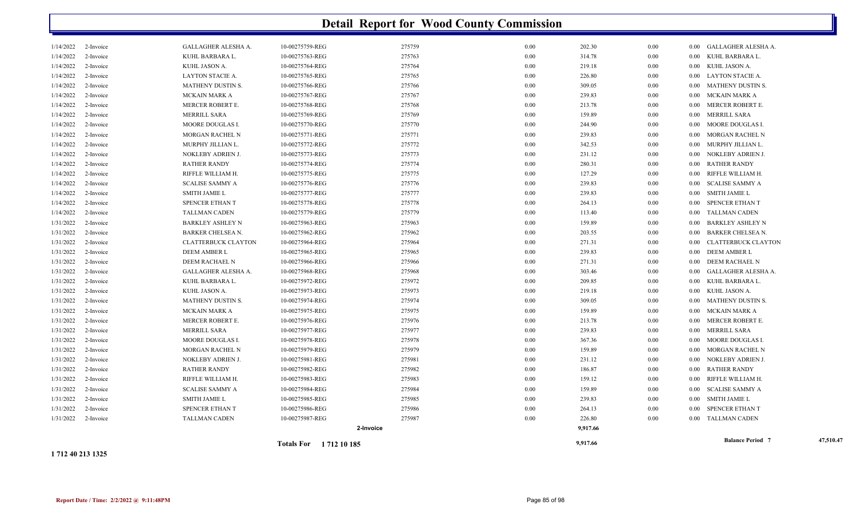|               |           |                            | Totals For 1712 10 185 |        |      | 9,917.66 |          | <b>Balance Period 7</b>             | 47,510.47 |
|---------------|-----------|----------------------------|------------------------|--------|------|----------|----------|-------------------------------------|-----------|
|               |           |                            | 2-Invoice              |        |      | 9,917.66 |          |                                     |           |
| 1/31/2022     | 2-Invoice | <b>TALLMAN CADEN</b>       | 10-00275987-REG        | 275987 | 0.00 | 226.80   | 0.00     | 0.00 TALLMAN CADEN                  |           |
| 1/31/2022     | 2-Invoice | SPENCER ETHAN T            | 10-00275986-REG        | 275986 | 0.00 | 264.13   | $0.00\,$ | 0.00 SPENCER ETHAN T                |           |
| 1/31/2022     | 2-Invoice | <b>SMITH JAMIE L</b>       | 10-00275985-REG        | 275985 | 0.00 | 239.83   | $0.00\,$ | SMITH JAMIE L<br>$0.00\,$           |           |
| 1/31/2022     | 2-Invoice | <b>SCALISE SAMMY A</b>     | 10-00275984-REG        | 275984 | 0.00 | 159.89   | $0.00\,$ | <b>SCALISE SAMMY A</b><br>$0.00\,$  |           |
| 1/31/2022     | 2-Invoice | RIFFLE WILLIAM H.          | 10-00275983-REG        | 275983 | 0.00 | 159.12   | $0.00\,$ | RIFFLE WILLIAM H.<br>0.00           |           |
| 1/31/2022     | 2-Invoice | <b>RATHER RANDY</b>        | 10-00275982-REG        | 275982 | 0.00 | 186.87   | $0.00\,$ | RATHER RANDY<br>$0.00\,$            |           |
| 1/31/2022     | 2-Invoice | NOKLEBY ADRIEN J.          | 10-00275981-REG        | 275981 | 0.00 | 231.12   | $0.00\,$ | NOKLEBY ADRIEN J.<br>$0.00\,$       |           |
| 1/31/2022     | 2-Invoice | MORGAN RACHEL N            | 10-00275979-REG        | 275979 | 0.00 | 159.89   | 0.00     | MORGAN RACHEL N<br>$0.00\,$         |           |
| $1/3\,1/2022$ | 2-Invoice | <b>MOORE DOUGLAS I</b>     | 10-00275978-REG        | 275978 | 0.00 | 367.36   | 0.00     | MOORE DOUGLAS I.<br>$0.00\,$        |           |
| 1/31/2022     | 2-Invoice | MERRILL SARA               | 10-00275977-REG        | 275977 | 0.00 | 239.83   | $0.00\,$ | <b>MERRILL SARA</b><br>$0.00\,$     |           |
| 1/31/2022     | 2-Invoice | MERCER ROBERT E.           | 10-00275976-REG        | 275976 | 0.00 | 213.78   | $0.00\,$ | MERCER ROBERT E.<br>$0.00\,$        |           |
| 1/31/2022     | 2-Invoice | MCKAIN MARK A              | 10-00275975-REG        | 275975 | 0.00 | 159.89   | $0.00\,$ | MCKAIN MARK A<br>$0.00\,$           |           |
| 1/31/2022     | 2-Invoice | MATHENY DUSTIN S.          | 10-00275974-REG        | 275974 | 0.00 | 309.05   | $0.00\,$ | MATHENY DUSTIN S.<br>$0.00\,$       |           |
| 1/31/2022     | 2-Invoice | KUHL JASON A.              | 10-00275973-REG        | 275973 | 0.00 | 219.18   | $0.00\,$ | KUHL JASON A.<br>$0.00\,$           |           |
| 1/31/2022     | 2-Invoice | KUHL BARBARA L.            | 10-00275972-REG        | 275972 | 0.00 | 209.85   | $0.00\,$ | KUHL BARBARA L.<br>$0.00\,$         |           |
| 1/31/2022     | 2-Invoice | GALLAGHER ALESHA A.        | 10-00275968-REG        | 275968 | 0.00 | 303.46   | $0.00\,$ | 0.00 GALLAGHER ALESHA A.            |           |
| 1/31/2022     | 2-Invoice | DEEM RACHAEL N             | 10-00275966-REG        | 275966 | 0.00 | 271.31   | $0.00\,$ | DEEM RACHAEL N<br>$0.00\,$          |           |
| 1/31/2022     | 2-Invoice | DEEM AMBER L               | 10-00275965-REG        | 275965 | 0.00 | 239.83   | $0.00\,$ | DEEM AMBER L<br>$0.00\,$            |           |
| 1/31/2022     | 2-Invoice | <b>CLATTERBUCK CLAYTON</b> | 10-00275964-REG        | 275964 | 0.00 | 271.31   | $0.00\,$ | CLATTERBUCK CLAYTON<br>$0.00\,$     |           |
| 1/31/2022     | 2-Invoice | BARKER CHELSEA N.          | 10-00275962-REG        | 275962 | 0.00 | 203.55   | 0.00     | <b>BARKER CHELSEA N.</b><br>0.00    |           |
| 1/31/2022     | 2-Invoice | <b>BARKLEY ASHLEY N</b>    | 10-00275963-REG        | 275963 | 0.00 | 159.89   | $0.00\,$ | <b>BARKLEY ASHLEY N</b><br>$0.00\,$ |           |
| 1/14/2022     | 2-Invoice | <b>TALLMAN CADEN</b>       | 10-00275779-REG        | 275779 | 0.00 | 113.40   | 0.00     | TALLMAN CADEN<br>$0.00\,$           |           |
| 1/14/2022     | 2-Invoice | SPENCER ETHAN T            | 10-00275778-REG        | 275778 | 0.00 | 264.13   | 0.00     | SPENCER ETHAN T<br>$0.00\,$         |           |
| 1/14/2022     | 2-Invoice | <b>SMITH JAMIE L</b>       | 10-00275777-REG        | 275777 | 0.00 | 239.83   | $0.00\,$ | <b>SMITH JAMIE L</b><br>$0.00\,$    |           |
| 1/14/2022     | 2-Invoice | <b>SCALISE SAMMY A</b>     | 10-00275776-REG        | 275776 | 0.00 | 239.83   | $0.00\,$ | 0.00 SCALISE SAMMY A                |           |
| 1/14/2022     | 2-Invoice | RIFFLE WILLIAM H.          | 10-00275775-REG        | 275775 | 0.00 | 127.29   | $0.00\,$ | RIFFLE WILLIAM H.<br>$0.00\,$       |           |
| 1/14/2022     | 2-Invoice | <b>RATHER RANDY</b>        | 10-00275774-REG        | 275774 | 0.00 | 280.31   | $0.00\,$ | RATHER RANDY<br>$0.00\,$            |           |
| 1/14/2022     | 2-Invoice | NOKLEBY ADRIEN J.          | 10-00275773-REG        | 275773 | 0.00 | 231.12   | $0.00\,$ | NOKLEBY ADRIEN J.<br>$0.00\,$       |           |
| 1/14/2022     | 2-Invoice | MURPHY JILLIAN L.          | 10-00275772-REG        | 275772 | 0.00 | 342.53   | $0.00\,$ | MURPHY JILLIAN L.<br>$0.00\,$       |           |
| 1/14/2022     | 2-Invoice | MORGAN RACHEL N            | 10-00275771-REG        | 275771 | 0.00 | 239.83   | $0.00\,$ | MORGAN RACHEL N<br>0.00             |           |
| 1/14/2022     | 2-Invoice | MOORE DOUGLAS I            | 10-00275770-REG        | 275770 | 0.00 | 244.90   | 0.00     | MOORE DOUGLAS I.<br>$0.00\,$        |           |
| 1/14/2022     | 2-Invoice | <b>MERRILL SARA</b>        | 10-00275769-REG        | 275769 | 0.00 | 159.89   | 0.00     | <b>MERRILL SARA</b><br>0.00         |           |
| 1/14/2022     | 2-Invoice | MERCER ROBERT E.           | 10-00275768-REG        | 275768 | 0.00 | 213.78   | $0.00\,$ | MERCER ROBERT E.<br>$0.00\,$        |           |
| 1/14/2022     | 2-Invoice | MCKAIN MARK A              | 10-00275767-REG        | 275767 | 0.00 | 239.83   | $0.00\,$ | 0.00 MCKAIN MARK A                  |           |
| 1/14/2022     | 2-Invoice | MATHENY DUSTIN S.          | 10-00275766-REG        | 275766 | 0.00 | 309.05   | $0.00\,$ | 0.00 MATHENY DUSTIN S.              |           |
| 1/14/2022     | 2-Invoice | LAYTON STACIE A.           | 10-00275765-REG        | 275765 | 0.00 | 226.80   | 0.00     | LAYTON STACIE A.<br>$0.00\,$        |           |
| 1/14/2022     | 2-Invoice | KUHL JASON A.              | 10-00275764-REG        | 275764 | 0.00 | 219.18   | 0.00     | 0.00 KUHL JASON A.                  |           |
| 1/14/2022     | 2-Invoice | KUHL BARBARA L.            | 10-00275763-REG        | 275763 | 0.00 | 314.78   | $0.00\,$ | KUHL BARBARA L<br>$0.00\,$          |           |
| 1/14/2022     | 2-Invoice | GALLAGHER ALESHA A.        | 10-00275759-REG        | 275759 | 0.00 | 202.30   | $0.00\,$ | 0.00 GALLAGHER ALESHA A.            |           |

**1 712 40 213 1325**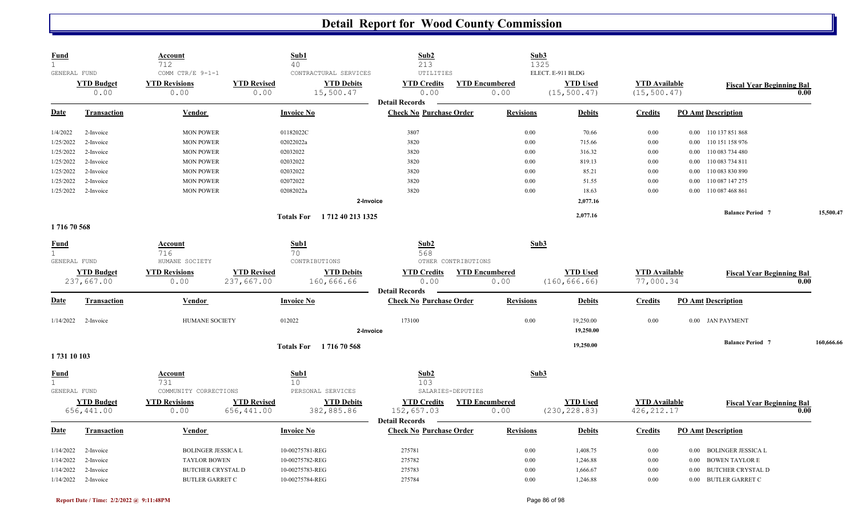| <b>Fund</b><br>$\mathbf{1}$ |                    | <u>Account</u>            | Sub1<br>40                              | Sub2<br>213                                             | Sub3                  |                   |                      |                                   |            |
|-----------------------------|--------------------|---------------------------|-----------------------------------------|---------------------------------------------------------|-----------------------|-------------------|----------------------|-----------------------------------|------------|
| GENERAL FUND                |                    | 712<br>COMM CTR/E 9-1-1   | CONTRACTURAL SERVICES                   | UTILITIES                                               | 1325                  | ELECT. E-911 BLDG |                      |                                   |            |
|                             | <b>YTD Budget</b>  | <b>YTD Revisions</b>      | <b>YTD Revised</b><br><b>YTD Debits</b> | <b>YTD Credits</b>                                      | <b>YTD Encumbered</b> | <b>YTD Used</b>   | <b>YTD</b> Available | <b>Fiscal Year Beginning Bal</b>  |            |
|                             | 0.00               | 0.00                      | 0.00<br>15,500.47                       | 0.00                                                    | 0.00                  | (15, 500.47)      | (15, 500.47)         |                                   | 0.00       |
| Date                        | Transaction        | Vendor                    | <b>Invoice No</b>                       | <b>Detail Records</b><br><b>Check No Purchase Order</b> | <b>Revisions</b>      | <b>Debits</b>     | <b>Credits</b>       | <b>PO Amt Description</b>         |            |
|                             |                    |                           |                                         |                                                         |                       |                   |                      |                                   |            |
| 1/4/2022                    | 2-Invoice          | <b>MON POWER</b>          | 01182022C                               | 3807                                                    | 0.00                  | 70.66             | 0.00                 | 0.00 110 137 851 868              |            |
| 1/25/2022                   | 2-Invoice          | <b>MON POWER</b>          | 02022022a                               | 3820                                                    | 0.00                  | 715.66            | 0.00                 | 0.00 110 151 158 976              |            |
| 1/25/2022                   | 2-Invoice          | <b>MON POWER</b>          | 02032022                                | 3820                                                    | 0.00                  | 316.32            | 0.00                 | 110 083 734 480<br>$0.00\,$       |            |
| 1/25/2022                   | 2-Invoice          | <b>MON POWER</b>          | 02032022                                | 3820                                                    | 0.00                  | 819.13            | 0.00                 | 110 083 734 811<br>$0.00\,$       |            |
| 1/25/2022                   | 2-Invoice          | <b>MON POWER</b>          | 02032022                                | 3820                                                    | 0.00                  | 85.21             | 0.00                 | 110 083 830 890<br>0.00           |            |
| 1/25/2022                   | 2-Invoice          | <b>MON POWER</b>          | 02072022                                | 3820                                                    | 0.00                  | 51.55             | 0.00                 | 110 087 147 275<br>0.00           |            |
| 1/25/2022                   | 2-Invoice          | <b>MON POWER</b>          | 02082022a                               | 3820                                                    | 0.00                  | 18.63             | 0.00                 | 0.00 110 087 468 861              |            |
|                             |                    |                           |                                         | 2-Invoice                                               |                       | 2,077.16          |                      |                                   |            |
|                             |                    |                           | 1 712 40 213 1325<br><b>Totals For</b>  |                                                         |                       | 2,077.16          |                      | <b>Balance Period 7</b>           | 15,500.47  |
| 171670568                   |                    |                           |                                         |                                                         |                       |                   |                      |                                   |            |
| <b>Fund</b>                 |                    | Account                   | Sub1                                    | Sub2                                                    | Sub3                  |                   |                      |                                   |            |
| $\mathbf{1}$                |                    | 716                       | 70                                      | 568                                                     |                       |                   |                      |                                   |            |
| GENERAL FUND                |                    | HUMANE SOCIETY            | CONTRIBUTIONS                           | OTHER CONTRIBUTIONS                                     |                       |                   |                      |                                   |            |
|                             | <b>YTD Budget</b>  | <b>YTD Revisions</b>      | <b>YTD Revised</b><br><b>YTD Debits</b> | <b>YTD Credits</b>                                      | <b>YTD Encumbered</b> | <b>YTD Used</b>   | <b>YTD</b> Available | <b>Fiscal Year Beginning Bal</b>  |            |
|                             | 237,667.00         | 0.00                      | 237,667.00<br>160,666.66                | 0.00<br><b>Detail Records</b>                           | 0.00                  | (160, 666.66)     | 77,000.34            |                                   | 0.00       |
| <u>Date</u>                 | <b>Transaction</b> | Vendor                    | <b>Invoice No</b>                       | <b>Check No Purchase Order</b>                          | <b>Revisions</b>      | <b>Debits</b>     | <b>Credits</b>       | <b>PO Amt Description</b>         |            |
| 1/14/2022                   | 2-Invoice          | HUMANE SOCIETY            | 012022                                  | 173100                                                  | $0.00\,$              | 19,250.00         | 0.00                 | 0.00 JAN PAYMENT                  |            |
|                             |                    |                           |                                         | 2-Invoice                                               |                       | 19,250.00         |                      |                                   |            |
|                             |                    |                           | Totals For 171670568                    |                                                         |                       | 19,250.00         |                      | <b>Balance Period 7</b>           | 160,666.66 |
| 1731 10 103                 |                    |                           |                                         |                                                         |                       |                   |                      |                                   |            |
| <b>Fund</b>                 |                    | <u>Account</u>            | Sub1                                    | Sub2                                                    | Sub3                  |                   |                      |                                   |            |
| $\mathbf{1}$                |                    | 731                       | 10 <sup>°</sup>                         | 103                                                     |                       |                   |                      |                                   |            |
| GENERAL FUND                |                    | COMMUNITY CORRECTIONS     | PERSONAL SERVICES                       | SALARIES-DEPUTIES                                       |                       |                   |                      |                                   |            |
|                             | <b>YTD Budget</b>  | <b>YTD Revisions</b>      | <b>YTD Revised</b><br><b>YTD Debits</b> | <b>YTD Credits</b>                                      | <b>YTD Encumbered</b> | <b>YTD Used</b>   | <b>YTD Available</b> | <b>Fiscal Year Beginning Bal</b>  |            |
|                             | 656,441.00         | 0.00                      | 656,441.00<br>382,885.86                | 152,657.03                                              | 0.00                  | (230, 228.83)     | 426, 212.17          |                                   | 0.00       |
| <b>Date</b>                 | <b>Transaction</b> | <b>Vendor</b>             | <b>Invoice No</b>                       | <b>Detail Records</b><br><b>Check No Purchase Order</b> | <b>Revisions</b>      | <b>Debits</b>     | <b>Credits</b>       | <b>PO Amt Description</b>         |            |
|                             |                    |                           |                                         |                                                         |                       |                   |                      |                                   |            |
| 1/14/2022                   | 2-Invoice          | <b>BOLINGER JESSICA L</b> | 10-00275781-REG                         | 275781                                                  | 0.00                  | 1,408.75          | 0.00                 | 0.00 BOLINGER JESSICA L           |            |
| 1/14/2022                   | 2-Invoice          | <b>TAYLOR BOWEN</b>       | 10-00275782-REG                         | 275782                                                  | 0.00                  | 1,246.88          | $0.00\,$             | <b>BOWEN TAYLOR E</b><br>$0.00\,$ |            |
| 1/14/2022                   | 2-Invoice          | <b>BUTCHER CRYSTAL D</b>  | 10-00275783-REG                         | 275783                                                  | 0.00                  | 1,666.67          | 0.00                 | <b>BUTCHER CRYSTAL D</b><br>0.00  |            |
| 1/14/2022                   | 2-Invoice          | <b>BUTLER GARRET C</b>    | 10-00275784-REG                         | 275784                                                  | 0.00                  | 1,246.88          | 0.00                 | 0.00 BUTLER GARRET C              |            |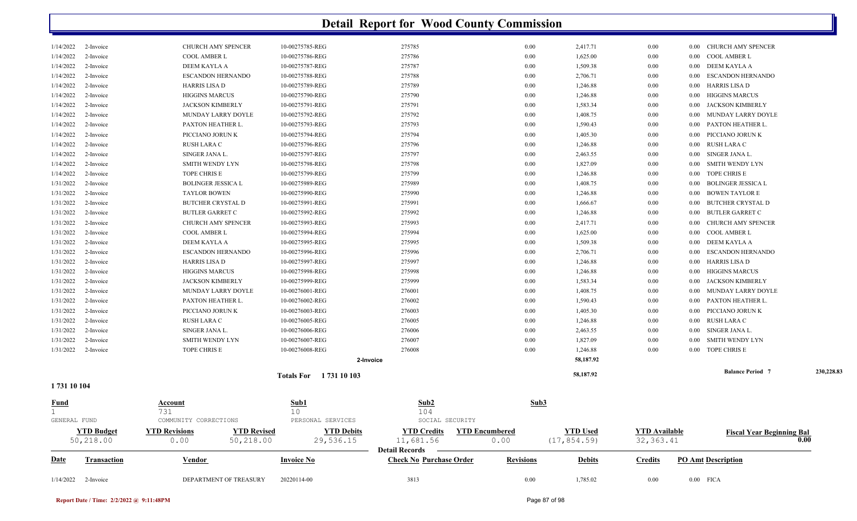| $1/14/2022$ 2-Invoice                       |                                | DEPARTMENT OF TREASURY                                          | 20220114-00                            | 3813                                                    | 0.00                          | 1,785.02                        | 0.00                               | $0.00$ FICA                                    |            |
|---------------------------------------------|--------------------------------|-----------------------------------------------------------------|----------------------------------------|---------------------------------------------------------|-------------------------------|---------------------------------|------------------------------------|------------------------------------------------|------------|
| <u>Date</u>                                 | <b>Transaction</b>             | Vendor                                                          | <b>Invoice No</b>                      | <b>Detail Records</b><br><b>Check No Purchase Order</b> | <b>Revisions</b>              | <b>Debits</b>                   | <b>Credits</b>                     | <b>PO Amt Description</b>                      |            |
|                                             | <b>YTD Budget</b><br>50,218.00 | <b>YTD Revisions</b><br><b>YTD Revised</b><br>0.00<br>50,218.00 | <b>YTD Debits</b><br>29,536.15         | <b>YTD Credits</b><br>11,681.56                         | <b>YTD Encumbered</b><br>0.00 | <b>YTD Used</b><br>(17, 854.59) | <b>YTD</b> Available<br>32, 363.41 | <b>Fiscal Year Beginning Bal</b>               | 0.00       |
| <u>Fund</u><br>$\mathbf{1}$<br>GENERAL FUND |                                | Account<br>731<br>COMMUNITY CORRECTIONS                         | <u>Sub1</u><br>10<br>PERSONAL SERVICES | $\mathbf{Sub2}$<br>104<br>SOCIAL SECURITY               | Sub3                          |                                 |                                    |                                                |            |
| 1731 10 104                                 |                                |                                                                 |                                        |                                                         |                               |                                 |                                    |                                                |            |
|                                             |                                |                                                                 | Totals For 1731 10 103                 |                                                         |                               | 58,187.92                       |                                    | <b>Balance Period 7</b>                        | 230,228.83 |
|                                             |                                |                                                                 | 2-Invoice                              |                                                         |                               | 58,187.92                       |                                    |                                                |            |
| 1/31/2022                                   | 2-Invoice                      | TOPE CHRIS E                                                    | 10-00276008-REG                        | 276008                                                  | 0.00                          | 1,246.88                        | 0.00                               | TOPE CHRIS E<br>0.00                           |            |
| 1/31/2022                                   | 2-Invoice                      | <b>SMITH WENDY LYN</b>                                          | 10-00276007-REG                        | 276007                                                  | 0.00                          | 1,827.09                        | 0.00                               | <b>SMITH WENDY LYN</b><br>0.00                 |            |
| 1/31/2022                                   | 2-Invoice                      | SINGER JANA L.                                                  | 10-00276006-REG                        | 276006                                                  | 0.00                          | 2,463.55                        | 0.00                               | SINGER JANA L<br>$0.00\,$                      |            |
| 1/31/2022                                   | 2-Invoice                      | <b>RUSH LARA C</b>                                              | 10-00276005-REG                        | 276005                                                  | 0.00                          | 1,246.88                        | $0.00\,$                           | RUSH LARA C<br>0.00                            |            |
| 1/31/2022                                   | 2-Invoice                      | PICCIANO JORUN K                                                | 10-00276003-REG                        | 276003                                                  | 0.00                          | 1,405.30                        | $0.00\,$                           | PICCIANO JORUN K<br>0.00                       |            |
| 1/31/2022                                   | 2-Invoice                      | PAXTON HEATHER L                                                | 10-00276002-REG                        | 276002                                                  | 0.00                          | 1,590.43                        | $0.00\,$                           | PAXTON HEATHER L<br>0.00                       |            |
| 1/31/2022                                   | 2-Invoice                      | MUNDAY LARRY DOYLE                                              | 10-00276001-REG                        | 276001                                                  | 0.00                          | 1,408.75                        | $0.00\,$                           | MUNDAY LARRY DOYLE<br>0.00                     |            |
| 1/31/2022<br>1/31/2022                      | 2-Invoice<br>2-Invoice         | <b>JACKSON KIMBERLY</b>                                         | 10-00275999-REG                        | 275999                                                  | 0.00                          | 1,583.34                        | 0.00                               | 0.00<br><b>JACKSON KIMBERLY</b><br>0.00        |            |
| 1/31/2022                                   | 2-Invoice                      | HARRIS LISA D<br><b>HIGGINS MARCUS</b>                          | 10-00275997-REG<br>10-00275998-REG     | 275997<br>275998                                        | 0.00<br>0.00                  | 1,246.88<br>1,246.88            | $0.00\,$<br>$0.00\,$               | HARRIS LISA D<br>0.00<br><b>HIGGINS MARCUS</b> |            |
| 1/31/2022                                   | 2-Invoice                      | ESCANDON HERNANDO                                               | 10-00275996-REG                        |                                                         | 0.00                          | 2,706.71                        | $0.00\,$                           | <b>ESCANDON HERNANDO</b><br>0.00               |            |
| 1/31/2022                                   | 2-Invoice                      | DEEM KAYLA A                                                    | 10-00275995-REG                        | 275995<br>275996                                        | 0.00                          | 1,509.38                        | $0.00\,$                           | DEEM KAYLA A<br>0.00                           |            |
| 1/31/2022                                   | 2-Invoice                      | COOL AMBER L                                                    | 10-00275994-REG                        | 275994                                                  | 0.00                          | 1,625.00                        | $0.00\,$                           | COOL AMBER L<br>$0.00\,$                       |            |
| 1/31/2022                                   | 2-Invoice                      | <b>CHURCH AMY SPENCER</b>                                       | 10-00275993-REG                        | 275993                                                  | 0.00                          | 2,417.71                        | $0.00\,$                           | CHURCH AMY SPENCER<br>0.00                     |            |
| 1/31/2022                                   | 2-Invoice                      | <b>BUTLER GARRET C</b>                                          | 10-00275992-REG                        | 275992                                                  | 0.00                          | 1,246.88                        | $0.00\,$                           | <b>BUTLER GARRET C</b><br>0.00                 |            |
| 1/31/2022                                   | 2-Invoice                      | <b>BUTCHER CRYSTAL D</b>                                        | 10-00275991-REG                        | 275991                                                  | 0.00                          | 1,666.67                        | 0.00                               | <b>BUTCHER CRYSTAL D</b><br>0.00               |            |
| 1/31/2022                                   | 2-Invoice                      | <b>TAYLOR BOWEN</b>                                             | 10-00275990-REG                        | 275990                                                  | 0.00                          | 1,246.88                        | $0.00\,$                           | <b>BOWEN TAYLOR E</b><br>0.00                  |            |
| 1/31/2022                                   | 2-Invoice                      | <b>BOLINGER JESSICA L</b>                                       | 10-00275989-REG                        | 275989                                                  | 0.00                          | 1,408.75                        | $0.00\,$                           | <b>BOLINGER JESSICA L</b><br>0.00              |            |
| 1/14/2022                                   | 2-Invoice                      | TOPE CHRIS E                                                    | 10-00275799-REG                        | 275799                                                  | 0.00                          | 1,246.88                        | $0.00\,$                           | TOPE CHRIS E<br>$0.00\,$                       |            |
| 1/14/2022                                   | 2-Invoice                      | SMITH WENDY LYN                                                 | 10-00275798-REG                        | 275798                                                  | 0.00                          | 1,827.09                        | $0.00\,$                           | <b>SMITH WENDY LYN</b><br>0.00                 |            |
| 1/14/2022                                   | 2-Invoice                      | SINGER JANA L.                                                  | 10-00275797-REG                        | 275797                                                  | 0.00                          | 2,463.55                        | $0.00\,$                           | SINGER JANA L.<br>$0.00\,$                     |            |
| 1/14/2022                                   | 2-Invoice                      | RUSH LARA C                                                     | 10-00275796-REG                        | 275796                                                  | 0.00                          | 1,246.88                        | 0.00                               | RUSH LARA C<br>0.00                            |            |
| 1/14/2022                                   | 2-Invoice                      | PICCIANO JORUN K                                                | 10-00275794-REG                        | 275794                                                  | 0.00                          | 1,405.30                        | $0.00\,$                           | PICCIANO JORUN K<br>0.00                       |            |
| 1/14/2022                                   | 2-Invoice                      | PAXTON HEATHER L.                                               | 10-00275793-REG                        | 275793                                                  | 0.00                          | 1,590.43                        | $0.00\,$                           | PAXTON HEATHER L<br>0.00                       |            |
| 1/14/2022                                   | 2-Invoice                      | MUNDAY LARRY DOYLE                                              | 10-00275792-REG                        | 275792                                                  | 0.00                          | 1,408.75                        | $0.00\,$                           | MUNDAY LARRY DOYLE<br>0.00                     |            |
| 1/14/2022                                   | 2-Invoice                      | <b>JACKSON KIMBERLY</b>                                         | 10-00275791-REG                        | 275791                                                  | 0.00                          | 1,583.34                        | $0.00\,$                           | <b>JACKSON KIMBERLY</b><br>0.00                |            |
| 1/14/2022                                   | 2-Invoice                      | <b>HIGGINS MARCUS</b>                                           | 10-00275790-REG                        | 275790                                                  | 0.00                          | 1,246.88                        | $0.00\,$                           | <b>HIGGINS MARCUS</b><br>0.00                  |            |
| 1/14/2022                                   | 2-Invoice                      | <b>HARRIS LISA D</b>                                            | 10-00275789-REG                        | 275789                                                  | 0.00                          | 1,246.88                        | $0.00\,$                           | HARRIS LISA D<br>0.00                          |            |
| 1/14/2022                                   | 2-Invoice                      | ESCANDON HERNANDO                                               | 10-00275788-REG                        | 275788                                                  | 0.00                          | 2,706.71                        | 0.00                               | <b>ESCANDON HERNANDO</b><br>0.00               |            |
| 1/14/2022                                   | 2-Invoice                      | DEEM KAYLA A                                                    | 10-00275787-REG                        | 275787                                                  | 0.00                          | 1,509.38                        | 0.00                               | 0.00 DEEM KAYLA A                              |            |
| 1/14/2022                                   | 2-Invoice                      | COOL AMBER L                                                    | 10-00275786-REG                        | 275786                                                  | 0.00                          | 1,625.00                        | $0.00\,$                           | COOL AMBER L<br>$0.00\,$                       |            |
| 1/14/2022                                   | 2-Invoice                      | CHURCH AMY SPENCER                                              | 10-00275785-REG                        | 275785                                                  | 0.00                          | 2,417.71                        | $0.00\,$                           | 0.00 CHURCH AMY SPENCER                        |            |
|                                             |                                |                                                                 |                                        |                                                         |                               |                                 |                                    |                                                |            |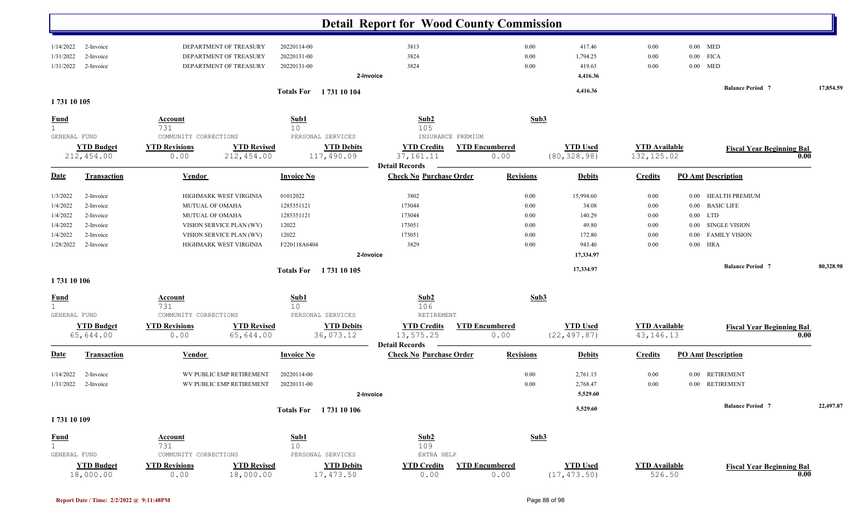|              |                        |                                            |                        | <b>Detail Report for Wood County Commission</b>         |                       |                 |                      |                                   |           |
|--------------|------------------------|--------------------------------------------|------------------------|---------------------------------------------------------|-----------------------|-----------------|----------------------|-----------------------------------|-----------|
|              |                        |                                            |                        |                                                         |                       |                 |                      |                                   |           |
| 1/14/2022    | 2-Invoice              | DEPARTMENT OF TREASURY                     | 20220114-00            | 3813                                                    | 0.00                  | 417.46          | 0.00                 | $0.00$ MED                        |           |
| 1/31/2022    | 2-Invoice              | DEPARTMENT OF TREASURY                     | 20220131-00            | 3824                                                    | 0.00                  | 1,794.25        | $0.00\,$             | $0.00$ FICA                       |           |
| 1/31/2022    | 2-Invoice              | DEPARTMENT OF TREASURY                     | 20220131-00            | 3824                                                    | 0.00                  | 419.63          | $0.00\,$             | $0.00$ MED                        |           |
|              |                        |                                            |                        | 2-Invoice                                               |                       | 4,416.36        |                      |                                   |           |
|              |                        |                                            | Totals For 1731 10 104 |                                                         |                       | 4,416.36        |                      | <b>Balance Period 7</b>           | 17,854.59 |
| 1731 10 105  |                        |                                            |                        |                                                         |                       |                 |                      |                                   |           |
|              |                        |                                            |                        |                                                         |                       |                 |                      |                                   |           |
| <b>Fund</b>  |                        | <b>Account</b><br>731                      | Sub1<br>10             | Sub <sub>2</sub><br>105                                 | Sub3                  |                 |                      |                                   |           |
| GENERAL FUND |                        | COMMUNITY CORRECTIONS                      | PERSONAL SERVICES      | INSURANCE PREMIUM                                       |                       |                 |                      |                                   |           |
|              | <b>YTD Budget</b>      | <b>YTD Revised</b><br><b>YTD Revisions</b> | <b>YTD Debits</b>      | <b>YTD Credits</b>                                      | <b>YTD Encumbered</b> | <b>YTD Used</b> | <b>YTD Available</b> | <b>Fiscal Year Beginning Bal</b>  |           |
|              | 212,454.00             | 212,454.00<br>0.00                         | 117,490.09             | 37, 161. 11                                             | 0.00                  | (80, 328.98)    | 132, 125.02          |                                   | 0.00      |
|              |                        |                                            |                        | <b>Detail Records</b>                                   |                       |                 |                      |                                   |           |
| <b>Date</b>  | <b>Transaction</b>     | <b>Vendor</b>                              | <b>Invoice No</b>      | <b>Check No Purchase Order</b>                          | <b>Revisions</b>      | <b>Debits</b>   | <b>Credits</b>       | <b>PO Amt Description</b>         |           |
| 1/3/2022     |                        | HIGHMARK WEST VIRGINIA                     | 01012022               | 3802                                                    |                       | 15,994.60       |                      | <b>HEALTH PREMIUM</b><br>$0.00\,$ |           |
| 1/4/2022     | 2-Invoice<br>2-Invoice | MUTUAL OF OMAHA                            | 1285351121             | 173044                                                  | 0.00<br>0.00          | 34.08           | $0.00\,$<br>$0.00\,$ | 0.00 BASIC LIFE                   |           |
| 1/4/2022     | 2-Invoice              | MUTUAL OF OMAHA                            | 1285351121             | 173044                                                  | 0.00                  | 140.29          | $0.00\,$             | $0.00$ LTD                        |           |
| 1/4/2022     | 2-Invoice              | VISION SERVICE PLAN (WV)                   | 12022                  | 173051                                                  | 0.00                  | 49.80           | $0.00\,$             | <b>SINGLE VISION</b><br>0.00      |           |
| 1/4/2022     | 2-Invoice              | VISION SERVICE PLAN (WV)                   | 12022                  | 173051                                                  | 0.00                  | 172.80          | 0.00                 | <b>FAMILY VISION</b><br>0.00      |           |
| 1/28/2022    | 2-Invoice              | HIGHMARK WEST VIRGINIA                     | F220118A6404           | 3829                                                    | 0.00                  | 943.40          | $0.00\,$             | $0.00$ HRA                        |           |
|              |                        |                                            |                        | 2-Invoice                                               |                       | 17,334.97       |                      |                                   |           |
|              |                        |                                            |                        |                                                         |                       |                 |                      | <b>Balance Period 7</b>           | 80,328.98 |
|              |                        |                                            | Totals For 1731 10 105 |                                                         |                       | 17,334.97       |                      |                                   |           |
| 1731 10 106  |                        |                                            |                        |                                                         |                       |                 |                      |                                   |           |
| <u>Fund</u>  |                        | Account                                    | Sub1                   | Sub2                                                    | Sub3                  |                 |                      |                                   |           |
| $\mathbf{1}$ |                        | 731                                        | 10                     | 106                                                     |                       |                 |                      |                                   |           |
| GENERAL FUND |                        | COMMUNITY CORRECTIONS                      | PERSONAL SERVICES      | RETIREMENT                                              |                       |                 |                      |                                   |           |
|              | <b>YTD Budget</b>      | <b>YTD Revisions</b><br><b>YTD Revised</b> | <b>YTD Debits</b>      | <b>YTD Credits</b>                                      | <b>YTD Encumbered</b> | <b>YTD Used</b> | <b>YTD Available</b> | <b>Fiscal Year Beginning Bal</b>  |           |
|              | 65,644.00              | 0.00<br>65,644.00                          | 36,073.12              | 13,575.25                                               | 0.00                  | (22, 497.87)    | 43, 146. 13          |                                   | 0.00      |
| <b>Date</b>  | <b>Transaction</b>     | <b>Vendor</b>                              | <b>Invoice No</b>      | <b>Detail Records</b><br><b>Check No Purchase Order</b> | <b>Revisions</b>      | <b>Debits</b>   | <b>Credits</b>       | <b>PO Amt Description</b>         |           |
|              |                        |                                            |                        |                                                         |                       |                 |                      |                                   |           |
| 1/14/2022    | 2-Invoice              | WV PUBLIC EMP RETIREMENT                   | 20220114-00            |                                                         | 0.00                  | 2,761.13        | 0.00                 | 0.00 RETIREMENT                   |           |
| 1/31/2022    | 2-Invoice              | WV PUBLIC EMP RETIREMENT                   | 20220131-00            |                                                         | 0.00                  | 2,768.47        | $0.00\,$             | 0.00 RETIREMENT                   |           |
|              |                        |                                            |                        | 2-Invoice                                               |                       | 5,529.60        |                      |                                   |           |
|              |                        |                                            | Totals For 1731 10 106 |                                                         |                       | 5,529.60        |                      | <b>Balance Period 7</b>           | 22,497.87 |
| 1731 10 109  |                        |                                            |                        |                                                         |                       |                 |                      |                                   |           |
| <b>Fund</b>  |                        | Account                                    | Sub1                   | Sub2                                                    | Sub3                  |                 |                      |                                   |           |
| $\mathbf 1$  |                        | 731                                        | 10                     | 109                                                     |                       |                 |                      |                                   |           |
| GENERAL FUND |                        | COMMUNITY CORRECTIONS                      | PERSONAL SERVICES      | EXTRA HELP                                              |                       |                 |                      |                                   |           |
|              | <b>YTD Budget</b>      | <b>YTD Revisions</b><br><b>YTD Revised</b> | <b>YTD Debits</b>      | <b>YTD Credits</b>                                      | <b>YTD Encumbered</b> | <b>YTD Used</b> | <b>YTD</b> Available | <b>Fiscal Year Beginning Bal</b>  |           |
|              | 18,000.00              | 0.00<br>18,000.00                          | 17,473.50              | 0.00                                                    | 0.00                  | (17, 473.50)    | 526.50               |                                   | 0.00      |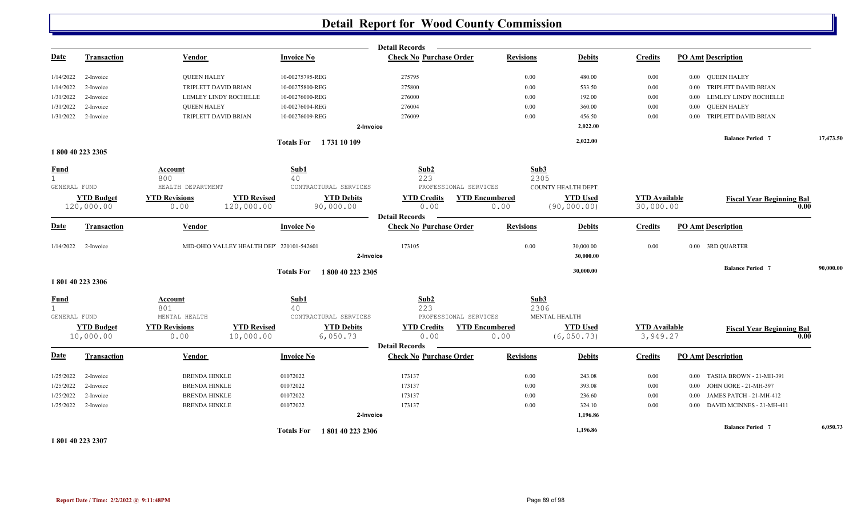|                             |                    |                       |                                          |                                    | <b>Detail Records</b>          |                       |                              |                                  |                                          |           |
|-----------------------------|--------------------|-----------------------|------------------------------------------|------------------------------------|--------------------------------|-----------------------|------------------------------|----------------------------------|------------------------------------------|-----------|
| <b>Date</b>                 | <b>Transaction</b> | Vendor                |                                          | <b>Invoice No</b>                  | <b>Check No Purchase Order</b> | <b>Revisions</b>      | <b>Debits</b>                | <b>Credits</b>                   | <b>PO Amt Description</b>                |           |
| 1/14/2022                   | 2-Invoice          | <b>QUEEN HALEY</b>    |                                          | 10-00275795-REG                    | 275795                         | 0.00                  | 480.00                       | 0.00                             | 0.00 QUEEN HALEY                         |           |
| 1/14/2022                   | 2-Invoice          | TRIPLETT DAVID BRIAN  |                                          | 10-00275800-REG                    | 275800                         | 0.00                  | 533.50                       | 0.00                             | TRIPLETT DAVID BRIAN<br>0.00             |           |
| 1/31/2022                   | 2-Invoice          | LEMLEY LINDY ROCHELLE |                                          | 10-00276000-REG                    | 276000                         | 0.00                  | 192.00                       | 0.00                             | LEMLEY LINDY ROCHELLE<br>0.00            |           |
| 1/31/2022                   | 2-Invoice          | <b>QUEEN HALEY</b>    |                                          | 10-00276004-REG                    | 276004                         | 0.00                  | 360.00                       | 0.00                             | <b>QUEEN HALEY</b><br>0.00               |           |
| 1/31/2022                   | 2-Invoice          | TRIPLETT DAVID BRIAN  |                                          | 10-00276009-REG                    | 276009                         | 0.00                  | 456.50                       | 0.00                             | 0.00 TRIPLETT DAVID BRIAN                |           |
|                             |                    |                       |                                          |                                    | 2-Invoice                      |                       | 2,022.00                     |                                  |                                          |           |
|                             |                    |                       |                                          | Totals For 1731 10 109             |                                |                       | 2,022.00                     |                                  | <b>Balance Period 7</b>                  | 17,473.50 |
|                             | 1800 40 223 2305   |                       |                                          |                                    |                                |                       |                              |                                  |                                          |           |
| <b>Fund</b><br>$\mathbf{1}$ |                    | Account<br>800        |                                          | Sub1<br>40                         | Sub2<br>223                    |                       | Sub3<br>2305                 |                                  |                                          |           |
| GENERAL FUND                |                    | HEALTH DEPARTMENT     |                                          | CONTRACTURAL SERVICES              | PROFESSIONAL SERVICES          |                       | COUNTY HEALTH DEPT.          |                                  |                                          |           |
|                             | <b>YTD Budget</b>  | <b>YTD Revisions</b>  | <b>YTD Revised</b>                       | <b>YTD Debits</b>                  | <b>YTD Credits</b>             | <b>YTD Encumbered</b> | <b>YTD Used</b>              | <b>YTD</b> Available             | <b>Fiscal Year Beginning Bal</b>         |           |
|                             | 120,000.00         | 0.00                  | 120,000.00                               | 90,000.00                          | 0.00                           | 0.00                  | (90, 000.00)                 | 30,000.00                        | 0.00                                     |           |
|                             |                    |                       |                                          |                                    | <b>Detail Records</b>          |                       |                              |                                  |                                          |           |
| <b>Date</b>                 | <b>Transaction</b> | Vendor                |                                          | <b>Invoice No</b>                  | <b>Check No Purchase Order</b> | <b>Revisions</b>      | <b>Debits</b>                | <b>Credits</b>                   | <b>PO Amt Description</b>                |           |
| 1/14/2022                   | 2-Invoice          |                       | MID-OHIO VALLEY HEALTH DEP 220101-542601 |                                    | 173105                         | 0.00                  | 30,000.00                    | 0.00                             | 0.00 3RD QUARTER                         |           |
|                             |                    |                       |                                          |                                    | 2-Invoice                      |                       | 30,000.00                    |                                  |                                          |           |
|                             |                    |                       |                                          | Totals For 1800 40 223 2305        |                                |                       | 30,000.00                    |                                  | <b>Balance Period 7</b>                  | 90,000.00 |
|                             | 1801 40 223 2306   |                       |                                          |                                    |                                |                       |                              |                                  |                                          |           |
| <b>Fund</b>                 |                    | Account               |                                          | Sub1                               | Sub <sub>2</sub>               |                       | Sub3                         |                                  |                                          |           |
| 1<br>GENERAL FUND           |                    | 801<br>MENTAL HEALTH  |                                          | 40<br>CONTRACTURAL SERVICES        | 223<br>PROFESSIONAL SERVICES   |                       | 2306<br><b>MENTAL HEALTH</b> |                                  |                                          |           |
|                             | <b>YTD Budget</b>  | <b>YTD Revisions</b>  | <b>YTD Revised</b>                       | <b>YTD Debits</b>                  | <b>YTD Credits</b>             | <b>YTD Encumbered</b> | <b>YTD Used</b>              |                                  |                                          |           |
|                             | 10,000.00          | 0.00                  | 10,000.00                                | 6,050.73                           | 0.00                           | 0.00                  | (6, 050.73)                  | <b>YTD Available</b><br>3,949.27 | <b>Fiscal Year Beginning Bal</b><br>0.00 |           |
|                             |                    |                       |                                          |                                    | <b>Detail Records</b>          |                       |                              |                                  |                                          |           |
| <b>Date</b>                 | <b>Transaction</b> | Vendor                |                                          | <b>Invoice No</b>                  | <b>Check No Purchase Order</b> | <b>Revisions</b>      | <b>Debits</b>                | <b>Credits</b>                   | <b>PO Amt Description</b>                |           |
| 1/25/2022                   | 2-Invoice          | <b>BRENDA HINKLE</b>  |                                          | 01072022                           | 173137                         | 0.00                  | 243.08                       | $0.00\,$                         | TASHA BROWN - 21-MH-391<br>0.00          |           |
| 1/25/2022                   | 2-Invoice          | <b>BRENDA HINKLE</b>  |                                          | 01072022                           | 173137                         | 0.00                  | 393.08                       | 0.00                             | JOHN GORE - 21-MH-397<br>$0.00\,$        |           |
| 1/25/2022                   | 2-Invoice          | <b>BRENDA HINKLE</b>  |                                          | 01072022                           | 173137                         | 0.00                  | 236.60                       | 0.00                             | JAMES PATCH - 21-MH-412<br>0.00          |           |
| 1/25/2022                   | 2-Invoice          | <b>BRENDA HINKLE</b>  |                                          | 01072022                           | 173137                         | 0.00                  | 324.10                       | 0.00                             | DAVID MCINNES - 21-MH-411<br>0.00        |           |
|                             |                    |                       |                                          |                                    | 2-Invoice                      |                       | 1,196.86                     |                                  |                                          |           |
|                             |                    |                       |                                          | <b>Totals For</b><br>1801402232306 |                                |                       | 1,196.86                     |                                  | <b>Balance Period 7</b>                  | 6,050.73  |
| 1801 40 223 2307            |                    |                       |                                          |                                    |                                |                       |                              |                                  |                                          |           |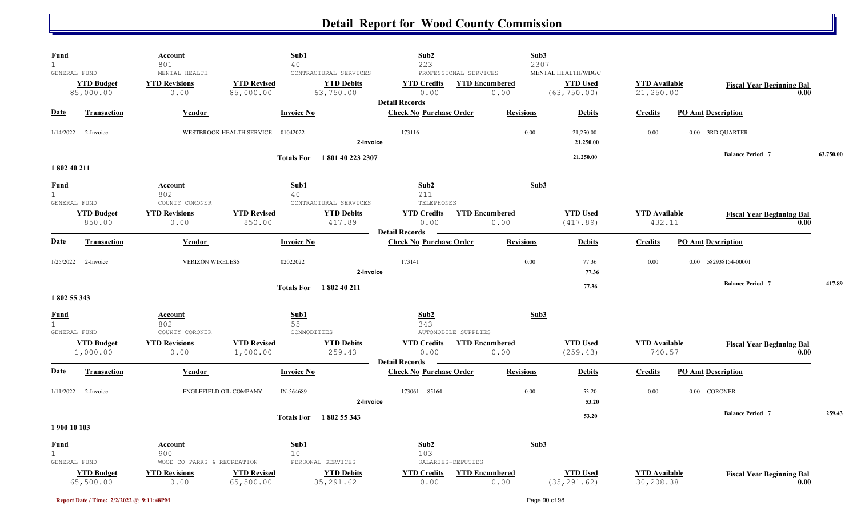| <b>Fund</b><br>$\mathbf{1}$                 |                                | <u>Account</u><br>801                               | Sub1<br>40                        |                                                         | Sub2<br>223                                         |                                                        | Sub3<br>2307                                          |                                   |                                  |      |           |
|---------------------------------------------|--------------------------------|-----------------------------------------------------|-----------------------------------|---------------------------------------------------------|-----------------------------------------------------|--------------------------------------------------------|-------------------------------------------------------|-----------------------------------|----------------------------------|------|-----------|
| GENERAL FUND                                | <b>YTD Budget</b><br>85,000.00 | MENTAL HEALTH<br><b>YTD Revisions</b><br>0.00       | <b>YTD Revised</b><br>85,000.00   | CONTRACTURAL SERVICES<br><b>YTD Debits</b><br>63,750.00 | <b>YTD Credits</b><br>0.00<br><b>Detail Records</b> | PROFESSIONAL SERVICES<br><b>YTD Encumbered</b><br>0.00 | MENTAL HEALTH/WDGC<br><b>YTD Used</b><br>(63, 750.00) | <b>YTD Available</b><br>21,250.00 | <b>Fiscal Year Beginning Bal</b> | 0.00 |           |
| Date                                        | <b>Transaction</b>             | Vendor                                              | <b>Invoice No</b>                 |                                                         | <b>Check No Purchase Order</b>                      | <b>Revisions</b>                                       | <b>Debits</b>                                         | <b>Credits</b>                    | <b>PO Amt Description</b>        |      |           |
| 1/14/2022                                   | 2-Invoice                      |                                                     | WESTBROOK HEALTH SERVICE 01042022 | 2-Invoice                                               | 173116                                              |                                                        | 0.00<br>21,250.00<br>21,250.00                        | 0.00                              | 0.00 3RD QUARTER                 |      |           |
| 1802 40 211                                 |                                |                                                     | <b>Totals For</b>                 | 1801402232307                                           |                                                     |                                                        | 21,250.00                                             |                                   | <b>Balance Period 7</b>          |      | 63,750.00 |
| <b>Fund</b><br>1<br>GENERAL FUND            |                                | <u>Account</u><br>802<br>COUNTY CORONER             | Sub1<br>40                        | CONTRACTURAL SERVICES                                   | Sub2<br>211<br><b>TELEPHONES</b>                    |                                                        | Sub3                                                  |                                   |                                  |      |           |
|                                             | <b>YTD Budget</b><br>850.00    | <b>YTD Revisions</b><br>0.00                        | <b>YTD Revised</b><br>850.00      | <b>YTD Debits</b><br>417.89                             | <b>YTD Credits</b><br>0.00<br><b>Detail Records</b> | <b>YTD Encumbered</b><br>0.00                          | <b>YTD Used</b><br>(417.89)                           | <b>YTD Available</b><br>432.11    | <b>Fiscal Year Beginning Bal</b> | 0.00 |           |
| Date                                        | <b>Transaction</b>             | Vendor                                              | <b>Invoice No</b>                 |                                                         | <b>Check No Purchase Order</b>                      | <b>Revisions</b>                                       | <b>Debits</b>                                         | <b>Credits</b>                    | <b>PO Amt Description</b>        |      |           |
| 1/25/2022                                   | 2-Invoice                      | <b>VERIZON WIRELESS</b>                             | 02022022                          | 2-Invoice                                               | 173141                                              |                                                        | 0.00<br>77.36<br>77.36                                | 0.00                              | 0.00 582938154-00001             |      |           |
| 1802 55 343                                 |                                |                                                     |                                   | Totals For 1802 40 211                                  |                                                     |                                                        | 77.36                                                 |                                   | <b>Balance Period 7</b>          |      | 417.89    |
| <b>Fund</b><br>$\mathbf{1}$<br>GENERAL FUND |                                | <u>Account</u><br>802<br>COUNTY CORONER             | Sub1<br>55<br>COMMODITIES         |                                                         | Sub2<br>343<br>AUTOMOBILE SUPPLIES                  |                                                        | Sub3                                                  |                                   |                                  |      |           |
|                                             | <b>YTD Budget</b><br>1,000.00  | <b>YTD Revisions</b><br>0.00                        | <b>YTD Revised</b><br>1,000.00    | <b>YTD Debits</b><br>259.43                             | <b>YTD Credits</b><br>0.00<br><b>Detail Records</b> | <b>YTD Encumbered</b><br>0.00                          | <b>YTD Used</b><br>(259.43)                           | <b>YTD</b> Available<br>740.57    | <b>Fiscal Year Beginning Bal</b> | 0.00 |           |
| <b>Date</b>                                 | Transaction                    | Vendor                                              | <b>Invoice No</b>                 |                                                         | <b>Check No Purchase Order</b>                      | <b>Revisions</b>                                       | <b>Debits</b>                                         | <b>Credits</b>                    | <b>PO Amt Description</b>        |      |           |
| 1/11/2022                                   | 2-Invoice                      | ENGLEFIELD OIL COMPANY                              | IN-564689                         | 2-Invoice                                               | 173061 85164                                        |                                                        | 0.00<br>53.20<br>53.20                                | 0.00                              | 0.00 CORONER                     |      |           |
| 1900 10 103                                 |                                |                                                     |                                   | Totals For 1802 55 343                                  |                                                     |                                                        | 53.20                                                 |                                   | <b>Balance Period 7</b>          |      | 259.43    |
| <b>Fund</b><br>$\mathbf{1}$<br>GENERAL FUND |                                | <u>Account</u><br>900<br>WOOD CO PARKS & RECREATION | Sub1<br>10 <sup>°</sup>           | PERSONAL SERVICES                                       | Sub2<br>103<br>SALARIES-DEPUTIES                    |                                                        | Sub3                                                  |                                   |                                  |      |           |
|                                             | <b>YTD Budget</b><br>65,500.00 | <b>YTD Revisions</b><br>0.00                        | <b>YTD Revised</b><br>65,500.00   | <b>YTD Debits</b><br>35, 291.62                         | <b>YTD Credits</b><br>0.00                          | <b>YTD Encumbered</b><br>0.00                          | <b>YTD Used</b><br>(35, 291.62)                       | <b>YTD Available</b><br>30,208.38 | <b>Fiscal Year Beginning Bal</b> | 0.00 |           |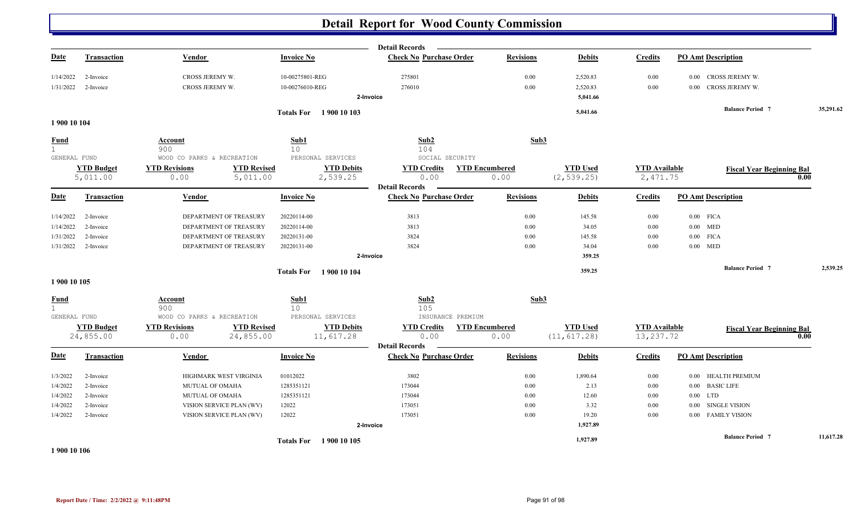|                                             |                        |                                                     |                                    |                        | <b>Detail Records</b>                        |                       |                      |                      |                                              |           |
|---------------------------------------------|------------------------|-----------------------------------------------------|------------------------------------|------------------------|----------------------------------------------|-----------------------|----------------------|----------------------|----------------------------------------------|-----------|
| <u>Date</u>                                 | <b>Transaction</b>     | Vendor                                              | <b>Invoice No</b>                  |                        | <b>Check No Purchase Order</b>               | <b>Revisions</b>      | <b>Debits</b>        | <b>Credits</b>       | <b>PO Amt Description</b>                    |           |
| 1/14/2022<br>1/31/2022                      | 2-Invoice<br>2-Invoice | CROSS JEREMY W.<br>CROSS JEREMY W.                  | 10-00275801-REG<br>10-00276010-REG |                        | 275801<br>276010                             | 0.00<br>0.00          | 2,520.83<br>2,520.83 | 0.00<br>0.00         | 0.00 CROSS JEREMY W.<br>0.00 CROSS JEREMY W. |           |
|                                             |                        |                                                     |                                    |                        | 2-Invoice                                    |                       | 5,041.66             |                      |                                              |           |
| 1900 10 104                                 |                        |                                                     |                                    | Totals For 1900 10 103 |                                              |                       | 5,041.66             |                      | <b>Balance Period 7</b>                      | 35,291.62 |
| <b>Fund</b><br>$\mathbf{1}$<br>GENERAL FUND |                        | <b>Account</b><br>900<br>WOOD CO PARKS & RECREATION | Sub1<br>10 <sup>°</sup>            | PERSONAL SERVICES      | Sub2<br>104<br>SOCIAL SECURITY               | Sub3                  |                      |                      |                                              |           |
|                                             | <b>YTD Budget</b>      | <b>YTD Revisions</b>                                | <b>YTD Revised</b>                 | <b>YTD Debits</b>      | <b>YTD Credits</b>                           | <b>YTD Encumbered</b> | <b>YTD Used</b>      | <b>YTD</b> Available | <b>Fiscal Year Beginning Bal</b>             |           |
|                                             | 5,011.00               | 0.00                                                | 5,011.00                           | 2,539.25               | 0.00<br><b>Detail Records</b>                | 0.00                  | (2, 539.25)          | 2,471.75             |                                              | 0.00      |
| <b>Date</b>                                 | <b>Transaction</b>     | Vendor                                              | <b>Invoice No</b>                  |                        | <b>Check No Purchase Order</b>               | <b>Revisions</b>      | <b>Debits</b>        | <b>Credits</b>       | <b>PO Amt Description</b>                    |           |
| 1/14/2022                                   | 2-Invoice              | DEPARTMENT OF TREASURY                              | 20220114-00                        |                        | 3813                                         | 0.00                  | 145.58               | $0.00\,$             | $0.00$ FICA                                  |           |
| 1/14/2022                                   | 2-Invoice              | DEPARTMENT OF TREASURY                              | 20220114-00                        |                        | 3813                                         | 0.00                  | 34.05                | 0.00                 | $0.00$ MED                                   |           |
| 1/31/2022                                   | 2-Invoice              | DEPARTMENT OF TREASURY                              | 20220131-00                        |                        | 3824                                         | 0.00                  | 145.58               | 0.00                 | $0.00$ FICA                                  |           |
|                                             | 1/31/2022 2-Invoice    | DEPARTMENT OF TREASURY                              | 20220131-00                        |                        | 3824                                         | 0.00                  | 34.04                | 0.00                 | $0.00$ MED                                   |           |
|                                             |                        |                                                     |                                    |                        | 2-Invoice                                    |                       | 359.25               |                      |                                              |           |
|                                             |                        |                                                     |                                    | Totals For 1900 10 104 |                                              |                       | 359.25               |                      | <b>Balance Period 7</b>                      | 2,539.25  |
| 1900 10 105                                 |                        |                                                     |                                    |                        |                                              |                       |                      |                      |                                              |           |
| <b>Fund</b><br>1<br>GENERAL FUND            |                        | <b>Account</b><br>900<br>WOOD CO PARKS & RECREATION | Sub1<br>10 <sup>°</sup>            | PERSONAL SERVICES      | Sub <sub>2</sub><br>105<br>INSURANCE PREMIUM | Sub3                  |                      |                      |                                              |           |
|                                             | <b>YTD Budget</b>      | <b>YTD Revisions</b>                                | <b>YTD Revised</b>                 | <b>YTD Debits</b>      | <b>YTD Credits</b>                           | <b>YTD Encumbered</b> | <b>YTD Used</b>      | <b>YTD</b> Available |                                              |           |
|                                             | 24,855.00              | 0.00                                                | 24,855.00                          | 11,617.28              | 0.00                                         | 0.00                  | (11, 617.28)         | 13, 237.72           | <b>Fiscal Year Beginning Bal</b>             | 0.00      |
|                                             |                        |                                                     |                                    |                        | <b>Detail Records</b>                        |                       |                      |                      |                                              |           |
| <b>Date</b>                                 | <b>Transaction</b>     | <b>Vendor</b>                                       | <b>Invoice No</b>                  |                        | <b>Check No Purchase Order</b>               | <b>Revisions</b>      | <b>Debits</b>        | <b>Credits</b>       | <b>PO Amt Description</b>                    |           |
| 1/3/2022                                    | 2-Invoice              | HIGHMARK WEST VIRGINIA                              | 01012022                           |                        | 3802                                         | 0.00                  | 1,890.64             | $0.00\,$             | 0.00 HEALTH PREMIUM                          |           |
| 1/4/2022                                    | 2-Invoice              | MUTUAL OF OMAHA                                     | 1285351121                         |                        | 173044                                       | 0.00                  | 2.13                 | 0.00                 | 0.00 BASIC LIFE                              |           |
| 1/4/2022                                    | 2-Invoice              | MUTUAL OF OMAHA                                     | 1285351121                         |                        | 173044                                       | 0.00                  | 12.60                | 0.00                 | $0.00$ LTD                                   |           |
| 1/4/2022                                    | 2-Invoice              | VISION SERVICE PLAN (WV)                            | 12022                              |                        | 173051                                       | 0.00                  | 3.32                 | 0.00                 | <b>SINGLE VISION</b><br>$0.00\,$             |           |
| 1/4/2022                                    | 2-Invoice              | VISION SERVICE PLAN (WV)                            | 12022                              |                        | 173051                                       | 0.00                  | 19.20                | 0.00                 | 0.00 FAMILY VISION                           |           |
|                                             |                        |                                                     |                                    |                        | 2-Invoice                                    |                       | 1,927.89             |                      |                                              |           |
|                                             |                        |                                                     |                                    | Totals For 1900 10 105 |                                              |                       | 1,927.89             |                      | <b>Balance Period 7</b>                      | 11,617.28 |
|                                             |                        |                                                     |                                    |                        |                                              |                       |                      |                      |                                              |           |

**1 900 10 106**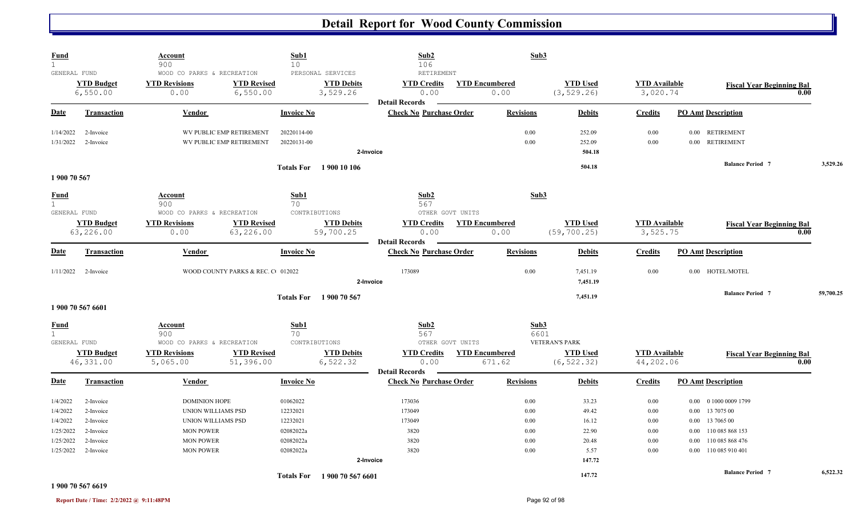| <b>Fund</b><br>$\mathbf{1}$          |                                 | Account<br>900                                             |                                   | Sub1<br>10                  |                                                    | Sub2<br>106                                             |                                           | Sub3                          |                                          |                                  |                           |                                  |      |           |
|--------------------------------------|---------------------------------|------------------------------------------------------------|-----------------------------------|-----------------------------|----------------------------------------------------|---------------------------------------------------------|-------------------------------------------|-------------------------------|------------------------------------------|----------------------------------|---------------------------|----------------------------------|------|-----------|
| GENERAL FUND                         | <b>YTD Budget</b><br>6,550.00   | WOOD CO PARKS & RECREATION<br><b>YTD Revisions</b><br>0.00 | <b>YTD Revised</b><br>6,550.00    |                             | PERSONAL SERVICES<br><b>YTD Debits</b><br>3,529.26 | RETIREMENT<br><b>YTD Credits</b><br>0.00                |                                           | <b>YTD Encumbered</b><br>0.00 | <b>YTD Used</b><br>(3, 529.26)           | <b>YTD</b> Available<br>3,020.74 |                           | <b>Fiscal Year Beginning Bal</b> | 0.00 |           |
| Date                                 | Transaction                     | Vendor                                                     |                                   | <b>Invoice No</b>           |                                                    | <b>Detail Records</b><br><b>Check No Purchase Order</b> |                                           | <b>Revisions</b>              | <b>Debits</b>                            | <b>Credits</b>                   | <b>PO Amt Description</b> |                                  |      |           |
| 1/14/2022                            | 2-Invoice                       |                                                            | WV PUBLIC EMP RETIREMENT          | 20220114-00                 |                                                    |                                                         |                                           | 0.00                          | 252.09                                   | 0.00                             | $0.00\,$                  | <b>RETIREMENT</b>                |      |           |
| 1/31/2022                            | 2-Invoice                       |                                                            | WV PUBLIC EMP RETIREMENT          | 20220131-00                 | 2-Invoice                                          |                                                         |                                           | 0.00                          | 252.09<br>504.18                         | 0.00                             |                           | 0.00 RETIREMENT                  |      |           |
|                                      |                                 |                                                            |                                   |                             | Totals For 1900 10 106                             |                                                         |                                           |                               | 504.18                                   |                                  |                           | <b>Balance Period 7</b>          |      | 3,529.26  |
| 1 900 70 567                         |                                 |                                                            |                                   |                             |                                                    |                                                         |                                           |                               |                                          |                                  |                           |                                  |      |           |
| Fund<br>$\mathbf{1}$<br>GENERAL FUND |                                 | <b>Account</b><br>900<br>WOOD CO PARKS & RECREATION        |                                   | Sub1<br>70<br>CONTRIBUTIONS |                                                    | Sub2<br>567<br>OTHER GOVT UNITS                         |                                           | Sub3                          |                                          |                                  |                           |                                  |      |           |
|                                      | <b>YTD Budget</b><br>63,226.00  | <b>YTD Revisions</b><br>0.00                               | <b>YTD Revised</b><br>63,226.00   |                             | <b>YTD Debits</b><br>59,700.25                     | <b>YTD Credits</b><br>0.00<br><b>Detail Records</b>     | <b>YTD Encumbered</b>                     | 0.00                          | <b>YTD Used</b><br>(59, 700.25)          | <b>YTD Available</b><br>3,525.75 |                           | <b>Fiscal Year Beginning Bal</b> | 0.00 |           |
| Date                                 | Transaction                     | Vendor                                                     |                                   | <b>Invoice No</b>           |                                                    | <b>Check No Purchase Order</b>                          |                                           | <b>Revisions</b>              | <b>Debits</b>                            | <b>Credits</b>                   | <b>PO Amt Description</b> |                                  |      |           |
| 1/11/2022                            | 2-Invoice                       |                                                            | WOOD COUNTY PARKS & REC. C 012022 |                             | 2-Invoice                                          | 173089                                                  |                                           | 0.00                          | 7,451.19<br>7,451.19                     | 0.00                             |                           | 0.00 HOTEL/MOTEL                 |      |           |
|                                      | 1 900 70 567 6601               |                                                            |                                   |                             | <b>Totals For</b> 1900 70 567                      |                                                         |                                           |                               | 7,451.19                                 |                                  |                           | <b>Balance Period 7</b>          |      | 59,700.25 |
| <b>Fund</b>                          |                                 | Account                                                    |                                   | Sub1                        |                                                    | Sub2                                                    |                                           | Sub3                          |                                          |                                  |                           |                                  |      |           |
| $\mathbf{1}$                         |                                 | 900                                                        |                                   | 70                          |                                                    | 567                                                     |                                           | 6601                          |                                          |                                  |                           |                                  |      |           |
| GENERAL FUND                         | <b>YTD Budget</b><br>46, 331.00 | WOOD CO PARKS & RECREATION<br><b>YTD Revisions</b>         | <b>YTD Revised</b>                | CONTRIBUTIONS               | <b>YTD Debits</b><br>6,522.32                      | <b>YTD Credits</b>                                      | OTHER GOVT UNITS<br><b>YTD Encumbered</b> |                               | <b>VETERAN'S PARK</b><br><b>YTD Used</b> | <b>YTD</b> Available             |                           | <b>Fiscal Year Beginning Bal</b> |      |           |
|                                      |                                 | 5,065.00                                                   | 51,396.00                         |                             |                                                    | 0.00<br><b>Detail Records</b>                           |                                           | 671.62                        | (6, 522.32)                              | 44,202.06                        |                           |                                  | 0.00 |           |
| <b>Date</b>                          | <b>Transaction</b>              | Vendor                                                     |                                   | <b>Invoice No</b>           |                                                    | <b>Check No Purchase Order</b>                          |                                           | <b>Revisions</b>              | <b>Debits</b>                            | <b>Credits</b>                   | <b>PO Amt Description</b> |                                  |      |           |
| 1/4/2022                             | 2-Invoice                       | <b>DOMINION HOPE</b>                                       |                                   | 01062022                    |                                                    | 173036                                                  |                                           | 0.00                          | 33.23                                    | 0.00                             | 0.00                      | 0 1000 0009 1799                 |      |           |
| 1/4/2022                             | 2-Invoice                       | UNION WILLIAMS PSD                                         |                                   | 12232021                    |                                                    | 173049                                                  |                                           | 0.00                          | 49.42                                    | $0.00\,$                         | 0.00                      | 13 7075 00                       |      |           |
| 1/4/2022                             | 2-Invoice                       | UNION WILLIAMS PSD                                         |                                   | 12232021                    |                                                    | 173049                                                  |                                           | 0.00                          | 16.12                                    | $0.00\,$                         | $0.00\,$                  | 13 7065 00                       |      |           |
| 1/25/2022                            | 2-Invoice                       | <b>MON POWER</b>                                           |                                   | 02082022a                   |                                                    | 3820                                                    |                                           | 0.00                          | 22.90                                    | 0.00                             | 0.00                      | 110 085 868 153                  |      |           |
| 1/25/2022                            | 2-Invoice                       | <b>MON POWER</b>                                           |                                   | 02082022a                   |                                                    | 3820                                                    |                                           | 0.00                          | 20.48                                    | 0.00                             | 0.00                      | 110 085 868 476                  |      |           |
| 1/25/2022                            | 2-Invoice                       | <b>MON POWER</b>                                           |                                   | 02082022a                   |                                                    | 3820                                                    |                                           | 0.00                          | 5.57                                     | 0.00                             | $0.00\,$                  | 110 085 910 401                  |      |           |
|                                      |                                 |                                                            |                                   |                             | 2-Invoice                                          |                                                         |                                           |                               | 147.72                                   |                                  |                           |                                  |      |           |
|                                      |                                 |                                                            |                                   |                             | Totals For 1900 70 567 6601                        |                                                         |                                           |                               | 147.72                                   |                                  |                           | <b>Balance Period 7</b>          |      | 6.522.32  |

#### **1 900 70 567 6619**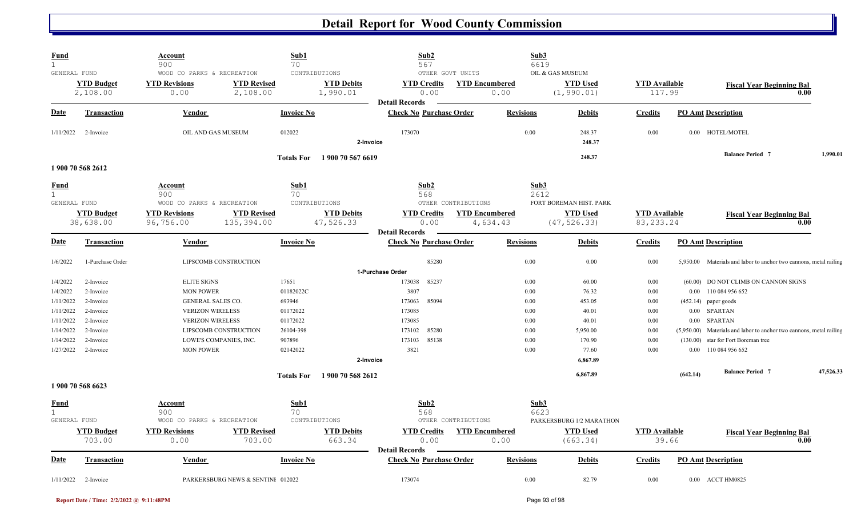| <b>Fund</b><br>GENERAL FUND                 |                                | <b>Account</b><br>900<br>WOOD CO PARKS & RECREATION                   | Sub1<br>70<br>CONTRIBUTIONS            | Sub2<br>567<br>OTHER GOVT UNITS                     |                                   | Sub3<br>6619<br>OIL & GAS MUSEUM        |                                     |                                                                                                               |           |
|---------------------------------------------|--------------------------------|-----------------------------------------------------------------------|----------------------------------------|-----------------------------------------------------|-----------------------------------|-----------------------------------------|-------------------------------------|---------------------------------------------------------------------------------------------------------------|-----------|
|                                             | <b>YTD Budget</b><br>2,108.00  | <b>YTD Revised</b><br><b>YTD Revisions</b><br>0.00<br>2,108.00        | <b>YTD Debits</b><br>1,990.01          | <b>YTD Credits</b><br>0.00<br><b>Detail Records</b> | <b>YTD Encumbered</b><br>0.00     | <b>YTD Used</b><br>(1, 990.01)          | <b>YTD Available</b><br>117.99      | <b>Fiscal Year Beginning Bal</b>                                                                              | 0.00      |
| Date                                        | <b>Transaction</b>             | Vendor                                                                | <b>Invoice No</b>                      | <b>Check No Purchase Order</b>                      | <b>Revisions</b>                  | <b>Debits</b>                           | <b>Credits</b>                      | <b>PO Amt Description</b>                                                                                     |           |
| 1/11/2022                                   | 2-Invoice                      | OIL AND GAS MUSEUM                                                    | 012022<br>2-Invoice                    | 173070                                              |                                   | 0.00<br>248.37<br>248.37                | 0.00                                | 0.00 HOTEL/MOTEL                                                                                              |           |
|                                             | 1 900 70 568 2612              |                                                                       | 1900 70 567 6619<br><b>Totals For</b>  |                                                     |                                   | 248.37                                  |                                     | <b>Balance Period 7</b>                                                                                       | 1,990.01  |
| <b>Fund</b><br>$\mathbf{1}$<br>GENERAL FUND |                                | Account<br>900<br>WOOD CO PARKS & RECREATION                          | Sub1<br>70<br>CONTRIBUTIONS            | Sub2<br>568                                         | OTHER CONTRIBUTIONS               | Sub3<br>2612<br>FORT BOREMAN HIST. PARK |                                     |                                                                                                               |           |
|                                             | <b>YTD Budget</b><br>38,638.00 | <b>YTD Revisions</b><br><b>YTD Revised</b><br>96,756.00<br>135,394.00 | <b>YTD Debits</b><br>47,526.33         | <b>YTD Credits</b><br>0.00<br><b>Detail Records</b> | <b>YTD Encumbered</b><br>4,634.43 | <b>YTD Used</b><br>(47, 526.33)         | <b>YTD Available</b><br>83, 233. 24 | <b>Fiscal Year Beginning Bal</b>                                                                              | 0.00      |
| <b>Date</b>                                 | <b>Transaction</b>             | Vendor                                                                | <b>Invoice No</b>                      | <b>Check No Purchase Order</b>                      | <b>Revisions</b>                  | <b>Debits</b>                           | <b>Credits</b>                      | <b>PO Amt Description</b>                                                                                     |           |
| 1/6/2022                                    | 1-Purchase Order               | LIPSCOMB CONSTRUCTION                                                 |                                        | 85280                                               |                                   | 0.00<br>0.00                            | 0.00                                | 5,950.00 Materials and labor to anchor two cannons, metal railing                                             |           |
|                                             |                                |                                                                       |                                        | 1-Purchase Order                                    |                                   |                                         |                                     |                                                                                                               |           |
| 1/4/2022                                    | 2-Invoice                      | <b>ELITE SIGNS</b>                                                    | 17651                                  | 173038<br>85237                                     |                                   | 0.00<br>60.00                           | 0.00                                | (60.00) DO NOT CLIMB ON CANNON SIGNS                                                                          |           |
| 1/4/2022                                    | 2-Invoice                      | <b>MON POWER</b>                                                      | 01182022C                              | 3807                                                |                                   | 0.00<br>76.32                           | 0.00                                | 0.00 110 084 956 652                                                                                          |           |
| 1/11/2022                                   | 2-Invoice                      | GENERAL SALES CO.                                                     | 693946                                 | 173063<br>85094                                     |                                   | 453.05<br>0.00                          | 0.00                                | $(452.14)$ paper goods                                                                                        |           |
| 1/11/2022                                   | 2-Invoice                      | <b>VERIZON WIRELESS</b>                                               | 01172022                               | 173085                                              |                                   | 0.00<br>40.01                           | 0.00                                | 0.00 SPARTAN                                                                                                  |           |
| 1/11/2022                                   | 2-Invoice                      | <b>VERIZON WIRELESS</b>                                               | 01172022                               | 173085<br>85280                                     |                                   | 0.00<br>40.01<br>0.00                   | 0.00<br>0.00                        | 0.00 SPARTAN                                                                                                  |           |
| 1/14/2022<br>1/14/2022                      | 2-Invoice<br>2-Invoice         | LIPSCOMB CONSTRUCTION<br>LOWE'S COMPANIES, INC.                       | 26104-398<br>907896                    | 173102<br>173103<br>85138                           |                                   | 5,950.00<br>0.00<br>170.90              | 0.00                                | (5,950.00) Materials and labor to anchor two cannons, metal railing<br>star for Fort Boreman tree<br>(130.00) |           |
| 1/27/2022                                   | 2-Invoice                      | <b>MON POWER</b>                                                      | 02142022                               | 3821                                                |                                   | 0.00<br>77.60                           | 0.00                                | 0.00 110 084 956 652                                                                                          |           |
|                                             |                                |                                                                       | 2-Invoice                              |                                                     |                                   | 6.867.89                                |                                     |                                                                                                               |           |
|                                             |                                |                                                                       | 1 900 70 568 2612<br><b>Totals For</b> |                                                     |                                   | 6,867.89                                |                                     | <b>Balance Period 7</b><br>(642.14)                                                                           | 47,526.33 |
|                                             | 1900 70 568 6623               |                                                                       |                                        |                                                     |                                   |                                         |                                     |                                                                                                               |           |
| <b>Fund</b><br>$\mathbf{1}$                 |                                | <b>Account</b><br>900                                                 | Sub1<br>70                             | Sub2<br>568                                         |                                   | Sub3<br>6623                            |                                     |                                                                                                               |           |
| GENERAL FUND                                |                                | WOOD CO PARKS & RECREATION                                            | CONTRIBUTIONS                          |                                                     | OTHER CONTRIBUTIONS               | PARKERSBURG 1/2 MARATHON                |                                     |                                                                                                               |           |
|                                             | <b>YTD Budget</b>              | <b>YTD Revisions</b><br><b>YTD Revised</b>                            | <b>YTD Debits</b>                      | <b>YTD Credits</b><br>0.00                          | <b>YTD Encumbered</b>             | <b>YTD Used</b>                         | <b>YTD Available</b>                | <b>Fiscal Year Beginning Bal</b>                                                                              | 0.00      |
|                                             | 703.00                         | 0.00<br>703.00                                                        | 663.34                                 | <b>Detail Records</b>                               | 0.00                              | (663.34)                                | 39.66                               |                                                                                                               |           |
| <b>Date</b>                                 | Transaction                    | Vendor                                                                | <b>Invoice No</b>                      | <b>Check No Purchase Order</b>                      | <b>Revisions</b>                  | <b>Debits</b>                           | <b>Credits</b>                      | <b>PO Amt Description</b>                                                                                     |           |
| 1/11/2022                                   | 2-Invoice                      | PARKERSBURG NEWS & SENTINI 012022                                     |                                        | 173074                                              |                                   | 0.00<br>82.79                           | 0.00                                | 0.00 ACCT HM0825                                                                                              |           |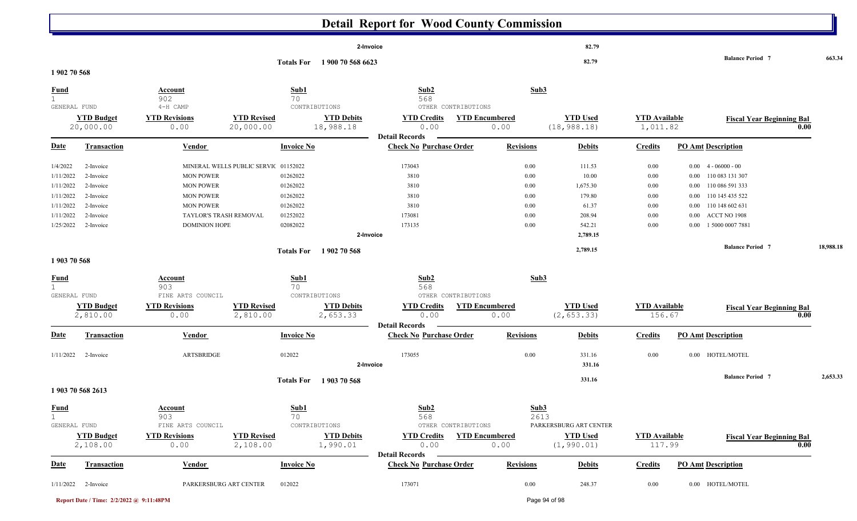|                                                                                        |                                                                                         |                                                                                                                                |                                      |                                                                      |                                | <b>Detail Report for Wood County Commission</b>                         |                                                      |                                                      |                                                                                |                                                                                  |                                                                                                             |                                                                                           |           |
|----------------------------------------------------------------------------------------|-----------------------------------------------------------------------------------------|--------------------------------------------------------------------------------------------------------------------------------|--------------------------------------|----------------------------------------------------------------------|--------------------------------|-------------------------------------------------------------------------|------------------------------------------------------|------------------------------------------------------|--------------------------------------------------------------------------------|----------------------------------------------------------------------------------|-------------------------------------------------------------------------------------------------------------|-------------------------------------------------------------------------------------------|-----------|
|                                                                                        |                                                                                         |                                                                                                                                |                                      |                                                                      |                                | 2-Invoice                                                               |                                                      |                                                      | 82.79                                                                          |                                                                                  |                                                                                                             |                                                                                           |           |
| 1902 70 568                                                                            |                                                                                         |                                                                                                                                |                                      | <b>Totals For</b>                                                    | 1900 70 568 6623               |                                                                         |                                                      |                                                      | 82.79                                                                          |                                                                                  |                                                                                                             | <b>Balance Period 7</b>                                                                   | 663.34    |
| <b>Fund</b><br>1                                                                       |                                                                                         | <b>Account</b><br>902                                                                                                          |                                      | Sub1<br>70                                                           |                                | Sub2<br>568                                                             |                                                      | Sub3                                                 |                                                                                |                                                                                  |                                                                                                             |                                                                                           |           |
|                                                                                        | GENERAL FUND<br><b>YTD Budget</b><br>20,000.00                                          | 4-H CAMP<br><b>YTD Revisions</b><br>0.00                                                                                       | <b>YTD Revised</b><br>20,000.00      | CONTRIBUTIONS                                                        | <b>YTD Debits</b><br>18,988.18 | <b>YTD Credits</b><br>0.00                                              | OTHER CONTRIBUTIONS<br><b>YTD Encumbered</b><br>0.00 |                                                      | <b>YTD Used</b><br>(18, 988.18)                                                | <b>YTD</b> Available<br>1,011.82                                                 |                                                                                                             | <b>Fiscal Year Beginning Bal</b>                                                          | 0.00      |
| <b>Date</b>                                                                            | <b>Transaction</b>                                                                      | <b>Vendor</b>                                                                                                                  |                                      | <b>Invoice No</b>                                                    |                                | <b>Detail Records</b><br><b>Check No Purchase Order</b>                 |                                                      | <b>Revisions</b>                                     | <b>Debits</b>                                                                  | <b>Credits</b>                                                                   | <b>PO Amt Description</b>                                                                                   |                                                                                           |           |
| 1/4/2022<br>1/11/2022<br>1/11/2022<br>1/11/2022<br>1/11/2022<br>1/11/2022<br>1/25/2022 | 2-Invoice<br>2-Invoice<br>2-Invoice<br>2-Invoice<br>2-Invoice<br>2-Invoice<br>2-Invoice | <b>MON POWER</b><br><b>MON POWER</b><br><b>MON POWER</b><br><b>MON POWER</b><br>TAYLOR'S TRASH REMOVAL<br><b>DOMINION HOPE</b> | MINERAL WELLS PUBLIC SERVIC 01152022 | 01262022<br>01262022<br>01262022<br>01262022<br>01252022<br>02082022 |                                | 173043<br>3810<br>3810<br>3810<br>3810<br>173081<br>173135<br>2-Invoice |                                                      | 0.00<br>0.00<br>0.00<br>0.00<br>0.00<br>0.00<br>0.00 | 111.53<br>10.00<br>1,675.30<br>179.80<br>61.37<br>208.94<br>542.21<br>2,789.15 | $0.00\,$<br>$0.00\,$<br>$0.00\,$<br>$0.00\,$<br>$0.00\,$<br>$0.00\,$<br>$0.00\,$ | $4 - 06000 - 00$<br>$0.00\,$<br>0.00<br>0.00<br>110 145 435 522<br>$0.00\,$<br>$0.00\,$<br>0.00<br>$0.00\,$ | 110 083 131 307<br>110 086 591 333<br>110 148 602 631<br>ACCT NO 1908<br>1 5000 0007 7881 |           |
| 1903 70 568                                                                            |                                                                                         |                                                                                                                                |                                      | <b>Totals For</b>                                                    | 1902 70 568                    |                                                                         |                                                      |                                                      | 2,789.15                                                                       |                                                                                  |                                                                                                             | <b>Balance Period 7</b>                                                                   | 18,988.18 |
| <b>Fund</b><br>$\mathbf{1}$                                                            | GENERAL FUND                                                                            | Account<br>903<br>FINE ARTS COUNCIL                                                                                            |                                      | Sub1<br>70<br>CONTRIBUTIONS                                          |                                | Sub2<br>568                                                             | OTHER CONTRIBUTIONS                                  | Sub3                                                 |                                                                                |                                                                                  |                                                                                                             |                                                                                           |           |
|                                                                                        | <b>YTD Budget</b><br>2,810.00                                                           | <b>YTD Revisions</b><br>0.00                                                                                                   | <b>YTD Revised</b><br>2,810.00       |                                                                      | <b>YTD Debits</b><br>2,653.33  | <b>YTD Credits</b><br>0.00<br><b>Detail Records</b>                     | <b>YTD Encumbered</b><br>0.00                        |                                                      | <b>YTD Used</b><br>(2, 653.33)                                                 | <b>YTD</b> Available<br>156.67                                                   |                                                                                                             | <b>Fiscal Year Beginning Bal</b>                                                          | 0.00      |
| <u>Date</u>                                                                            | <b>Transaction</b>                                                                      | <b>Vendor</b>                                                                                                                  |                                      | <b>Invoice No</b>                                                    |                                | <b>Check No Purchase Order</b>                                          |                                                      | <b>Revisions</b>                                     | <b>Debits</b>                                                                  | <b>Credits</b>                                                                   | <b>PO Amt Description</b>                                                                                   |                                                                                           |           |
| 1/11/2022                                                                              | 2-Invoice                                                                               | ARTSBRIDGE                                                                                                                     |                                      | 012022                                                               |                                | 173055<br>2-Invoice                                                     |                                                      | 0.00                                                 | 331.16<br>331.16                                                               | $0.00\,$                                                                         | 0.00 HOTEL/MOTEL                                                                                            |                                                                                           |           |
|                                                                                        | 1903 70 568 2613                                                                        |                                                                                                                                |                                      | <b>Totals For</b>                                                    | 1903 70 568                    |                                                                         |                                                      |                                                      | 331.16                                                                         |                                                                                  |                                                                                                             | <b>Balance Period 7</b>                                                                   | 2,653.33  |
| <b>Fund</b><br>$\mathbf 1$                                                             | GENERAL FUND<br><b>YTD Budget</b>                                                       | Account<br>903<br>FINE ARTS COUNCIL<br><b>YTD Revisions</b>                                                                    | <b>YTD Revised</b>                   | Sub1<br>70<br>CONTRIBUTIONS                                          | <b>YTD Debits</b>              | Sub2<br>568<br><b>YTD Credits</b>                                       | OTHER CONTRIBUTIONS<br><b>YTD Encumbered</b>         | Sub3<br>2613                                         | PARKERSBURG ART CENTER<br><b>YTD Used</b>                                      | <b>YTD</b> Available                                                             |                                                                                                             | <b>Fiscal Year Beginning Bal</b>                                                          |           |
|                                                                                        | 2,108.00                                                                                | 0.00                                                                                                                           | 2,108.00                             |                                                                      | 1,990.01                       | 0.00<br><b>Detail Records</b>                                           | 0.00                                                 |                                                      | (1, 990.01)                                                                    | 117.99                                                                           |                                                                                                             |                                                                                           | 0.00      |
| <b>Date</b>                                                                            | <b>Transaction</b>                                                                      | <b>Vendor</b>                                                                                                                  |                                      | <b>Invoice No</b>                                                    |                                | <b>Check No Purchase Order</b>                                          |                                                      | <b>Revisions</b>                                     | <b>Debits</b>                                                                  | <b>Credits</b>                                                                   | <b>PO Amt Description</b>                                                                                   |                                                                                           |           |
|                                                                                        | $1/11/2022$ 2-Invoice                                                                   | PARKERSBURG ART CENTER                                                                                                         |                                      | 012022                                                               |                                | 173071                                                                  |                                                      | $0.00\,$                                             | 248.37                                                                         | 0.00                                                                             | 0.00 HOTEL/MOTEL                                                                                            |                                                                                           |           |
|                                                                                        | Report Date / Time: 2/2/2022 @ 9:11:48PM                                                |                                                                                                                                |                                      |                                                                      |                                |                                                                         |                                                      |                                                      | Page 94 of 98                                                                  |                                                                                  |                                                                                                             |                                                                                           |           |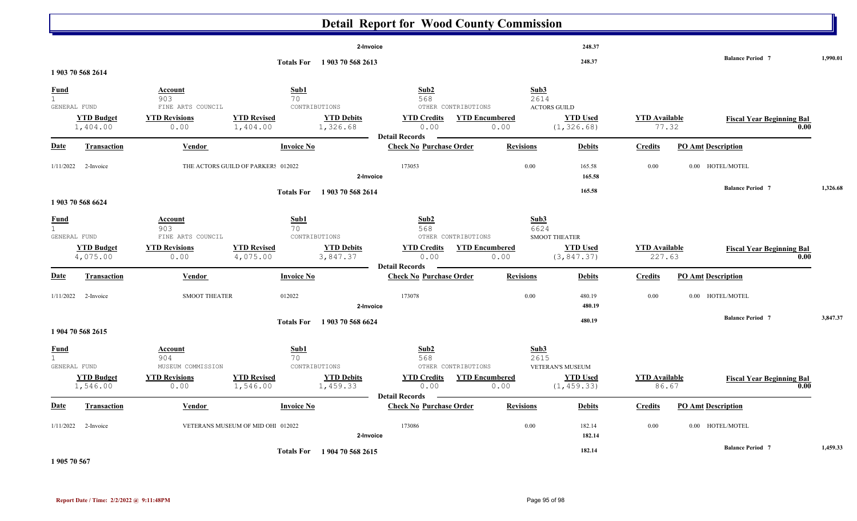|                                             |                               |                                                                     |                                              |                                                | <b>Detail Report for Wood County Commission</b>                                           |                               |                                                                                 |                                |                                           |      |          |
|---------------------------------------------|-------------------------------|---------------------------------------------------------------------|----------------------------------------------|------------------------------------------------|-------------------------------------------------------------------------------------------|-------------------------------|---------------------------------------------------------------------------------|--------------------------------|-------------------------------------------|------|----------|
|                                             | 1 903 70 568 2614             |                                                                     |                                              | 2-Invoice<br>Totals For 1903 70 568 2613       |                                                                                           |                               | 248.37<br>248.37                                                                |                                | <b>Balance Period 7</b>                   |      | 1,990.01 |
| <u>Fund</u><br>$\mathbf 1$<br>GENERAL FUND  | <b>YTD Budget</b><br>1,404.00 | Account<br>903<br>FINE ARTS COUNCIL<br><b>YTD Revisions</b><br>0.00 | Sub1<br>70<br><b>YTD Revised</b><br>1,404.00 | CONTRIBUTIONS<br><b>YTD Debits</b><br>1,326.68 | Sub2<br>568<br>OTHER CONTRIBUTIONS<br><b>YTD Credits</b><br>0.00<br><b>Detail Records</b> | <b>YTD Encumbered</b><br>0.00 | Sub3<br>2614<br>$\operatorname{ACTORS}$ GUILD<br><b>YTD Used</b><br>(1, 326.68) | <b>YTD Available</b>           | <b>Fiscal Year Beginning Bal</b><br>77.32 | 0.00 |          |
| Date                                        | <b>Transaction</b>            | Vendor                                                              | <b>Invoice No</b>                            |                                                | <b>Check No Purchase Order</b>                                                            | <b>Revisions</b>              | <b>Debits</b>                                                                   | <b>Credits</b>                 | <b>PO Amt Description</b>                 |      |          |
| 1/11/2022                                   | 2-Invoice                     |                                                                     | THE ACTORS GUILD OF PARKER! 012022           | 2-Invoice                                      | 173053                                                                                    | 0.00                          | 165.58<br>165.58                                                                | 0.00                           | 0.00 HOTEL/MOTEL                          |      |          |
|                                             | 1 903 70 568 6624             |                                                                     | <b>Totals For</b>                            | 1903 70 568 2614                               |                                                                                           |                               | 165.58                                                                          |                                | <b>Balance Period 7</b>                   |      | 1,326.68 |
| <b>Fund</b><br>$\mathbf{1}$<br>GENERAL FUND |                               | Account<br>903<br>FINE ARTS COUNCIL                                 | Sub1<br>70                                   | CONTRIBUTIONS                                  | Sub2<br>568<br>OTHER CONTRIBUTIONS                                                        |                               | Sub3<br>6624<br><b>SMOOT THEATER</b>                                            |                                |                                           |      |          |
|                                             | <b>YTD Budget</b><br>4,075.00 | <b>YTD Revisions</b><br>0.00                                        | <b>YTD Revised</b><br>4,075.00               | <b>YTD Debits</b><br>3,847.37                  | <b>YTD Credits</b><br>0.00<br><b>Detail Records</b>                                       | <b>YTD Encumbered</b><br>0.00 | <b>YTD Used</b><br>(3, 847.37)                                                  | <b>YTD</b> Available<br>227.63 | <b>Fiscal Year Beginning Bal</b>          | 0.00 |          |
| <b>Date</b>                                 | <b>Transaction</b>            | Vendor                                                              | <b>Invoice No</b>                            |                                                | <b>Check No Purchase Order</b>                                                            | <b>Revisions</b>              | <b>Debits</b>                                                                   | <b>Credits</b>                 | <b>PO Amt Description</b>                 |      |          |
| 1/11/2022                                   | 2-Invoice                     | <b>SMOOT THEATER</b>                                                | 012022                                       | 2-Invoice                                      | 173078                                                                                    | 0.00                          | 480.19<br>480.19                                                                | 0.00                           | 0.00 HOTEL/MOTEL                          |      |          |
|                                             | 1904 70 568 2615              |                                                                     | <b>Totals For</b>                            | 1 903 70 568 6624                              |                                                                                           |                               | 480.19                                                                          |                                | <b>Balance Period 7</b>                   |      | 3,847.37 |
| Fund<br>$\mathbf{1}$<br>GENERAL FUND        |                               | Account<br>904<br>MUSEUM COMMISSION                                 | Sub1<br>70                                   | CONTRIBUTIONS                                  | Sub2<br>568<br>OTHER CONTRIBUTIONS                                                        |                               | Sub3<br>2615<br>VETERAN'S MUSEUM                                                |                                |                                           |      |          |
|                                             | <b>YTD Budget</b><br>1,546.00 | <b>YTD Revisions</b><br>0.00                                        | <b>YTD Revised</b><br>1,546.00               | <b>YTD Debits</b><br>1,459.33                  | <b>YTD Credits</b><br>0.00<br><b>Detail Records</b>                                       | <b>YTD Encumbered</b><br>0.00 | <b>YTD Used</b><br>(1, 459.33)                                                  | <b>YTD Available</b>           | <b>Fiscal Year Beginning Bal</b><br>86.67 | 0.00 |          |
| <b>Date</b>                                 | <b>Transaction</b>            | <b>Vendor</b>                                                       | <b>Invoice No</b>                            |                                                | <b>Check No Purchase Order</b>                                                            | <b>Revisions</b>              | <b>Debits</b>                                                                   | <b>Credits</b>                 | <b>PO Amt Description</b>                 |      |          |
|                                             | $1/11/2022$ 2-Invoice         |                                                                     | VETERANS MUSEUM OF MID OHI 012022            | 2-Invoice                                      | 173086                                                                                    | 0.00                          | 182.14<br>182.14                                                                | 0.00                           | 0.00 HOTEL/MOTEL                          |      |          |
|                                             |                               |                                                                     |                                              | Totals For 1904 70 568 2615                    |                                                                                           |                               | 182.14                                                                          |                                | <b>Balance Period 7</b>                   |      | 1,459.33 |

**1 905 70 567**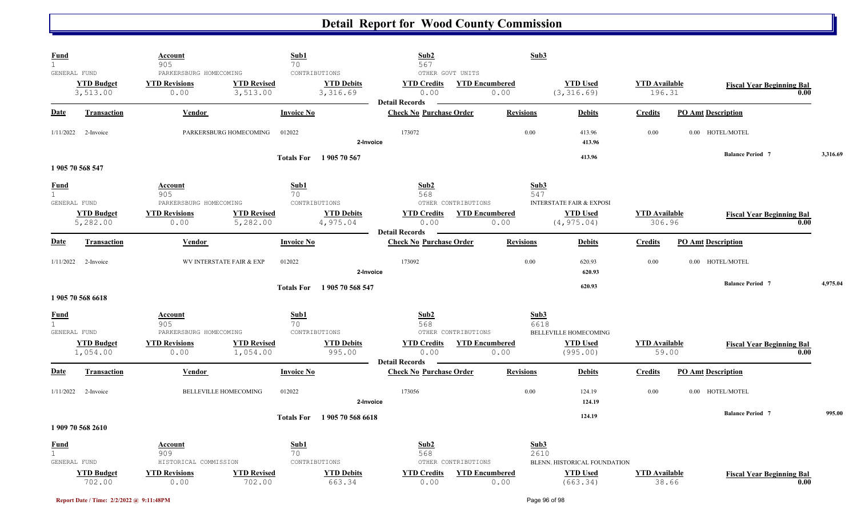| <u>Fund</u><br>$\mathbf{1}$                 |                               | Account<br>905                                                  |                                        | Sub1<br>70                                       | Sub2<br>567                                                             |                                                      | Sub3             |                                                                       |                                |                           |                                  |          |
|---------------------------------------------|-------------------------------|-----------------------------------------------------------------|----------------------------------------|--------------------------------------------------|-------------------------------------------------------------------------|------------------------------------------------------|------------------|-----------------------------------------------------------------------|--------------------------------|---------------------------|----------------------------------|----------|
| GENERAL FUND                                | <b>YTD Budget</b><br>3,513.00 | PARKERSBURG HOMECOMING<br><b>YTD Revisions</b><br>0.00          | <b>YTD Revised</b><br>3,513.00         | CONTRIBUTIONS<br><b>YTD Debits</b><br>3,316.69   | OTHER GOVT UNITS<br><b>YTD Credits</b><br>0.00<br><b>Detail Records</b> | <b>YTD Encumbered</b><br>0.00                        |                  | <b>YTD Used</b><br>(3, 316.69)                                        | <b>YTD</b> Available<br>196.31 |                           | <b>Fiscal Year Beginning Bal</b> | 0.00     |
| Date                                        | Transaction                   | Vendor                                                          |                                        | <b>Invoice No</b>                                | <b>Check No Purchase Order</b>                                          |                                                      | <b>Revisions</b> | <b>Debits</b>                                                         | <b>Credits</b>                 | <b>PO Amt Description</b> |                                  |          |
| 1/11/2022                                   | 2-Invoice                     |                                                                 | 012022<br>PARKERSBURG HOMECOMING       | 2-Invoice                                        | 173072                                                                  |                                                      | $0.00\,$         | 413.96<br>413.96                                                      | 0.00                           |                           | 0.00 HOTEL/MOTEL                 |          |
|                                             | 1905 70 568 547               |                                                                 |                                        | 1905 70 567<br><b>Totals For</b>                 |                                                                         |                                                      |                  | 413.96                                                                |                                |                           | <b>Balance Period 7</b>          | 3,316.69 |
| <b>Fund</b><br>$\mathbf{1}$                 |                               | Account<br>905                                                  |                                        | Sub1<br>70                                       | Sub2<br>568                                                             |                                                      | Sub3<br>547      |                                                                       |                                |                           |                                  |          |
| GENERAL FUND                                | <b>YTD Budget</b><br>5,282.00 | PARKERSBURG HOMECOMING<br><b>YTD Revisions</b><br>0.00          | <b>YTD Revised</b><br>5,282.00         | CONTRIBUTIONS<br><b>YTD Debits</b><br>4,975.04   | <b>YTD Credits</b><br>0.00                                              | OTHER CONTRIBUTIONS<br><b>YTD Encumbered</b><br>0.00 |                  | <b>INTERSTATE FAIR &amp; EXPOSI</b><br><b>YTD Used</b><br>(4, 975.04) | <b>YTD</b> Available<br>306.96 |                           | <b>Fiscal Year Beginning Bal</b> | 0.00     |
| <b>Date</b>                                 | <b>Transaction</b>            | Vendor                                                          |                                        | <b>Invoice No</b>                                | <b>Detail Records</b><br><b>Check No Purchase Order</b>                 |                                                      | <b>Revisions</b> | <b>Debits</b>                                                         | <b>Credits</b>                 | <b>PO Amt Description</b> |                                  |          |
| 1/11/2022                                   | 2-Invoice                     |                                                                 | 012022<br>WV INTERSTATE FAIR & EXP     | 2-Invoice                                        | 173092                                                                  |                                                      | $0.00\,$         | 620.93<br>620.93                                                      | 0.00                           |                           | 0.00 HOTEL/MOTEL                 |          |
|                                             | 1905 70 568 6618              |                                                                 |                                        | 1905 70 568 547<br><b>Totals For</b>             |                                                                         |                                                      |                  | 620.93                                                                |                                |                           | <b>Balance Period 7</b>          | 4,975.04 |
| <b>Fund</b><br>$\mathbf{1}$<br>GENERAL FUND |                               | Account<br>905<br>PARKERSBURG HOMECOMING                        |                                        | Sub1<br>70<br>CONTRIBUTIONS                      | Sub2<br>568                                                             | OTHER CONTRIBUTIONS                                  | Sub3<br>6618     | <b>BELLEVILLE HOMECOMING</b>                                          |                                |                           |                                  |          |
|                                             | <b>YTD Budget</b><br>1,054.00 | <b>YTD Revisions</b><br>0.00                                    | <b>YTD Revised</b><br>1,054.00         | <b>YTD Debits</b><br>995.00                      | <b>YTD Credits</b><br>0.00<br><b>Detail Records</b>                     | <b>YTD Encumbered</b><br>0.00                        |                  | <b>YTD Used</b><br>(995.00)                                           | <b>YTD Available</b><br>59.00  |                           | <b>Fiscal Year Beginning Bal</b> | 0.00     |
| Date                                        | <b>Transaction</b>            | Vendor                                                          |                                        | <b>Invoice No</b>                                | <b>Check No Purchase Order</b>                                          |                                                      | <b>Revisions</b> | <b>Debits</b>                                                         | <b>Credits</b>                 | <b>PO Amt Description</b> |                                  |          |
| 1/11/2022                                   | 2-Invoice                     |                                                                 | <b>BELLEVILLE HOMECOMING</b><br>012022 | 2-Invoice                                        | 173056                                                                  |                                                      | 0.00             | 124.19<br>124.19                                                      | 0.00                           |                           | 0.00 HOTEL/MOTEL                 |          |
|                                             | 1 909 70 568 2610             |                                                                 |                                        | 1905 70 568 6618<br><b>Totals For</b>            |                                                                         |                                                      |                  | 124.19                                                                |                                |                           | <b>Balance Period 7</b>          | 995.00   |
| <u>Fund</u><br>1<br>GENERAL FUND            | <b>YTD Budget</b>             | Account<br>909<br>HISTORICAL COMMISSION<br><b>YTD Revisions</b> | <b>YTD Revised</b>                     | Sub1<br>70<br>CONTRIBUTIONS<br><b>YTD Debits</b> | Sub2<br>568<br><b>YTD Credits</b>                                       | OTHER CONTRIBUTIONS<br><b>YTD Encumbered</b>         | Sub3<br>2610     | BLENN. HISTORICAL FOUNDATION<br><b>YTD Used</b>                       | <b>YTD Available</b>           |                           | <b>Fiscal Year Beginning Bal</b> |          |
|                                             | 702.00                        | 0.00                                                            | 702.00                                 | 663.34                                           | 0.00                                                                    | 0.00                                                 |                  | (663.34)                                                              | 38.66                          |                           |                                  | 0.00     |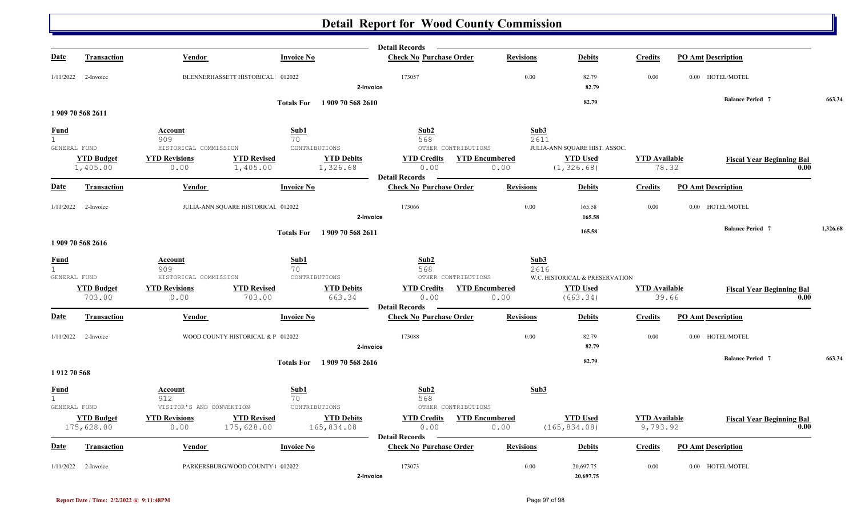|                   |                       |                                                                        |                                    | <b>Detail Records</b><br>$\frac{1}{2} \left( \frac{1}{2} \right) \left( \frac{1}{2} \right) \left( \frac{1}{2} \right) \left( \frac{1}{2} \right) \left( \frac{1}{2} \right) \left( \frac{1}{2} \right) \left( \frac{1}{2} \right) \left( \frac{1}{2} \right) \left( \frac{1}{2} \right) \left( \frac{1}{2} \right) \left( \frac{1}{2} \right) \left( \frac{1}{2} \right) \left( \frac{1}{2} \right) \left( \frac{1}{2} \right) \left( \frac{1}{2} \right) \left( \frac{1}{2} \right) \left( \frac$ |                  |                                                   |                      |                                  |          |
|-------------------|-----------------------|------------------------------------------------------------------------|------------------------------------|-----------------------------------------------------------------------------------------------------------------------------------------------------------------------------------------------------------------------------------------------------------------------------------------------------------------------------------------------------------------------------------------------------------------------------------------------------------------------------------------------------|------------------|---------------------------------------------------|----------------------|----------------------------------|----------|
| <b>Date</b>       | <b>Transaction</b>    | Vendor                                                                 | <b>Invoice No</b>                  | <b>Check No Purchase Order</b>                                                                                                                                                                                                                                                                                                                                                                                                                                                                      | <b>Revisions</b> | <b>Debits</b>                                     | <b>Credits</b>       | <b>PO Amt Description</b>        |          |
| 1/11/2022         | 2-Invoice             | BLENNERHASSETT HISTORICAL 012022                                       |                                    | 173057<br>2-Invoice                                                                                                                                                                                                                                                                                                                                                                                                                                                                                 | 0.00             | 82.79<br>82.79                                    | 0.00                 | 0.00 HOTEL/MOTEL                 |          |
|                   |                       |                                                                        | Totals For 1909 70 568 2610        |                                                                                                                                                                                                                                                                                                                                                                                                                                                                                                     |                  | 82.79                                             |                      | <b>Balance Period 7</b>          | 663.34   |
|                   | 1 909 70 568 2611     |                                                                        |                                    |                                                                                                                                                                                                                                                                                                                                                                                                                                                                                                     |                  |                                                   |                      |                                  |          |
| <b>Fund</b>       |                       | Account                                                                | Sub1                               | Sub2                                                                                                                                                                                                                                                                                                                                                                                                                                                                                                | Sub3             |                                                   |                      |                                  |          |
| 1<br>GENERAL FUND |                       | 909<br>HISTORICAL COMMISSION                                           | 70<br>CONTRIBUTIONS                | 568<br>OTHER CONTRIBUTIONS                                                                                                                                                                                                                                                                                                                                                                                                                                                                          | 2611             | JULIA-ANN SQUARE HIST. ASSOC.                     |                      |                                  |          |
|                   | <b>YTD Budget</b>     | <b>YTD Revisions</b><br><b>YTD Revised</b>                             | <b>YTD Debits</b>                  | <b>YTD Credits</b><br><b>YTD Encumbered</b>                                                                                                                                                                                                                                                                                                                                                                                                                                                         |                  | <b>YTD Used</b>                                   | <b>YTD</b> Available | <b>Fiscal Year Beginning Bal</b> |          |
|                   | 1,405.00              | 0.00<br>1,405.00                                                       | 1,326.68                           | 0.00                                                                                                                                                                                                                                                                                                                                                                                                                                                                                                | 0.00             | (1, 326.68)                                       | 78.32                | 0.00                             |          |
| <b>Date</b>       | <b>Transaction</b>    | Vendor                                                                 | <b>Invoice No</b>                  | Detail Records –<br><b>Check No Purchase Order</b>                                                                                                                                                                                                                                                                                                                                                                                                                                                  | <b>Revisions</b> | <b>Debits</b>                                     | <b>Credits</b>       | <b>PO Amt Description</b>        |          |
|                   |                       |                                                                        |                                    |                                                                                                                                                                                                                                                                                                                                                                                                                                                                                                     |                  |                                                   |                      |                                  |          |
|                   | $1/11/2022$ 2-Invoice | JULIA-ANN SQUARE HISTORICAI 012022                                     |                                    | 173066                                                                                                                                                                                                                                                                                                                                                                                                                                                                                              | 0.00             | 165.58                                            | 0.00                 | 0.00 HOTEL/MOTEL                 |          |
|                   |                       |                                                                        |                                    | 2-Invoice                                                                                                                                                                                                                                                                                                                                                                                                                                                                                           |                  | 165.58                                            |                      |                                  |          |
|                   |                       |                                                                        | Totals For 1909 70 568 2611        |                                                                                                                                                                                                                                                                                                                                                                                                                                                                                                     |                  | 165.58                                            |                      | <b>Balance Period 7</b>          | 1,326.68 |
|                   | 1909 70 568 2616      |                                                                        |                                    |                                                                                                                                                                                                                                                                                                                                                                                                                                                                                                     |                  |                                                   |                      |                                  |          |
| <b>Fund</b>       |                       | Account                                                                | Sub1                               | Sub2                                                                                                                                                                                                                                                                                                                                                                                                                                                                                                | Sub3             |                                                   |                      |                                  |          |
| 1                 |                       | 909                                                                    | 70                                 | 568                                                                                                                                                                                                                                                                                                                                                                                                                                                                                                 | 2616             |                                                   |                      |                                  |          |
| GENERAL FUND      | <b>YTD Budget</b>     | HISTORICAL COMMISSION<br><b>YTD Revised</b><br><b>YTD Revisions</b>    | CONTRIBUTIONS<br><b>YTD Debits</b> | OTHER CONTRIBUTIONS<br><b>YTD Credits</b> YTD Encumbered                                                                                                                                                                                                                                                                                                                                                                                                                                            |                  | W.C. HISTORICAL & PRESERVATION<br><b>YTD Used</b> | <b>YTD</b> Available | <b>Fiscal Year Beginning Bal</b> |          |
|                   | 703.00                | 0.00<br>703.00                                                         | 663.34                             | 0.00                                                                                                                                                                                                                                                                                                                                                                                                                                                                                                | 0.00             | (663.34)                                          | 39.66                | 0.00                             |          |
|                   |                       |                                                                        |                                    | <b>Detail Records</b>                                                                                                                                                                                                                                                                                                                                                                                                                                                                               |                  |                                                   |                      |                                  |          |
| <b>Date</b>       | <b>Transaction</b>    | Vendor                                                                 | <b>Invoice No</b>                  | <b>Check No Purchase Order</b>                                                                                                                                                                                                                                                                                                                                                                                                                                                                      | <b>Revisions</b> | <b>Debits</b>                                     | <b>Credits</b>       | <b>PO Amt Description</b>        |          |
|                   | $1/11/2022$ 2-Invoice | WOOD COUNTY HISTORICAL & P 012022                                      |                                    | 173088                                                                                                                                                                                                                                                                                                                                                                                                                                                                                              | 0.00             | 82.79                                             | 0.00                 | 0.00 HOTEL/MOTEL                 |          |
|                   |                       |                                                                        |                                    | 2-Invoice                                                                                                                                                                                                                                                                                                                                                                                                                                                                                           |                  | 82.79                                             |                      |                                  |          |
|                   |                       |                                                                        | Totals For 1909 70 568 2616        |                                                                                                                                                                                                                                                                                                                                                                                                                                                                                                     |                  | 82.79                                             |                      | <b>Balance Period 7</b>          | 663.34   |
| 1912 70 568       |                       |                                                                        |                                    |                                                                                                                                                                                                                                                                                                                                                                                                                                                                                                     |                  |                                                   |                      |                                  |          |
| <b>Fund</b>       |                       | <b>Account</b>                                                         | Sub1                               | Sub2                                                                                                                                                                                                                                                                                                                                                                                                                                                                                                | Sub3             |                                                   |                      |                                  |          |
| 1                 |                       | 912                                                                    | 70                                 | 568                                                                                                                                                                                                                                                                                                                                                                                                                                                                                                 |                  |                                                   |                      |                                  |          |
| GENERAL FUND      | <b>YTD Budget</b>     | VISITOR'S AND CONVENTION<br><b>YTD Revisions</b><br><b>YTD Revised</b> | CONTRIBUTIONS<br><b>YTD Debits</b> | OTHER CONTRIBUTIONS<br><b>YTD Credits</b><br><b>YTD Encumbered</b>                                                                                                                                                                                                                                                                                                                                                                                                                                  |                  | <b>YTD Used</b>                                   | <b>YTD Available</b> | <b>Fiscal Year Beginning Bal</b> |          |
|                   | 175,628.00            | 175,628.00<br>0.00                                                     | 165,834.08                         | 0.00                                                                                                                                                                                                                                                                                                                                                                                                                                                                                                | 0.00             | (165, 834.08)                                     | 9,793.92             | 0.00                             |          |
| Date              | <b>Transaction</b>    | Vendor                                                                 | <b>Invoice No</b>                  | <b>Detail Records</b><br><b>Check No Purchase Order</b>                                                                                                                                                                                                                                                                                                                                                                                                                                             | <b>Revisions</b> | <b>Debits</b>                                     | <b>Credits</b>       | <b>PO Amt Description</b>        |          |
|                   |                       |                                                                        |                                    |                                                                                                                                                                                                                                                                                                                                                                                                                                                                                                     |                  |                                                   |                      |                                  |          |
| 1/11/2022         | 2-Invoice             | PARKERSBURG/WOOD COUNTY + 012022                                       |                                    | 173073<br>2-Invoice                                                                                                                                                                                                                                                                                                                                                                                                                                                                                 | 0.00             | 20,697.75<br>20,697.75                            | 0.00                 | 0.00 HOTEL/MOTEL                 |          |